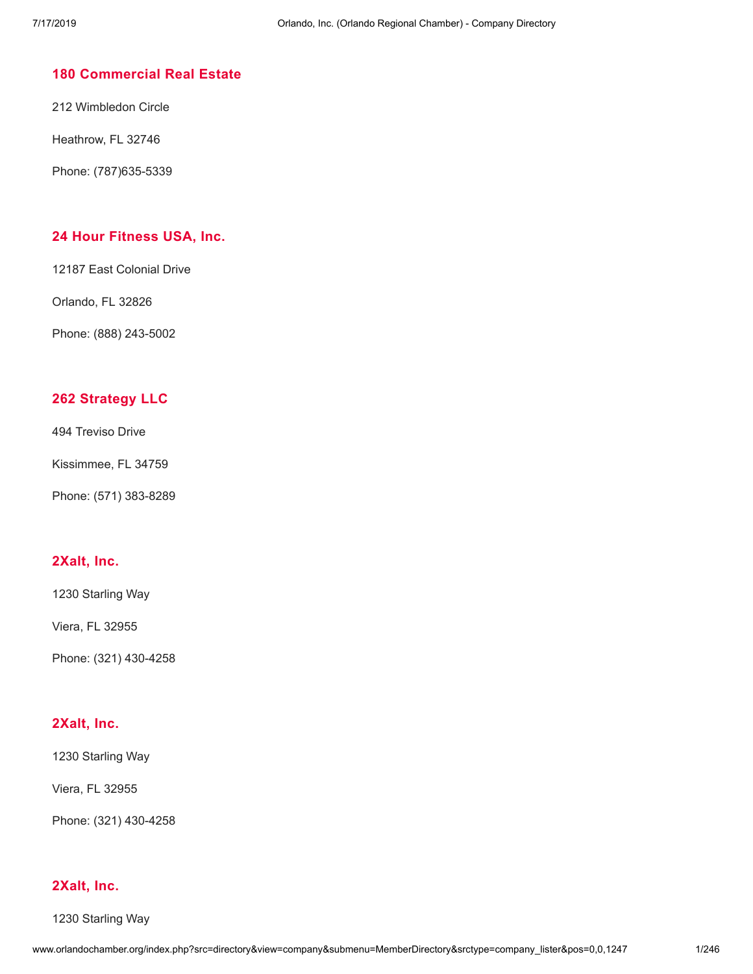# **180 [Commercial](http://www.orlandochamber.org/index.php?src=directory&view=company&submenu=MemberDirectory&refno=2776697&srctype=company_detail) Real Estate**

212 Wimbledon Circle

Heathrow, FL 32746

Phone: (787)635-5339

# **24 Hour [Fitness](http://www.orlandochamber.org/index.php?src=directory&view=company&submenu=MemberDirectory&refno=2776696&srctype=company_detail) USA, Inc.**

12187 East Colonial Drive

Orlando, FL 32826

Phone: (888) 243-5002

# **262 [Strategy](http://www.orlandochamber.org/index.php?src=directory&view=company&submenu=MemberDirectory&refno=2776698&srctype=company_detail) LLC**

494 Treviso Drive

Kissimmee, FL 34759

Phone: (571) 383-8289

# **[2Xalt,](http://www.orlandochamber.org/index.php?src=directory&view=company&submenu=MemberDirectory&refno=2776699&srctype=company_detail) Inc.**

1230 Starling Way

Viera, FL 32955

Phone: (321) 430-4258

## **[2Xalt,](http://www.orlandochamber.org/index.php?src=directory&view=company&submenu=MemberDirectory&refno=2776700&srctype=company_detail) Inc.**

1230 Starling Way

Viera, FL 32955

Phone: (321) 430-4258

## **[2Xalt,](http://www.orlandochamber.org/index.php?src=directory&view=company&submenu=MemberDirectory&refno=2776701&srctype=company_detail) Inc.**

1230 Starling Way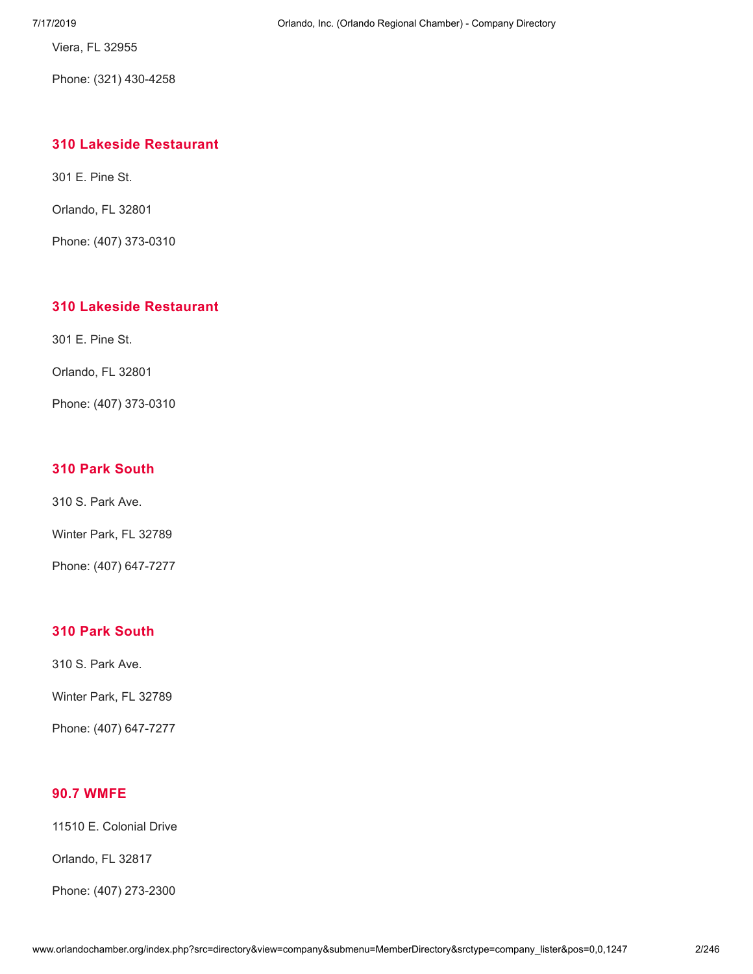Viera, FL 32955

Phone: (321) 430-4258

# **310 Lakeside [Restaurant](http://www.orlandochamber.org/index.php?src=directory&view=company&submenu=MemberDirectory&refno=2776702&srctype=company_detail)**

301 E. Pine St.

Orlando, FL 32801

Phone: (407) 373-0310

# **310 Lakeside [Restaurant](http://www.orlandochamber.org/index.php?src=directory&view=company&submenu=MemberDirectory&refno=2776703&srctype=company_detail)**

301 E. Pine St.

Orlando, FL 32801

Phone: (407) 373-0310

# **310 Park [South](http://www.orlandochamber.org/index.php?src=directory&view=company&submenu=MemberDirectory&refno=2776704&srctype=company_detail)**

310 S. Park Ave.

Winter Park, FL 32789

Phone: (407) 647-7277

## **310 Park [South](http://www.orlandochamber.org/index.php?src=directory&view=company&submenu=MemberDirectory&refno=2776705&srctype=company_detail)**

310 S. Park Ave.

Winter Park, FL 32789

Phone: (407) 647-7277

## **90.7 [WMFE](http://www.orlandochamber.org/index.php?src=directory&view=company&submenu=MemberDirectory&refno=2776706&srctype=company_detail)**

11510 E. Colonial Drive

Orlando, FL 32817

Phone: (407) 273-2300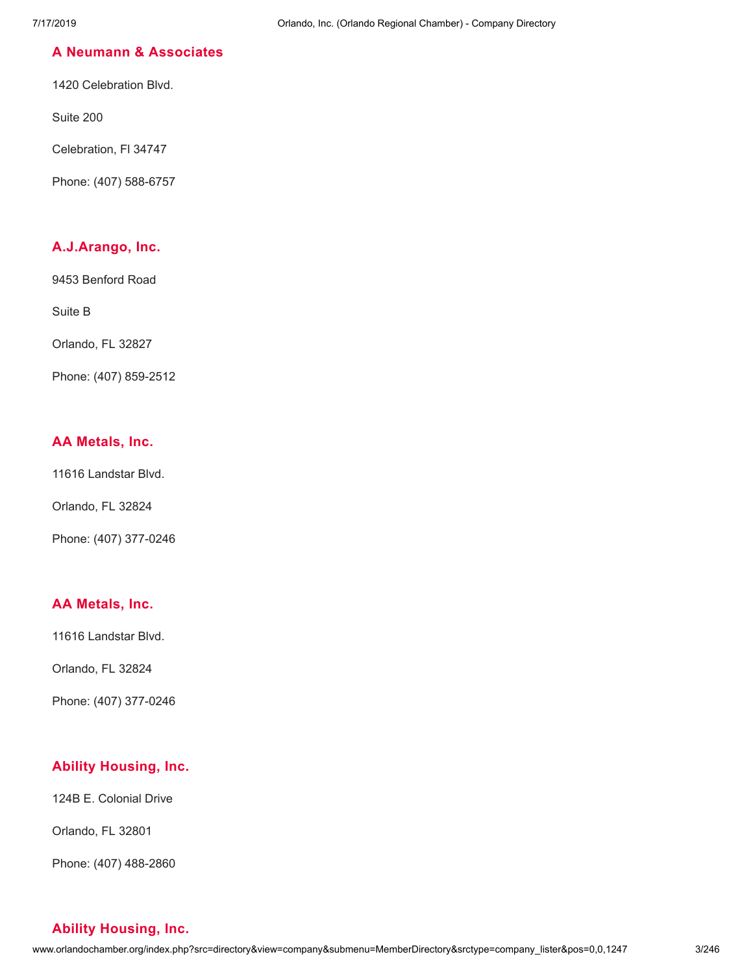# **A Neumann & [Associates](http://www.orlandochamber.org/index.php?src=directory&view=company&submenu=MemberDirectory&refno=2776707&srctype=company_detail)**

1420 Celebration Blvd.

Suite 200

Celebration, Fl 34747

Phone: (407) 588-6757

# **[A.J.Arango,](http://www.orlandochamber.org/index.php?src=directory&view=company&submenu=MemberDirectory&refno=2776708&srctype=company_detail) Inc.**

9453 Benford Road

Suite B

Orlando, FL 32827

Phone: (407) 859-2512

# **AA [Metals,](http://www.orlandochamber.org/index.php?src=directory&view=company&submenu=MemberDirectory&refno=2776709&srctype=company_detail) Inc.**

11616 Landstar Blvd.

Orlando, FL 32824

Phone: (407) 377-0246

# **AA [Metals,](http://www.orlandochamber.org/index.php?src=directory&view=company&submenu=MemberDirectory&refno=2776710&srctype=company_detail) Inc.**

11616 Landstar Blvd.

Orlando, FL 32824

Phone: (407) 377-0246

# **Ability [Housing,](http://www.orlandochamber.org/index.php?src=directory&view=company&submenu=MemberDirectory&refno=2776711&srctype=company_detail) Inc.**

124B E. Colonial Drive

Orlando, FL 32801

Phone: (407) 488-2860

# **Ability [Housing,](http://www.orlandochamber.org/index.php?src=directory&view=company&submenu=MemberDirectory&refno=2776712&srctype=company_detail) Inc.**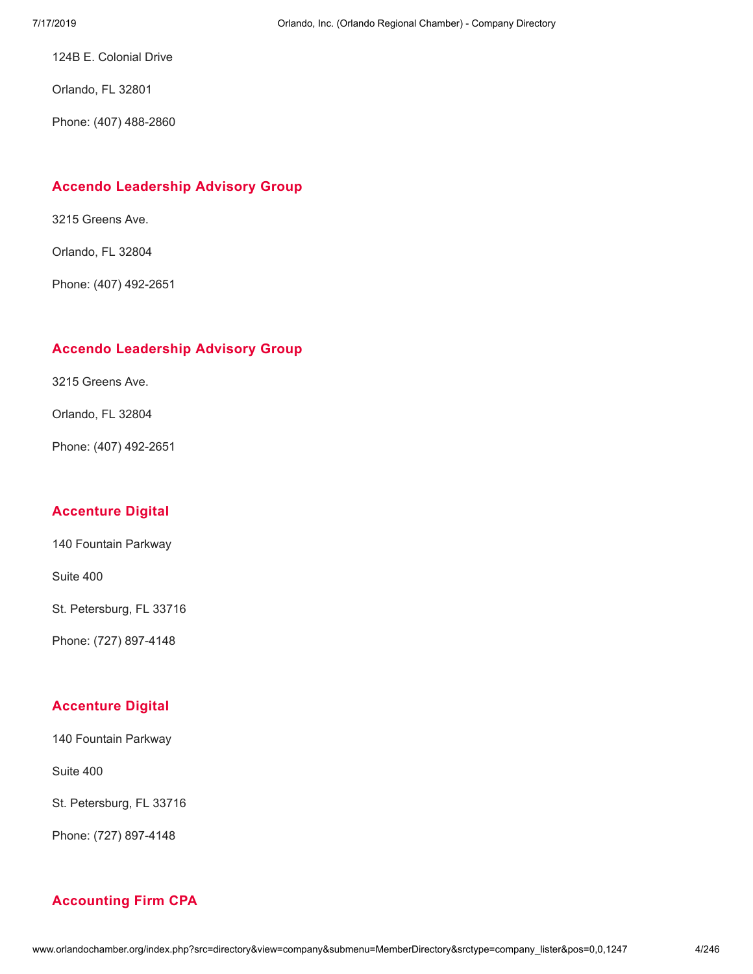124B E. Colonial Drive

Orlando, FL 32801

Phone: (407) 488-2860

## **Accendo [Leadership](http://www.orlandochamber.org/index.php?src=directory&view=company&submenu=MemberDirectory&refno=2776713&srctype=company_detail) Advisory Group**

3215 Greens Ave.

Orlando, FL 32804

Phone: (407) 492-2651

## **Accendo [Leadership](http://www.orlandochamber.org/index.php?src=directory&view=company&submenu=MemberDirectory&refno=2776714&srctype=company_detail) Advisory Group**

3215 Greens Ave.

Orlando, FL 32804

Phone: (407) 492-2651

#### **[Accenture](http://www.orlandochamber.org/index.php?src=directory&view=company&submenu=MemberDirectory&refno=2776715&srctype=company_detail) Digital**

140 Fountain Parkway

Suite 400

St. Petersburg, FL 33716

Phone: (727) 897-4148

# **[Accenture](http://www.orlandochamber.org/index.php?src=directory&view=company&submenu=MemberDirectory&refno=2776716&srctype=company_detail) Digital**

140 Fountain Parkway

Suite 400

St. Petersburg, FL 33716

Phone: (727) 897-4148

# **[Accounting](http://www.orlandochamber.org/index.php?src=directory&view=company&submenu=MemberDirectory&refno=2776717&srctype=company_detail) Firm CPA**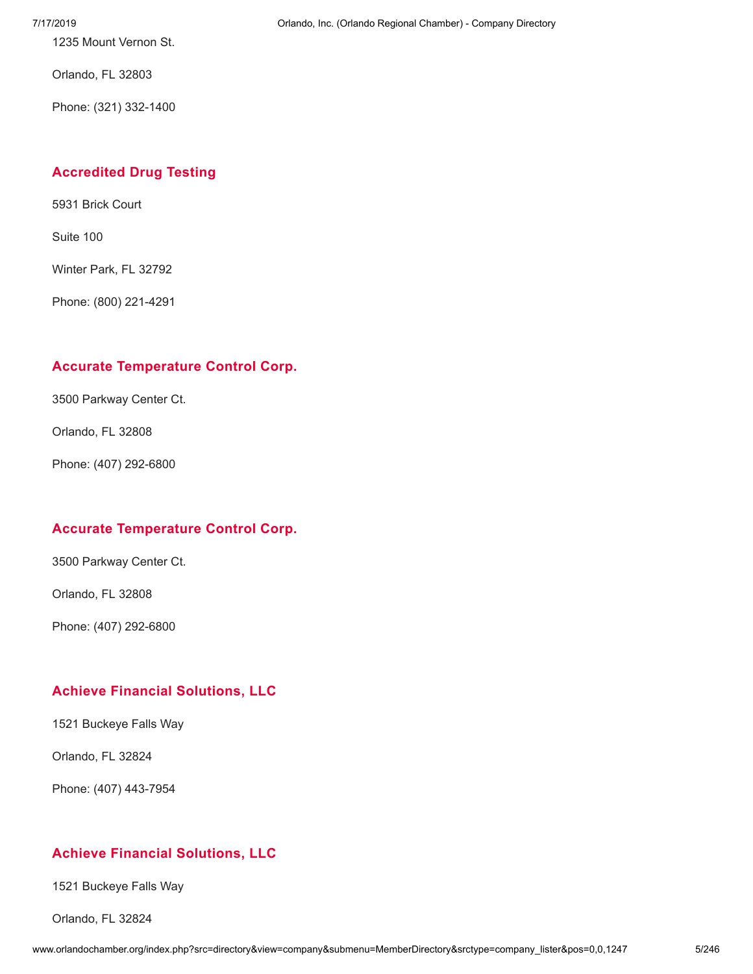1235 Mount Vernon St.

Orlando, FL 32803

Phone: (321) 332-1400

# **[Accredited](http://www.orlandochamber.org/index.php?src=directory&view=company&submenu=MemberDirectory&refno=2776718&srctype=company_detail) Drug Testing**

5931 Brick Court

Suite 100

Winter Park, FL 32792

Phone: (800) 221-4291

# **Accurate [Temperature](http://www.orlandochamber.org/index.php?src=directory&view=company&submenu=MemberDirectory&refno=2776719&srctype=company_detail) Control Corp.**

3500 Parkway Center Ct.

Orlando, FL 32808

Phone: (407) 292-6800

# **Accurate [Temperature](http://www.orlandochamber.org/index.php?src=directory&view=company&submenu=MemberDirectory&refno=2776720&srctype=company_detail) Control Corp.**

3500 Parkway Center Ct.

Orlando, FL 32808

Phone: (407) 292-6800

# **Achieve Financial [Solutions,](http://www.orlandochamber.org/index.php?src=directory&view=company&submenu=MemberDirectory&refno=2776721&srctype=company_detail) LLC**

1521 Buckeye Falls Way

Orlando, FL 32824

Phone: (407) 443-7954

# **Achieve Financial [Solutions,](http://www.orlandochamber.org/index.php?src=directory&view=company&submenu=MemberDirectory&refno=2776722&srctype=company_detail) LLC**

1521 Buckeye Falls Way

Orlando, FL 32824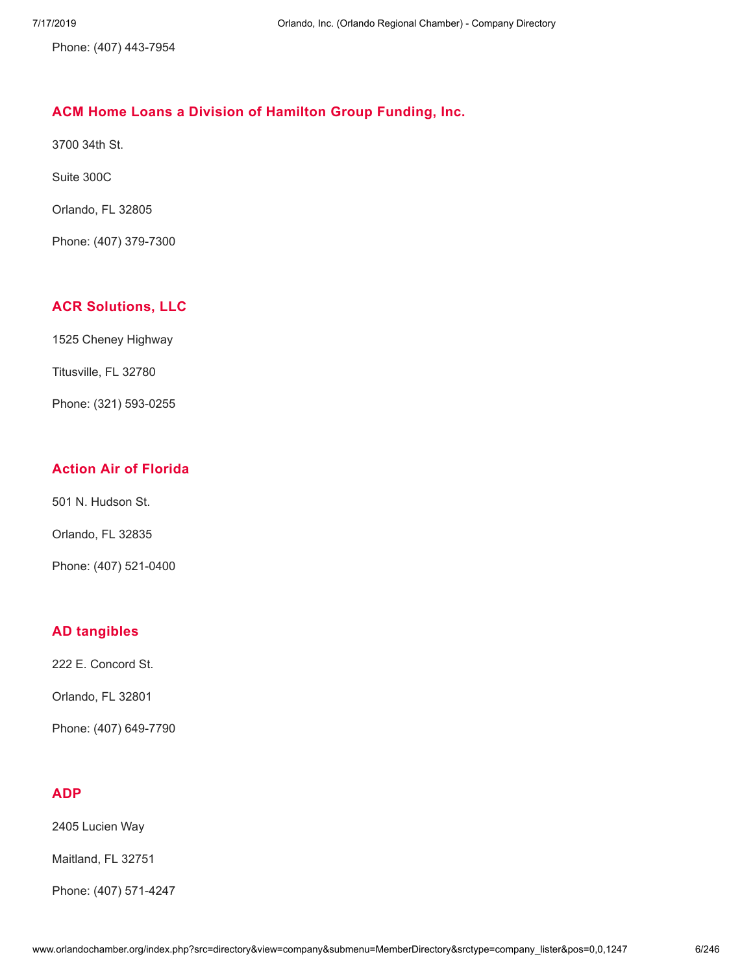Phone: (407) 443-7954

# **ACM Home Loans a Division of [Hamilton](http://www.orlandochamber.org/index.php?src=directory&view=company&submenu=MemberDirectory&refno=2776723&srctype=company_detail) Group Funding, Inc.**

3700 34th St.

Suite 300C

Orlando, FL 32805

Phone: (407) 379-7300

# **ACR [Solutions,](http://www.orlandochamber.org/index.php?src=directory&view=company&submenu=MemberDirectory&refno=2776724&srctype=company_detail) LLC**

1525 Cheney Highway

Titusville, FL 32780

Phone: (321) 593-0255

# **Action Air of [Florida](http://www.orlandochamber.org/index.php?src=directory&view=company&submenu=MemberDirectory&refno=2776725&srctype=company_detail)**

501 N. Hudson St.

Orlando, FL 32835

Phone: (407) 521-0400

# **AD [tangibles](http://www.orlandochamber.org/index.php?src=directory&view=company&submenu=MemberDirectory&refno=2776726&srctype=company_detail)**

222 E. Concord St.

Orlando, FL 32801

Phone: (407) 649-7790

# **[ADP](http://www.orlandochamber.org/index.php?src=directory&view=company&submenu=MemberDirectory&refno=2776727&srctype=company_detail)**

2405 Lucien Way

Maitland, FL 32751

Phone: (407) 571-4247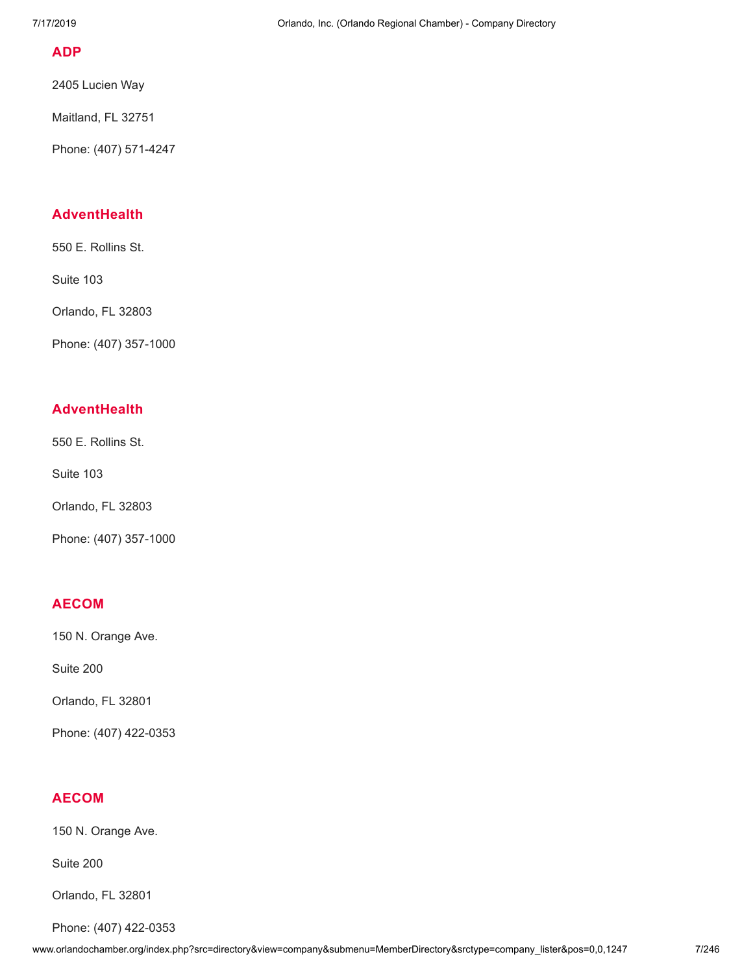## **[ADP](http://www.orlandochamber.org/index.php?src=directory&view=company&submenu=MemberDirectory&refno=2776728&srctype=company_detail)**

2405 Lucien Way

Maitland, FL 32751

Phone: (407) 571-4247

# **[AdventHealth](http://www.orlandochamber.org/index.php?src=directory&view=company&submenu=MemberDirectory&refno=2776729&srctype=company_detail)**

550 E. Rollins St.

Suite 103

Orlando, FL 32803

Phone: (407) 357-1000

# **[AdventHealth](http://www.orlandochamber.org/index.php?src=directory&view=company&submenu=MemberDirectory&refno=2776730&srctype=company_detail)**

550 E. Rollins St.

Suite 103

Orlando, FL 32803

Phone: (407) 357-1000

# **[AECOM](http://www.orlandochamber.org/index.php?src=directory&view=company&submenu=MemberDirectory&refno=2776731&srctype=company_detail)**

150 N. Orange Ave.

Suite 200

Orlando, FL 32801

Phone: (407) 422-0353

# **[AECOM](http://www.orlandochamber.org/index.php?src=directory&view=company&submenu=MemberDirectory&refno=2776732&srctype=company_detail)**

150 N. Orange Ave.

Suite 200

Orlando, FL 32801

Phone: (407) 422-0353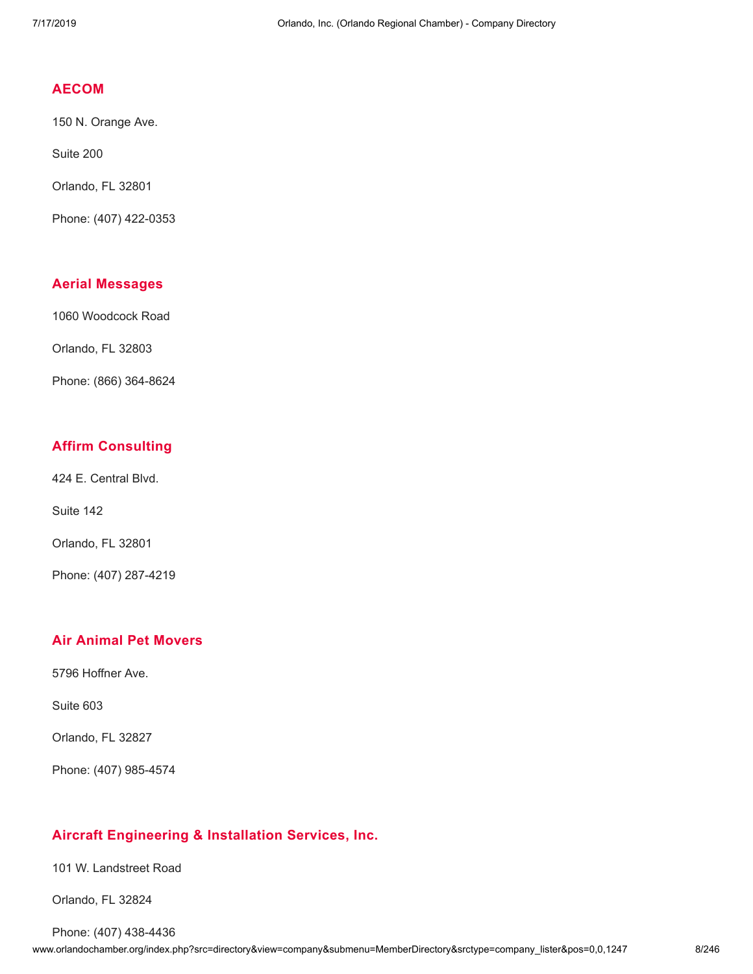### **[AECOM](http://www.orlandochamber.org/index.php?src=directory&view=company&submenu=MemberDirectory&refno=2776733&srctype=company_detail)**

150 N. Orange Ave.

Suite 200

Orlando, FL 32801

Phone: (407) 422-0353

## **Aerial [Messages](http://www.orlandochamber.org/index.php?src=directory&view=company&submenu=MemberDirectory&refno=2776734&srctype=company_detail)**

1060 Woodcock Road

Orlando, FL 32803

Phone: (866) 364-8624

# **Affirm [Consulting](http://www.orlandochamber.org/index.php?src=directory&view=company&submenu=MemberDirectory&refno=2776735&srctype=company_detail)**

424 E. Central Blvd.

Suite 142

Orlando, FL 32801

Phone: (407) 287-4219

# **Air Animal Pet [Movers](http://www.orlandochamber.org/index.php?src=directory&view=company&submenu=MemberDirectory&refno=2776736&srctype=company_detail)**

5796 Hoffner Ave.

Suite 603

Orlando, FL 32827

Phone: (407) 985-4574

# **Aircraft [Engineering](http://www.orlandochamber.org/index.php?src=directory&view=company&submenu=MemberDirectory&refno=2776737&srctype=company_detail) & Installation Services, Inc.**

101 W. Landstreet Road

Orlando, FL 32824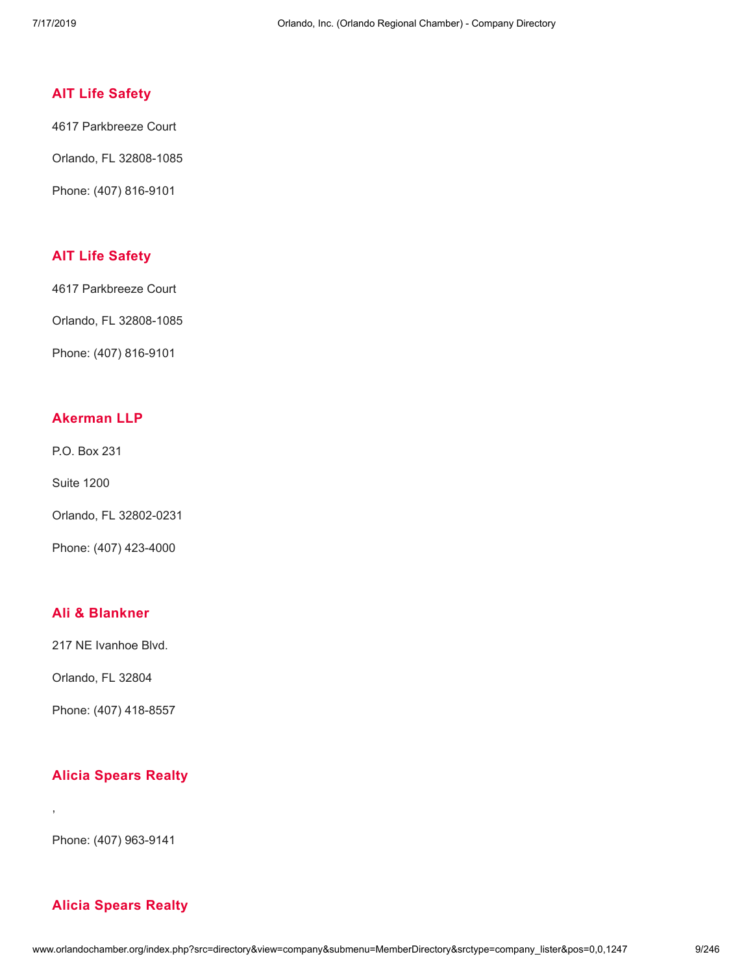## **AIT Life [Safety](http://www.orlandochamber.org/index.php?src=directory&view=company&submenu=MemberDirectory&refno=2776738&srctype=company_detail)**

4617 Parkbreeze Court

Orlando, FL 32808-1085

Phone: (407) 816-9101

# **AIT Life [Safety](http://www.orlandochamber.org/index.php?src=directory&view=company&submenu=MemberDirectory&refno=2776739&srctype=company_detail)**

4617 Parkbreeze Court

Orlando, FL 32808-1085

Phone: (407) 816-9101

#### **[Akerman](http://www.orlandochamber.org/index.php?src=directory&view=company&submenu=MemberDirectory&refno=2776740&srctype=company_detail) LLP**

P.O. Box 231

Suite 1200

Orlando, FL 32802-0231

Phone: (407) 423-4000

#### **Ali & [Blankner](http://www.orlandochamber.org/index.php?src=directory&view=company&submenu=MemberDirectory&refno=2776741&srctype=company_detail)**

217 NE Ivanhoe Blvd.

Orlando, FL 32804

Phone: (407) 418-8557

#### **Alicia [Spears](http://www.orlandochamber.org/index.php?src=directory&view=company&submenu=MemberDirectory&refno=2776742&srctype=company_detail) Realty**

Phone: (407) 963-9141

,

# **Alicia [Spears](http://www.orlandochamber.org/index.php?src=directory&view=company&submenu=MemberDirectory&refno=2776743&srctype=company_detail) Realty**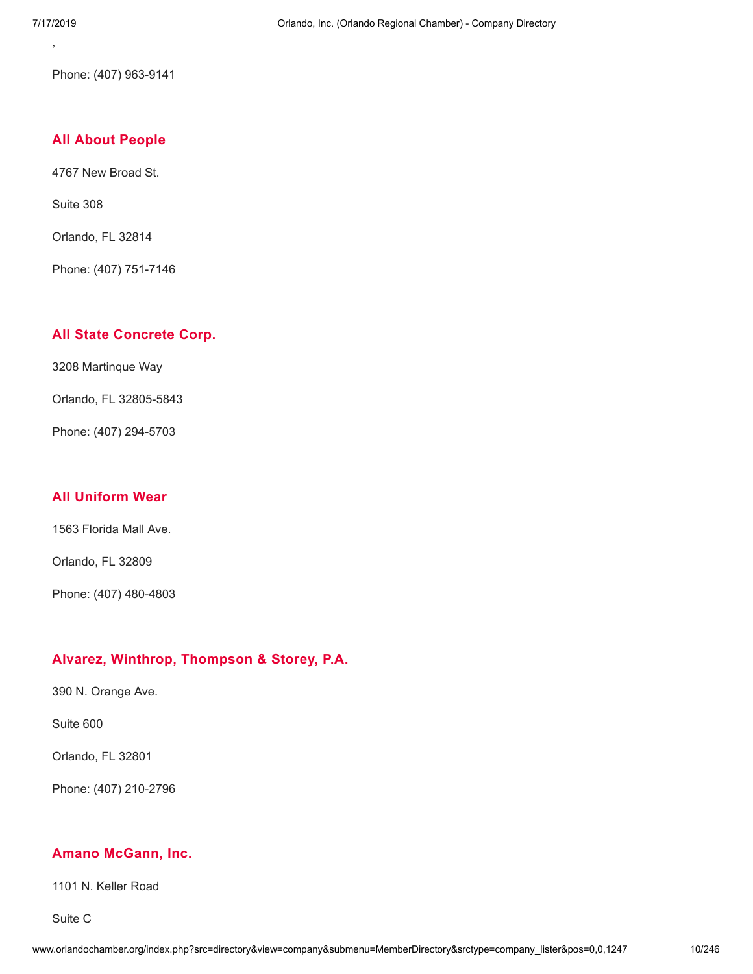Phone: (407) 963-9141

#### **All About [People](http://www.orlandochamber.org/index.php?src=directory&view=company&submenu=MemberDirectory&refno=2776744&srctype=company_detail)**

4767 New Broad St.

Suite 308

Orlando, FL 32814

Phone: (407) 751-7146

#### **All State [Concrete](http://www.orlandochamber.org/index.php?src=directory&view=company&submenu=MemberDirectory&refno=2776745&srctype=company_detail) Corp.**

3208 Martinque Way

Orlando, FL 32805-5843

Phone: (407) 294-5703

## **All [Uniform](http://www.orlandochamber.org/index.php?src=directory&view=company&submenu=MemberDirectory&refno=2776746&srctype=company_detail) Wear**

1563 Florida Mall Ave.

Orlando, FL 32809

Phone: (407) 480-4803

## **Alvarez, Winthrop, [Thompson](http://www.orlandochamber.org/index.php?src=directory&view=company&submenu=MemberDirectory&refno=2776747&srctype=company_detail) & Storey, P.A.**

390 N. Orange Ave.

Suite 600

Orlando, FL 32801

Phone: (407) 210-2796

## **Amano [McGann,](http://www.orlandochamber.org/index.php?src=directory&view=company&submenu=MemberDirectory&refno=2776748&srctype=company_detail) Inc.**

1101 N. Keller Road

Suite C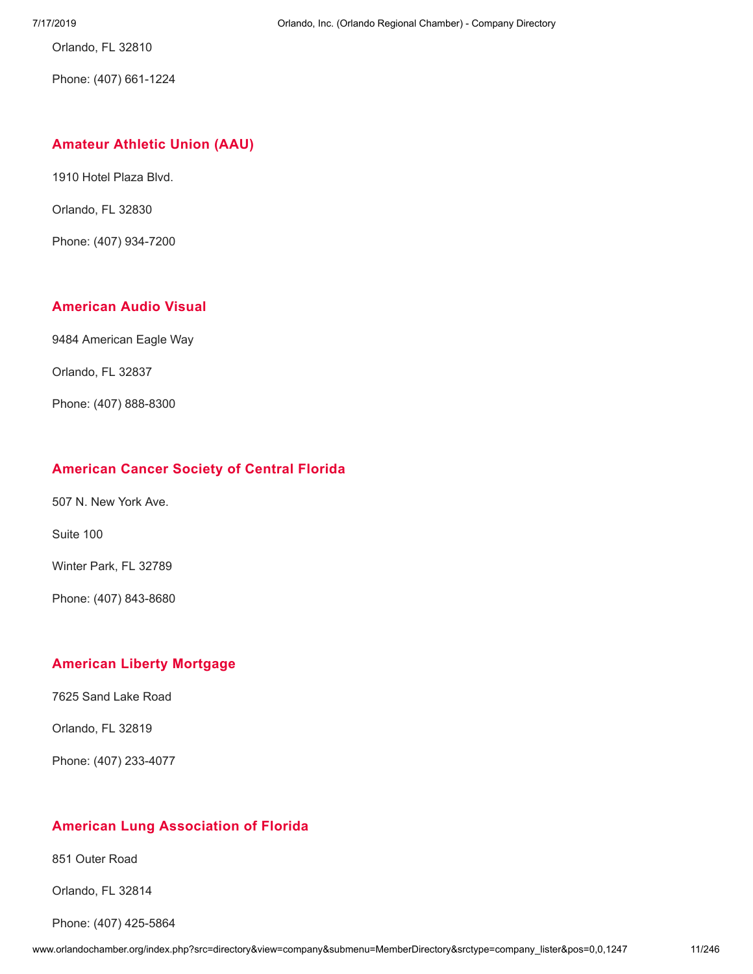Orlando, FL 32810

Phone: (407) 661-1224

## **[Amateur](http://www.orlandochamber.org/index.php?src=directory&view=company&submenu=MemberDirectory&refno=2776749&srctype=company_detail) Athletic Union (AAU)**

1910 Hotel Plaza Blvd.

Orlando, FL 32830

Phone: (407) 934-7200

# **[American](http://www.orlandochamber.org/index.php?src=directory&view=company&submenu=MemberDirectory&refno=2776750&srctype=company_detail) Audio Visual**

9484 American Eagle Way

Orlando, FL 32837

Phone: (407) 888-8300

## **[American](http://www.orlandochamber.org/index.php?src=directory&view=company&submenu=MemberDirectory&refno=2776751&srctype=company_detail) Cancer Society of Central Florida**

507 N. New York Ave.

Suite 100

Winter Park, FL 32789

Phone: (407) 843-8680

# **[American](http://www.orlandochamber.org/index.php?src=directory&view=company&submenu=MemberDirectory&refno=2776752&srctype=company_detail) Liberty Mortgage**

7625 Sand Lake Road

Orlando, FL 32819

Phone: (407) 233-4077

## **American Lung [Association](http://www.orlandochamber.org/index.php?src=directory&view=company&submenu=MemberDirectory&refno=2776753&srctype=company_detail) of Florida**

851 Outer Road

Orlando, FL 32814

Phone: (407) 425-5864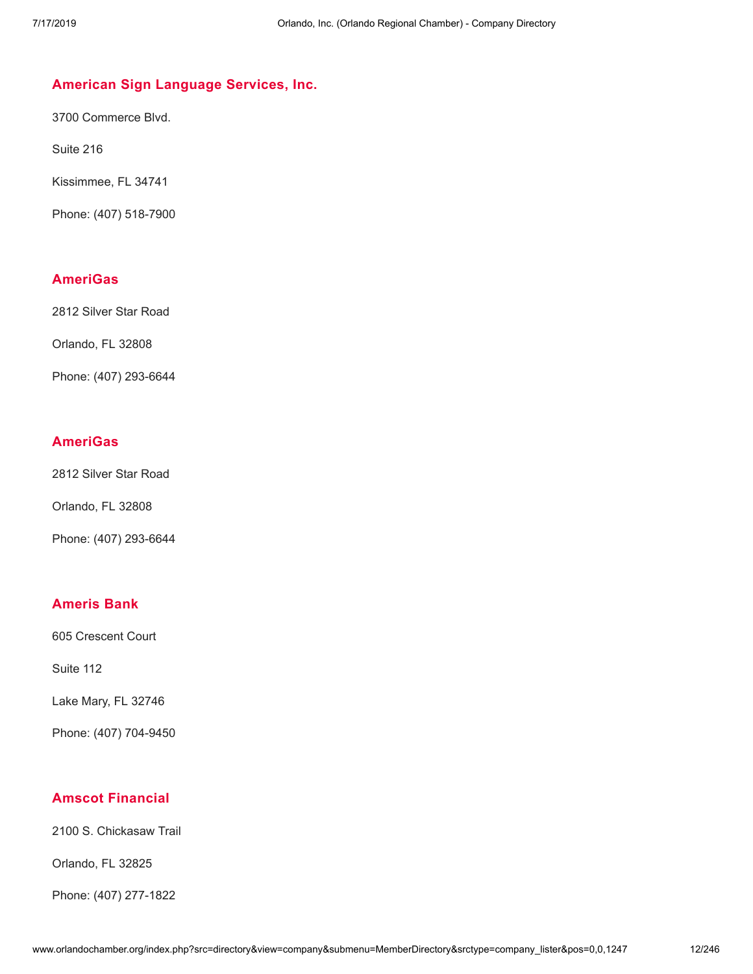# **American Sign [Language](http://www.orlandochamber.org/index.php?src=directory&view=company&submenu=MemberDirectory&refno=2776754&srctype=company_detail) Services, Inc.**

3700 Commerce Blvd.

Suite 216

Kissimmee, FL 34741

Phone: (407) 518-7900

# **[AmeriGas](http://www.orlandochamber.org/index.php?src=directory&view=company&submenu=MemberDirectory&refno=2776755&srctype=company_detail)**

2812 Silver Star Road

Orlando, FL 32808

Phone: (407) 293-6644

## **[AmeriGas](http://www.orlandochamber.org/index.php?src=directory&view=company&submenu=MemberDirectory&refno=2776756&srctype=company_detail)**

2812 Silver Star Road

Orlando, FL 32808

Phone: (407) 293-6644

# **[Ameris](http://www.orlandochamber.org/index.php?src=directory&view=company&submenu=MemberDirectory&refno=2776757&srctype=company_detail) Bank**

605 Crescent Court

Suite 112

Lake Mary, FL 32746

Phone: (407) 704-9450

# **Amscot [Financial](http://www.orlandochamber.org/index.php?src=directory&view=company&submenu=MemberDirectory&refno=2776758&srctype=company_detail)**

2100 S. Chickasaw Trail

Orlando, FL 32825

Phone: (407) 277-1822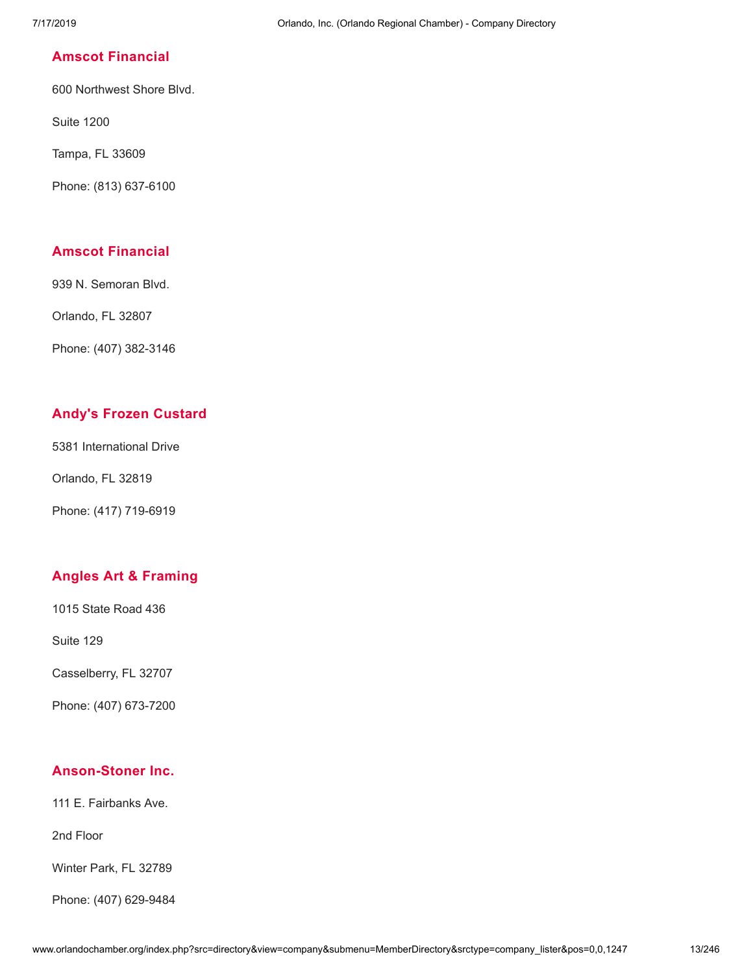## **Amscot [Financial](http://www.orlandochamber.org/index.php?src=directory&view=company&submenu=MemberDirectory&refno=2776759&srctype=company_detail)**

600 Northwest Shore Blvd.

Suite 1200

Tampa, FL 33609

Phone: (813) 637-6100

# **Amscot [Financial](http://www.orlandochamber.org/index.php?src=directory&view=company&submenu=MemberDirectory&refno=2776760&srctype=company_detail)**

939 N. Semoran Blvd.

Orlando, FL 32807

Phone: (407) 382-3146

# **Andy's Frozen [Custard](http://www.orlandochamber.org/index.php?src=directory&view=company&submenu=MemberDirectory&refno=2776761&srctype=company_detail)**

5381 International Drive

Orlando, FL 32819

Phone: (417) 719-6919

# **Angles Art & [Framing](http://www.orlandochamber.org/index.php?src=directory&view=company&submenu=MemberDirectory&refno=2776762&srctype=company_detail)**

1015 State Road 436

Suite 129

Casselberry, FL 32707

Phone: (407) 673-7200

# **[Anson-Stoner](http://www.orlandochamber.org/index.php?src=directory&view=company&submenu=MemberDirectory&refno=2776763&srctype=company_detail) Inc.**

111 E. Fairbanks Ave.

2nd Floor

Winter Park, FL 32789

Phone: (407) 629-9484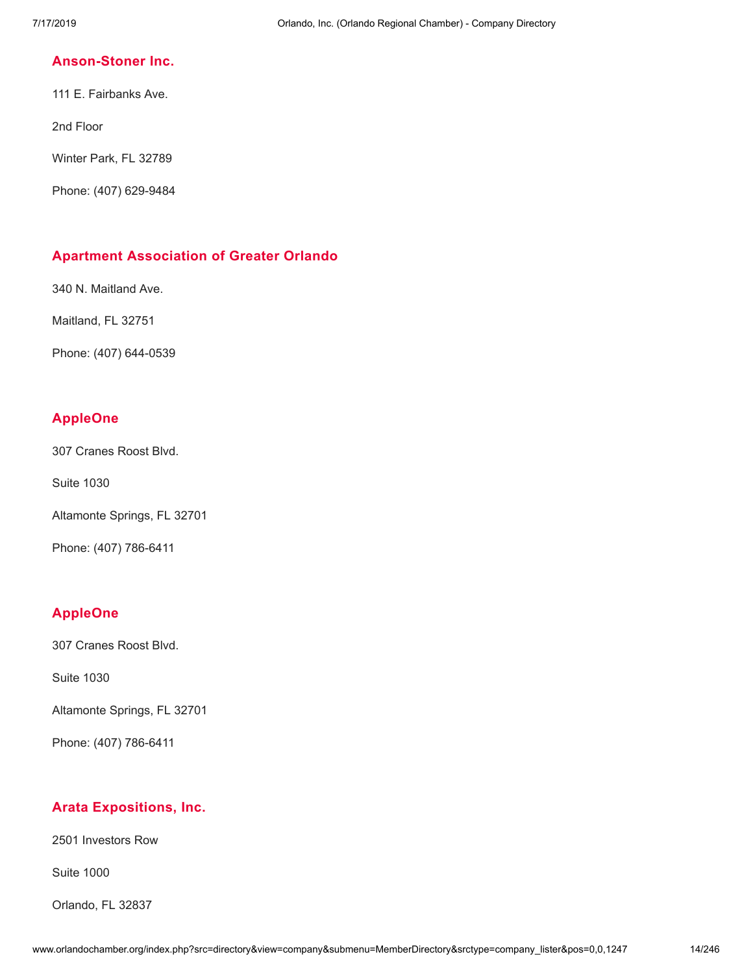## **[Anson-Stoner](http://www.orlandochamber.org/index.php?src=directory&view=company&submenu=MemberDirectory&refno=2776764&srctype=company_detail) Inc.**

111 E. Fairbanks Ave.

2nd Floor

Winter Park, FL 32789

Phone: (407) 629-9484

# **Apartment [Association](http://www.orlandochamber.org/index.php?src=directory&view=company&submenu=MemberDirectory&refno=2776765&srctype=company_detail) of Greater Orlando**

340 N. Maitland Ave.

Maitland, FL 32751

Phone: (407) 644-0539

# **[AppleOne](http://www.orlandochamber.org/index.php?src=directory&view=company&submenu=MemberDirectory&refno=2776766&srctype=company_detail)**

307 Cranes Roost Blvd.

Suite 1030

Altamonte Springs, FL 32701

Phone: (407) 786-6411

# **[AppleOne](http://www.orlandochamber.org/index.php?src=directory&view=company&submenu=MemberDirectory&refno=2776767&srctype=company_detail)**

307 Cranes Roost Blvd.

Suite 1030

Altamonte Springs, FL 32701

Phone: (407) 786-6411

# **Arata [Expositions,](http://www.orlandochamber.org/index.php?src=directory&view=company&submenu=MemberDirectory&refno=2776768&srctype=company_detail) Inc.**

2501 Investors Row

Suite 1000

Orlando, FL 32837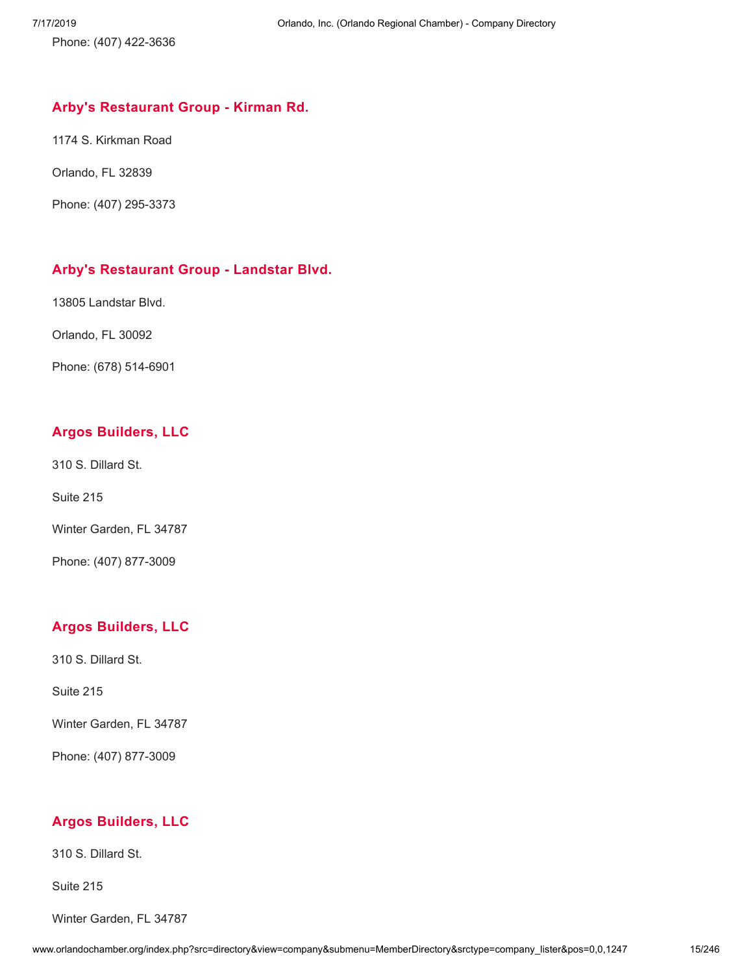Phone: (407) 422-3636

## **Arby's [Restaurant](http://www.orlandochamber.org/index.php?src=directory&view=company&submenu=MemberDirectory&refno=2776770&srctype=company_detail) Group - Kirman Rd.**

1174 S. Kirkman Road

Orlando, FL 32839

Phone: (407) 295-3373

# **Arby's [Restaurant](http://www.orlandochamber.org/index.php?src=directory&view=company&submenu=MemberDirectory&refno=2776769&srctype=company_detail) Group - Landstar Blvd.**

13805 Landstar Blvd.

Orlando, FL 30092

Phone: (678) 514-6901

# **Argos [Builders,](http://www.orlandochamber.org/index.php?src=directory&view=company&submenu=MemberDirectory&refno=2776771&srctype=company_detail) LLC**

310 S. Dillard St.

Suite 215

Winter Garden, FL 34787

Phone: (407) 877-3009

# **Argos [Builders,](http://www.orlandochamber.org/index.php?src=directory&view=company&submenu=MemberDirectory&refno=2776772&srctype=company_detail) LLC**

310 S. Dillard St.

Suite 215

Winter Garden, FL 34787

Phone: (407) 877-3009

# **Argos [Builders,](http://www.orlandochamber.org/index.php?src=directory&view=company&submenu=MemberDirectory&refno=2776773&srctype=company_detail) LLC**

310 S. Dillard St.

Suite 215

Winter Garden, FL 34787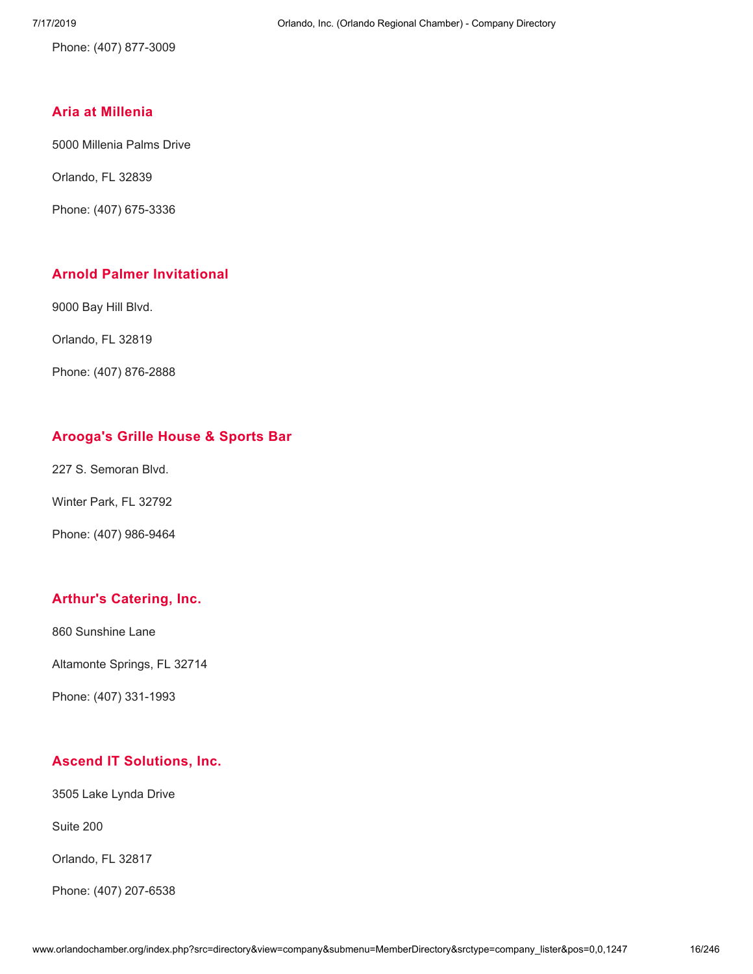Phone: (407) 877-3009

# **Aria at [Millenia](http://www.orlandochamber.org/index.php?src=directory&view=company&submenu=MemberDirectory&refno=2776774&srctype=company_detail)**

5000 Millenia Palms Drive

Orlando, FL 32839

Phone: (407) 675-3336

# **Arnold Palmer [Invitational](http://www.orlandochamber.org/index.php?src=directory&view=company&submenu=MemberDirectory&refno=2776775&srctype=company_detail)**

9000 Bay Hill Blvd.

Orlando, FL 32819

Phone: (407) 876-2888

# **[Arooga's](http://www.orlandochamber.org/index.php?src=directory&view=company&submenu=MemberDirectory&refno=2776776&srctype=company_detail) Grille House & Sports Bar**

227 S. Semoran Blvd.

Winter Park, FL 32792

Phone: (407) 986-9464

# **Arthur's [Catering,](http://www.orlandochamber.org/index.php?src=directory&view=company&submenu=MemberDirectory&refno=2776777&srctype=company_detail) Inc.**

860 Sunshine Lane

Altamonte Springs, FL 32714

Phone: (407) 331-1993

# **Ascend IT [Solutions,](http://www.orlandochamber.org/index.php?src=directory&view=company&submenu=MemberDirectory&refno=2776778&srctype=company_detail) Inc.**

3505 Lake Lynda Drive

Suite 200

Orlando, FL 32817

Phone: (407) 207-6538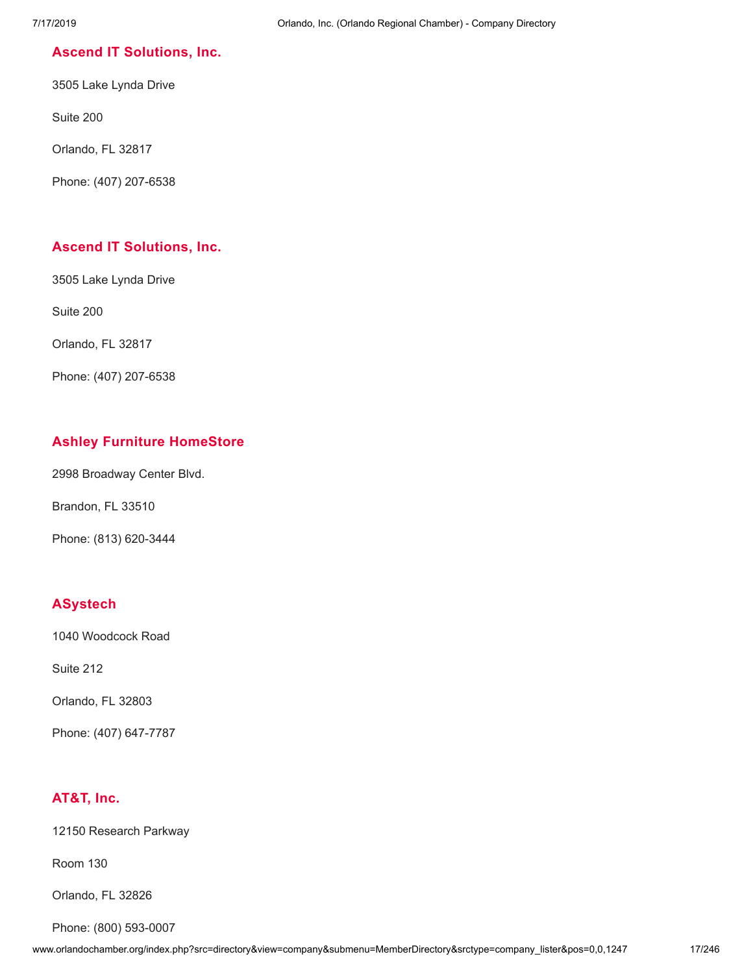## **Ascend IT [Solutions,](http://www.orlandochamber.org/index.php?src=directory&view=company&submenu=MemberDirectory&refno=2776779&srctype=company_detail) Inc.**

3505 Lake Lynda Drive

Suite 200

Orlando, FL 32817

Phone: (407) 207-6538

## **Ascend IT [Solutions,](http://www.orlandochamber.org/index.php?src=directory&view=company&submenu=MemberDirectory&refno=2776780&srctype=company_detail) Inc.**

3505 Lake Lynda Drive

Suite 200

Orlando, FL 32817

Phone: (407) 207-6538

# **Ashley Furniture [HomeStore](http://www.orlandochamber.org/index.php?src=directory&view=company&submenu=MemberDirectory&refno=2776781&srctype=company_detail)**

2998 Broadway Center Blvd.

Brandon, FL 33510

Phone: (813) 620-3444

# **[ASystech](http://www.orlandochamber.org/index.php?src=directory&view=company&submenu=MemberDirectory&refno=2776782&srctype=company_detail)**

1040 Woodcock Road

Suite 212

Orlando, FL 32803

Phone: (407) 647-7787

# **[AT&T,](http://www.orlandochamber.org/index.php?src=directory&view=company&submenu=MemberDirectory&refno=2776783&srctype=company_detail) Inc.**

12150 Research Parkway

Room 130

Orlando, FL 32826

Phone: (800) 593-0007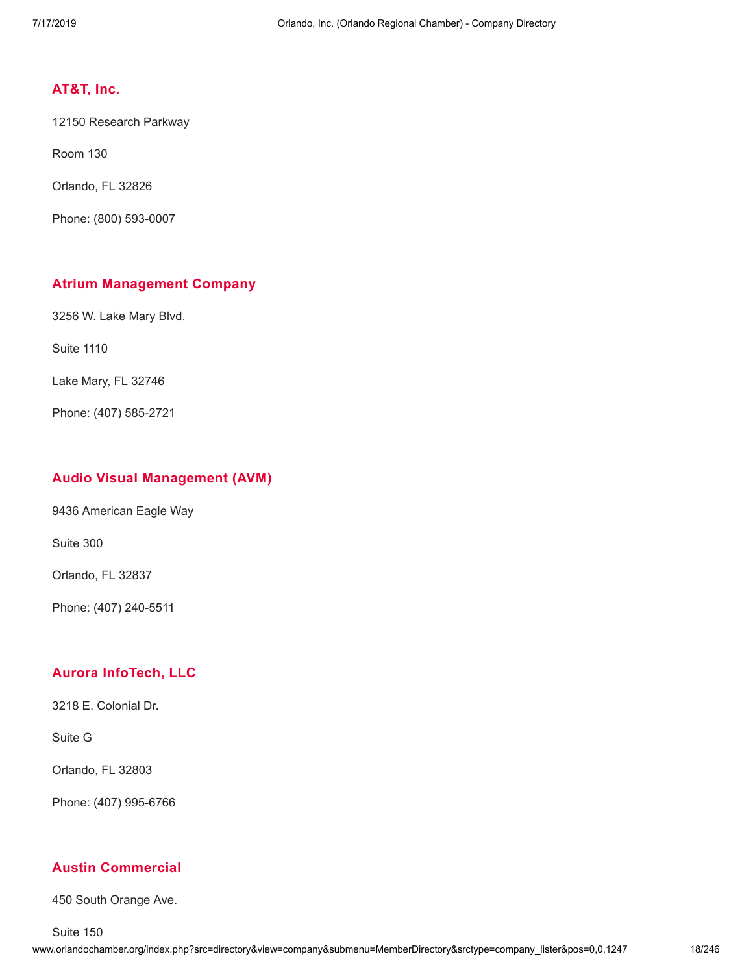## **[AT&T,](http://www.orlandochamber.org/index.php?src=directory&view=company&submenu=MemberDirectory&refno=2776784&srctype=company_detail) Inc.**

12150 Research Parkway

Room 130

Orlando, FL 32826

Phone: (800) 593-0007

## **Atrium [Management](http://www.orlandochamber.org/index.php?src=directory&view=company&submenu=MemberDirectory&refno=2776785&srctype=company_detail) Company**

3256 W. Lake Mary Blvd.

Suite 1110

Lake Mary, FL 32746

Phone: (407) 585-2721

#### **Audio Visual [Management](http://www.orlandochamber.org/index.php?src=directory&view=company&submenu=MemberDirectory&refno=2776786&srctype=company_detail) (AVM)**

9436 American Eagle Way

Suite 300

Orlando, FL 32837

Phone: (407) 240-5511

# **Aurora [InfoTech,](http://www.orlandochamber.org/index.php?src=directory&view=company&submenu=MemberDirectory&refno=2776787&srctype=company_detail) LLC**

3218 E. Colonial Dr.

Suite G

Orlando, FL 32803

Phone: (407) 995-6766

#### **Austin [Commercial](http://www.orlandochamber.org/index.php?src=directory&view=company&submenu=MemberDirectory&refno=2776788&srctype=company_detail)**

450 South Orange Ave.

Suite 150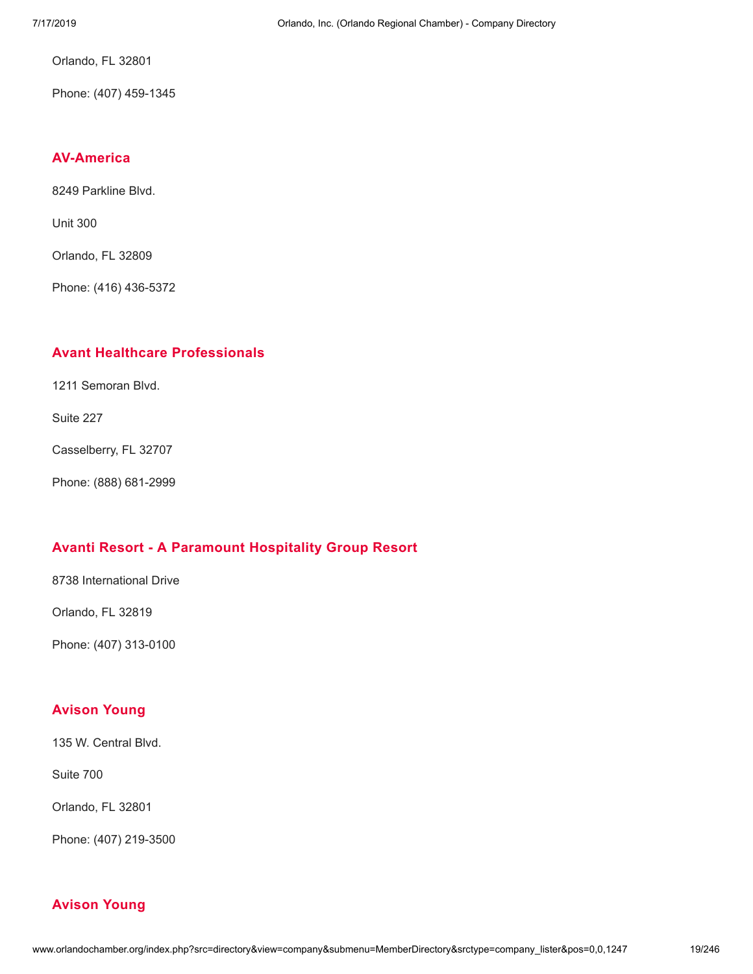Orlando, FL 32801

Phone: (407) 459-1345

# **[AV-America](http://www.orlandochamber.org/index.php?src=directory&view=company&submenu=MemberDirectory&refno=2776789&srctype=company_detail)**

8249 Parkline Blvd.

Unit 300

Orlando, FL 32809

Phone: (416) 436-5372

## **Avant Healthcare [Professionals](http://www.orlandochamber.org/index.php?src=directory&view=company&submenu=MemberDirectory&refno=2776790&srctype=company_detail)**

1211 Semoran Blvd.

Suite 227

Casselberry, FL 32707

Phone: (888) 681-2999

# **Avanti Resort - A [Paramount](http://www.orlandochamber.org/index.php?src=directory&view=company&submenu=MemberDirectory&refno=2776791&srctype=company_detail) Hospitality Group Resort**

8738 International Drive

Orlando, FL 32819

Phone: (407) 313-0100

# **[Avison](http://www.orlandochamber.org/index.php?src=directory&view=company&submenu=MemberDirectory&refno=2776792&srctype=company_detail) Young**

135 W. Central Blvd.

Suite 700

Orlando, FL 32801

Phone: (407) 219-3500

# **[Avison](http://www.orlandochamber.org/index.php?src=directory&view=company&submenu=MemberDirectory&refno=2776793&srctype=company_detail) Young**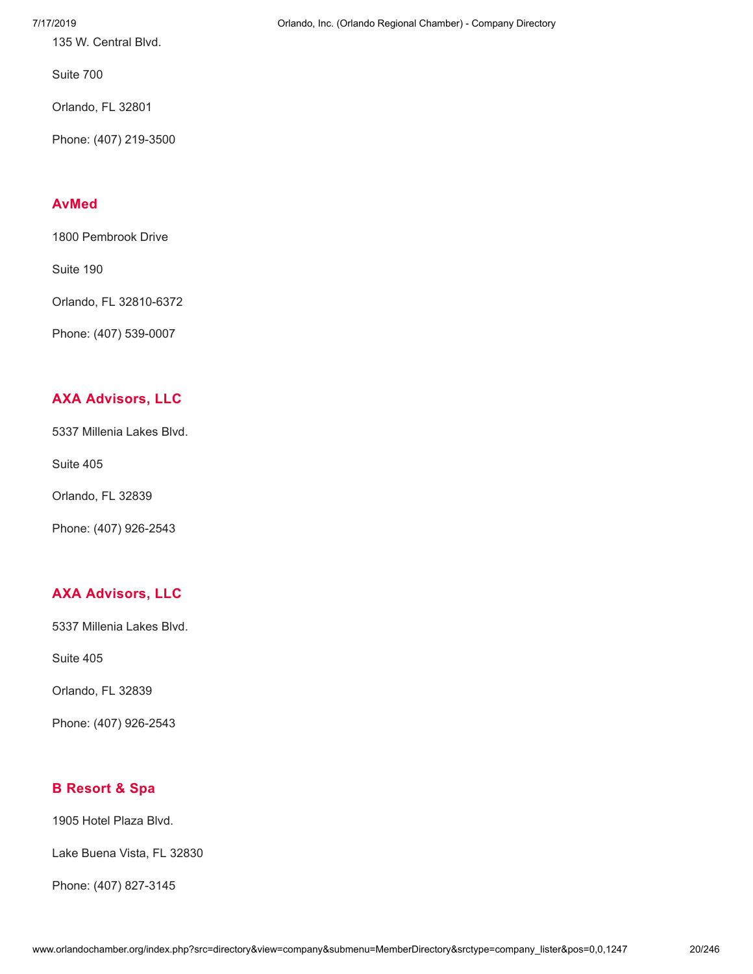135 W. Central Blvd.

Suite 700

Orlando, FL 32801

Phone: (407) 219-3500

# **[AvMed](http://www.orlandochamber.org/index.php?src=directory&view=company&submenu=MemberDirectory&refno=2776794&srctype=company_detail)**

1800 Pembrook Drive

Suite 190

Orlando, FL 32810-6372

Phone: (407) 539-0007

# **AXA [Advisors,](http://www.orlandochamber.org/index.php?src=directory&view=company&submenu=MemberDirectory&refno=2776795&srctype=company_detail) LLC**

5337 Millenia Lakes Blvd.

Suite 405

Orlando, FL 32839

Phone: (407) 926-2543

# **AXA [Advisors,](http://www.orlandochamber.org/index.php?src=directory&view=company&submenu=MemberDirectory&refno=2776796&srctype=company_detail) LLC**

5337 Millenia Lakes Blvd.

Suite 405

Orlando, FL 32839

Phone: (407) 926-2543

# **B [Resort](http://www.orlandochamber.org/index.php?src=directory&view=company&submenu=MemberDirectory&refno=2776797&srctype=company_detail) & Spa**

1905 Hotel Plaza Blvd.

Lake Buena Vista, FL 32830

Phone: (407) 827-3145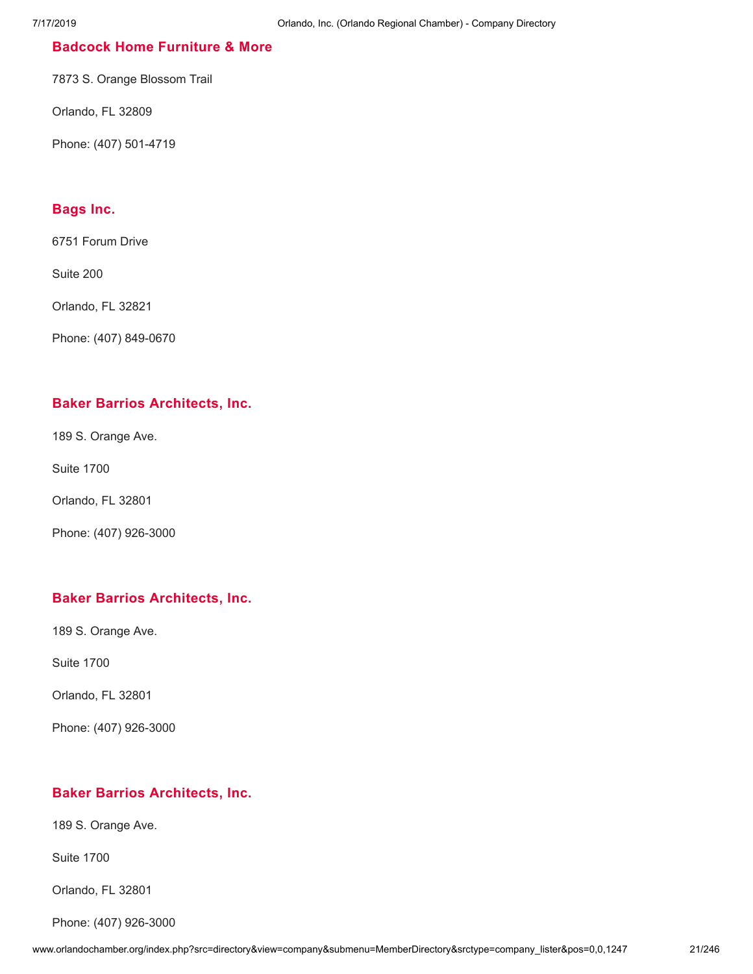## **Badcock Home [Furniture](http://www.orlandochamber.org/index.php?src=directory&view=company&submenu=MemberDirectory&refno=2776798&srctype=company_detail) & More**

7873 S. Orange Blossom Trail

Orlando, FL 32809

Phone: (407) 501-4719

## **[Bags](http://www.orlandochamber.org/index.php?src=directory&view=company&submenu=MemberDirectory&refno=2776799&srctype=company_detail) Inc.**

6751 Forum Drive

Suite 200

Orlando, FL 32821

Phone: (407) 849-0670

## **Baker Barrios [Architects,](http://www.orlandochamber.org/index.php?src=directory&view=company&submenu=MemberDirectory&refno=2776800&srctype=company_detail) Inc.**

189 S. Orange Ave.

Suite 1700

Orlando, FL 32801

Phone: (407) 926-3000

# **Baker Barrios [Architects,](http://www.orlandochamber.org/index.php?src=directory&view=company&submenu=MemberDirectory&refno=2776801&srctype=company_detail) Inc.**

189 S. Orange Ave.

Suite 1700

Orlando, FL 32801

Phone: (407) 926-3000

#### **Baker Barrios [Architects,](http://www.orlandochamber.org/index.php?src=directory&view=company&submenu=MemberDirectory&refno=2776802&srctype=company_detail) Inc.**

189 S. Orange Ave.

Suite 1700

Orlando, FL 32801

Phone: (407) 926-3000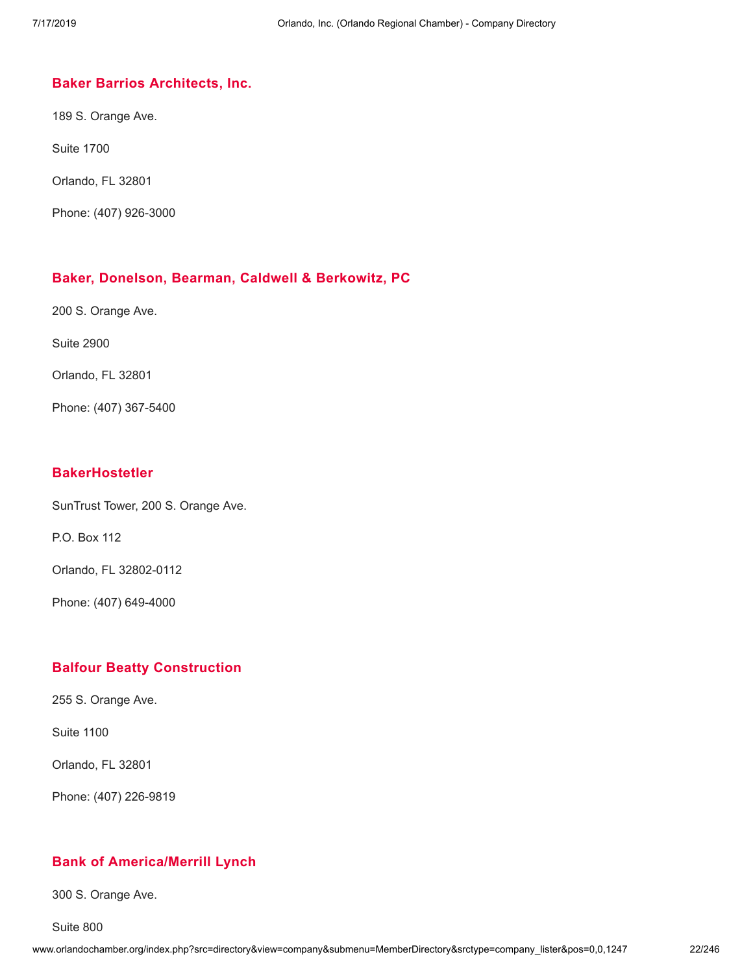#### **Baker Barrios [Architects,](http://www.orlandochamber.org/index.php?src=directory&view=company&submenu=MemberDirectory&refno=2776803&srctype=company_detail) Inc.**

189 S. Orange Ave.

Suite 1700

Orlando, FL 32801

Phone: (407) 926-3000

#### **Baker, Donelson, Bearman, Caldwell & [Berkowitz,](http://www.orlandochamber.org/index.php?src=directory&view=company&submenu=MemberDirectory&refno=2776804&srctype=company_detail) PC**

200 S. Orange Ave.

Suite 2900

Orlando, FL 32801

Phone: (407) 367-5400

## **[BakerHostetler](http://www.orlandochamber.org/index.php?src=directory&view=company&submenu=MemberDirectory&refno=2776805&srctype=company_detail)**

SunTrust Tower, 200 S. Orange Ave.

P.O. Box 112

Orlando, FL 32802-0112

Phone: (407) 649-4000

#### **Balfour Beatty [Construction](http://www.orlandochamber.org/index.php?src=directory&view=company&submenu=MemberDirectory&refno=2776806&srctype=company_detail)**

255 S. Orange Ave.

Suite 1100

Orlando, FL 32801

Phone: (407) 226-9819

## **Bank of [America/Merrill](http://www.orlandochamber.org/index.php?src=directory&view=company&submenu=MemberDirectory&refno=2776807&srctype=company_detail) Lynch**

300 S. Orange Ave.

Suite 800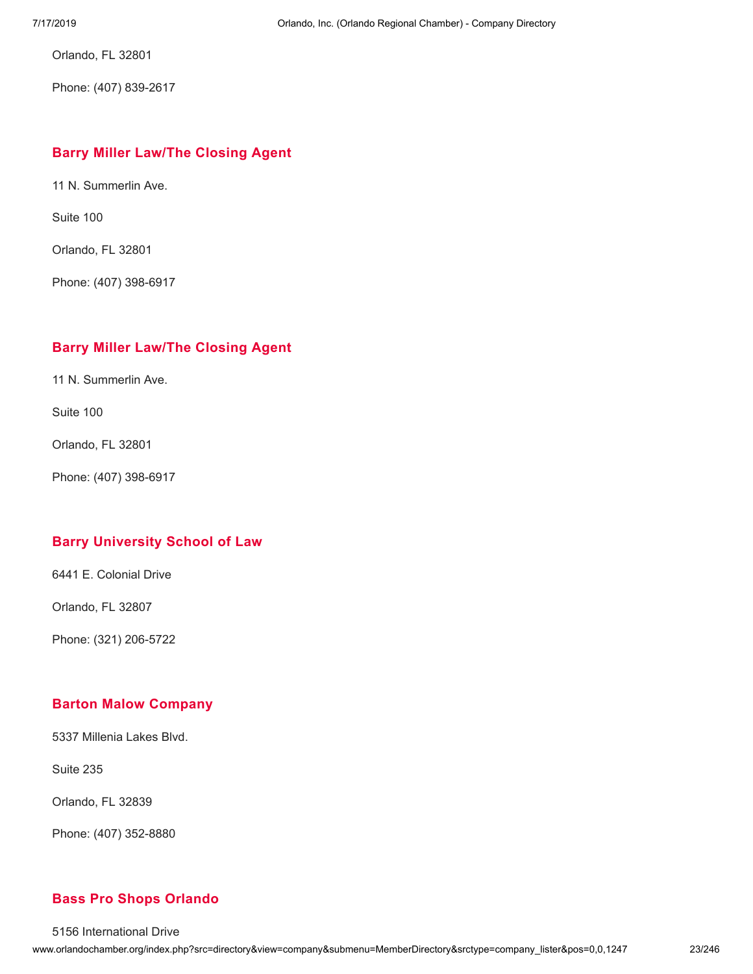Orlando, FL 32801

Phone: (407) 839-2617

# **Barry Miller [Law/The](http://www.orlandochamber.org/index.php?src=directory&view=company&submenu=MemberDirectory&refno=2776808&srctype=company_detail) Closing Agent**

11 N. Summerlin Ave.

Suite 100

Orlando, FL 32801

Phone: (407) 398-6917

# **Barry Miller [Law/The](http://www.orlandochamber.org/index.php?src=directory&view=company&submenu=MemberDirectory&refno=2776809&srctype=company_detail) Closing Agent**

11 N. Summerlin Ave.

Suite 100

Orlando, FL 32801

Phone: (407) 398-6917

# **Barry [University](http://www.orlandochamber.org/index.php?src=directory&view=company&submenu=MemberDirectory&refno=2776810&srctype=company_detail) School of Law**

6441 E. Colonial Drive

Orlando, FL 32807

Phone: (321) 206-5722

# **Barton Malow [Company](http://www.orlandochamber.org/index.php?src=directory&view=company&submenu=MemberDirectory&refno=2776811&srctype=company_detail)**

5337 Millenia Lakes Blvd.

Suite 235

Orlando, FL 32839

Phone: (407) 352-8880

# **Bass Pro Shops [Orlando](http://www.orlandochamber.org/index.php?src=directory&view=company&submenu=MemberDirectory&refno=2776812&srctype=company_detail)**

5156 International Drive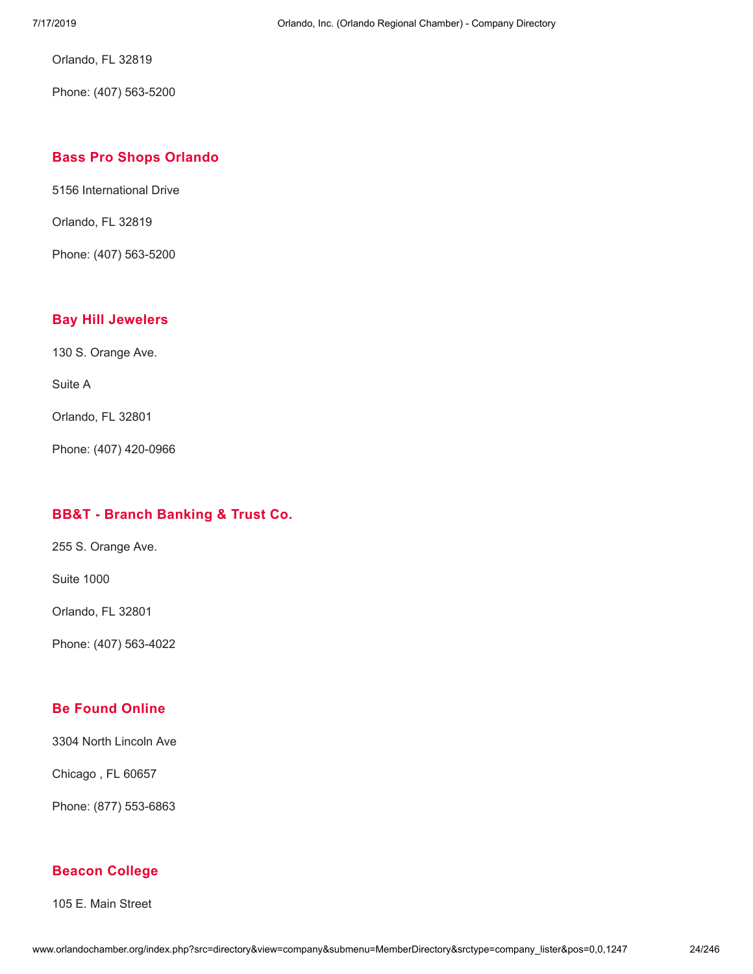Orlando, FL 32819

Phone: (407) 563-5200

## **Bass Pro Shops [Orlando](http://www.orlandochamber.org/index.php?src=directory&view=company&submenu=MemberDirectory&refno=2776813&srctype=company_detail)**

5156 International Drive

Orlando, FL 32819

Phone: (407) 563-5200

#### **Bay Hill [Jewelers](http://www.orlandochamber.org/index.php?src=directory&view=company&submenu=MemberDirectory&refno=2776814&srctype=company_detail)**

130 S. Orange Ave.

Suite A

Orlando, FL 32801

Phone: (407) 420-0966

## **BB&T - Branch [Banking](http://www.orlandochamber.org/index.php?src=directory&view=company&submenu=MemberDirectory&refno=2776815&srctype=company_detail) & Trust Co.**

255 S. Orange Ave.

Suite 1000

Orlando, FL 32801

Phone: (407) 563-4022

## **Be Found [Online](http://www.orlandochamber.org/index.php?src=directory&view=company&submenu=MemberDirectory&refno=2776817&srctype=company_detail)**

3304 North Lincoln Ave

Chicago , FL 60657

Phone: (877) 553-6863

#### **Beacon [College](http://www.orlandochamber.org/index.php?src=directory&view=company&submenu=MemberDirectory&refno=2776816&srctype=company_detail)**

105 E. Main Street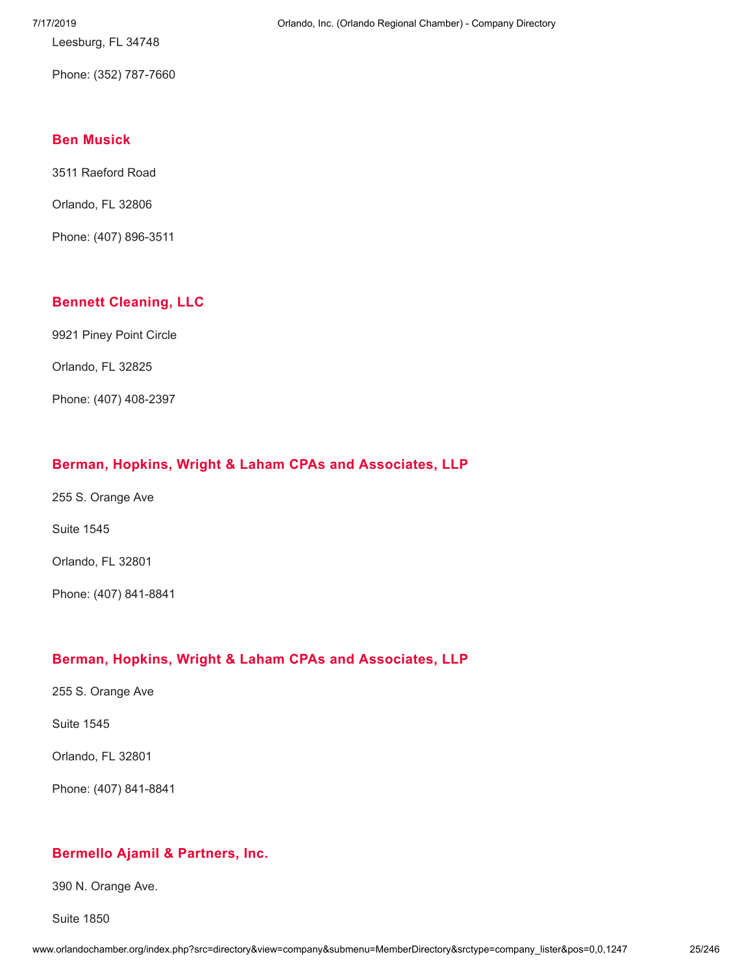Leesburg, FL 34748

Phone: (352) 787-7660

## **Ben [Musick](http://www.orlandochamber.org/index.php?src=directory&view=company&submenu=MemberDirectory&refno=2776818&srctype=company_detail)**

3511 Raeford Road

Orlando, FL 32806

Phone: (407) 896-3511

## **Bennett [Cleaning,](http://www.orlandochamber.org/index.php?src=directory&view=company&submenu=MemberDirectory&refno=2776819&srctype=company_detail) LLC**

9921 Piney Point Circle

Orlando, FL 32825

Phone: (407) 408-2397

## **Berman, Hopkins, Wright & Laham CPAs and [Associates,](http://www.orlandochamber.org/index.php?src=directory&view=company&submenu=MemberDirectory&refno=2776820&srctype=company_detail) LLP**

255 S. Orange Ave

Suite 1545

Orlando, FL 32801

Phone: (407) 841-8841

#### **Berman, Hopkins, Wright & Laham CPAs and [Associates,](http://www.orlandochamber.org/index.php?src=directory&view=company&submenu=MemberDirectory&refno=2776821&srctype=company_detail) LLP**

255 S. Orange Ave

Suite 1545

Orlando, FL 32801

Phone: (407) 841-8841

## **Bermello Ajamil & [Partners,](http://www.orlandochamber.org/index.php?src=directory&view=company&submenu=MemberDirectory&refno=2776822&srctype=company_detail) Inc.**

390 N. Orange Ave.

Suite 1850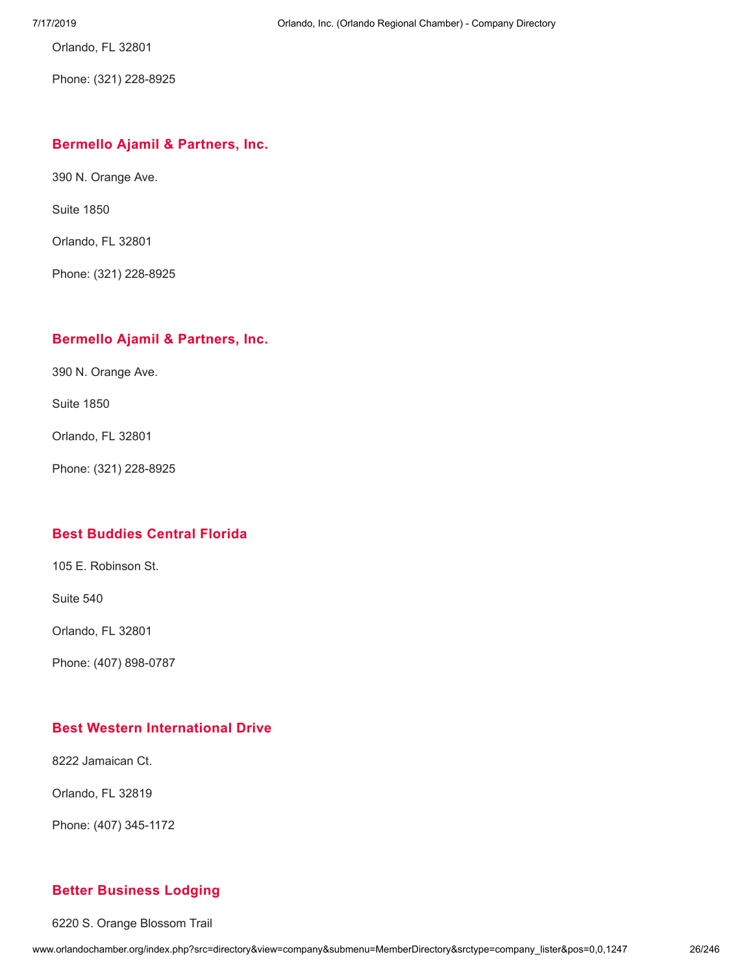Orlando, FL 32801

Phone: (321) 228-8925

# **Bermello Ajamil & [Partners,](http://www.orlandochamber.org/index.php?src=directory&view=company&submenu=MemberDirectory&refno=2776823&srctype=company_detail) Inc.**

390 N. Orange Ave.

Suite 1850

Orlando, FL 32801

Phone: (321) 228-8925

## **Bermello Ajamil & [Partners,](http://www.orlandochamber.org/index.php?src=directory&view=company&submenu=MemberDirectory&refno=2776824&srctype=company_detail) Inc.**

390 N. Orange Ave.

Suite 1850

Orlando, FL 32801

Phone: (321) 228-8925

#### **Best [Buddies](http://www.orlandochamber.org/index.php?src=directory&view=company&submenu=MemberDirectory&refno=2776825&srctype=company_detail) Central Florida**

105 E. Robinson St.

Suite 540

Orlando, FL 32801

Phone: (407) 898-0787

## **Best Western [International](http://www.orlandochamber.org/index.php?src=directory&view=company&submenu=MemberDirectory&refno=2776826&srctype=company_detail) Drive**

8222 Jamaican Ct.

Orlando, FL 32819

Phone: (407) 345-1172

#### **Better [Business](http://www.orlandochamber.org/index.php?src=directory&view=company&submenu=MemberDirectory&refno=2776827&srctype=company_detail) Lodging**

6220 S. Orange Blossom Trail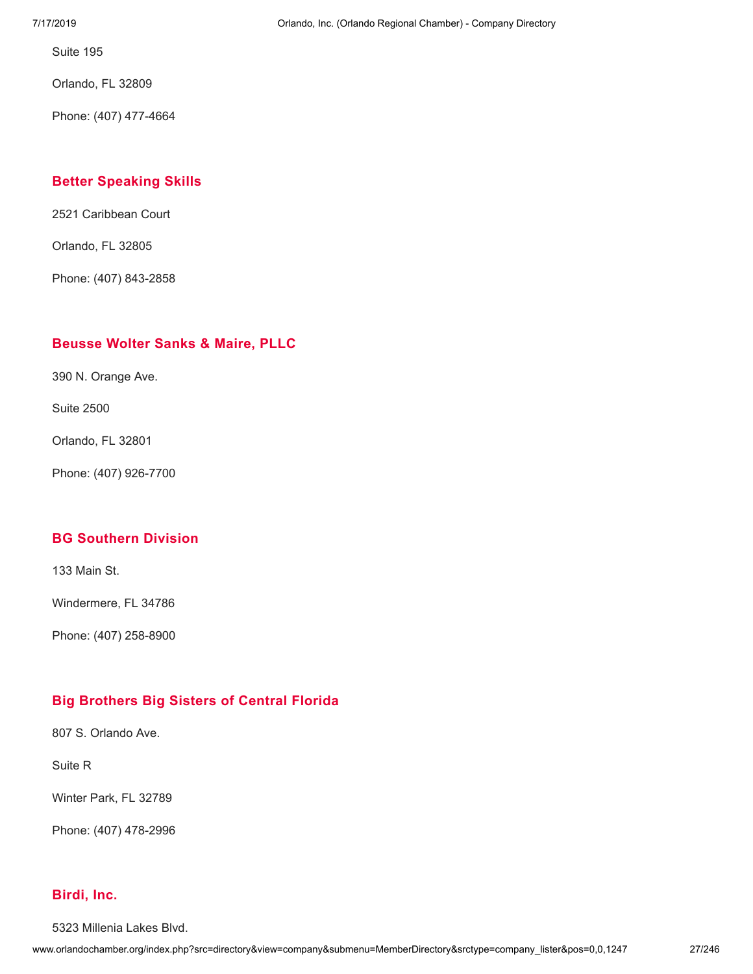Suite 195

Orlando, FL 32809

Phone: (407) 477-4664

## **Better [Speaking](http://www.orlandochamber.org/index.php?src=directory&view=company&submenu=MemberDirectory&refno=2776828&srctype=company_detail) Skills**

2521 Caribbean Court

Orlando, FL 32805

Phone: (407) 843-2858

#### **[Beusse](http://www.orlandochamber.org/index.php?src=directory&view=company&submenu=MemberDirectory&refno=2776829&srctype=company_detail) Wolter Sanks & Maire, PLLC**

390 N. Orange Ave.

Suite 2500

Orlando, FL 32801

Phone: (407) 926-7700

# **BG [Southern](http://www.orlandochamber.org/index.php?src=directory&view=company&submenu=MemberDirectory&refno=2776830&srctype=company_detail) Division**

133 Main St.

Windermere, FL 34786

Phone: (407) 258-8900

# **Big [Brothers](http://www.orlandochamber.org/index.php?src=directory&view=company&submenu=MemberDirectory&refno=2776831&srctype=company_detail) Big Sisters of Central Florida**

807 S. Orlando Ave.

Suite R

Winter Park, FL 32789

Phone: (407) 478-2996

# **[Birdi,](http://www.orlandochamber.org/index.php?src=directory&view=company&submenu=MemberDirectory&refno=2776832&srctype=company_detail) Inc.**

5323 Millenia Lakes Blvd.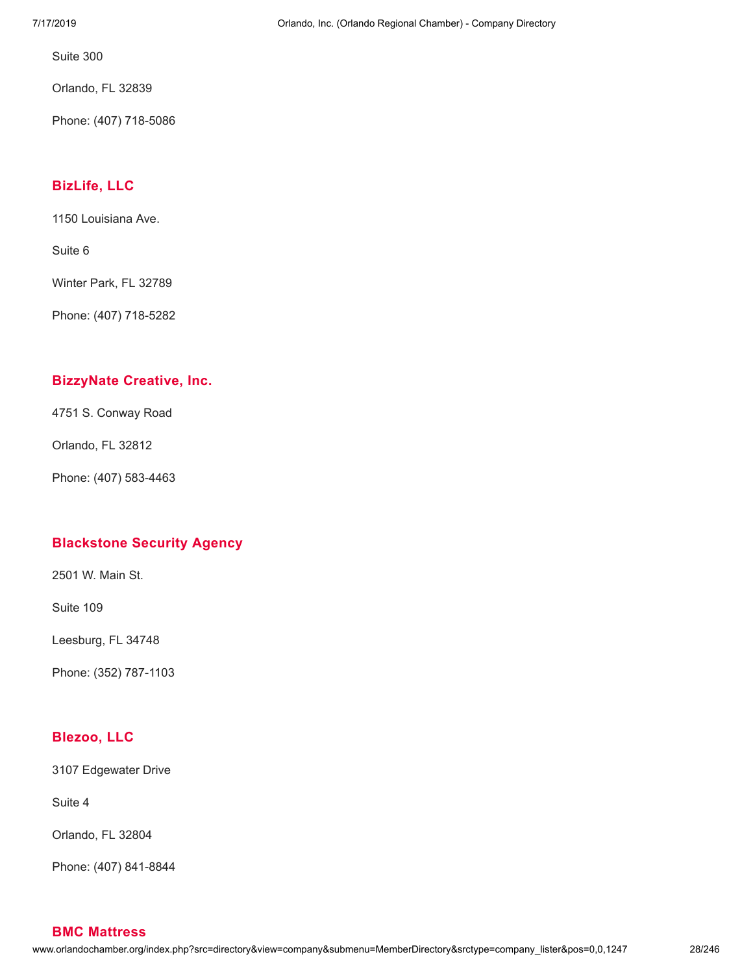Suite 300

Orlando, FL 32839

Phone: (407) 718-5086

## **[BizLife,](http://www.orlandochamber.org/index.php?src=directory&view=company&submenu=MemberDirectory&refno=2776833&srctype=company_detail) LLC**

1150 Louisiana Ave.

Suite 6

Winter Park, FL 32789

Phone: (407) 718-5282

## **[BizzyNate](http://www.orlandochamber.org/index.php?src=directory&view=company&submenu=MemberDirectory&refno=2776834&srctype=company_detail) Creative, Inc.**

4751 S. Conway Road

Orlando, FL 32812

Phone: (407) 583-4463

# **[Blackstone](http://www.orlandochamber.org/index.php?src=directory&view=company&submenu=MemberDirectory&refno=2776835&srctype=company_detail) Security Agency**

2501 W. Main St.

Suite 109

Leesburg, FL 34748

Phone: (352) 787-1103

# **[Blezoo,](http://www.orlandochamber.org/index.php?src=directory&view=company&submenu=MemberDirectory&refno=2776836&srctype=company_detail) LLC**

3107 Edgewater Drive

Suite 4

Orlando, FL 32804

Phone: (407) 841-8844

**BMC [Mattress](http://www.orlandochamber.org/index.php?src=directory&view=company&submenu=MemberDirectory&refno=2776837&srctype=company_detail)**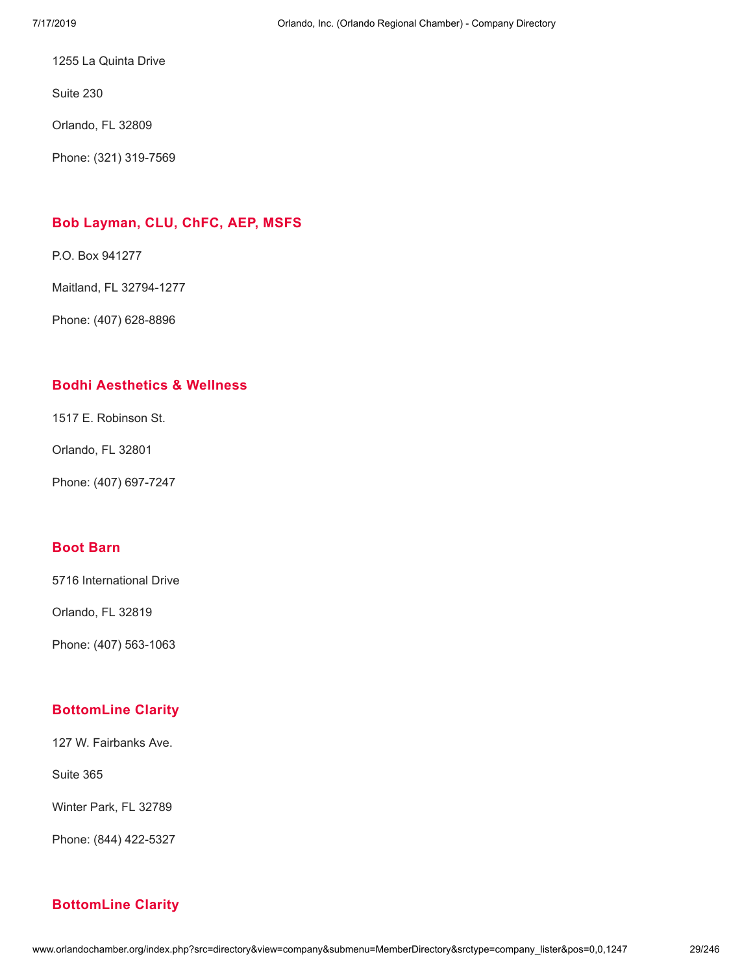1255 La Quinta Drive

Suite 230

Orlando, FL 32809

Phone: (321) 319-7569

# **Bob [Layman,](http://www.orlandochamber.org/index.php?src=directory&view=company&submenu=MemberDirectory&refno=2776838&srctype=company_detail) CLU, ChFC, AEP, MSFS**

P.O. Box 941277

Maitland, FL 32794-1277

Phone: (407) 628-8896

# **Bodhi [Aesthetics](http://www.orlandochamber.org/index.php?src=directory&view=company&submenu=MemberDirectory&refno=2776839&srctype=company_detail) & Wellness**

1517 E. Robinson St.

Orlando, FL 32801

Phone: (407) 697-7247

# **Boot [Barn](http://www.orlandochamber.org/index.php?src=directory&view=company&submenu=MemberDirectory&refno=2776840&srctype=company_detail)**

5716 International Drive

Orlando, FL 32819

Phone: (407) 563-1063

# **[BottomLine](http://www.orlandochamber.org/index.php?src=directory&view=company&submenu=MemberDirectory&refno=2776841&srctype=company_detail) Clarity**

127 W. Fairbanks Ave.

Suite 365

Winter Park, FL 32789

Phone: (844) 422-5327

# **[BottomLine](http://www.orlandochamber.org/index.php?src=directory&view=company&submenu=MemberDirectory&refno=2776842&srctype=company_detail) Clarity**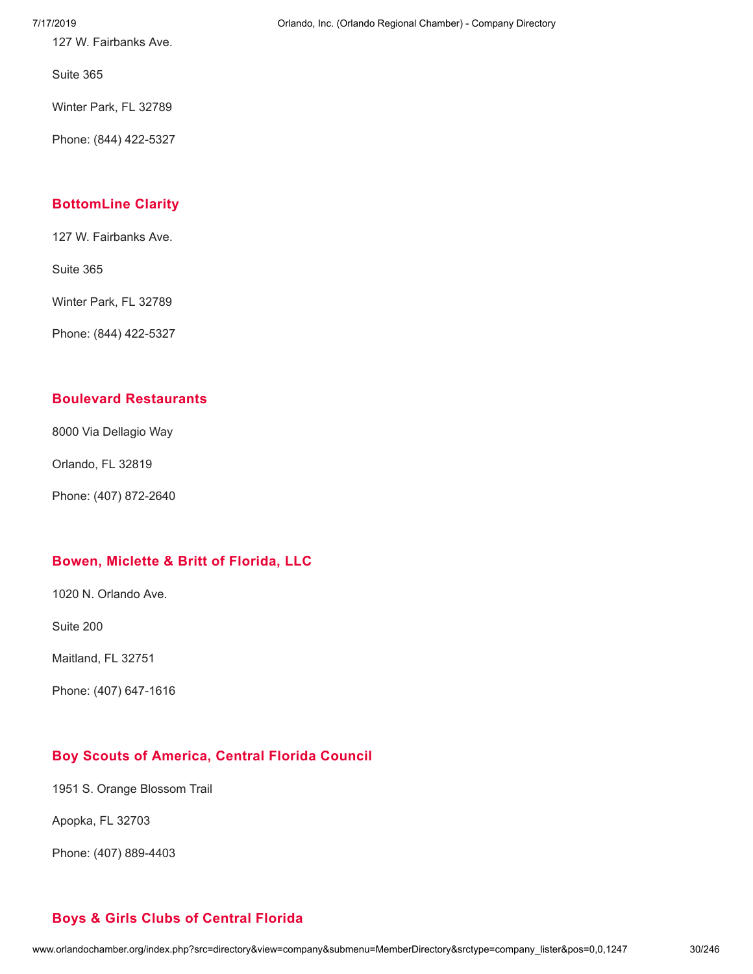127 W. Fairbanks Ave.

Suite 365

Winter Park, FL 32789

Phone: (844) 422-5327

## **[BottomLine](http://www.orlandochamber.org/index.php?src=directory&view=company&submenu=MemberDirectory&refno=2776843&srctype=company_detail) Clarity**

127 W. Fairbanks Ave.

Suite 365

Winter Park, FL 32789

Phone: (844) 422-5327

# **Boulevard [Restaurants](http://www.orlandochamber.org/index.php?src=directory&view=company&submenu=MemberDirectory&refno=2776844&srctype=company_detail)**

8000 Via Dellagio Way

Orlando, FL 32819

Phone: (407) 872-2640

# **Bowen, [Miclette](http://www.orlandochamber.org/index.php?src=directory&view=company&submenu=MemberDirectory&refno=2776845&srctype=company_detail) & Britt of Florida, LLC**

1020 N. Orlando Ave.

Suite 200

Maitland, FL 32751

Phone: (407) 647-1616

# **Boy Scouts of [America,](http://www.orlandochamber.org/index.php?src=directory&view=company&submenu=MemberDirectory&refno=2776846&srctype=company_detail) Central Florida Council**

**Boys & Girls Clubs of [Central](http://www.orlandochamber.org/index.php?src=directory&view=company&submenu=MemberDirectory&refno=2776847&srctype=company_detail) Florida**

1951 S. Orange Blossom Trail

Apopka, FL 32703

Phone: (407) 889-4403

#### 7/17/2019 Orlando, Inc. (Orlando Regional Chamber) - Company Directory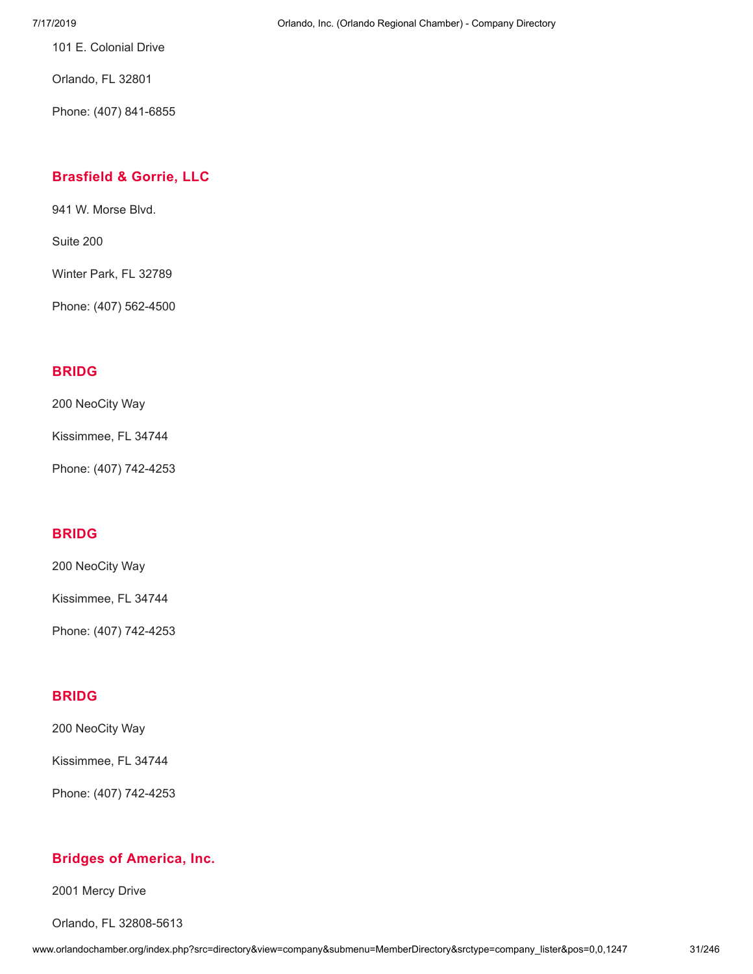101 E. Colonial Drive

Orlando, FL 32801

Phone: (407) 841-6855

# **[Brasfield](http://www.orlandochamber.org/index.php?src=directory&view=company&submenu=MemberDirectory&refno=2776848&srctype=company_detail) & Gorrie, LLC**

941 W. Morse Blvd.

Suite 200

Winter Park, FL 32789

Phone: (407) 562-4500

# **[BRIDG](http://www.orlandochamber.org/index.php?src=directory&view=company&submenu=MemberDirectory&refno=2776849&srctype=company_detail)**

200 NeoCity Way

Kissimmee, FL 34744

Phone: (407) 742-4253

# **[BRIDG](http://www.orlandochamber.org/index.php?src=directory&view=company&submenu=MemberDirectory&refno=2776850&srctype=company_detail)**

200 NeoCity Way

Kissimmee, FL 34744

Phone: (407) 742-4253

# **[BRIDG](http://www.orlandochamber.org/index.php?src=directory&view=company&submenu=MemberDirectory&refno=2776851&srctype=company_detail)**

200 NeoCity Way

Kissimmee, FL 34744

Phone: (407) 742-4253

# **Bridges of [America,](http://www.orlandochamber.org/index.php?src=directory&view=company&submenu=MemberDirectory&refno=2776852&srctype=company_detail) Inc.**

2001 Mercy Drive

Orlando, FL 32808-5613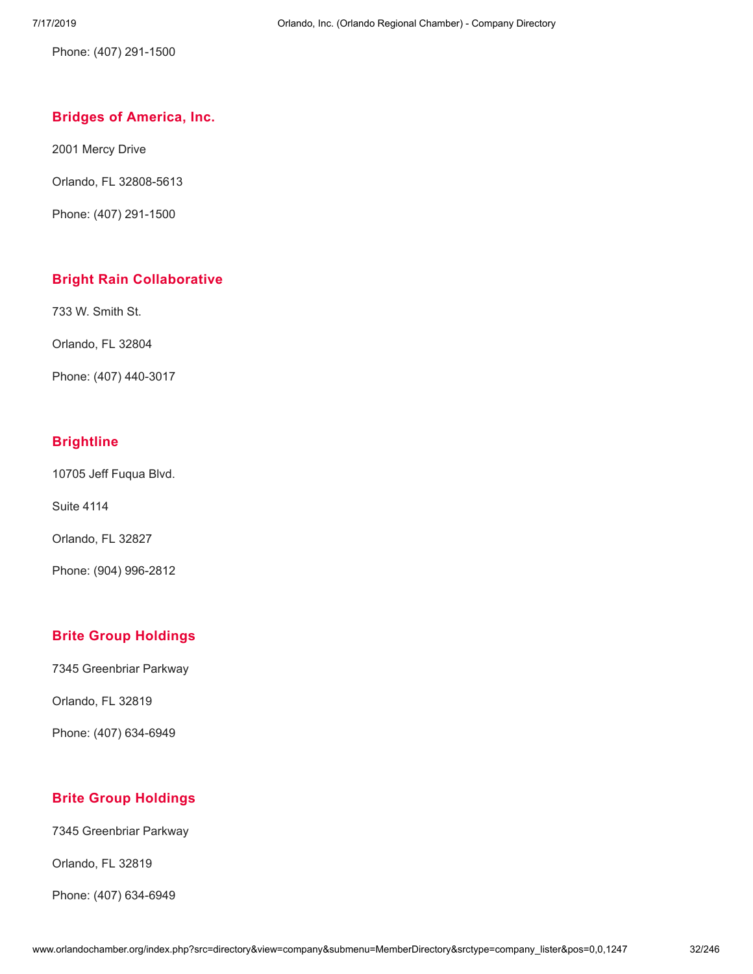Phone: (407) 291-1500

## **Bridges of [America,](http://www.orlandochamber.org/index.php?src=directory&view=company&submenu=MemberDirectory&refno=2776853&srctype=company_detail) Inc.**

2001 Mercy Drive

Orlando, FL 32808-5613

Phone: (407) 291-1500

# **Bright Rain [Collaborative](http://www.orlandochamber.org/index.php?src=directory&view=company&submenu=MemberDirectory&refno=2776854&srctype=company_detail)**

733 W. Smith St.

Orlando, FL 32804

Phone: (407) 440-3017

## **[Brightline](http://www.orlandochamber.org/index.php?src=directory&view=company&submenu=MemberDirectory&refno=2776855&srctype=company_detail)**

10705 Jeff Fuqua Blvd.

Suite 4114

Orlando, FL 32827

Phone: (904) 996-2812

# **Brite Group [Holdings](http://www.orlandochamber.org/index.php?src=directory&view=company&submenu=MemberDirectory&refno=2776856&srctype=company_detail)**

7345 Greenbriar Parkway

Orlando, FL 32819

Phone: (407) 634-6949

# **Brite Group [Holdings](http://www.orlandochamber.org/index.php?src=directory&view=company&submenu=MemberDirectory&refno=2776857&srctype=company_detail)**

7345 Greenbriar Parkway

Orlando, FL 32819

Phone: (407) 634-6949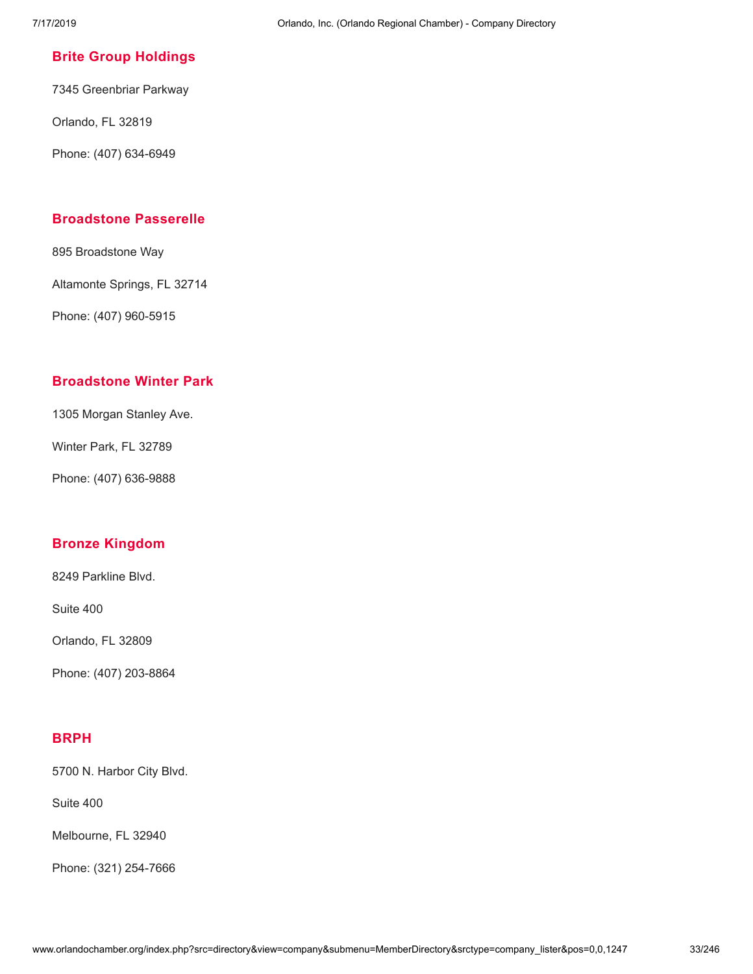## **Brite Group [Holdings](http://www.orlandochamber.org/index.php?src=directory&view=company&submenu=MemberDirectory&refno=2776858&srctype=company_detail)**

7345 Greenbriar Parkway

Orlando, FL 32819

Phone: (407) 634-6949

## **[Broadstone](http://www.orlandochamber.org/index.php?src=directory&view=company&submenu=MemberDirectory&refno=2776859&srctype=company_detail) Passerelle**

895 Broadstone Way

Altamonte Springs, FL 32714

Phone: (407) 960-5915

## **[Broadstone](http://www.orlandochamber.org/index.php?src=directory&view=company&submenu=MemberDirectory&refno=2776860&srctype=company_detail) Winter Park**

1305 Morgan Stanley Ave.

Winter Park, FL 32789

Phone: (407) 636-9888

# **Bronze [Kingdom](http://www.orlandochamber.org/index.php?src=directory&view=company&submenu=MemberDirectory&refno=2776861&srctype=company_detail)**

8249 Parkline Blvd.

Suite 400

Orlando, FL 32809

Phone: (407) 203-8864

## **[BRPH](http://www.orlandochamber.org/index.php?src=directory&view=company&submenu=MemberDirectory&refno=2776862&srctype=company_detail)**

5700 N. Harbor City Blvd.

Suite 400

Melbourne, FL 32940

Phone: (321) 254-7666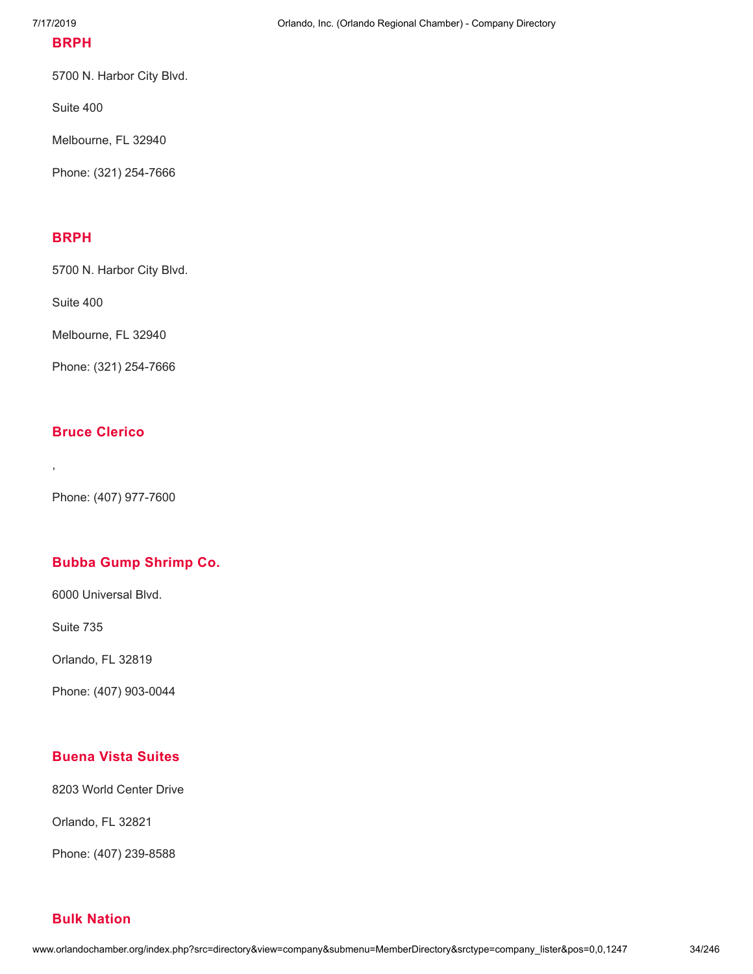## **[BRPH](http://www.orlandochamber.org/index.php?src=directory&view=company&submenu=MemberDirectory&refno=2776863&srctype=company_detail)**

5700 N. Harbor City Blvd.

Suite 400

Melbourne, FL 32940

Phone: (321) 254-7666

## **[BRPH](http://www.orlandochamber.org/index.php?src=directory&view=company&submenu=MemberDirectory&refno=2776864&srctype=company_detail)**

5700 N. Harbor City Blvd.

Suite 400

Melbourne, FL 32940

Phone: (321) 254-7666

#### **Bruce [Clerico](http://www.orlandochamber.org/index.php?src=directory&view=company&submenu=MemberDirectory&refno=2776865&srctype=company_detail)**

,

Phone: (407) 977-7600

# **Bubba Gump [Shrimp](http://www.orlandochamber.org/index.php?src=directory&view=company&submenu=MemberDirectory&refno=2776866&srctype=company_detail) Co.**

6000 Universal Blvd.

Suite 735

Orlando, FL 32819

Phone: (407) 903-0044

## **[Buena](http://www.orlandochamber.org/index.php?src=directory&view=company&submenu=MemberDirectory&refno=2776867&srctype=company_detail) Vista Suites**

8203 World Center Drive

Orlando, FL 32821

Phone: (407) 239-8588

#### **Bulk [Nation](http://www.orlandochamber.org/index.php?src=directory&view=company&submenu=MemberDirectory&refno=2776868&srctype=company_detail)**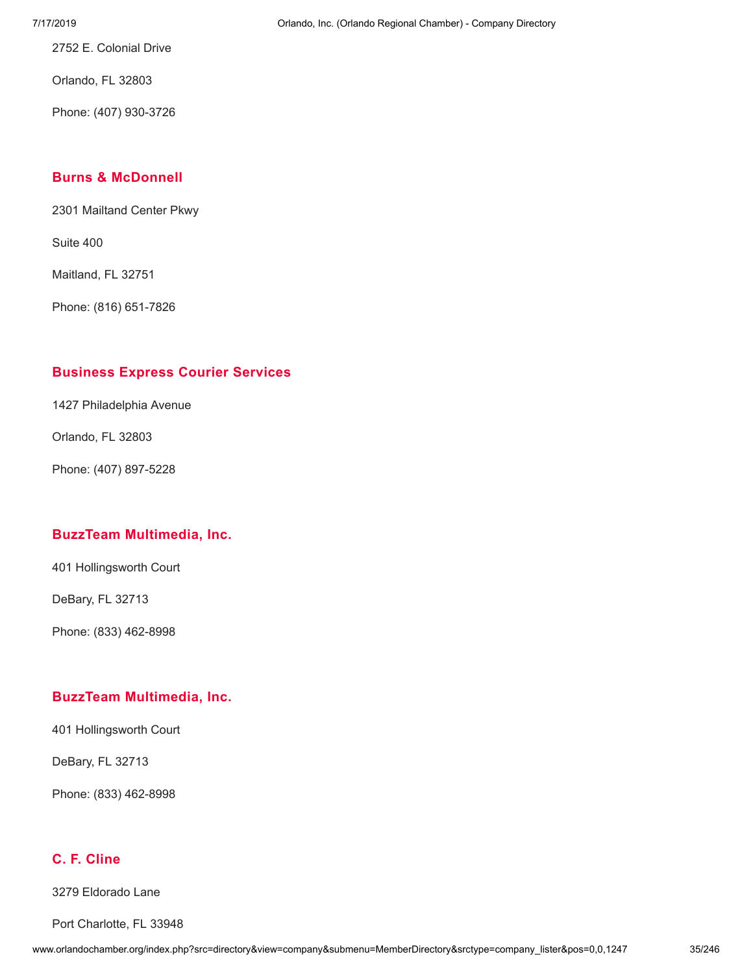7/17/2019 Orlando, Inc. (Orlando Regional Chamber) - Company Directory

2752 E. Colonial Drive

Orlando, FL 32803

Phone: (407) 930-3726

## **Burns & [McDonnell](http://www.orlandochamber.org/index.php?src=directory&view=company&submenu=MemberDirectory&refno=2776869&srctype=company_detail)**

2301 Mailtand Center Pkwy

Suite 400

Maitland, FL 32751

Phone: (816) 651-7826

# **[Business](http://www.orlandochamber.org/index.php?src=directory&view=company&submenu=MemberDirectory&refno=2776870&srctype=company_detail) Express Courier Services**

1427 Philadelphia Avenue

Orlando, FL 32803

Phone: (407) 897-5228

#### **BuzzTeam [Multimedia,](http://www.orlandochamber.org/index.php?src=directory&view=company&submenu=MemberDirectory&refno=2776871&srctype=company_detail) Inc.**

401 Hollingsworth Court

DeBary, FL 32713

Phone: (833) 462-8998

# **BuzzTeam [Multimedia,](http://www.orlandochamber.org/index.php?src=directory&view=company&submenu=MemberDirectory&refno=2776872&srctype=company_detail) Inc.**

401 Hollingsworth Court

DeBary, FL 32713

Phone: (833) 462-8998

# **C. F. [Cline](http://www.orlandochamber.org/index.php?src=directory&view=company&submenu=MemberDirectory&refno=2776873&srctype=company_detail)**

3279 Eldorado Lane

Port Charlotte, FL 33948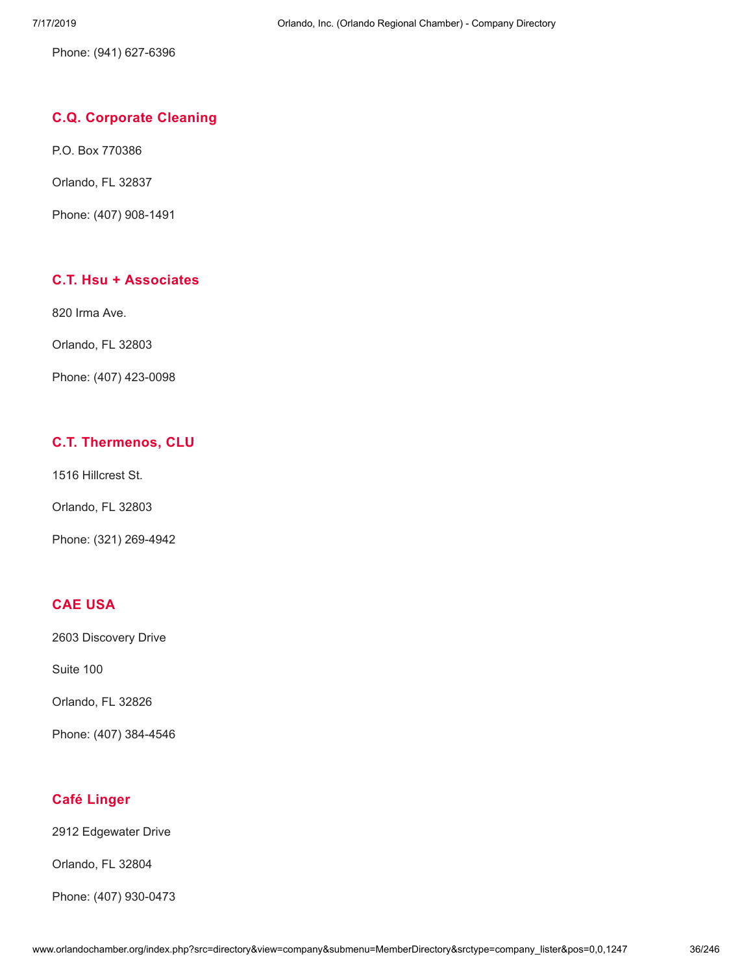Phone: (941) 627-6396

# **C.Q. [Corporate](http://www.orlandochamber.org/index.php?src=directory&view=company&submenu=MemberDirectory&refno=2776874&srctype=company_detail) Cleaning**

P.O. Box 770386

Orlando, FL 32837

Phone: (407) 908-1491

# **C.T. Hsu + [Associates](http://www.orlandochamber.org/index.php?src=directory&view=company&submenu=MemberDirectory&refno=2776875&srctype=company_detail)**

820 Irma Ave.

Orlando, FL 32803

Phone: (407) 423-0098

# **C.T. [Thermenos,](http://www.orlandochamber.org/index.php?src=directory&view=company&submenu=MemberDirectory&refno=2776876&srctype=company_detail) CLU**

1516 Hillcrest St.

Orlando, FL 32803

Phone: (321) 269-4942

## **CAE [USA](http://www.orlandochamber.org/index.php?src=directory&view=company&submenu=MemberDirectory&refno=2776877&srctype=company_detail)**

2603 Discovery Drive

Suite 100

Orlando, FL 32826

Phone: (407) 384-4546

#### **Café [Linger](http://www.orlandochamber.org/index.php?src=directory&view=company&submenu=MemberDirectory&refno=2776878&srctype=company_detail)**

2912 Edgewater Drive

Orlando, FL 32804

Phone: (407) 930-0473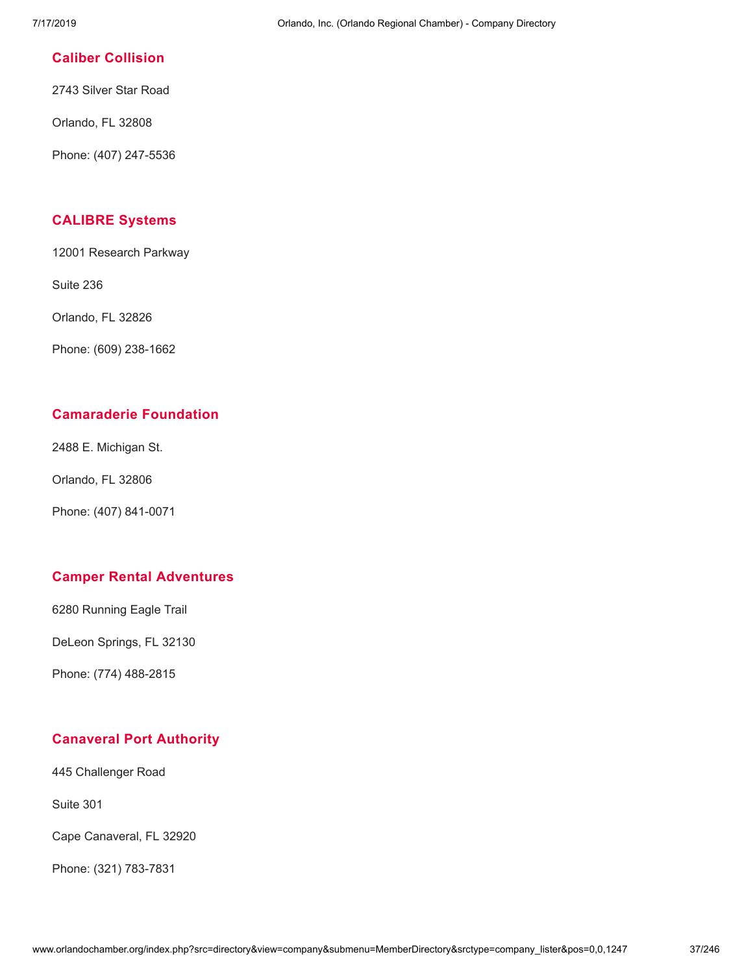### **Caliber [Collision](http://www.orlandochamber.org/index.php?src=directory&view=company&submenu=MemberDirectory&refno=2776879&srctype=company_detail)**

2743 Silver Star Road

Orlando, FL 32808

Phone: (407) 247-5536

#### **[CALIBRE](http://www.orlandochamber.org/index.php?src=directory&view=company&submenu=MemberDirectory&refno=2776880&srctype=company_detail) Systems**

12001 Research Parkway

Suite 236

Orlando, FL 32826

Phone: (609) 238-1662

# **[Camaraderie](http://www.orlandochamber.org/index.php?src=directory&view=company&submenu=MemberDirectory&refno=2776881&srctype=company_detail) Foundation**

2488 E. Michigan St.

Orlando, FL 32806

Phone: (407) 841-0071

# **Camper Rental [Adventures](http://www.orlandochamber.org/index.php?src=directory&view=company&submenu=MemberDirectory&refno=2776882&srctype=company_detail)**

6280 Running Eagle Trail

DeLeon Springs, FL 32130

Phone: (774) 488-2815

# **[Canaveral](http://www.orlandochamber.org/index.php?src=directory&view=company&submenu=MemberDirectory&refno=2776883&srctype=company_detail) Port Authority**

445 Challenger Road

Suite 301

Cape Canaveral, FL 32920

Phone: (321) 783-7831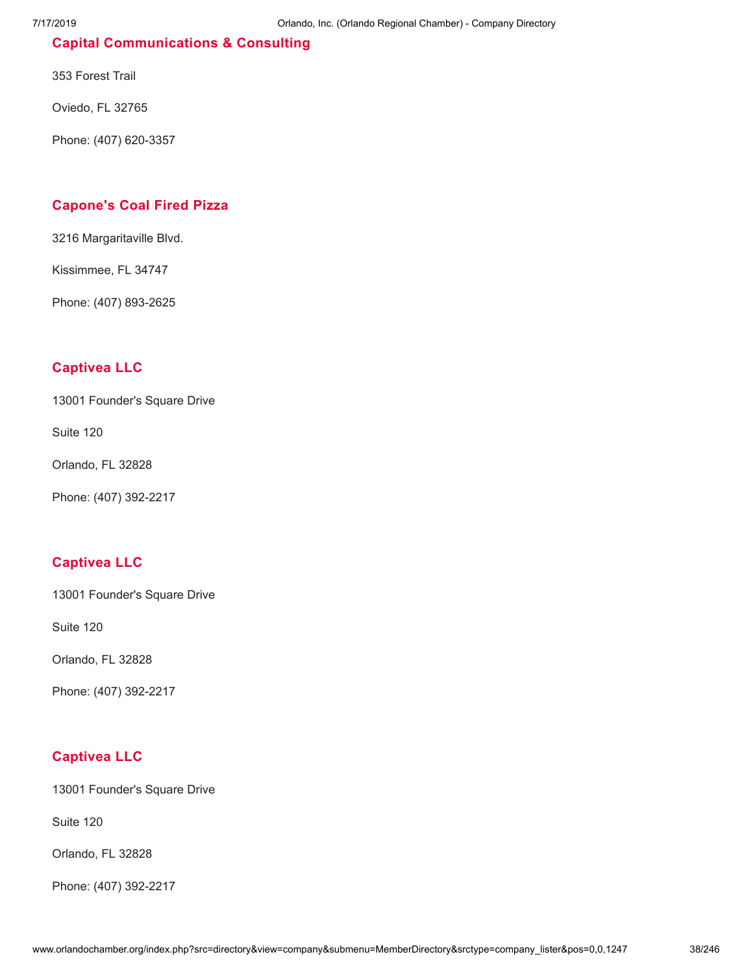# **Capital [Communications](http://www.orlandochamber.org/index.php?src=directory&view=company&submenu=MemberDirectory&refno=2776884&srctype=company_detail) & Consulting**

353 Forest Trail

Oviedo, FL 32765

Phone: (407) 620-3357

# **[Capone's](http://www.orlandochamber.org/index.php?src=directory&view=company&submenu=MemberDirectory&refno=2776885&srctype=company_detail) Coal Fired Pizza**

3216 Margaritaville Blvd.

Kissimmee, FL 34747

Phone: (407) 893-2625

# **[Captivea](http://www.orlandochamber.org/index.php?src=directory&view=company&submenu=MemberDirectory&refno=2776886&srctype=company_detail) LLC**

13001 Founder's Square Drive

Suite 120

Orlando, FL 32828

Phone: (407) 392-2217

# **[Captivea](http://www.orlandochamber.org/index.php?src=directory&view=company&submenu=MemberDirectory&refno=2776887&srctype=company_detail) LLC**

13001 Founder's Square Drive

Suite 120

Orlando, FL 32828

Phone: (407) 392-2217

# **[Captivea](http://www.orlandochamber.org/index.php?src=directory&view=company&submenu=MemberDirectory&refno=2776888&srctype=company_detail) LLC**

13001 Founder's Square Drive

Suite 120

Orlando, FL 32828

Phone: (407) 392-2217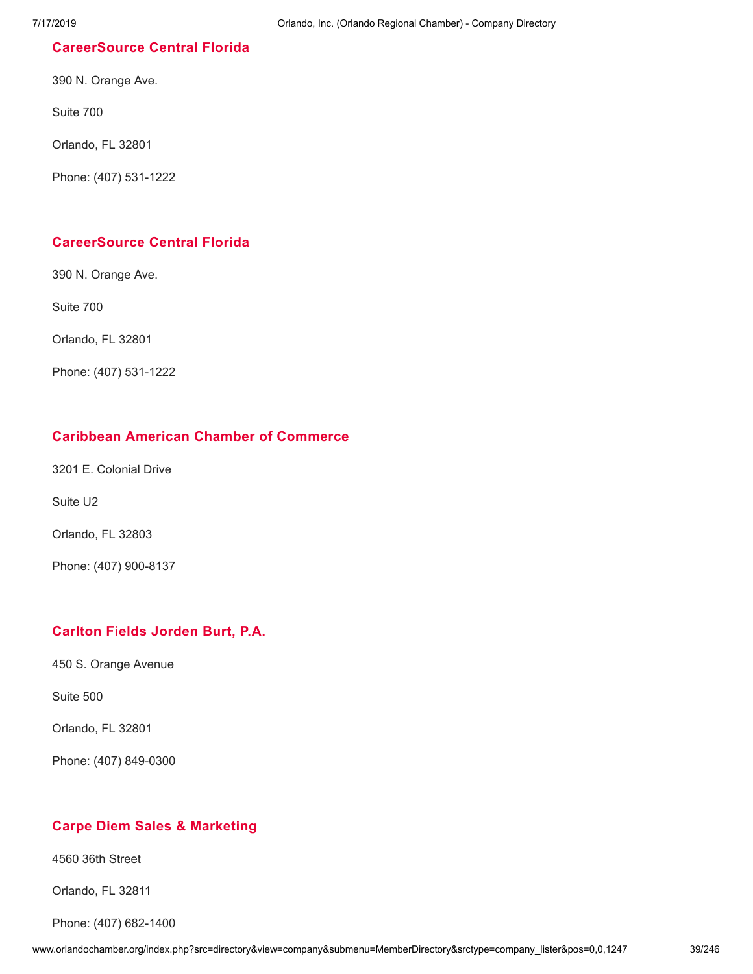### **[CareerSource](http://www.orlandochamber.org/index.php?src=directory&view=company&submenu=MemberDirectory&refno=2776889&srctype=company_detail) Central Florida**

390 N. Orange Ave.

Suite 700

Orlando, FL 32801

Phone: (407) 531-1222

### **[CareerSource](http://www.orlandochamber.org/index.php?src=directory&view=company&submenu=MemberDirectory&refno=2776890&srctype=company_detail) Central Florida**

390 N. Orange Ave.

Suite 700

Orlando, FL 32801

Phone: (407) 531-1222

### **Caribbean American Chamber of [Commerce](http://www.orlandochamber.org/index.php?src=directory&view=company&submenu=MemberDirectory&refno=2776891&srctype=company_detail)**

3201 E. Colonial Drive

Suite U2

Orlando, FL 32803

Phone: (407) 900-8137

# **[Carlton](http://www.orlandochamber.org/index.php?src=directory&view=company&submenu=MemberDirectory&refno=2776892&srctype=company_detail) Fields Jorden Burt, P.A.**

450 S. Orange Avenue

Suite 500

Orlando, FL 32801

Phone: (407) 849-0300

# **Carpe Diem Sales & [Marketing](http://www.orlandochamber.org/index.php?src=directory&view=company&submenu=MemberDirectory&refno=2776893&srctype=company_detail)**

4560 36th Street

Orlando, FL 32811

Phone: (407) 682-1400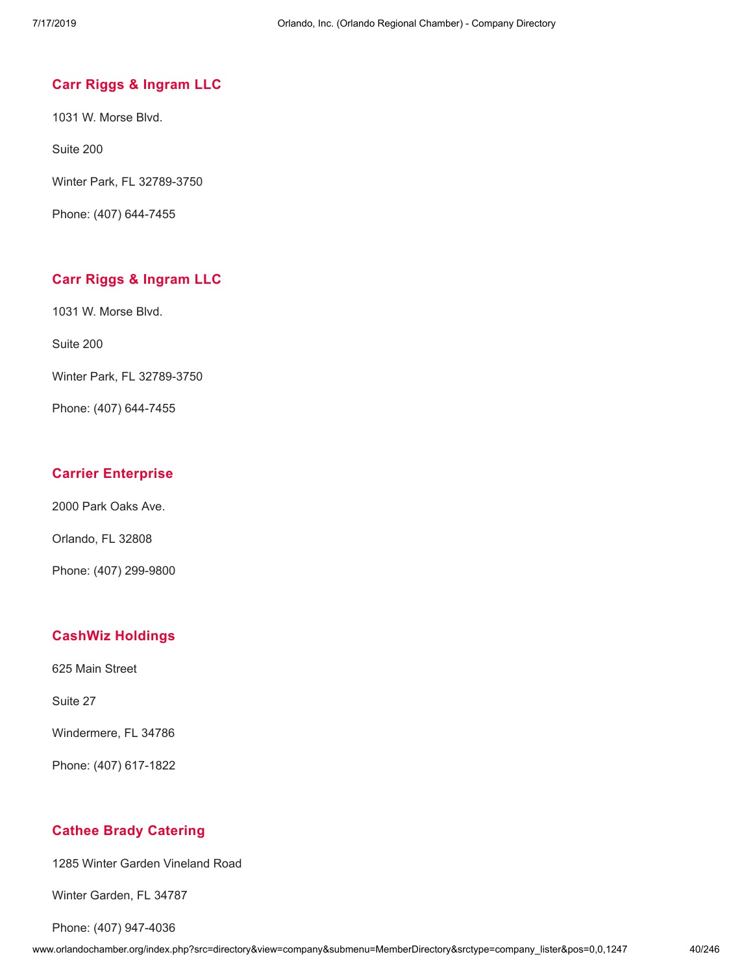### **Carr Riggs & [Ingram](http://www.orlandochamber.org/index.php?src=directory&view=company&submenu=MemberDirectory&refno=2776894&srctype=company_detail) LLC**

1031 W. Morse Blvd.

Suite 200

Winter Park, FL 32789-3750

Phone: (407) 644-7455

### **Carr Riggs & [Ingram](http://www.orlandochamber.org/index.php?src=directory&view=company&submenu=MemberDirectory&refno=2776895&srctype=company_detail) LLC**

1031 W. Morse Blvd.

Suite 200

Winter Park, FL 32789-3750

Phone: (407) 644-7455

#### **Carrier [Enterprise](http://www.orlandochamber.org/index.php?src=directory&view=company&submenu=MemberDirectory&refno=2776896&srctype=company_detail)**

2000 Park Oaks Ave.

Orlando, FL 32808

Phone: (407) 299-9800

#### **CashWiz [Holdings](http://www.orlandochamber.org/index.php?src=directory&view=company&submenu=MemberDirectory&refno=2776897&srctype=company_detail)**

625 Main Street

Suite 27

Windermere, FL 34786

Phone: (407) 617-1822

#### **Cathee Brady [Catering](http://www.orlandochamber.org/index.php?src=directory&view=company&submenu=MemberDirectory&refno=2776898&srctype=company_detail)**

1285 Winter Garden Vineland Road

Winter Garden, FL 34787

Phone: (407) 947-4036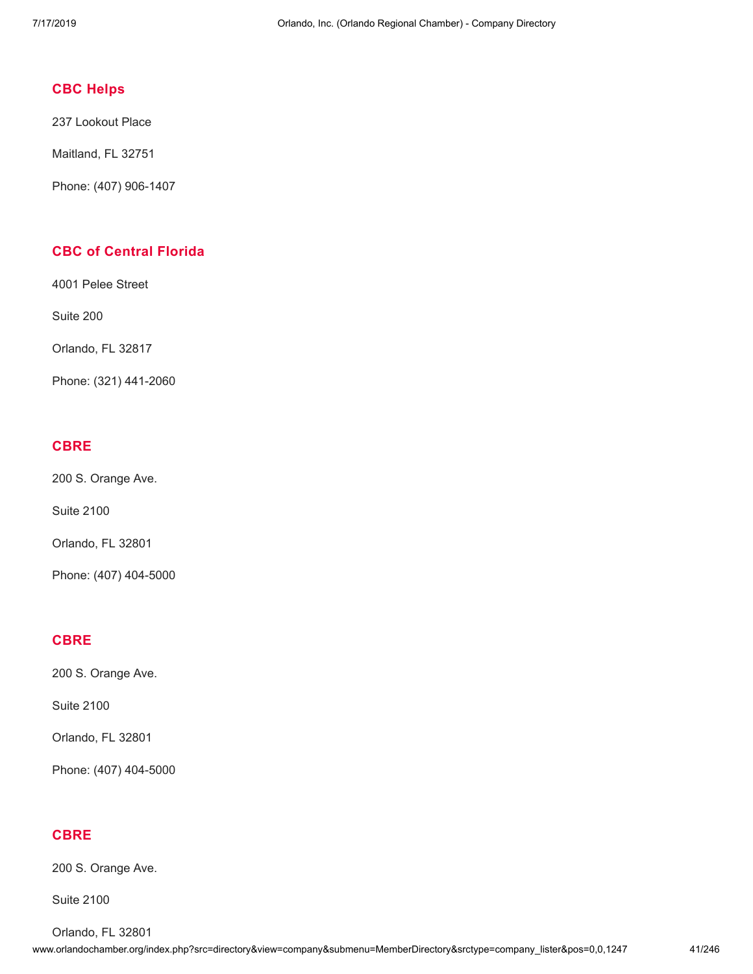# **CBC [Helps](http://www.orlandochamber.org/index.php?src=directory&view=company&submenu=MemberDirectory&refno=2776899&srctype=company_detail)**

237 Lookout Place

Maitland, FL 32751

Phone: (407) 906-1407

# **CBC of [Central](http://www.orlandochamber.org/index.php?src=directory&view=company&submenu=MemberDirectory&refno=2776900&srctype=company_detail) Florida**

4001 Pelee Street

Suite 200

Orlando, FL 32817

Phone: (321) 441-2060

# **[CBRE](http://www.orlandochamber.org/index.php?src=directory&view=company&submenu=MemberDirectory&refno=2776901&srctype=company_detail)**

200 S. Orange Ave.

Suite 2100

Orlando, FL 32801

Phone: (407) 404-5000

#### **[CBRE](http://www.orlandochamber.org/index.php?src=directory&view=company&submenu=MemberDirectory&refno=2776902&srctype=company_detail)**

200 S. Orange Ave.

Suite 2100

Orlando, FL 32801

Phone: (407) 404-5000

# **[CBRE](http://www.orlandochamber.org/index.php?src=directory&view=company&submenu=MemberDirectory&refno=2776903&srctype=company_detail)**

200 S. Orange Ave.

Suite 2100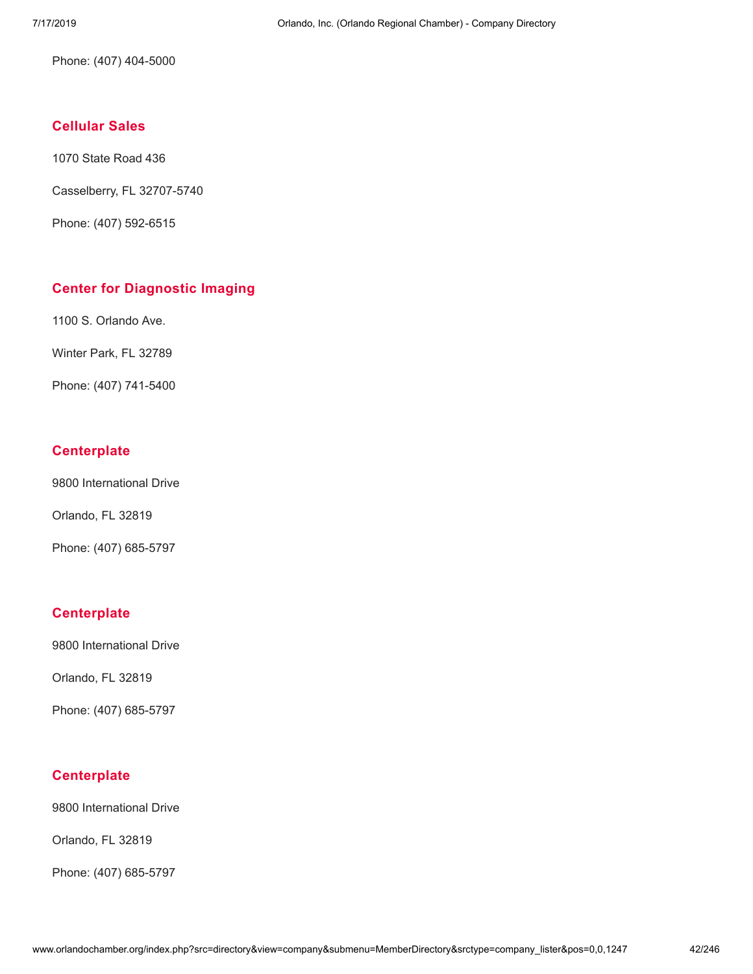Phone: (407) 404-5000

# **[Cellular](http://www.orlandochamber.org/index.php?src=directory&view=company&submenu=MemberDirectory&refno=2776904&srctype=company_detail) Sales**

1070 State Road 436

Casselberry, FL 32707-5740

Phone: (407) 592-6515

# **Center for [Diagnostic](http://www.orlandochamber.org/index.php?src=directory&view=company&submenu=MemberDirectory&refno=2776905&srctype=company_detail) Imaging**

1100 S. Orlando Ave.

Winter Park, FL 32789

Phone: (407) 741-5400

# **[Centerplate](http://www.orlandochamber.org/index.php?src=directory&view=company&submenu=MemberDirectory&refno=2776906&srctype=company_detail)**

9800 International Drive

Orlando, FL 32819

Phone: (407) 685-5797

# **[Centerplate](http://www.orlandochamber.org/index.php?src=directory&view=company&submenu=MemberDirectory&refno=2776907&srctype=company_detail)**

9800 International Drive

Orlando, FL 32819

Phone: (407) 685-5797

# **[Centerplate](http://www.orlandochamber.org/index.php?src=directory&view=company&submenu=MemberDirectory&refno=2776908&srctype=company_detail)**

9800 International Drive

Orlando, FL 32819

Phone: (407) 685-5797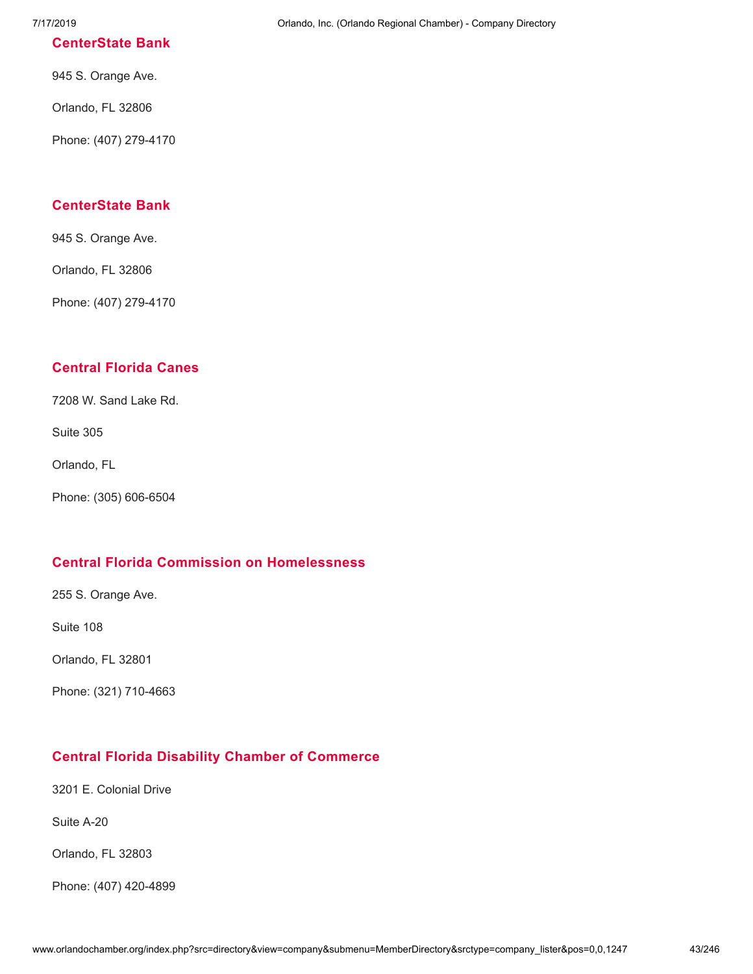#### **[CenterState](http://www.orlandochamber.org/index.php?src=directory&view=company&submenu=MemberDirectory&refno=2776909&srctype=company_detail) Bank**

945 S. Orange Ave.

Orlando, FL 32806

Phone: (407) 279-4170

# **[CenterState](http://www.orlandochamber.org/index.php?src=directory&view=company&submenu=MemberDirectory&refno=2776910&srctype=company_detail) Bank**

945 S. Orange Ave.

Orlando, FL 32806

Phone: (407) 279-4170

# **[Central](http://www.orlandochamber.org/index.php?src=directory&view=company&submenu=MemberDirectory&refno=2776911&srctype=company_detail) Florida Canes**

7208 W. Sand Lake Rd.

Suite 305

Orlando, FL

Phone: (305) 606-6504

### **Central Florida Commission on [Homelessness](http://www.orlandochamber.org/index.php?src=directory&view=company&submenu=MemberDirectory&refno=2776912&srctype=company_detail)**

255 S. Orange Ave.

Suite 108

Orlando, FL 32801

Phone: (321) 710-4663

# **Central Florida Disability Chamber of [Commerce](http://www.orlandochamber.org/index.php?src=directory&view=company&submenu=MemberDirectory&refno=2776913&srctype=company_detail)**

3201 E. Colonial Drive

Suite A-20

Orlando, FL 32803

Phone: (407) 420-4899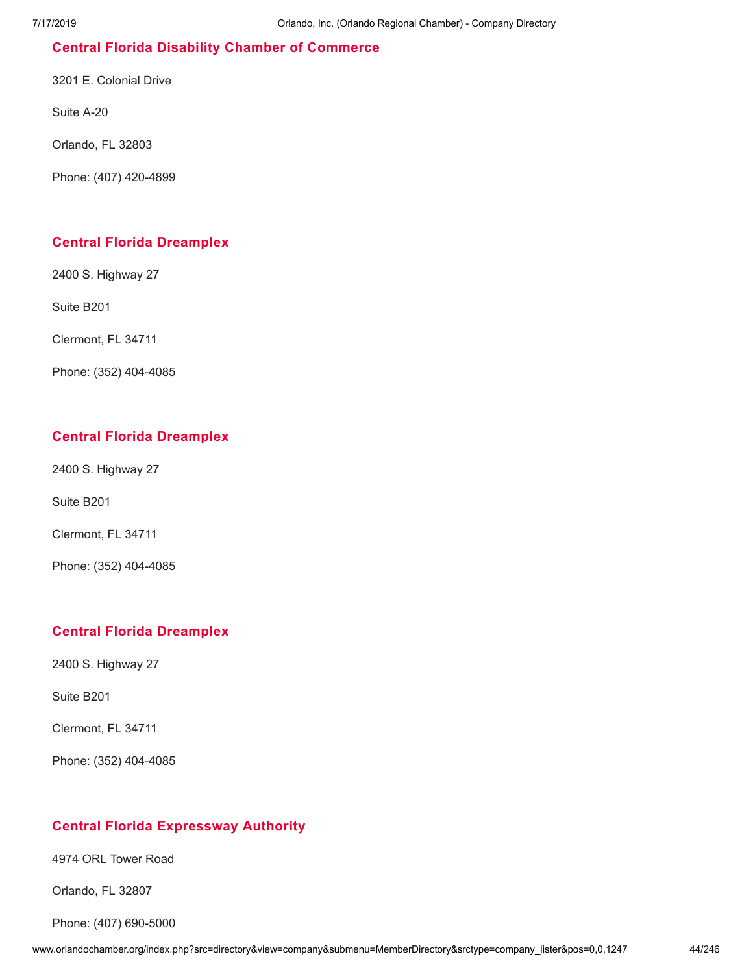# **Central Florida Disability Chamber of [Commerce](http://www.orlandochamber.org/index.php?src=directory&view=company&submenu=MemberDirectory&refno=2776914&srctype=company_detail)**

3201 E. Colonial Drive

Suite A-20

Orlando, FL 32803

Phone: (407) 420-4899

### **Central Florida [Dreamplex](http://www.orlandochamber.org/index.php?src=directory&view=company&submenu=MemberDirectory&refno=2776915&srctype=company_detail)**

2400 S. Highway 27

Suite B201

Clermont, FL 34711

Phone: (352) 404-4085

# **Central Florida [Dreamplex](http://www.orlandochamber.org/index.php?src=directory&view=company&submenu=MemberDirectory&refno=2776916&srctype=company_detail)**

2400 S. Highway 27

Suite B201

Clermont, FL 34711

Phone: (352) 404-4085

# **Central Florida [Dreamplex](http://www.orlandochamber.org/index.php?src=directory&view=company&submenu=MemberDirectory&refno=2776917&srctype=company_detail)**

2400 S. Highway 27

Suite B201

Clermont, FL 34711

Phone: (352) 404-4085

# **Central Florida [Expressway](http://www.orlandochamber.org/index.php?src=directory&view=company&submenu=MemberDirectory&refno=2776918&srctype=company_detail) Authority**

4974 ORL Tower Road

Orlando, FL 32807

Phone: (407) 690-5000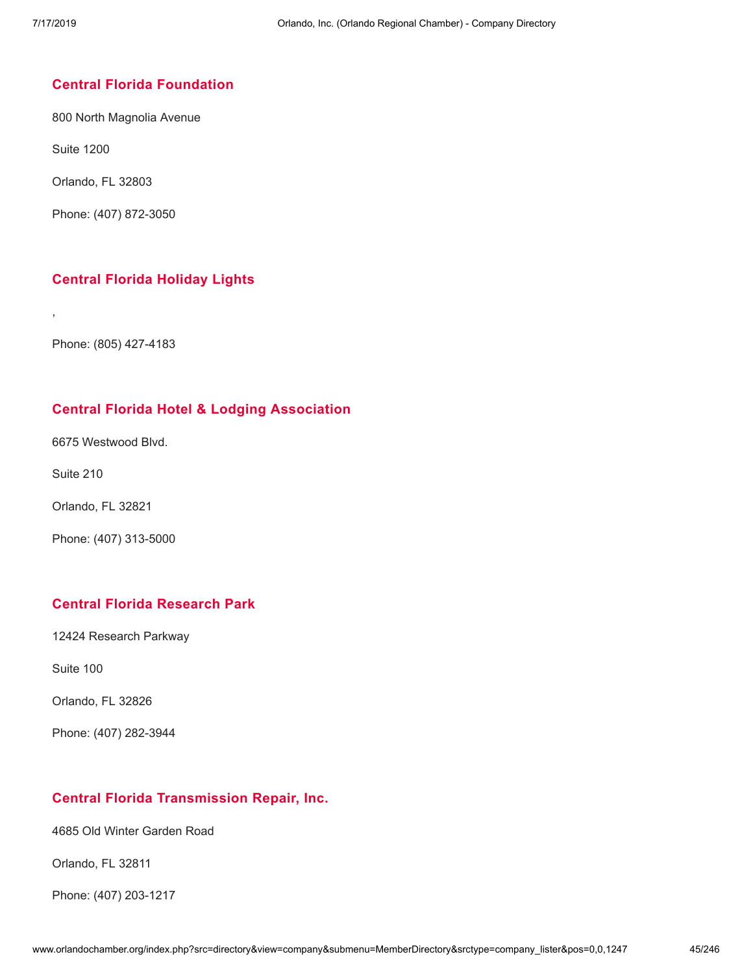### **Central Florida [Foundation](http://www.orlandochamber.org/index.php?src=directory&view=company&submenu=MemberDirectory&refno=2776919&srctype=company_detail)**

800 North Magnolia Avenue

Suite 1200

Orlando, FL 32803

Phone: (407) 872-3050

# **Central Florida [Holiday](http://www.orlandochamber.org/index.php?src=directory&view=company&submenu=MemberDirectory&refno=2776920&srctype=company_detail) Lights**

Phone: (805) 427-4183

# **Central Florida Hotel & Lodging [Association](http://www.orlandochamber.org/index.php?src=directory&view=company&submenu=MemberDirectory&refno=2776921&srctype=company_detail)**

6675 Westwood Blvd.

Suite 210

,

Orlando, FL 32821

Phone: (407) 313-5000

# **Central Florida [Research](http://www.orlandochamber.org/index.php?src=directory&view=company&submenu=MemberDirectory&refno=2776922&srctype=company_detail) Park**

12424 Research Parkway

Suite 100

Orlando, FL 32826

Phone: (407) 282-3944

#### **Central Florida [Transmission](http://www.orlandochamber.org/index.php?src=directory&view=company&submenu=MemberDirectory&refno=2776923&srctype=company_detail) Repair, Inc.**

4685 Old Winter Garden Road

Orlando, FL 32811

Phone: (407) 203-1217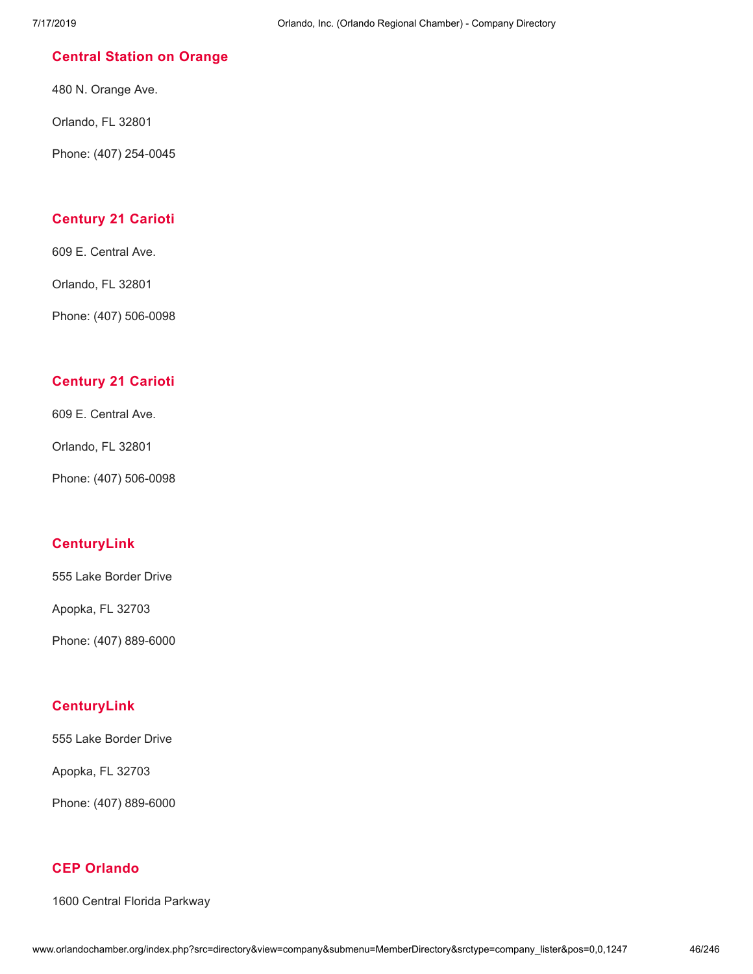### **Central Station on [Orange](http://www.orlandochamber.org/index.php?src=directory&view=company&submenu=MemberDirectory&refno=2776924&srctype=company_detail)**

480 N. Orange Ave.

Orlando, FL 32801

Phone: (407) 254-0045

### **[Century](http://www.orlandochamber.org/index.php?src=directory&view=company&submenu=MemberDirectory&refno=2776925&srctype=company_detail) 21 Carioti**

609 E. Central Ave.

Orlando, FL 32801

Phone: (407) 506-0098

# **[Century](http://www.orlandochamber.org/index.php?src=directory&view=company&submenu=MemberDirectory&refno=2776926&srctype=company_detail) 21 Carioti**

609 E. Central Ave.

Orlando, FL 32801

Phone: (407) 506-0098

# **[CenturyLink](http://www.orlandochamber.org/index.php?src=directory&view=company&submenu=MemberDirectory&refno=2776927&srctype=company_detail)**

555 Lake Border Drive

Apopka, FL 32703

Phone: (407) 889-6000

# **[CenturyLink](http://www.orlandochamber.org/index.php?src=directory&view=company&submenu=MemberDirectory&refno=2776928&srctype=company_detail)**

555 Lake Border Drive

Apopka, FL 32703

Phone: (407) 889-6000

### **CEP [Orlando](http://www.orlandochamber.org/index.php?src=directory&view=company&submenu=MemberDirectory&refno=2776929&srctype=company_detail)**

1600 Central Florida Parkway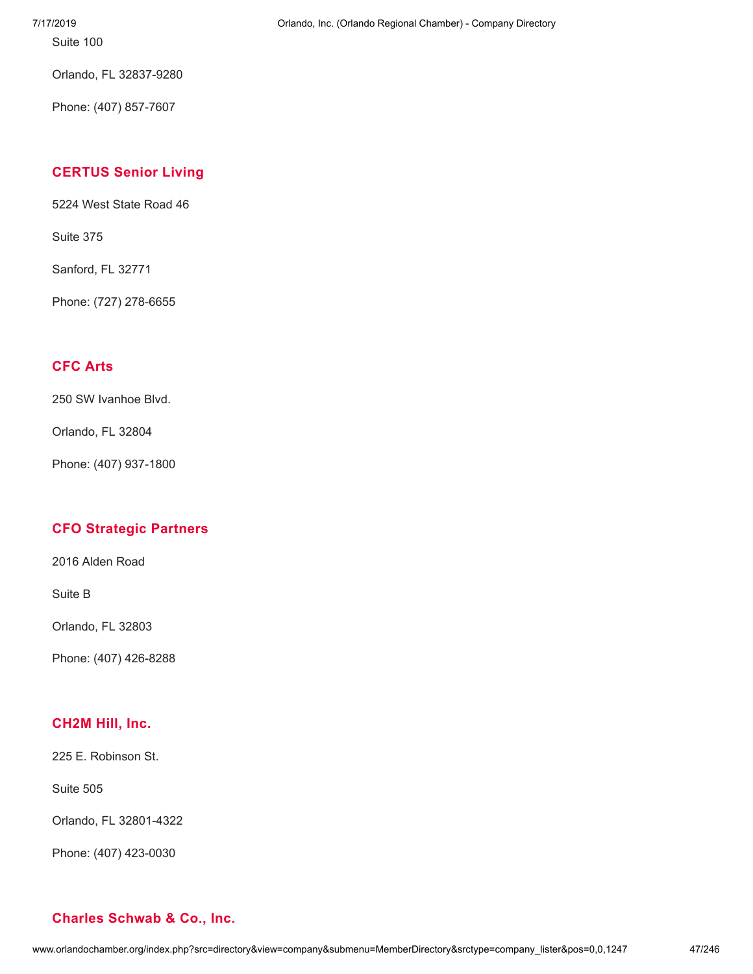Suite 100

Orlando, FL 32837-9280

Phone: (407) 857-7607

# **[CERTUS](http://www.orlandochamber.org/index.php?src=directory&view=company&submenu=MemberDirectory&refno=2776930&srctype=company_detail) Senior Living**

5224 West State Road 46

Suite 375

Sanford, FL 32771

Phone: (727) 278-6655

# **[CFC](http://www.orlandochamber.org/index.php?src=directory&view=company&submenu=MemberDirectory&refno=2776931&srctype=company_detail) Arts**

250 SW Ivanhoe Blvd.

Orlando, FL 32804

Phone: (407) 937-1800

# **CFO [Strategic](http://www.orlandochamber.org/index.php?src=directory&view=company&submenu=MemberDirectory&refno=2776932&srctype=company_detail) Partners**

2016 Alden Road

Suite B

Orlando, FL 32803

Phone: (407) 426-8288

#### **[CH2M](http://www.orlandochamber.org/index.php?src=directory&view=company&submenu=MemberDirectory&refno=2776933&srctype=company_detail) Hill, Inc.**

225 E. Robinson St.

Suite 505

Orlando, FL 32801-4322

Phone: (407) 423-0030

# **Charles [Schwab](http://www.orlandochamber.org/index.php?src=directory&view=company&submenu=MemberDirectory&refno=2776934&srctype=company_detail) & Co., Inc.**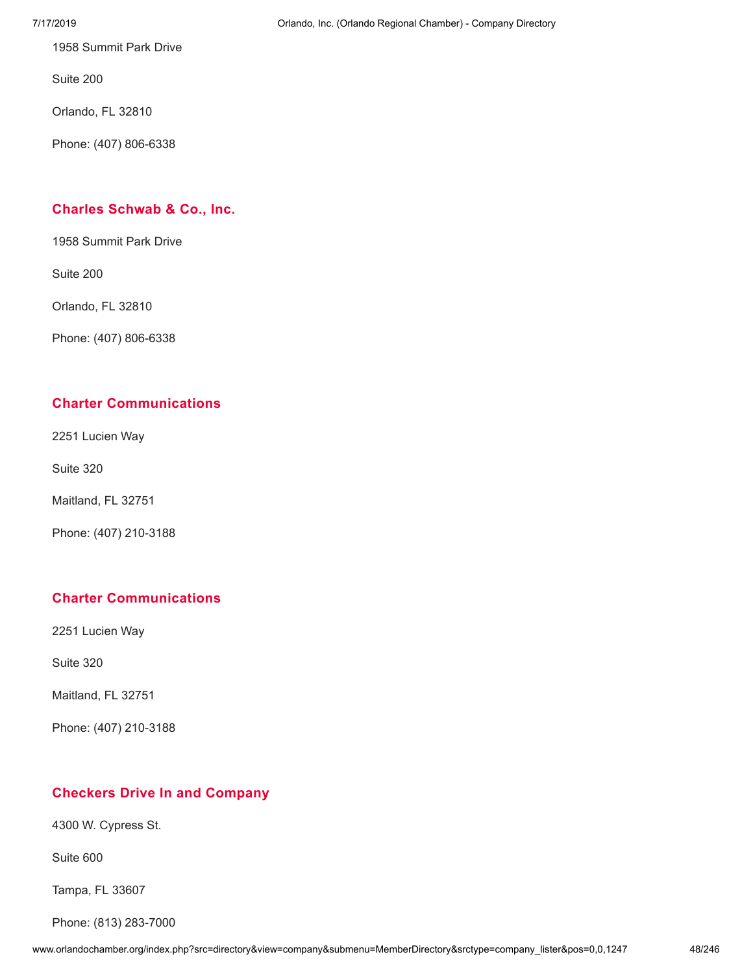1958 Summit Park Drive

Suite 200

Orlando, FL 32810

Phone: (407) 806-6338

# **Charles [Schwab](http://www.orlandochamber.org/index.php?src=directory&view=company&submenu=MemberDirectory&refno=2776935&srctype=company_detail) & Co., Inc.**

1958 Summit Park Drive

Suite 200

Orlando, FL 32810

Phone: (407) 806-6338

# **Charter [Communications](http://www.orlandochamber.org/index.php?src=directory&view=company&submenu=MemberDirectory&refno=2776936&srctype=company_detail)**

2251 Lucien Way

Suite 320

Maitland, FL 32751

Phone: (407) 210-3188

# **Charter [Communications](http://www.orlandochamber.org/index.php?src=directory&view=company&submenu=MemberDirectory&refno=2776937&srctype=company_detail)**

2251 Lucien Way

Suite 320

Maitland, FL 32751

Phone: (407) 210-3188

# **Checkers Drive In and [Company](http://www.orlandochamber.org/index.php?src=directory&view=company&submenu=MemberDirectory&refno=2776938&srctype=company_detail)**

4300 W. Cypress St.

Suite 600

Tampa, FL 33607

Phone: (813) 283-7000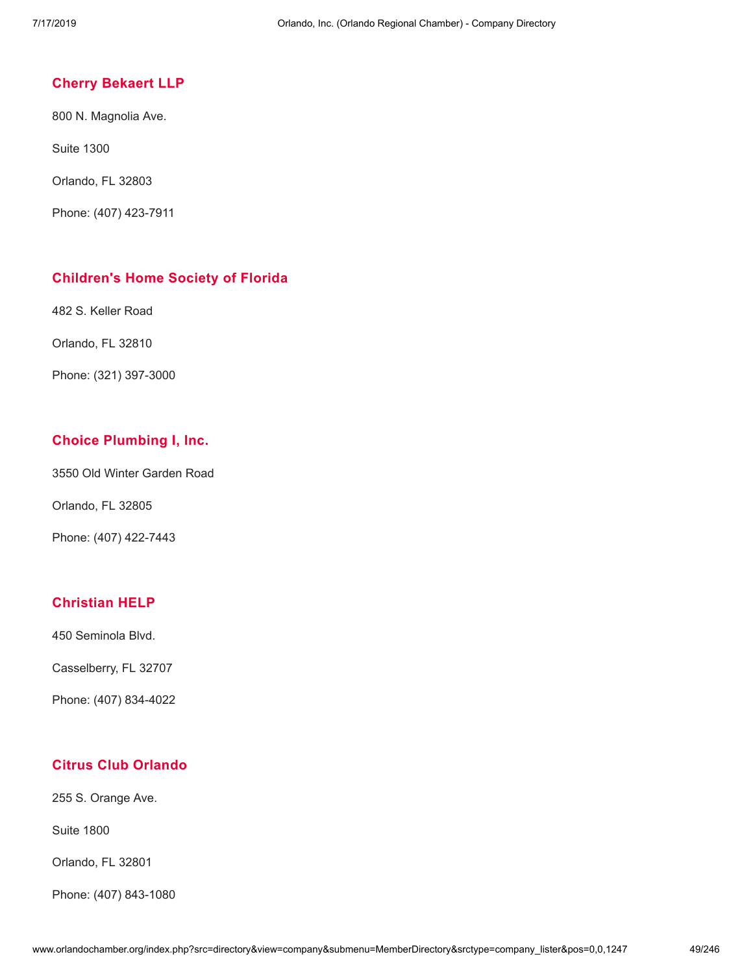#### **Cherry [Bekaert](http://www.orlandochamber.org/index.php?src=directory&view=company&submenu=MemberDirectory&refno=2776939&srctype=company_detail) LLP**

800 N. Magnolia Ave.

Suite 1300

Orlando, FL 32803

Phone: (407) 423-7911

#### **[Children's](http://www.orlandochamber.org/index.php?src=directory&view=company&submenu=MemberDirectory&refno=2776940&srctype=company_detail) Home Society of Florida**

482 S. Keller Road

Orlando, FL 32810

Phone: (321) 397-3000

#### **Choice [Plumbing](http://www.orlandochamber.org/index.php?src=directory&view=company&submenu=MemberDirectory&refno=2776941&srctype=company_detail) I, Inc.**

3550 Old Winter Garden Road

Orlando, FL 32805

Phone: (407) 422-7443

# **[Christian](http://www.orlandochamber.org/index.php?src=directory&view=company&submenu=MemberDirectory&refno=2776942&srctype=company_detail) HELP**

450 Seminola Blvd.

Casselberry, FL 32707

Phone: (407) 834-4022

# **Citrus Club [Orlando](http://www.orlandochamber.org/index.php?src=directory&view=company&submenu=MemberDirectory&refno=2776943&srctype=company_detail)**

255 S. Orange Ave.

Suite 1800

Orlando, FL 32801

Phone: (407) 843-1080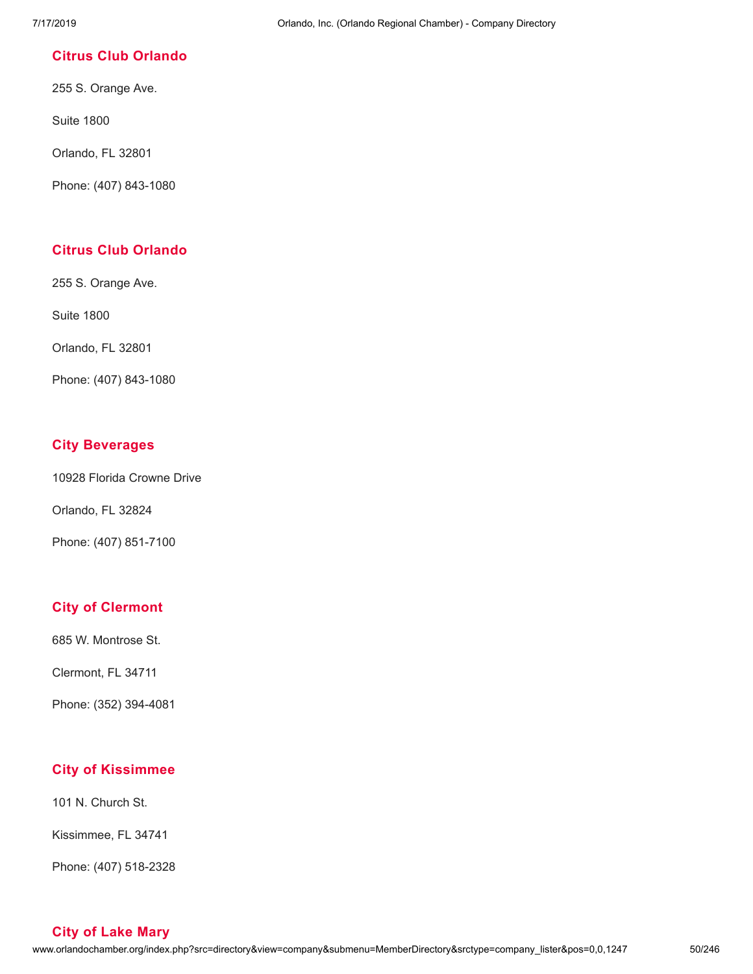### **Citrus Club [Orlando](http://www.orlandochamber.org/index.php?src=directory&view=company&submenu=MemberDirectory&refno=2776944&srctype=company_detail)**

255 S. Orange Ave.

Suite 1800

Orlando, FL 32801

Phone: (407) 843-1080

# **Citrus Club [Orlando](http://www.orlandochamber.org/index.php?src=directory&view=company&submenu=MemberDirectory&refno=2776945&srctype=company_detail)**

255 S. Orange Ave.

Suite 1800

Orlando, FL 32801

Phone: (407) 843-1080

### **City [Beverages](http://www.orlandochamber.org/index.php?src=directory&view=company&submenu=MemberDirectory&refno=2776946&srctype=company_detail)**

10928 Florida Crowne Drive

Orlando, FL 32824

Phone: (407) 851-7100

# **City of [Clermont](http://www.orlandochamber.org/index.php?src=directory&view=company&submenu=MemberDirectory&refno=2776947&srctype=company_detail)**

685 W. Montrose St.

Clermont, FL 34711

Phone: (352) 394-4081

# **City of [Kissimmee](http://www.orlandochamber.org/index.php?src=directory&view=company&submenu=MemberDirectory&refno=2776948&srctype=company_detail)**

101 N. Church St.

Kissimmee, FL 34741

Phone: (407) 518-2328

**City of Lake [Mary](http://www.orlandochamber.org/index.php?src=directory&view=company&submenu=MemberDirectory&refno=2776949&srctype=company_detail)**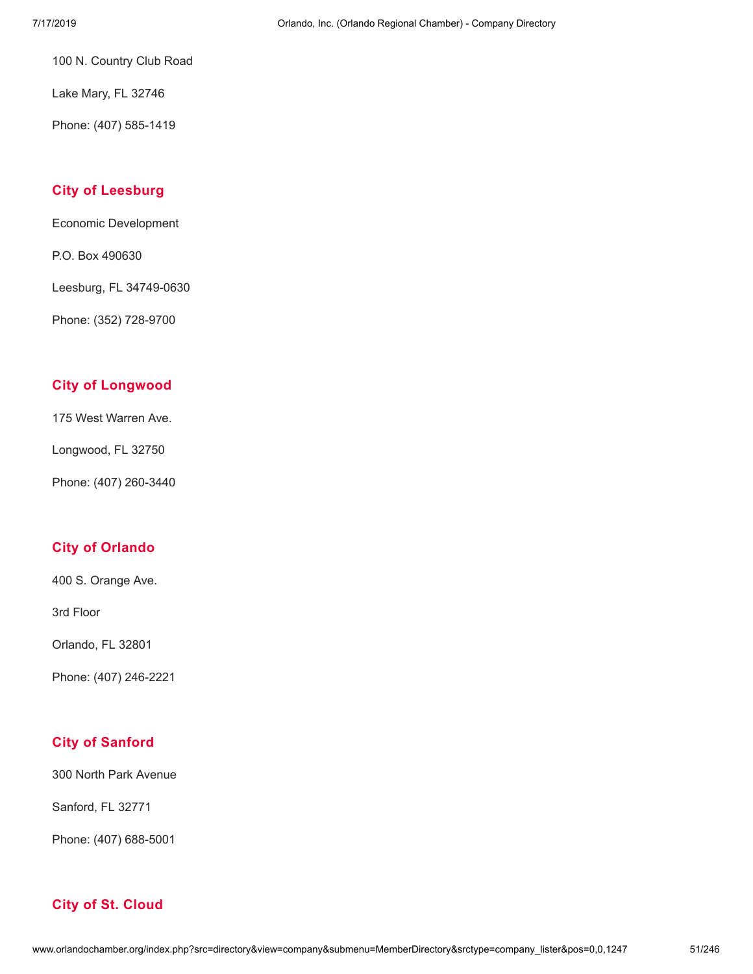100 N. Country Club Road

Lake Mary, FL 32746

Phone: (407) 585-1419

# **City of [Leesburg](http://www.orlandochamber.org/index.php?src=directory&view=company&submenu=MemberDirectory&refno=2776950&srctype=company_detail)**

Economic Development

P.O. Box 490630

Leesburg, FL 34749-0630

Phone: (352) 728-9700

# **City of [Longwood](http://www.orlandochamber.org/index.php?src=directory&view=company&submenu=MemberDirectory&refno=2776951&srctype=company_detail)**

175 West Warren Ave.

Longwood, FL 32750

Phone: (407) 260-3440

# **City of [Orlando](http://www.orlandochamber.org/index.php?src=directory&view=company&submenu=MemberDirectory&refno=2776952&srctype=company_detail)**

400 S. Orange Ave.

3rd Floor

Orlando, FL 32801

Phone: (407) 246-2221

# **City of [Sanford](http://www.orlandochamber.org/index.php?src=directory&view=company&submenu=MemberDirectory&refno=2776953&srctype=company_detail)**

300 North Park Avenue

Sanford, FL 32771

Phone: (407) 688-5001

# **City of St. [Cloud](http://www.orlandochamber.org/index.php?src=directory&view=company&submenu=MemberDirectory&refno=2776954&srctype=company_detail)**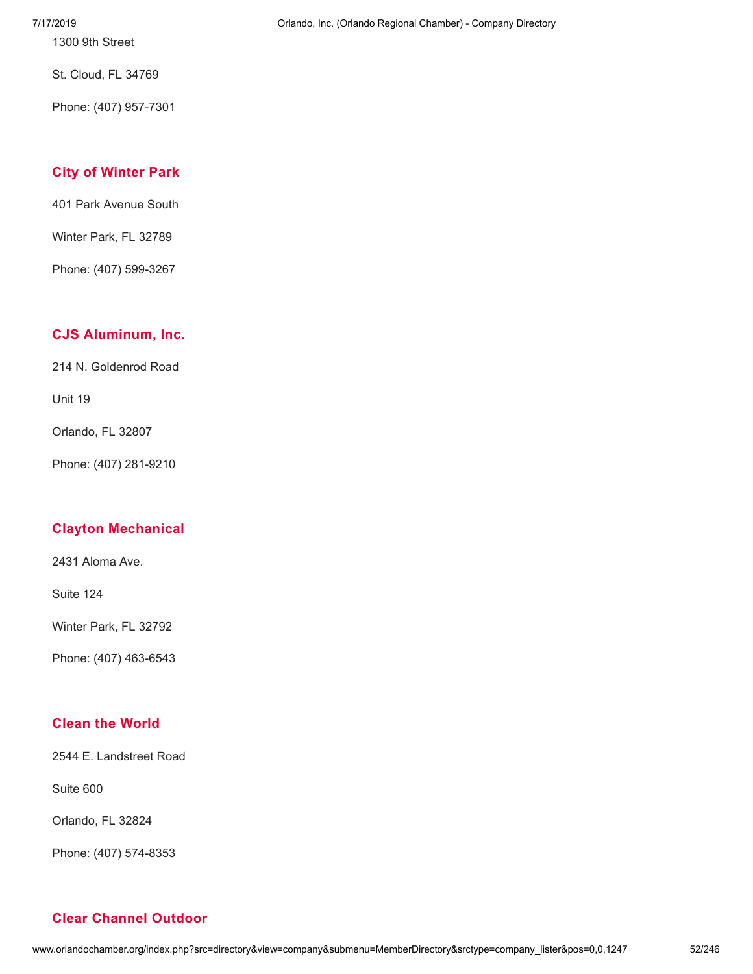7/17/2019 Orlando, Inc. (Orlando Regional Chamber) - Company Directory

1300 9th Street

St. Cloud, FL 34769

Phone: (407) 957-7301

# **City of [Winter](http://www.orlandochamber.org/index.php?src=directory&view=company&submenu=MemberDirectory&refno=2776955&srctype=company_detail) Park**

401 Park Avenue South

Winter Park, FL 32789

Phone: (407) 599-3267

# **CJS [Aluminum,](http://www.orlandochamber.org/index.php?src=directory&view=company&submenu=MemberDirectory&refno=2776956&srctype=company_detail) Inc.**

214 N. Goldenrod Road

Unit 19

Orlando, FL 32807

Phone: (407) 281-9210

# **Clayton [Mechanical](http://www.orlandochamber.org/index.php?src=directory&view=company&submenu=MemberDirectory&refno=2776957&srctype=company_detail)**

2431 Aloma Ave.

Suite 124

Winter Park, FL 32792

Phone: (407) 463-6543

# **Clean the [World](http://www.orlandochamber.org/index.php?src=directory&view=company&submenu=MemberDirectory&refno=2776958&srctype=company_detail)**

2544 E. Landstreet Road

Suite 600

Orlando, FL 32824

Phone: (407) 574-8353

# **Clear [Channel](http://www.orlandochamber.org/index.php?src=directory&view=company&submenu=MemberDirectory&refno=2776959&srctype=company_detail) Outdoor**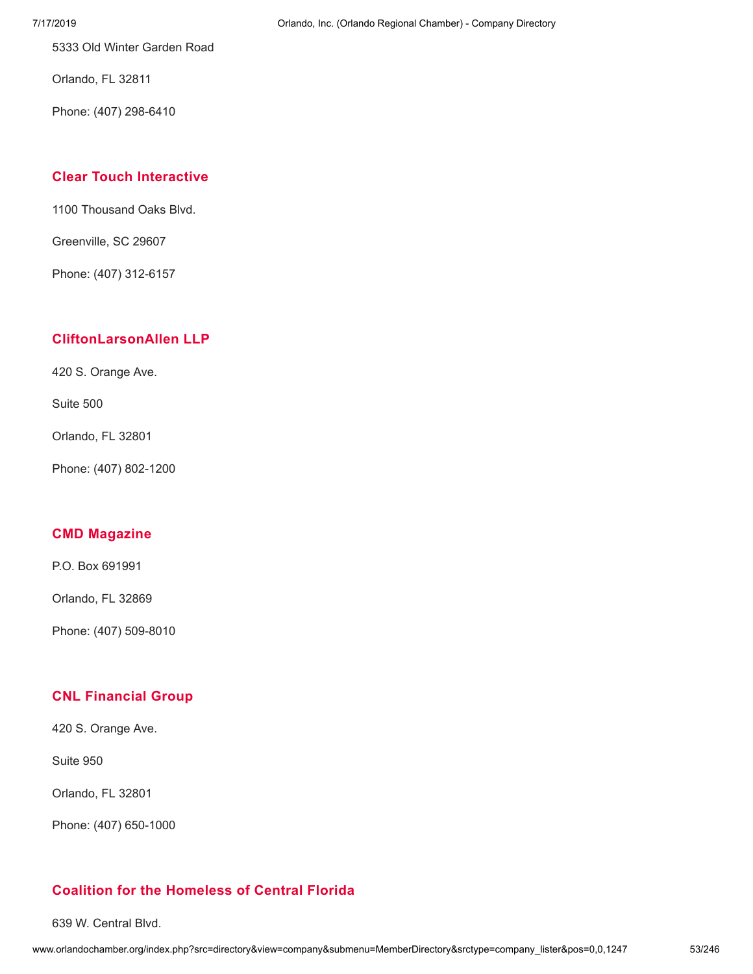5333 Old Winter Garden Road

Orlando, FL 32811

Phone: (407) 298-6410

# **Clear Touch [Interactive](http://www.orlandochamber.org/index.php?src=directory&view=company&submenu=MemberDirectory&refno=2776960&srctype=company_detail)**

1100 Thousand Oaks Blvd.

Greenville, SC 29607

Phone: (407) 312-6157

# **[CliftonLarsonAllen](http://www.orlandochamber.org/index.php?src=directory&view=company&submenu=MemberDirectory&refno=2776961&srctype=company_detail) LLP**

420 S. Orange Ave.

Suite 500

Orlando, FL 32801

Phone: (407) 802-1200

### **CMD [Magazine](http://www.orlandochamber.org/index.php?src=directory&view=company&submenu=MemberDirectory&refno=2776962&srctype=company_detail)**

P.O. Box 691991

Orlando, FL 32869

Phone: (407) 509-8010

# **CNL [Financial](http://www.orlandochamber.org/index.php?src=directory&view=company&submenu=MemberDirectory&refno=2776963&srctype=company_detail) Group**

420 S. Orange Ave.

Suite 950

Orlando, FL 32801

Phone: (407) 650-1000

# **Coalition for the [Homeless](http://www.orlandochamber.org/index.php?src=directory&view=company&submenu=MemberDirectory&refno=2776964&srctype=company_detail) of Central Florida**

639 W. Central Blvd.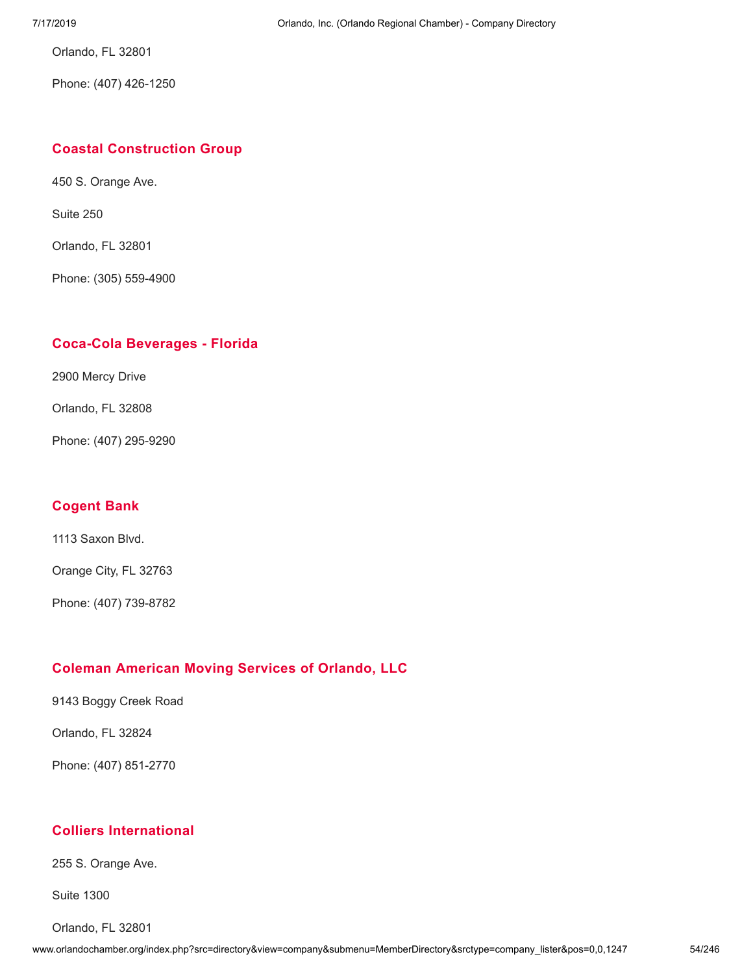Orlando, FL 32801

Phone: (407) 426-1250

### **Coastal [Construction](http://www.orlandochamber.org/index.php?src=directory&view=company&submenu=MemberDirectory&refno=2776965&srctype=company_detail) Group**

450 S. Orange Ave.

Suite 250

Orlando, FL 32801

Phone: (305) 559-4900

### **Coca-Cola [Beverages](http://www.orlandochamber.org/index.php?src=directory&view=company&submenu=MemberDirectory&refno=2776966&srctype=company_detail) - Florida**

2900 Mercy Drive

Orlando, FL 32808

Phone: (407) 295-9290

#### **[Cogent](http://www.orlandochamber.org/index.php?src=directory&view=company&submenu=MemberDirectory&refno=2776967&srctype=company_detail) Bank**

1113 Saxon Blvd.

Orange City, FL 32763

Phone: (407) 739-8782

# **Coleman [American](http://www.orlandochamber.org/index.php?src=directory&view=company&submenu=MemberDirectory&refno=2776968&srctype=company_detail) Moving Services of Orlando, LLC**

9143 Boggy Creek Road

Orlando, FL 32824

Phone: (407) 851-2770

# **Colliers [International](http://www.orlandochamber.org/index.php?src=directory&view=company&submenu=MemberDirectory&refno=2776969&srctype=company_detail)**

255 S. Orange Ave.

Suite 1300

Orlando, FL 32801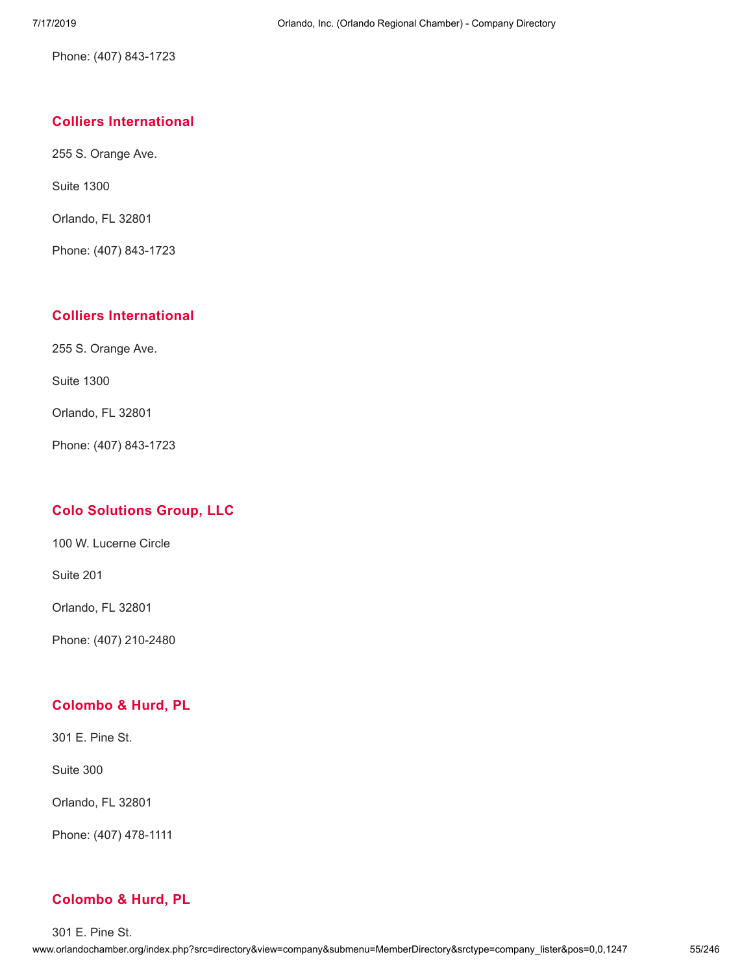Phone: (407) 843-1723

# **Colliers [International](http://www.orlandochamber.org/index.php?src=directory&view=company&submenu=MemberDirectory&refno=2776970&srctype=company_detail)**

255 S. Orange Ave.

Suite 1300

Orlando, FL 32801

Phone: (407) 843-1723

### **Colliers [International](http://www.orlandochamber.org/index.php?src=directory&view=company&submenu=MemberDirectory&refno=2776971&srctype=company_detail)**

255 S. Orange Ave.

Suite 1300

Orlando, FL 32801

Phone: (407) 843-1723

# **Colo [Solutions](http://www.orlandochamber.org/index.php?src=directory&view=company&submenu=MemberDirectory&refno=2776975&srctype=company_detail) Group, LLC**

100 W. Lucerne Circle

Suite 201

Orlando, FL 32801

Phone: (407) 210-2480

# **[Colombo](http://www.orlandochamber.org/index.php?src=directory&view=company&submenu=MemberDirectory&refno=2776972&srctype=company_detail) & Hurd, PL**

301 E. Pine St.

Suite 300

Orlando, FL 32801

Phone: (407) 478-1111

# **[Colombo](http://www.orlandochamber.org/index.php?src=directory&view=company&submenu=MemberDirectory&refno=2776973&srctype=company_detail) & Hurd, PL**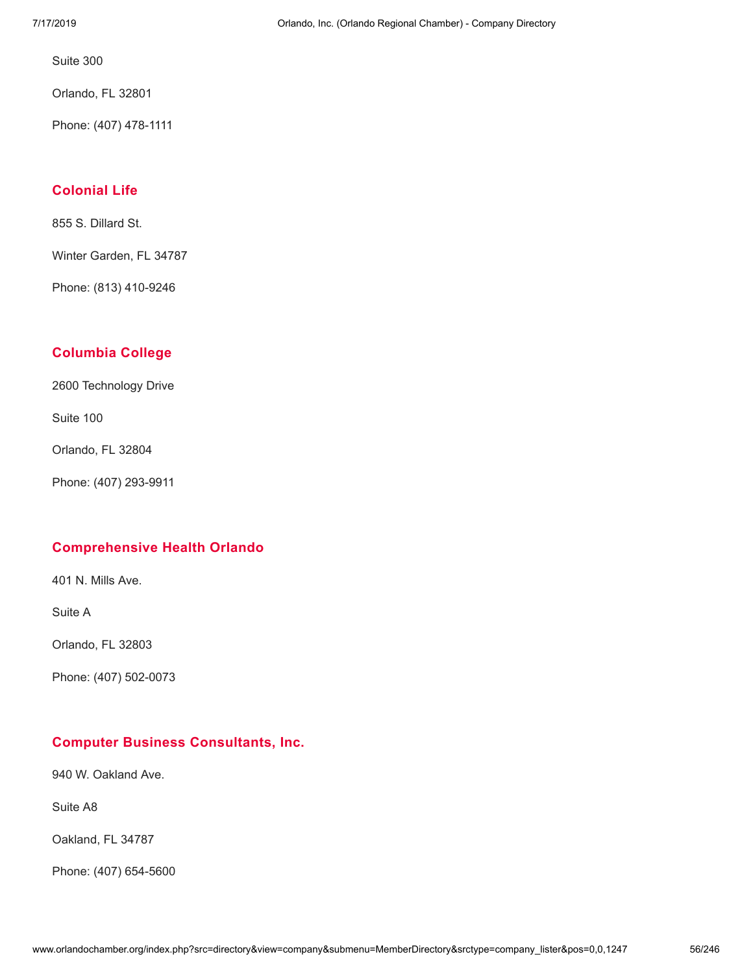Suite 300

Orlando, FL 32801

Phone: (407) 478-1111

# **[Colonial](http://www.orlandochamber.org/index.php?src=directory&view=company&submenu=MemberDirectory&refno=2776974&srctype=company_detail) Life**

855 S. Dillard St.

Winter Garden, FL 34787

Phone: (813) 410-9246

# **[Columbia](http://www.orlandochamber.org/index.php?src=directory&view=company&submenu=MemberDirectory&refno=2776976&srctype=company_detail) College**

2600 Technology Drive

Suite 100

Orlando, FL 32804

Phone: (407) 293-9911

# **[Comprehensive](http://www.orlandochamber.org/index.php?src=directory&view=company&submenu=MemberDirectory&refno=2776977&srctype=company_detail) Health Orlando**

401 N. Mills Ave.

Suite A

Orlando, FL 32803

Phone: (407) 502-0073

# **Computer Business [Consultants,](http://www.orlandochamber.org/index.php?src=directory&view=company&submenu=MemberDirectory&refno=2776978&srctype=company_detail) Inc.**

940 W. Oakland Ave.

Suite A8

Oakland, FL 34787

Phone: (407) 654-5600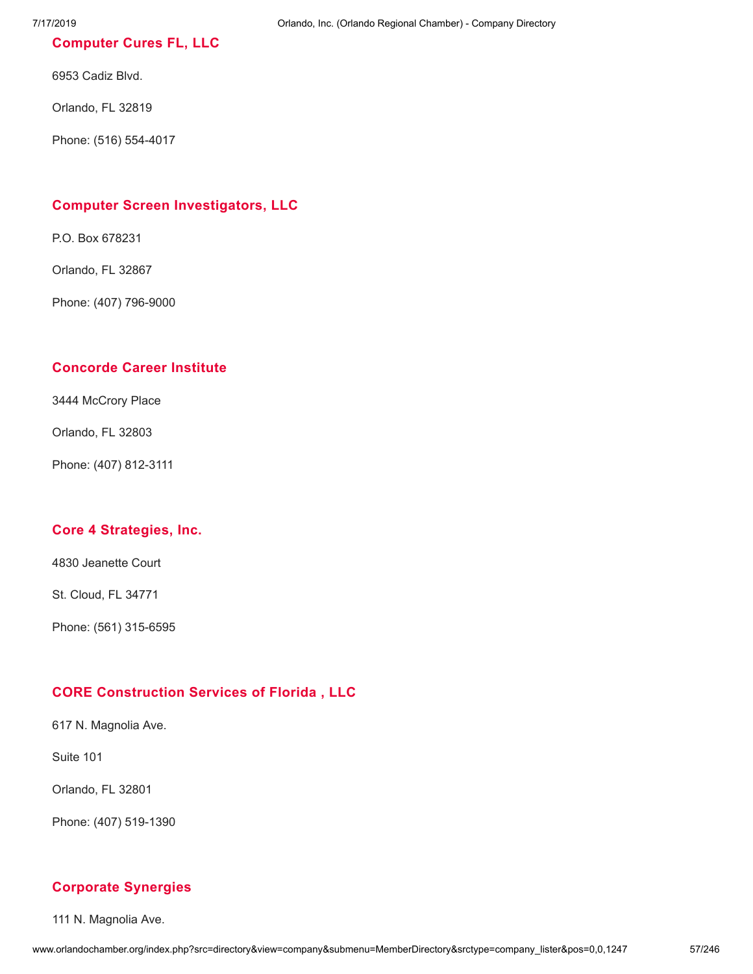# **[Computer](http://www.orlandochamber.org/index.php?src=directory&view=company&submenu=MemberDirectory&refno=2776979&srctype=company_detail) Cures FL, LLC**

6953 Cadiz Blvd.

Orlando, FL 32819

Phone: (516) 554-4017

# **Computer Screen [Investigators,](http://www.orlandochamber.org/index.php?src=directory&view=company&submenu=MemberDirectory&refno=2776980&srctype=company_detail) LLC**

P.O. Box 678231

Orlando, FL 32867

Phone: (407) 796-9000

### **[Concorde](http://www.orlandochamber.org/index.php?src=directory&view=company&submenu=MemberDirectory&refno=2776981&srctype=company_detail) Career Institute**

3444 McCrory Place

Orlando, FL 32803

Phone: (407) 812-3111

#### **Core 4 [Strategies,](http://www.orlandochamber.org/index.php?src=directory&view=company&submenu=MemberDirectory&refno=2776982&srctype=company_detail) Inc.**

4830 Jeanette Court

St. Cloud, FL 34771

Phone: (561) 315-6595

# **CORE [Construction](http://www.orlandochamber.org/index.php?src=directory&view=company&submenu=MemberDirectory&refno=2776983&srctype=company_detail) Services of Florida , LLC**

617 N. Magnolia Ave.

Suite 101

Orlando, FL 32801

Phone: (407) 519-1390

#### **Corporate [Synergies](http://www.orlandochamber.org/index.php?src=directory&view=company&submenu=MemberDirectory&refno=2776984&srctype=company_detail)**

111 N. Magnolia Ave.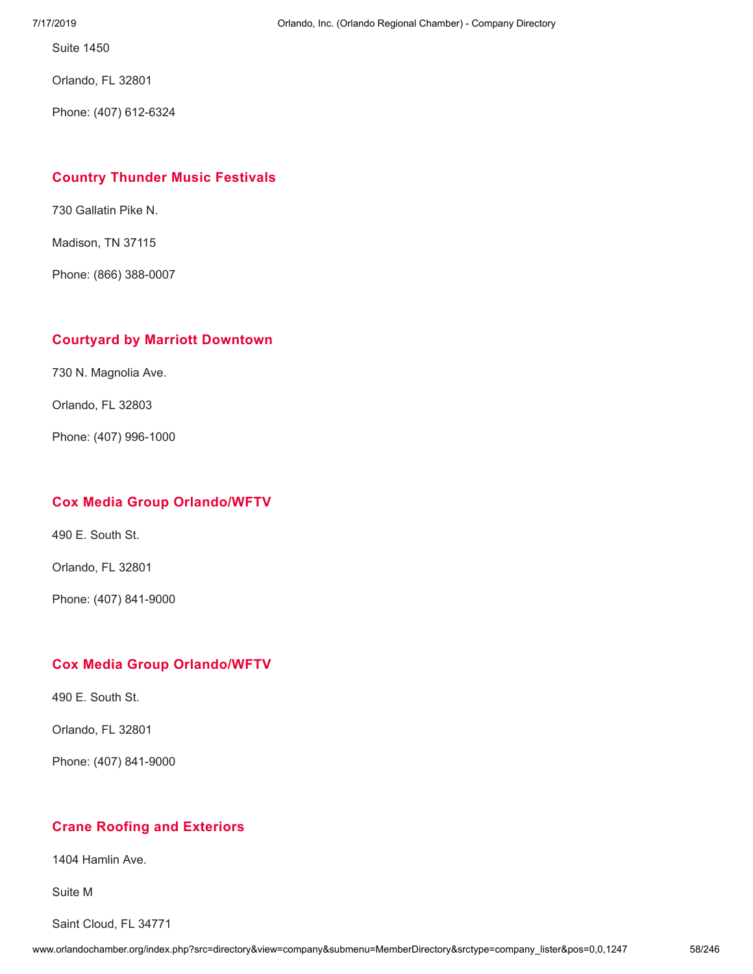Suite 1450

Orlando, FL 32801

Phone: (407) 612-6324

### **Country Thunder Music [Festivals](http://www.orlandochamber.org/index.php?src=directory&view=company&submenu=MemberDirectory&refno=2776985&srctype=company_detail)**

730 Gallatin Pike N.

Madison, TN 37115

Phone: (866) 388-0007

#### **Courtyard by Marriott [Downtown](http://www.orlandochamber.org/index.php?src=directory&view=company&submenu=MemberDirectory&refno=2776986&srctype=company_detail)**

730 N. Magnolia Ave.

Orlando, FL 32803

Phone: (407) 996-1000

### **Cox Media Group [Orlando/WFTV](http://www.orlandochamber.org/index.php?src=directory&view=company&submenu=MemberDirectory&refno=2776987&srctype=company_detail)**

490 E. South St.

Orlando, FL 32801

Phone: (407) 841-9000

### **Cox Media Group [Orlando/WFTV](http://www.orlandochamber.org/index.php?src=directory&view=company&submenu=MemberDirectory&refno=2776988&srctype=company_detail)**

490 E. South St.

Orlando, FL 32801

Phone: (407) 841-9000

# **Crane Roofing and [Exteriors](http://www.orlandochamber.org/index.php?src=directory&view=company&submenu=MemberDirectory&refno=2776989&srctype=company_detail)**

1404 Hamlin Ave.

Suite M

Saint Cloud, FL 34771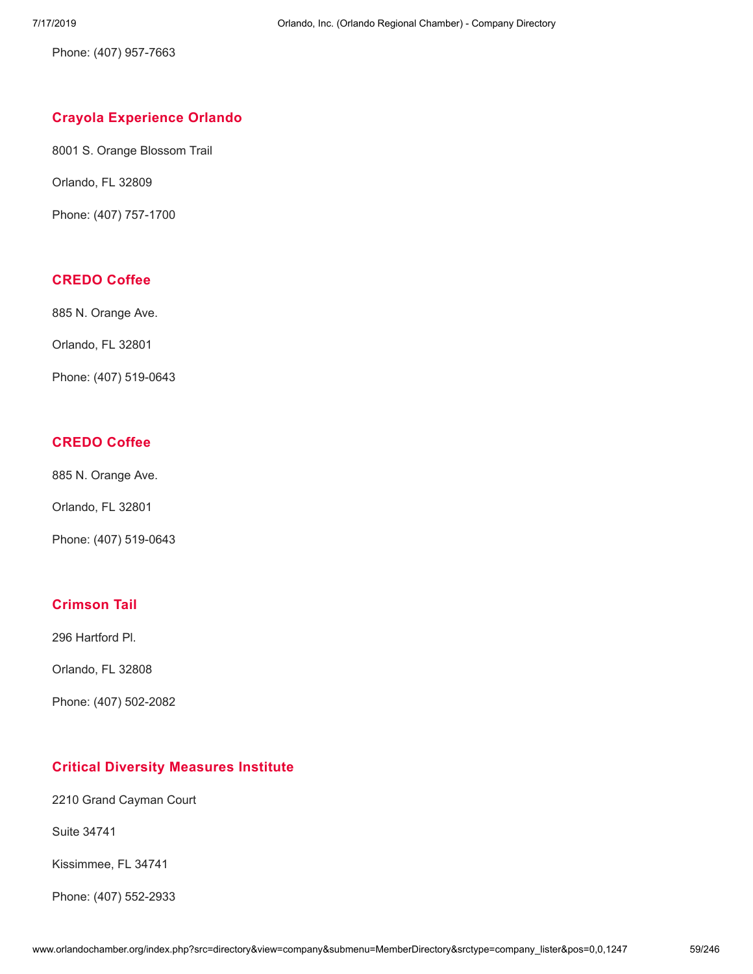Phone: (407) 957-7663

# **Crayola [Experience](http://www.orlandochamber.org/index.php?src=directory&view=company&submenu=MemberDirectory&refno=2776990&srctype=company_detail) Orlando**

8001 S. Orange Blossom Trail

Orlando, FL 32809

Phone: (407) 757-1700

# **[CREDO](http://www.orlandochamber.org/index.php?src=directory&view=company&submenu=MemberDirectory&refno=2776991&srctype=company_detail) Coffee**

885 N. Orange Ave.

Orlando, FL 32801

Phone: (407) 519-0643

# **[CREDO](http://www.orlandochamber.org/index.php?src=directory&view=company&submenu=MemberDirectory&refno=2776992&srctype=company_detail) Coffee**

885 N. Orange Ave.

Orlando, FL 32801

Phone: (407) 519-0643

# **[Crimson](http://www.orlandochamber.org/index.php?src=directory&view=company&submenu=MemberDirectory&refno=2776993&srctype=company_detail) Tail**

296 Hartford Pl.

Orlando, FL 32808

Phone: (407) 502-2082

# **Critical Diversity [Measures](http://www.orlandochamber.org/index.php?src=directory&view=company&submenu=MemberDirectory&refno=2776994&srctype=company_detail) Institute**

2210 Grand Cayman Court

Suite 34741

Kissimmee, FL 34741

Phone: (407) 552-2933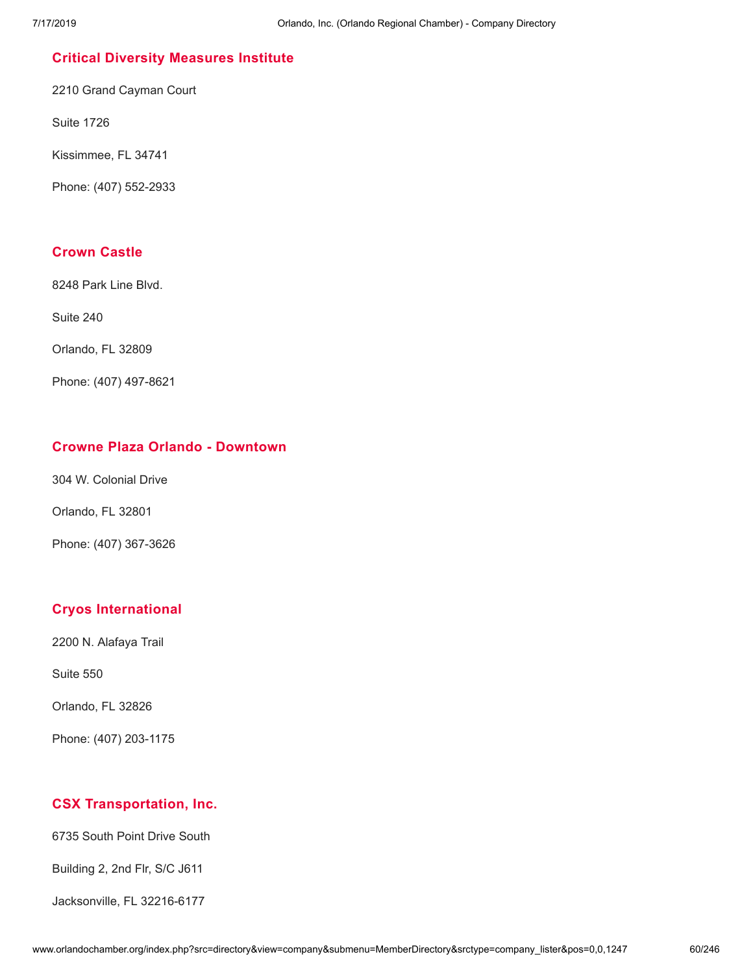# **Critical Diversity [Measures](http://www.orlandochamber.org/index.php?src=directory&view=company&submenu=MemberDirectory&refno=2776995&srctype=company_detail) Institute**

2210 Grand Cayman Court

Suite 1726

Kissimmee, FL 34741

Phone: (407) 552-2933

### **[Crown](http://www.orlandochamber.org/index.php?src=directory&view=company&submenu=MemberDirectory&refno=2776996&srctype=company_detail) Castle**

8248 Park Line Blvd.

Suite 240

Orlando, FL 32809

Phone: (407) 497-8621

### **Crowne Plaza Orlando - [Downtown](http://www.orlandochamber.org/index.php?src=directory&view=company&submenu=MemberDirectory&refno=2776997&srctype=company_detail)**

304 W. Colonial Drive

Orlando, FL 32801

Phone: (407) 367-3626

# **Cryos [International](http://www.orlandochamber.org/index.php?src=directory&view=company&submenu=MemberDirectory&refno=2776998&srctype=company_detail)**

2200 N. Alafaya Trail

Suite 550

Orlando, FL 32826

Phone: (407) 203-1175

# **CSX [Transportation,](http://www.orlandochamber.org/index.php?src=directory&view=company&submenu=MemberDirectory&refno=2776999&srctype=company_detail) Inc.**

6735 South Point Drive South

Building 2, 2nd Flr, S/C J611

Jacksonville, FL 32216-6177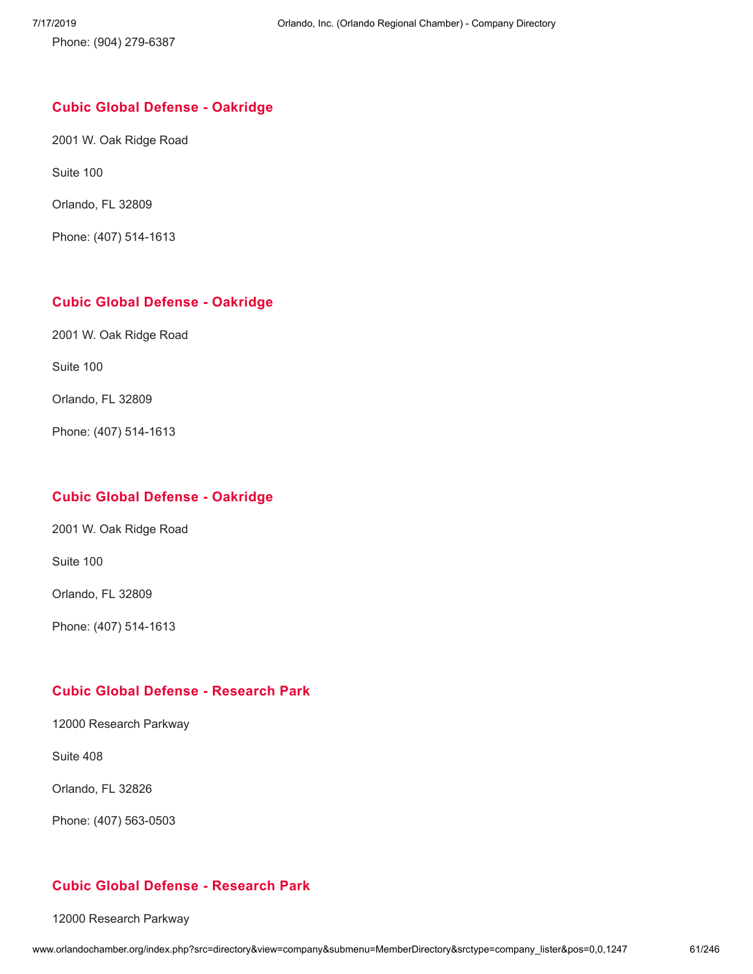Phone: (904) 279-6387

#### **Cubic Global Defense - [Oakridge](http://www.orlandochamber.org/index.php?src=directory&view=company&submenu=MemberDirectory&refno=2777000&srctype=company_detail)**

2001 W. Oak Ridge Road

Suite 100

Orlando, FL 32809

Phone: (407) 514-1613

# **Cubic Global Defense - [Oakridge](http://www.orlandochamber.org/index.php?src=directory&view=company&submenu=MemberDirectory&refno=2777001&srctype=company_detail)**

2001 W. Oak Ridge Road

Suite 100

Orlando, FL 32809

Phone: (407) 514-1613

# **Cubic Global Defense - [Oakridge](http://www.orlandochamber.org/index.php?src=directory&view=company&submenu=MemberDirectory&refno=2777002&srctype=company_detail)**

2001 W. Oak Ridge Road

Suite 100

Orlando, FL 32809

Phone: (407) 514-1613

# **Cubic Global Defense - [Research](http://www.orlandochamber.org/index.php?src=directory&view=company&submenu=MemberDirectory&refno=2777003&srctype=company_detail) Park**

12000 Research Parkway

Suite 408

Orlando, FL 32826

Phone: (407) 563-0503

# **Cubic Global Defense - [Research](http://www.orlandochamber.org/index.php?src=directory&view=company&submenu=MemberDirectory&refno=2777004&srctype=company_detail) Park**

12000 Research Parkway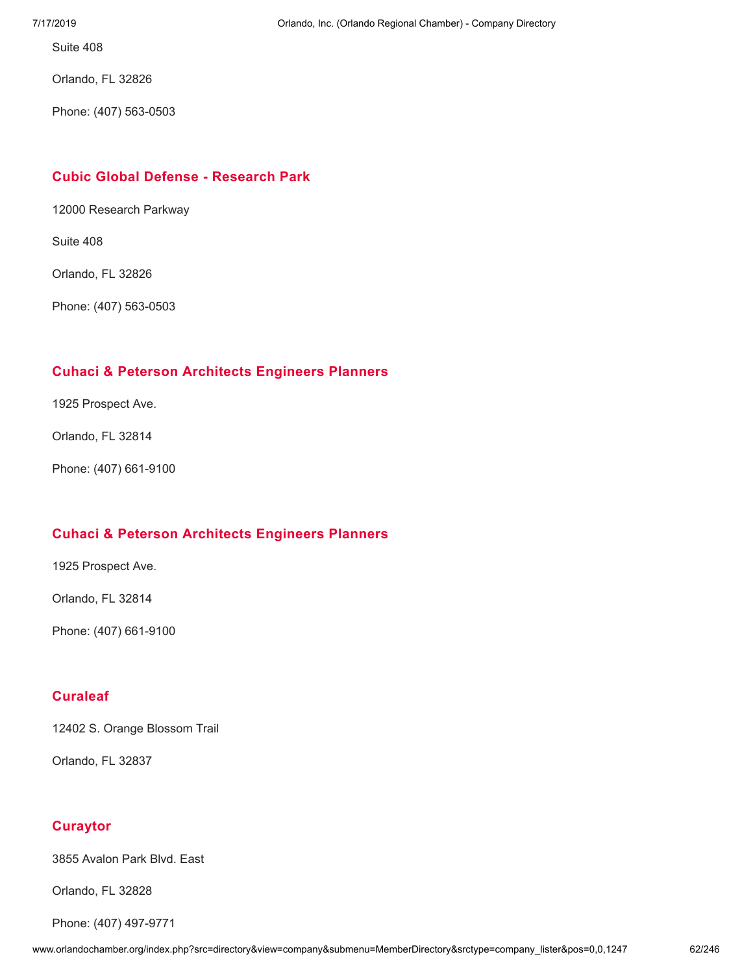Suite 408

Orlando, FL 32826

Phone: (407) 563-0503

### **Cubic Global Defense - [Research](http://www.orlandochamber.org/index.php?src=directory&view=company&submenu=MemberDirectory&refno=2777005&srctype=company_detail) Park**

12000 Research Parkway

Suite 408

Orlando, FL 32826

Phone: (407) 563-0503

### **Cuhaci & Peterson [Architects](http://www.orlandochamber.org/index.php?src=directory&view=company&submenu=MemberDirectory&refno=2777006&srctype=company_detail) Engineers Planners**

1925 Prospect Ave.

Orlando, FL 32814

Phone: (407) 661-9100

#### **Cuhaci & Peterson [Architects](http://www.orlandochamber.org/index.php?src=directory&view=company&submenu=MemberDirectory&refno=2777007&srctype=company_detail) Engineers Planners**

1925 Prospect Ave.

Orlando, FL 32814

Phone: (407) 661-9100

# **[Curaleaf](http://www.orlandochamber.org/index.php?src=directory&view=company&submenu=MemberDirectory&refno=2777008&srctype=company_detail)**

12402 S. Orange Blossom Trail

Orlando, FL 32837

# **[Curaytor](http://www.orlandochamber.org/index.php?src=directory&view=company&submenu=MemberDirectory&refno=2777009&srctype=company_detail)**

3855 Avalon Park Blvd. East

Orlando, FL 32828

Phone: (407) 497-9771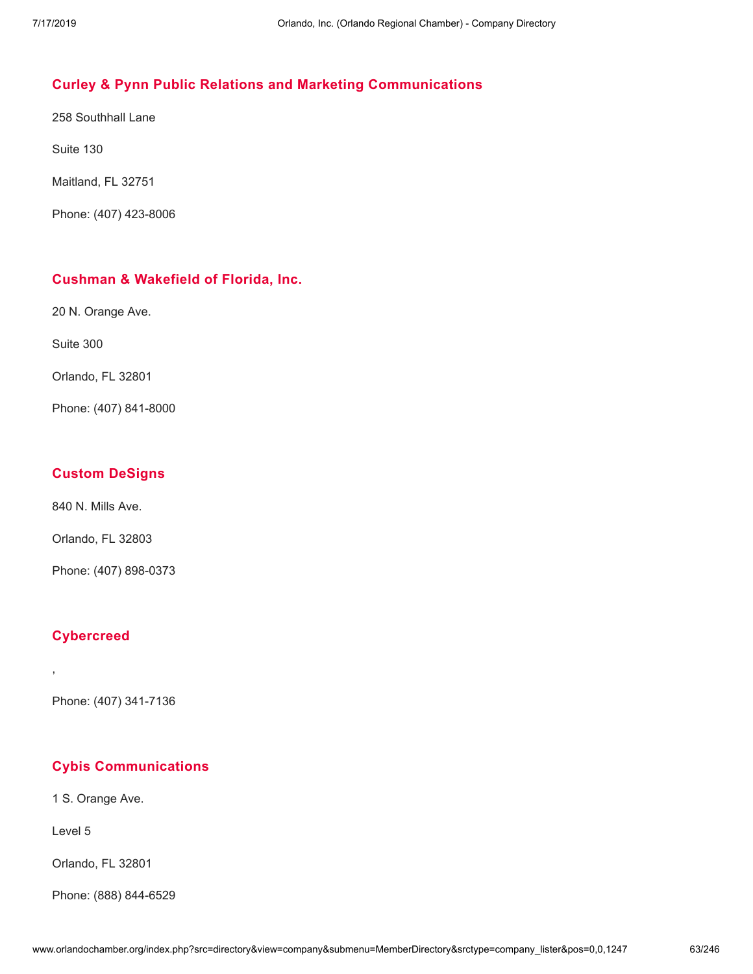# **Curley & Pynn Public Relations and Marketing [Communications](http://www.orlandochamber.org/index.php?src=directory&view=company&submenu=MemberDirectory&refno=2777010&srctype=company_detail)**

258 Southhall Lane

Suite 130

Maitland, FL 32751

Phone: (407) 423-8006

#### **Cushman & [Wakefield](http://www.orlandochamber.org/index.php?src=directory&view=company&submenu=MemberDirectory&refno=2777011&srctype=company_detail) of Florida, Inc.**

20 N. Orange Ave.

Suite 300

Orlando, FL 32801

Phone: (407) 841-8000

### **Custom [DeSigns](http://www.orlandochamber.org/index.php?src=directory&view=company&submenu=MemberDirectory&refno=2777012&srctype=company_detail)**

840 N. Mills Ave.

Orlando, FL 32803

Phone: (407) 898-0373

# **[Cybercreed](http://www.orlandochamber.org/index.php?src=directory&view=company&submenu=MemberDirectory&refno=2777013&srctype=company_detail)**

,

Phone: (407) 341-7136

# **Cybis [Communications](http://www.orlandochamber.org/index.php?src=directory&view=company&submenu=MemberDirectory&refno=2777014&srctype=company_detail)**

1 S. Orange Ave.

Level 5

Orlando, FL 32801

Phone: (888) 844-6529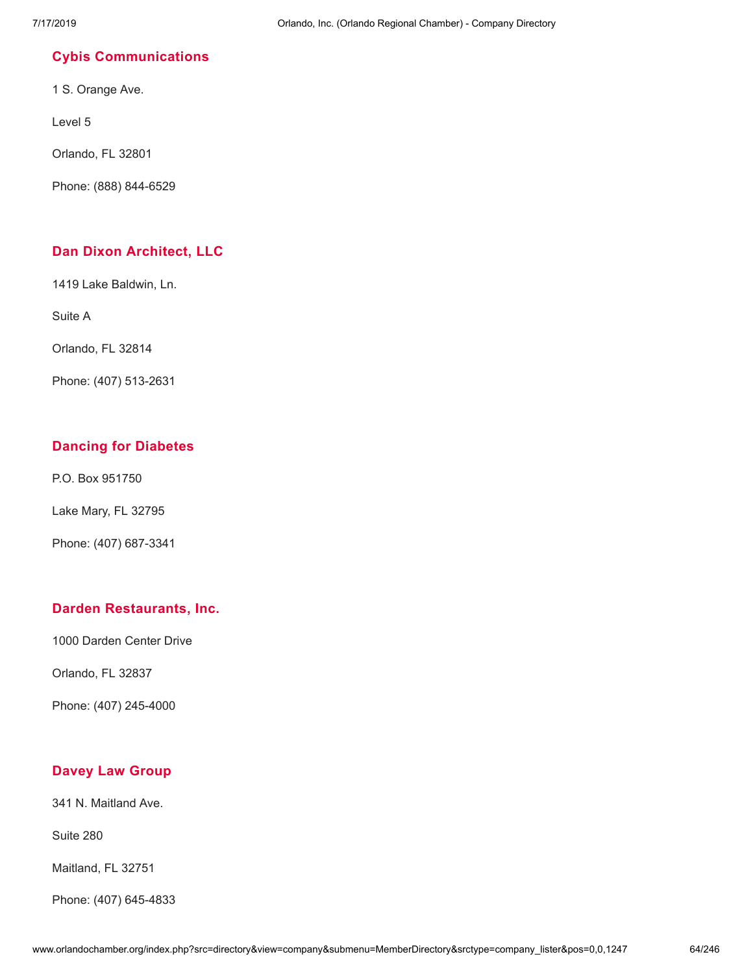# **Cybis [Communications](http://www.orlandochamber.org/index.php?src=directory&view=company&submenu=MemberDirectory&refno=2777015&srctype=company_detail)**

1 S. Orange Ave.

Level 5

Orlando, FL 32801

Phone: (888) 844-6529

# **Dan Dixon [Architect,](http://www.orlandochamber.org/index.php?src=directory&view=company&submenu=MemberDirectory&refno=2777017&srctype=company_detail) LLC**

1419 Lake Baldwin, Ln.

Suite A

Orlando, FL 32814

Phone: (407) 513-2631

# **Dancing for [Diabetes](http://www.orlandochamber.org/index.php?src=directory&view=company&submenu=MemberDirectory&refno=2777016&srctype=company_detail)**

P.O. Box 951750

Lake Mary, FL 32795

Phone: (407) 687-3341

# **Darden [Restaurants,](http://www.orlandochamber.org/index.php?src=directory&view=company&submenu=MemberDirectory&refno=2777018&srctype=company_detail) Inc.**

1000 Darden Center Drive

Orlando, FL 32837

Phone: (407) 245-4000

# **Davey Law [Group](http://www.orlandochamber.org/index.php?src=directory&view=company&submenu=MemberDirectory&refno=2777019&srctype=company_detail)**

341 N. Maitland Ave.

Suite 280

Maitland, FL 32751

Phone: (407) 645-4833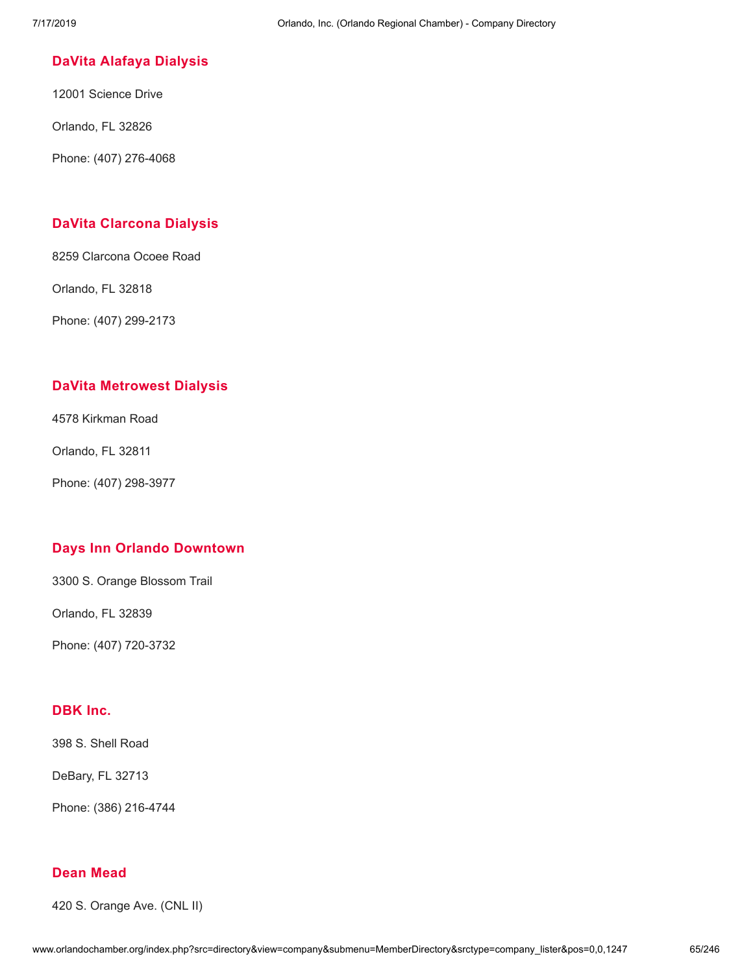### **DaVita Alafaya [Dialysis](http://www.orlandochamber.org/index.php?src=directory&view=company&submenu=MemberDirectory&refno=2777020&srctype=company_detail)**

12001 Science Drive

Orlando, FL 32826

Phone: (407) 276-4068

### **DaVita [Clarcona](http://www.orlandochamber.org/index.php?src=directory&view=company&submenu=MemberDirectory&refno=2777021&srctype=company_detail) Dialysis**

8259 Clarcona Ocoee Road

Orlando, FL 32818

Phone: (407) 299-2173

### **DaVita [Metrowest](http://www.orlandochamber.org/index.php?src=directory&view=company&submenu=MemberDirectory&refno=2777022&srctype=company_detail) Dialysis**

4578 Kirkman Road

Orlando, FL 32811

Phone: (407) 298-3977

#### **Days Inn Orlando [Downtown](http://www.orlandochamber.org/index.php?src=directory&view=company&submenu=MemberDirectory&refno=2777023&srctype=company_detail)**

3300 S. Orange Blossom Trail

Orlando, FL 32839

Phone: (407) 720-3732

# **[DBK](http://www.orlandochamber.org/index.php?src=directory&view=company&submenu=MemberDirectory&refno=2777024&srctype=company_detail) Inc.**

398 S. Shell Road

DeBary, FL 32713

Phone: (386) 216-4744

### **Dean [Mead](http://www.orlandochamber.org/index.php?src=directory&view=company&submenu=MemberDirectory&refno=2777025&srctype=company_detail)**

420 S. Orange Ave. (CNL II)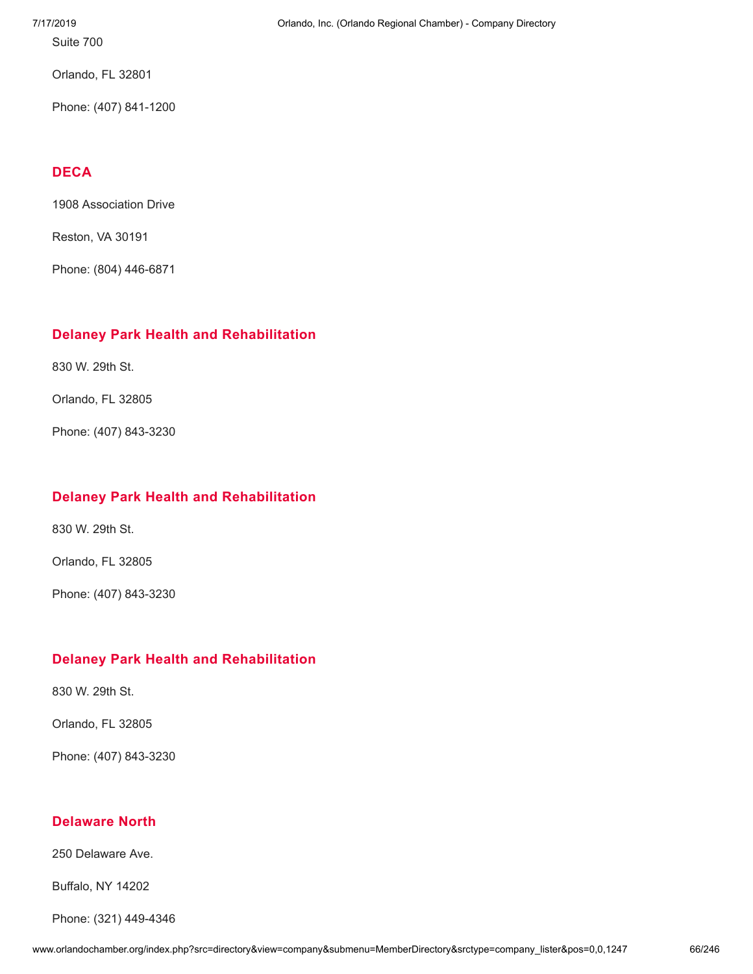Suite 700

Orlando, FL 32801

Phone: (407) 841-1200

# **[DECA](http://www.orlandochamber.org/index.php?src=directory&view=company&submenu=MemberDirectory&refno=2777026&srctype=company_detail)**

1908 Association Drive

Reston, VA 30191

Phone: (804) 446-6871

# **Delaney Park Health and [Rehabilitation](http://www.orlandochamber.org/index.php?src=directory&view=company&submenu=MemberDirectory&refno=2777027&srctype=company_detail)**

830 W. 29th St.

Orlando, FL 32805

Phone: (407) 843-3230

# **Delaney Park Health and [Rehabilitation](http://www.orlandochamber.org/index.php?src=directory&view=company&submenu=MemberDirectory&refno=2777028&srctype=company_detail)**

830 W. 29th St.

Orlando, FL 32805

Phone: (407) 843-3230

# **Delaney Park Health and [Rehabilitation](http://www.orlandochamber.org/index.php?src=directory&view=company&submenu=MemberDirectory&refno=2777029&srctype=company_detail)**

830 W. 29th St.

Orlando, FL 32805

Phone: (407) 843-3230

# **[Delaware](http://www.orlandochamber.org/index.php?src=directory&view=company&submenu=MemberDirectory&refno=2777030&srctype=company_detail) North**

250 Delaware Ave.

Buffalo, NY 14202

Phone: (321) 449-4346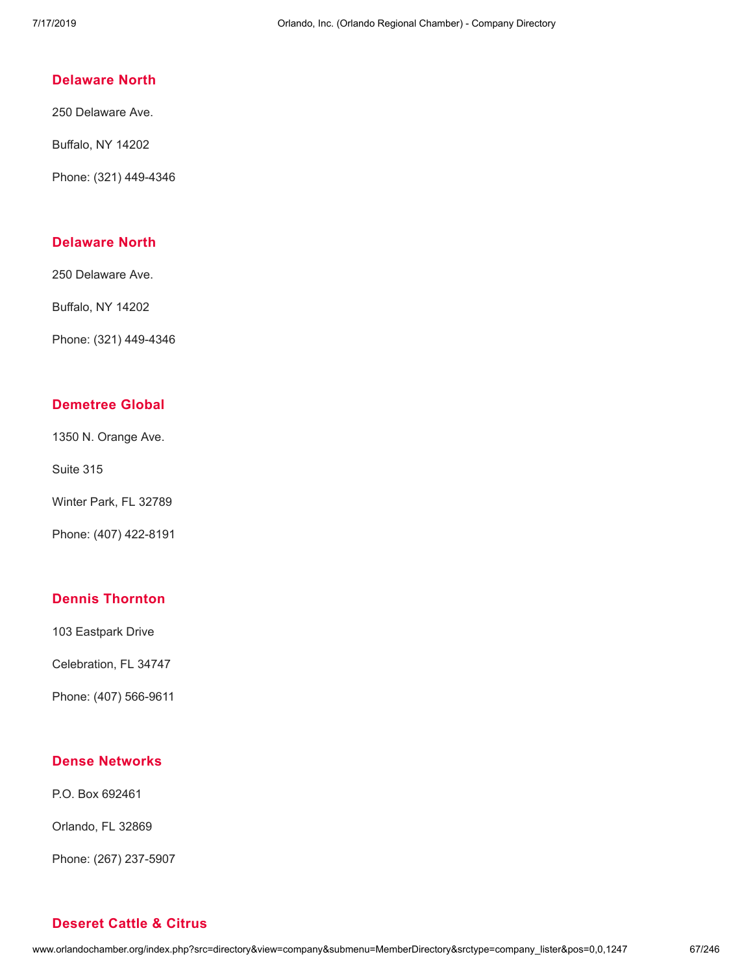### **[Delaware](http://www.orlandochamber.org/index.php?src=directory&view=company&submenu=MemberDirectory&refno=2777031&srctype=company_detail) North**

250 Delaware Ave.

Buffalo, NY 14202

Phone: (321) 449-4346

### **[Delaware](http://www.orlandochamber.org/index.php?src=directory&view=company&submenu=MemberDirectory&refno=2777032&srctype=company_detail) North**

250 Delaware Ave.

Buffalo, NY 14202

Phone: (321) 449-4346

### **[Demetree](http://www.orlandochamber.org/index.php?src=directory&view=company&submenu=MemberDirectory&refno=2777033&srctype=company_detail) Global**

1350 N. Orange Ave.

Suite 315

Winter Park, FL 32789

Phone: (407) 422-8191

# **Dennis [Thornton](http://www.orlandochamber.org/index.php?src=directory&view=company&submenu=MemberDirectory&refno=2777034&srctype=company_detail)**

103 Eastpark Drive

Celebration, FL 34747

Phone: (407) 566-9611

#### **Dense [Networks](http://www.orlandochamber.org/index.php?src=directory&view=company&submenu=MemberDirectory&refno=2777035&srctype=company_detail)**

P.O. Box 692461

Orlando, FL 32869

Phone: (267) 237-5907

# **[Deseret](http://www.orlandochamber.org/index.php?src=directory&view=company&submenu=MemberDirectory&refno=2777036&srctype=company_detail) Cattle & Citrus**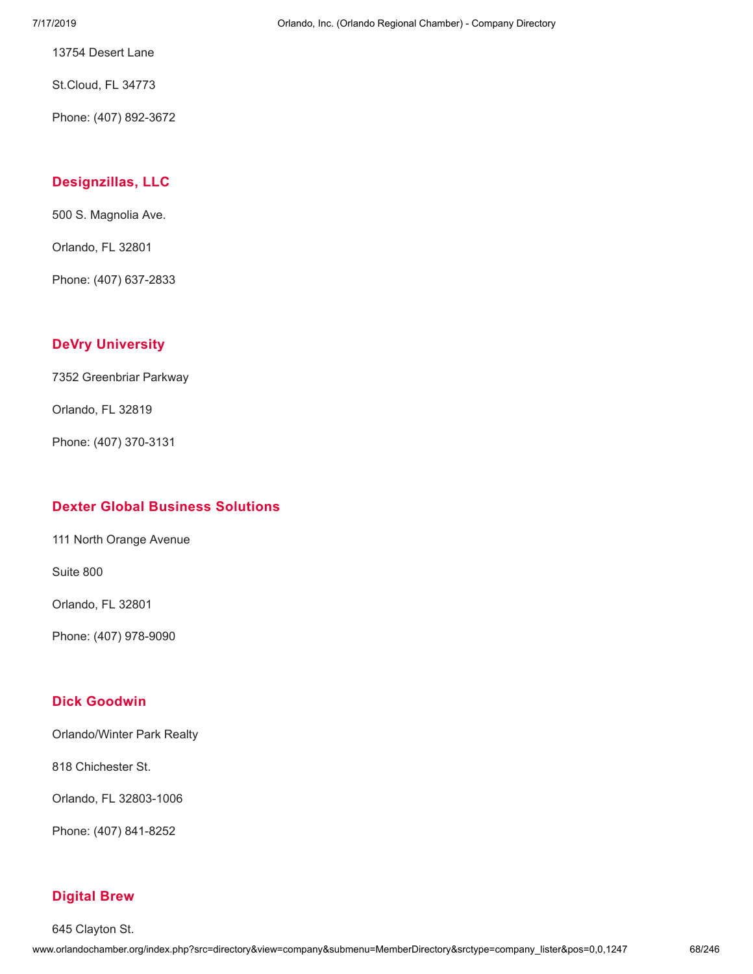13754 Desert Lane

St.Cloud, FL 34773

Phone: (407) 892-3672

# **[Designzillas,](http://www.orlandochamber.org/index.php?src=directory&view=company&submenu=MemberDirectory&refno=2777037&srctype=company_detail) LLC**

500 S. Magnolia Ave.

Orlando, FL 32801

Phone: (407) 637-2833

# **DeVry [University](http://www.orlandochamber.org/index.php?src=directory&view=company&submenu=MemberDirectory&refno=2777038&srctype=company_detail)**

7352 Greenbriar Parkway

Orlando, FL 32819

Phone: (407) 370-3131

# **Dexter Global Business [Solutions](http://www.orlandochamber.org/index.php?src=directory&view=company&submenu=MemberDirectory&refno=2777039&srctype=company_detail)**

111 North Orange Avenue

Suite 800

Orlando, FL 32801

Phone: (407) 978-9090

# **Dick [Goodwin](http://www.orlandochamber.org/index.php?src=directory&view=company&submenu=MemberDirectory&refno=2777040&srctype=company_detail)**

Orlando/Winter Park Realty

818 Chichester St.

Orlando, FL 32803-1006

Phone: (407) 841-8252

# **[Digital](http://www.orlandochamber.org/index.php?src=directory&view=company&submenu=MemberDirectory&refno=2777041&srctype=company_detail) Brew**

645 Clayton St.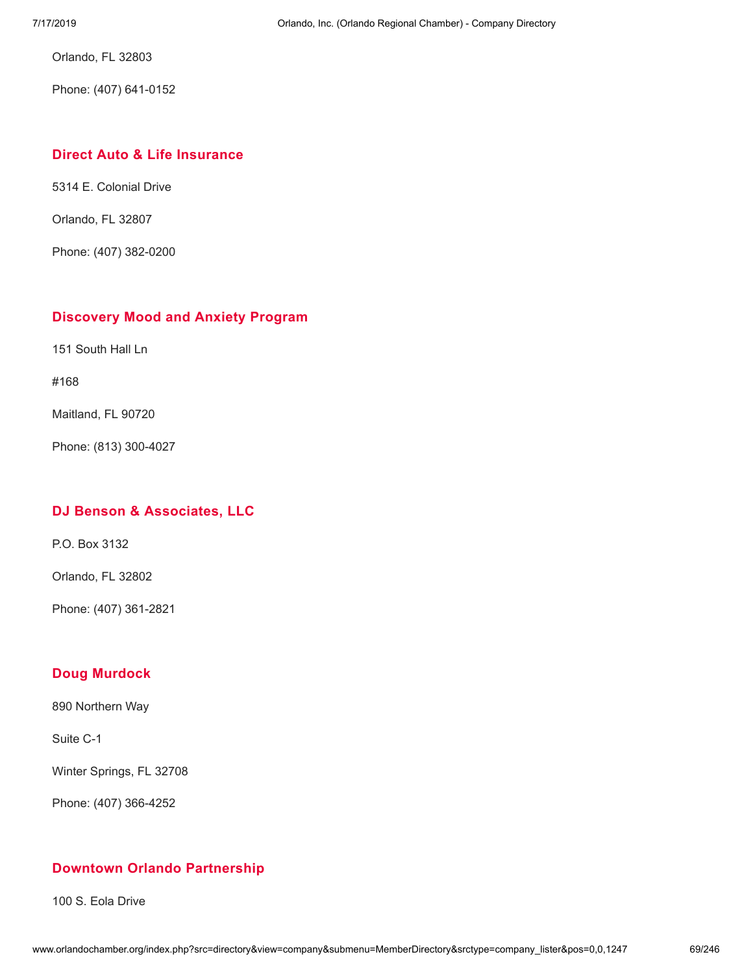Orlando, FL 32803

Phone: (407) 641-0152

### **Direct Auto & Life [Insurance](http://www.orlandochamber.org/index.php?src=directory&view=company&submenu=MemberDirectory&refno=2777042&srctype=company_detail)**

5314 E. Colonial Drive

Orlando, FL 32807

Phone: (407) 382-0200

### **[Discovery](http://www.orlandochamber.org/index.php?src=directory&view=company&submenu=MemberDirectory&refno=2777043&srctype=company_detail) Mood and Anxiety Program**

151 South Hall Ln

#168

Maitland, FL 90720

Phone: (813) 300-4027

# **DJ Benson & [Associates,](http://www.orlandochamber.org/index.php?src=directory&view=company&submenu=MemberDirectory&refno=2777044&srctype=company_detail) LLC**

P.O. Box 3132

Orlando, FL 32802

Phone: (407) 361-2821

# **Doug [Murdock](http://www.orlandochamber.org/index.php?src=directory&view=company&submenu=MemberDirectory&refno=2777045&srctype=company_detail)**

890 Northern Way

Suite C-1

Winter Springs, FL 32708

Phone: (407) 366-4252

# **Downtown Orlando [Partnership](http://www.orlandochamber.org/index.php?src=directory&view=company&submenu=MemberDirectory&refno=2777046&srctype=company_detail)**

100 S. Eola Drive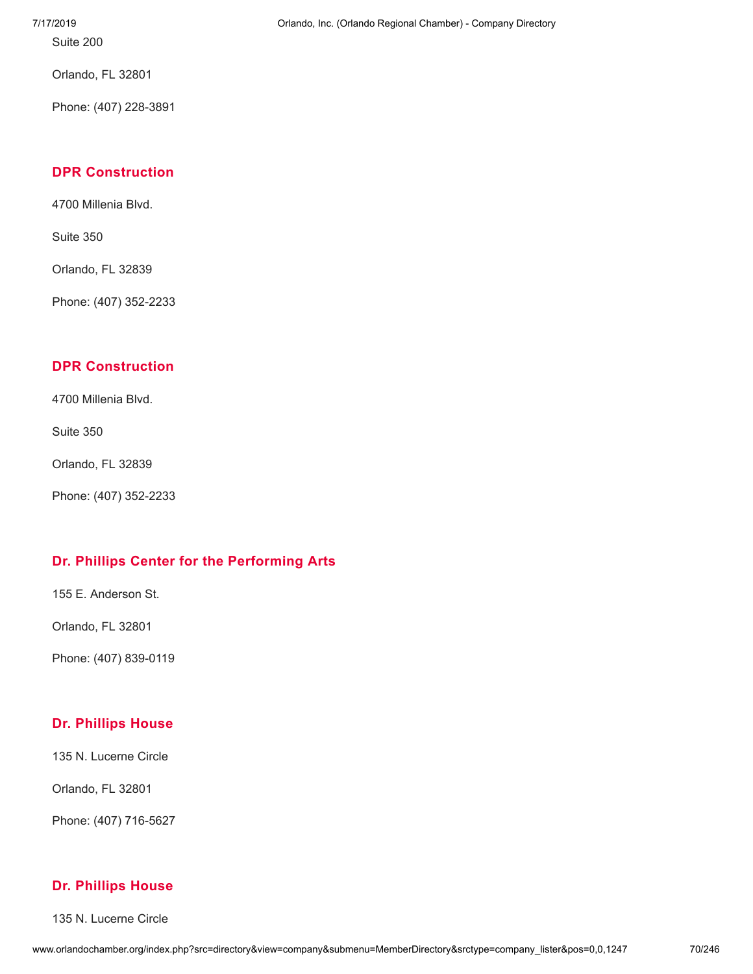Suite 200

Orlando, FL 32801

Phone: (407) 228-3891

# **DPR [Construction](http://www.orlandochamber.org/index.php?src=directory&view=company&submenu=MemberDirectory&refno=2777047&srctype=company_detail)**

4700 Millenia Blvd.

Suite 350

Orlando, FL 32839

Phone: (407) 352-2233

# **DPR [Construction](http://www.orlandochamber.org/index.php?src=directory&view=company&submenu=MemberDirectory&refno=2777048&srctype=company_detail)**

4700 Millenia Blvd.

Suite 350

Orlando, FL 32839

Phone: (407) 352-2233

# **Dr. Phillips Center for the [Performing](http://www.orlandochamber.org/index.php?src=directory&view=company&submenu=MemberDirectory&refno=2777049&srctype=company_detail) Arts**

155 E. Anderson St.

Orlando, FL 32801

Phone: (407) 839-0119

# **Dr. [Phillips](http://www.orlandochamber.org/index.php?src=directory&view=company&submenu=MemberDirectory&refno=2777050&srctype=company_detail) House**

135 N. Lucerne Circle

Orlando, FL 32801

Phone: (407) 716-5627

### **Dr. [Phillips](http://www.orlandochamber.org/index.php?src=directory&view=company&submenu=MemberDirectory&refno=2777051&srctype=company_detail) House**

135 N. Lucerne Circle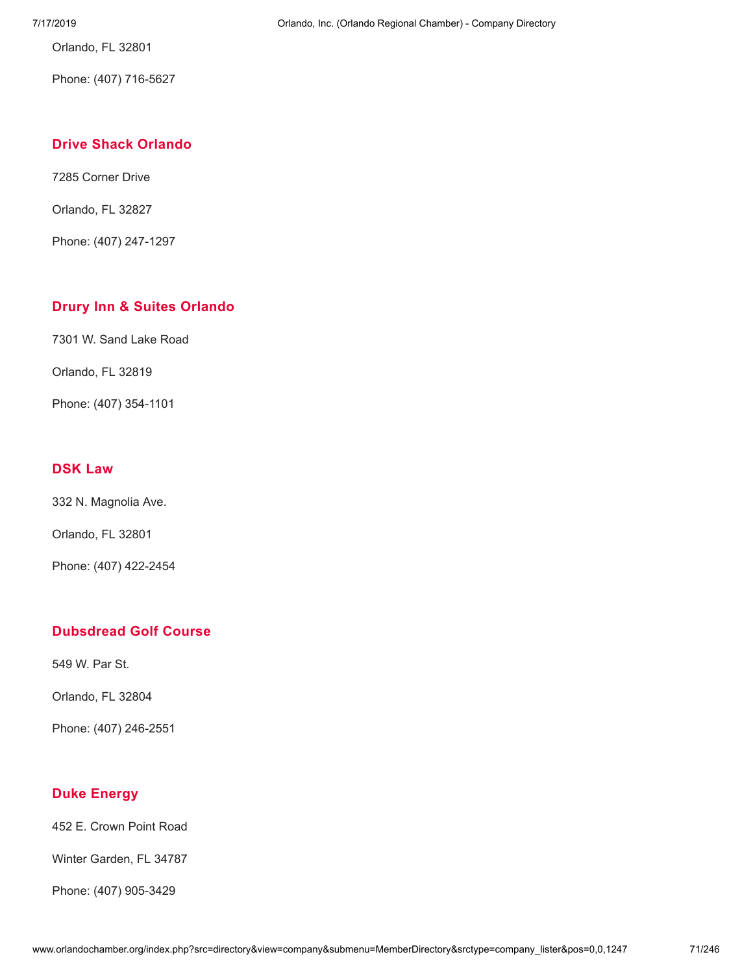Orlando, FL 32801

Phone: (407) 716-5627

# **Drive Shack [Orlando](http://www.orlandochamber.org/index.php?src=directory&view=company&submenu=MemberDirectory&refno=2777052&srctype=company_detail)**

7285 Corner Drive

Orlando, FL 32827

Phone: (407) 247-1297

# **Drury Inn & Suites [Orlando](http://www.orlandochamber.org/index.php?src=directory&view=company&submenu=MemberDirectory&refno=2777053&srctype=company_detail)**

7301 W. Sand Lake Road

Orlando, FL 32819

Phone: (407) 354-1101

# **[DSK](http://www.orlandochamber.org/index.php?src=directory&view=company&submenu=MemberDirectory&refno=2777054&srctype=company_detail) Law**

332 N. Magnolia Ave.

Orlando, FL 32801

Phone: (407) 422-2454

# **[Dubsdread](http://www.orlandochamber.org/index.php?src=directory&view=company&submenu=MemberDirectory&refno=2777055&srctype=company_detail) Golf Course**

549 W. Par St.

Orlando, FL 32804

Phone: (407) 246-2551

# **Duke [Energy](http://www.orlandochamber.org/index.php?src=directory&view=company&submenu=MemberDirectory&refno=2777056&srctype=company_detail)**

452 E. Crown Point Road

Winter Garden, FL 34787

Phone: (407) 905-3429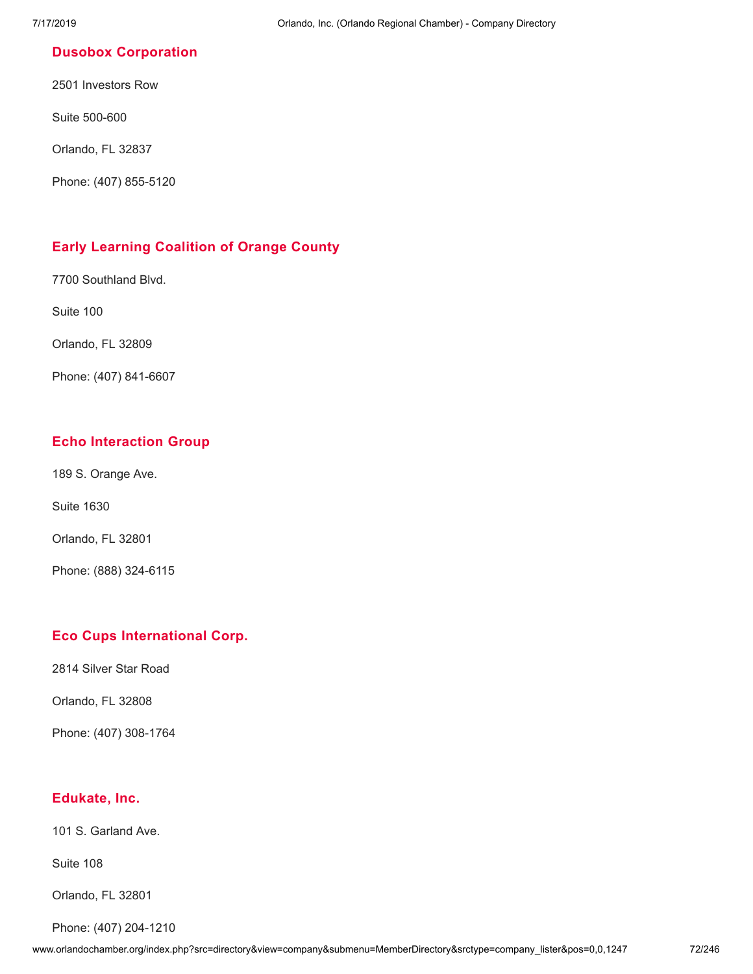### **Dusobox [Corporation](http://www.orlandochamber.org/index.php?src=directory&view=company&submenu=MemberDirectory&refno=2777057&srctype=company_detail)**

2501 Investors Row

Suite 500-600

Orlando, FL 32837

Phone: (407) 855-5120

# **Early Learning [Coalition](http://www.orlandochamber.org/index.php?src=directory&view=company&submenu=MemberDirectory&refno=2777058&srctype=company_detail) of Orange County**

7700 Southland Blvd.

Suite 100

Orlando, FL 32809

Phone: (407) 841-6607

# **Echo [Interaction](http://www.orlandochamber.org/index.php?src=directory&view=company&submenu=MemberDirectory&refno=2777059&srctype=company_detail) Group**

189 S. Orange Ave.

Suite 1630

Orlando, FL 32801

Phone: (888) 324-6115

# **Eco Cups [International](http://www.orlandochamber.org/index.php?src=directory&view=company&submenu=MemberDirectory&refno=2777060&srctype=company_detail) Corp.**

2814 Silver Star Road

Orlando, FL 32808

Phone: (407) 308-1764

# **[Edukate,](http://www.orlandochamber.org/index.php?src=directory&view=company&submenu=MemberDirectory&refno=2777061&srctype=company_detail) Inc.**

101 S. Garland Ave.

Suite 108

Orlando, FL 32801

Phone: (407) 204-1210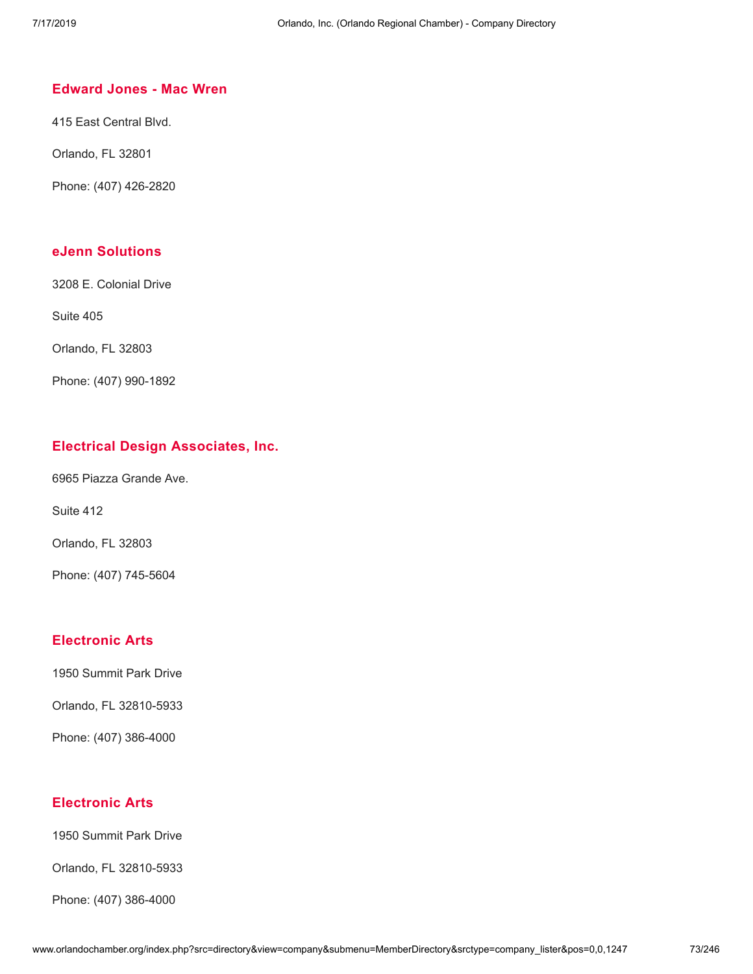### **[Edward](http://www.orlandochamber.org/index.php?src=directory&view=company&submenu=MemberDirectory&refno=2777062&srctype=company_detail) Jones - Mac Wren**

415 East Central Blvd.

Orlando, FL 32801

Phone: (407) 426-2820

### **eJenn [Solutions](http://www.orlandochamber.org/index.php?src=directory&view=company&submenu=MemberDirectory&refno=2777063&srctype=company_detail)**

3208 E. Colonial Drive

Suite 405

Orlando, FL 32803

Phone: (407) 990-1892

### **Electrical Design [Associates,](http://www.orlandochamber.org/index.php?src=directory&view=company&submenu=MemberDirectory&refno=2777064&srctype=company_detail) Inc.**

6965 Piazza Grande Ave.

Suite 412

Orlando, FL 32803

Phone: (407) 745-5604

#### **[Electronic](http://www.orlandochamber.org/index.php?src=directory&view=company&submenu=MemberDirectory&refno=2777065&srctype=company_detail) Arts**

1950 Summit Park Drive

Orlando, FL 32810-5933

Phone: (407) 386-4000

#### **[Electronic](http://www.orlandochamber.org/index.php?src=directory&view=company&submenu=MemberDirectory&refno=2777066&srctype=company_detail) Arts**

1950 Summit Park Drive

Orlando, FL 32810-5933

Phone: (407) 386-4000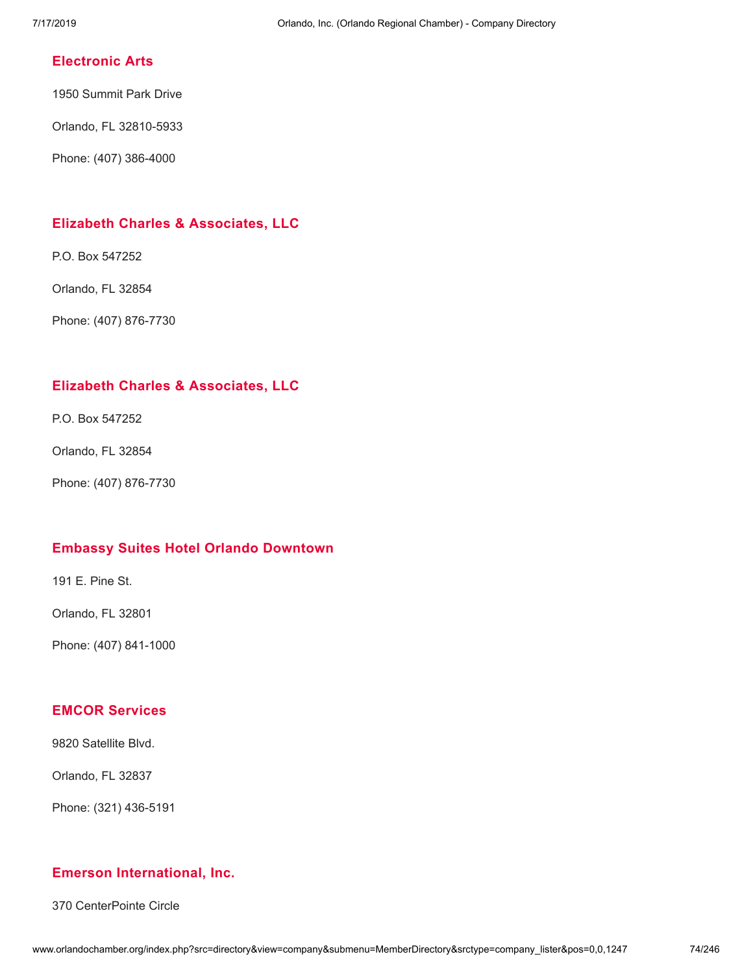## **[Electronic](http://www.orlandochamber.org/index.php?src=directory&view=company&submenu=MemberDirectory&refno=2777067&srctype=company_detail) Arts**

1950 Summit Park Drive

Orlando, FL 32810-5933

Phone: (407) 386-4000

## **Elizabeth Charles & [Associates,](http://www.orlandochamber.org/index.php?src=directory&view=company&submenu=MemberDirectory&refno=2777068&srctype=company_detail) LLC**

P.O. Box 547252

Orlando, FL 32854

Phone: (407) 876-7730

## **Elizabeth Charles & [Associates,](http://www.orlandochamber.org/index.php?src=directory&view=company&submenu=MemberDirectory&refno=2777069&srctype=company_detail) LLC**

P.O. Box 547252

Orlando, FL 32854

Phone: (407) 876-7730

## **Embassy Suites Hotel Orlando [Downtown](http://www.orlandochamber.org/index.php?src=directory&view=company&submenu=MemberDirectory&refno=2777070&srctype=company_detail)**

191 E. Pine St.

Orlando, FL 32801

Phone: (407) 841-1000

### **EMCOR [Services](http://www.orlandochamber.org/index.php?src=directory&view=company&submenu=MemberDirectory&refno=2777071&srctype=company_detail)**

9820 Satellite Blvd.

Orlando, FL 32837

Phone: (321) 436-5191

## **Emerson [International,](http://www.orlandochamber.org/index.php?src=directory&view=company&submenu=MemberDirectory&refno=2777072&srctype=company_detail) Inc.**

370 CenterPointe Circle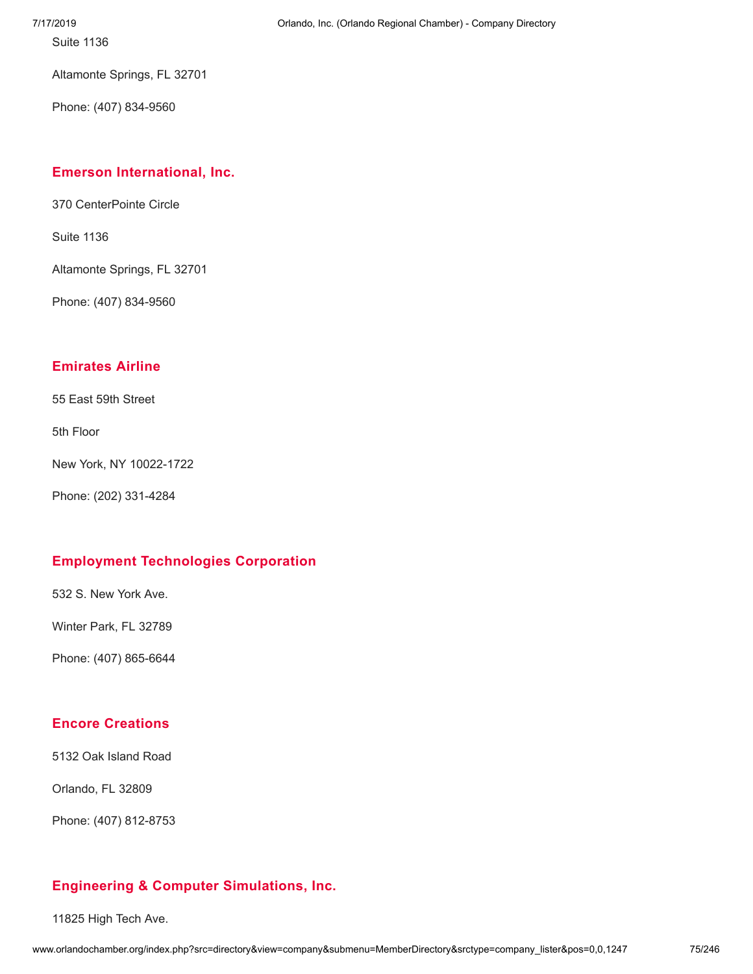Altamonte Springs, FL 32701

Phone: (407) 834-9560

## **Emerson [International,](http://www.orlandochamber.org/index.php?src=directory&view=company&submenu=MemberDirectory&refno=2777073&srctype=company_detail) Inc.**

370 CenterPointe Circle

Suite 1136

Altamonte Springs, FL 32701

Phone: (407) 834-9560

## **[Emirates](http://www.orlandochamber.org/index.php?src=directory&view=company&submenu=MemberDirectory&refno=2777074&srctype=company_detail) Airline**

55 East 59th Street

5th Floor

New York, NY 10022-1722

Phone: (202) 331-4284

## **Employment [Technologies](http://www.orlandochamber.org/index.php?src=directory&view=company&submenu=MemberDirectory&refno=2777075&srctype=company_detail) Corporation**

532 S. New York Ave.

Winter Park, FL 32789

Phone: (407) 865-6644

## **Encore [Creations](http://www.orlandochamber.org/index.php?src=directory&view=company&submenu=MemberDirectory&refno=2777076&srctype=company_detail)**

5132 Oak Island Road

Orlando, FL 32809

Phone: (407) 812-8753

## **Engineering & Computer [Simulations,](http://www.orlandochamber.org/index.php?src=directory&view=company&submenu=MemberDirectory&refno=2777077&srctype=company_detail) Inc.**

11825 High Tech Ave.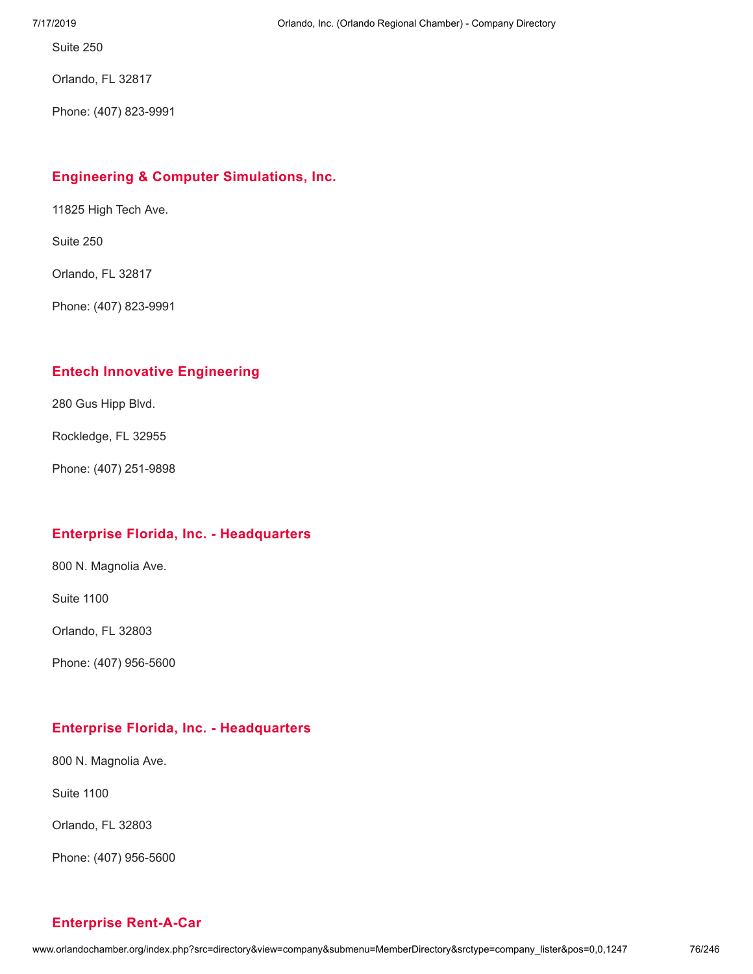Orlando, FL 32817

Phone: (407) 823-9991

## **Engineering & Computer [Simulations,](http://www.orlandochamber.org/index.php?src=directory&view=company&submenu=MemberDirectory&refno=2777078&srctype=company_detail) Inc.**

11825 High Tech Ave.

Suite 250

Orlando, FL 32817

Phone: (407) 823-9991

### **Entech Innovative [Engineering](http://www.orlandochamber.org/index.php?src=directory&view=company&submenu=MemberDirectory&refno=2777079&srctype=company_detail)**

280 Gus Hipp Blvd.

Rockledge, FL 32955

Phone: (407) 251-9898

#### **Enterprise Florida, Inc. - [Headquarters](http://www.orlandochamber.org/index.php?src=directory&view=company&submenu=MemberDirectory&refno=2777080&srctype=company_detail)**

800 N. Magnolia Ave.

Suite 1100

Orlando, FL 32803

Phone: (407) 956-5600

#### **Enterprise Florida, Inc. - [Headquarters](http://www.orlandochamber.org/index.php?src=directory&view=company&submenu=MemberDirectory&refno=2777081&srctype=company_detail)**

800 N. Magnolia Ave.

Suite 1100

Orlando, FL 32803

Phone: (407) 956-5600

#### **Enterprise [Rent-A-Car](http://www.orlandochamber.org/index.php?src=directory&view=company&submenu=MemberDirectory&refno=2777082&srctype=company_detail)**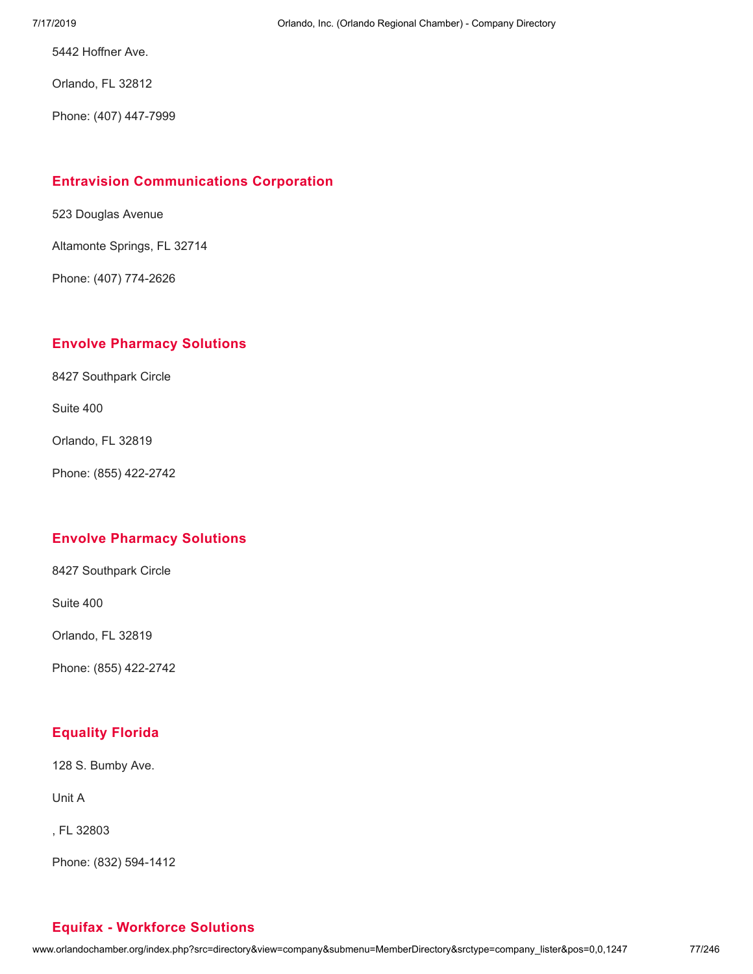5442 Hoffner Ave.

Orlando, FL 32812

Phone: (407) 447-7999

## **Entravision [Communications](http://www.orlandochamber.org/index.php?src=directory&view=company&submenu=MemberDirectory&refno=2777083&srctype=company_detail) Corporation**

523 Douglas Avenue

Altamonte Springs, FL 32714

Phone: (407) 774-2626

## **Envolve [Pharmacy](http://www.orlandochamber.org/index.php?src=directory&view=company&submenu=MemberDirectory&refno=2777084&srctype=company_detail) Solutions**

8427 Southpark Circle

Suite 400

Orlando, FL 32819

Phone: (855) 422-2742

## **Envolve [Pharmacy](http://www.orlandochamber.org/index.php?src=directory&view=company&submenu=MemberDirectory&refno=2777085&srctype=company_detail) Solutions**

8427 Southpark Circle

Suite 400

Orlando, FL 32819

Phone: (855) 422-2742

## **[Equality](http://www.orlandochamber.org/index.php?src=directory&view=company&submenu=MemberDirectory&refno=2777086&srctype=company_detail) Florida**

128 S. Bumby Ave.

Unit A

, FL 32803

Phone: (832) 594-1412

## **Equifax - [Workforce](http://www.orlandochamber.org/index.php?src=directory&view=company&submenu=MemberDirectory&refno=2777087&srctype=company_detail) Solutions**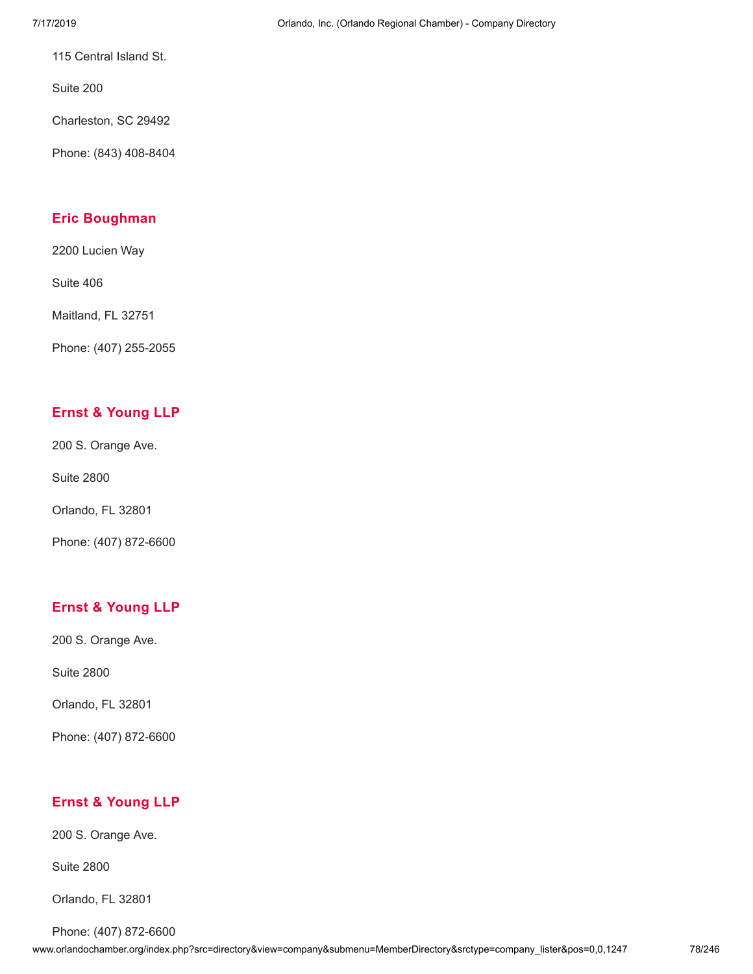115 Central Island St.

Suite 200

Charleston, SC 29492

Phone: (843) 408-8404

### **Eric [Boughman](http://www.orlandochamber.org/index.php?src=directory&view=company&submenu=MemberDirectory&refno=2777088&srctype=company_detail)**

2200 Lucien Way

Suite 406

Maitland, FL 32751

Phone: (407) 255-2055

## **Ernst & [Young](http://www.orlandochamber.org/index.php?src=directory&view=company&submenu=MemberDirectory&refno=2777089&srctype=company_detail) LLP**

200 S. Orange Ave.

Suite 2800

Orlando, FL 32801

Phone: (407) 872-6600

## **Ernst & [Young](http://www.orlandochamber.org/index.php?src=directory&view=company&submenu=MemberDirectory&refno=2777090&srctype=company_detail) LLP**

200 S. Orange Ave.

Suite 2800

Orlando, FL 32801

Phone: (407) 872-6600

## **Ernst & [Young](http://www.orlandochamber.org/index.php?src=directory&view=company&submenu=MemberDirectory&refno=2777091&srctype=company_detail) LLP**

200 S. Orange Ave.

Suite 2800

Orlando, FL 32801

Phone: (407) 872-6600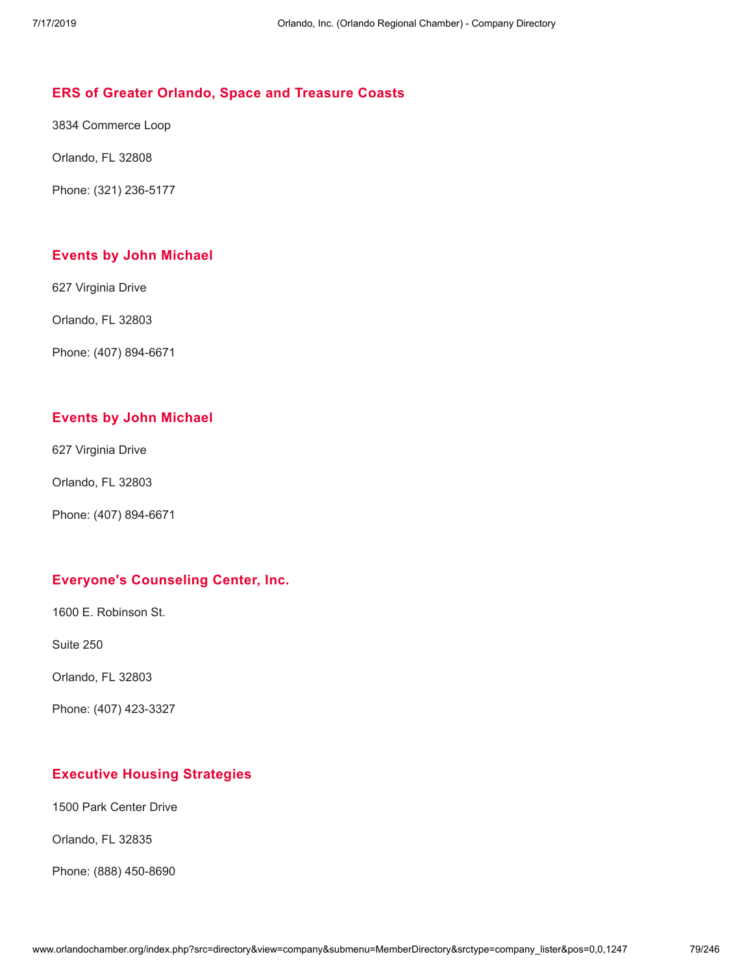### **ERS of Greater Orlando, Space and [Treasure](http://www.orlandochamber.org/index.php?src=directory&view=company&submenu=MemberDirectory&refno=2777092&srctype=company_detail) Coasts**

3834 Commerce Loop

Orlando, FL 32808

Phone: (321) 236-5177

### **Events by John [Michael](http://www.orlandochamber.org/index.php?src=directory&view=company&submenu=MemberDirectory&refno=2777093&srctype=company_detail)**

627 Virginia Drive

Orlando, FL 32803

Phone: (407) 894-6671

## **Events by John [Michael](http://www.orlandochamber.org/index.php?src=directory&view=company&submenu=MemberDirectory&refno=2777094&srctype=company_detail)**

627 Virginia Drive

Orlando, FL 32803

Phone: (407) 894-6671

### **Everyone's [Counseling](http://www.orlandochamber.org/index.php?src=directory&view=company&submenu=MemberDirectory&refno=2777095&srctype=company_detail) Center, Inc.**

1600 E. Robinson St.

Suite 250

Orlando, FL 32803

Phone: (407) 423-3327

## **Executive Housing [Strategies](http://www.orlandochamber.org/index.php?src=directory&view=company&submenu=MemberDirectory&refno=2777096&srctype=company_detail)**

1500 Park Center Drive

Orlando, FL 32835

Phone: (888) 450-8690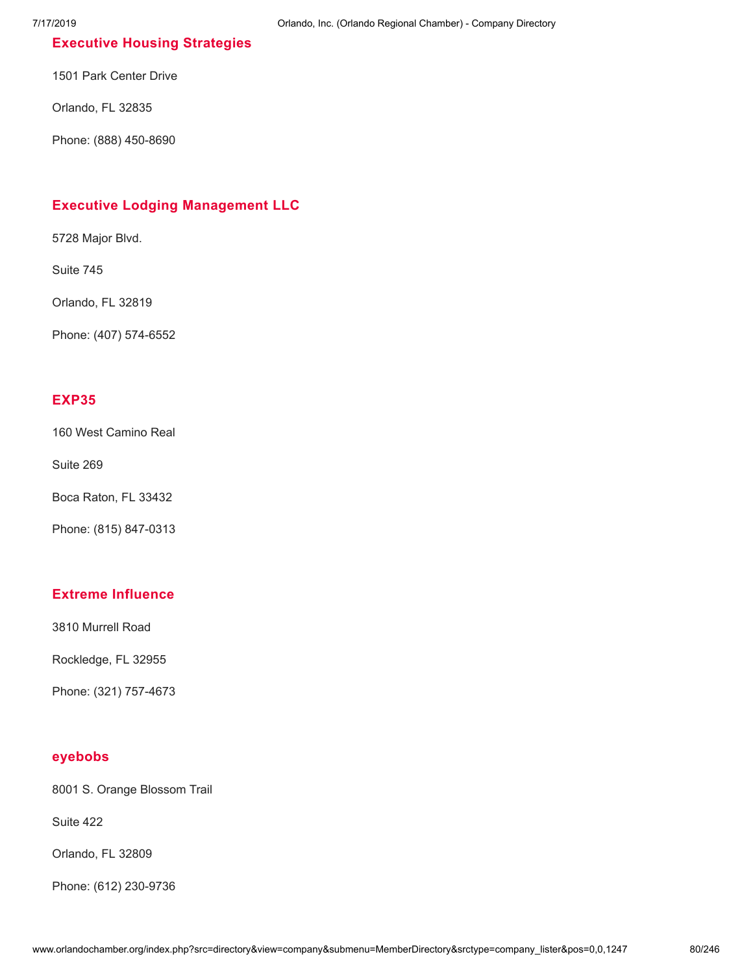## **Executive Housing [Strategies](http://www.orlandochamber.org/index.php?src=directory&view=company&submenu=MemberDirectory&refno=2777097&srctype=company_detail)**

1501 Park Center Drive

Orlando, FL 32835

Phone: (888) 450-8690

## **Executive Lodging [Management](http://www.orlandochamber.org/index.php?src=directory&view=company&submenu=MemberDirectory&refno=2777098&srctype=company_detail) LLC**

5728 Major Blvd.

Suite 745

Orlando, FL 32819

Phone: (407) 574-6552

#### **[EXP35](http://www.orlandochamber.org/index.php?src=directory&view=company&submenu=MemberDirectory&refno=2777099&srctype=company_detail)**

160 West Camino Real

Suite 269

Boca Raton, FL 33432

Phone: (815) 847-0313

#### **Extreme [Influence](http://www.orlandochamber.org/index.php?src=directory&view=company&submenu=MemberDirectory&refno=2777100&srctype=company_detail)**

3810 Murrell Road

Rockledge, FL 32955

Phone: (321) 757-4673

#### **[eyebobs](http://www.orlandochamber.org/index.php?src=directory&view=company&submenu=MemberDirectory&refno=2777101&srctype=company_detail)**

8001 S. Orange Blossom Trail

Suite 422

Orlando, FL 32809

Phone: (612) 230-9736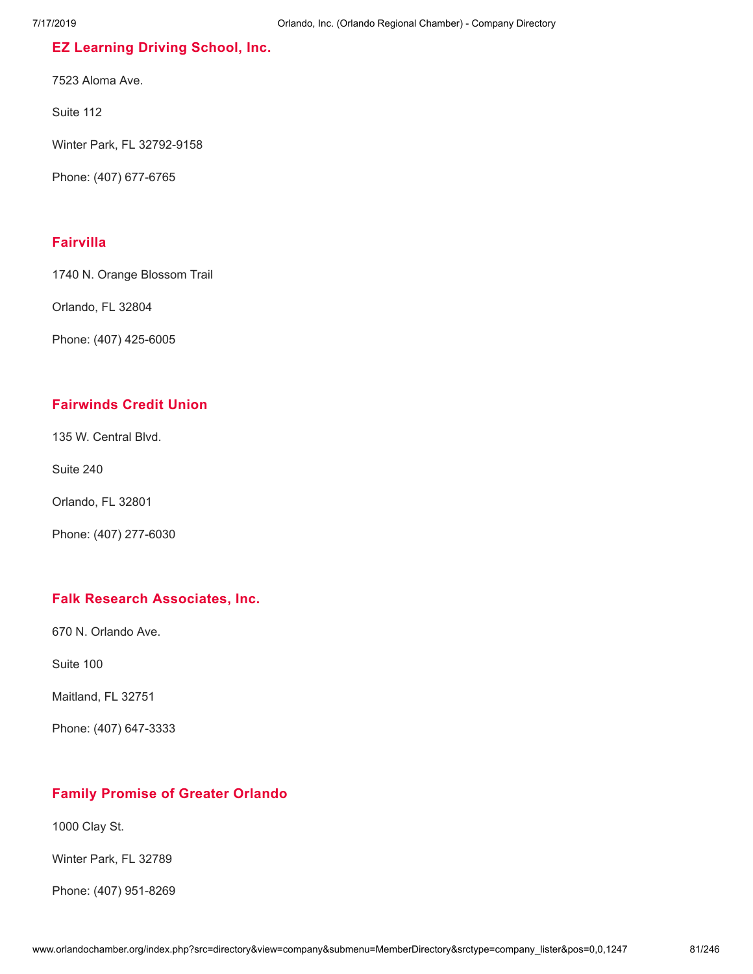## **EZ [Learning](http://www.orlandochamber.org/index.php?src=directory&view=company&submenu=MemberDirectory&refno=2777102&srctype=company_detail) Driving School, Inc.**

7523 Aloma Ave.

Suite 112

Winter Park, FL 32792-9158

Phone: (407) 677-6765

#### **[Fairvilla](http://www.orlandochamber.org/index.php?src=directory&view=company&submenu=MemberDirectory&refno=2777103&srctype=company_detail)**

1740 N. Orange Blossom Trail

Orlando, FL 32804

Phone: (407) 425-6005

### **[Fairwinds](http://www.orlandochamber.org/index.php?src=directory&view=company&submenu=MemberDirectory&refno=2777104&srctype=company_detail) Credit Union**

135 W. Central Blvd.

Suite 240

Orlando, FL 32801

Phone: (407) 277-6030

#### **Falk Research [Associates,](http://www.orlandochamber.org/index.php?src=directory&view=company&submenu=MemberDirectory&refno=2777105&srctype=company_detail) Inc.**

670 N. Orlando Ave.

Suite 100

Maitland, FL 32751

Phone: (407) 647-3333

## **Family [Promise](http://www.orlandochamber.org/index.php?src=directory&view=company&submenu=MemberDirectory&refno=2777106&srctype=company_detail) of Greater Orlando**

1000 Clay St.

Winter Park, FL 32789

Phone: (407) 951-8269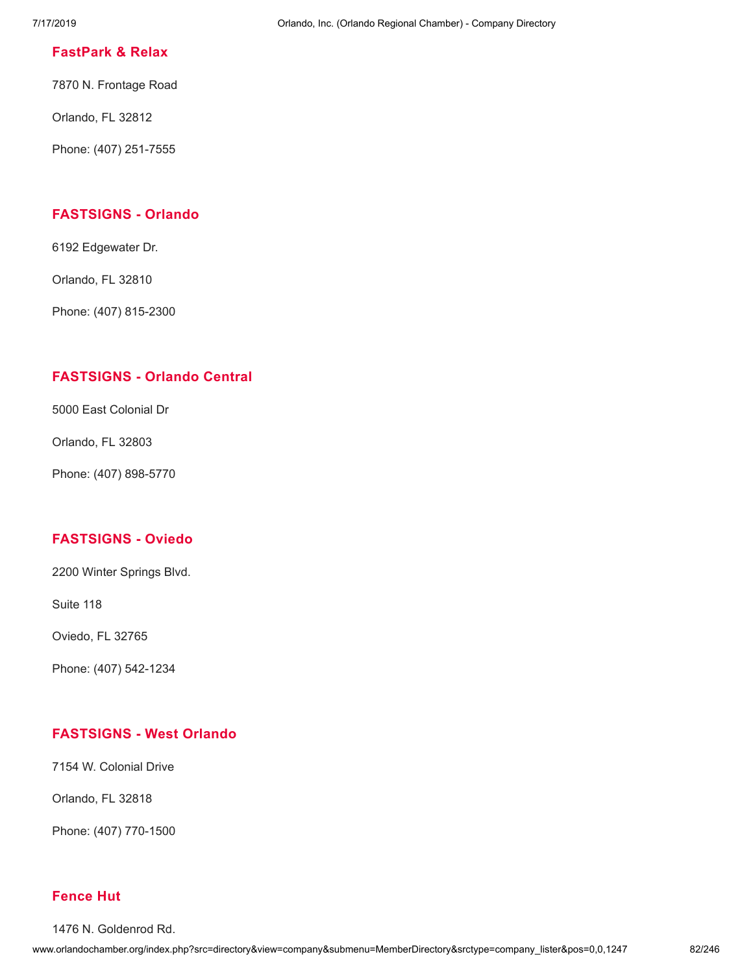#### **[FastPark](http://www.orlandochamber.org/index.php?src=directory&view=company&submenu=MemberDirectory&refno=2777107&srctype=company_detail) & Relax**

7870 N. Frontage Road

Orlando, FL 32812

Phone: (407) 251-7555

### **[FASTSIGNS](http://www.orlandochamber.org/index.php?src=directory&view=company&submenu=MemberDirectory&refno=2777108&srctype=company_detail) - Orlando**

6192 Edgewater Dr.

Orlando, FL 32810

Phone: (407) 815-2300

## **[FASTSIGNS](http://www.orlandochamber.org/index.php?src=directory&view=company&submenu=MemberDirectory&refno=2777109&srctype=company_detail) - Orlando Central**

5000 East Colonial Dr

Orlando, FL 32803

Phone: (407) 898-5770

## **[FASTSIGNS](http://www.orlandochamber.org/index.php?src=directory&view=company&submenu=MemberDirectory&refno=2777110&srctype=company_detail) - Oviedo**

2200 Winter Springs Blvd.

Suite 118

Oviedo, FL 32765

Phone: (407) 542-1234

## **[FASTSIGNS](http://www.orlandochamber.org/index.php?src=directory&view=company&submenu=MemberDirectory&refno=2777111&srctype=company_detail) - West Orlando**

7154 W. Colonial Drive

Orlando, FL 32818

Phone: (407) 770-1500

#### **[Fence](http://www.orlandochamber.org/index.php?src=directory&view=company&submenu=MemberDirectory&refno=2777112&srctype=company_detail) Hut**

1476 N. Goldenrod Rd.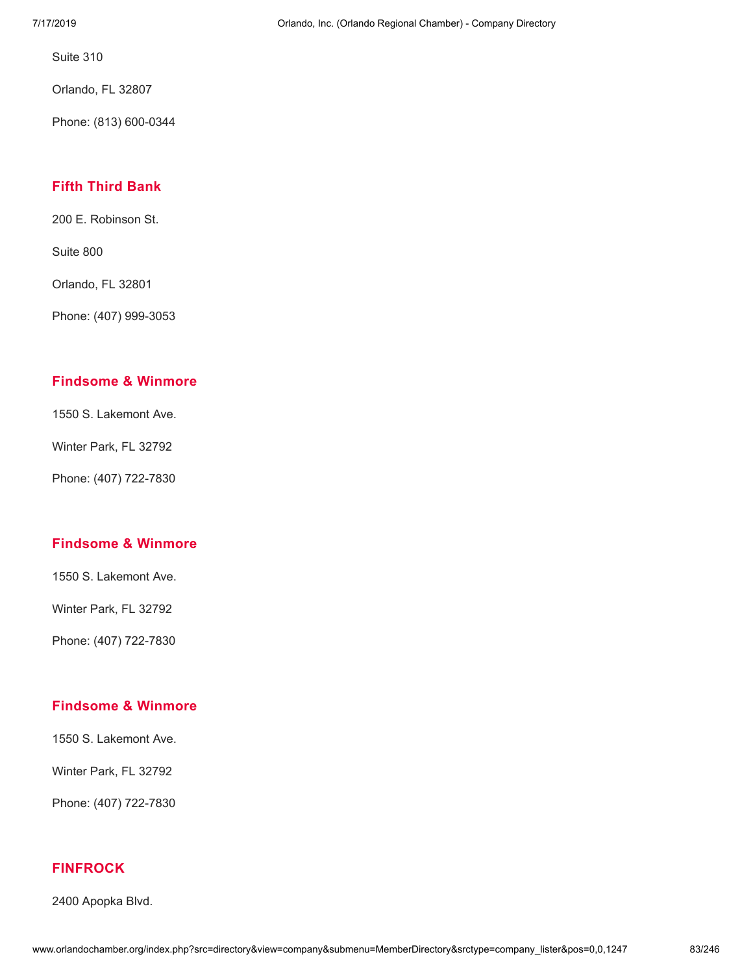Orlando, FL 32807

Phone: (813) 600-0344

## **Fifth [Third](http://www.orlandochamber.org/index.php?src=directory&view=company&submenu=MemberDirectory&refno=2777113&srctype=company_detail) Bank**

200 E. Robinson St.

Suite 800

Orlando, FL 32801

Phone: (407) 999-3053

#### **[Findsome](http://www.orlandochamber.org/index.php?src=directory&view=company&submenu=MemberDirectory&refno=2777114&srctype=company_detail) & Winmore**

1550 S. Lakemont Ave.

Winter Park, FL 32792

Phone: (407) 722-7830

## **[Findsome](http://www.orlandochamber.org/index.php?src=directory&view=company&submenu=MemberDirectory&refno=2777115&srctype=company_detail) & Winmore**

1550 S. Lakemont Ave.

Winter Park, FL 32792

Phone: (407) 722-7830

## **[Findsome](http://www.orlandochamber.org/index.php?src=directory&view=company&submenu=MemberDirectory&refno=2777116&srctype=company_detail) & Winmore**

1550 S. Lakemont Ave.

Winter Park, FL 32792

Phone: (407) 722-7830

### **[FINFROCK](http://www.orlandochamber.org/index.php?src=directory&view=company&submenu=MemberDirectory&refno=2777117&srctype=company_detail)**

2400 Apopka Blvd.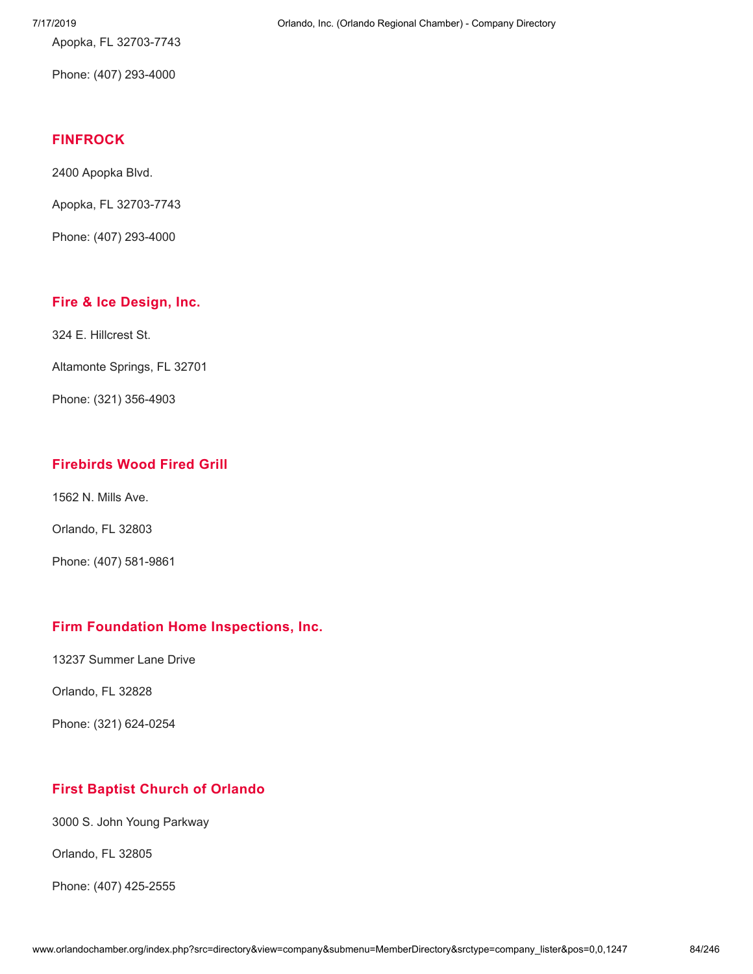Apopka, FL 32703-7743

Phone: (407) 293-4000

#### **[FINFROCK](http://www.orlandochamber.org/index.php?src=directory&view=company&submenu=MemberDirectory&refno=2777118&srctype=company_detail)**

2400 Apopka Blvd.

Apopka, FL 32703-7743

Phone: (407) 293-4000

## **Fire & Ice [Design,](http://www.orlandochamber.org/index.php?src=directory&view=company&submenu=MemberDirectory&refno=2777119&srctype=company_detail) Inc.**

324 E. Hillcrest St.

Altamonte Springs, FL 32701

Phone: (321) 356-4903

## **[Firebirds](http://www.orlandochamber.org/index.php?src=directory&view=company&submenu=MemberDirectory&refno=2777120&srctype=company_detail) Wood Fired Grill**

1562 N. Mills Ave.

Orlando, FL 32803

Phone: (407) 581-9861

## **Firm Foundation Home [Inspections,](http://www.orlandochamber.org/index.php?src=directory&view=company&submenu=MemberDirectory&refno=2777121&srctype=company_detail) Inc.**

13237 Summer Lane Drive

Orlando, FL 32828

Phone: (321) 624-0254

## **First Baptist Church of [Orlando](http://www.orlandochamber.org/index.php?src=directory&view=company&submenu=MemberDirectory&refno=2777122&srctype=company_detail)**

3000 S. John Young Parkway

Orlando, FL 32805

Phone: (407) 425-2555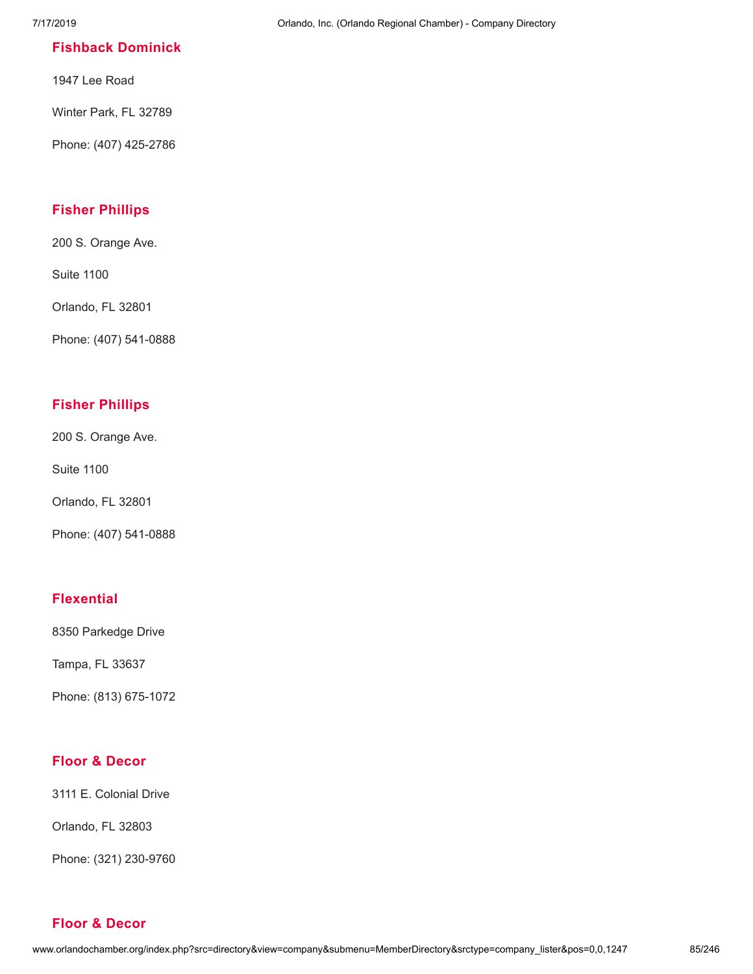### **Fishback [Dominick](http://www.orlandochamber.org/index.php?src=directory&view=company&submenu=MemberDirectory&refno=2777123&srctype=company_detail)**

1947 Lee Road

Winter Park, FL 32789

Phone: (407) 425-2786

## **Fisher [Phillips](http://www.orlandochamber.org/index.php?src=directory&view=company&submenu=MemberDirectory&refno=2777124&srctype=company_detail)**

200 S. Orange Ave.

Suite 1100

Orlando, FL 32801

Phone: (407) 541-0888

### **Fisher [Phillips](http://www.orlandochamber.org/index.php?src=directory&view=company&submenu=MemberDirectory&refno=2777125&srctype=company_detail)**

200 S. Orange Ave.

Suite 1100

Orlando, FL 32801

Phone: (407) 541-0888

## **[Flexential](http://www.orlandochamber.org/index.php?src=directory&view=company&submenu=MemberDirectory&refno=2777126&srctype=company_detail)**

8350 Parkedge Drive

Tampa, FL 33637

Phone: (813) 675-1072

### **Floor & [Decor](http://www.orlandochamber.org/index.php?src=directory&view=company&submenu=MemberDirectory&refno=2777127&srctype=company_detail)**

3111 E. Colonial Drive

Orlando, FL 32803

Phone: (321) 230-9760

#### **Floor & [Decor](http://www.orlandochamber.org/index.php?src=directory&view=company&submenu=MemberDirectory&refno=2777128&srctype=company_detail)**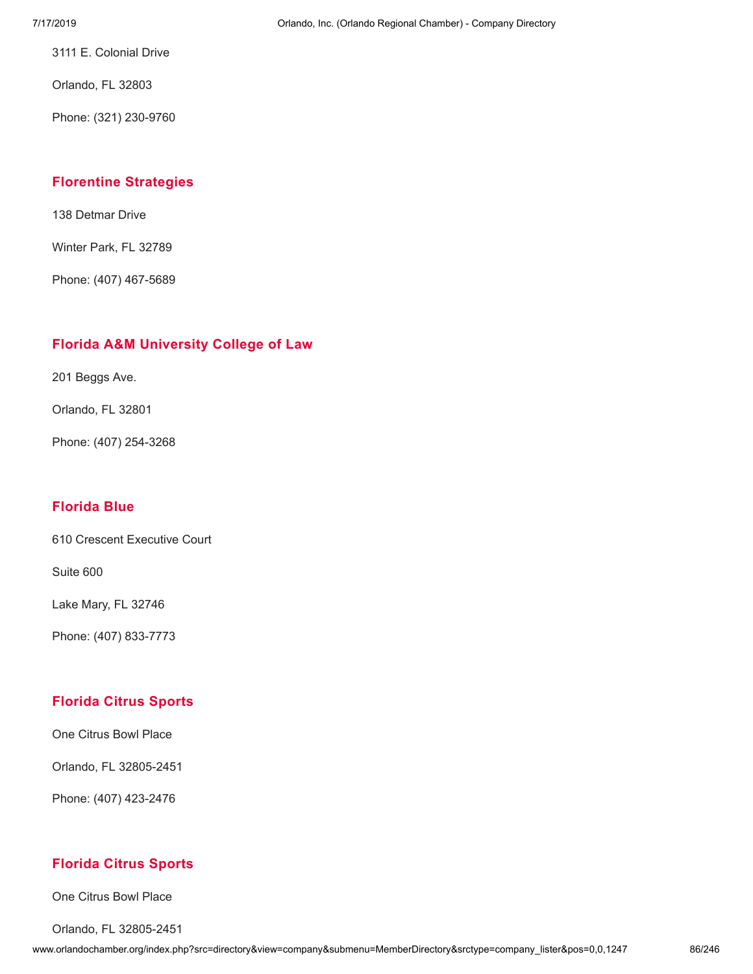3111 E. Colonial Drive

Orlando, FL 32803

Phone: (321) 230-9760

### **Florentine [Strategies](http://www.orlandochamber.org/index.php?src=directory&view=company&submenu=MemberDirectory&refno=2777129&srctype=company_detail)**

138 Detmar Drive

Winter Park, FL 32789

Phone: (407) 467-5689

## **Florida A&M [University](http://www.orlandochamber.org/index.php?src=directory&view=company&submenu=MemberDirectory&refno=2777130&srctype=company_detail) College of Law**

201 Beggs Ave.

Orlando, FL 32801

Phone: (407) 254-3268

## **[Florida](http://www.orlandochamber.org/index.php?src=directory&view=company&submenu=MemberDirectory&refno=2777131&srctype=company_detail) Blue**

610 Crescent Executive Court

Suite 600

Lake Mary, FL 32746

Phone: (407) 833-7773

## **[Florida](http://www.orlandochamber.org/index.php?src=directory&view=company&submenu=MemberDirectory&refno=2777132&srctype=company_detail) Citrus Sports**

One Citrus Bowl Place

Orlando, FL 32805-2451

Phone: (407) 423-2476

## **[Florida](http://www.orlandochamber.org/index.php?src=directory&view=company&submenu=MemberDirectory&refno=2777133&srctype=company_detail) Citrus Sports**

One Citrus Bowl Place

Orlando, FL 32805-2451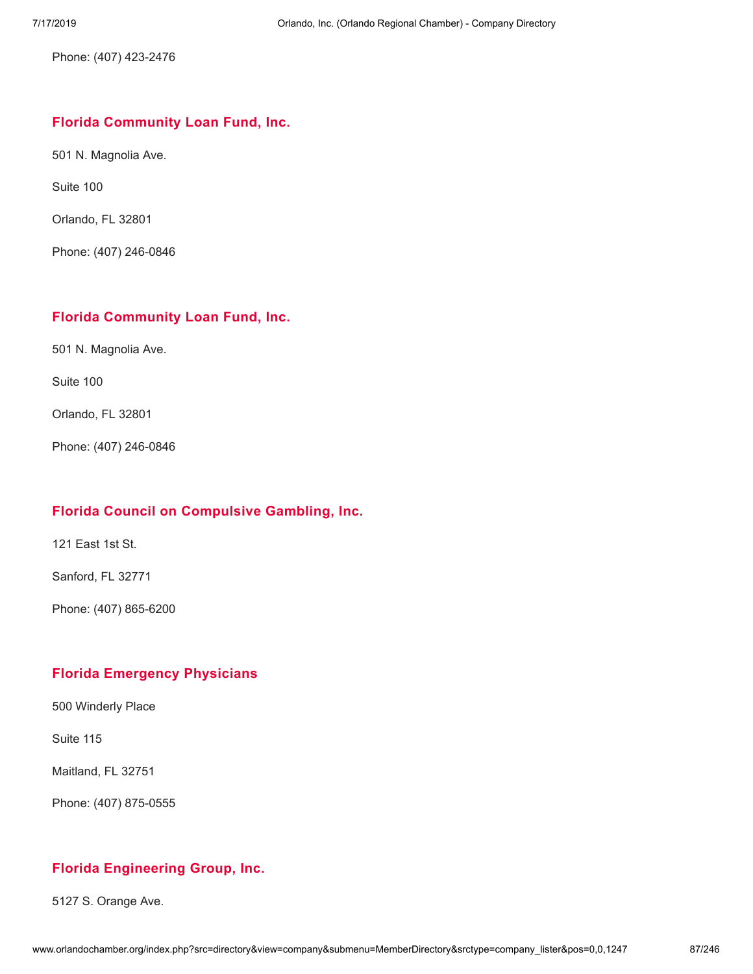Phone: (407) 423-2476

### **Florida [Community](http://www.orlandochamber.org/index.php?src=directory&view=company&submenu=MemberDirectory&refno=2777134&srctype=company_detail) Loan Fund, Inc.**

501 N. Magnolia Ave.

Suite 100

Orlando, FL 32801

Phone: (407) 246-0846

### **Florida [Community](http://www.orlandochamber.org/index.php?src=directory&view=company&submenu=MemberDirectory&refno=2777135&srctype=company_detail) Loan Fund, Inc.**

501 N. Magnolia Ave.

Suite 100

Orlando, FL 32801

Phone: (407) 246-0846

## **Florida Council on [Compulsive](http://www.orlandochamber.org/index.php?src=directory&view=company&submenu=MemberDirectory&refno=2777136&srctype=company_detail) Gambling, Inc.**

121 East 1st St.

Sanford, FL 32771

Phone: (407) 865-6200

## **Florida [Emergency](http://www.orlandochamber.org/index.php?src=directory&view=company&submenu=MemberDirectory&refno=2777137&srctype=company_detail) Physicians**

500 Winderly Place

Suite 115

Maitland, FL 32751

Phone: (407) 875-0555

## **Florida [Engineering](http://www.orlandochamber.org/index.php?src=directory&view=company&submenu=MemberDirectory&refno=2777138&srctype=company_detail) Group, Inc.**

5127 S. Orange Ave.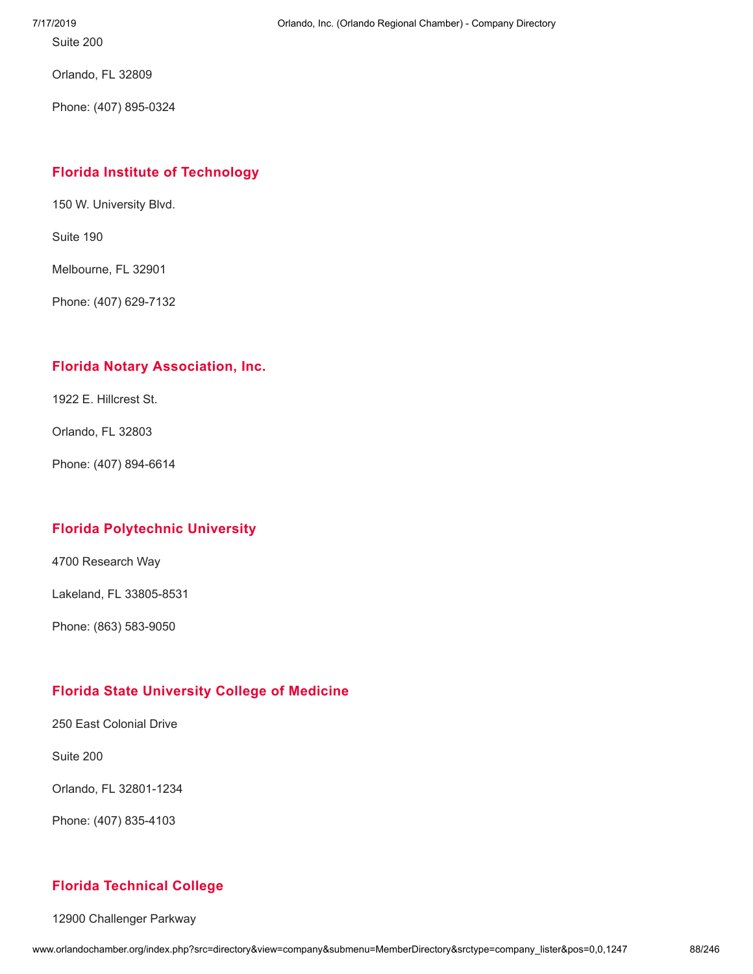Orlando, FL 32809

Phone: (407) 895-0324

## **Florida Institute of [Technology](http://www.orlandochamber.org/index.php?src=directory&view=company&submenu=MemberDirectory&refno=2777139&srctype=company_detail)**

150 W. University Blvd.

Suite 190

Melbourne, FL 32901

Phone: (407) 629-7132

## **Florida Notary [Association,](http://www.orlandochamber.org/index.php?src=directory&view=company&submenu=MemberDirectory&refno=2777140&srctype=company_detail) Inc.**

1922 E. Hillcrest St.

Orlando, FL 32803

Phone: (407) 894-6614

## **Florida [Polytechnic](http://www.orlandochamber.org/index.php?src=directory&view=company&submenu=MemberDirectory&refno=2777141&srctype=company_detail) University**

4700 Research Way

Lakeland, FL 33805-8531

Phone: (863) 583-9050

## **Florida State [University](http://www.orlandochamber.org/index.php?src=directory&view=company&submenu=MemberDirectory&refno=2777142&srctype=company_detail) College of Medicine**

250 East Colonial Drive

Suite 200

Orlando, FL 32801-1234

Phone: (407) 835-4103

## **Florida [Technical](http://www.orlandochamber.org/index.php?src=directory&view=company&submenu=MemberDirectory&refno=2777143&srctype=company_detail) College**

12900 Challenger Parkway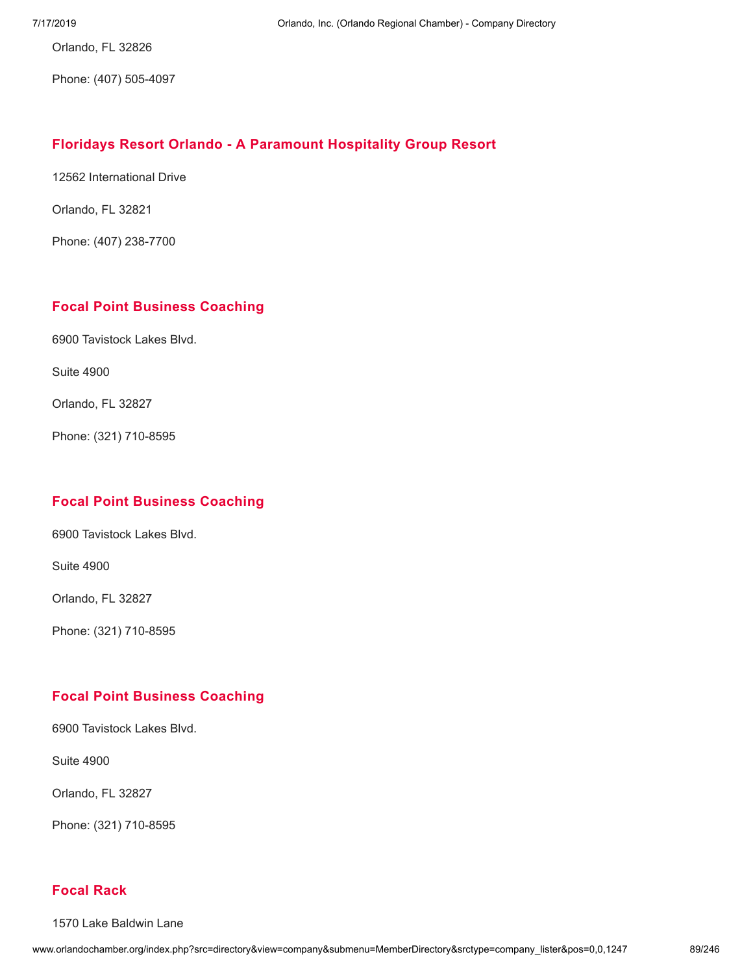Orlando, FL 32826

Phone: (407) 505-4097

### **Floridays Resort Orlando - A [Paramount](http://www.orlandochamber.org/index.php?src=directory&view=company&submenu=MemberDirectory&refno=2777144&srctype=company_detail) Hospitality Group Resort**

12562 International Drive

Orlando, FL 32821

Phone: (407) 238-7700

## **Focal Point Business [Coaching](http://www.orlandochamber.org/index.php?src=directory&view=company&submenu=MemberDirectory&refno=2777145&srctype=company_detail)**

6900 Tavistock Lakes Blvd.

Suite 4900

Orlando, FL 32827

Phone: (321) 710-8595

## **Focal Point Business [Coaching](http://www.orlandochamber.org/index.php?src=directory&view=company&submenu=MemberDirectory&refno=2777146&srctype=company_detail)**

6900 Tavistock Lakes Blvd.

Suite 4900

Orlando, FL 32827

Phone: (321) 710-8595

#### **Focal Point Business [Coaching](http://www.orlandochamber.org/index.php?src=directory&view=company&submenu=MemberDirectory&refno=2777147&srctype=company_detail)**

6900 Tavistock Lakes Blvd.

Suite 4900

Orlando, FL 32827

Phone: (321) 710-8595

## **[Focal](http://www.orlandochamber.org/index.php?src=directory&view=company&submenu=MemberDirectory&refno=2777148&srctype=company_detail) Rack**

1570 Lake Baldwin Lane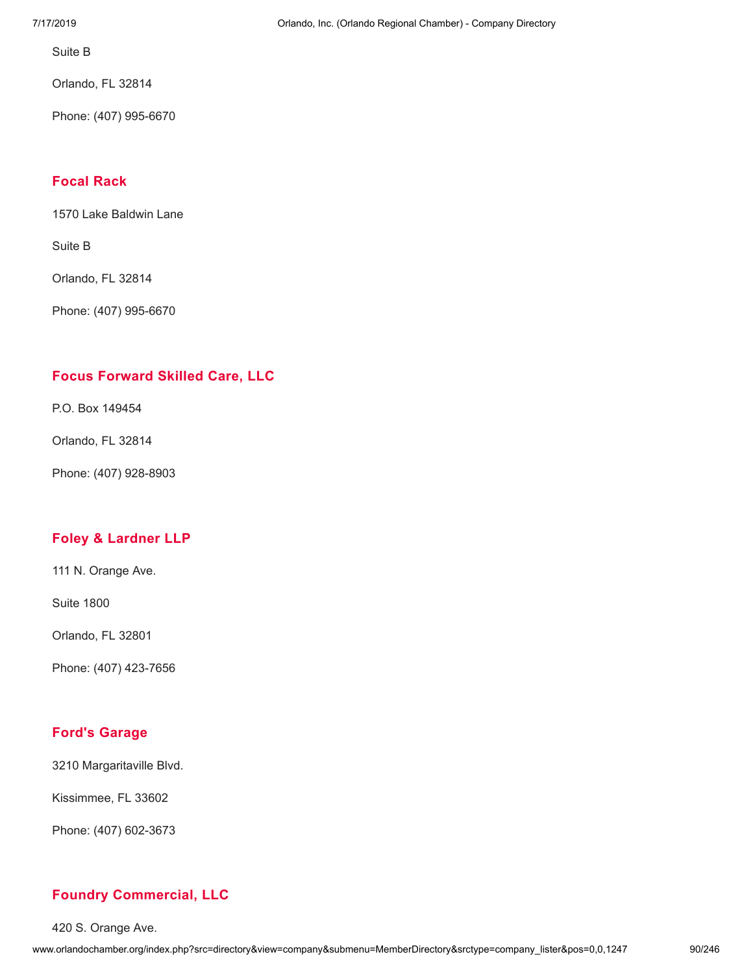Suite B

Orlando, FL 32814

Phone: (407) 995-6670

## **[Focal](http://www.orlandochamber.org/index.php?src=directory&view=company&submenu=MemberDirectory&refno=2777149&srctype=company_detail) Rack**

1570 Lake Baldwin Lane

Suite B

Orlando, FL 32814

Phone: (407) 995-6670

## **Focus [Forward](http://www.orlandochamber.org/index.php?src=directory&view=company&submenu=MemberDirectory&refno=2777150&srctype=company_detail) Skilled Care, LLC**

P.O. Box 149454

Orlando, FL 32814

Phone: (407) 928-8903

## **Foley & [Lardner](http://www.orlandochamber.org/index.php?src=directory&view=company&submenu=MemberDirectory&refno=2777151&srctype=company_detail) LLP**

111 N. Orange Ave.

Suite 1800

Orlando, FL 32801

Phone: (407) 423-7656

#### **Ford's [Garage](http://www.orlandochamber.org/index.php?src=directory&view=company&submenu=MemberDirectory&refno=2777152&srctype=company_detail)**

3210 Margaritaville Blvd.

Kissimmee, FL 33602

Phone: (407) 602-3673

## **Foundry [Commercial,](http://www.orlandochamber.org/index.php?src=directory&view=company&submenu=MemberDirectory&refno=2777153&srctype=company_detail) LLC**

420 S. Orange Ave.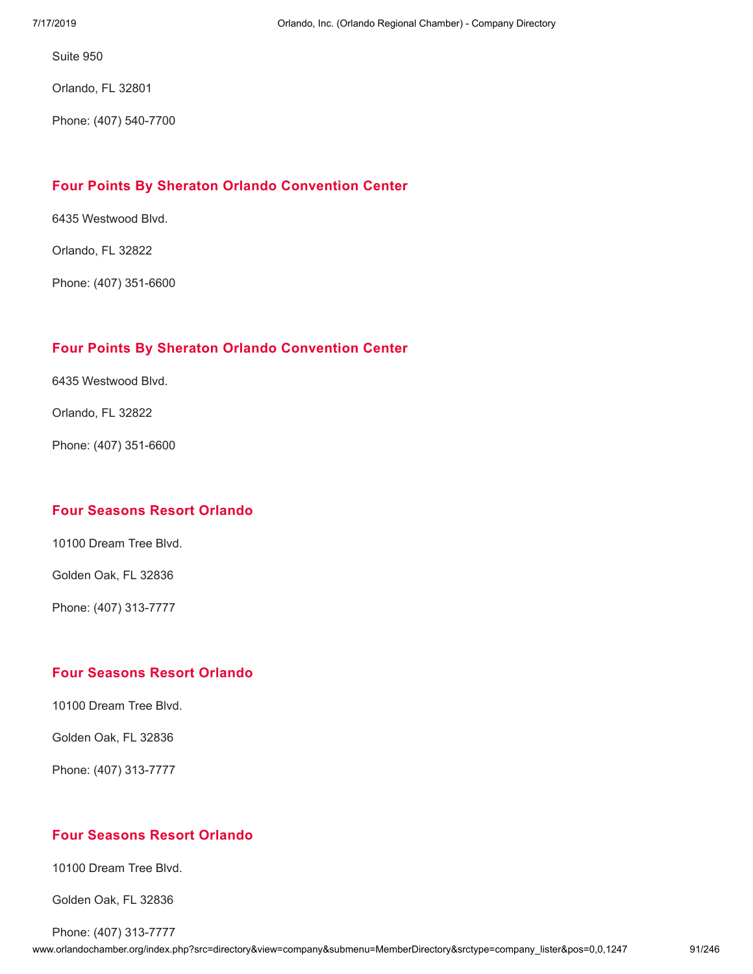Orlando, FL 32801

Phone: (407) 540-7700

## **Four Points By Sheraton Orlando [Convention](http://www.orlandochamber.org/index.php?src=directory&view=company&submenu=MemberDirectory&refno=2777154&srctype=company_detail) Center**

6435 Westwood Blvd.

Orlando, FL 32822

Phone: (407) 351-6600

## **Four Points By Sheraton Orlando [Convention](http://www.orlandochamber.org/index.php?src=directory&view=company&submenu=MemberDirectory&refno=2777155&srctype=company_detail) Center**

6435 Westwood Blvd.

Orlando, FL 32822

Phone: (407) 351-6600

## **Four [Seasons](http://www.orlandochamber.org/index.php?src=directory&view=company&submenu=MemberDirectory&refno=2777156&srctype=company_detail) Resort Orlando**

10100 Dream Tree Blvd.

Golden Oak, FL 32836

Phone: (407) 313-7777

## **Four [Seasons](http://www.orlandochamber.org/index.php?src=directory&view=company&submenu=MemberDirectory&refno=2777157&srctype=company_detail) Resort Orlando**

10100 Dream Tree Blvd.

Golden Oak, FL 32836

Phone: (407) 313-7777

## **Four [Seasons](http://www.orlandochamber.org/index.php?src=directory&view=company&submenu=MemberDirectory&refno=2777158&srctype=company_detail) Resort Orlando**

10100 Dream Tree Blvd.

Golden Oak, FL 32836

Phone: (407) 313-7777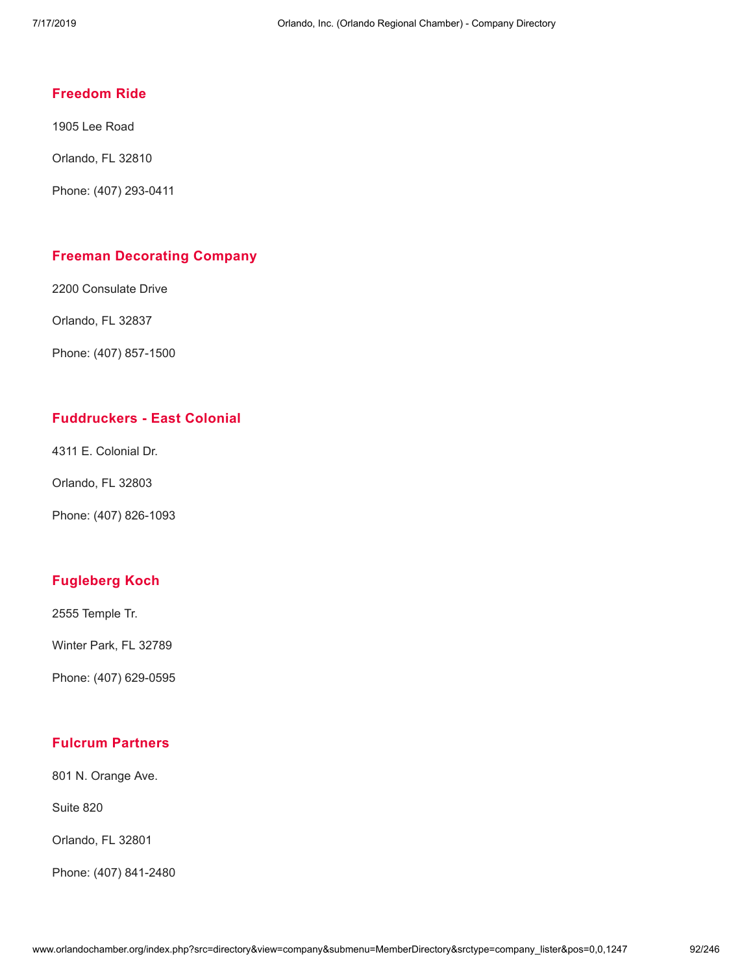## **[Freedom](http://www.orlandochamber.org/index.php?src=directory&view=company&submenu=MemberDirectory&refno=2777162&srctype=company_detail) Ride**

1905 Lee Road

Orlando, FL 32810

Phone: (407) 293-0411

#### **Freeman [Decorating](http://www.orlandochamber.org/index.php?src=directory&view=company&submenu=MemberDirectory&refno=2777163&srctype=company_detail) Company**

2200 Consulate Drive

Orlando, FL 32837

Phone: (407) 857-1500

### **[Fuddruckers](http://www.orlandochamber.org/index.php?src=directory&view=company&submenu=MemberDirectory&refno=2777159&srctype=company_detail) - East Colonial**

4311 E. Colonial Dr.

Orlando, FL 32803

Phone: (407) 826-1093

## **[Fugleberg](http://www.orlandochamber.org/index.php?src=directory&view=company&submenu=MemberDirectory&refno=2777164&srctype=company_detail) Koch**

2555 Temple Tr.

Winter Park, FL 32789

Phone: (407) 629-0595

### **Fulcrum [Partners](http://www.orlandochamber.org/index.php?src=directory&view=company&submenu=MemberDirectory&refno=2777165&srctype=company_detail)**

801 N. Orange Ave.

Suite 820

Orlando, FL 32801

Phone: (407) 841-2480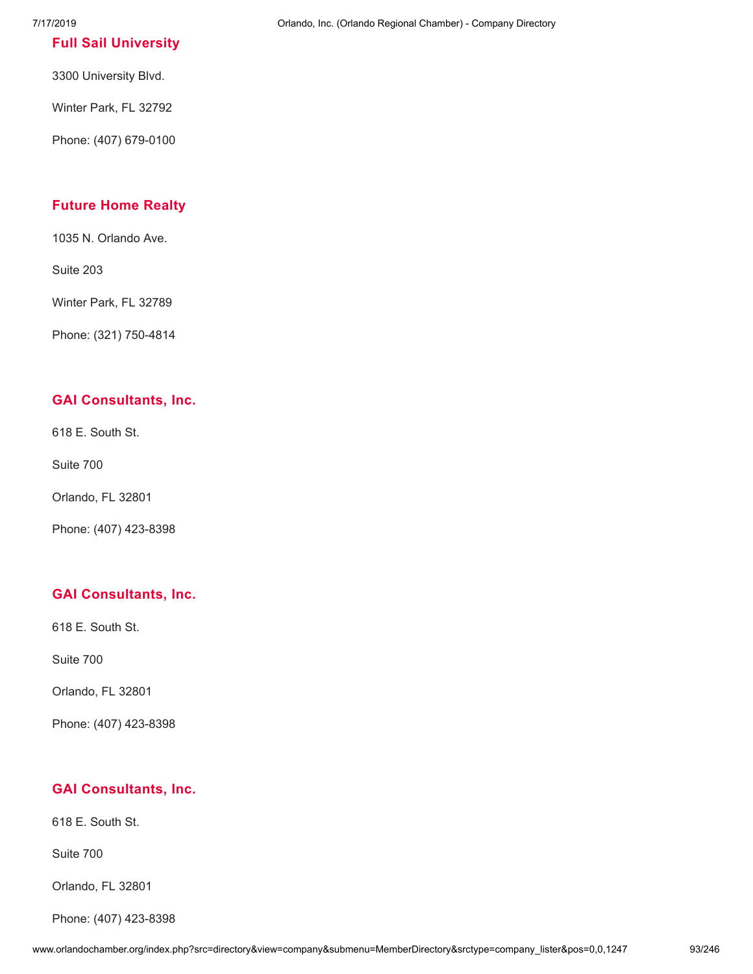#### **Full Sail [University](http://www.orlandochamber.org/index.php?src=directory&view=company&submenu=MemberDirectory&refno=2777166&srctype=company_detail)**

3300 University Blvd.

Winter Park, FL 32792

Phone: (407) 679-0100

## **[Future](http://www.orlandochamber.org/index.php?src=directory&view=company&submenu=MemberDirectory&refno=2777167&srctype=company_detail) Home Realty**

1035 N. Orlando Ave.

Suite 203

Winter Park, FL 32789

Phone: (321) 750-4814

#### **GAI [Consultants,](http://www.orlandochamber.org/index.php?src=directory&view=company&submenu=MemberDirectory&refno=2777168&srctype=company_detail) Inc.**

618 E. South St.

Suite 700

Orlando, FL 32801

Phone: (407) 423-8398

#### **GAI [Consultants,](http://www.orlandochamber.org/index.php?src=directory&view=company&submenu=MemberDirectory&refno=2777169&srctype=company_detail) Inc.**

618 E. South St.

Suite 700

Orlando, FL 32801

Phone: (407) 423-8398

#### **GAI [Consultants,](http://www.orlandochamber.org/index.php?src=directory&view=company&submenu=MemberDirectory&refno=2777170&srctype=company_detail) Inc.**

618 E. South St.

Suite 700

Orlando, FL 32801

Phone: (407) 423-8398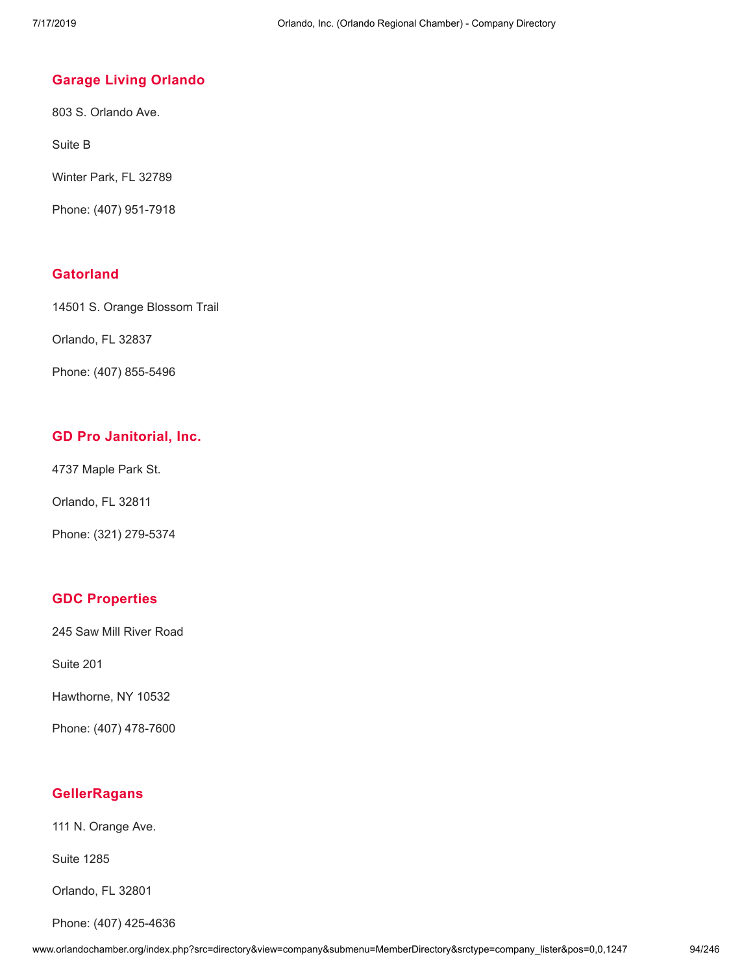### **Garage Living [Orlando](http://www.orlandochamber.org/index.php?src=directory&view=company&submenu=MemberDirectory&refno=2777171&srctype=company_detail)**

803 S. Orlando Ave.

Suite B

Winter Park, FL 32789

Phone: (407) 951-7918

## **[Gatorland](http://www.orlandochamber.org/index.php?src=directory&view=company&submenu=MemberDirectory&refno=2777172&srctype=company_detail)**

14501 S. Orange Blossom Trail

Orlando, FL 32837

Phone: (407) 855-5496

## **GD Pro [Janitorial,](http://www.orlandochamber.org/index.php?src=directory&view=company&submenu=MemberDirectory&refno=2777173&srctype=company_detail) Inc.**

4737 Maple Park St.

Orlando, FL 32811

Phone: (321) 279-5374

## **GDC [Properties](http://www.orlandochamber.org/index.php?src=directory&view=company&submenu=MemberDirectory&refno=2777174&srctype=company_detail)**

245 Saw Mill River Road

Suite 201

Hawthorne, NY 10532

Phone: (407) 478-7600

## **[GellerRagans](http://www.orlandochamber.org/index.php?src=directory&view=company&submenu=MemberDirectory&refno=2777175&srctype=company_detail)**

111 N. Orange Ave.

Suite 1285

Orlando, FL 32801

Phone: (407) 425-4636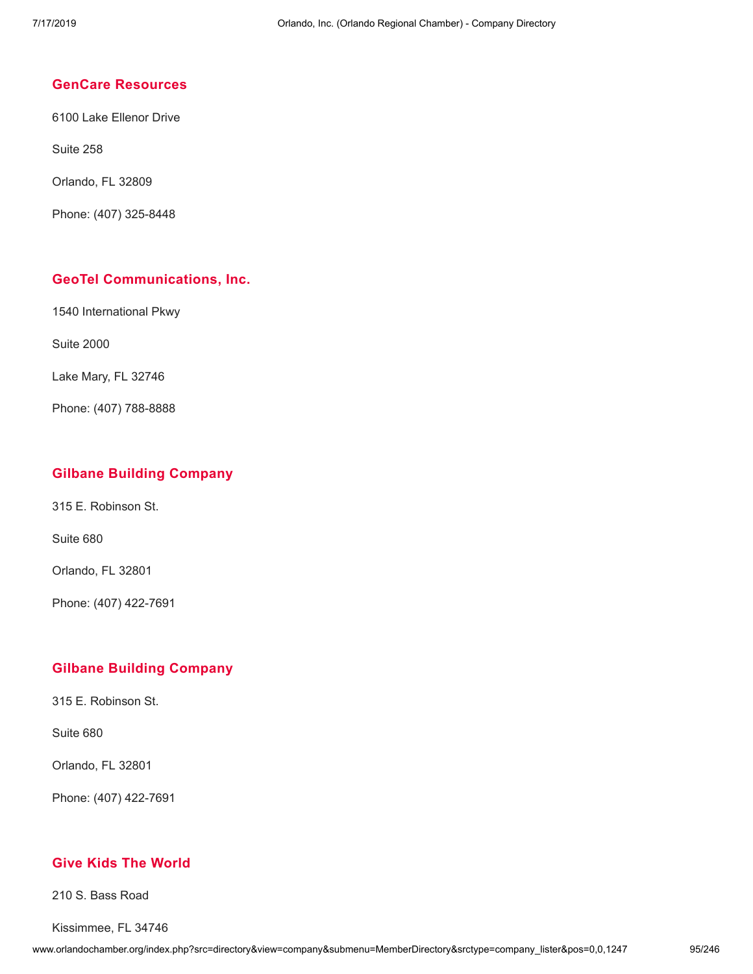#### **GenCare [Resources](http://www.orlandochamber.org/index.php?src=directory&view=company&submenu=MemberDirectory&refno=2777176&srctype=company_detail)**

6100 Lake Ellenor Drive

Suite 258

Orlando, FL 32809

Phone: (407) 325-8448

#### **GeoTel [Communications,](http://www.orlandochamber.org/index.php?src=directory&view=company&submenu=MemberDirectory&refno=2777177&srctype=company_detail) Inc.**

1540 International Pkwy

Suite 2000

Lake Mary, FL 32746

Phone: (407) 788-8888

#### **Gilbane Building [Company](http://www.orlandochamber.org/index.php?src=directory&view=company&submenu=MemberDirectory&refno=2777178&srctype=company_detail)**

315 E. Robinson St.

Suite 680

Orlando, FL 32801

Phone: (407) 422-7691

#### **Gilbane Building [Company](http://www.orlandochamber.org/index.php?src=directory&view=company&submenu=MemberDirectory&refno=2777179&srctype=company_detail)**

315 E. Robinson St.

Suite 680

Orlando, FL 32801

Phone: (407) 422-7691

### **Give Kids The [World](http://www.orlandochamber.org/index.php?src=directory&view=company&submenu=MemberDirectory&refno=2777180&srctype=company_detail)**

210 S. Bass Road

Kissimmee, FL 34746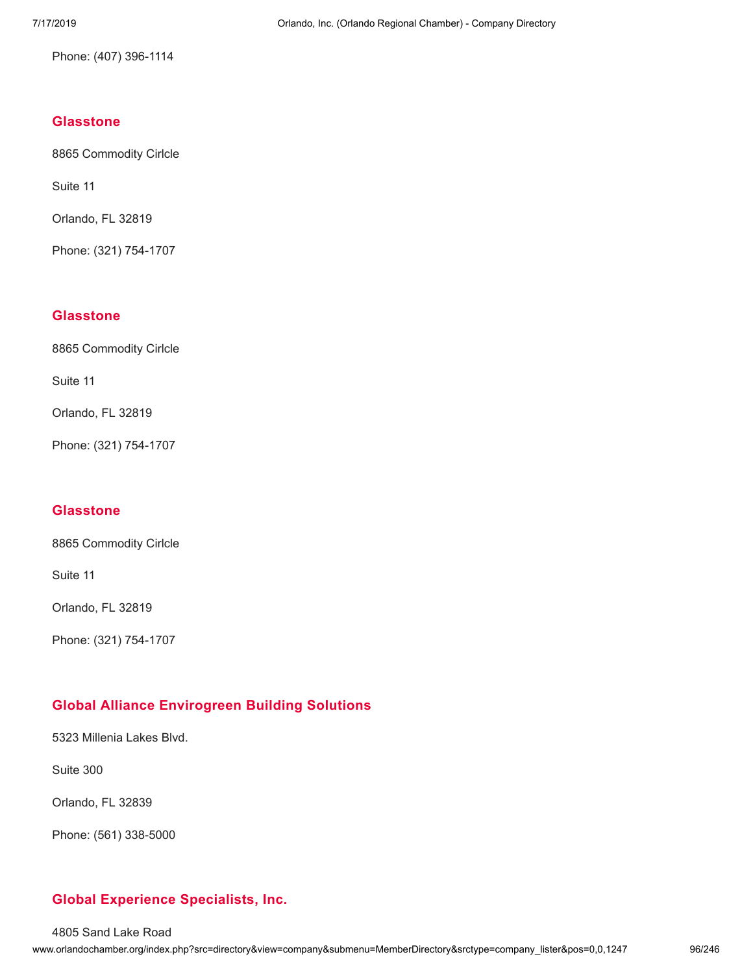Phone: (407) 396-1114

## **[Glasstone](http://www.orlandochamber.org/index.php?src=directory&view=company&submenu=MemberDirectory&refno=2777181&srctype=company_detail)**

8865 Commodity Cirlcle

Suite 11

Orlando, FL 32819

Phone: (321) 754-1707

#### **[Glasstone](http://www.orlandochamber.org/index.php?src=directory&view=company&submenu=MemberDirectory&refno=2777182&srctype=company_detail)**

8865 Commodity Cirlcle

Suite 11

Orlando, FL 32819

Phone: (321) 754-1707

#### **[Glasstone](http://www.orlandochamber.org/index.php?src=directory&view=company&submenu=MemberDirectory&refno=2777183&srctype=company_detail)**

8865 Commodity Cirlcle

Suite 11

Orlando, FL 32819

Phone: (321) 754-1707

## **Global Alliance [Envirogreen](http://www.orlandochamber.org/index.php?src=directory&view=company&submenu=MemberDirectory&refno=2777184&srctype=company_detail) Building Solutions**

5323 Millenia Lakes Blvd.

Suite 300

Orlando, FL 32839

Phone: (561) 338-5000

## **Global Experience [Specialists,](http://www.orlandochamber.org/index.php?src=directory&view=company&submenu=MemberDirectory&refno=2777185&srctype=company_detail) Inc.**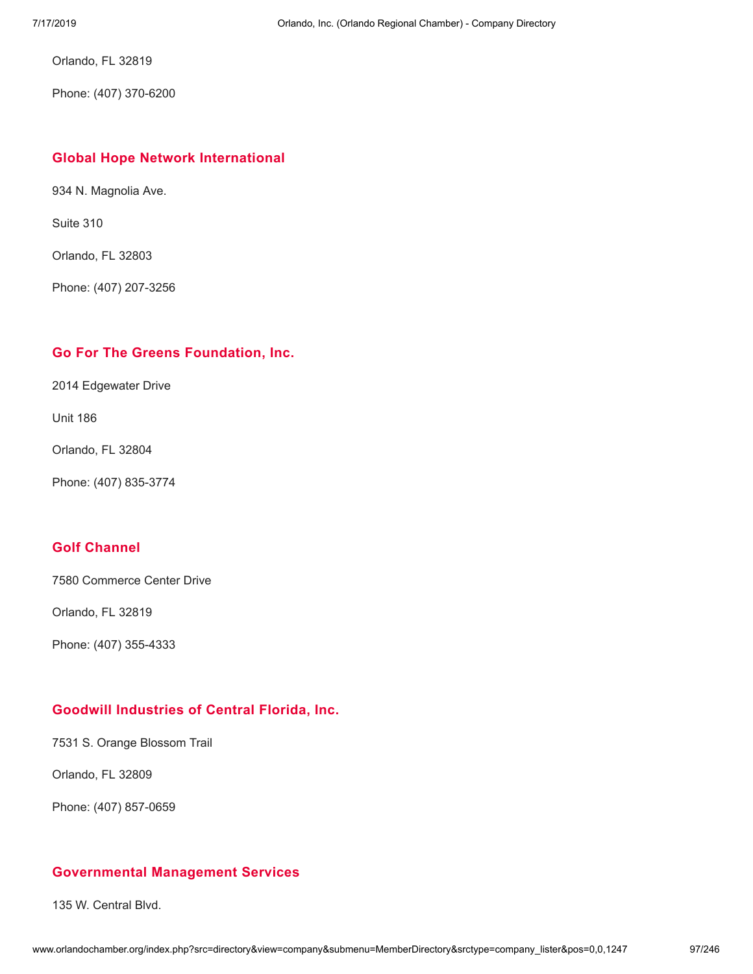Orlando, FL 32819

Phone: (407) 370-6200

#### **Global Hope Network [International](http://www.orlandochamber.org/index.php?src=directory&view=company&submenu=MemberDirectory&refno=2777186&srctype=company_detail)**

934 N. Magnolia Ave.

Suite 310

Orlando, FL 32803

Phone: (407) 207-3256

## **Go For The Greens [Foundation,](http://www.orlandochamber.org/index.php?src=directory&view=company&submenu=MemberDirectory&refno=2777187&srctype=company_detail) Inc.**

2014 Edgewater Drive

Unit 186

Orlando, FL 32804

Phone: (407) 835-3774

## **Golf [Channel](http://www.orlandochamber.org/index.php?src=directory&view=company&submenu=MemberDirectory&refno=2777188&srctype=company_detail)**

7580 Commerce Center Drive

Orlando, FL 32819

Phone: (407) 355-4333

## **Goodwill [Industries](http://www.orlandochamber.org/index.php?src=directory&view=company&submenu=MemberDirectory&refno=2777189&srctype=company_detail) of Central Florida, Inc.**

7531 S. Orange Blossom Trail

Orlando, FL 32809

Phone: (407) 857-0659

## **[Governmental](http://www.orlandochamber.org/index.php?src=directory&view=company&submenu=MemberDirectory&refno=2777190&srctype=company_detail) Management Services**

135 W. Central Blvd.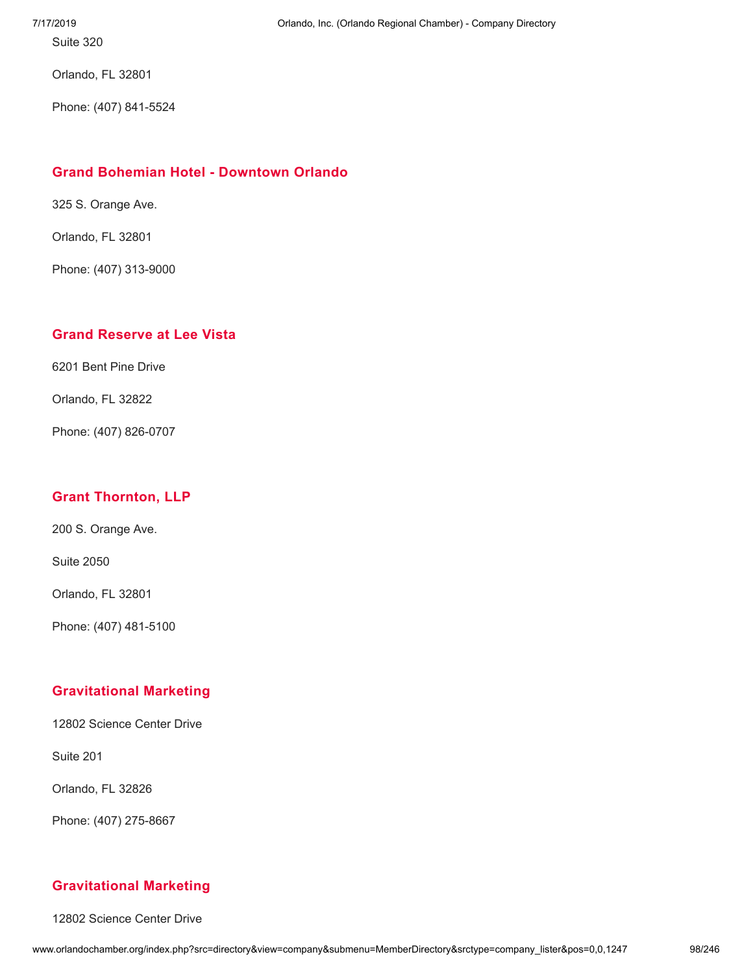Orlando, FL 32801

Phone: (407) 841-5524

## **Grand Bohemian Hotel - [Downtown](http://www.orlandochamber.org/index.php?src=directory&view=company&submenu=MemberDirectory&refno=2777191&srctype=company_detail) Orlando**

325 S. Orange Ave.

Orlando, FL 32801

Phone: (407) 313-9000

## **Grand [Reserve](http://www.orlandochamber.org/index.php?src=directory&view=company&submenu=MemberDirectory&refno=2777192&srctype=company_detail) at Lee Vista**

6201 Bent Pine Drive

Orlando, FL 32822

Phone: (407) 826-0707

## **Grant [Thornton,](http://www.orlandochamber.org/index.php?src=directory&view=company&submenu=MemberDirectory&refno=2777193&srctype=company_detail) LLP**

200 S. Orange Ave.

Suite 2050

Orlando, FL 32801

Phone: (407) 481-5100

## **[Gravitational](http://www.orlandochamber.org/index.php?src=directory&view=company&submenu=MemberDirectory&refno=2777194&srctype=company_detail) Marketing**

12802 Science Center Drive

Suite 201

Orlando, FL 32826

Phone: (407) 275-8667

## **[Gravitational](http://www.orlandochamber.org/index.php?src=directory&view=company&submenu=MemberDirectory&refno=2777195&srctype=company_detail) Marketing**

12802 Science Center Drive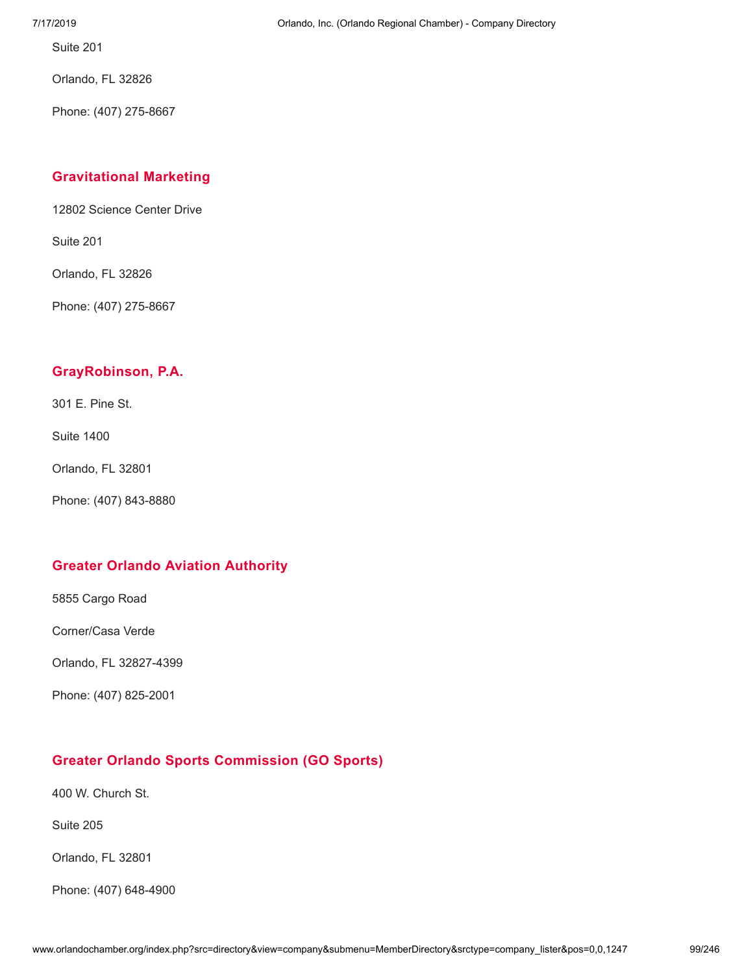Orlando, FL 32826

Phone: (407) 275-8667

## **[Gravitational](http://www.orlandochamber.org/index.php?src=directory&view=company&submenu=MemberDirectory&refno=2777196&srctype=company_detail) Marketing**

12802 Science Center Drive

Suite 201

Orlando, FL 32826

Phone: (407) 275-8667

### **[GrayRobinson,](http://www.orlandochamber.org/index.php?src=directory&view=company&submenu=MemberDirectory&refno=2777197&srctype=company_detail) P.A.**

301 E. Pine St.

Suite 1400

Orlando, FL 32801

Phone: (407) 843-8880

#### **Greater Orlando Aviation [Authority](http://www.orlandochamber.org/index.php?src=directory&view=company&submenu=MemberDirectory&refno=2777198&srctype=company_detail)**

5855 Cargo Road

Corner/Casa Verde

Orlando, FL 32827-4399

Phone: (407) 825-2001

## **Greater Orlando Sports [Commission](http://www.orlandochamber.org/index.php?src=directory&view=company&submenu=MemberDirectory&refno=2777199&srctype=company_detail) (GO Sports)**

400 W. Church St.

Suite 205

Orlando, FL 32801

Phone: (407) 648-4900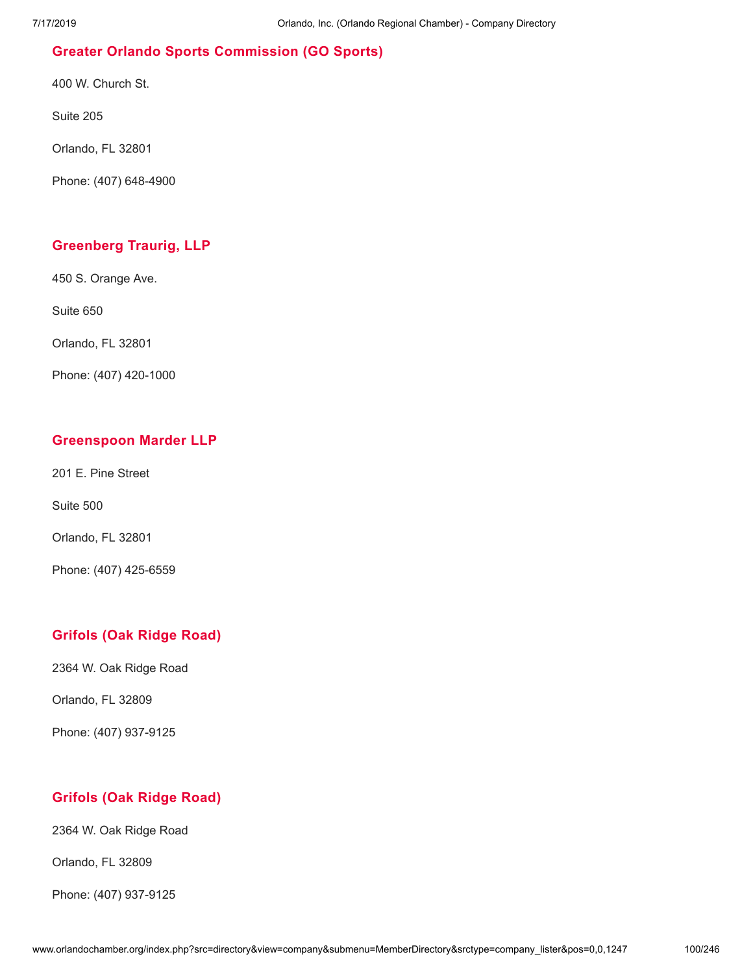# **Greater Orlando Sports [Commission](http://www.orlandochamber.org/index.php?src=directory&view=company&submenu=MemberDirectory&refno=2777200&srctype=company_detail) (GO Sports)**

400 W. Church St.

Suite 205

Orlando, FL 32801

Phone: (407) 648-4900

# **[Greenberg](http://www.orlandochamber.org/index.php?src=directory&view=company&submenu=MemberDirectory&refno=2777201&srctype=company_detail) Traurig, LLP**

450 S. Orange Ave.

Suite 650

Orlando, FL 32801

Phone: (407) 420-1000

## **[Greenspoon](http://www.orlandochamber.org/index.php?src=directory&view=company&submenu=MemberDirectory&refno=2777202&srctype=company_detail) Marder LLP**

201 E. Pine Street

Suite 500

Orlando, FL 32801

Phone: (407) 425-6559

## **[Grifols](http://www.orlandochamber.org/index.php?src=directory&view=company&submenu=MemberDirectory&refno=2777203&srctype=company_detail) (Oak Ridge Road)**

2364 W. Oak Ridge Road

Orlando, FL 32809

Phone: (407) 937-9125

## **[Grifols](http://www.orlandochamber.org/index.php?src=directory&view=company&submenu=MemberDirectory&refno=2777204&srctype=company_detail) (Oak Ridge Road)**

2364 W. Oak Ridge Road

Orlando, FL 32809

Phone: (407) 937-9125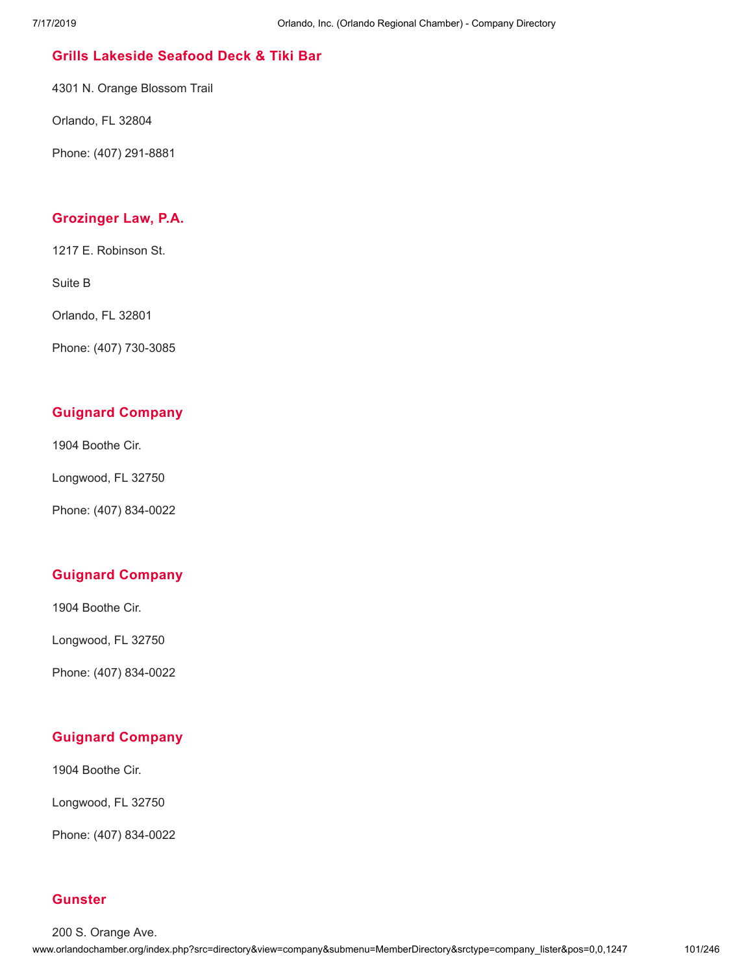## **Grills [Lakeside](http://www.orlandochamber.org/index.php?src=directory&view=company&submenu=MemberDirectory&refno=2777205&srctype=company_detail) Seafood Deck & Tiki Bar**

4301 N. Orange Blossom Trail

Orlando, FL 32804

Phone: (407) 291-8881

#### **[Grozinger](http://www.orlandochamber.org/index.php?src=directory&view=company&submenu=MemberDirectory&refno=2777206&srctype=company_detail) Law, P.A.**

1217 E. Robinson St.

Suite B

Orlando, FL 32801

Phone: (407) 730-3085

## **Guignard [Company](http://www.orlandochamber.org/index.php?src=directory&view=company&submenu=MemberDirectory&refno=2777207&srctype=company_detail)**

1904 Boothe Cir.

Longwood, FL 32750

Phone: (407) 834-0022

## **Guignard [Company](http://www.orlandochamber.org/index.php?src=directory&view=company&submenu=MemberDirectory&refno=2777208&srctype=company_detail)**

1904 Boothe Cir.

Longwood, FL 32750

Phone: (407) 834-0022

## **Guignard [Company](http://www.orlandochamber.org/index.php?src=directory&view=company&submenu=MemberDirectory&refno=2777209&srctype=company_detail)**

1904 Boothe Cir.

Longwood, FL 32750

Phone: (407) 834-0022

#### **[Gunster](http://www.orlandochamber.org/index.php?src=directory&view=company&submenu=MemberDirectory&refno=2777210&srctype=company_detail)**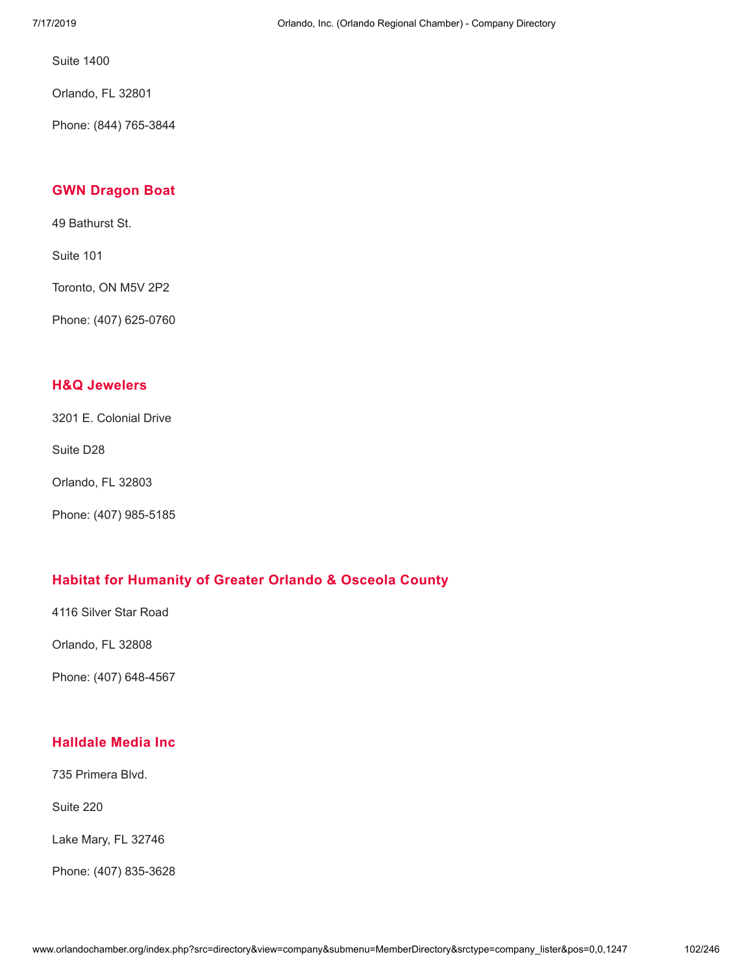Orlando, FL 32801

Phone: (844) 765-3844

### **GWN [Dragon](http://www.orlandochamber.org/index.php?src=directory&view=company&submenu=MemberDirectory&refno=2777211&srctype=company_detail) Boat**

49 Bathurst St.

Suite 101

Toronto, ON M5V 2P2

Phone: (407) 625-0760

## **H&Q [Jewelers](http://www.orlandochamber.org/index.php?src=directory&view=company&submenu=MemberDirectory&refno=2777212&srctype=company_detail)**

3201 E. Colonial Drive

Suite D28

Orlando, FL 32803

Phone: (407) 985-5185

## **Habitat for [Humanity](http://www.orlandochamber.org/index.php?src=directory&view=company&submenu=MemberDirectory&refno=2777213&srctype=company_detail) of Greater Orlando & Osceola County**

4116 Silver Star Road

Orlando, FL 32808

Phone: (407) 648-4567

## **[Halldale](http://www.orlandochamber.org/index.php?src=directory&view=company&submenu=MemberDirectory&refno=2777214&srctype=company_detail) Media Inc**

735 Primera Blvd.

Suite 220

Lake Mary, FL 32746

Phone: (407) 835-3628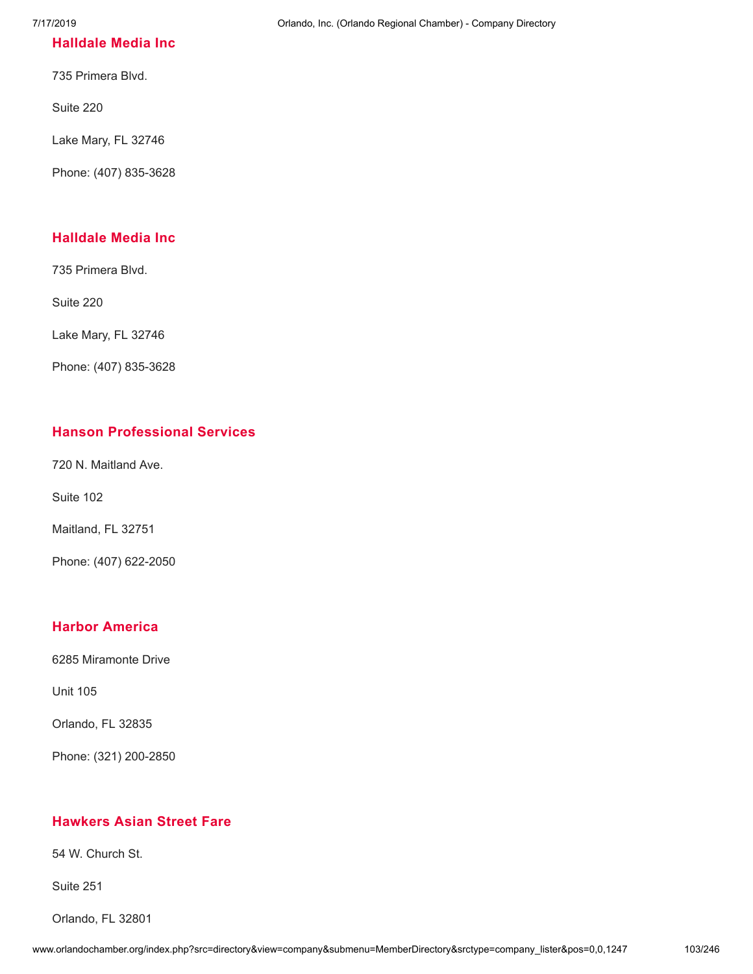### **[Halldale](http://www.orlandochamber.org/index.php?src=directory&view=company&submenu=MemberDirectory&refno=2777215&srctype=company_detail) Media Inc**

735 Primera Blvd.

Suite 220

Lake Mary, FL 32746

Phone: (407) 835-3628

### **[Halldale](http://www.orlandochamber.org/index.php?src=directory&view=company&submenu=MemberDirectory&refno=2777216&srctype=company_detail) Media Inc**

735 Primera Blvd.

Suite 220

Lake Mary, FL 32746

Phone: (407) 835-3628

### **Hanson [Professional](http://www.orlandochamber.org/index.php?src=directory&view=company&submenu=MemberDirectory&refno=2777217&srctype=company_detail) Services**

720 N. Maitland Ave.

Suite 102

Maitland, FL 32751

Phone: (407) 622-2050

#### **Harbor [America](http://www.orlandochamber.org/index.php?src=directory&view=company&submenu=MemberDirectory&refno=2777218&srctype=company_detail)**

6285 Miramonte Drive

Unit 105

Orlando, FL 32835

Phone: (321) 200-2850

## **[Hawkers](http://www.orlandochamber.org/index.php?src=directory&view=company&submenu=MemberDirectory&refno=2777219&srctype=company_detail) Asian Street Fare**

54 W. Church St.

Suite 251

Orlando, FL 32801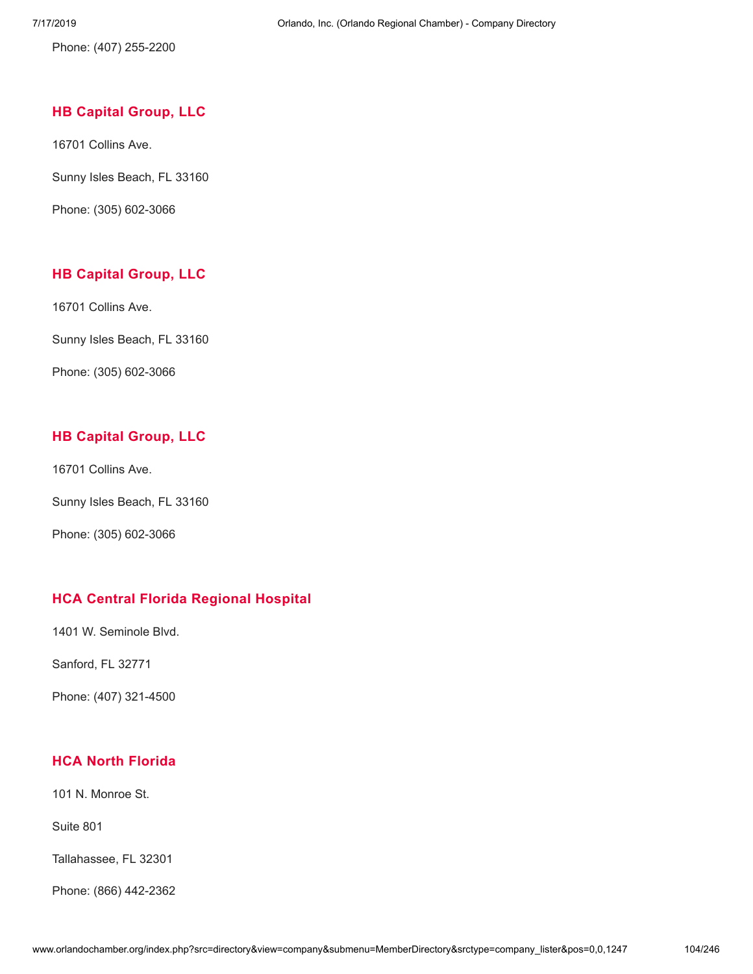Phone: (407) 255-2200

### **HB [Capital](http://www.orlandochamber.org/index.php?src=directory&view=company&submenu=MemberDirectory&refno=2777220&srctype=company_detail) Group, LLC**

16701 Collins Ave.

Sunny Isles Beach, FL 33160

Phone: (305) 602-3066

## **HB [Capital](http://www.orlandochamber.org/index.php?src=directory&view=company&submenu=MemberDirectory&refno=2777221&srctype=company_detail) Group, LLC**

16701 Collins Ave.

Sunny Isles Beach, FL 33160

Phone: (305) 602-3066

## **HB [Capital](http://www.orlandochamber.org/index.php?src=directory&view=company&submenu=MemberDirectory&refno=2777222&srctype=company_detail) Group, LLC**

16701 Collins Ave.

Sunny Isles Beach, FL 33160

Phone: (305) 602-3066

## **HCA Central Florida [Regional](http://www.orlandochamber.org/index.php?src=directory&view=company&submenu=MemberDirectory&refno=2777223&srctype=company_detail) Hospital**

1401 W. Seminole Blvd.

Sanford, FL 32771

Phone: (407) 321-4500

## **HCA North [Florida](http://www.orlandochamber.org/index.php?src=directory&view=company&submenu=MemberDirectory&refno=2777224&srctype=company_detail)**

101 N. Monroe St.

Suite 801

Tallahassee, FL 32301

Phone: (866) 442-2362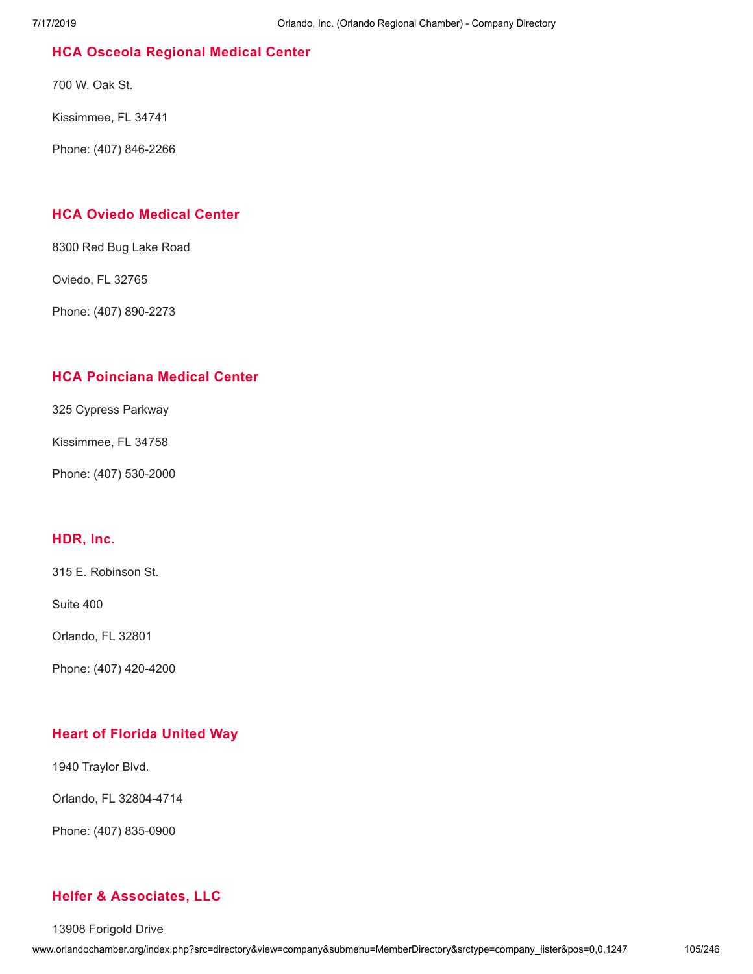## **HCA Osceola [Regional](http://www.orlandochamber.org/index.php?src=directory&view=company&submenu=MemberDirectory&refno=2777225&srctype=company_detail) Medical Center**

700 W. Oak St.

Kissimmee, FL 34741

Phone: (407) 846-2266

## **HCA Oviedo [Medical](http://www.orlandochamber.org/index.php?src=directory&view=company&submenu=MemberDirectory&refno=2777226&srctype=company_detail) Center**

8300 Red Bug Lake Road

Oviedo, FL 32765

Phone: (407) 890-2273

## **HCA [Poinciana](http://www.orlandochamber.org/index.php?src=directory&view=company&submenu=MemberDirectory&refno=2777227&srctype=company_detail) Medical Center**

325 Cypress Parkway

Kissimmee, FL 34758

Phone: (407) 530-2000

#### **[HDR,](http://www.orlandochamber.org/index.php?src=directory&view=company&submenu=MemberDirectory&refno=2777228&srctype=company_detail) Inc.**

315 E. Robinson St.

Suite 400

Orlando, FL 32801

Phone: (407) 420-4200

## **Heart of [Florida](http://www.orlandochamber.org/index.php?src=directory&view=company&submenu=MemberDirectory&refno=2777229&srctype=company_detail) United Way**

1940 Traylor Blvd.

Orlando, FL 32804-4714

Phone: (407) 835-0900

## **Helfer & [Associates,](http://www.orlandochamber.org/index.php?src=directory&view=company&submenu=MemberDirectory&refno=2777230&srctype=company_detail) LLC**

13908 Forigold Drive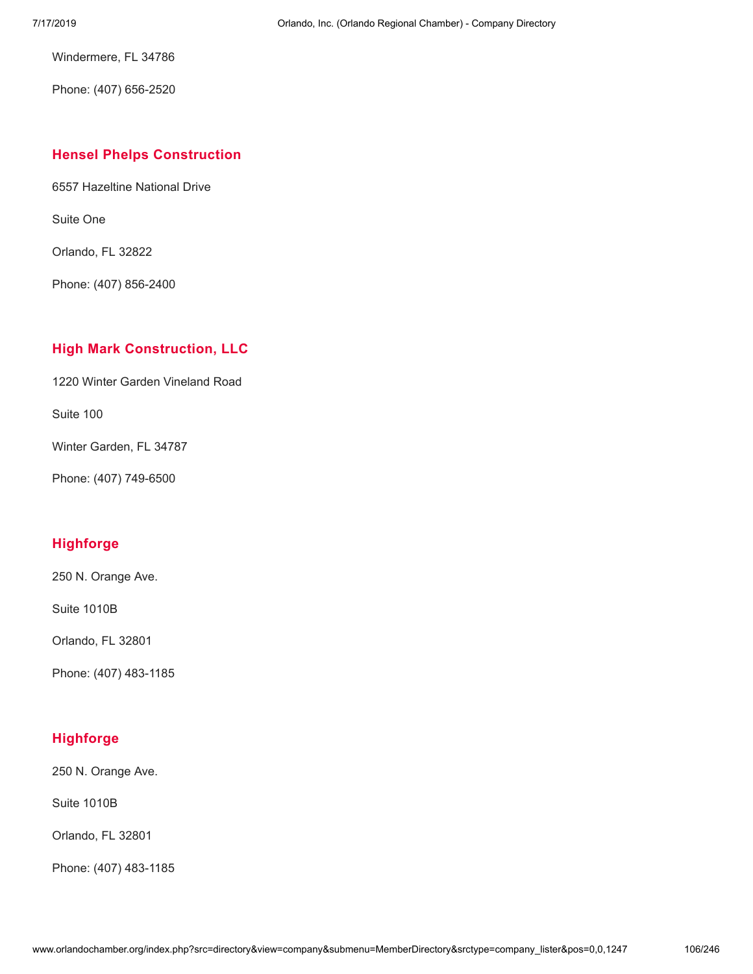Windermere, FL 34786

Phone: (407) 656-2520

#### **Hensel Phelps [Construction](http://www.orlandochamber.org/index.php?src=directory&view=company&submenu=MemberDirectory&refno=2777231&srctype=company_detail)**

6557 Hazeltine National Drive

Suite One

Orlando, FL 32822

Phone: (407) 856-2400

# **High Mark [Construction,](http://www.orlandochamber.org/index.php?src=directory&view=company&submenu=MemberDirectory&refno=2777232&srctype=company_detail) LLC**

1220 Winter Garden Vineland Road

Suite 100

Winter Garden, FL 34787

Phone: (407) 749-6500

## **[Highforge](http://www.orlandochamber.org/index.php?src=directory&view=company&submenu=MemberDirectory&refno=2777233&srctype=company_detail)**

250 N. Orange Ave.

Suite 1010B

Orlando, FL 32801

Phone: (407) 483-1185

## **[Highforge](http://www.orlandochamber.org/index.php?src=directory&view=company&submenu=MemberDirectory&refno=2777234&srctype=company_detail)**

250 N. Orange Ave.

Suite 1010B

Orlando, FL 32801

Phone: (407) 483-1185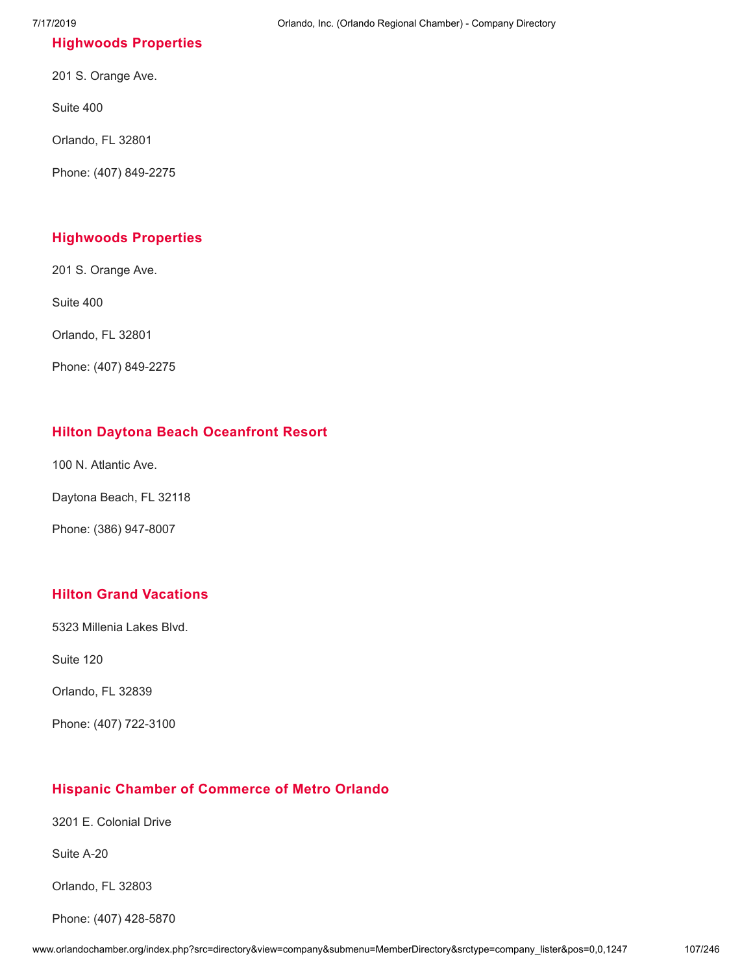# **[Highwoods](http://www.orlandochamber.org/index.php?src=directory&view=company&submenu=MemberDirectory&refno=2777235&srctype=company_detail) Properties**

201 S. Orange Ave.

Suite 400

Orlando, FL 32801

Phone: (407) 849-2275

## **[Highwoods](http://www.orlandochamber.org/index.php?src=directory&view=company&submenu=MemberDirectory&refno=2777236&srctype=company_detail) Properties**

201 S. Orange Ave.

Suite 400

Orlando, FL 32801

Phone: (407) 849-2275

## **Hilton Daytona Beach [Oceanfront](http://www.orlandochamber.org/index.php?src=directory&view=company&submenu=MemberDirectory&refno=2777237&srctype=company_detail) Resort**

100 N. Atlantic Ave.

Daytona Beach, FL 32118

Phone: (386) 947-8007

## **Hilton Grand [Vacations](http://www.orlandochamber.org/index.php?src=directory&view=company&submenu=MemberDirectory&refno=2777238&srctype=company_detail)**

5323 Millenia Lakes Blvd.

Suite 120

Orlando, FL 32839

Phone: (407) 722-3100

## **Hispanic Chamber of [Commerce](http://www.orlandochamber.org/index.php?src=directory&view=company&submenu=MemberDirectory&refno=2777239&srctype=company_detail) of Metro Orlando**

3201 E. Colonial Drive

Suite A-20

Orlando, FL 32803

Phone: (407) 428-5870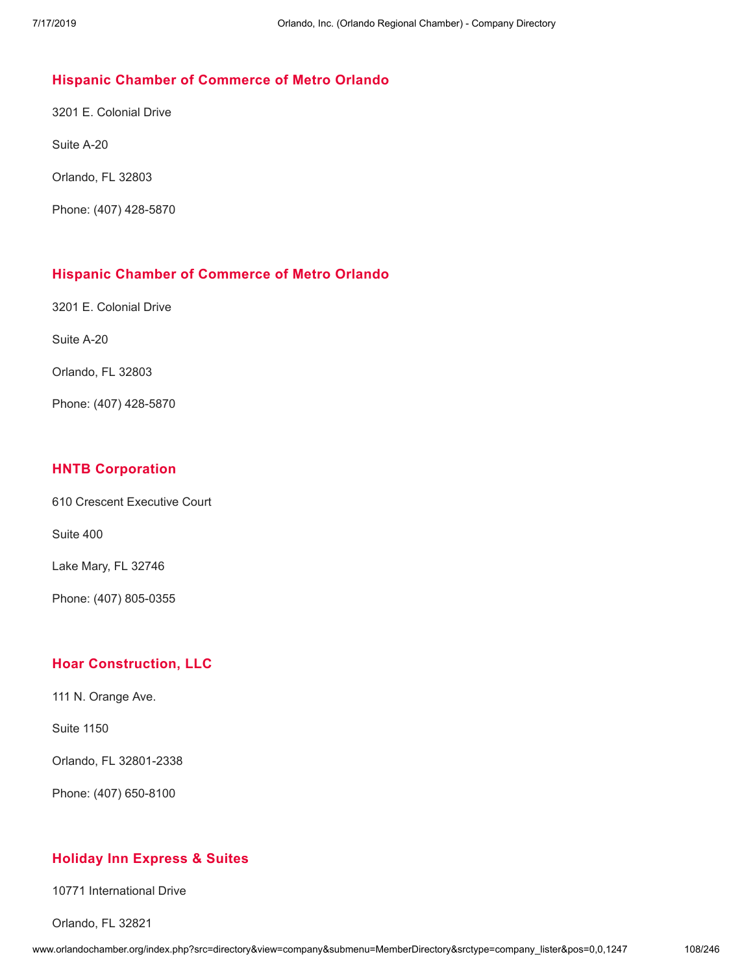## **Hispanic Chamber of [Commerce](http://www.orlandochamber.org/index.php?src=directory&view=company&submenu=MemberDirectory&refno=2777240&srctype=company_detail) of Metro Orlando**

3201 E. Colonial Drive

Suite A-20

Orlando, FL 32803

Phone: (407) 428-5870

### **Hispanic Chamber of [Commerce](http://www.orlandochamber.org/index.php?src=directory&view=company&submenu=MemberDirectory&refno=2777241&srctype=company_detail) of Metro Orlando**

3201 E. Colonial Drive

Suite A-20

Orlando, FL 32803

Phone: (407) 428-5870

## **HNTB [Corporation](http://www.orlandochamber.org/index.php?src=directory&view=company&submenu=MemberDirectory&refno=2777242&srctype=company_detail)**

610 Crescent Executive Court

Suite 400

Lake Mary, FL 32746

Phone: (407) 805-0355

## **Hoar [Construction,](http://www.orlandochamber.org/index.php?src=directory&view=company&submenu=MemberDirectory&refno=2777243&srctype=company_detail) LLC**

111 N. Orange Ave.

Suite 1150

Orlando, FL 32801-2338

Phone: (407) 650-8100

## **Holiday Inn [Express](http://www.orlandochamber.org/index.php?src=directory&view=company&submenu=MemberDirectory&refno=2777244&srctype=company_detail) & Suites**

10771 International Drive

Orlando, FL 32821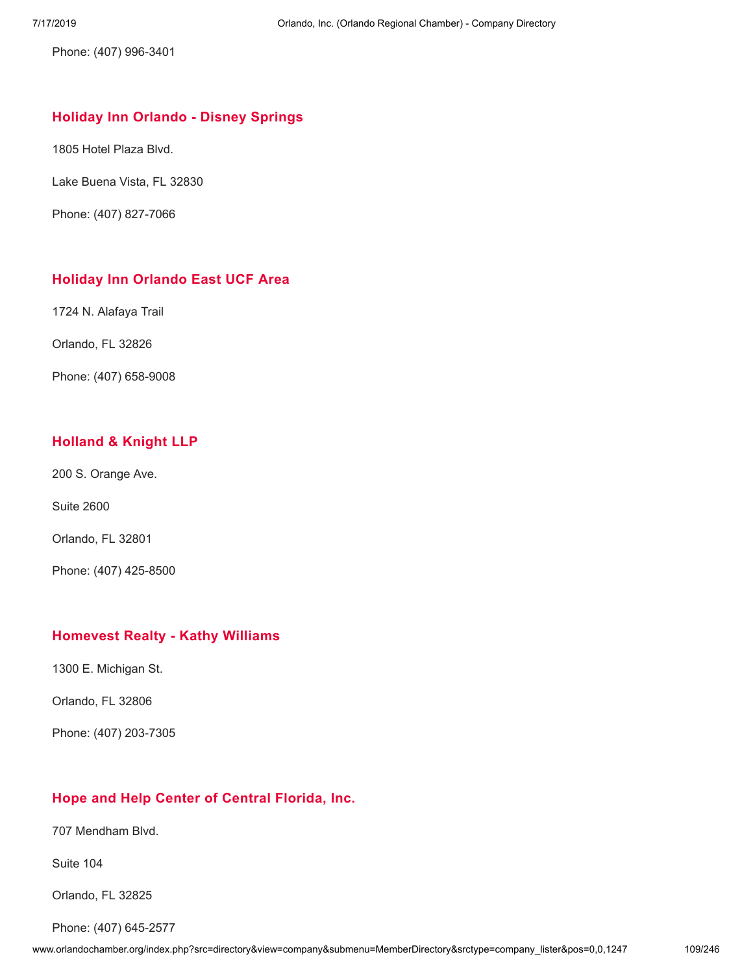Phone: (407) 996-3401

#### **Holiday Inn [Orlando](http://www.orlandochamber.org/index.php?src=directory&view=company&submenu=MemberDirectory&refno=2777245&srctype=company_detail) - Disney Springs**

1805 Hotel Plaza Blvd.

Lake Buena Vista, FL 32830

Phone: (407) 827-7066

# **Holiday Inn [Orlando](http://www.orlandochamber.org/index.php?src=directory&view=company&submenu=MemberDirectory&refno=2777246&srctype=company_detail) East UCF Area**

1724 N. Alafaya Trail

Orlando, FL 32826

Phone: (407) 658-9008

# **[Holland](http://www.orlandochamber.org/index.php?src=directory&view=company&submenu=MemberDirectory&refno=2777247&srctype=company_detail) & Knight LLP**

200 S. Orange Ave.

Suite 2600

Orlando, FL 32801

Phone: (407) 425-8500

## **[Homevest](http://www.orlandochamber.org/index.php?src=directory&view=company&submenu=MemberDirectory&refno=2777248&srctype=company_detail) Realty - Kathy Williams**

1300 E. Michigan St.

Orlando, FL 32806

Phone: (407) 203-7305

# **Hope and Help Center of Central [Florida,](http://www.orlandochamber.org/index.php?src=directory&view=company&submenu=MemberDirectory&refno=2777249&srctype=company_detail) Inc.**

707 Mendham Blvd.

Suite 104

Orlando, FL 32825

Phone: (407) 645-2577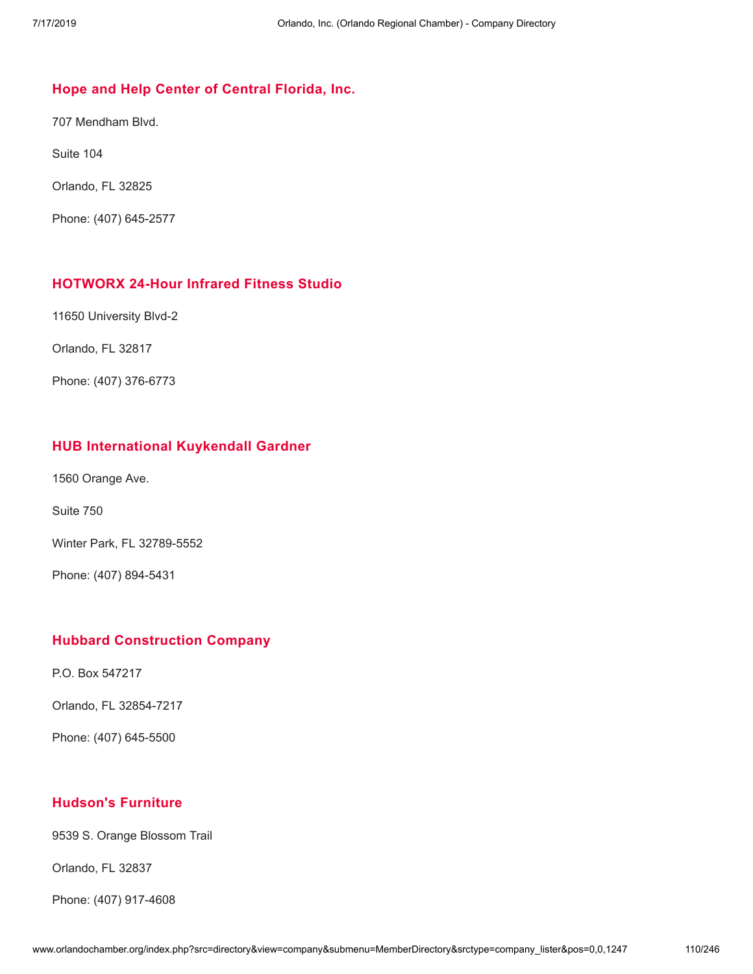## **Hope and Help Center of Central [Florida,](http://www.orlandochamber.org/index.php?src=directory&view=company&submenu=MemberDirectory&refno=2777250&srctype=company_detail) Inc.**

707 Mendham Blvd.

Suite 104

Orlando, FL 32825

Phone: (407) 645-2577

#### **[HOTWORX](http://www.orlandochamber.org/index.php?src=directory&view=company&submenu=MemberDirectory&refno=2777251&srctype=company_detail) 24-Hour Infrared Fitness Studio**

11650 University Blvd-2

Orlando, FL 32817

Phone: (407) 376-6773

## **HUB [International](http://www.orlandochamber.org/index.php?src=directory&view=company&submenu=MemberDirectory&refno=2777252&srctype=company_detail) Kuykendall Gardner**

1560 Orange Ave.

Suite 750

Winter Park, FL 32789-5552

Phone: (407) 894-5431

#### **Hubbard [Construction](http://www.orlandochamber.org/index.php?src=directory&view=company&submenu=MemberDirectory&refno=2777253&srctype=company_detail) Company**

P.O. Box 547217

Orlando, FL 32854-7217

Phone: (407) 645-5500

#### **[Hudson's](http://www.orlandochamber.org/index.php?src=directory&view=company&submenu=MemberDirectory&refno=2777254&srctype=company_detail) Furniture**

9539 S. Orange Blossom Trail

Orlando, FL 32837

Phone: (407) 917-4608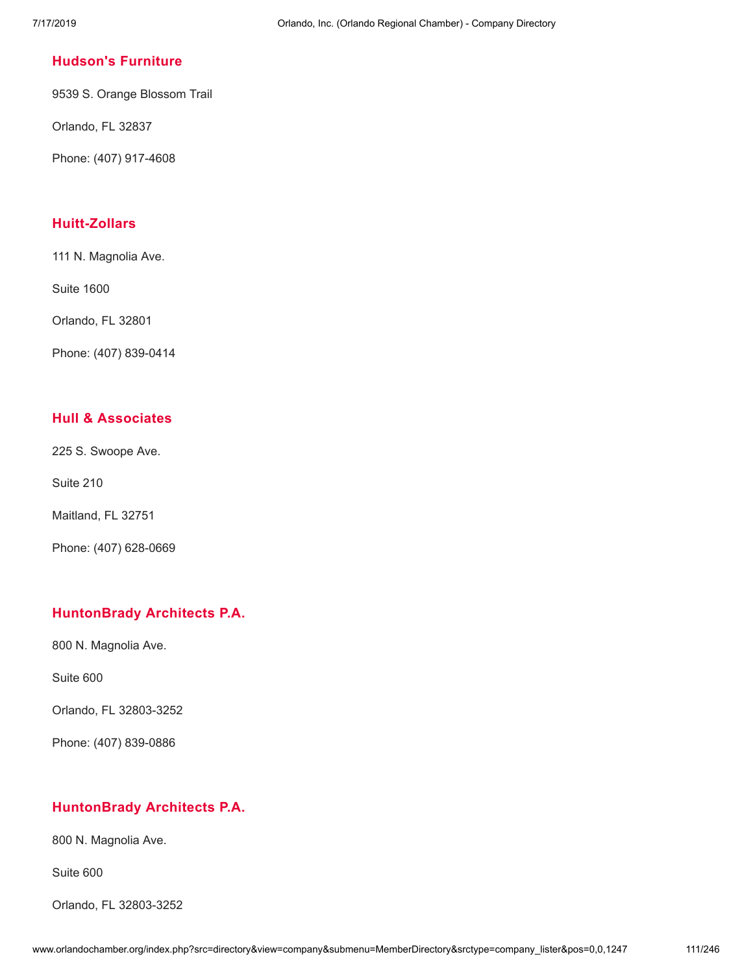#### **[Hudson's](http://www.orlandochamber.org/index.php?src=directory&view=company&submenu=MemberDirectory&refno=2777255&srctype=company_detail) Furniture**

9539 S. Orange Blossom Trail

Orlando, FL 32837

Phone: (407) 917-4608

## **[Huitt-Zollars](http://www.orlandochamber.org/index.php?src=directory&view=company&submenu=MemberDirectory&refno=2777256&srctype=company_detail)**

111 N. Magnolia Ave.

Suite 1600

Orlando, FL 32801

Phone: (407) 839-0414

## **Hull & [Associates](http://www.orlandochamber.org/index.php?src=directory&view=company&submenu=MemberDirectory&refno=2777257&srctype=company_detail)**

225 S. Swoope Ave.

Suite 210

Maitland, FL 32751

Phone: (407) 628-0669

## **[HuntonBrady](http://www.orlandochamber.org/index.php?src=directory&view=company&submenu=MemberDirectory&refno=2777258&srctype=company_detail) Architects P.A.**

800 N. Magnolia Ave.

Suite 600

Orlando, FL 32803-3252

Phone: (407) 839-0886

## **[HuntonBrady](http://www.orlandochamber.org/index.php?src=directory&view=company&submenu=MemberDirectory&refno=2777259&srctype=company_detail) Architects P.A.**

800 N. Magnolia Ave.

Suite 600

Orlando, FL 32803-3252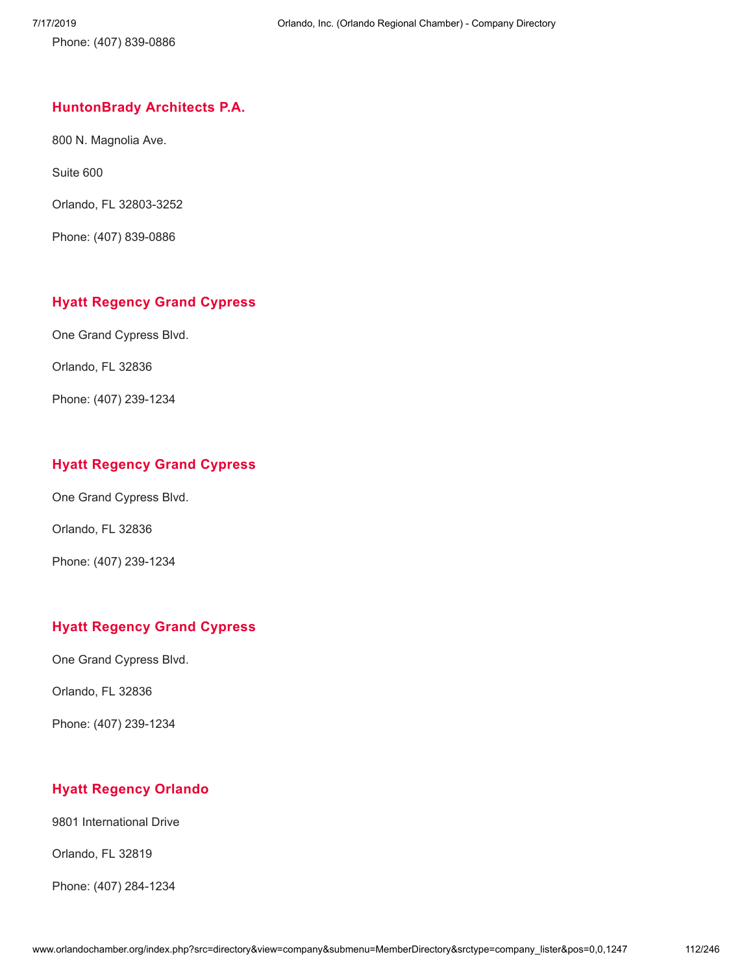Phone: (407) 839-0886

#### **[HuntonBrady](http://www.orlandochamber.org/index.php?src=directory&view=company&submenu=MemberDirectory&refno=2777260&srctype=company_detail) Architects P.A.**

800 N. Magnolia Ave.

Suite 600

Orlando, FL 32803-3252

Phone: (407) 839-0886

## **Hyatt [Regency](http://www.orlandochamber.org/index.php?src=directory&view=company&submenu=MemberDirectory&refno=2777261&srctype=company_detail) Grand Cypress**

One Grand Cypress Blvd.

Orlando, FL 32836

Phone: (407) 239-1234

## **Hyatt [Regency](http://www.orlandochamber.org/index.php?src=directory&view=company&submenu=MemberDirectory&refno=2777262&srctype=company_detail) Grand Cypress**

One Grand Cypress Blvd.

Orlando, FL 32836

Phone: (407) 239-1234

## **Hyatt [Regency](http://www.orlandochamber.org/index.php?src=directory&view=company&submenu=MemberDirectory&refno=2777263&srctype=company_detail) Grand Cypress**

One Grand Cypress Blvd.

Orlando, FL 32836

Phone: (407) 239-1234

## **Hyatt [Regency](http://www.orlandochamber.org/index.php?src=directory&view=company&submenu=MemberDirectory&refno=2777264&srctype=company_detail) Orlando**

9801 International Drive

Orlando, FL 32819

Phone: (407) 284-1234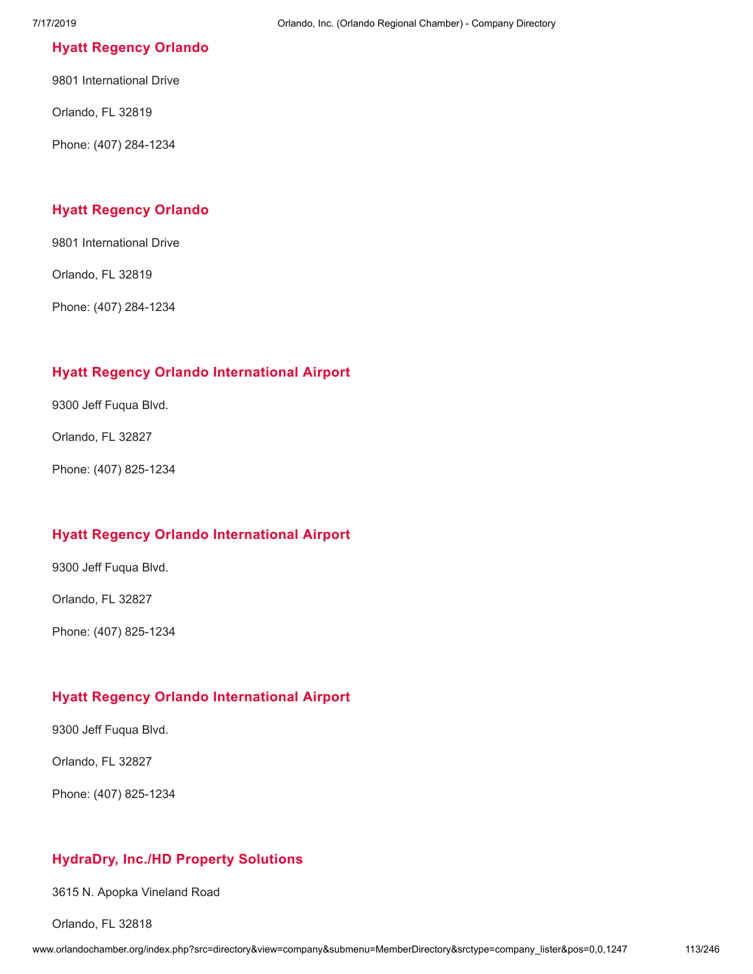#### **Hyatt [Regency](http://www.orlandochamber.org/index.php?src=directory&view=company&submenu=MemberDirectory&refno=2777265&srctype=company_detail) Orlando**

9801 International Drive

Orlando, FL 32819

Phone: (407) 284-1234

#### **Hyatt [Regency](http://www.orlandochamber.org/index.php?src=directory&view=company&submenu=MemberDirectory&refno=2777266&srctype=company_detail) Orlando**

9801 International Drive

Orlando, FL 32819

Phone: (407) 284-1234

## **Hyatt Regency Orlando [International](http://www.orlandochamber.org/index.php?src=directory&view=company&submenu=MemberDirectory&refno=2777267&srctype=company_detail) Airport**

9300 Jeff Fuqua Blvd.

Orlando, FL 32827

Phone: (407) 825-1234

## **Hyatt Regency Orlando [International](http://www.orlandochamber.org/index.php?src=directory&view=company&submenu=MemberDirectory&refno=2777268&srctype=company_detail) Airport**

9300 Jeff Fuqua Blvd.

Orlando, FL 32827

Phone: (407) 825-1234

## **Hyatt Regency Orlando [International](http://www.orlandochamber.org/index.php?src=directory&view=company&submenu=MemberDirectory&refno=2777269&srctype=company_detail) Airport**

9300 Jeff Fuqua Blvd.

Orlando, FL 32827

Phone: (407) 825-1234

## **[HydraDry,](http://www.orlandochamber.org/index.php?src=directory&view=company&submenu=MemberDirectory&refno=2777270&srctype=company_detail) Inc./HD Property Solutions**

3615 N. Apopka Vineland Road

Orlando, FL 32818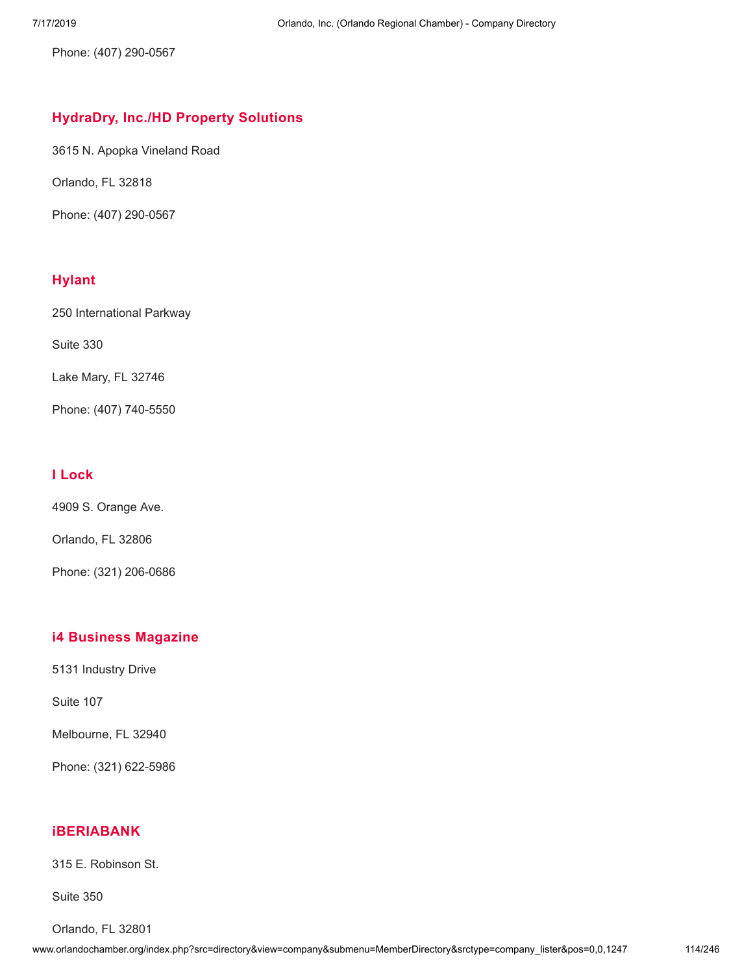Phone: (407) 290-0567

# **[HydraDry,](http://www.orlandochamber.org/index.php?src=directory&view=company&submenu=MemberDirectory&refno=2777271&srctype=company_detail) Inc./HD Property Solutions**

3615 N. Apopka Vineland Road

Orlando, FL 32818

Phone: (407) 290-0567

# **[Hylant](http://www.orlandochamber.org/index.php?src=directory&view=company&submenu=MemberDirectory&refno=2777272&srctype=company_detail)**

250 International Parkway

Suite 330

Lake Mary, FL 32746

Phone: (407) 740-5550

## **I [Lock](http://www.orlandochamber.org/index.php?src=directory&view=company&submenu=MemberDirectory&refno=2777273&srctype=company_detail)**

4909 S. Orange Ave.

Orlando, FL 32806

Phone: (321) 206-0686

## **i4 Business [Magazine](http://www.orlandochamber.org/index.php?src=directory&view=company&submenu=MemberDirectory&refno=2777274&srctype=company_detail)**

5131 Industry Drive

Suite 107

Melbourne, FL 32940

Phone: (321) 622-5986

# **[iBERIABANK](http://www.orlandochamber.org/index.php?src=directory&view=company&submenu=MemberDirectory&refno=2777275&srctype=company_detail)**

315 E. Robinson St.

Suite 350

Orlando, FL 32801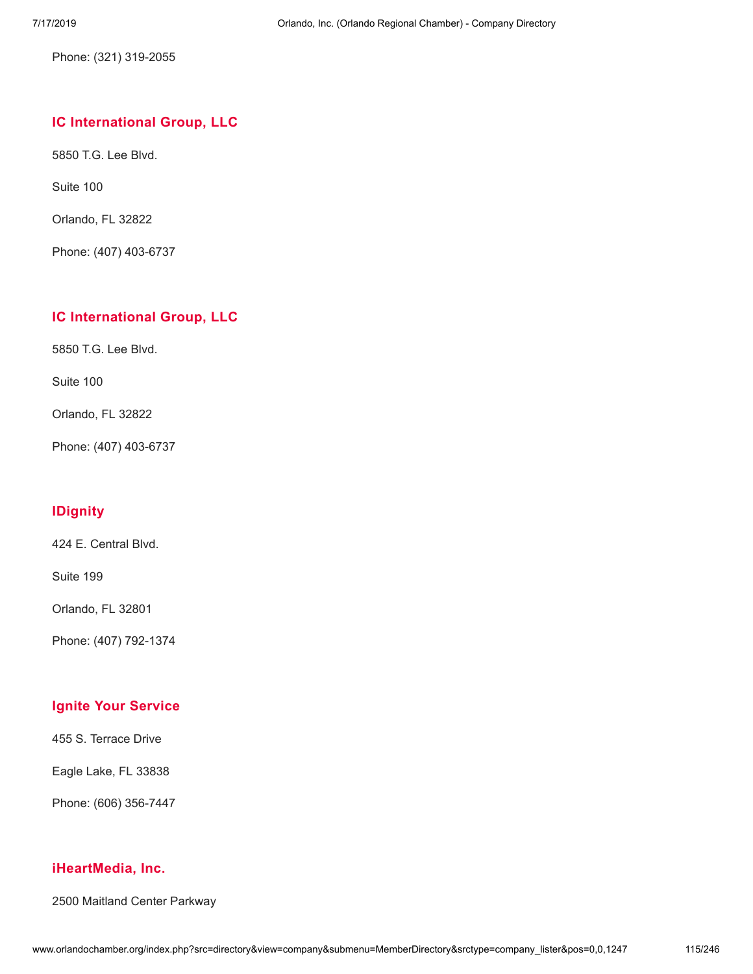Phone: (321) 319-2055

## **IC [International](http://www.orlandochamber.org/index.php?src=directory&view=company&submenu=MemberDirectory&refno=2777276&srctype=company_detail) Group, LLC**

5850 T.G. Lee Blvd.

Suite 100

Orlando, FL 32822

Phone: (407) 403-6737

## **IC [International](http://www.orlandochamber.org/index.php?src=directory&view=company&submenu=MemberDirectory&refno=2777277&srctype=company_detail) Group, LLC**

5850 T.G. Lee Blvd.

Suite 100

Orlando, FL 32822

Phone: (407) 403-6737

# **[IDignity](http://www.orlandochamber.org/index.php?src=directory&view=company&submenu=MemberDirectory&refno=2777278&srctype=company_detail)**

424 E. Central Blvd.

Suite 199

Orlando, FL 32801

Phone: (407) 792-1374

# **Ignite Your [Service](http://www.orlandochamber.org/index.php?src=directory&view=company&submenu=MemberDirectory&refno=2777279&srctype=company_detail)**

455 S. Terrace Drive

Eagle Lake, FL 33838

Phone: (606) 356-7447

#### **[iHeartMedia,](http://www.orlandochamber.org/index.php?src=directory&view=company&submenu=MemberDirectory&refno=2777280&srctype=company_detail) Inc.**

2500 Maitland Center Parkway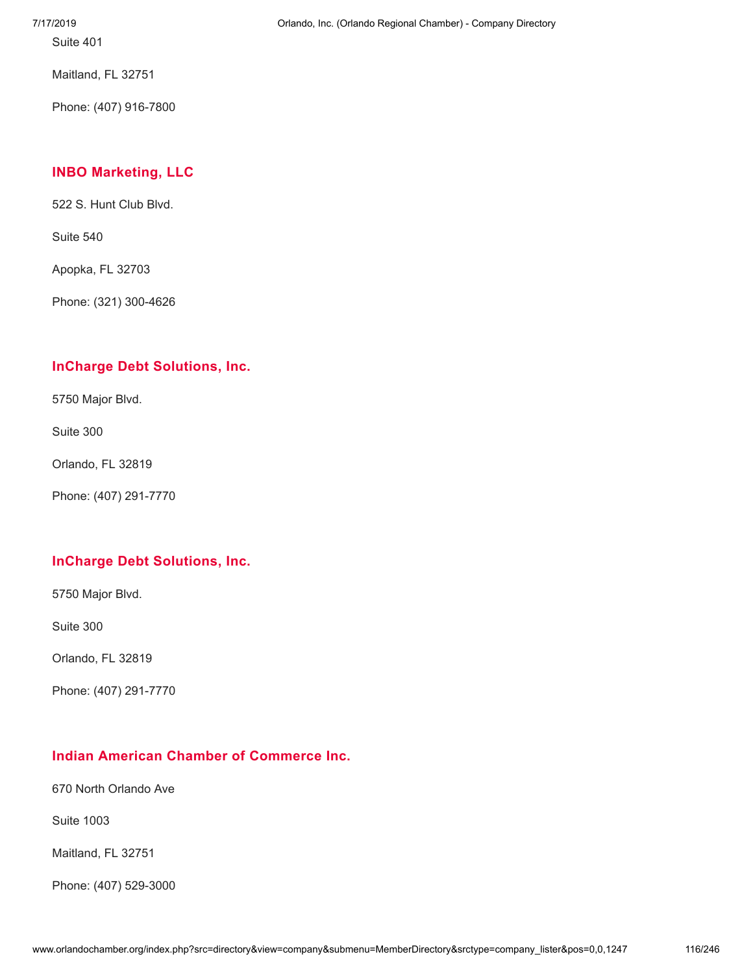Suite 401

Maitland, FL 32751

Phone: (407) 916-7800

# **INBO [Marketing,](http://www.orlandochamber.org/index.php?src=directory&view=company&submenu=MemberDirectory&refno=2777281&srctype=company_detail) LLC**

522 S. Hunt Club Blvd.

Suite 540

Apopka, FL 32703

Phone: (321) 300-4626

## **InCharge Debt [Solutions,](http://www.orlandochamber.org/index.php?src=directory&view=company&submenu=MemberDirectory&refno=2777282&srctype=company_detail) Inc.**

5750 Major Blvd.

Suite 300

Orlando, FL 32819

Phone: (407) 291-7770

## **InCharge Debt [Solutions,](http://www.orlandochamber.org/index.php?src=directory&view=company&submenu=MemberDirectory&refno=2777283&srctype=company_detail) Inc.**

5750 Major Blvd.

Suite 300

Orlando, FL 32819

Phone: (407) 291-7770

# **Indian American Chamber of [Commerce](http://www.orlandochamber.org/index.php?src=directory&view=company&submenu=MemberDirectory&refno=2777284&srctype=company_detail) Inc.**

670 North Orlando Ave

Suite 1003

Maitland, FL 32751

Phone: (407) 529-3000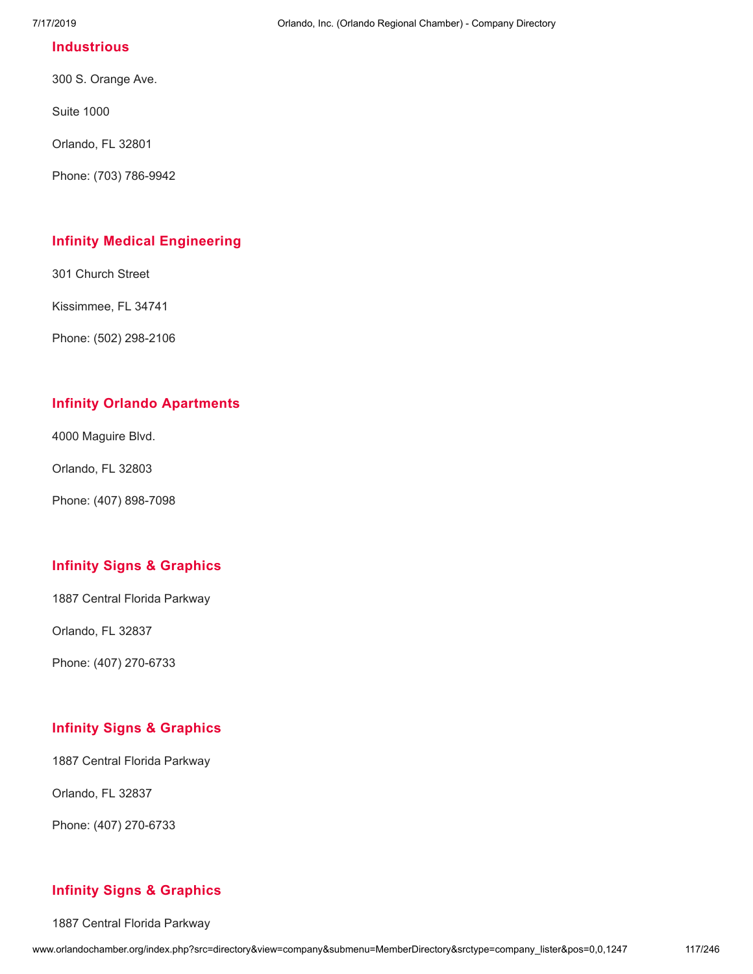#### **[Industrious](http://www.orlandochamber.org/index.php?src=directory&view=company&submenu=MemberDirectory&refno=2777285&srctype=company_detail)**

300 S. Orange Ave.

Suite 1000

Orlando, FL 32801

Phone: (703) 786-9942

#### **Infinity Medical [Engineering](http://www.orlandochamber.org/index.php?src=directory&view=company&submenu=MemberDirectory&refno=2777286&srctype=company_detail)**

301 Church Street

Kissimmee, FL 34741

Phone: (502) 298-2106

#### **Infinity Orlando [Apartments](http://www.orlandochamber.org/index.php?src=directory&view=company&submenu=MemberDirectory&refno=2777287&srctype=company_detail)**

4000 Maguire Blvd.

Orlando, FL 32803

Phone: (407) 898-7098

## **Infinity Signs & [Graphics](http://www.orlandochamber.org/index.php?src=directory&view=company&submenu=MemberDirectory&refno=2777288&srctype=company_detail)**

1887 Central Florida Parkway

Orlando, FL 32837

Phone: (407) 270-6733

## **Infinity Signs & [Graphics](http://www.orlandochamber.org/index.php?src=directory&view=company&submenu=MemberDirectory&refno=2777289&srctype=company_detail)**

1887 Central Florida Parkway

Orlando, FL 32837

Phone: (407) 270-6733

## **Infinity Signs & [Graphics](http://www.orlandochamber.org/index.php?src=directory&view=company&submenu=MemberDirectory&refno=2777290&srctype=company_detail)**

1887 Central Florida Parkway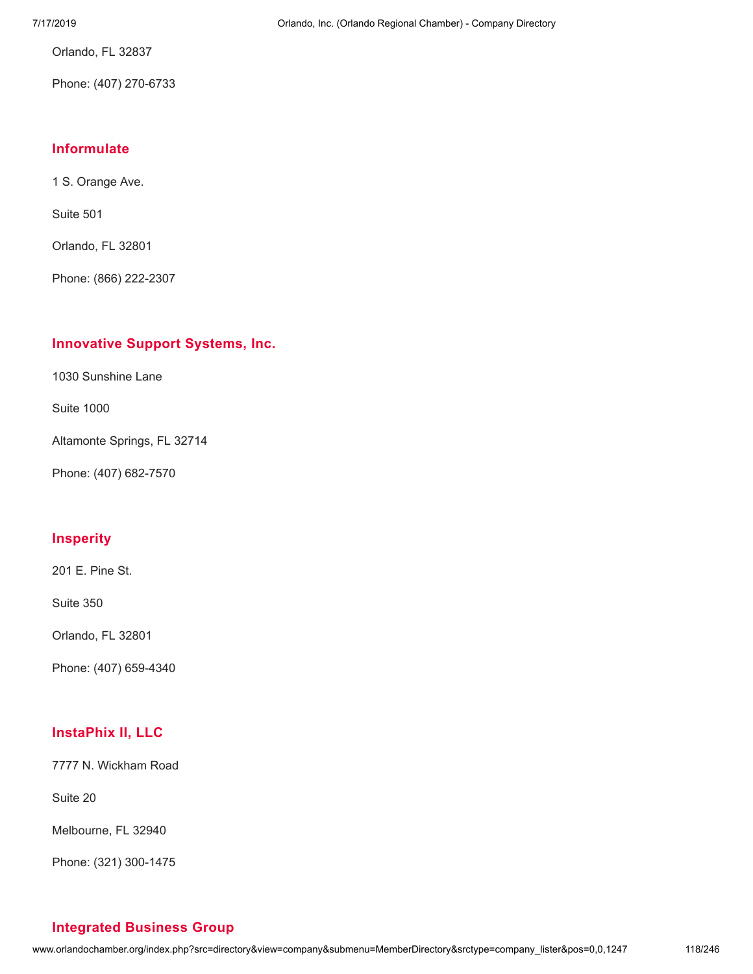Orlando, FL 32837

Phone: (407) 270-6733

## **[Informulate](http://www.orlandochamber.org/index.php?src=directory&view=company&submenu=MemberDirectory&refno=2777291&srctype=company_detail)**

1 S. Orange Ave.

Suite 501

Orlando, FL 32801

Phone: (866) 222-2307

#### **[Innovative](http://www.orlandochamber.org/index.php?src=directory&view=company&submenu=MemberDirectory&refno=2777292&srctype=company_detail) Support Systems, Inc.**

1030 Sunshine Lane

Suite 1000

Altamonte Springs, FL 32714

Phone: (407) 682-7570

#### **[Insperity](http://www.orlandochamber.org/index.php?src=directory&view=company&submenu=MemberDirectory&refno=2777293&srctype=company_detail)**

201 E. Pine St.

Suite 350

Orlando, FL 32801

Phone: (407) 659-4340

## **[InstaPhix](http://www.orlandochamber.org/index.php?src=directory&view=company&submenu=MemberDirectory&refno=2777294&srctype=company_detail) II, LLC**

7777 N. Wickham Road

Suite 20

Melbourne, FL 32940

Phone: (321) 300-1475

# **[Integrated](http://www.orlandochamber.org/index.php?src=directory&view=company&submenu=MemberDirectory&refno=2777295&srctype=company_detail) Business Group**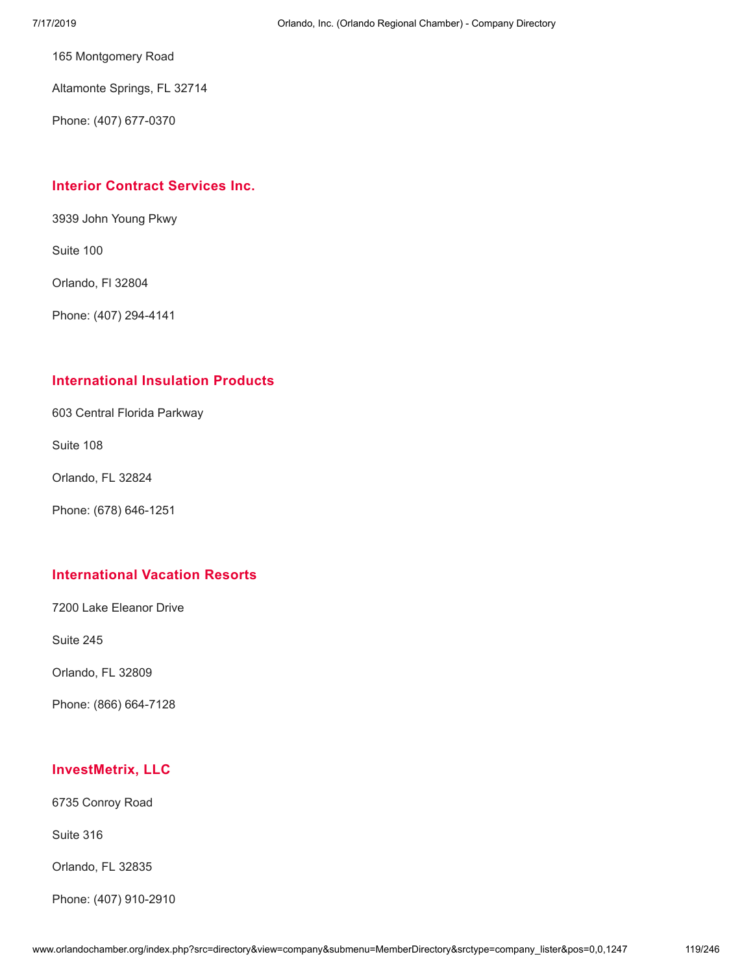165 Montgomery Road

Altamonte Springs, FL 32714

Phone: (407) 677-0370

#### **Interior Contract [Services](http://www.orlandochamber.org/index.php?src=directory&view=company&submenu=MemberDirectory&refno=2777296&srctype=company_detail) Inc.**

3939 John Young Pkwy

Suite 100

Orlando, Fl 32804

Phone: (407) 294-4141

#### **[International](http://www.orlandochamber.org/index.php?src=directory&view=company&submenu=MemberDirectory&refno=2777297&srctype=company_detail) Insulation Products**

603 Central Florida Parkway

Suite 108

Orlando, FL 32824

Phone: (678) 646-1251

#### **[International](http://www.orlandochamber.org/index.php?src=directory&view=company&submenu=MemberDirectory&refno=2777298&srctype=company_detail) Vacation Resorts**

7200 Lake Eleanor Drive

Suite 245

Orlando, FL 32809

Phone: (866) 664-7128

## **[InvestMetrix,](http://www.orlandochamber.org/index.php?src=directory&view=company&submenu=MemberDirectory&refno=2777299&srctype=company_detail) LLC**

6735 Conroy Road

Suite 316

Orlando, FL 32835

Phone: (407) 910-2910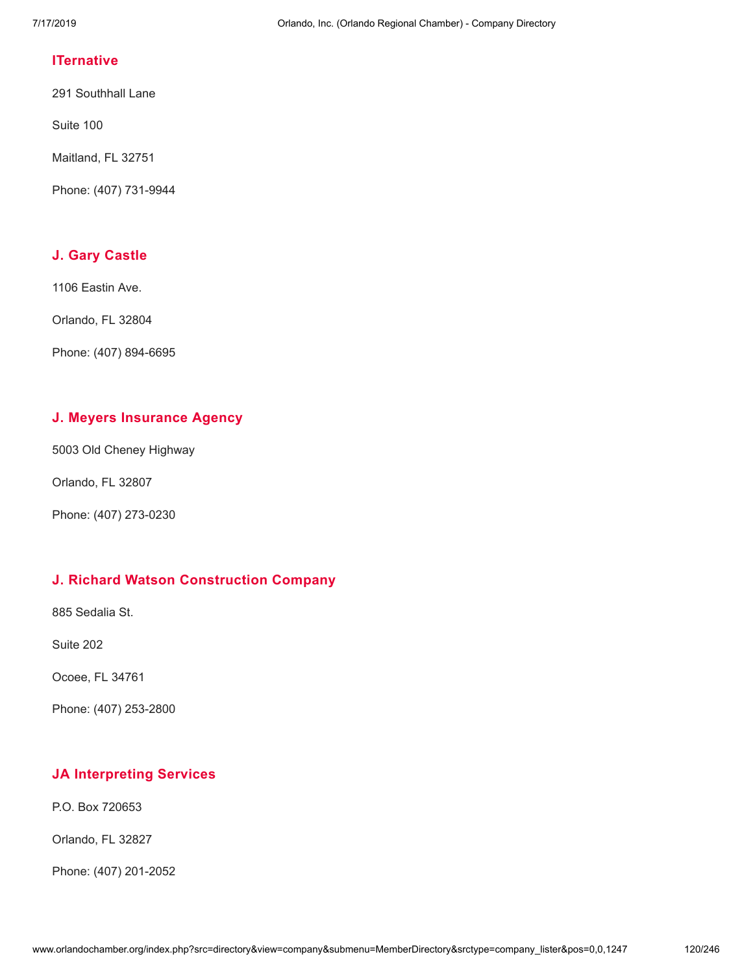#### **[ITernative](http://www.orlandochamber.org/index.php?src=directory&view=company&submenu=MemberDirectory&refno=2777300&srctype=company_detail)**

291 Southhall Lane

Suite 100

Maitland, FL 32751

Phone: (407) 731-9944

# **J. Gary [Castle](http://www.orlandochamber.org/index.php?src=directory&view=company&submenu=MemberDirectory&refno=2777301&srctype=company_detail)**

1106 Eastin Ave.

Orlando, FL 32804

Phone: (407) 894-6695

# **J. Meyers [Insurance](http://www.orlandochamber.org/index.php?src=directory&view=company&submenu=MemberDirectory&refno=2777302&srctype=company_detail) Agency**

5003 Old Cheney Highway

Orlando, FL 32807

Phone: (407) 273-0230

## **J. Richard Watson [Construction](http://www.orlandochamber.org/index.php?src=directory&view=company&submenu=MemberDirectory&refno=2777303&srctype=company_detail) Company**

885 Sedalia St.

Suite 202

Ocoee, FL 34761

Phone: (407) 253-2800

# **JA [Interpreting](http://www.orlandochamber.org/index.php?src=directory&view=company&submenu=MemberDirectory&refno=2777304&srctype=company_detail) Services**

P.O. Box 720653

Orlando, FL 32827

Phone: (407) 201-2052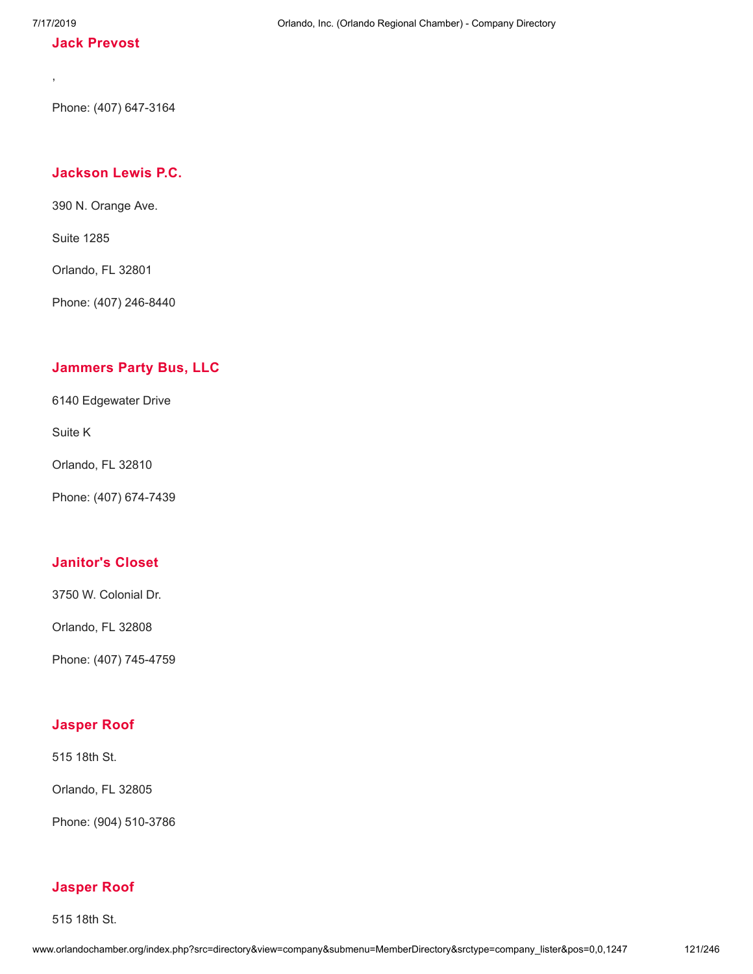,

#### **Jack [Prevost](http://www.orlandochamber.org/index.php?src=directory&view=company&submenu=MemberDirectory&refno=2777305&srctype=company_detail)**

Phone: (407) 647-3164

# **[Jackson](http://www.orlandochamber.org/index.php?src=directory&view=company&submenu=MemberDirectory&refno=2777306&srctype=company_detail) Lewis P.C.**

390 N. Orange Ave.

Suite 1285

Orlando, FL 32801

Phone: (407) 246-8440

## **[Jammers](http://www.orlandochamber.org/index.php?src=directory&view=company&submenu=MemberDirectory&refno=2777307&srctype=company_detail) Party Bus, LLC**

6140 Edgewater Drive

Suite K

Orlando, FL 32810

Phone: (407) 674-7439

## **[Janitor's](http://www.orlandochamber.org/index.php?src=directory&view=company&submenu=MemberDirectory&refno=2777308&srctype=company_detail) Closet**

3750 W. Colonial Dr.

Orlando, FL 32808

Phone: (407) 745-4759

#### **[Jasper](http://www.orlandochamber.org/index.php?src=directory&view=company&submenu=MemberDirectory&refno=2777309&srctype=company_detail) Roof**

515 18th St.

Orlando, FL 32805

Phone: (904) 510-3786

#### **[Jasper](http://www.orlandochamber.org/index.php?src=directory&view=company&submenu=MemberDirectory&refno=2777310&srctype=company_detail) Roof**

515 18th St.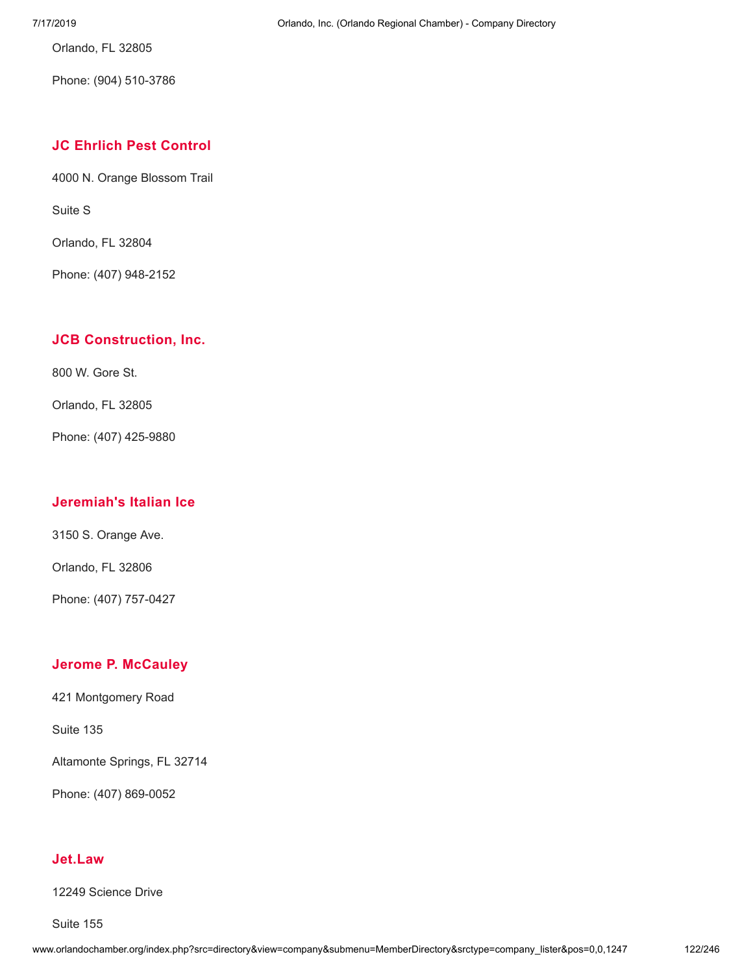Orlando, FL 32805

Phone: (904) 510-3786

#### **JC Ehrlich Pest [Control](http://www.orlandochamber.org/index.php?src=directory&view=company&submenu=MemberDirectory&refno=2777311&srctype=company_detail)**

4000 N. Orange Blossom Trail

Suite S

Orlando, FL 32804

Phone: (407) 948-2152

#### **JCB [Construction,](http://www.orlandochamber.org/index.php?src=directory&view=company&submenu=MemberDirectory&refno=2777312&srctype=company_detail) Inc.**

800 W. Gore St.

Orlando, FL 32805

Phone: (407) 425-9880

#### **[Jeremiah's](http://www.orlandochamber.org/index.php?src=directory&view=company&submenu=MemberDirectory&refno=2777313&srctype=company_detail) Italian Ice**

3150 S. Orange Ave.

Orlando, FL 32806

Phone: (407) 757-0427

#### **Jerome P. [McCauley](http://www.orlandochamber.org/index.php?src=directory&view=company&submenu=MemberDirectory&refno=2777314&srctype=company_detail)**

421 Montgomery Road

Suite 135

Altamonte Springs, FL 32714

Phone: (407) 869-0052

# **[Jet.Law](http://www.orlandochamber.org/index.php?src=directory&view=company&submenu=MemberDirectory&refno=2777315&srctype=company_detail)**

12249 Science Drive

Suite 155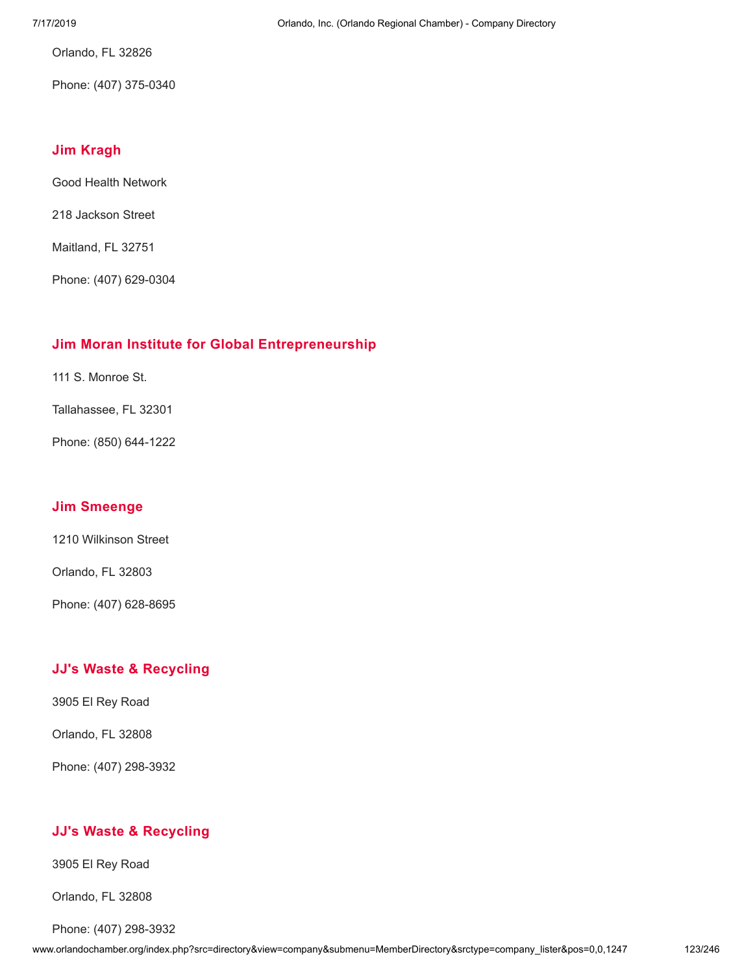Orlando, FL 32826

Phone: (407) 375-0340

#### **Jim [Kragh](http://www.orlandochamber.org/index.php?src=directory&view=company&submenu=MemberDirectory&refno=2777316&srctype=company_detail)**

Good Health Network

218 Jackson Street

Maitland, FL 32751

Phone: (407) 629-0304

## **Jim Moran Institute for Global [Entrepreneurship](http://www.orlandochamber.org/index.php?src=directory&view=company&submenu=MemberDirectory&refno=2777317&srctype=company_detail)**

111 S. Monroe St.

Tallahassee, FL 32301

Phone: (850) 644-1222

#### **Jim [Smeenge](http://www.orlandochamber.org/index.php?src=directory&view=company&submenu=MemberDirectory&refno=2777318&srctype=company_detail)**

1210 Wilkinson Street

Orlando, FL 32803

Phone: (407) 628-8695

## **JJ's Waste & [Recycling](http://www.orlandochamber.org/index.php?src=directory&view=company&submenu=MemberDirectory&refno=2777319&srctype=company_detail)**

3905 El Rey Road

Orlando, FL 32808

Phone: (407) 298-3932

## **JJ's Waste & [Recycling](http://www.orlandochamber.org/index.php?src=directory&view=company&submenu=MemberDirectory&refno=2777320&srctype=company_detail)**

3905 El Rey Road

Orlando, FL 32808

Phone: (407) 298-3932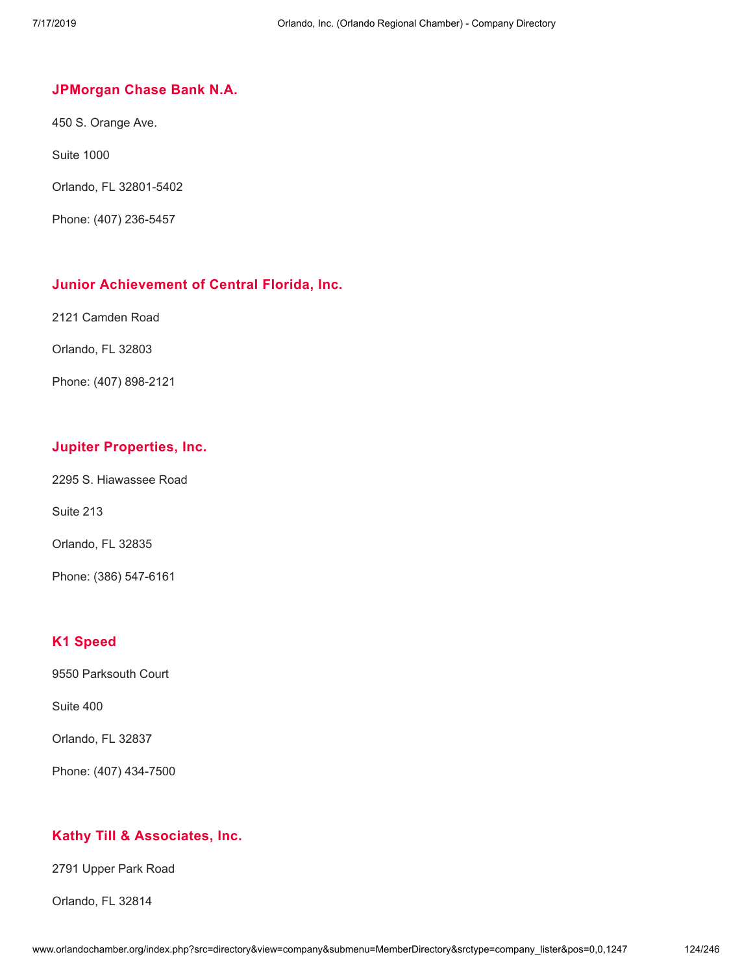#### **[JPMorgan](http://www.orlandochamber.org/index.php?src=directory&view=company&submenu=MemberDirectory&refno=2777321&srctype=company_detail) Chase Bank N.A.**

450 S. Orange Ave.

Suite 1000

Orlando, FL 32801-5402

Phone: (407) 236-5457

#### **Junior [Achievement](http://www.orlandochamber.org/index.php?src=directory&view=company&submenu=MemberDirectory&refno=2777322&srctype=company_detail) of Central Florida, Inc.**

2121 Camden Road

Orlando, FL 32803

Phone: (407) 898-2121

#### **Jupiter [Properties,](http://www.orlandochamber.org/index.php?src=directory&view=company&submenu=MemberDirectory&refno=2777323&srctype=company_detail) Inc.**

2295 S. Hiawassee Road

Suite 213

Orlando, FL 32835

Phone: (386) 547-6161

## **K1 [Speed](http://www.orlandochamber.org/index.php?src=directory&view=company&submenu=MemberDirectory&refno=2777324&srctype=company_detail)**

9550 Parksouth Court

Suite 400

Orlando, FL 32837

Phone: (407) 434-7500

#### **Kathy Till & [Associates,](http://www.orlandochamber.org/index.php?src=directory&view=company&submenu=MemberDirectory&refno=2777325&srctype=company_detail) Inc.**

2791 Upper Park Road

Orlando, FL 32814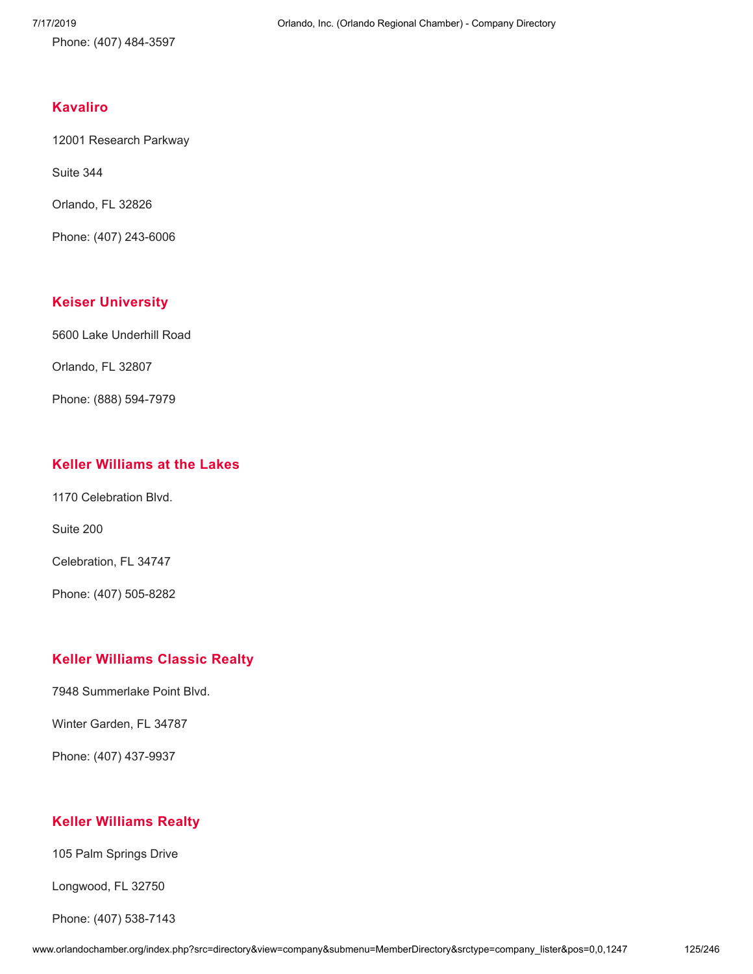Phone: (407) 484-3597

#### **[Kavaliro](http://www.orlandochamber.org/index.php?src=directory&view=company&submenu=MemberDirectory&refno=2777326&srctype=company_detail)**

12001 Research Parkway

Suite 344

Orlando, FL 32826

Phone: (407) 243-6006

#### **Keiser [University](http://www.orlandochamber.org/index.php?src=directory&view=company&submenu=MemberDirectory&refno=2777327&srctype=company_detail)**

5600 Lake Underhill Road

Orlando, FL 32807

Phone: (888) 594-7979

#### **Keller [Williams](http://www.orlandochamber.org/index.php?src=directory&view=company&submenu=MemberDirectory&refno=2777328&srctype=company_detail) at the Lakes**

1170 Celebration Blvd.

Suite 200

Celebration, FL 34747

Phone: (407) 505-8282

## **Keller [Williams](http://www.orlandochamber.org/index.php?src=directory&view=company&submenu=MemberDirectory&refno=2777329&srctype=company_detail) Classic Realty**

7948 Summerlake Point Blvd.

Winter Garden, FL 34787

Phone: (407) 437-9937

## **Keller [Williams](http://www.orlandochamber.org/index.php?src=directory&view=company&submenu=MemberDirectory&refno=2777330&srctype=company_detail) Realty**

105 Palm Springs Drive

Longwood, FL 32750

Phone: (407) 538-7143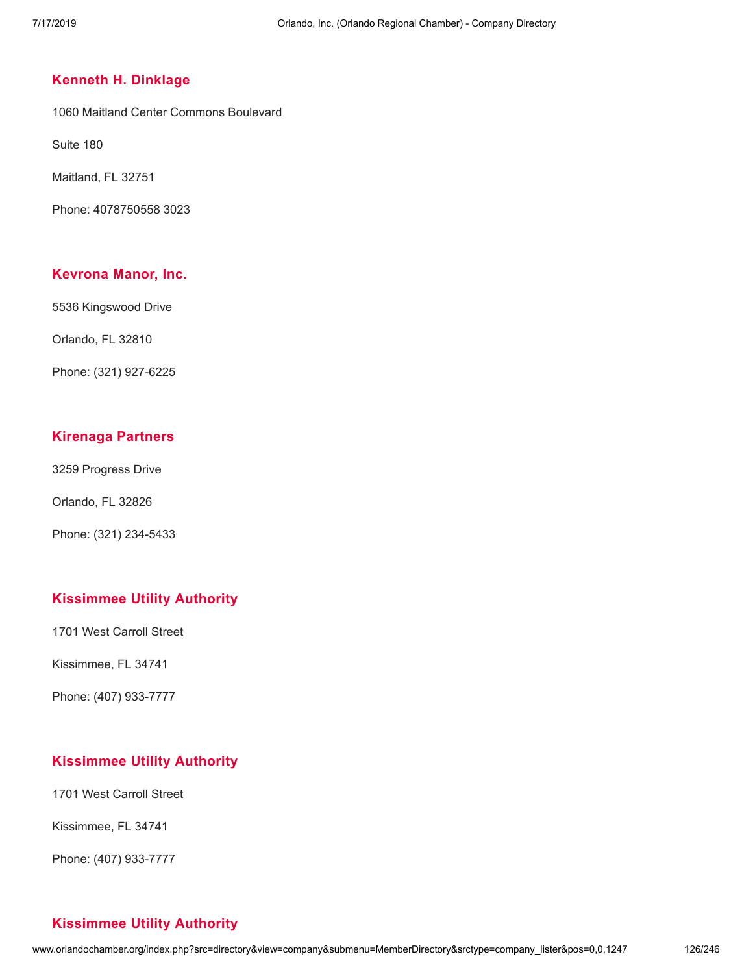#### **Kenneth H. [Dinklage](http://www.orlandochamber.org/index.php?src=directory&view=company&submenu=MemberDirectory&refno=2777331&srctype=company_detail)**

1060 Maitland Center Commons Boulevard

Suite 180

Maitland, FL 32751

Phone: 4078750558 3023

#### **[Kevrona](http://www.orlandochamber.org/index.php?src=directory&view=company&submenu=MemberDirectory&refno=2777332&srctype=company_detail) Manor, Inc.**

5536 Kingswood Drive

Orlando, FL 32810

Phone: (321) 927-6225

#### **[Kirenaga](http://www.orlandochamber.org/index.php?src=directory&view=company&submenu=MemberDirectory&refno=2777333&srctype=company_detail) Partners**

3259 Progress Drive

Orlando, FL 32826

Phone: (321) 234-5433

#### **[Kissimmee](http://www.orlandochamber.org/index.php?src=directory&view=company&submenu=MemberDirectory&refno=2777334&srctype=company_detail) Utility Authority**

1701 West Carroll Street

Kissimmee, FL 34741

Phone: (407) 933-7777

#### **[Kissimmee](http://www.orlandochamber.org/index.php?src=directory&view=company&submenu=MemberDirectory&refno=2777335&srctype=company_detail) Utility Authority**

1701 West Carroll Street

Kissimmee, FL 34741

Phone: (407) 933-7777

#### **[Kissimmee](http://www.orlandochamber.org/index.php?src=directory&view=company&submenu=MemberDirectory&refno=2777336&srctype=company_detail) Utility Authority**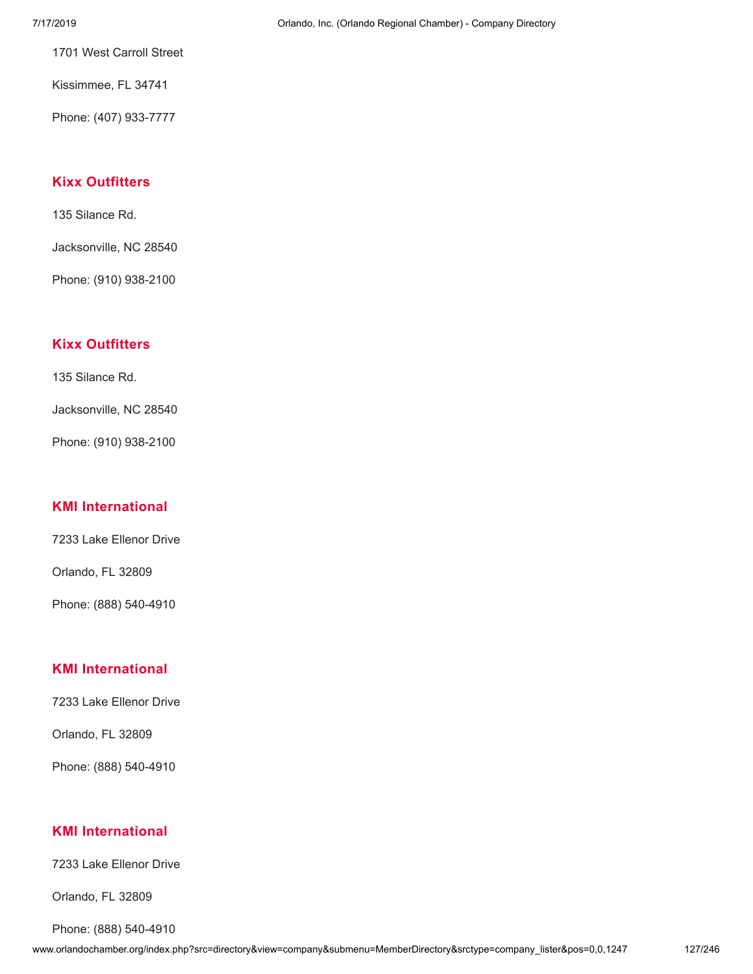1701 West Carroll Street

Kissimmee, FL 34741

Phone: (407) 933-7777

## **Kixx [Outfitters](http://www.orlandochamber.org/index.php?src=directory&view=company&submenu=MemberDirectory&refno=2777337&srctype=company_detail)**

135 Silance Rd.

Jacksonville, NC 28540

Phone: (910) 938-2100

# **Kixx [Outfitters](http://www.orlandochamber.org/index.php?src=directory&view=company&submenu=MemberDirectory&refno=2777338&srctype=company_detail)**

135 Silance Rd.

Jacksonville, NC 28540

Phone: (910) 938-2100

## **KMI [International](http://www.orlandochamber.org/index.php?src=directory&view=company&submenu=MemberDirectory&refno=2777339&srctype=company_detail)**

7233 Lake Ellenor Drive

Orlando, FL 32809

Phone: (888) 540-4910

## **KMI [International](http://www.orlandochamber.org/index.php?src=directory&view=company&submenu=MemberDirectory&refno=2777340&srctype=company_detail)**

7233 Lake Ellenor Drive

Orlando, FL 32809

Phone: (888) 540-4910

#### **KMI [International](http://www.orlandochamber.org/index.php?src=directory&view=company&submenu=MemberDirectory&refno=2777341&srctype=company_detail)**

7233 Lake Ellenor Drive

Orlando, FL 32809

Phone: (888) 540-4910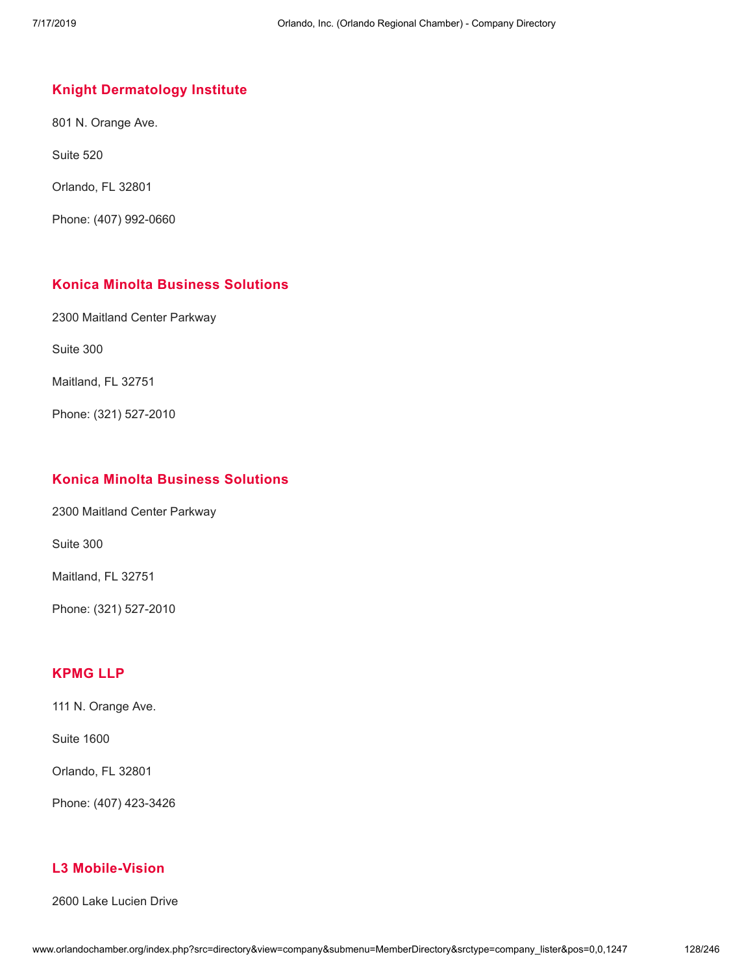# **Knight [Dermatology](http://www.orlandochamber.org/index.php?src=directory&view=company&submenu=MemberDirectory&refno=2777342&srctype=company_detail) Institute**

801 N. Orange Ave.

Suite 520

Orlando, FL 32801

Phone: (407) 992-0660

# **Konica Minolta Business [Solutions](http://www.orlandochamber.org/index.php?src=directory&view=company&submenu=MemberDirectory&refno=2777343&srctype=company_detail)**

2300 Maitland Center Parkway

Suite 300

Maitland, FL 32751

Phone: (321) 527-2010

#### **Konica Minolta Business [Solutions](http://www.orlandochamber.org/index.php?src=directory&view=company&submenu=MemberDirectory&refno=2777344&srctype=company_detail)**

2300 Maitland Center Parkway

Suite 300

Maitland, FL 32751

Phone: (321) 527-2010

## **[KPMG](http://www.orlandochamber.org/index.php?src=directory&view=company&submenu=MemberDirectory&refno=2777345&srctype=company_detail) LLP**

111 N. Orange Ave.

Suite 1600

Orlando, FL 32801

Phone: (407) 423-3426

## **L3 [Mobile-Vision](http://www.orlandochamber.org/index.php?src=directory&view=company&submenu=MemberDirectory&refno=2777346&srctype=company_detail)**

2600 Lake Lucien Drive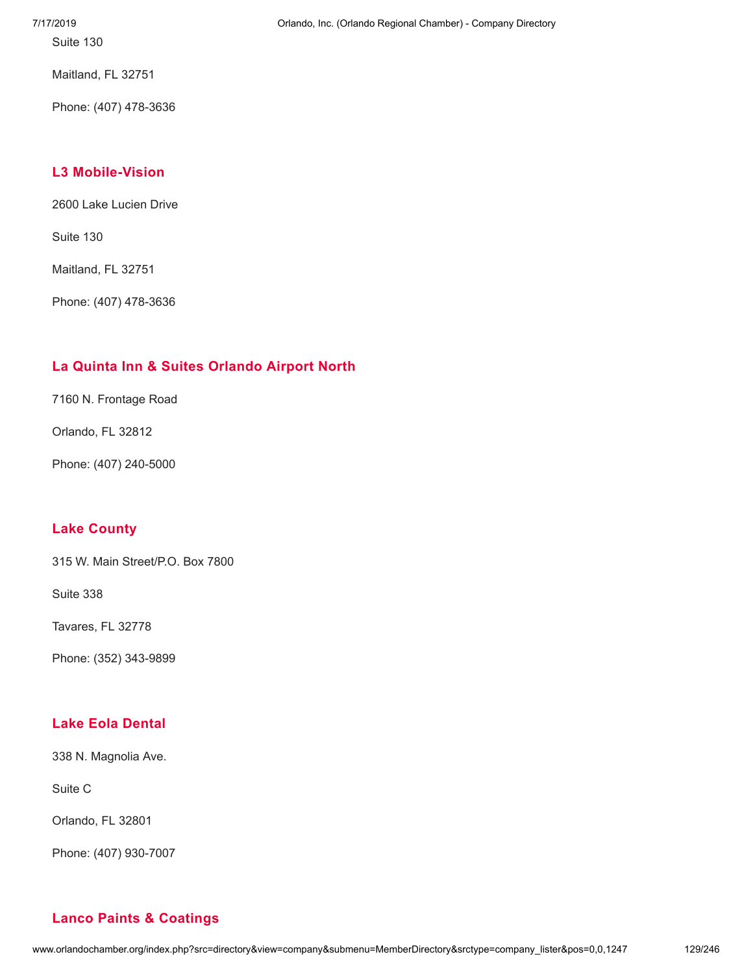Suite 130

Maitland, FL 32751

Phone: (407) 478-3636

# **L3 [Mobile-Vision](http://www.orlandochamber.org/index.php?src=directory&view=company&submenu=MemberDirectory&refno=2777347&srctype=company_detail)**

2600 Lake Lucien Drive

Suite 130

Maitland, FL 32751

Phone: (407) 478-3636

# **La Quinta Inn & Suites [Orlando](http://www.orlandochamber.org/index.php?src=directory&view=company&submenu=MemberDirectory&refno=2777348&srctype=company_detail) Airport North**

7160 N. Frontage Road

Orlando, FL 32812

Phone: (407) 240-5000

## **Lake [County](http://www.orlandochamber.org/index.php?src=directory&view=company&submenu=MemberDirectory&refno=2777349&srctype=company_detail)**

315 W. Main Street/P.O. Box 7800

Suite 338

Tavares, FL 32778

Phone: (352) 343-9899

# **Lake Eola [Dental](http://www.orlandochamber.org/index.php?src=directory&view=company&submenu=MemberDirectory&refno=2777350&srctype=company_detail)**

338 N. Magnolia Ave.

Suite C

Orlando, FL 32801

Phone: (407) 930-7007

# **Lanco Paints & [Coatings](http://www.orlandochamber.org/index.php?src=directory&view=company&submenu=MemberDirectory&refno=2777351&srctype=company_detail)**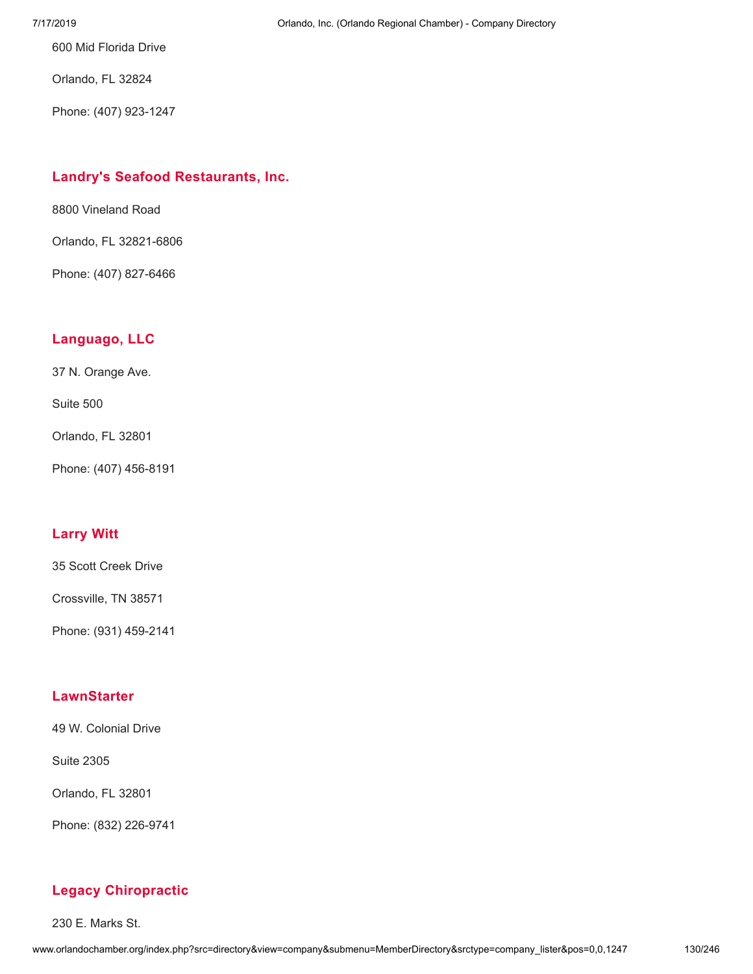600 Mid Florida Drive

Orlando, FL 32824

Phone: (407) 923-1247

# **Landry's Seafood [Restaurants,](http://www.orlandochamber.org/index.php?src=directory&view=company&submenu=MemberDirectory&refno=2777352&srctype=company_detail) Inc.**

8800 Vineland Road

Orlando, FL 32821-6806

Phone: (407) 827-6466

# **[Languago,](http://www.orlandochamber.org/index.php?src=directory&view=company&submenu=MemberDirectory&refno=2777353&srctype=company_detail) LLC**

37 N. Orange Ave.

Suite 500

Orlando, FL 32801

Phone: (407) 456-8191

# **[Larry](http://www.orlandochamber.org/index.php?src=directory&view=company&submenu=MemberDirectory&refno=2777354&srctype=company_detail) Witt**

35 Scott Creek Drive

Crossville, TN 38571

Phone: (931) 459-2141

# **[LawnStarter](http://www.orlandochamber.org/index.php?src=directory&view=company&submenu=MemberDirectory&refno=2777355&srctype=company_detail)**

49 W. Colonial Drive

Suite 2305

Orlando, FL 32801

Phone: (832) 226-9741

# **Legacy [Chiropractic](http://www.orlandochamber.org/index.php?src=directory&view=company&submenu=MemberDirectory&refno=2777356&srctype=company_detail)**

230 E. Marks St.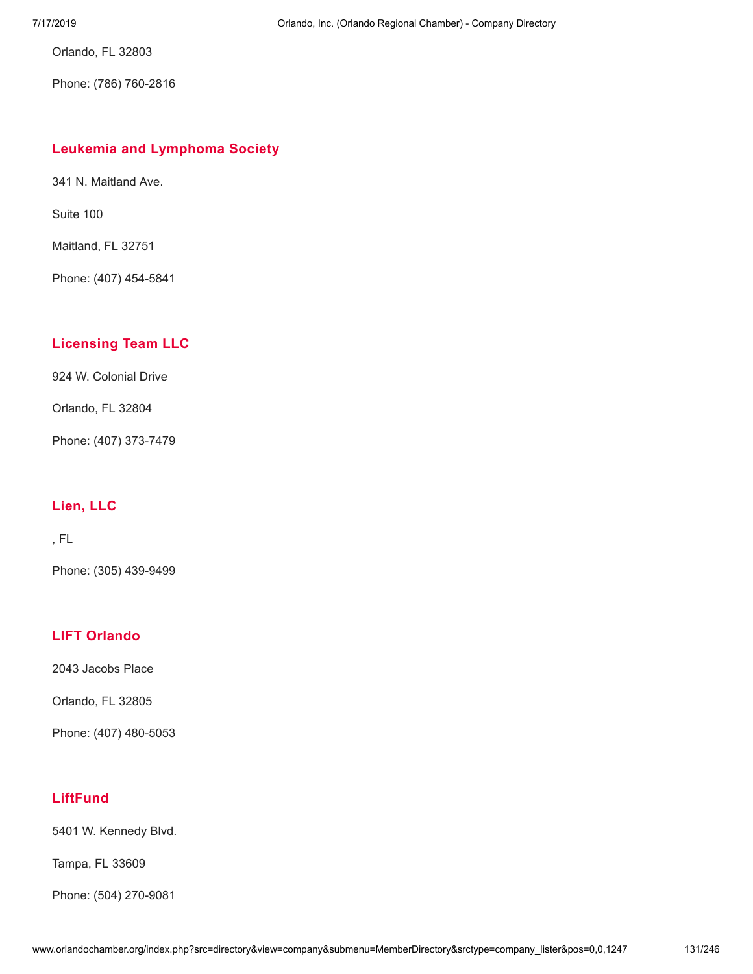Orlando, FL 32803

Phone: (786) 760-2816

#### **Leukemia and [Lymphoma](http://www.orlandochamber.org/index.php?src=directory&view=company&submenu=MemberDirectory&refno=2777357&srctype=company_detail) Society**

341 N. Maitland Ave.

Suite 100

Maitland, FL 32751

Phone: (407) 454-5841

# **[Licensing](http://www.orlandochamber.org/index.php?src=directory&view=company&submenu=MemberDirectory&refno=2777358&srctype=company_detail) Team LLC**

924 W. Colonial Drive

Orlando, FL 32804

Phone: (407) 373-7479

## **[Lien,](http://www.orlandochamber.org/index.php?src=directory&view=company&submenu=MemberDirectory&refno=2777359&srctype=company_detail) LLC**

, FL

Phone: (305) 439-9499

## **LIFT [Orlando](http://www.orlandochamber.org/index.php?src=directory&view=company&submenu=MemberDirectory&refno=2777360&srctype=company_detail)**

2043 Jacobs Place

Orlando, FL 32805

Phone: (407) 480-5053

## **[LiftFund](http://www.orlandochamber.org/index.php?src=directory&view=company&submenu=MemberDirectory&refno=2777361&srctype=company_detail)**

5401 W. Kennedy Blvd.

Tampa, FL 33609

Phone: (504) 270-9081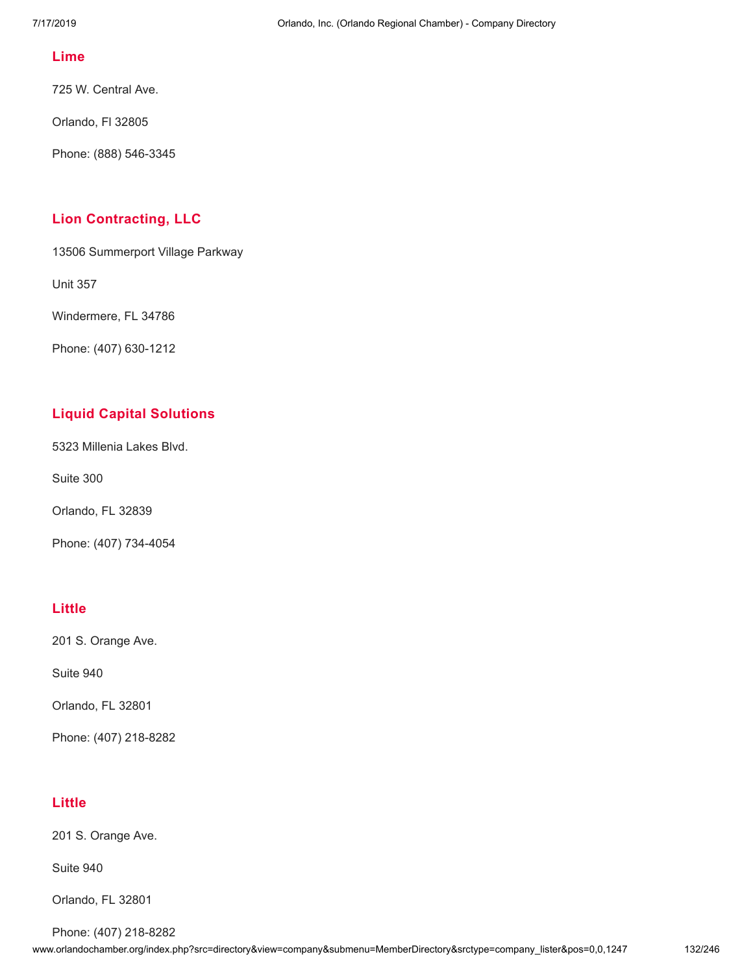#### **[Lime](http://www.orlandochamber.org/index.php?src=directory&view=company&submenu=MemberDirectory&refno=2777362&srctype=company_detail)**

725 W. Central Ave.

Orlando, Fl 32805

Phone: (888) 546-3345

#### **Lion [Contracting,](http://www.orlandochamber.org/index.php?src=directory&view=company&submenu=MemberDirectory&refno=2777363&srctype=company_detail) LLC**

13506 Summerport Village Parkway

Unit 357

Windermere, FL 34786

Phone: (407) 630-1212

# **Liquid Capital [Solutions](http://www.orlandochamber.org/index.php?src=directory&view=company&submenu=MemberDirectory&refno=2777364&srctype=company_detail)**

5323 Millenia Lakes Blvd.

Suite 300

Orlando, FL 32839

Phone: (407) 734-4054

## **[Little](http://www.orlandochamber.org/index.php?src=directory&view=company&submenu=MemberDirectory&refno=2777365&srctype=company_detail)**

201 S. Orange Ave.

Suite 940

Orlando, FL 32801

Phone: (407) 218-8282

#### **[Little](http://www.orlandochamber.org/index.php?src=directory&view=company&submenu=MemberDirectory&refno=2777366&srctype=company_detail)**

201 S. Orange Ave.

Suite 940

Orlando, FL 32801

Phone: (407) 218-8282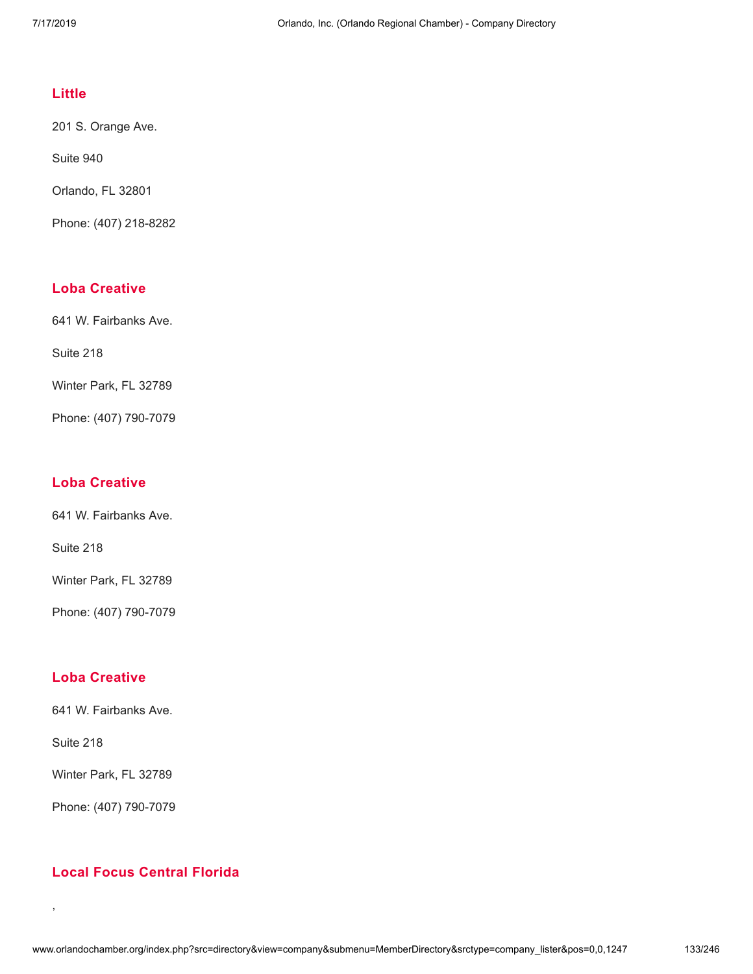#### **[Little](http://www.orlandochamber.org/index.php?src=directory&view=company&submenu=MemberDirectory&refno=2777367&srctype=company_detail)**

201 S. Orange Ave.

Suite 940

Orlando, FL 32801

Phone: (407) 218-8282

#### **Loba [Creative](http://www.orlandochamber.org/index.php?src=directory&view=company&submenu=MemberDirectory&refno=2777368&srctype=company_detail)**

641 W. Fairbanks Ave.

Suite 218

Winter Park, FL 32789

Phone: (407) 790-7079

#### **Loba [Creative](http://www.orlandochamber.org/index.php?src=directory&view=company&submenu=MemberDirectory&refno=2777369&srctype=company_detail)**

641 W. Fairbanks Ave.

Suite 218

Winter Park, FL 32789

Phone: (407) 790-7079

## **Loba [Creative](http://www.orlandochamber.org/index.php?src=directory&view=company&submenu=MemberDirectory&refno=2777370&srctype=company_detail)**

641 W. Fairbanks Ave.

Suite 218

,

Winter Park, FL 32789

Phone: (407) 790-7079

## **Local Focus [Central](http://www.orlandochamber.org/index.php?src=directory&view=company&submenu=MemberDirectory&refno=2777371&srctype=company_detail) Florida**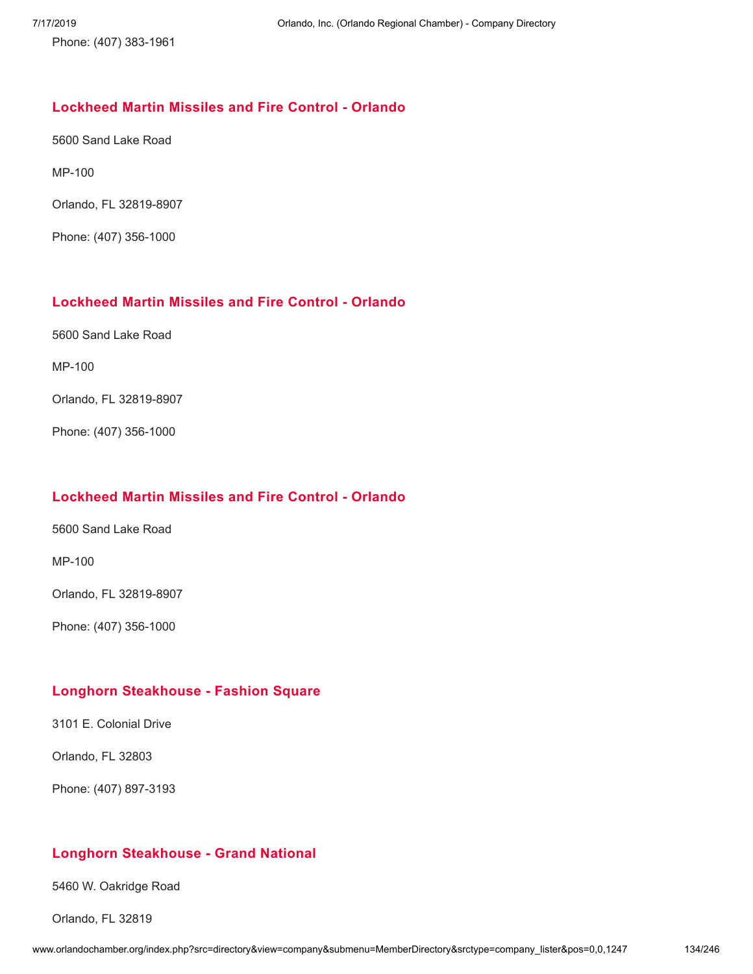Phone: (407) 383-1961

#### **[Lockheed](http://www.orlandochamber.org/index.php?src=directory&view=company&submenu=MemberDirectory&refno=2777372&srctype=company_detail) Martin Missiles and Fire Control - Orlando**

5600 Sand Lake Road

MP-100

Orlando, FL 32819-8907

Phone: (407) 356-1000

#### **[Lockheed](http://www.orlandochamber.org/index.php?src=directory&view=company&submenu=MemberDirectory&refno=2777373&srctype=company_detail) Martin Missiles and Fire Control - Orlando**

5600 Sand Lake Road

MP-100

Orlando, FL 32819-8907

Phone: (407) 356-1000

## **[Lockheed](http://www.orlandochamber.org/index.php?src=directory&view=company&submenu=MemberDirectory&refno=2777374&srctype=company_detail) Martin Missiles and Fire Control - Orlando**

5600 Sand Lake Road

MP-100

Orlando, FL 32819-8907

Phone: (407) 356-1000

#### **Longhorn [Steakhouse](http://www.orlandochamber.org/index.php?src=directory&view=company&submenu=MemberDirectory&refno=2777375&srctype=company_detail) - Fashion Square**

3101 E. Colonial Drive

Orlando, FL 32803

Phone: (407) 897-3193

#### **Longhorn [Steakhouse](http://www.orlandochamber.org/index.php?src=directory&view=company&submenu=MemberDirectory&refno=2777376&srctype=company_detail) - Grand National**

5460 W. Oakridge Road

Orlando, FL 32819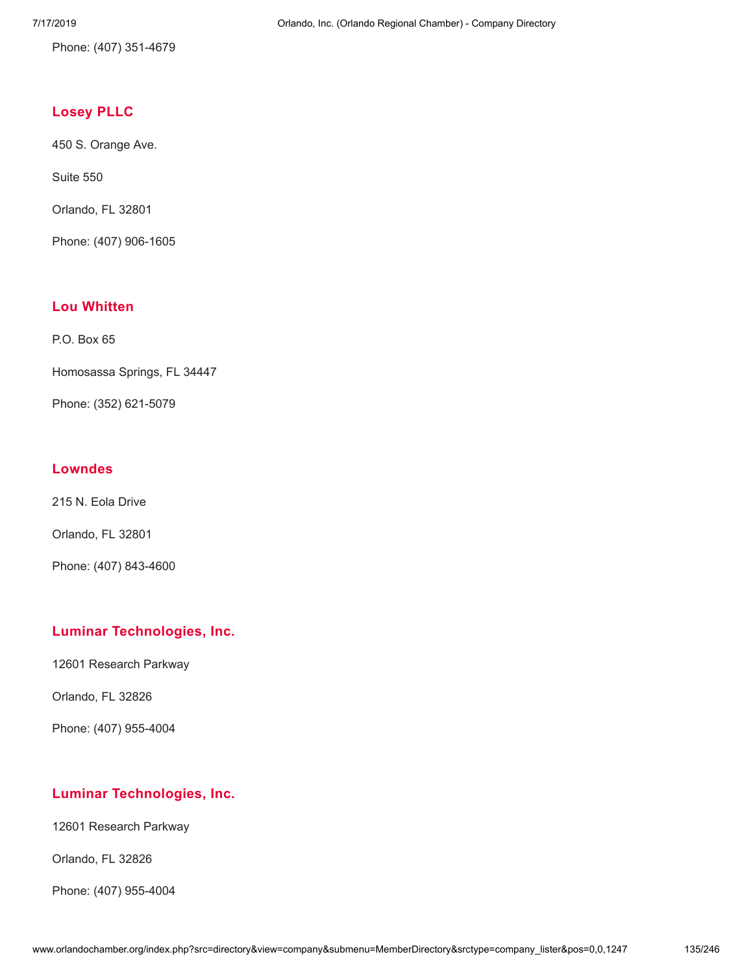Phone: (407) 351-4679

# **[Losey](http://www.orlandochamber.org/index.php?src=directory&view=company&submenu=MemberDirectory&refno=2777377&srctype=company_detail) PLLC**

450 S. Orange Ave.

Suite 550

Orlando, FL 32801

Phone: (407) 906-1605

## **Lou [Whitten](http://www.orlandochamber.org/index.php?src=directory&view=company&submenu=MemberDirectory&refno=2777378&srctype=company_detail)**

P.O. Box 65

Homosassa Springs, FL 34447

Phone: (352) 621-5079

## **[Lowndes](http://www.orlandochamber.org/index.php?src=directory&view=company&submenu=MemberDirectory&refno=2777379&srctype=company_detail)**

215 N. Eola Drive

Orlando, FL 32801

Phone: (407) 843-4600

#### **Luminar [Technologies,](http://www.orlandochamber.org/index.php?src=directory&view=company&submenu=MemberDirectory&refno=2777380&srctype=company_detail) Inc.**

12601 Research Parkway

Orlando, FL 32826

Phone: (407) 955-4004

# **Luminar [Technologies,](http://www.orlandochamber.org/index.php?src=directory&view=company&submenu=MemberDirectory&refno=2777381&srctype=company_detail) Inc.**

12601 Research Parkway

Orlando, FL 32826

Phone: (407) 955-4004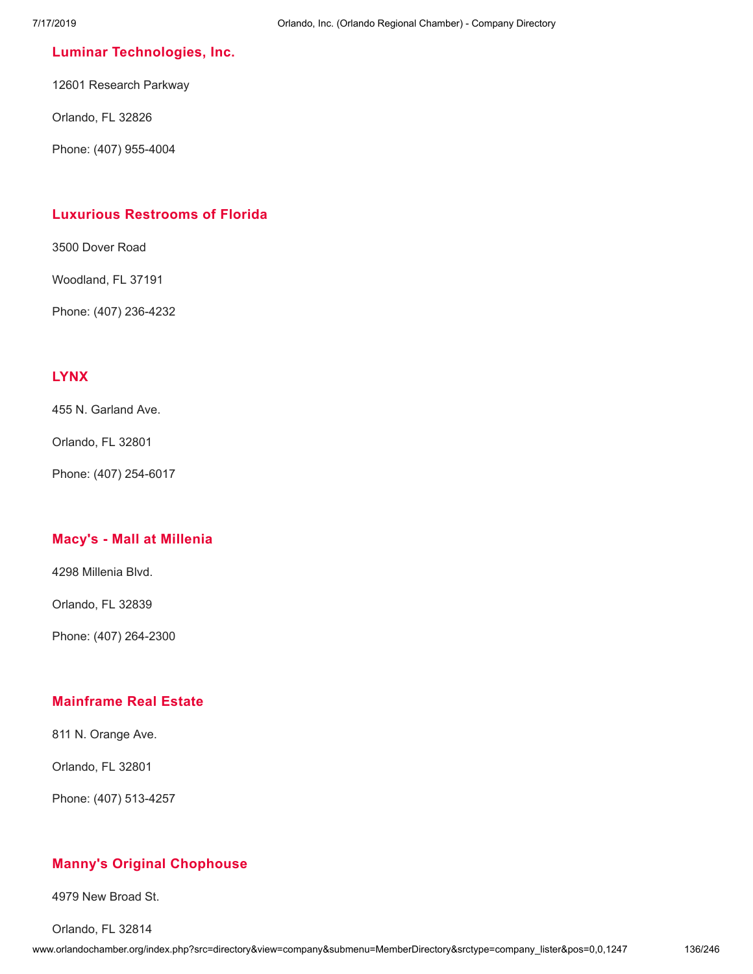#### **Luminar [Technologies,](http://www.orlandochamber.org/index.php?src=directory&view=company&submenu=MemberDirectory&refno=2777382&srctype=company_detail) Inc.**

12601 Research Parkway

Orlando, FL 32826

Phone: (407) 955-4004

#### **Luxurious [Restrooms](http://www.orlandochamber.org/index.php?src=directory&view=company&submenu=MemberDirectory&refno=2777383&srctype=company_detail) of Florida**

3500 Dover Road

Woodland, FL 37191

Phone: (407) 236-4232

## **[LYNX](http://www.orlandochamber.org/index.php?src=directory&view=company&submenu=MemberDirectory&refno=2777384&srctype=company_detail)**

455 N. Garland Ave.

Orlando, FL 32801

Phone: (407) 254-6017

#### **Macy's - Mall at [Millenia](http://www.orlandochamber.org/index.php?src=directory&view=company&submenu=MemberDirectory&refno=2777385&srctype=company_detail)**

4298 Millenia Blvd.

Orlando, FL 32839

Phone: (407) 264-2300

#### **[Mainframe](http://www.orlandochamber.org/index.php?src=directory&view=company&submenu=MemberDirectory&refno=2777386&srctype=company_detail) Real Estate**

811 N. Orange Ave.

Orlando, FL 32801

Phone: (407) 513-4257

## **Manny's Original [Chophouse](http://www.orlandochamber.org/index.php?src=directory&view=company&submenu=MemberDirectory&refno=2777387&srctype=company_detail)**

4979 New Broad St.

Orlando, FL 32814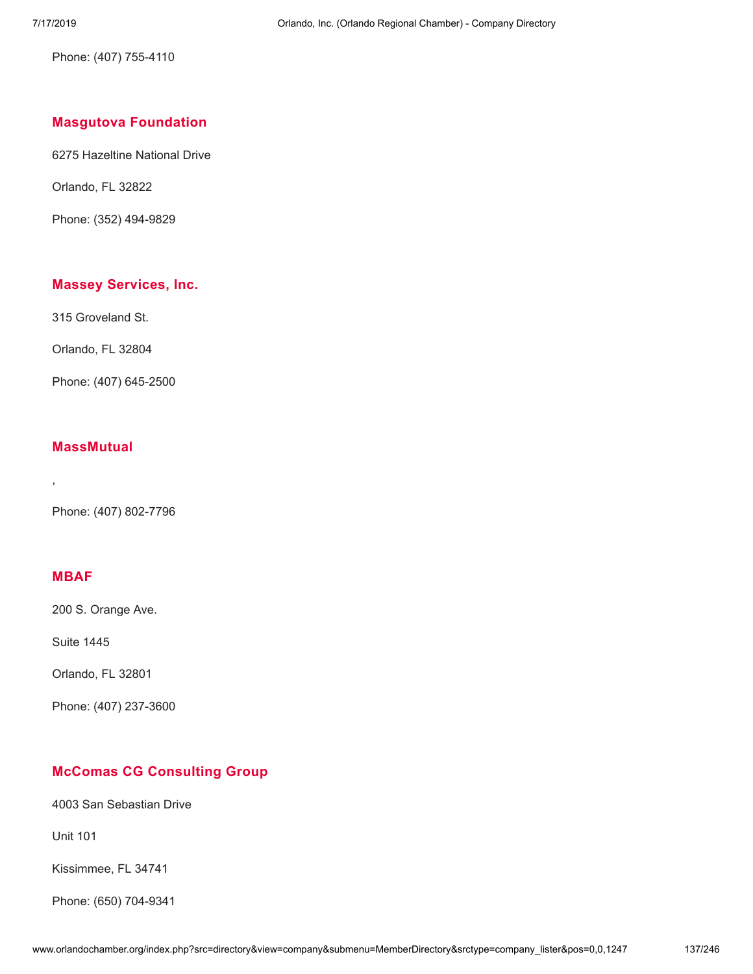Phone: (407) 755-4110

## **Masgutova [Foundation](http://www.orlandochamber.org/index.php?src=directory&view=company&submenu=MemberDirectory&refno=2777388&srctype=company_detail)**

6275 Hazeltine National Drive

Orlando, FL 32822

Phone: (352) 494-9829

#### **Massey [Services,](http://www.orlandochamber.org/index.php?src=directory&view=company&submenu=MemberDirectory&refno=2777389&srctype=company_detail) Inc.**

315 Groveland St.

Orlando, FL 32804

Phone: (407) 645-2500

#### **[MassMutual](http://www.orlandochamber.org/index.php?src=directory&view=company&submenu=MemberDirectory&refno=2777390&srctype=company_detail)**

Phone: (407) 802-7796

# **[MBAF](http://www.orlandochamber.org/index.php?src=directory&view=company&submenu=MemberDirectory&refno=2777391&srctype=company_detail)**

,

200 S. Orange Ave.

Suite 1445

Orlando, FL 32801

Phone: (407) 237-3600

## **McComas CG [Consulting](http://www.orlandochamber.org/index.php?src=directory&view=company&submenu=MemberDirectory&refno=2777392&srctype=company_detail) Group**

4003 San Sebastian Drive

Unit 101

Kissimmee, FL 34741

Phone: (650) 704-9341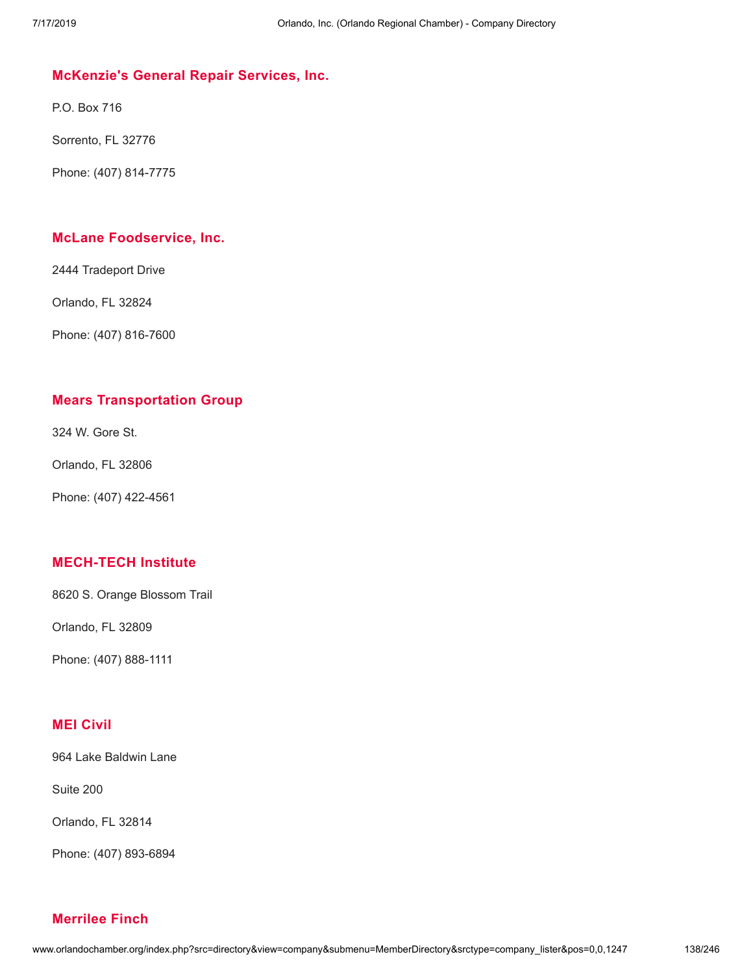#### **[McKenzie's](http://www.orlandochamber.org/index.php?src=directory&view=company&submenu=MemberDirectory&refno=2777393&srctype=company_detail) General Repair Services, Inc.**

P.O. Box 716

Sorrento, FL 32776

Phone: (407) 814-7775

#### **McLane [Foodservice,](http://www.orlandochamber.org/index.php?src=directory&view=company&submenu=MemberDirectory&refno=2777394&srctype=company_detail) Inc.**

2444 Tradeport Drive

Orlando, FL 32824

Phone: (407) 816-7600

#### **Mears [Transportation](http://www.orlandochamber.org/index.php?src=directory&view=company&submenu=MemberDirectory&refno=2777395&srctype=company_detail) Group**

324 W. Gore St.

Orlando, FL 32806

Phone: (407) 422-4561

#### **[MECH-TECH](http://www.orlandochamber.org/index.php?src=directory&view=company&submenu=MemberDirectory&refno=2777396&srctype=company_detail) Institute**

8620 S. Orange Blossom Trail

Orlando, FL 32809

Phone: (407) 888-1111

## **MEI [Civil](http://www.orlandochamber.org/index.php?src=directory&view=company&submenu=MemberDirectory&refno=2777397&srctype=company_detail)**

964 Lake Baldwin Lane

Suite 200

Orlando, FL 32814

Phone: (407) 893-6894

#### **[Merrilee](http://www.orlandochamber.org/index.php?src=directory&view=company&submenu=MemberDirectory&refno=2777398&srctype=company_detail) Finch**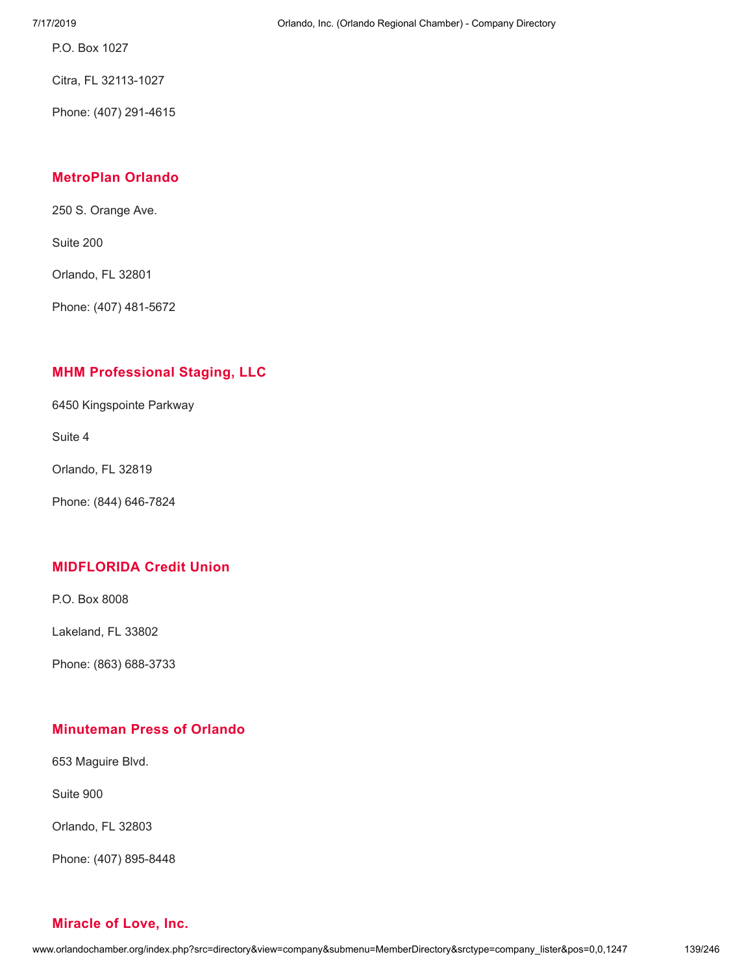7/17/2019 Orlando, Inc. (Orlando Regional Chamber) - Company Directory

P.O. Box 1027

Citra, FL 32113-1027

Phone: (407) 291-4615

## **[MetroPlan](http://www.orlandochamber.org/index.php?src=directory&view=company&submenu=MemberDirectory&refno=2777399&srctype=company_detail) Orlando**

250 S. Orange Ave.

Suite 200

Orlando, FL 32801

Phone: (407) 481-5672

# **MHM [Professional](http://www.orlandochamber.org/index.php?src=directory&view=company&submenu=MemberDirectory&refno=2777400&srctype=company_detail) Staging, LLC**

6450 Kingspointe Parkway

Suite 4

Orlando, FL 32819

Phone: (844) 646-7824

## **[MIDFLORIDA](http://www.orlandochamber.org/index.php?src=directory&view=company&submenu=MemberDirectory&refno=2777401&srctype=company_detail) Credit Union**

P.O. Box 8008

Lakeland, FL 33802

Phone: (863) 688-3733

## **[Minuteman](http://www.orlandochamber.org/index.php?src=directory&view=company&submenu=MemberDirectory&refno=2777402&srctype=company_detail) Press of Orlando**

653 Maguire Blvd.

Suite 900

Orlando, FL 32803

Phone: (407) 895-8448

#### **[Miracle](http://www.orlandochamber.org/index.php?src=directory&view=company&submenu=MemberDirectory&refno=2777403&srctype=company_detail) of Love, Inc.**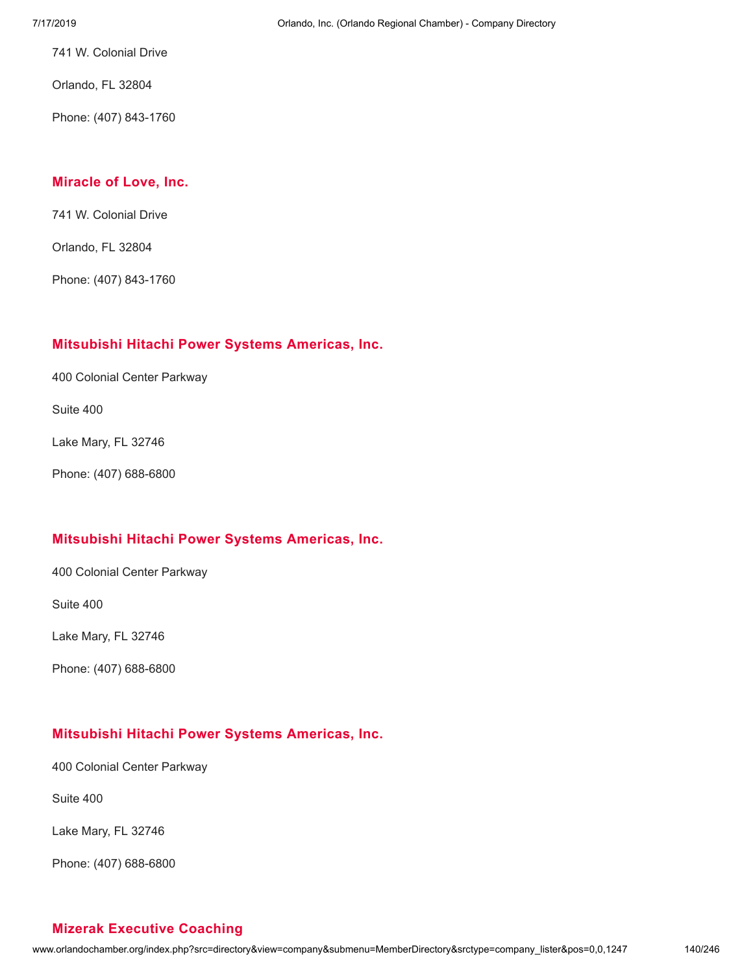741 W. Colonial Drive

Orlando, FL 32804

Phone: (407) 843-1760

#### **[Miracle](http://www.orlandochamber.org/index.php?src=directory&view=company&submenu=MemberDirectory&refno=2777404&srctype=company_detail) of Love, Inc.**

741 W. Colonial Drive

Orlando, FL 32804

Phone: (407) 843-1760

## **[Mitsubishi](http://www.orlandochamber.org/index.php?src=directory&view=company&submenu=MemberDirectory&refno=2777405&srctype=company_detail) Hitachi Power Systems Americas, Inc.**

400 Colonial Center Parkway

Suite 400

Lake Mary, FL 32746

Phone: (407) 688-6800

## **[Mitsubishi](http://www.orlandochamber.org/index.php?src=directory&view=company&submenu=MemberDirectory&refno=2777406&srctype=company_detail) Hitachi Power Systems Americas, Inc.**

400 Colonial Center Parkway

Suite 400

Lake Mary, FL 32746

Phone: (407) 688-6800

## **[Mitsubishi](http://www.orlandochamber.org/index.php?src=directory&view=company&submenu=MemberDirectory&refno=2777407&srctype=company_detail) Hitachi Power Systems Americas, Inc.**

400 Colonial Center Parkway

Suite 400

Lake Mary, FL 32746

Phone: (407) 688-6800

## **Mizerak [Executive](http://www.orlandochamber.org/index.php?src=directory&view=company&submenu=MemberDirectory&refno=2777408&srctype=company_detail) Coaching**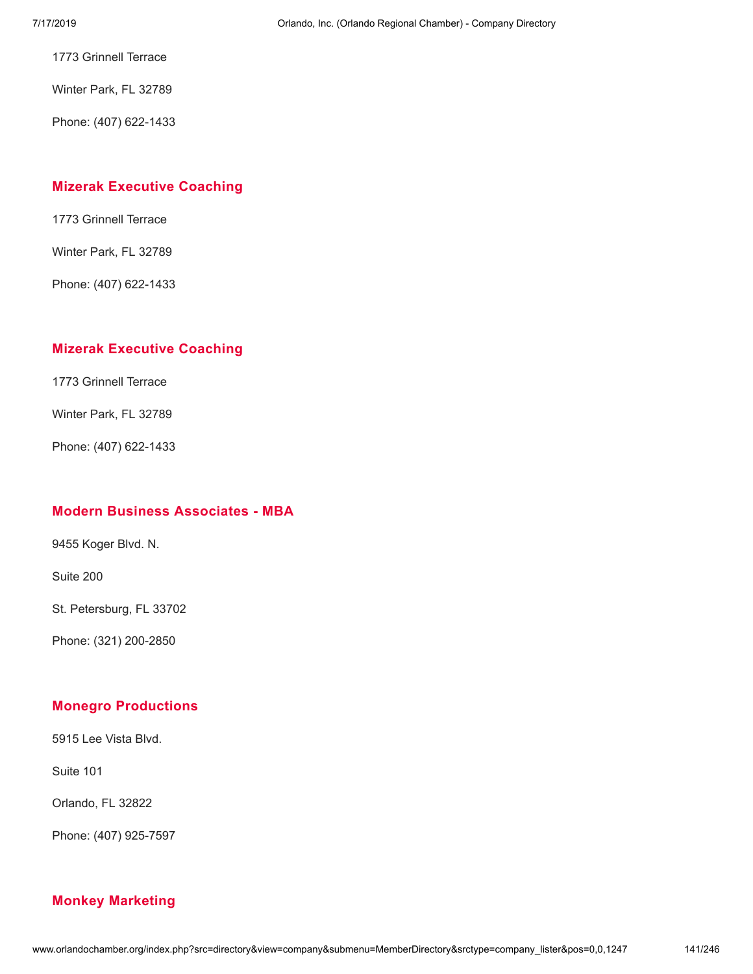1773 Grinnell Terrace

Winter Park, FL 32789

Phone: (407) 622-1433

#### **Mizerak [Executive](http://www.orlandochamber.org/index.php?src=directory&view=company&submenu=MemberDirectory&refno=2777409&srctype=company_detail) Coaching**

1773 Grinnell Terrace

Winter Park, FL 32789

Phone: (407) 622-1433

#### **Mizerak [Executive](http://www.orlandochamber.org/index.php?src=directory&view=company&submenu=MemberDirectory&refno=2777410&srctype=company_detail) Coaching**

1773 Grinnell Terrace

Winter Park, FL 32789

Phone: (407) 622-1433

# **Modern Business [Associates](http://www.orlandochamber.org/index.php?src=directory&view=company&submenu=MemberDirectory&refno=2777411&srctype=company_detail) - MBA**

9455 Koger Blvd. N.

Suite 200

St. Petersburg, FL 33702

Phone: (321) 200-2850

## **Monegro [Productions](http://www.orlandochamber.org/index.php?src=directory&view=company&submenu=MemberDirectory&refno=2777412&srctype=company_detail)**

5915 Lee Vista Blvd.

Suite 101

Orlando, FL 32822

Phone: (407) 925-7597

## **Monkey [Marketing](http://www.orlandochamber.org/index.php?src=directory&view=company&submenu=MemberDirectory&refno=2777413&srctype=company_detail)**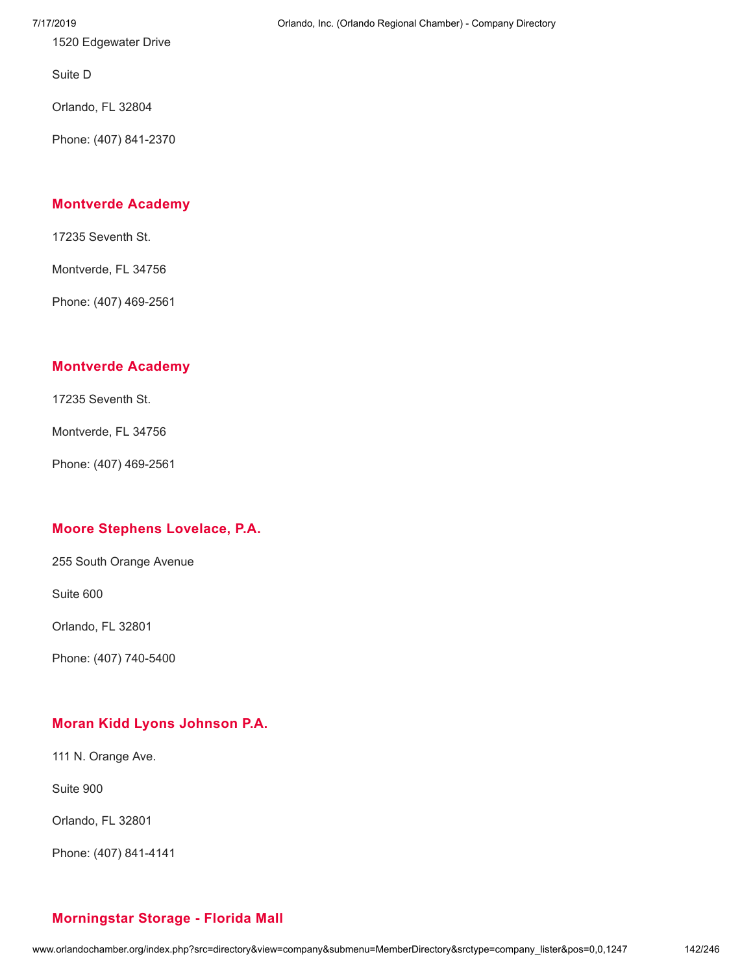1520 Edgewater Drive

Suite D

Orlando, FL 32804

Phone: (407) 841-2370

#### **[Montverde](http://www.orlandochamber.org/index.php?src=directory&view=company&submenu=MemberDirectory&refno=2777414&srctype=company_detail) Academy**

17235 Seventh St.

Montverde, FL 34756

Phone: (407) 469-2561

#### **[Montverde](http://www.orlandochamber.org/index.php?src=directory&view=company&submenu=MemberDirectory&refno=2777415&srctype=company_detail) Academy**

17235 Seventh St.

Montverde, FL 34756

Phone: (407) 469-2561

## **Moore Stephens [Lovelace,](http://www.orlandochamber.org/index.php?src=directory&view=company&submenu=MemberDirectory&refno=2777416&srctype=company_detail) P.A.**

255 South Orange Avenue

Suite 600

Orlando, FL 32801

Phone: (407) 740-5400

## **Moran Kidd Lyons [Johnson](http://www.orlandochamber.org/index.php?src=directory&view=company&submenu=MemberDirectory&refno=2777417&srctype=company_detail) P.A.**

111 N. Orange Ave.

Suite 900

Orlando, FL 32801

Phone: (407) 841-4141

#### 7/17/2019 Orlando, Inc. (Orlando Regional Chamber) - Company Directory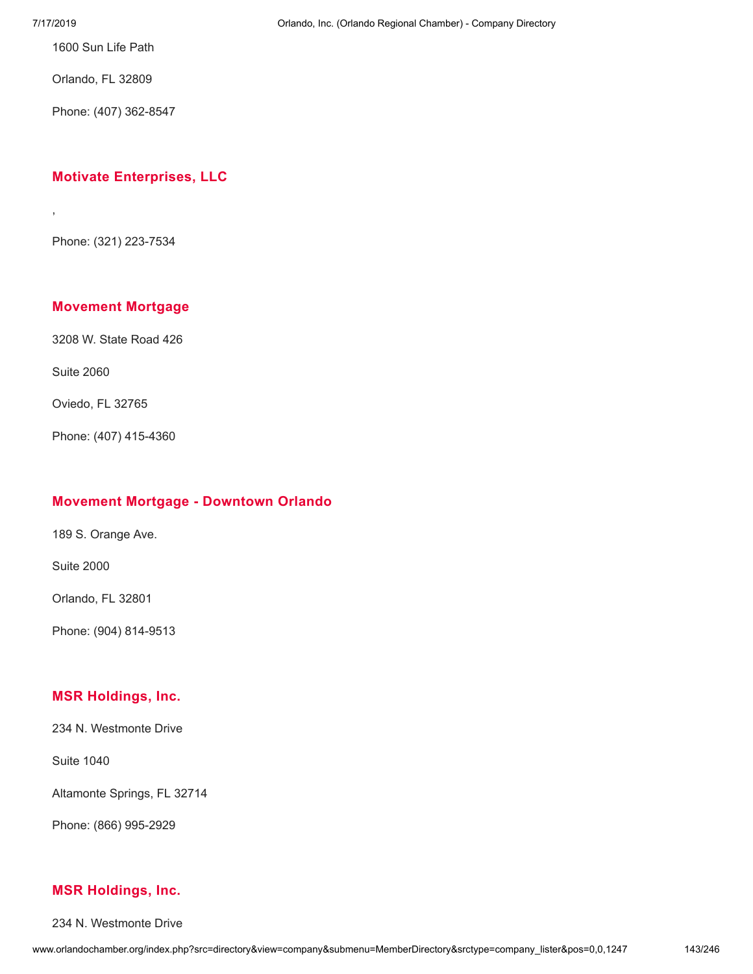,

1600 Sun Life Path

Orlando, FL 32809

Phone: (407) 362-8547

# **Motivate [Enterprises,](http://www.orlandochamber.org/index.php?src=directory&view=company&submenu=MemberDirectory&refno=2777419&srctype=company_detail) LLC**

Phone: (321) 223-7534

## **[Movement](http://www.orlandochamber.org/index.php?src=directory&view=company&submenu=MemberDirectory&refno=2777420&srctype=company_detail) Mortgage**

3208 W. State Road 426

Suite 2060

Oviedo, FL 32765

Phone: (407) 415-4360

#### **Movement Mortgage - [Downtown](http://www.orlandochamber.org/index.php?src=directory&view=company&submenu=MemberDirectory&refno=2777421&srctype=company_detail) Orlando**

189 S. Orange Ave.

Suite 2000

Orlando, FL 32801

Phone: (904) 814-9513

#### **MSR [Holdings,](http://www.orlandochamber.org/index.php?src=directory&view=company&submenu=MemberDirectory&refno=2777422&srctype=company_detail) Inc.**

234 N. Westmonte Drive

Suite 1040

Altamonte Springs, FL 32714

Phone: (866) 995-2929

#### **MSR [Holdings,](http://www.orlandochamber.org/index.php?src=directory&view=company&submenu=MemberDirectory&refno=2777423&srctype=company_detail) Inc.**

234 N. Westmonte Drive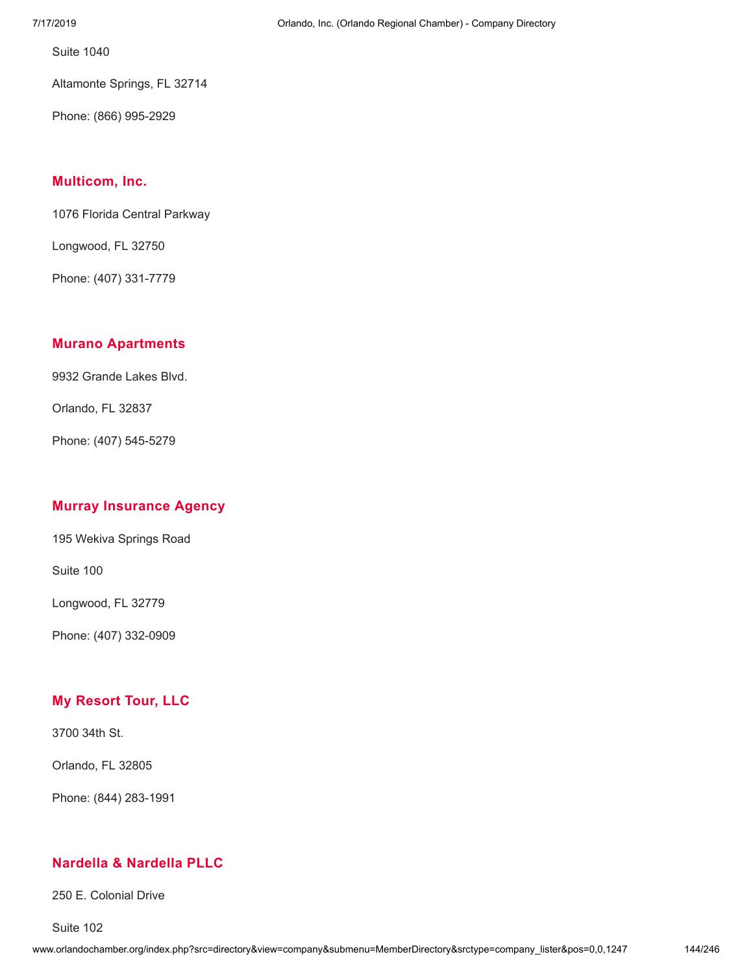Suite 1040

Altamonte Springs, FL 32714

Phone: (866) 995-2929

#### **[Multicom,](http://www.orlandochamber.org/index.php?src=directory&view=company&submenu=MemberDirectory&refno=2777424&srctype=company_detail) Inc.**

1076 Florida Central Parkway

Longwood, FL 32750

Phone: (407) 331-7779

#### **Murano [Apartments](http://www.orlandochamber.org/index.php?src=directory&view=company&submenu=MemberDirectory&refno=2777425&srctype=company_detail)**

9932 Grande Lakes Blvd.

Orlando, FL 32837

Phone: (407) 545-5279

## **Murray [Insurance](http://www.orlandochamber.org/index.php?src=directory&view=company&submenu=MemberDirectory&refno=2777426&srctype=company_detail) Agency**

195 Wekiva Springs Road

Suite 100

Longwood, FL 32779

Phone: (407) 332-0909

## **My [Resort](http://www.orlandochamber.org/index.php?src=directory&view=company&submenu=MemberDirectory&refno=2777427&srctype=company_detail) Tour, LLC**

3700 34th St.

Orlando, FL 32805

Phone: (844) 283-1991

## **Nardella & [Nardella](http://www.orlandochamber.org/index.php?src=directory&view=company&submenu=MemberDirectory&refno=2777428&srctype=company_detail) PLLC**

250 E. Colonial Drive

Suite 102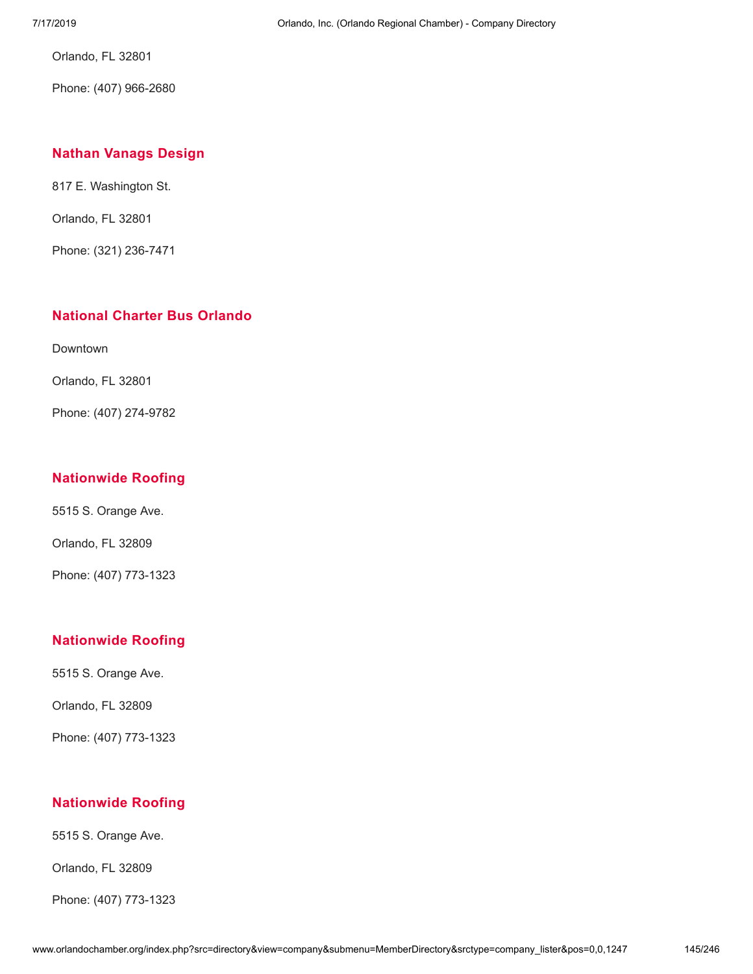Orlando, FL 32801

Phone: (407) 966-2680

## **Nathan [Vanags](http://www.orlandochamber.org/index.php?src=directory&view=company&submenu=MemberDirectory&refno=2777429&srctype=company_detail) Design**

817 E. Washington St.

Orlando, FL 32801

Phone: (321) 236-7471

### **[National](http://www.orlandochamber.org/index.php?src=directory&view=company&submenu=MemberDirectory&refno=2777430&srctype=company_detail) Charter Bus Orlando**

Downtown

Orlando, FL 32801

Phone: (407) 274-9782

### **[Nationwide](http://www.orlandochamber.org/index.php?src=directory&view=company&submenu=MemberDirectory&refno=2777431&srctype=company_detail) Roofing**

5515 S. Orange Ave.

Orlando, FL 32809

Phone: (407) 773-1323

# **[Nationwide](http://www.orlandochamber.org/index.php?src=directory&view=company&submenu=MemberDirectory&refno=2777432&srctype=company_detail) Roofing**

5515 S. Orange Ave.

Orlando, FL 32809

Phone: (407) 773-1323

# **[Nationwide](http://www.orlandochamber.org/index.php?src=directory&view=company&submenu=MemberDirectory&refno=2777433&srctype=company_detail) Roofing**

5515 S. Orange Ave.

Orlando, FL 32809

Phone: (407) 773-1323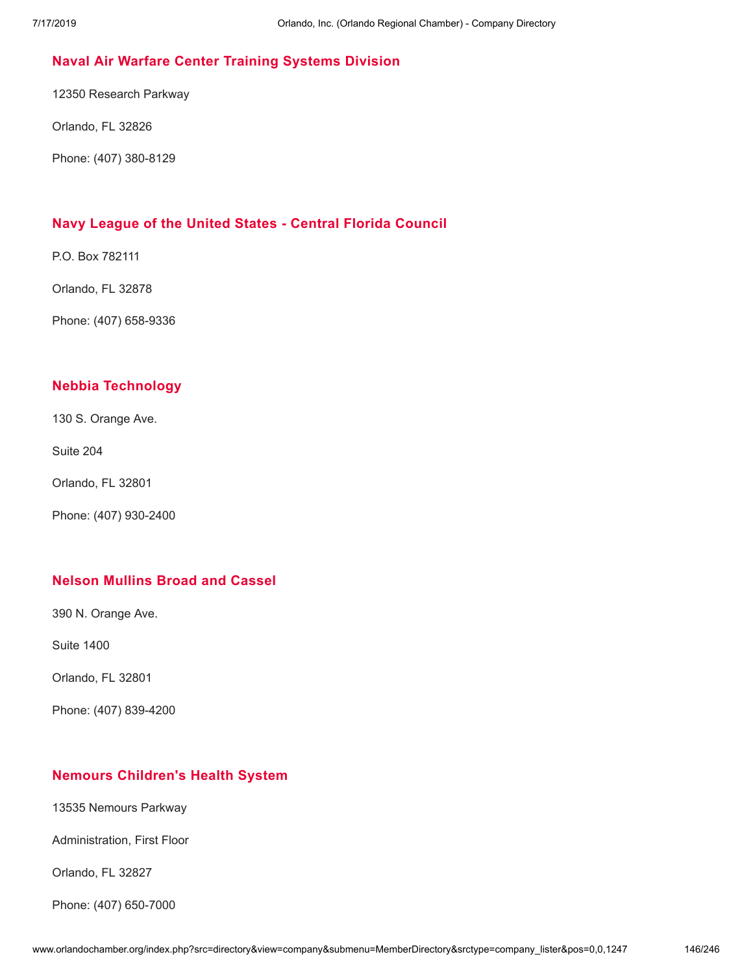## **Naval Air Warfare Center Training [Systems](http://www.orlandochamber.org/index.php?src=directory&view=company&submenu=MemberDirectory&refno=2777434&srctype=company_detail) Division**

12350 Research Parkway

Orlando, FL 32826

Phone: (407) 380-8129

#### **Navy League of the United States - Central Florida [Council](http://www.orlandochamber.org/index.php?src=directory&view=company&submenu=MemberDirectory&refno=2777435&srctype=company_detail)**

P.O. Box 782111

Orlando, FL 32878

Phone: (407) 658-9336

#### **Nebbia [Technology](http://www.orlandochamber.org/index.php?src=directory&view=company&submenu=MemberDirectory&refno=2777436&srctype=company_detail)**

130 S. Orange Ave.

Suite 204

Orlando, FL 32801

Phone: (407) 930-2400

#### **Nelson [Mullins](http://www.orlandochamber.org/index.php?src=directory&view=company&submenu=MemberDirectory&refno=2777437&srctype=company_detail) Broad and Cassel**

390 N. Orange Ave.

Suite 1400

Orlando, FL 32801

Phone: (407) 839-4200

#### **Nemours [Children's](http://www.orlandochamber.org/index.php?src=directory&view=company&submenu=MemberDirectory&refno=2777438&srctype=company_detail) Health System**

13535 Nemours Parkway

Administration, First Floor

Orlando, FL 32827

Phone: (407) 650-7000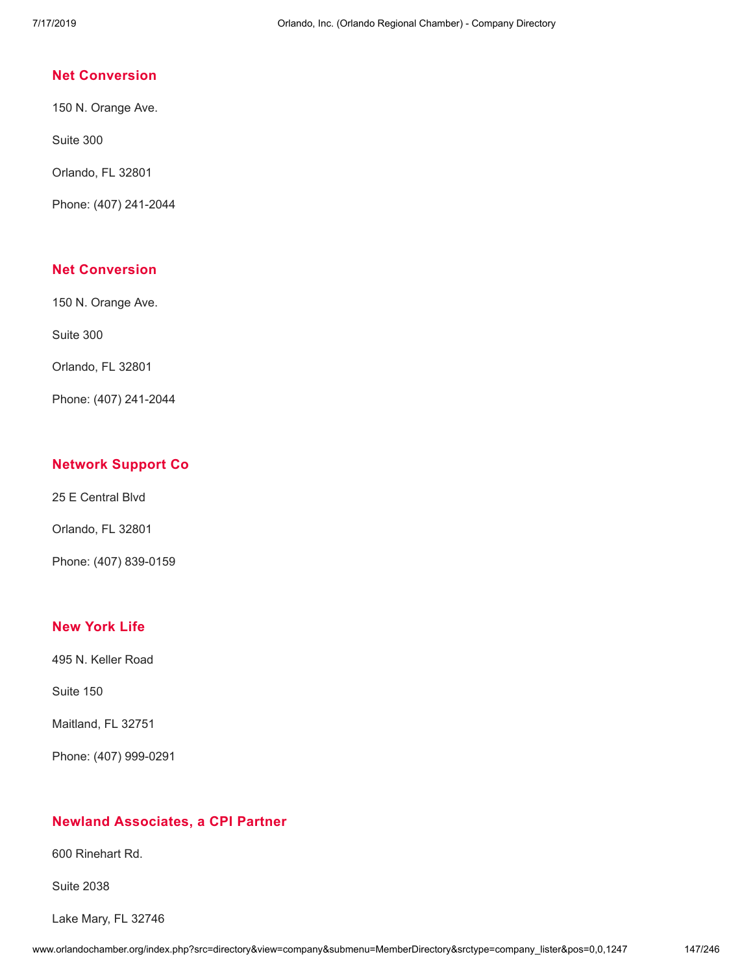#### **Net [Conversion](http://www.orlandochamber.org/index.php?src=directory&view=company&submenu=MemberDirectory&refno=2777439&srctype=company_detail)**

150 N. Orange Ave.

Suite 300

Orlando, FL 32801

Phone: (407) 241-2044

## **Net [Conversion](http://www.orlandochamber.org/index.php?src=directory&view=company&submenu=MemberDirectory&refno=2777440&srctype=company_detail)**

150 N. Orange Ave.

Suite 300

Orlando, FL 32801

Phone: (407) 241-2044

# **[Network](http://www.orlandochamber.org/index.php?src=directory&view=company&submenu=MemberDirectory&refno=2777442&srctype=company_detail) Support Co**

25 E Central Blvd

Orlando, FL 32801

Phone: (407) 839-0159

#### **New [York](http://www.orlandochamber.org/index.php?src=directory&view=company&submenu=MemberDirectory&refno=2777441&srctype=company_detail) Life**

495 N. Keller Road

Suite 150

Maitland, FL 32751

Phone: (407) 999-0291

# **Newland [Associates,](http://www.orlandochamber.org/index.php?src=directory&view=company&submenu=MemberDirectory&refno=2777443&srctype=company_detail) a CPI Partner**

600 Rinehart Rd.

Suite 2038

Lake Mary, FL 32746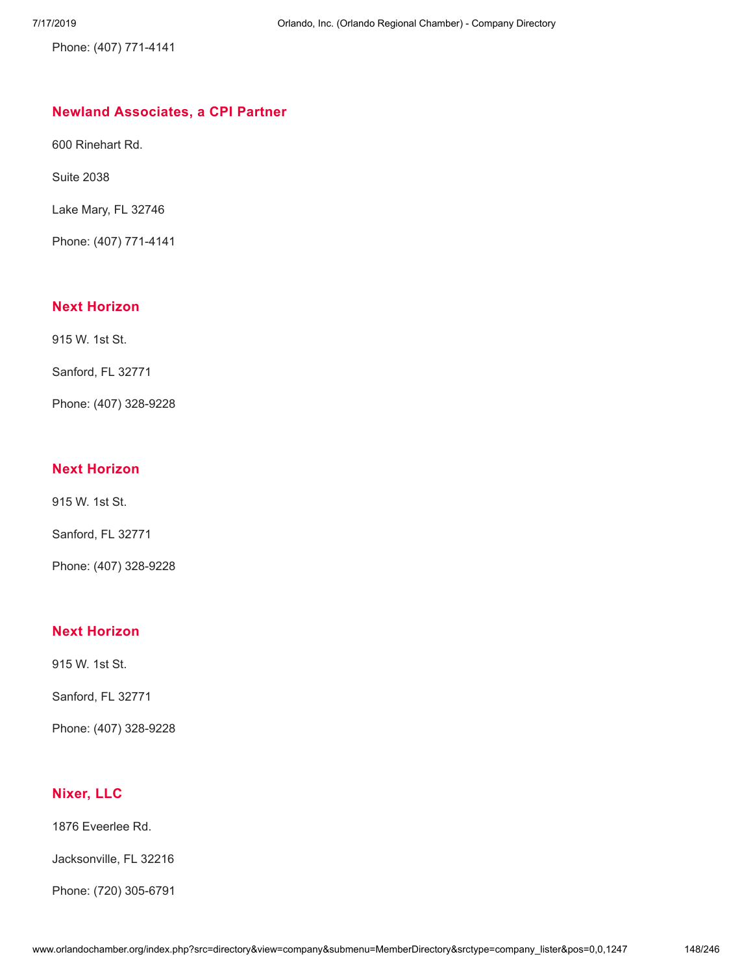Phone: (407) 771-4141

# **Newland [Associates,](http://www.orlandochamber.org/index.php?src=directory&view=company&submenu=MemberDirectory&refno=2777444&srctype=company_detail) a CPI Partner**

600 Rinehart Rd.

Suite 2038

Lake Mary, FL 32746

Phone: (407) 771-4141

# **Next [Horizon](http://www.orlandochamber.org/index.php?src=directory&view=company&submenu=MemberDirectory&refno=2777445&srctype=company_detail)**

915 W. 1st St.

Sanford, FL 32771

Phone: (407) 328-9228

# **Next [Horizon](http://www.orlandochamber.org/index.php?src=directory&view=company&submenu=MemberDirectory&refno=2777446&srctype=company_detail)**

915 W. 1st St.

Sanford, FL 32771

Phone: (407) 328-9228

# **Next [Horizon](http://www.orlandochamber.org/index.php?src=directory&view=company&submenu=MemberDirectory&refno=2777447&srctype=company_detail)**

915 W. 1st St.

Sanford, FL 32771

Phone: (407) 328-9228

# **[Nixer,](http://www.orlandochamber.org/index.php?src=directory&view=company&submenu=MemberDirectory&refno=2777448&srctype=company_detail) LLC**

1876 Eveerlee Rd.

Jacksonville, FL 32216

Phone: (720) 305-6791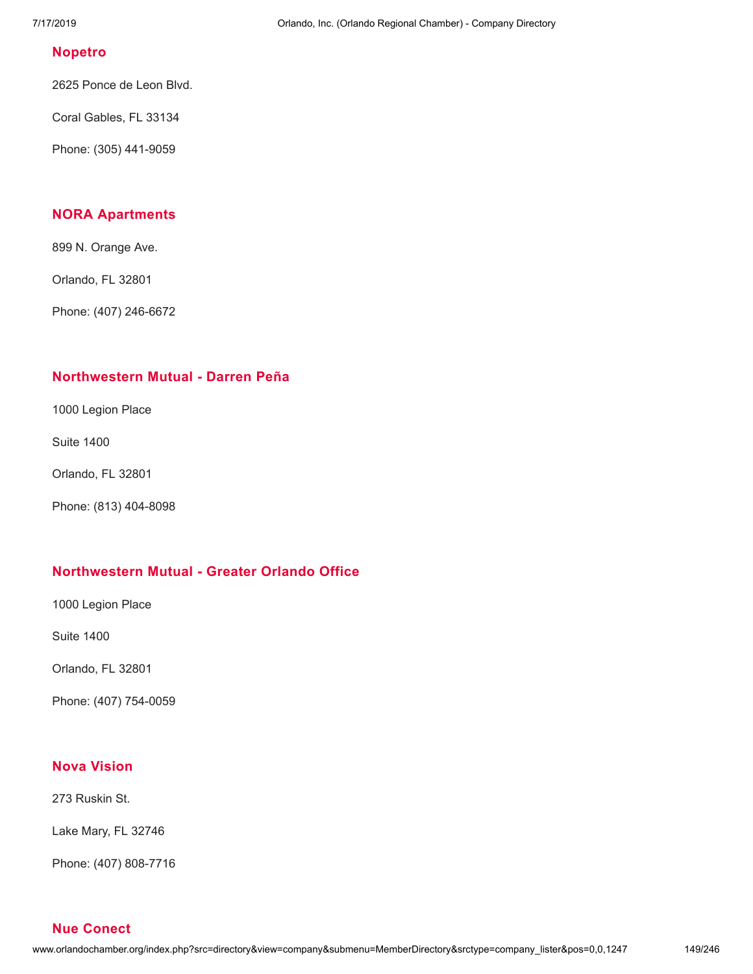#### **[Nopetro](http://www.orlandochamber.org/index.php?src=directory&view=company&submenu=MemberDirectory&refno=2777449&srctype=company_detail)**

2625 Ponce de Leon Blvd.

Coral Gables, FL 33134

Phone: (305) 441-9059

### **NORA [Apartments](http://www.orlandochamber.org/index.php?src=directory&view=company&submenu=MemberDirectory&refno=2777450&srctype=company_detail)**

899 N. Orange Ave.

Orlando, FL 32801

Phone: (407) 246-6672

#### **[Northwestern](http://www.orlandochamber.org/index.php?src=directory&view=company&submenu=MemberDirectory&refno=2777451&srctype=company_detail) Mutual - Darren Peña**

1000 Legion Place

Suite 1400

Orlando, FL 32801

Phone: (813) 404-8098

#### **[Northwestern](http://www.orlandochamber.org/index.php?src=directory&view=company&submenu=MemberDirectory&refno=2777452&srctype=company_detail) Mutual - Greater Orlando Office**

1000 Legion Place

Suite 1400

Orlando, FL 32801

Phone: (407) 754-0059

# **Nova [Vision](http://www.orlandochamber.org/index.php?src=directory&view=company&submenu=MemberDirectory&refno=2777453&srctype=company_detail)**

273 Ruskin St.

Lake Mary, FL 32746

Phone: (407) 808-7716

**Nue [Conect](http://www.orlandochamber.org/index.php?src=directory&view=company&submenu=MemberDirectory&refno=2777454&srctype=company_detail)**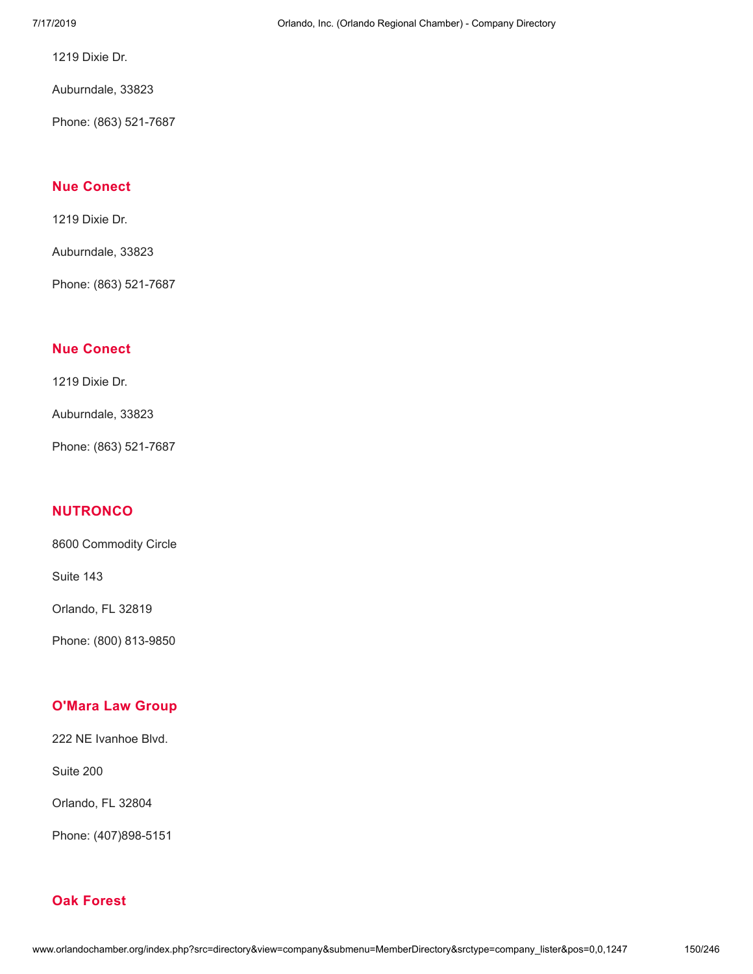1219 Dixie Dr.

Auburndale, 33823

Phone: (863) 521-7687

## **Nue [Conect](http://www.orlandochamber.org/index.php?src=directory&view=company&submenu=MemberDirectory&refno=2777455&srctype=company_detail)**

1219 Dixie Dr.

Auburndale, 33823

Phone: (863) 521-7687

#### **Nue [Conect](http://www.orlandochamber.org/index.php?src=directory&view=company&submenu=MemberDirectory&refno=2777456&srctype=company_detail)**

1219 Dixie Dr.

Auburndale, 33823

Phone: (863) 521-7687

# **[NUTRONCO](http://www.orlandochamber.org/index.php?src=directory&view=company&submenu=MemberDirectory&refno=2777457&srctype=company_detail)**

8600 Commodity Circle

Suite 143

Orlando, FL 32819

Phone: (800) 813-9850

#### **[O'Mara](http://www.orlandochamber.org/index.php?src=directory&view=company&submenu=MemberDirectory&refno=2777458&srctype=company_detail) Law Group**

222 NE Ivanhoe Blvd.

Suite 200

Orlando, FL 32804

Phone: (407)898-5151

# **Oak [Forest](http://www.orlandochamber.org/index.php?src=directory&view=company&submenu=MemberDirectory&refno=2777459&srctype=company_detail)**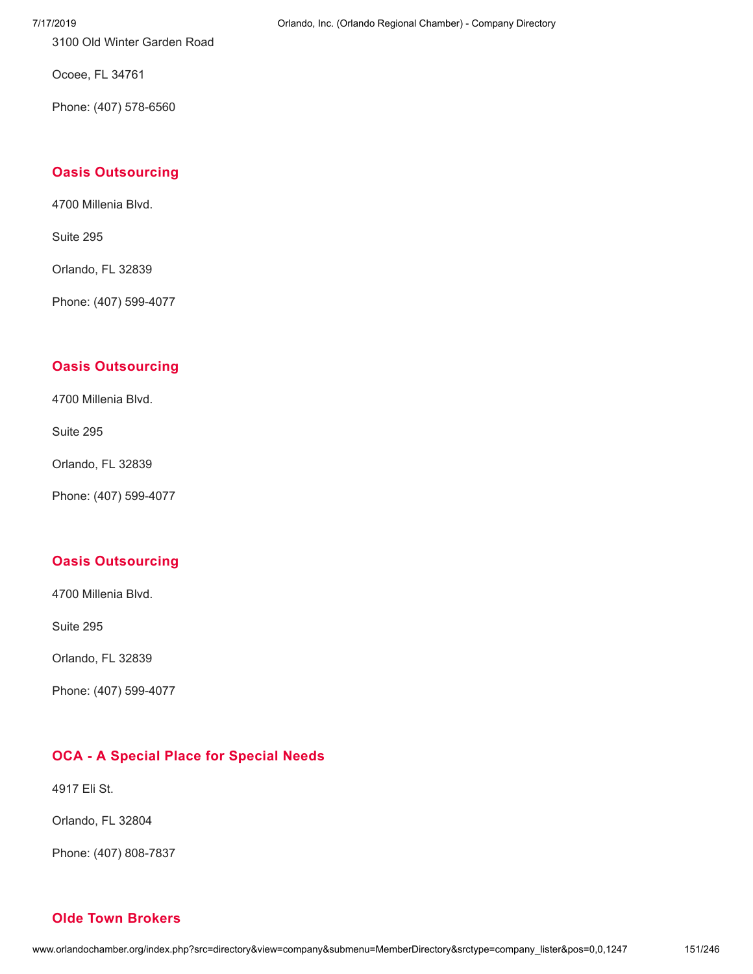3100 Old Winter Garden Road

Ocoee, FL 34761

Phone: (407) 578-6560

# **Oasis [Outsourcing](http://www.orlandochamber.org/index.php?src=directory&view=company&submenu=MemberDirectory&refno=2777460&srctype=company_detail)**

4700 Millenia Blvd.

Suite 295

Orlando, FL 32839

Phone: (407) 599-4077

# **Oasis [Outsourcing](http://www.orlandochamber.org/index.php?src=directory&view=company&submenu=MemberDirectory&refno=2777461&srctype=company_detail)**

4700 Millenia Blvd.

Suite 295

Orlando, FL 32839

Phone: (407) 599-4077

# **Oasis [Outsourcing](http://www.orlandochamber.org/index.php?src=directory&view=company&submenu=MemberDirectory&refno=2777462&srctype=company_detail)**

4700 Millenia Blvd.

Suite 295

Orlando, FL 32839

Phone: (407) 599-4077

# **OCA - A [Special](http://www.orlandochamber.org/index.php?src=directory&view=company&submenu=MemberDirectory&refno=2777463&srctype=company_detail) Place for Special Needs**

4917 Eli St.

Orlando, FL 32804

Phone: (407) 808-7837

**Olde Town [Brokers](http://www.orlandochamber.org/index.php?src=directory&view=company&submenu=MemberDirectory&refno=2777464&srctype=company_detail)**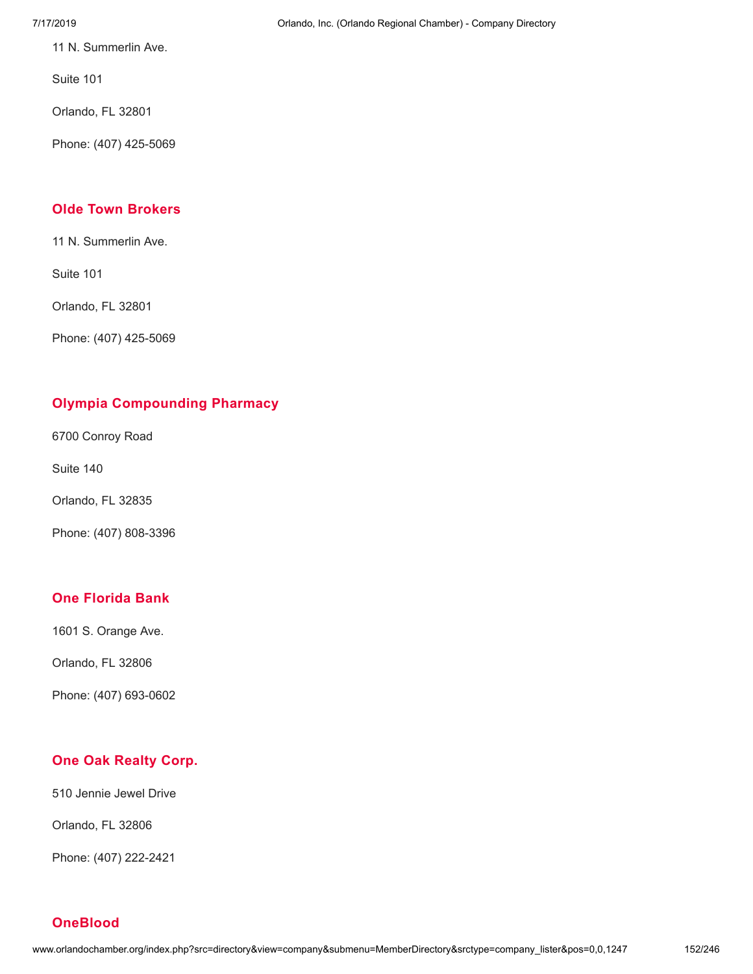11 N. Summerlin Ave.

Suite 101

Orlando, FL 32801

Phone: (407) 425-5069

# **Olde Town [Brokers](http://www.orlandochamber.org/index.php?src=directory&view=company&submenu=MemberDirectory&refno=2777465&srctype=company_detail)**

11 N. Summerlin Ave.

Suite 101

Orlando, FL 32801

Phone: (407) 425-5069

# **Olympia [Compounding](http://www.orlandochamber.org/index.php?src=directory&view=company&submenu=MemberDirectory&refno=2777466&srctype=company_detail) Pharmacy**

6700 Conroy Road

Suite 140

Orlando, FL 32835

Phone: (407) 808-3396

# **One [Florida](http://www.orlandochamber.org/index.php?src=directory&view=company&submenu=MemberDirectory&refno=2777467&srctype=company_detail) Bank**

1601 S. Orange Ave.

Orlando, FL 32806

Phone: (407) 693-0602

# **One Oak [Realty](http://www.orlandochamber.org/index.php?src=directory&view=company&submenu=MemberDirectory&refno=2777468&srctype=company_detail) Corp.**

510 Jennie Jewel Drive

Orlando, FL 32806

Phone: (407) 222-2421

**[OneBlood](http://www.orlandochamber.org/index.php?src=directory&view=company&submenu=MemberDirectory&refno=2777469&srctype=company_detail)**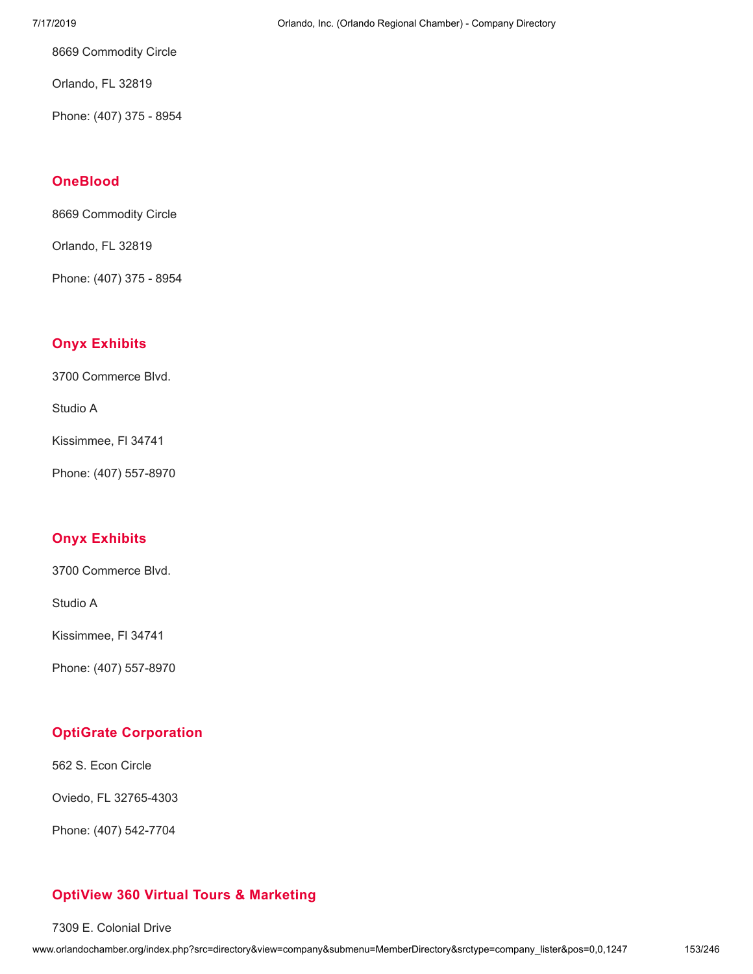8669 Commodity Circle

Orlando, FL 32819

Phone: (407) 375 - 8954

# **[OneBlood](http://www.orlandochamber.org/index.php?src=directory&view=company&submenu=MemberDirectory&refno=2777470&srctype=company_detail)**

8669 Commodity Circle

Orlando, FL 32819

Phone: (407) 375 - 8954

# **Onyx [Exhibits](http://www.orlandochamber.org/index.php?src=directory&view=company&submenu=MemberDirectory&refno=2777471&srctype=company_detail)**

3700 Commerce Blvd.

Studio A

Kissimmee, Fl 34741

Phone: (407) 557-8970

# **Onyx [Exhibits](http://www.orlandochamber.org/index.php?src=directory&view=company&submenu=MemberDirectory&refno=2777472&srctype=company_detail)**

3700 Commerce Blvd.

Studio A

Kissimmee, Fl 34741

Phone: (407) 557-8970

# **OptiGrate [Corporation](http://www.orlandochamber.org/index.php?src=directory&view=company&submenu=MemberDirectory&refno=2777473&srctype=company_detail)**

562 S. Econ Circle

Oviedo, FL 32765-4303

Phone: (407) 542-7704

# **OptiView 360 Virtual Tours & [Marketing](http://www.orlandochamber.org/index.php?src=directory&view=company&submenu=MemberDirectory&refno=2777474&srctype=company_detail)**

7309 E. Colonial Drive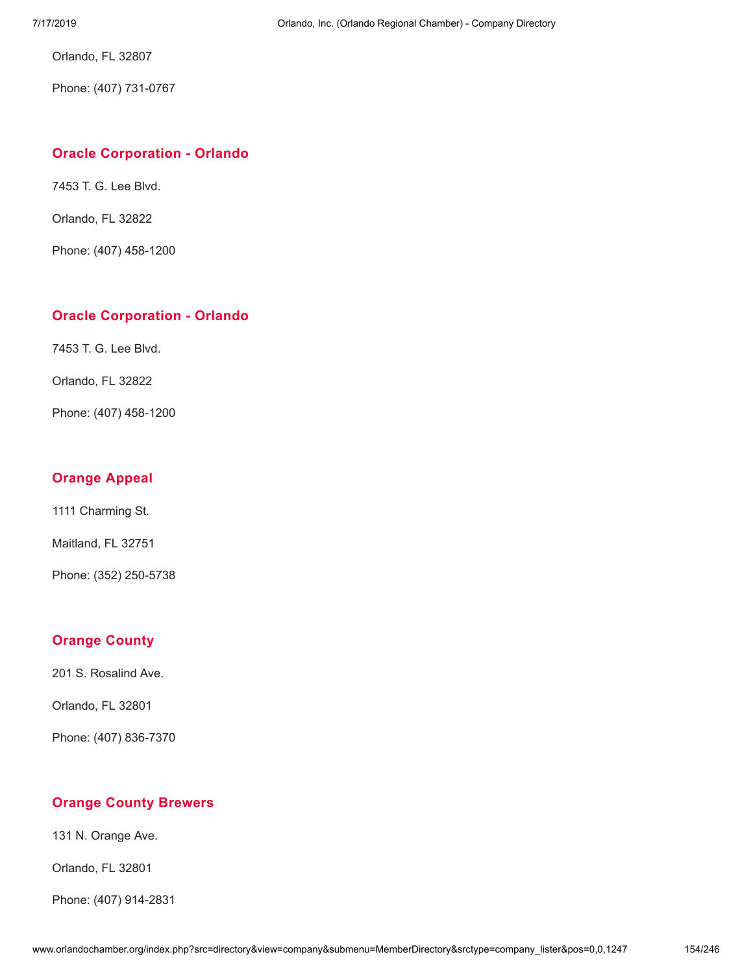Orlando, FL 32807

Phone: (407) 731-0767

### **Oracle [Corporation](http://www.orlandochamber.org/index.php?src=directory&view=company&submenu=MemberDirectory&refno=2777475&srctype=company_detail) - Orlando**

7453 T. G. Lee Blvd.

Orlando, FL 32822

Phone: (407) 458-1200

# **Oracle [Corporation](http://www.orlandochamber.org/index.php?src=directory&view=company&submenu=MemberDirectory&refno=2777476&srctype=company_detail) - Orlando**

7453 T. G. Lee Blvd.

Orlando, FL 32822

Phone: (407) 458-1200

# **[Orange](http://www.orlandochamber.org/index.php?src=directory&view=company&submenu=MemberDirectory&refno=2777477&srctype=company_detail) Appeal**

1111 Charming St.

Maitland, FL 32751

Phone: (352) 250-5738

# **[Orange](http://www.orlandochamber.org/index.php?src=directory&view=company&submenu=MemberDirectory&refno=2777478&srctype=company_detail) County**

201 S. Rosalind Ave.

Orlando, FL 32801

Phone: (407) 836-7370

# **Orange County [Brewers](http://www.orlandochamber.org/index.php?src=directory&view=company&submenu=MemberDirectory&refno=2777479&srctype=company_detail)**

131 N. Orange Ave.

Orlando, FL 32801

Phone: (407) 914-2831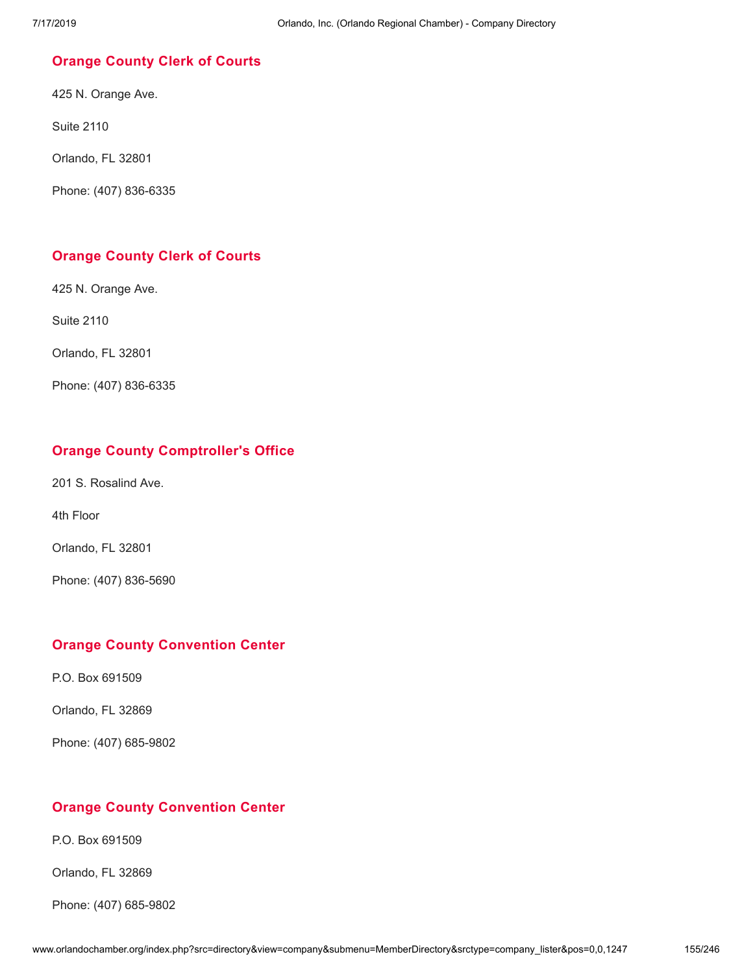## **[Orange](http://www.orlandochamber.org/index.php?src=directory&view=company&submenu=MemberDirectory&refno=2777480&srctype=company_detail) County Clerk of Courts**

425 N. Orange Ave.

Suite 2110

Orlando, FL 32801

Phone: (407) 836-6335

# **[Orange](http://www.orlandochamber.org/index.php?src=directory&view=company&submenu=MemberDirectory&refno=2777481&srctype=company_detail) County Clerk of Courts**

425 N. Orange Ave.

Suite 2110

Orlando, FL 32801

Phone: (407) 836-6335

### **Orange County [Comptroller's](http://www.orlandochamber.org/index.php?src=directory&view=company&submenu=MemberDirectory&refno=2777482&srctype=company_detail) Office**

201 S. Rosalind Ave.

4th Floor

Orlando, FL 32801

Phone: (407) 836-5690

#### **Orange County [Convention](http://www.orlandochamber.org/index.php?src=directory&view=company&submenu=MemberDirectory&refno=2777483&srctype=company_detail) Center**

P.O. Box 691509

Orlando, FL 32869

Phone: (407) 685-9802

# **Orange County [Convention](http://www.orlandochamber.org/index.php?src=directory&view=company&submenu=MemberDirectory&refno=2777484&srctype=company_detail) Center**

P.O. Box 691509

Orlando, FL 32869

Phone: (407) 685-9802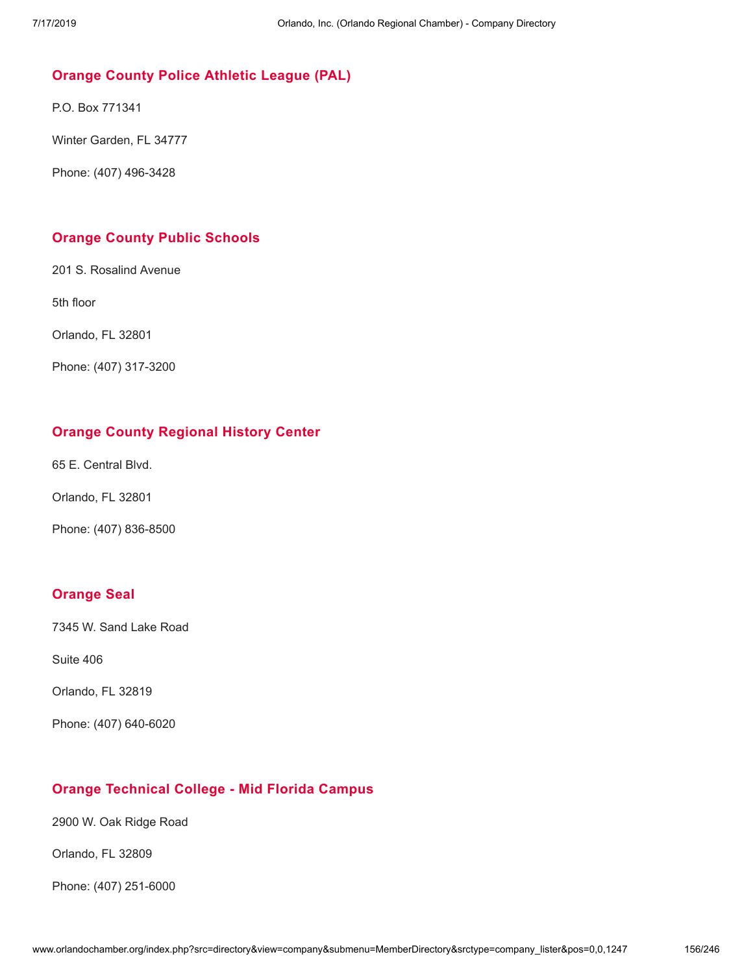# **Orange County Police [Athletic](http://www.orlandochamber.org/index.php?src=directory&view=company&submenu=MemberDirectory&refno=2777485&srctype=company_detail) League (PAL)**

P.O. Box 771341

Winter Garden, FL 34777

Phone: (407) 496-3428

# **Orange County Public [Schools](http://www.orlandochamber.org/index.php?src=directory&view=company&submenu=MemberDirectory&refno=2777486&srctype=company_detail)**

201 S. Rosalind Avenue

5th floor

Orlando, FL 32801

Phone: (407) 317-3200

# **Orange County [Regional](http://www.orlandochamber.org/index.php?src=directory&view=company&submenu=MemberDirectory&refno=2777487&srctype=company_detail) History Center**

65 E. Central Blvd.

Orlando, FL 32801

Phone: (407) 836-8500

#### **[Orange](http://www.orlandochamber.org/index.php?src=directory&view=company&submenu=MemberDirectory&refno=2777488&srctype=company_detail) Seal**

7345 W. Sand Lake Road

Suite 406

Orlando, FL 32819

Phone: (407) 640-6020

# **Orange [Technical](http://www.orlandochamber.org/index.php?src=directory&view=company&submenu=MemberDirectory&refno=2777489&srctype=company_detail) College - Mid Florida Campus**

2900 W. Oak Ridge Road

Orlando, FL 32809

Phone: (407) 251-6000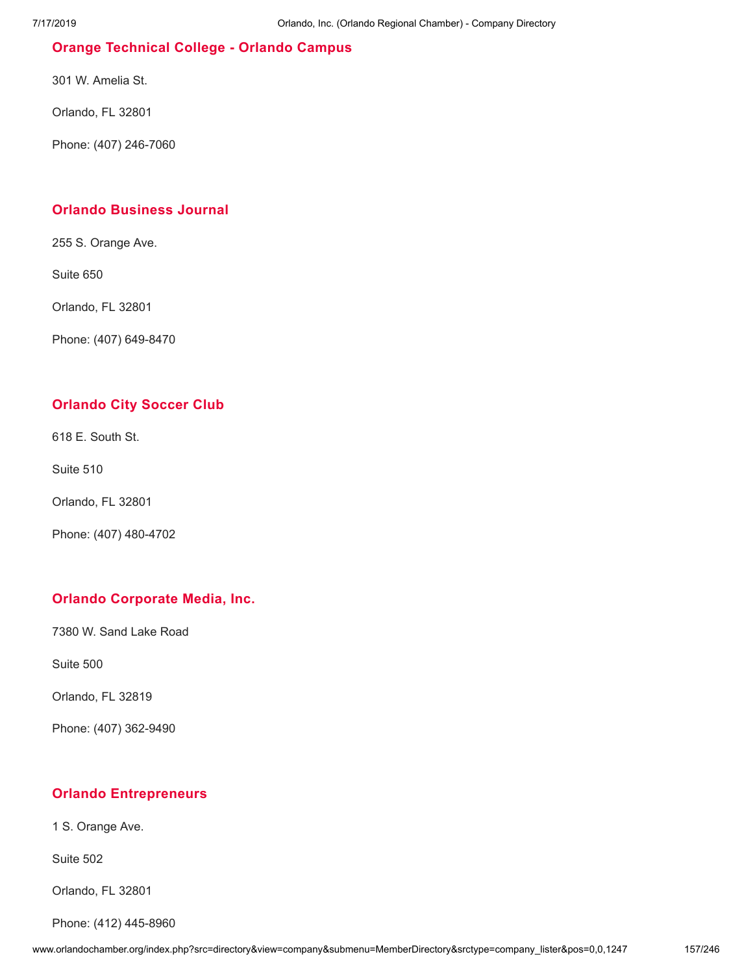# **Orange [Technical](http://www.orlandochamber.org/index.php?src=directory&view=company&submenu=MemberDirectory&refno=2777490&srctype=company_detail) College - Orlando Campus**

301 W. Amelia St.

Orlando, FL 32801

Phone: (407) 246-7060

# **Orlando [Business](http://www.orlandochamber.org/index.php?src=directory&view=company&submenu=MemberDirectory&refno=2777491&srctype=company_detail) Journal**

255 S. Orange Ave.

Suite 650

Orlando, FL 32801

Phone: (407) 649-8470

### **[Orlando](http://www.orlandochamber.org/index.php?src=directory&view=company&submenu=MemberDirectory&refno=2777492&srctype=company_detail) City Soccer Club**

618 E. South St.

Suite 510

Orlando, FL 32801

Phone: (407) 480-4702

# **Orlando [Corporate](http://www.orlandochamber.org/index.php?src=directory&view=company&submenu=MemberDirectory&refno=2777493&srctype=company_detail) Media, Inc.**

7380 W. Sand Lake Road

Suite 500

Orlando, FL 32819

Phone: (407) 362-9490

# **Orlando [Entrepreneurs](http://www.orlandochamber.org/index.php?src=directory&view=company&submenu=MemberDirectory&refno=2777494&srctype=company_detail)**

1 S. Orange Ave.

Suite 502

Orlando, FL 32801

Phone: (412) 445-8960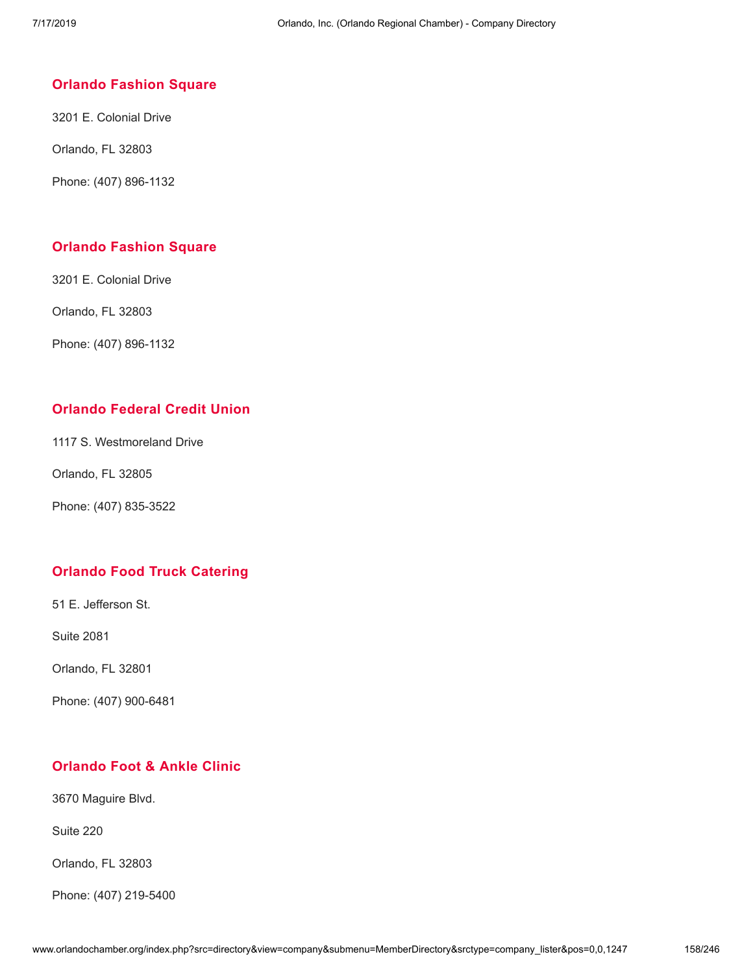#### **Orlando [Fashion](http://www.orlandochamber.org/index.php?src=directory&view=company&submenu=MemberDirectory&refno=2777495&srctype=company_detail) Square**

3201 E. Colonial Drive

Orlando, FL 32803

Phone: (407) 896-1132

#### **Orlando [Fashion](http://www.orlandochamber.org/index.php?src=directory&view=company&submenu=MemberDirectory&refno=2777496&srctype=company_detail) Square**

3201 E. Colonial Drive

Orlando, FL 32803

Phone: (407) 896-1132

# **[Orlando](http://www.orlandochamber.org/index.php?src=directory&view=company&submenu=MemberDirectory&refno=2777497&srctype=company_detail) Federal Credit Union**

1117 S. Westmoreland Drive

Orlando, FL 32805

Phone: (407) 835-3522

#### **Orlando Food Truck [Catering](http://www.orlandochamber.org/index.php?src=directory&view=company&submenu=MemberDirectory&refno=2777498&srctype=company_detail)**

51 E. Jefferson St.

Suite 2081

Orlando, FL 32801

Phone: (407) 900-6481

# **[Orlando](http://www.orlandochamber.org/index.php?src=directory&view=company&submenu=MemberDirectory&refno=2777499&srctype=company_detail) Foot & Ankle Clinic**

3670 Maguire Blvd.

Suite 220

Orlando, FL 32803

Phone: (407) 219-5400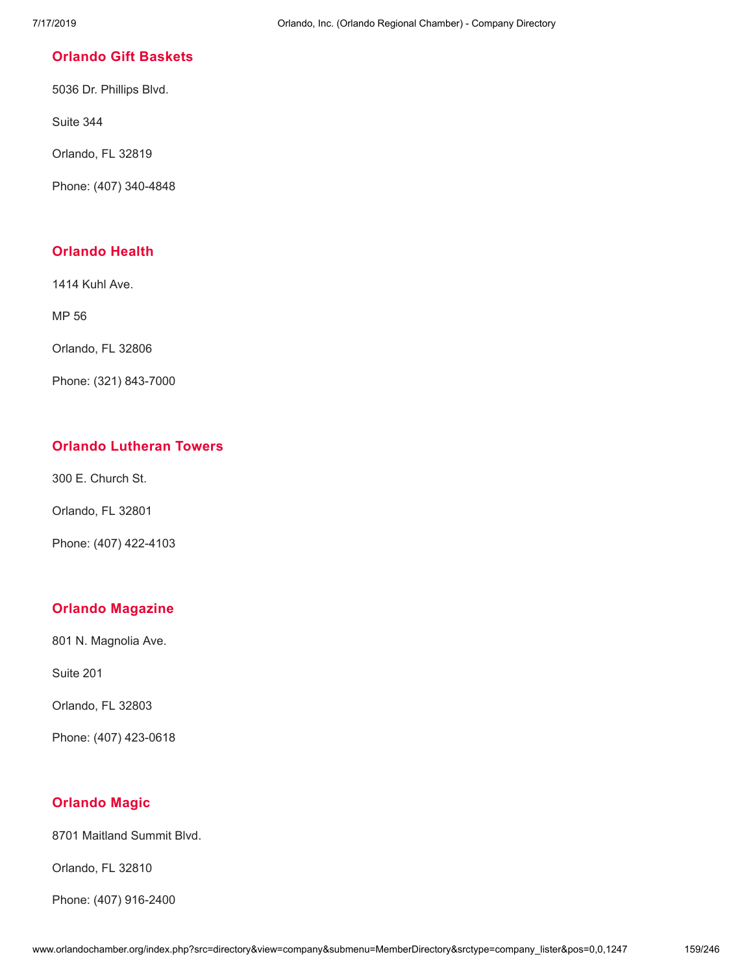## **[Orlando](http://www.orlandochamber.org/index.php?src=directory&view=company&submenu=MemberDirectory&refno=2777500&srctype=company_detail) Gift Baskets**

5036 Dr. Phillips Blvd.

Suite 344

Orlando, FL 32819

Phone: (407) 340-4848

# **[Orlando](http://www.orlandochamber.org/index.php?src=directory&view=company&submenu=MemberDirectory&refno=2777501&srctype=company_detail) Health**

1414 Kuhl Ave.

MP 56

Orlando, FL 32806

Phone: (321) 843-7000

# **Orlando [Lutheran](http://www.orlandochamber.org/index.php?src=directory&view=company&submenu=MemberDirectory&refno=2777502&srctype=company_detail) Towers**

300 E. Church St.

Orlando, FL 32801

Phone: (407) 422-4103

# **Orlando [Magazine](http://www.orlandochamber.org/index.php?src=directory&view=company&submenu=MemberDirectory&refno=2777503&srctype=company_detail)**

801 N. Magnolia Ave.

Suite 201

Orlando, FL 32803

Phone: (407) 423-0618

# **[Orlando](http://www.orlandochamber.org/index.php?src=directory&view=company&submenu=MemberDirectory&refno=2777504&srctype=company_detail) Magic**

8701 Maitland Summit Blvd.

Orlando, FL 32810

Phone: (407) 916-2400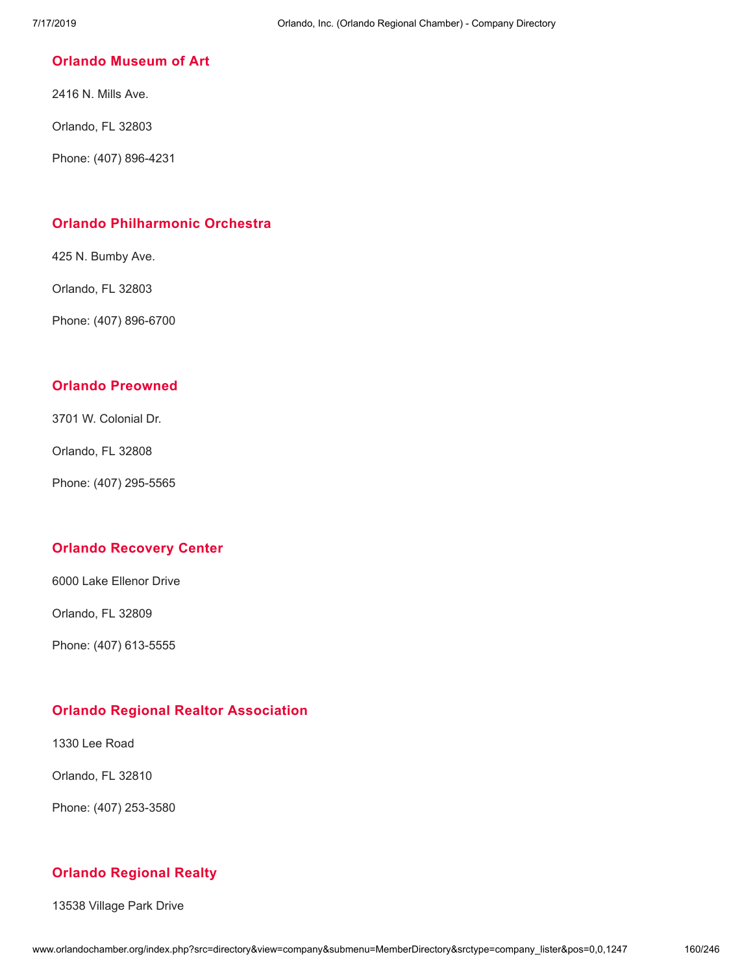#### **Orlando [Museum](http://www.orlandochamber.org/index.php?src=directory&view=company&submenu=MemberDirectory&refno=2777505&srctype=company_detail) of Art**

2416 N. Mills Ave.

Orlando, FL 32803

Phone: (407) 896-4231

# **Orlando [Philharmonic](http://www.orlandochamber.org/index.php?src=directory&view=company&submenu=MemberDirectory&refno=2777506&srctype=company_detail) Orchestra**

425 N. Bumby Ave.

Orlando, FL 32803

Phone: (407) 896-6700

## **Orlando [Preowned](http://www.orlandochamber.org/index.php?src=directory&view=company&submenu=MemberDirectory&refno=2777507&srctype=company_detail)**

3701 W. Colonial Dr.

Orlando, FL 32808

Phone: (407) 295-5565

# **Orlando [Recovery](http://www.orlandochamber.org/index.php?src=directory&view=company&submenu=MemberDirectory&refno=2777508&srctype=company_detail) Center**

6000 Lake Ellenor Drive

Orlando, FL 32809

Phone: (407) 613-5555

# **Orlando Regional Realtor [Association](http://www.orlandochamber.org/index.php?src=directory&view=company&submenu=MemberDirectory&refno=2777509&srctype=company_detail)**

1330 Lee Road

Orlando, FL 32810

Phone: (407) 253-3580

# **Orlando [Regional](http://www.orlandochamber.org/index.php?src=directory&view=company&submenu=MemberDirectory&refno=2777510&srctype=company_detail) Realty**

13538 Village Park Drive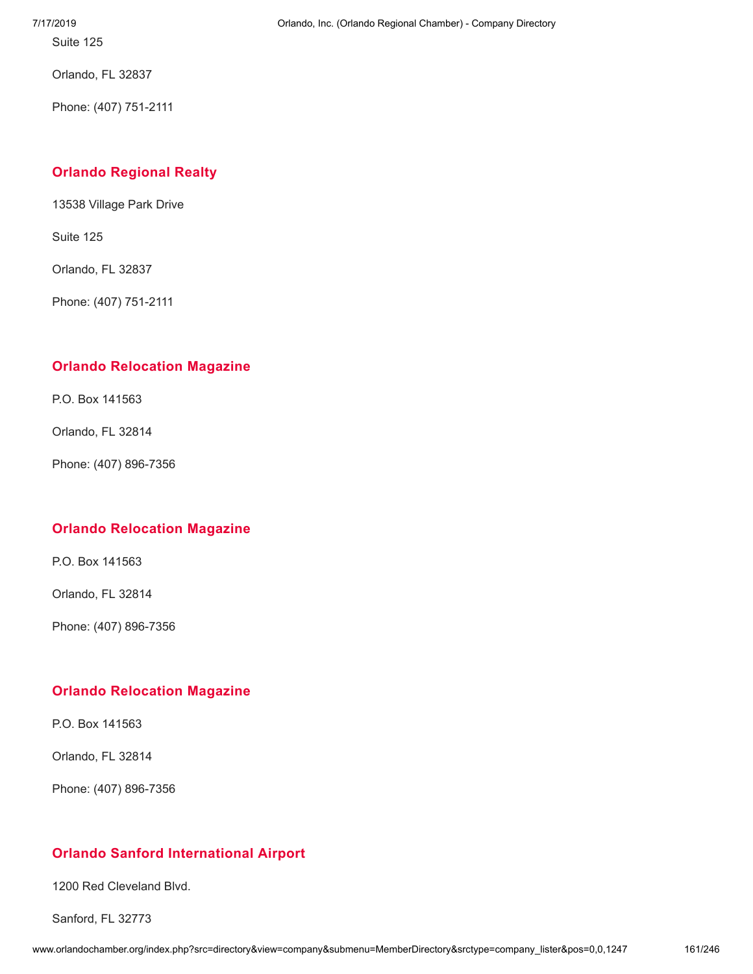Suite 125

Orlando, FL 32837

Phone: (407) 751-2111

# **Orlando [Regional](http://www.orlandochamber.org/index.php?src=directory&view=company&submenu=MemberDirectory&refno=2777511&srctype=company_detail) Realty**

13538 Village Park Drive

Suite 125

Orlando, FL 32837

Phone: (407) 751-2111

# **Orlando [Relocation](http://www.orlandochamber.org/index.php?src=directory&view=company&submenu=MemberDirectory&refno=2777512&srctype=company_detail) Magazine**

P.O. Box 141563

Orlando, FL 32814

Phone: (407) 896-7356

# **Orlando [Relocation](http://www.orlandochamber.org/index.php?src=directory&view=company&submenu=MemberDirectory&refno=2777513&srctype=company_detail) Magazine**

P.O. Box 141563

Orlando, FL 32814

Phone: (407) 896-7356

# **Orlando [Relocation](http://www.orlandochamber.org/index.php?src=directory&view=company&submenu=MemberDirectory&refno=2777514&srctype=company_detail) Magazine**

P.O. Box 141563

Orlando, FL 32814

Phone: (407) 896-7356

# **Orlando Sanford [International](http://www.orlandochamber.org/index.php?src=directory&view=company&submenu=MemberDirectory&refno=2777515&srctype=company_detail) Airport**

1200 Red Cleveland Blvd.

Sanford, FL 32773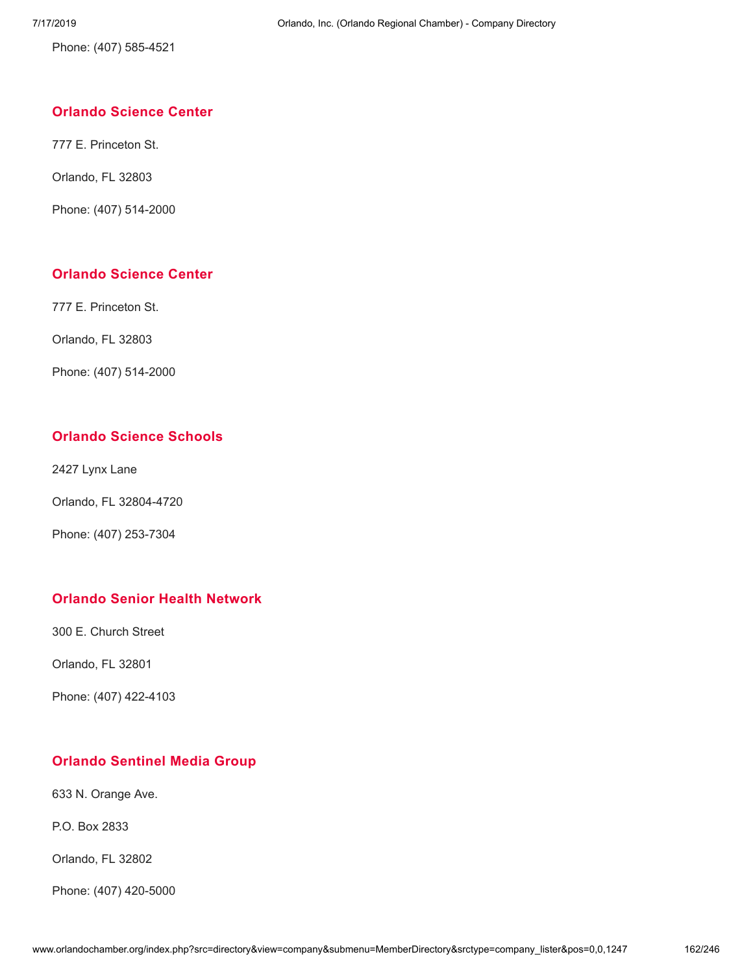Phone: (407) 585-4521

## **[Orlando](http://www.orlandochamber.org/index.php?src=directory&view=company&submenu=MemberDirectory&refno=2777516&srctype=company_detail) Science Center**

777 E. Princeton St.

Orlando, FL 32803

Phone: (407) 514-2000

# **[Orlando](http://www.orlandochamber.org/index.php?src=directory&view=company&submenu=MemberDirectory&refno=2777517&srctype=company_detail) Science Center**

777 E. Princeton St.

Orlando, FL 32803

Phone: (407) 514-2000

# **Orlando Science [Schools](http://www.orlandochamber.org/index.php?src=directory&view=company&submenu=MemberDirectory&refno=2777518&srctype=company_detail)**

2427 Lynx Lane

Orlando, FL 32804-4720

Phone: (407) 253-7304

# **Orlando Senior Health [Network](http://www.orlandochamber.org/index.php?src=directory&view=company&submenu=MemberDirectory&refno=2777519&srctype=company_detail)**

300 E. Church Street

Orlando, FL 32801

Phone: (407) 422-4103

# **Orlando [Sentinel](http://www.orlandochamber.org/index.php?src=directory&view=company&submenu=MemberDirectory&refno=2777520&srctype=company_detail) Media Group**

633 N. Orange Ave.

P.O. Box 2833

Orlando, FL 32802

Phone: (407) 420-5000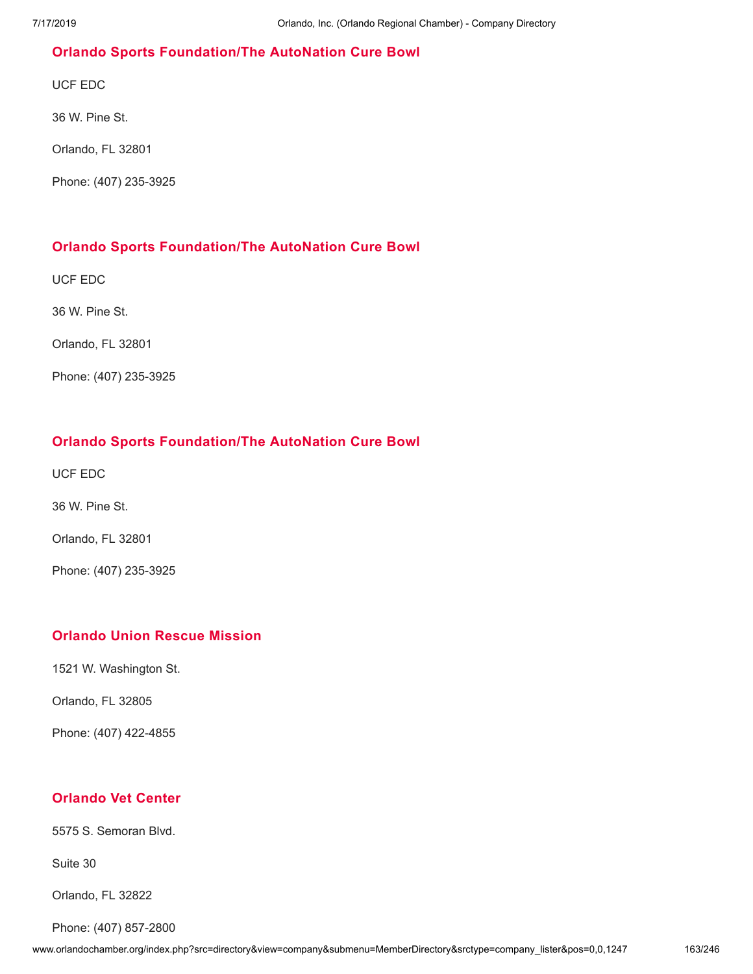# **Orlando Sports [Foundation/The](http://www.orlandochamber.org/index.php?src=directory&view=company&submenu=MemberDirectory&refno=2777521&srctype=company_detail) AutoNation Cure Bowl**

UCF EDC

36 W. Pine St.

Orlando, FL 32801

Phone: (407) 235-3925

# **Orlando Sports [Foundation/The](http://www.orlandochamber.org/index.php?src=directory&view=company&submenu=MemberDirectory&refno=2777522&srctype=company_detail) AutoNation Cure Bowl**

UCF EDC

36 W. Pine St.

Orlando, FL 32801

Phone: (407) 235-3925

# **Orlando Sports [Foundation/The](http://www.orlandochamber.org/index.php?src=directory&view=company&submenu=MemberDirectory&refno=2777523&srctype=company_detail) AutoNation Cure Bowl**

UCF EDC

36 W. Pine St.

Orlando, FL 32801

Phone: (407) 235-3925

# **[Orlando](http://www.orlandochamber.org/index.php?src=directory&view=company&submenu=MemberDirectory&refno=2777524&srctype=company_detail) Union Rescue Mission**

1521 W. Washington St.

Orlando, FL 32805

Phone: (407) 422-4855

# **[Orlando](http://www.orlandochamber.org/index.php?src=directory&view=company&submenu=MemberDirectory&refno=2777525&srctype=company_detail) Vet Center**

5575 S. Semoran Blvd.

Suite 30

Orlando, FL 32822

Phone: (407) 857-2800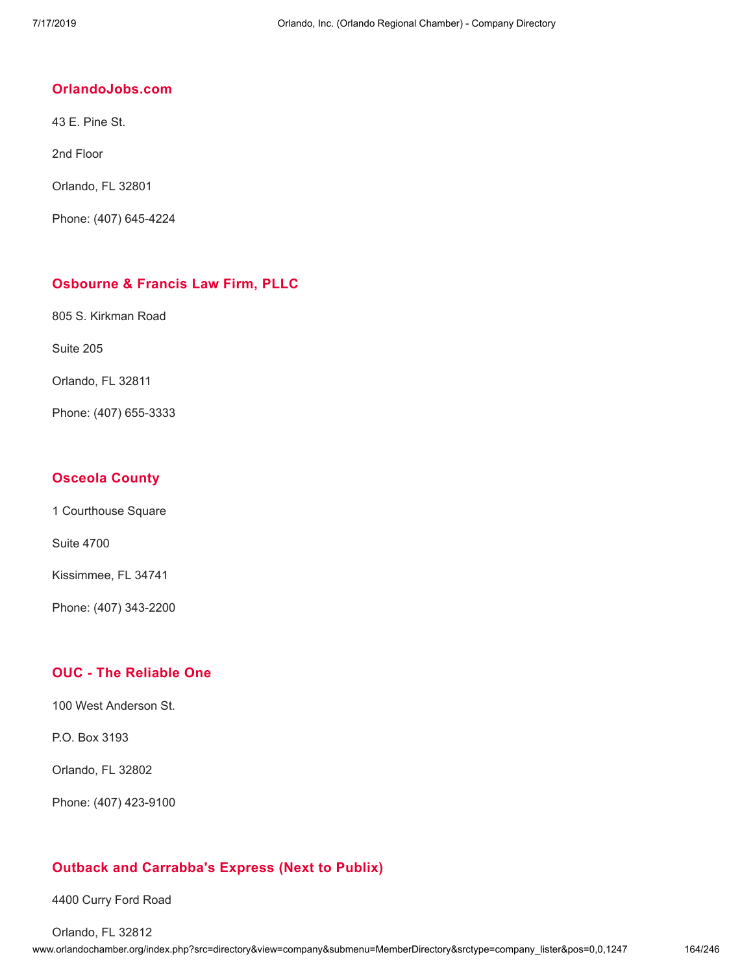#### **[OrlandoJobs.com](http://www.orlandochamber.org/index.php?src=directory&view=company&submenu=MemberDirectory&refno=2777526&srctype=company_detail)**

43 E. Pine St.

2nd Floor

Orlando, FL 32801

Phone: (407) 645-4224

## **[Osbourne](http://www.orlandochamber.org/index.php?src=directory&view=company&submenu=MemberDirectory&refno=2777527&srctype=company_detail) & Francis Law Firm, PLLC**

805 S. Kirkman Road

Suite 205

Orlando, FL 32811

Phone: (407) 655-3333

# **[Osceola](http://www.orlandochamber.org/index.php?src=directory&view=company&submenu=MemberDirectory&refno=2777528&srctype=company_detail) County**

1 Courthouse Square

Suite 4700

Kissimmee, FL 34741

Phone: (407) 343-2200

# **OUC - The [Reliable](http://www.orlandochamber.org/index.php?src=directory&view=company&submenu=MemberDirectory&refno=2777529&srctype=company_detail) One**

100 West Anderson St.

P.O. Box 3193

Orlando, FL 32802

Phone: (407) 423-9100

# **Outback and [Carrabba's](http://www.orlandochamber.org/index.php?src=directory&view=company&submenu=MemberDirectory&refno=2777530&srctype=company_detail) Express (Next to Publix)**

4400 Curry Ford Road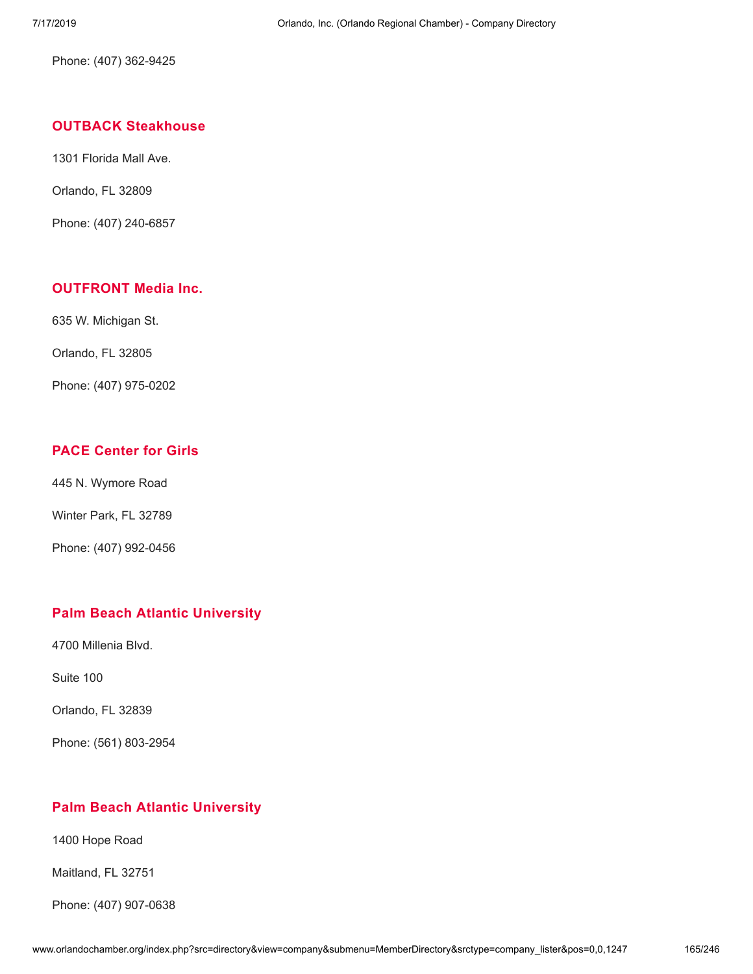Phone: (407) 362-9425

### **OUTBACK [Steakhouse](http://www.orlandochamber.org/index.php?src=directory&view=company&submenu=MemberDirectory&refno=2777531&srctype=company_detail)**

1301 Florida Mall Ave.

Orlando, FL 32809

Phone: (407) 240-6857

### **[OUTFRONT](http://www.orlandochamber.org/index.php?src=directory&view=company&submenu=MemberDirectory&refno=2777532&srctype=company_detail) Media Inc.**

635 W. Michigan St.

Orlando, FL 32805

Phone: (407) 975-0202

# **PACE [Center](http://www.orlandochamber.org/index.php?src=directory&view=company&submenu=MemberDirectory&refno=2777533&srctype=company_detail) for Girls**

445 N. Wymore Road

Winter Park, FL 32789

Phone: (407) 992-0456

# **Palm Beach Atlantic [University](http://www.orlandochamber.org/index.php?src=directory&view=company&submenu=MemberDirectory&refno=2777534&srctype=company_detail)**

4700 Millenia Blvd.

Suite 100

Orlando, FL 32839

Phone: (561) 803-2954

# **Palm Beach Atlantic [University](http://www.orlandochamber.org/index.php?src=directory&view=company&submenu=MemberDirectory&refno=2777535&srctype=company_detail)**

1400 Hope Road

Maitland, FL 32751

Phone: (407) 907-0638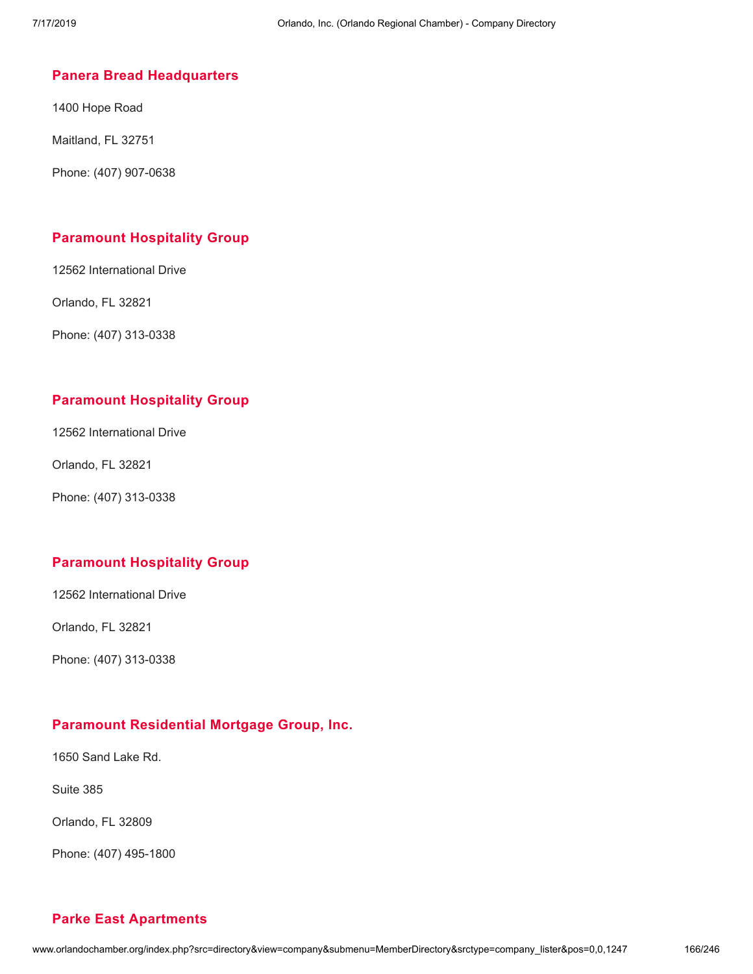### **Panera Bread [Headquarters](http://www.orlandochamber.org/index.php?src=directory&view=company&submenu=MemberDirectory&refno=2777536&srctype=company_detail)**

1400 Hope Road

Maitland, FL 32751

Phone: (407) 907-0638

# **[Paramount](http://www.orlandochamber.org/index.php?src=directory&view=company&submenu=MemberDirectory&refno=2777537&srctype=company_detail) Hospitality Group**

12562 International Drive

Orlando, FL 32821

Phone: (407) 313-0338

# **[Paramount](http://www.orlandochamber.org/index.php?src=directory&view=company&submenu=MemberDirectory&refno=2777538&srctype=company_detail) Hospitality Group**

12562 International Drive

Orlando, FL 32821

Phone: (407) 313-0338

# **[Paramount](http://www.orlandochamber.org/index.php?src=directory&view=company&submenu=MemberDirectory&refno=2777539&srctype=company_detail) Hospitality Group**

12562 International Drive

Orlando, FL 32821

Phone: (407) 313-0338

# **Paramount [Residential](http://www.orlandochamber.org/index.php?src=directory&view=company&submenu=MemberDirectory&refno=2777540&srctype=company_detail) Mortgage Group, Inc.**

1650 Sand Lake Rd.

Suite 385

Orlando, FL 32809

Phone: (407) 495-1800

# **Parke East [Apartments](http://www.orlandochamber.org/index.php?src=directory&view=company&submenu=MemberDirectory&refno=2777541&srctype=company_detail)**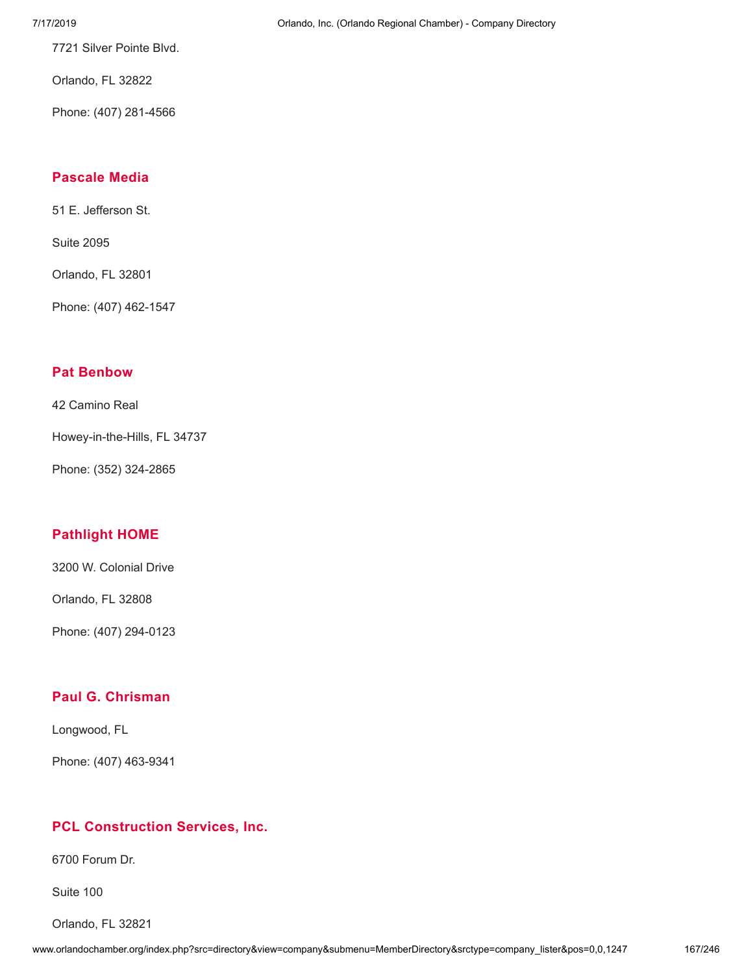7721 Silver Pointe Blvd.

Orlando, FL 32822

Phone: (407) 281-4566

#### **[Pascale](http://www.orlandochamber.org/index.php?src=directory&view=company&submenu=MemberDirectory&refno=2777542&srctype=company_detail) Media**

51 E. Jefferson St.

Suite 2095

Orlando, FL 32801

Phone: (407) 462-1547

# **Pat [Benbow](http://www.orlandochamber.org/index.php?src=directory&view=company&submenu=MemberDirectory&refno=2777543&srctype=company_detail)**

42 Camino Real

Howey-in-the-Hills, FL 34737

Phone: (352) 324-2865

# **[Pathlight](http://www.orlandochamber.org/index.php?src=directory&view=company&submenu=MemberDirectory&refno=2777544&srctype=company_detail) HOME**

3200 W. Colonial Drive

Orlando, FL 32808

Phone: (407) 294-0123

# **Paul G. [Chrisman](http://www.orlandochamber.org/index.php?src=directory&view=company&submenu=MemberDirectory&refno=2777545&srctype=company_detail)**

Longwood, FL

Phone: (407) 463-9341

#### **PCL [Construction](http://www.orlandochamber.org/index.php?src=directory&view=company&submenu=MemberDirectory&refno=2777546&srctype=company_detail) Services, Inc.**

6700 Forum Dr.

Suite 100

Orlando, FL 32821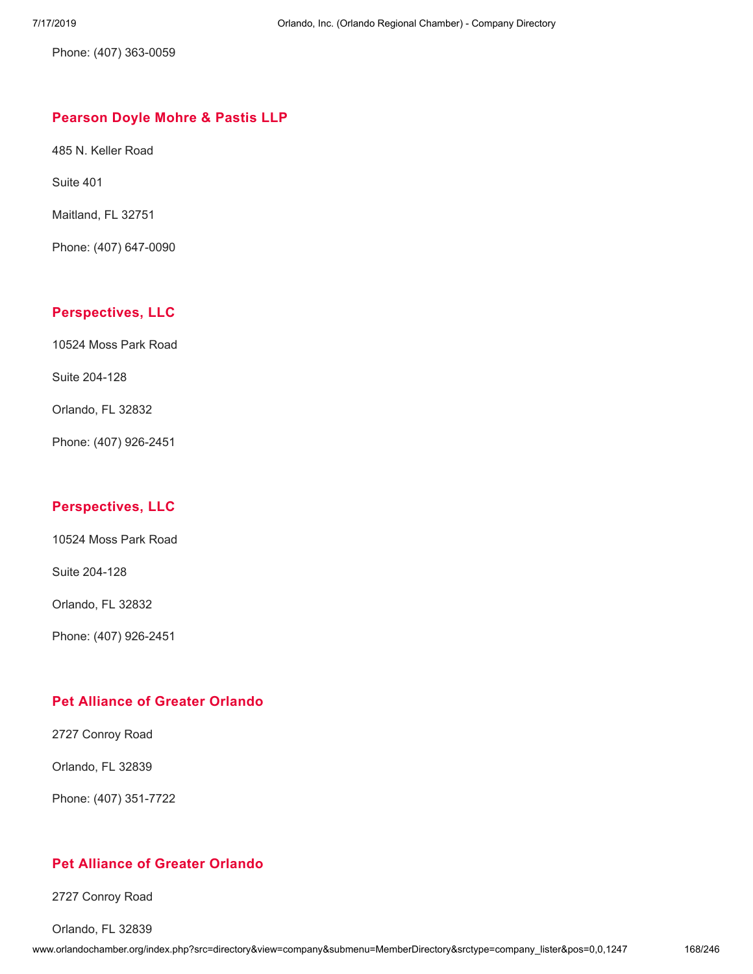Phone: (407) 363-0059

#### **[Pearson](http://www.orlandochamber.org/index.php?src=directory&view=company&submenu=MemberDirectory&refno=2777547&srctype=company_detail) Doyle Mohre & Pastis LLP**

485 N. Keller Road

Suite 401

Maitland, FL 32751

Phone: (407) 647-0090

### **[Perspectives,](http://www.orlandochamber.org/index.php?src=directory&view=company&submenu=MemberDirectory&refno=2777548&srctype=company_detail) LLC**

10524 Moss Park Road

Suite 204-128

Orlando, FL 32832

Phone: (407) 926-2451

# **[Perspectives,](http://www.orlandochamber.org/index.php?src=directory&view=company&submenu=MemberDirectory&refno=2777549&srctype=company_detail) LLC**

10524 Moss Park Road

Suite 204-128

Orlando, FL 32832

Phone: (407) 926-2451

# **Pet [Alliance](http://www.orlandochamber.org/index.php?src=directory&view=company&submenu=MemberDirectory&refno=2777550&srctype=company_detail) of Greater Orlando**

2727 Conroy Road

Orlando, FL 32839

Phone: (407) 351-7722

# **Pet [Alliance](http://www.orlandochamber.org/index.php?src=directory&view=company&submenu=MemberDirectory&refno=2777551&srctype=company_detail) of Greater Orlando**

2727 Conroy Road

Orlando, FL 32839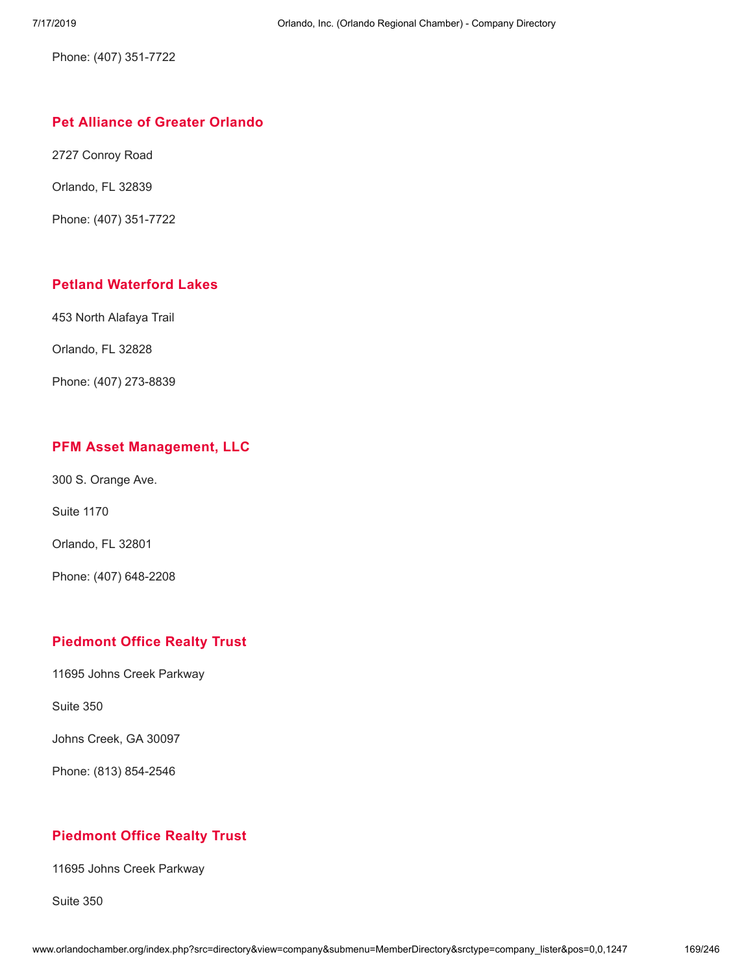Phone: (407) 351-7722

## **Pet [Alliance](http://www.orlandochamber.org/index.php?src=directory&view=company&submenu=MemberDirectory&refno=2777552&srctype=company_detail) of Greater Orlando**

2727 Conroy Road

Orlando, FL 32839

Phone: (407) 351-7722

# **Petland [Waterford](http://www.orlandochamber.org/index.php?src=directory&view=company&submenu=MemberDirectory&refno=2777553&srctype=company_detail) Lakes**

453 North Alafaya Trail

Orlando, FL 32828

Phone: (407) 273-8839

#### **PFM Asset [Management,](http://www.orlandochamber.org/index.php?src=directory&view=company&submenu=MemberDirectory&refno=2777554&srctype=company_detail) LLC**

300 S. Orange Ave.

Suite 1170

Orlando, FL 32801

Phone: (407) 648-2208

# **[Piedmont](http://www.orlandochamber.org/index.php?src=directory&view=company&submenu=MemberDirectory&refno=2777555&srctype=company_detail) Office Realty Trust**

11695 Johns Creek Parkway

Suite 350

Johns Creek, GA 30097

Phone: (813) 854-2546

# **[Piedmont](http://www.orlandochamber.org/index.php?src=directory&view=company&submenu=MemberDirectory&refno=2777556&srctype=company_detail) Office Realty Trust**

11695 Johns Creek Parkway

Suite 350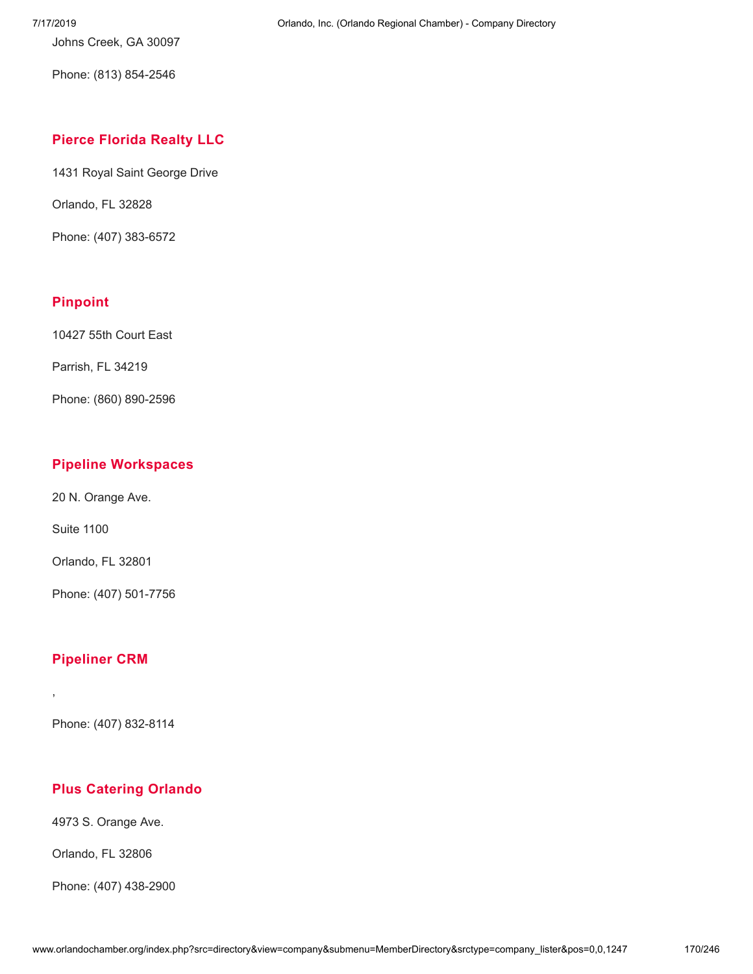Johns Creek, GA 30097

Phone: (813) 854-2546

# **Pierce [Florida](http://www.orlandochamber.org/index.php?src=directory&view=company&submenu=MemberDirectory&refno=2777557&srctype=company_detail) Realty LLC**

1431 Royal Saint George Drive

Orlando, FL 32828

Phone: (407) 383-6572

# **[Pinpoint](http://www.orlandochamber.org/index.php?src=directory&view=company&submenu=MemberDirectory&refno=2777558&srctype=company_detail)**

10427 55th Court East

Parrish, FL 34219

Phone: (860) 890-2596

# **Pipeline [Workspaces](http://www.orlandochamber.org/index.php?src=directory&view=company&submenu=MemberDirectory&refno=2777559&srctype=company_detail)**

20 N. Orange Ave.

Suite 1100

Orlando, FL 32801

Phone: (407) 501-7756

# **[Pipeliner](http://www.orlandochamber.org/index.php?src=directory&view=company&submenu=MemberDirectory&refno=2777560&srctype=company_detail) CRM**

,

Phone: (407) 832-8114

# **Plus [Catering](http://www.orlandochamber.org/index.php?src=directory&view=company&submenu=MemberDirectory&refno=2777561&srctype=company_detail) Orlando**

4973 S. Orange Ave.

Orlando, FL 32806

Phone: (407) 438-2900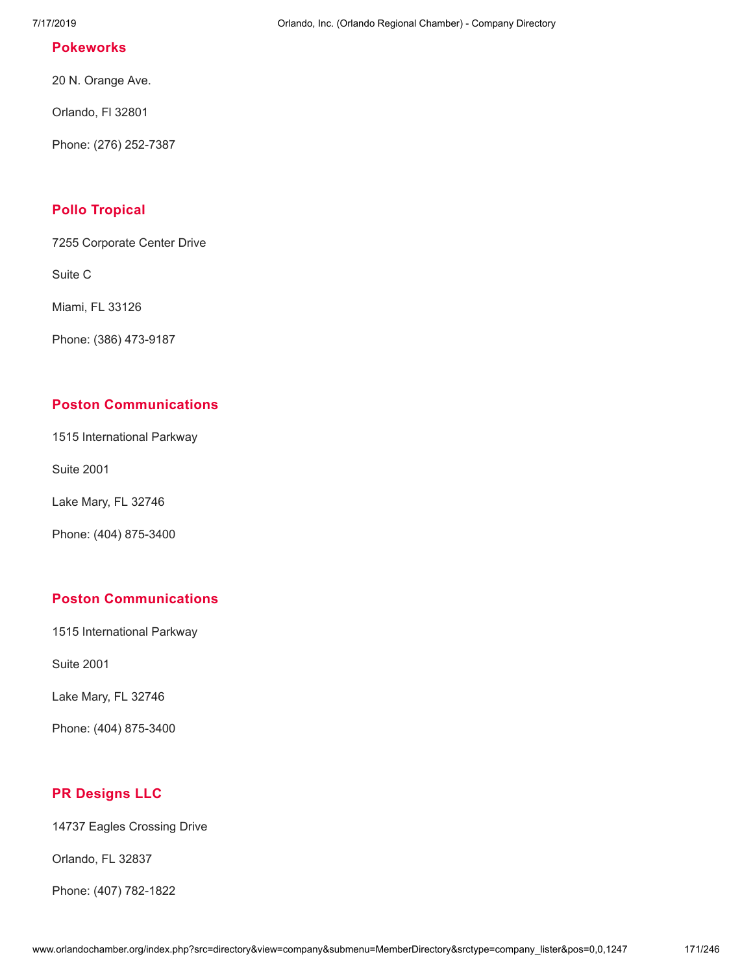#### **[Pokeworks](http://www.orlandochamber.org/index.php?src=directory&view=company&submenu=MemberDirectory&refno=2777562&srctype=company_detail)**

20 N. Orange Ave.

Orlando, Fl 32801

Phone: (276) 252-7387

# **Pollo [Tropical](http://www.orlandochamber.org/index.php?src=directory&view=company&submenu=MemberDirectory&refno=2777563&srctype=company_detail)**

7255 Corporate Center Drive

Suite C

Miami, FL 33126

Phone: (386) 473-9187

#### **Poston [Communications](http://www.orlandochamber.org/index.php?src=directory&view=company&submenu=MemberDirectory&refno=2777564&srctype=company_detail)**

1515 International Parkway

Suite 2001

Lake Mary, FL 32746

Phone: (404) 875-3400

#### **Poston [Communications](http://www.orlandochamber.org/index.php?src=directory&view=company&submenu=MemberDirectory&refno=2777565&srctype=company_detail)**

1515 International Parkway

Suite 2001

Lake Mary, FL 32746

Phone: (404) 875-3400

## **PR [Designs](http://www.orlandochamber.org/index.php?src=directory&view=company&submenu=MemberDirectory&refno=2777566&srctype=company_detail) LLC**

14737 Eagles Crossing Drive

Orlando, FL 32837

Phone: (407) 782-1822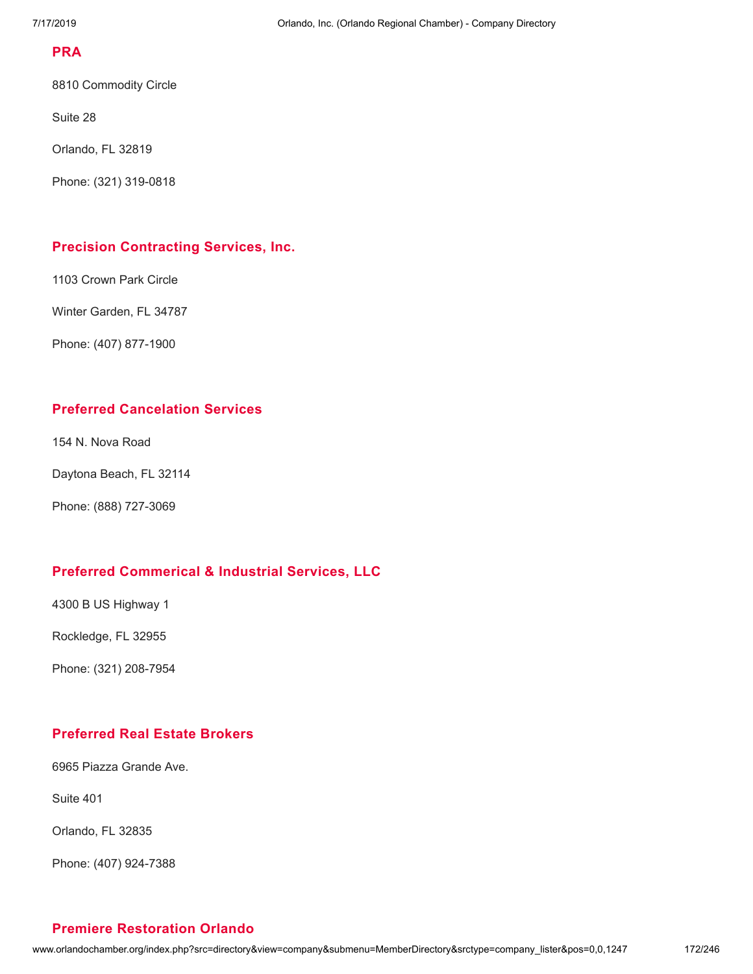#### **[PRA](http://www.orlandochamber.org/index.php?src=directory&view=company&submenu=MemberDirectory&refno=2777567&srctype=company_detail)**

8810 Commodity Circle

Suite 28

Orlando, FL 32819

Phone: (321) 319-0818

#### **Precision [Contracting](http://www.orlandochamber.org/index.php?src=directory&view=company&submenu=MemberDirectory&refno=2777568&srctype=company_detail) Services, Inc.**

1103 Crown Park Circle

Winter Garden, FL 34787

Phone: (407) 877-1900

### **Preferred [Cancelation](http://www.orlandochamber.org/index.php?src=directory&view=company&submenu=MemberDirectory&refno=2777569&srctype=company_detail) Services**

154 N. Nova Road

```
Daytona Beach, FL 32114
```
Phone: (888) 727-3069

# **Preferred [Commerical](http://www.orlandochamber.org/index.php?src=directory&view=company&submenu=MemberDirectory&refno=2777570&srctype=company_detail) & Industrial Services, LLC**

4300 B US Highway 1

Rockledge, FL 32955

Phone: (321) 208-7954

# **[Preferred](http://www.orlandochamber.org/index.php?src=directory&view=company&submenu=MemberDirectory&refno=2777571&srctype=company_detail) Real Estate Brokers**

6965 Piazza Grande Ave.

Suite 401

Orlando, FL 32835

Phone: (407) 924-7388

# **Premiere [Restoration](http://www.orlandochamber.org/index.php?src=directory&view=company&submenu=MemberDirectory&refno=2777572&srctype=company_detail) Orlando**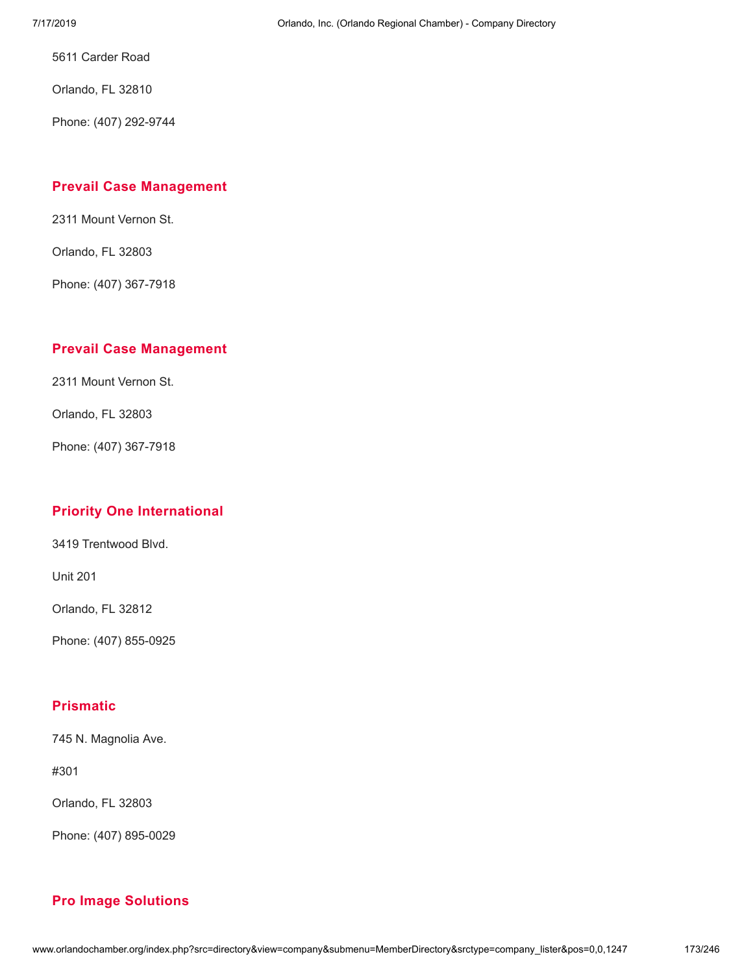5611 Carder Road

Orlando, FL 32810

Phone: (407) 292-9744

#### **Prevail Case [Management](http://www.orlandochamber.org/index.php?src=directory&view=company&submenu=MemberDirectory&refno=2777573&srctype=company_detail)**

2311 Mount Vernon St.

Orlando, FL 32803

Phone: (407) 367-7918

#### **Prevail Case [Management](http://www.orlandochamber.org/index.php?src=directory&view=company&submenu=MemberDirectory&refno=2777574&srctype=company_detail)**

2311 Mount Vernon St.

Orlando, FL 32803

Phone: (407) 367-7918

# **Priority One [International](http://www.orlandochamber.org/index.php?src=directory&view=company&submenu=MemberDirectory&refno=2777575&srctype=company_detail)**

3419 Trentwood Blvd.

Unit 201

Orlando, FL 32812

Phone: (407) 855-0925

#### **[Prismatic](http://www.orlandochamber.org/index.php?src=directory&view=company&submenu=MemberDirectory&refno=2777576&srctype=company_detail)**

745 N. Magnolia Ave.

#301

Orlando, FL 32803

Phone: (407) 895-0029

# **Pro Image [Solutions](http://www.orlandochamber.org/index.php?src=directory&view=company&submenu=MemberDirectory&refno=2777577&srctype=company_detail)**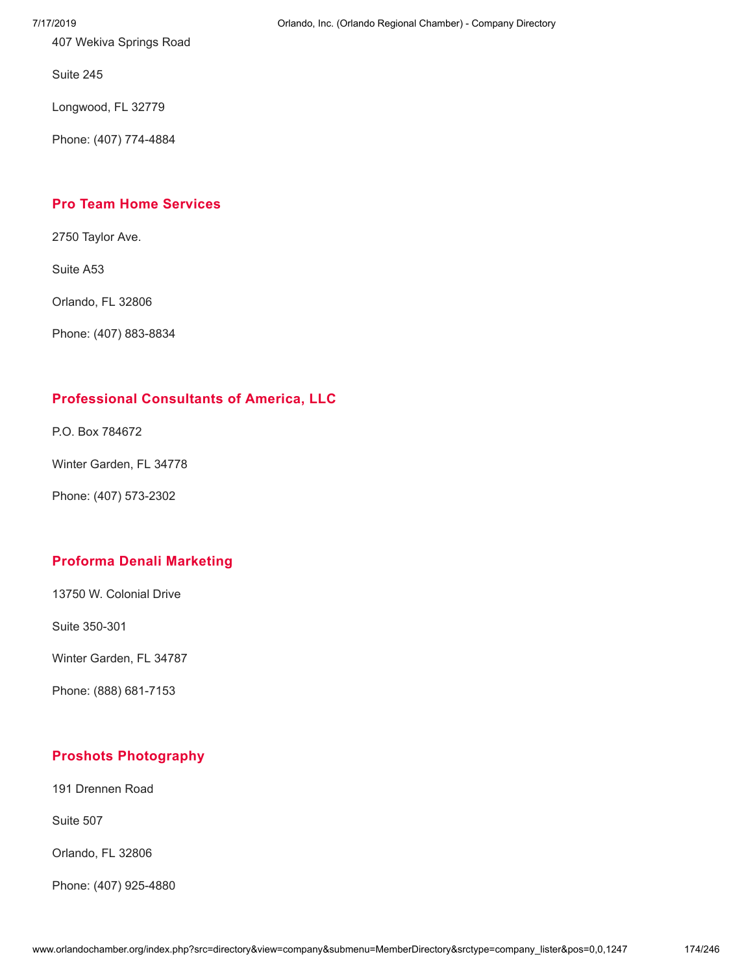407 Wekiva Springs Road

Suite 245

Longwood, FL 32779

Phone: (407) 774-4884

# **Pro Team Home [Services](http://www.orlandochamber.org/index.php?src=directory&view=company&submenu=MemberDirectory&refno=2777578&srctype=company_detail)**

2750 Taylor Ave.

Suite A53

Orlando, FL 32806

Phone: (407) 883-8834

# **[Professional](http://www.orlandochamber.org/index.php?src=directory&view=company&submenu=MemberDirectory&refno=2777579&srctype=company_detail) Consultants of America, LLC**

P.O. Box 784672

Winter Garden, FL 34778

Phone: (407) 573-2302

# **Proforma Denali [Marketing](http://www.orlandochamber.org/index.php?src=directory&view=company&submenu=MemberDirectory&refno=2777580&srctype=company_detail)**

13750 W. Colonial Drive

Suite 350-301

Winter Garden, FL 34787

Phone: (888) 681-7153

# **Proshots [Photography](http://www.orlandochamber.org/index.php?src=directory&view=company&submenu=MemberDirectory&refno=2777581&srctype=company_detail)**

191 Drennen Road

Suite 507

Orlando, FL 32806

Phone: (407) 925-4880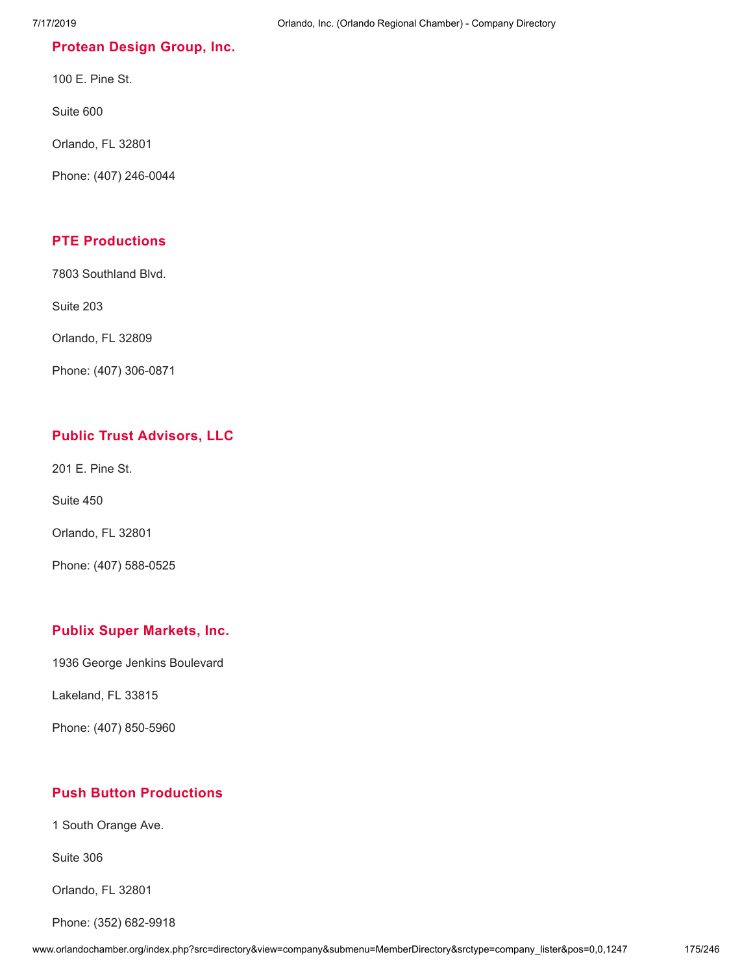#### **[Protean](http://www.orlandochamber.org/index.php?src=directory&view=company&submenu=MemberDirectory&refno=2777582&srctype=company_detail) Design Group, Inc.**

100 E. Pine St.

Suite 600

Orlando, FL 32801

Phone: (407) 246-0044

# **PTE [Productions](http://www.orlandochamber.org/index.php?src=directory&view=company&submenu=MemberDirectory&refno=2777583&srctype=company_detail)**

7803 Southland Blvd.

Suite 203

Orlando, FL 32809

Phone: (407) 306-0871

# **Public Trust [Advisors,](http://www.orlandochamber.org/index.php?src=directory&view=company&submenu=MemberDirectory&refno=2777584&srctype=company_detail) LLC**

201 E. Pine St.

Suite 450

Orlando, FL 32801

Phone: (407) 588-0525

#### **Publix Super [Markets,](http://www.orlandochamber.org/index.php?src=directory&view=company&submenu=MemberDirectory&refno=2777585&srctype=company_detail) Inc.**

1936 George Jenkins Boulevard

Lakeland, FL 33815

Phone: (407) 850-5960

## **Push Button [Productions](http://www.orlandochamber.org/index.php?src=directory&view=company&submenu=MemberDirectory&refno=2777586&srctype=company_detail)**

1 South Orange Ave.

Suite 306

Orlando, FL 32801

Phone: (352) 682-9918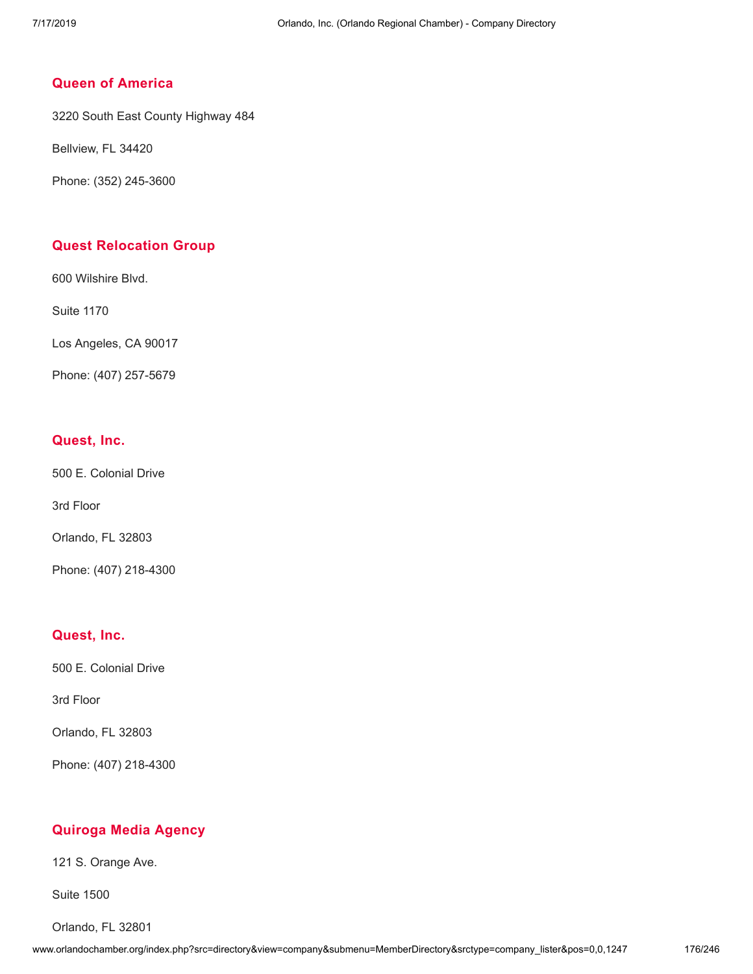# **Queen of [America](http://www.orlandochamber.org/index.php?src=directory&view=company&submenu=MemberDirectory&refno=2777587&srctype=company_detail)**

3220 South East County Highway 484

Bellview, FL 34420

Phone: (352) 245-3600

### **Quest [Relocation](http://www.orlandochamber.org/index.php?src=directory&view=company&submenu=MemberDirectory&refno=2777588&srctype=company_detail) Group**

600 Wilshire Blvd.

Suite 1170

Los Angeles, CA 90017

Phone: (407) 257-5679

#### **[Quest,](http://www.orlandochamber.org/index.php?src=directory&view=company&submenu=MemberDirectory&refno=2777589&srctype=company_detail) Inc.**

500 E. Colonial Drive

3rd Floor

Orlando, FL 32803

Phone: (407) 218-4300

#### **[Quest,](http://www.orlandochamber.org/index.php?src=directory&view=company&submenu=MemberDirectory&refno=2777590&srctype=company_detail) Inc.**

500 E. Colonial Drive

3rd Floor

Orlando, FL 32803

Phone: (407) 218-4300

#### **[Quiroga](http://www.orlandochamber.org/index.php?src=directory&view=company&submenu=MemberDirectory&refno=2777591&srctype=company_detail) Media Agency**

121 S. Orange Ave.

Suite 1500

Orlando, FL 32801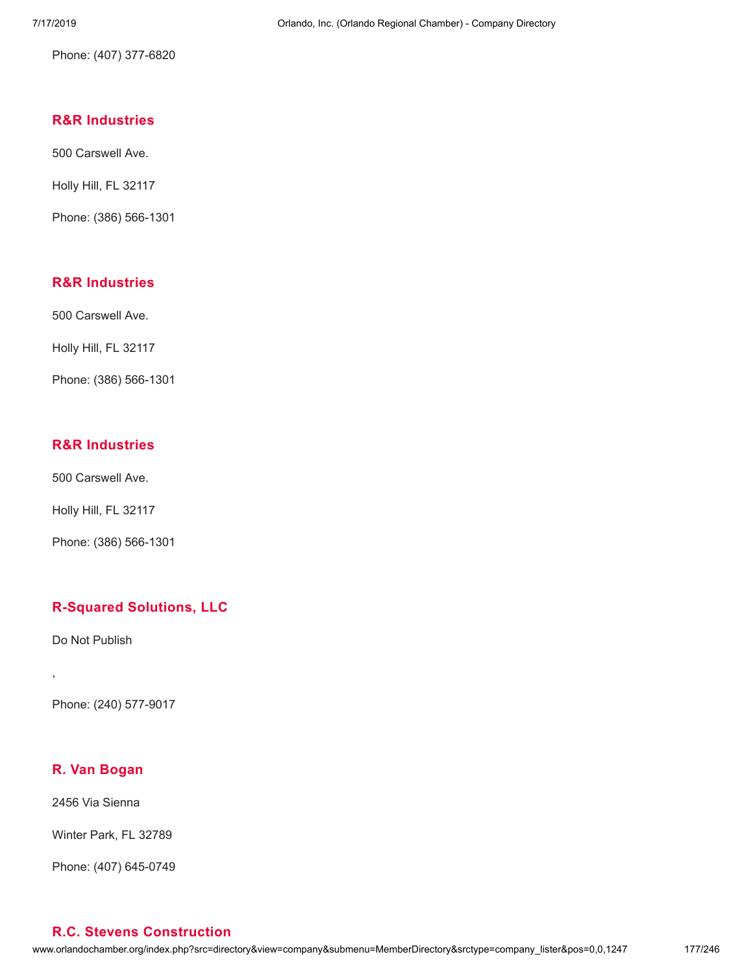Phone: (407) 377-6820

# **R&R [Industries](http://www.orlandochamber.org/index.php?src=directory&view=company&submenu=MemberDirectory&refno=2777593&srctype=company_detail)**

500 Carswell Ave.

Holly Hill, FL 32117

Phone: (386) 566-1301

# **R&R [Industries](http://www.orlandochamber.org/index.php?src=directory&view=company&submenu=MemberDirectory&refno=2777594&srctype=company_detail)**

500 Carswell Ave.

Holly Hill, FL 32117

Phone: (386) 566-1301

# **R&R [Industries](http://www.orlandochamber.org/index.php?src=directory&view=company&submenu=MemberDirectory&refno=2777595&srctype=company_detail)**

500 Carswell Ave.

Holly Hill, FL 32117

Phone: (386) 566-1301

# **[R-Squared](http://www.orlandochamber.org/index.php?src=directory&view=company&submenu=MemberDirectory&refno=2777635&srctype=company_detail) Solutions, LLC**

Do Not Publish

,

Phone: (240) 577-9017

# **R. Van [Bogan](http://www.orlandochamber.org/index.php?src=directory&view=company&submenu=MemberDirectory&refno=2777592&srctype=company_detail)**

2456 Via Sienna

Winter Park, FL 32789

Phone: (407) 645-0749

# **R.C. Stevens [Construction](http://www.orlandochamber.org/index.php?src=directory&view=company&submenu=MemberDirectory&refno=2777596&srctype=company_detail)**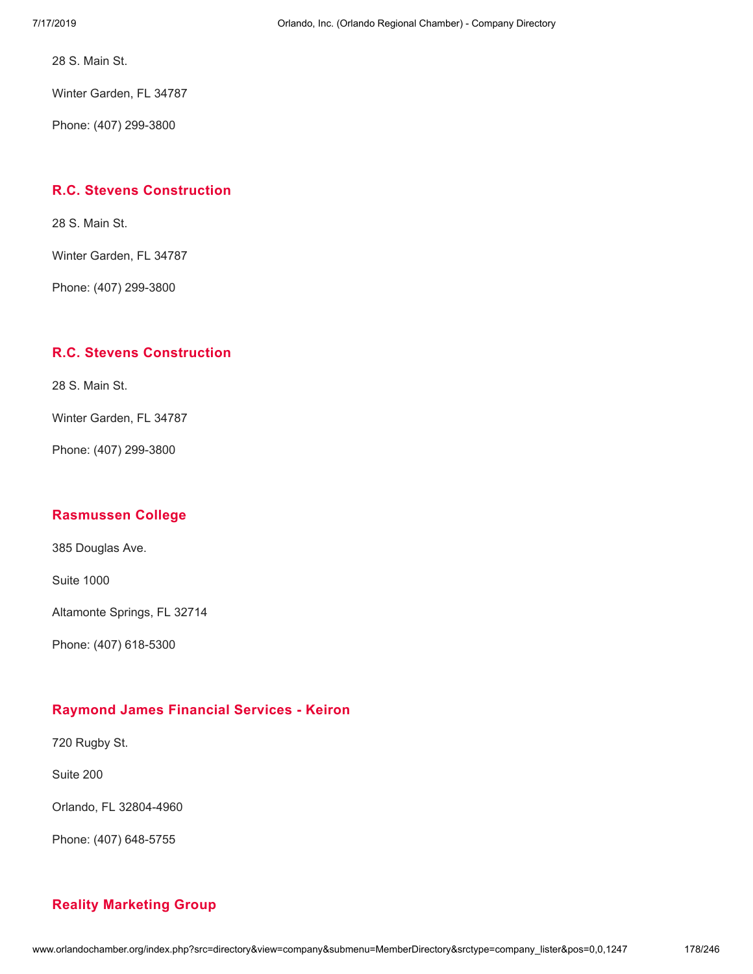28 S. Main St.

Winter Garden, FL 34787

Phone: (407) 299-3800

## **R.C. Stevens [Construction](http://www.orlandochamber.org/index.php?src=directory&view=company&submenu=MemberDirectory&refno=2777597&srctype=company_detail)**

28 S. Main St.

Winter Garden, FL 34787

Phone: (407) 299-3800

# **R.C. Stevens [Construction](http://www.orlandochamber.org/index.php?src=directory&view=company&submenu=MemberDirectory&refno=2777598&srctype=company_detail)**

28 S. Main St.

Winter Garden, FL 34787

Phone: (407) 299-3800

#### **[Rasmussen](http://www.orlandochamber.org/index.php?src=directory&view=company&submenu=MemberDirectory&refno=2777599&srctype=company_detail) College**

385 Douglas Ave.

Suite 1000

Altamonte Springs, FL 32714

Phone: (407) 618-5300

# **[Raymond](http://www.orlandochamber.org/index.php?src=directory&view=company&submenu=MemberDirectory&refno=2777600&srctype=company_detail) James Financial Services - Keiron**

720 Rugby St.

Suite 200

Orlando, FL 32804-4960

Phone: (407) 648-5755

# **Reality [Marketing](http://www.orlandochamber.org/index.php?src=directory&view=company&submenu=MemberDirectory&refno=2777601&srctype=company_detail) Group**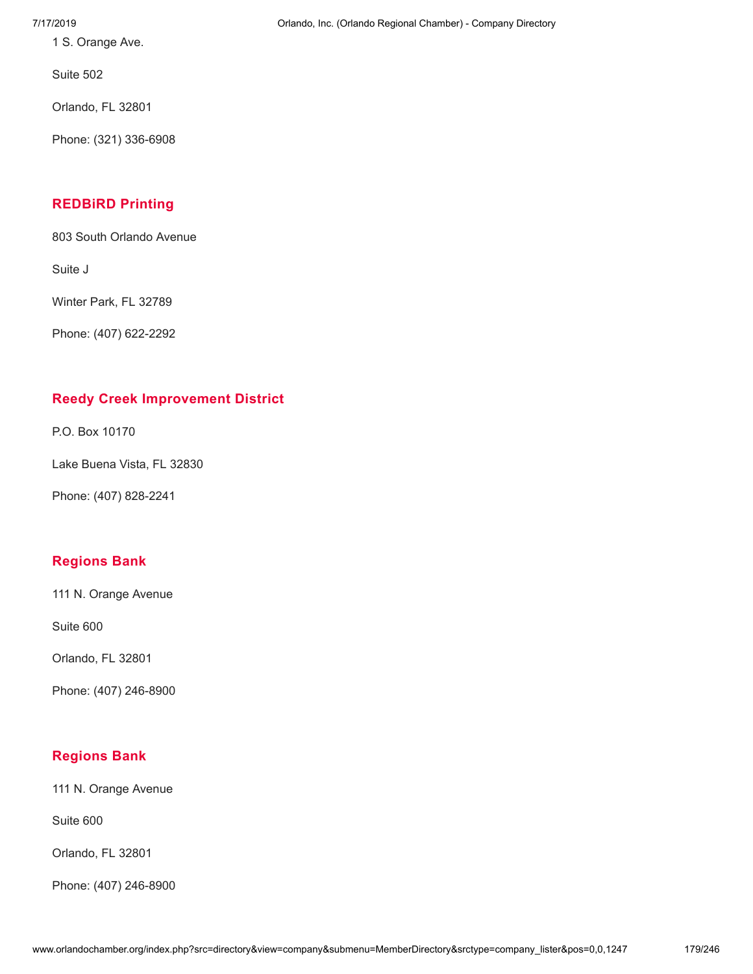1 S. Orange Ave.

Suite 502

Orlando, FL 32801

Phone: (321) 336-6908

# **[REDBiRD](http://www.orlandochamber.org/index.php?src=directory&view=company&submenu=MemberDirectory&refno=2777602&srctype=company_detail) Printing**

803 South Orlando Avenue

Suite J

Winter Park, FL 32789

Phone: (407) 622-2292

# **Reedy Creek [Improvement](http://www.orlandochamber.org/index.php?src=directory&view=company&submenu=MemberDirectory&refno=2777603&srctype=company_detail) District**

P.O. Box 10170

Lake Buena Vista, FL 32830

Phone: (407) 828-2241

# **[Regions](http://www.orlandochamber.org/index.php?src=directory&view=company&submenu=MemberDirectory&refno=2777604&srctype=company_detail) Bank**

111 N. Orange Avenue

Suite 600

Orlando, FL 32801

Phone: (407) 246-8900

# **[Regions](http://www.orlandochamber.org/index.php?src=directory&view=company&submenu=MemberDirectory&refno=2777605&srctype=company_detail) Bank**

111 N. Orange Avenue

Suite 600

Orlando, FL 32801

Phone: (407) 246-8900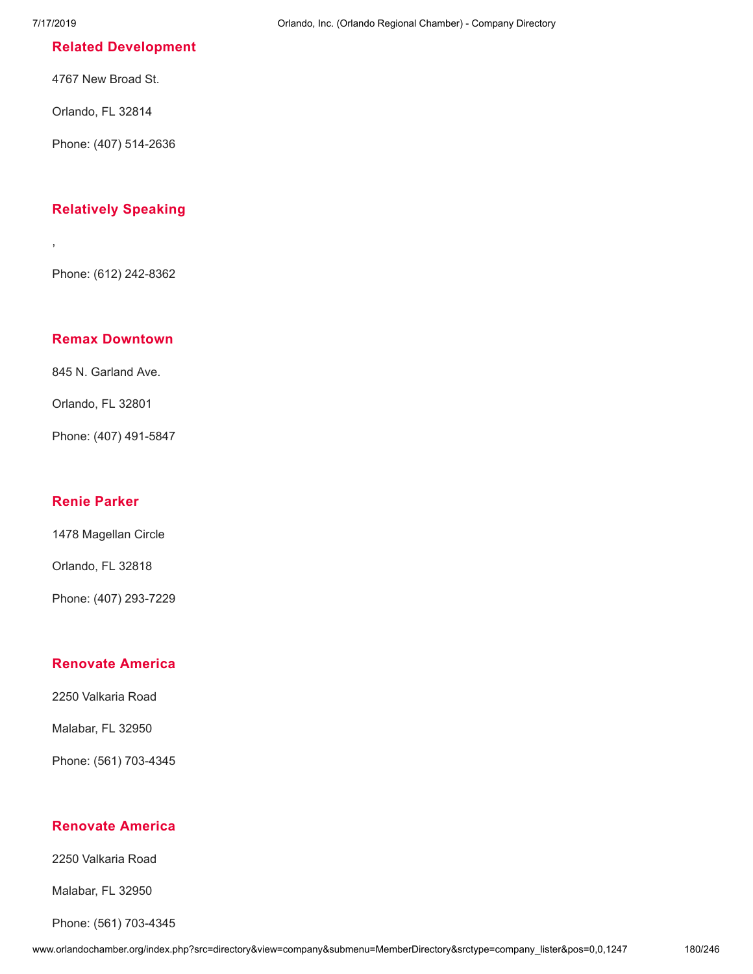,

#### **Related [Development](http://www.orlandochamber.org/index.php?src=directory&view=company&submenu=MemberDirectory&refno=2777606&srctype=company_detail)**

4767 New Broad St.

Orlando, FL 32814

Phone: (407) 514-2636

## **[Relatively](http://www.orlandochamber.org/index.php?src=directory&view=company&submenu=MemberDirectory&refno=2777607&srctype=company_detail) Speaking**

Phone: (612) 242-8362

## **Remax [Downtown](http://www.orlandochamber.org/index.php?src=directory&view=company&submenu=MemberDirectory&refno=2777608&srctype=company_detail)**

845 N. Garland Ave.

Orlando, FL 32801

Phone: (407) 491-5847

## **Renie [Parker](http://www.orlandochamber.org/index.php?src=directory&view=company&submenu=MemberDirectory&refno=2777609&srctype=company_detail)**

1478 Magellan Circle

Orlando, FL 32818

Phone: (407) 293-7229

## **[Renovate](http://www.orlandochamber.org/index.php?src=directory&view=company&submenu=MemberDirectory&refno=2777610&srctype=company_detail) America**

2250 Valkaria Road

Malabar, FL 32950

Phone: (561) 703-4345

# **[Renovate](http://www.orlandochamber.org/index.php?src=directory&view=company&submenu=MemberDirectory&refno=2777611&srctype=company_detail) America**

2250 Valkaria Road

Malabar, FL 32950

Phone: (561) 703-4345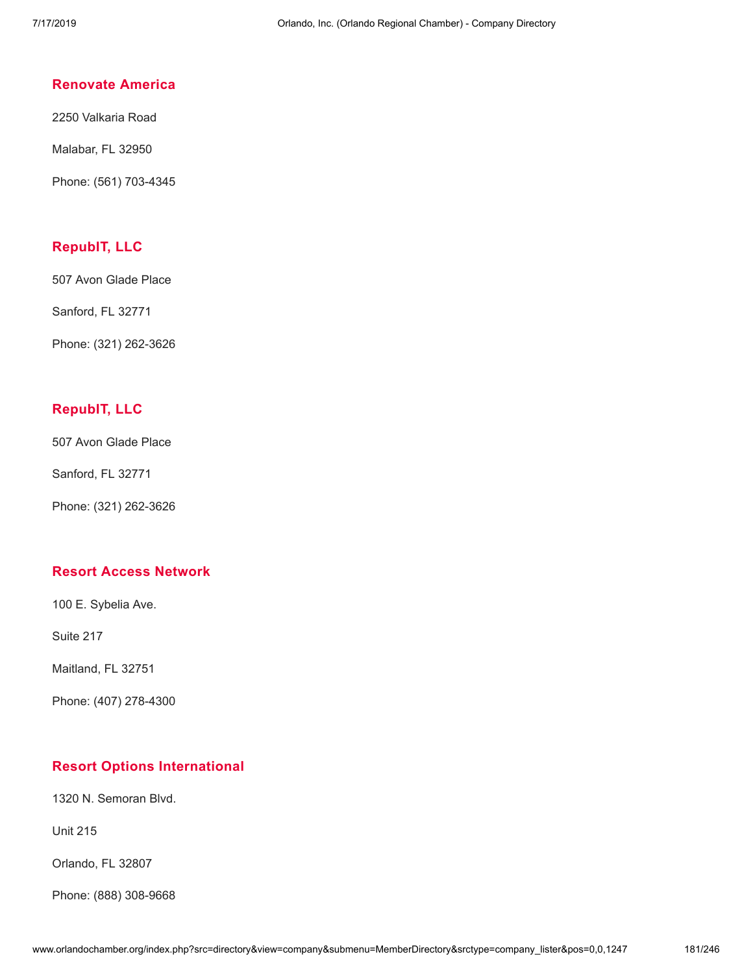### **[Renovate](http://www.orlandochamber.org/index.php?src=directory&view=company&submenu=MemberDirectory&refno=2777612&srctype=company_detail) America**

2250 Valkaria Road

Malabar, FL 32950

Phone: (561) 703-4345

### **[RepubIT,](http://www.orlandochamber.org/index.php?src=directory&view=company&submenu=MemberDirectory&refno=2777613&srctype=company_detail) LLC**

507 Avon Glade Place

Sanford, FL 32771

Phone: (321) 262-3626

### **[RepubIT,](http://www.orlandochamber.org/index.php?src=directory&view=company&submenu=MemberDirectory&refno=2777614&srctype=company_detail) LLC**

507 Avon Glade Place

Sanford, FL 32771

Phone: (321) 262-3626

### **Resort Access [Network](http://www.orlandochamber.org/index.php?src=directory&view=company&submenu=MemberDirectory&refno=2777615&srctype=company_detail)**

100 E. Sybelia Ave.

Suite 217

Maitland, FL 32751

Phone: (407) 278-4300

### **Resort Options [International](http://www.orlandochamber.org/index.php?src=directory&view=company&submenu=MemberDirectory&refno=2777616&srctype=company_detail)**

1320 N. Semoran Blvd.

Unit 215

Orlando, FL 32807

Phone: (888) 308-9668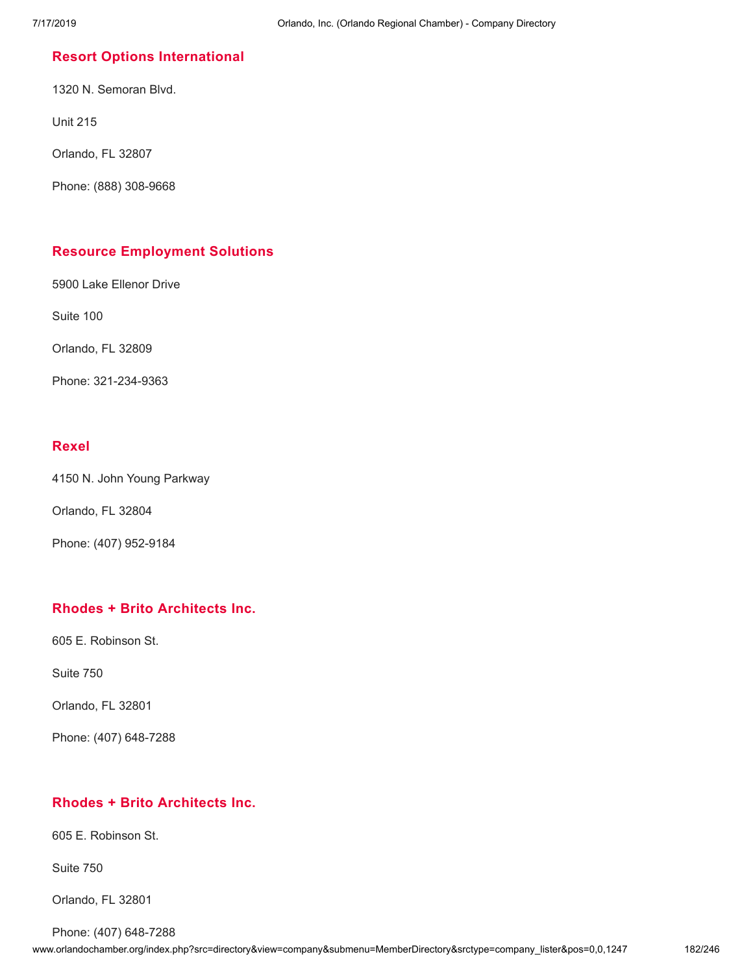### **Resort Options [International](http://www.orlandochamber.org/index.php?src=directory&view=company&submenu=MemberDirectory&refno=2777617&srctype=company_detail)**

1320 N. Semoran Blvd.

Unit 215

Orlando, FL 32807

Phone: (888) 308-9668

### **Resource [Employment](http://www.orlandochamber.org/index.php?src=directory&view=company&submenu=MemberDirectory&refno=2777618&srctype=company_detail) Solutions**

5900 Lake Ellenor Drive

Suite 100

Orlando, FL 32809

Phone: 321-234-9363

### **[Rexel](http://www.orlandochamber.org/index.php?src=directory&view=company&submenu=MemberDirectory&refno=2777619&srctype=company_detail)**

4150 N. John Young Parkway

Orlando, FL 32804

Phone: (407) 952-9184

### **Rhodes + Brito [Architects](http://www.orlandochamber.org/index.php?src=directory&view=company&submenu=MemberDirectory&refno=2777620&srctype=company_detail) Inc.**

605 E. Robinson St.

Suite 750

Orlando, FL 32801

Phone: (407) 648-7288

### **Rhodes + Brito [Architects](http://www.orlandochamber.org/index.php?src=directory&view=company&submenu=MemberDirectory&refno=2777621&srctype=company_detail) Inc.**

605 E. Robinson St.

Suite 750

Orlando, FL 32801

Phone: (407) 648-7288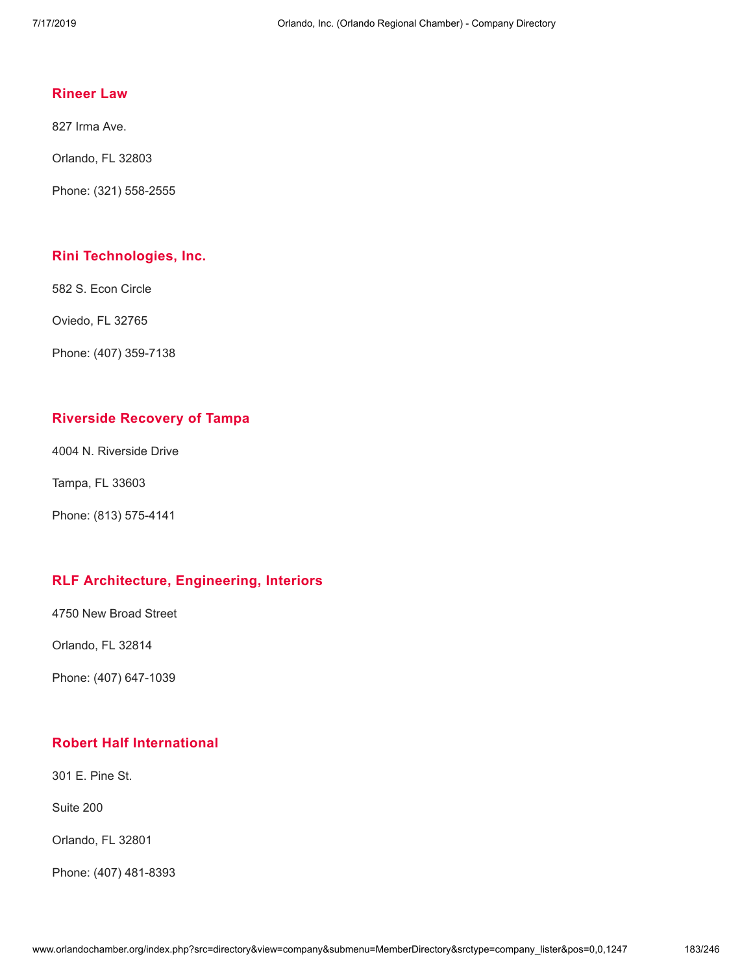### **[Rineer](http://www.orlandochamber.org/index.php?src=directory&view=company&submenu=MemberDirectory&refno=2777622&srctype=company_detail) Law**

827 Irma Ave.

Orlando, FL 32803

Phone: (321) 558-2555

### **Rini [Technologies,](http://www.orlandochamber.org/index.php?src=directory&view=company&submenu=MemberDirectory&refno=2777623&srctype=company_detail) Inc.**

582 S. Econ Circle

Oviedo, FL 32765

Phone: (407) 359-7138

### **[Riverside](http://www.orlandochamber.org/index.php?src=directory&view=company&submenu=MemberDirectory&refno=2777624&srctype=company_detail) Recovery of Tampa**

4004 N. Riverside Drive

Tampa, FL 33603

Phone: (813) 575-4141

### **RLF [Architecture,](http://www.orlandochamber.org/index.php?src=directory&view=company&submenu=MemberDirectory&refno=2777625&srctype=company_detail) Engineering, Interiors**

4750 New Broad Street

Orlando, FL 32814

Phone: (407) 647-1039

### **Robert Half [International](http://www.orlandochamber.org/index.php?src=directory&view=company&submenu=MemberDirectory&refno=2777626&srctype=company_detail)**

301 E. Pine St.

Suite 200

Orlando, FL 32801

Phone: (407) 481-8393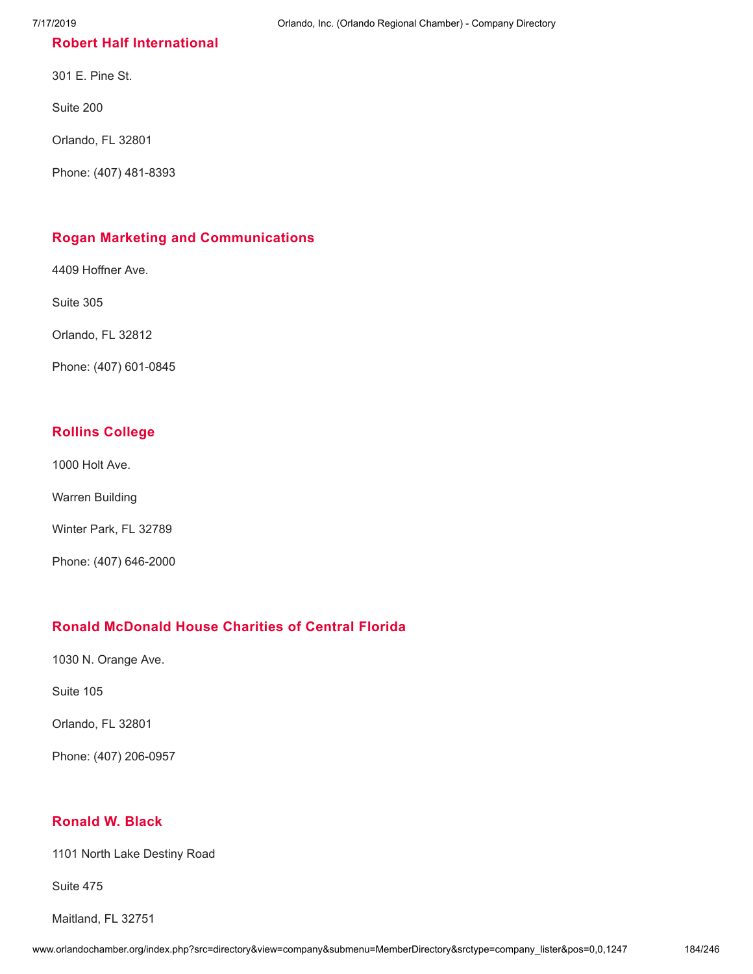### **Robert Half [International](http://www.orlandochamber.org/index.php?src=directory&view=company&submenu=MemberDirectory&refno=2777627&srctype=company_detail)**

301 E. Pine St.

Suite 200

Orlando, FL 32801

Phone: (407) 481-8393

### **Rogan Marketing and [Communications](http://www.orlandochamber.org/index.php?src=directory&view=company&submenu=MemberDirectory&refno=2777628&srctype=company_detail)**

4409 Hoffner Ave.

Suite 305

Orlando, FL 32812

Phone: (407) 601-0845

### **Rollins [College](http://www.orlandochamber.org/index.php?src=directory&view=company&submenu=MemberDirectory&refno=2777629&srctype=company_detail)**

1000 Holt Ave.

Warren Building

Winter Park, FL 32789

Phone: (407) 646-2000

### **Ronald [McDonald](http://www.orlandochamber.org/index.php?src=directory&view=company&submenu=MemberDirectory&refno=2777630&srctype=company_detail) House Charities of Central Florida**

1030 N. Orange Ave.

Suite 105

Orlando, FL 32801

Phone: (407) 206-0957

### **[Ronald](http://www.orlandochamber.org/index.php?src=directory&view=company&submenu=MemberDirectory&refno=2777631&srctype=company_detail) W. Black**

1101 North Lake Destiny Road

Suite 475

Maitland, FL 32751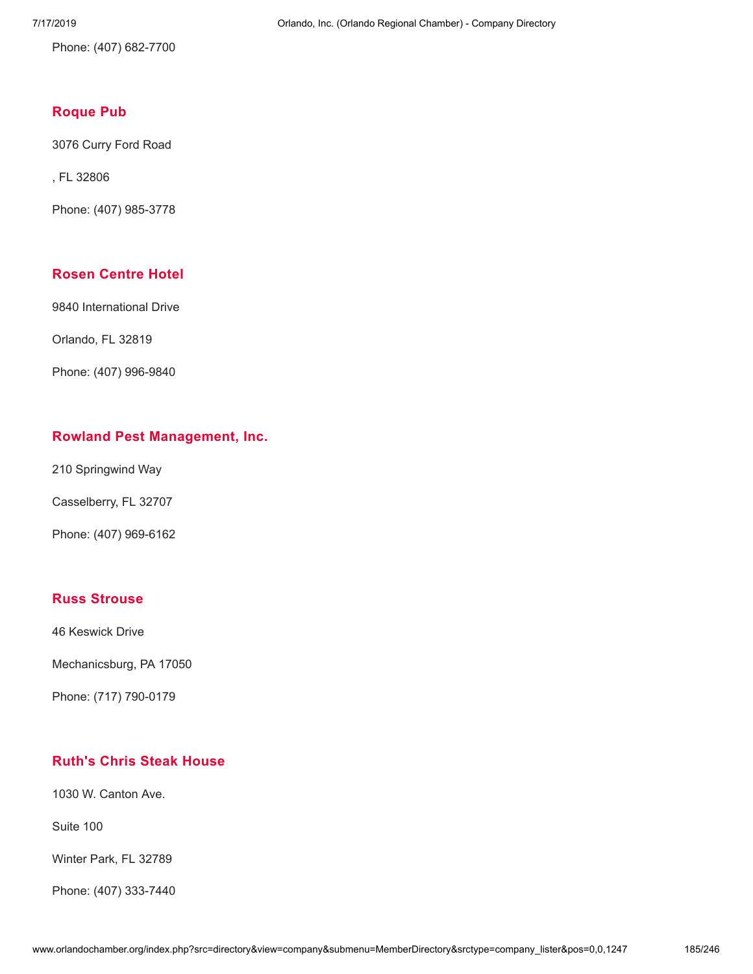Phone: (407) 682-7700

### **[Roque](http://www.orlandochamber.org/index.php?src=directory&view=company&submenu=MemberDirectory&refno=2777632&srctype=company_detail) Pub**

3076 Curry Ford Road

, FL 32806

Phone: (407) 985-3778

### **Rosen [Centre](http://www.orlandochamber.org/index.php?src=directory&view=company&submenu=MemberDirectory&refno=2777633&srctype=company_detail) Hotel**

9840 International Drive

Orlando, FL 32819

Phone: (407) 996-9840

### **Rowland Pest [Management,](http://www.orlandochamber.org/index.php?src=directory&view=company&submenu=MemberDirectory&refno=2777634&srctype=company_detail) Inc.**

210 Springwind Way

Casselberry, FL 32707

Phone: (407) 969-6162

### **Russ [Strouse](http://www.orlandochamber.org/index.php?src=directory&view=company&submenu=MemberDirectory&refno=2777636&srctype=company_detail)**

46 Keswick Drive

Mechanicsburg, PA 17050

Phone: (717) 790-0179

### **[Ruth's](http://www.orlandochamber.org/index.php?src=directory&view=company&submenu=MemberDirectory&refno=2777637&srctype=company_detail) Chris Steak House**

1030 W. Canton Ave.

Suite 100

Winter Park, FL 32789

Phone: (407) 333-7440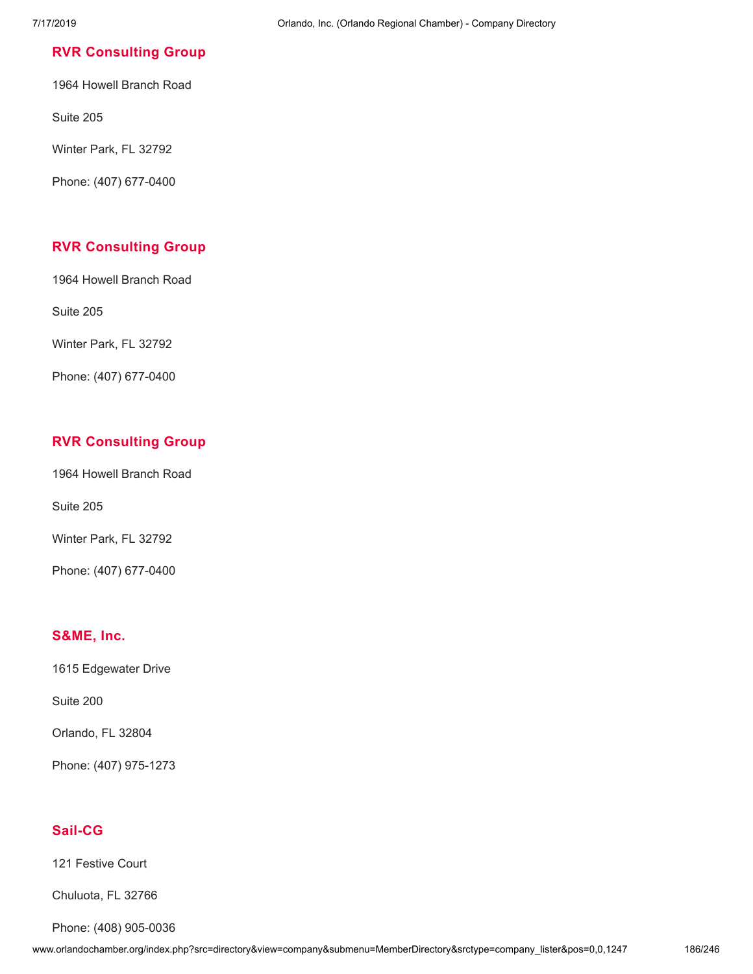### **RVR [Consulting](http://www.orlandochamber.org/index.php?src=directory&view=company&submenu=MemberDirectory&refno=2777638&srctype=company_detail) Group**

1964 Howell Branch Road

Suite 205

Winter Park, FL 32792

Phone: (407) 677-0400

### **RVR [Consulting](http://www.orlandochamber.org/index.php?src=directory&view=company&submenu=MemberDirectory&refno=2777639&srctype=company_detail) Group**

1964 Howell Branch Road

Suite 205

Winter Park, FL 32792

Phone: (407) 677-0400

### **RVR [Consulting](http://www.orlandochamber.org/index.php?src=directory&view=company&submenu=MemberDirectory&refno=2777640&srctype=company_detail) Group**

1964 Howell Branch Road

Suite 205

Winter Park, FL 32792

Phone: (407) 677-0400

### **[S&ME,](http://www.orlandochamber.org/index.php?src=directory&view=company&submenu=MemberDirectory&refno=2777641&srctype=company_detail) Inc.**

1615 Edgewater Drive

Suite 200

Orlando, FL 32804

Phone: (407) 975-1273

### **[Sail-CG](http://www.orlandochamber.org/index.php?src=directory&view=company&submenu=MemberDirectory&refno=2777642&srctype=company_detail)**

121 Festive Court

Chuluota, FL 32766

Phone: (408) 905-0036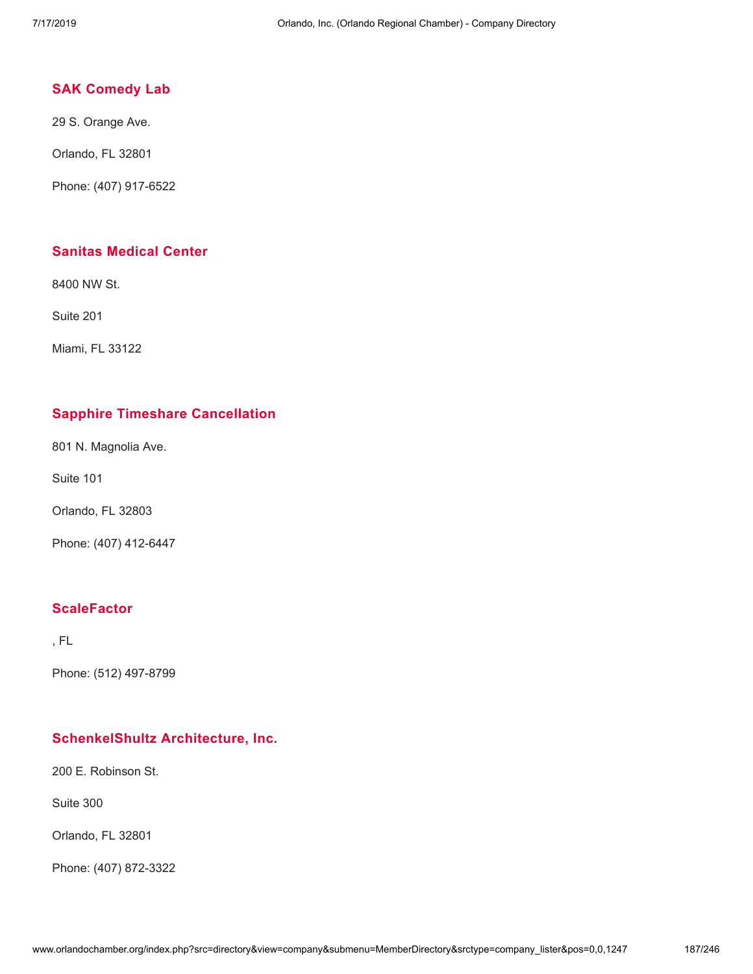### **SAK [Comedy](http://www.orlandochamber.org/index.php?src=directory&view=company&submenu=MemberDirectory&refno=2777643&srctype=company_detail) Lab**

29 S. Orange Ave.

Orlando, FL 32801

Phone: (407) 917-6522

### **Sanitas [Medical](http://www.orlandochamber.org/index.php?src=directory&view=company&submenu=MemberDirectory&refno=2777644&srctype=company_detail) Center**

8400 NW St.

Suite 201

Miami, FL 33122

### **Sapphire Timeshare [Cancellation](http://www.orlandochamber.org/index.php?src=directory&view=company&submenu=MemberDirectory&refno=2777645&srctype=company_detail)**

801 N. Magnolia Ave.

Suite 101

Orlando, FL 32803

Phone: (407) 412-6447

### **[ScaleFactor](http://www.orlandochamber.org/index.php?src=directory&view=company&submenu=MemberDirectory&refno=2777646&srctype=company_detail)**

, FL

Phone: (512) 497-8799

### **[SchenkelShultz](http://www.orlandochamber.org/index.php?src=directory&view=company&submenu=MemberDirectory&refno=2777647&srctype=company_detail) Architecture, Inc.**

200 E. Robinson St.

Suite 300

Orlando, FL 32801

Phone: (407) 872-3322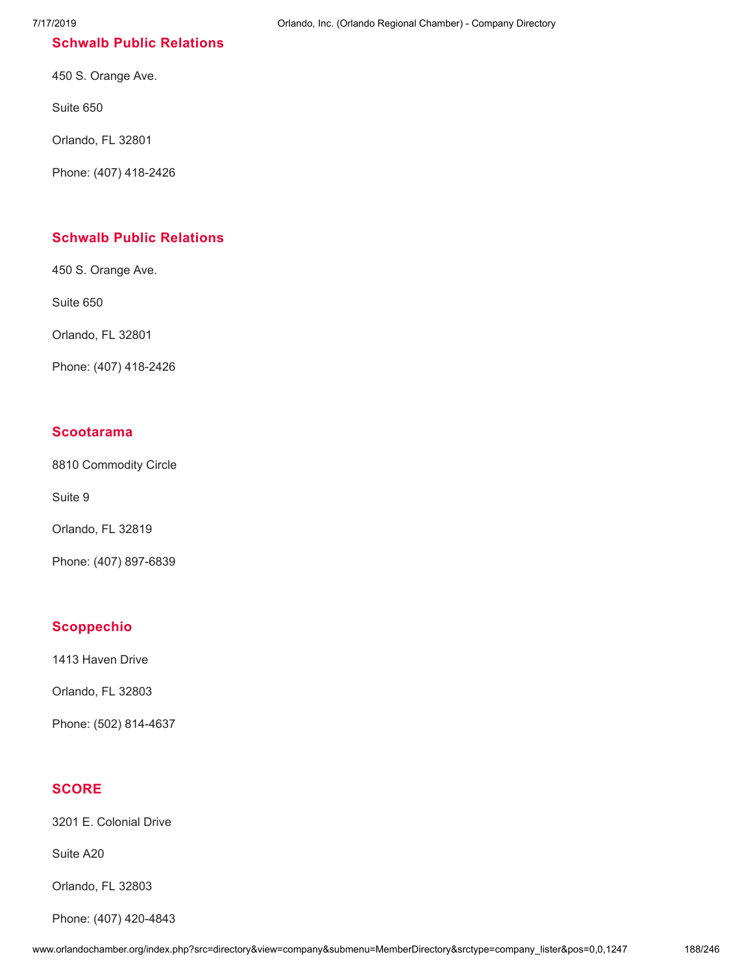### **Schwalb Public [Relations](http://www.orlandochamber.org/index.php?src=directory&view=company&submenu=MemberDirectory&refno=2777648&srctype=company_detail)**

450 S. Orange Ave.

Suite 650

Orlando, FL 32801

Phone: (407) 418-2426

### **Schwalb Public [Relations](http://www.orlandochamber.org/index.php?src=directory&view=company&submenu=MemberDirectory&refno=2777649&srctype=company_detail)**

450 S. Orange Ave.

Suite 650

Orlando, FL 32801

Phone: (407) 418-2426

### **[Scootarama](http://www.orlandochamber.org/index.php?src=directory&view=company&submenu=MemberDirectory&refno=2777650&srctype=company_detail)**

8810 Commodity Circle

Suite 9

Orlando, FL 32819

Phone: (407) 897-6839

### **[Scoppechio](http://www.orlandochamber.org/index.php?src=directory&view=company&submenu=MemberDirectory&refno=2777651&srctype=company_detail)**

1413 Haven Drive

Orlando, FL 32803

Phone: (502) 814-4637

### **[SCORE](http://www.orlandochamber.org/index.php?src=directory&view=company&submenu=MemberDirectory&refno=2777652&srctype=company_detail)**

3201 E. Colonial Drive

Suite A20

Orlando, FL 32803

Phone: (407) 420-4843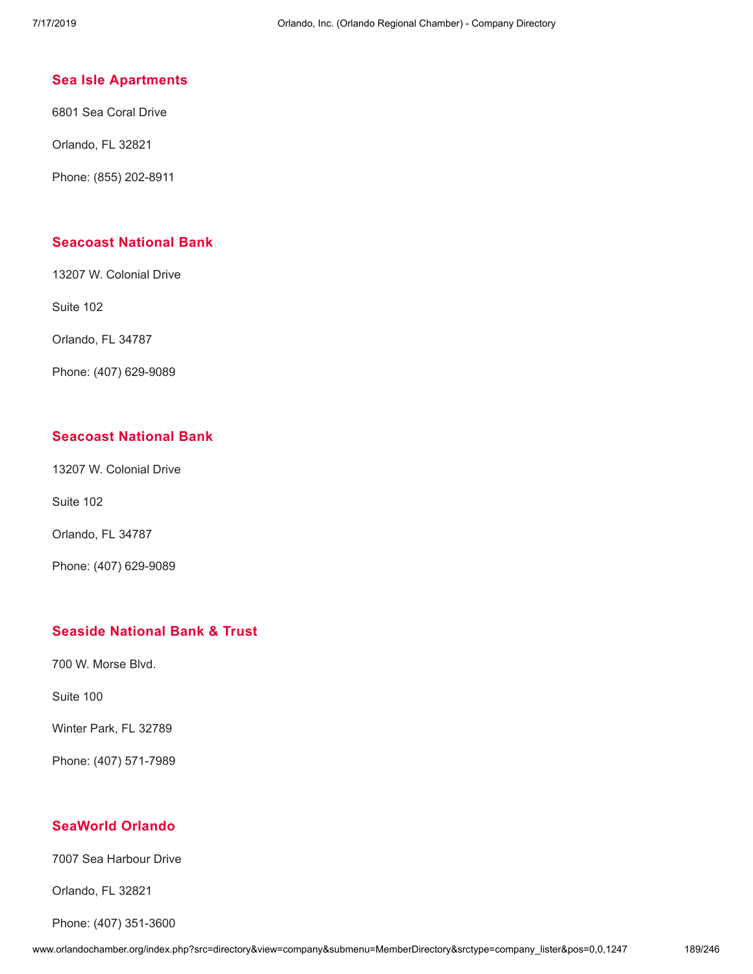### **Sea Isle [Apartments](http://www.orlandochamber.org/index.php?src=directory&view=company&submenu=MemberDirectory&refno=2777653&srctype=company_detail)**

6801 Sea Coral Drive

Orlando, FL 32821

Phone: (855) 202-8911

### **[Seacoast](http://www.orlandochamber.org/index.php?src=directory&view=company&submenu=MemberDirectory&refno=2777654&srctype=company_detail) National Bank**

13207 W. Colonial Drive

Suite 102

Orlando, FL 34787

Phone: (407) 629-9089

### **[Seacoast](http://www.orlandochamber.org/index.php?src=directory&view=company&submenu=MemberDirectory&refno=2777655&srctype=company_detail) National Bank**

13207 W. Colonial Drive

Suite 102

Orlando, FL 34787

Phone: (407) 629-9089

### **Seaside [National](http://www.orlandochamber.org/index.php?src=directory&view=company&submenu=MemberDirectory&refno=2777656&srctype=company_detail) Bank & Trust**

700 W. Morse Blvd.

Suite 100

Winter Park, FL 32789

Phone: (407) 571-7989

### **[SeaWorld](http://www.orlandochamber.org/index.php?src=directory&view=company&submenu=MemberDirectory&refno=2777657&srctype=company_detail) Orlando**

7007 Sea Harbour Drive

Orlando, FL 32821

Phone: (407) 351-3600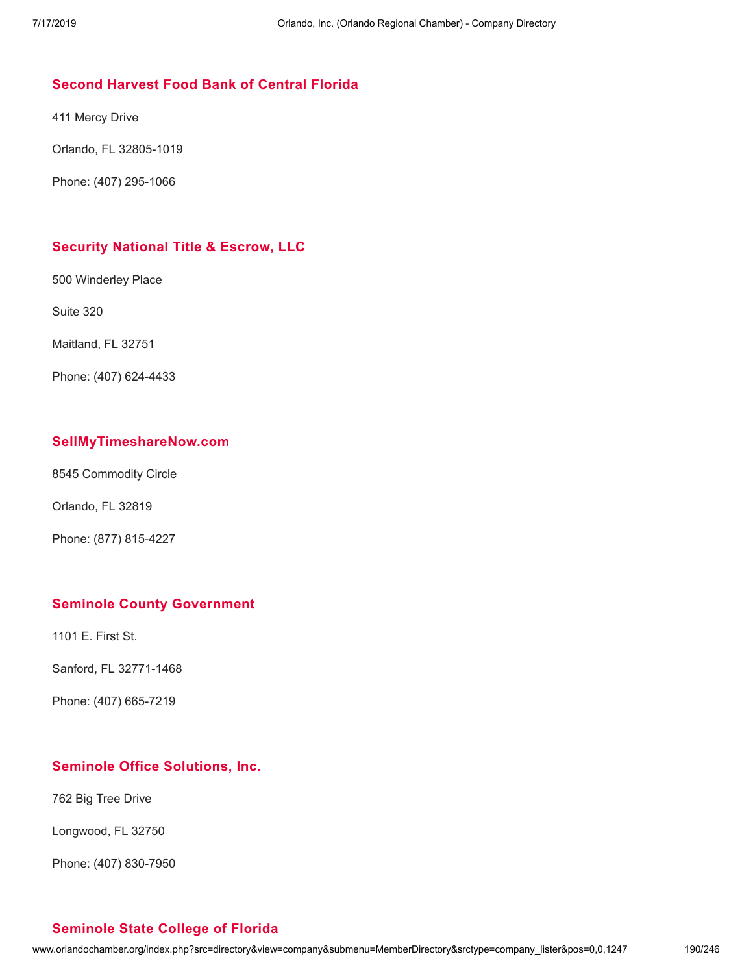### **Second [Harvest](http://www.orlandochamber.org/index.php?src=directory&view=company&submenu=MemberDirectory&refno=2777658&srctype=company_detail) Food Bank of Central Florida**

411 Mercy Drive

Orlando, FL 32805-1019

Phone: (407) 295-1066

### **[Security](http://www.orlandochamber.org/index.php?src=directory&view=company&submenu=MemberDirectory&refno=2777659&srctype=company_detail) National Title & Escrow, LLC**

500 Winderley Place

Suite 320

Maitland, FL 32751

Phone: (407) 624-4433

### **[SellMyTimeshareNow.com](http://www.orlandochamber.org/index.php?src=directory&view=company&submenu=MemberDirectory&refno=2777660&srctype=company_detail)**

8545 Commodity Circle

Orlando, FL 32819

Phone: (877) 815-4227

### **Seminole County [Government](http://www.orlandochamber.org/index.php?src=directory&view=company&submenu=MemberDirectory&refno=2777661&srctype=company_detail)**

1101 E. First St.

Sanford, FL 32771-1468

Phone: (407) 665-7219

### **Seminole Office [Solutions,](http://www.orlandochamber.org/index.php?src=directory&view=company&submenu=MemberDirectory&refno=2777662&srctype=company_detail) Inc.**

762 Big Tree Drive

Longwood, FL 32750

Phone: (407) 830-7950

### **[Seminole](http://www.orlandochamber.org/index.php?src=directory&view=company&submenu=MemberDirectory&refno=2777663&srctype=company_detail) State College of Florida**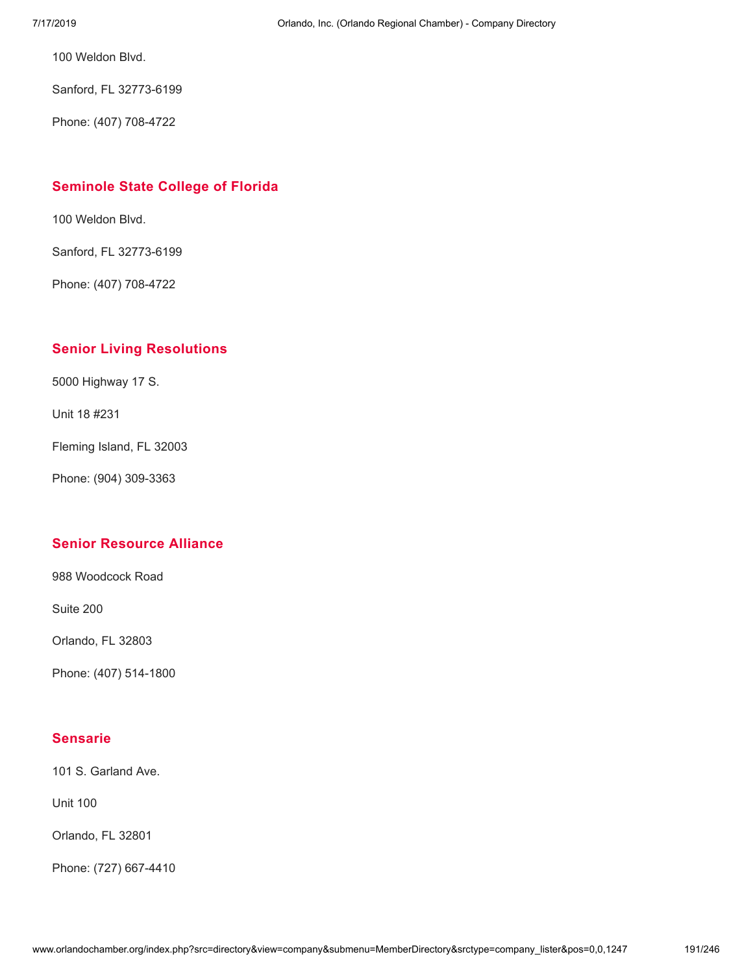100 Weldon Blvd.

Sanford, FL 32773-6199

Phone: (407) 708-4722

### **[Seminole](http://www.orlandochamber.org/index.php?src=directory&view=company&submenu=MemberDirectory&refno=2777664&srctype=company_detail) State College of Florida**

100 Weldon Blvd.

Sanford, FL 32773-6199

Phone: (407) 708-4722

### **Senior Living [Resolutions](http://www.orlandochamber.org/index.php?src=directory&view=company&submenu=MemberDirectory&refno=2777665&srctype=company_detail)**

5000 Highway 17 S.

Unit 18 #231

Fleming Island, FL 32003

Phone: (904) 309-3363

### **Senior [Resource](http://www.orlandochamber.org/index.php?src=directory&view=company&submenu=MemberDirectory&refno=2777666&srctype=company_detail) Alliance**

988 Woodcock Road

Suite 200

Orlando, FL 32803

Phone: (407) 514-1800

### **[Sensarie](http://www.orlandochamber.org/index.php?src=directory&view=company&submenu=MemberDirectory&refno=2777667&srctype=company_detail)**

101 S. Garland Ave.

Unit 100

Orlando, FL 32801

Phone: (727) 667-4410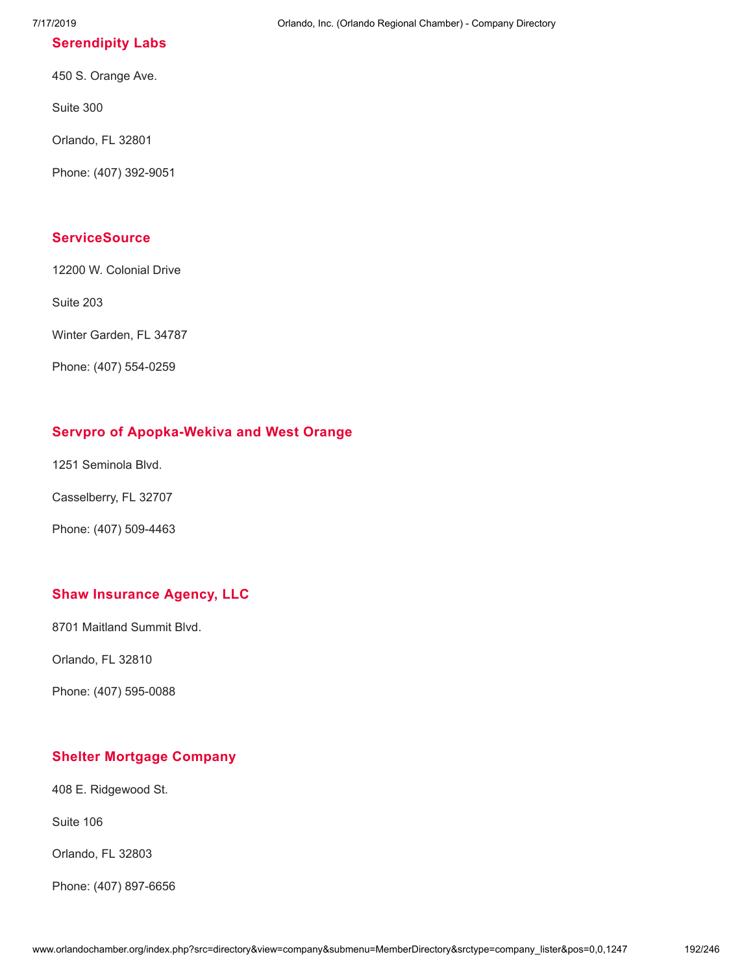### **[Serendipity](http://www.orlandochamber.org/index.php?src=directory&view=company&submenu=MemberDirectory&refno=2777668&srctype=company_detail) Labs**

450 S. Orange Ave.

Suite 300

Orlando, FL 32801

Phone: (407) 392-9051

### **[ServiceSource](http://www.orlandochamber.org/index.php?src=directory&view=company&submenu=MemberDirectory&refno=2777669&srctype=company_detail)**

12200 W. Colonial Drive

Suite 203

Winter Garden, FL 34787

Phone: (407) 554-0259

### **Servpro of [Apopka-Wekiva](http://www.orlandochamber.org/index.php?src=directory&view=company&submenu=MemberDirectory&refno=2777670&srctype=company_detail) and West Orange**

1251 Seminola Blvd.

Casselberry, FL 32707

Phone: (407) 509-4463

### **Shaw [Insurance](http://www.orlandochamber.org/index.php?src=directory&view=company&submenu=MemberDirectory&refno=2777671&srctype=company_detail) Agency, LLC**

8701 Maitland Summit Blvd.

Orlando, FL 32810

Phone: (407) 595-0088

### **Shelter Mortgage [Company](http://www.orlandochamber.org/index.php?src=directory&view=company&submenu=MemberDirectory&refno=2777672&srctype=company_detail)**

408 E. Ridgewood St.

Suite 106

Orlando, FL 32803

Phone: (407) 897-6656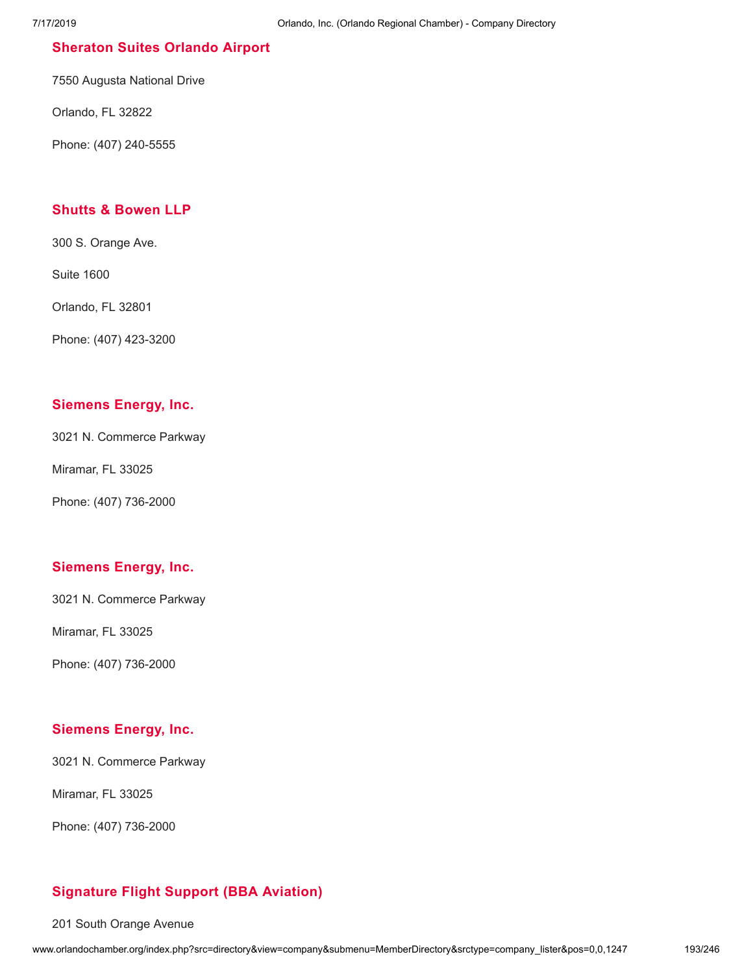### **[Sheraton](http://www.orlandochamber.org/index.php?src=directory&view=company&submenu=MemberDirectory&refno=2777673&srctype=company_detail) Suites Orlando Airport**

7550 Augusta National Drive

Orlando, FL 32822

Phone: (407) 240-5555

### **Shutts & [Bowen](http://www.orlandochamber.org/index.php?src=directory&view=company&submenu=MemberDirectory&refno=2777674&srctype=company_detail) LLP**

300 S. Orange Ave.

Suite 1600

Orlando, FL 32801

Phone: (407) 423-3200

### **[Siemens](http://www.orlandochamber.org/index.php?src=directory&view=company&submenu=MemberDirectory&refno=2777675&srctype=company_detail) Energy, Inc.**

3021 N. Commerce Parkway

Miramar, FL 33025

Phone: (407) 736-2000

### **[Siemens](http://www.orlandochamber.org/index.php?src=directory&view=company&submenu=MemberDirectory&refno=2777676&srctype=company_detail) Energy, Inc.**

3021 N. Commerce Parkway

Miramar, FL 33025

Phone: (407) 736-2000

### **[Siemens](http://www.orlandochamber.org/index.php?src=directory&view=company&submenu=MemberDirectory&refno=2777677&srctype=company_detail) Energy, Inc.**

3021 N. Commerce Parkway

Miramar, FL 33025

Phone: (407) 736-2000

### **[Signature](http://www.orlandochamber.org/index.php?src=directory&view=company&submenu=MemberDirectory&refno=2777678&srctype=company_detail) Flight Support (BBA Aviation)**

201 South Orange Avenue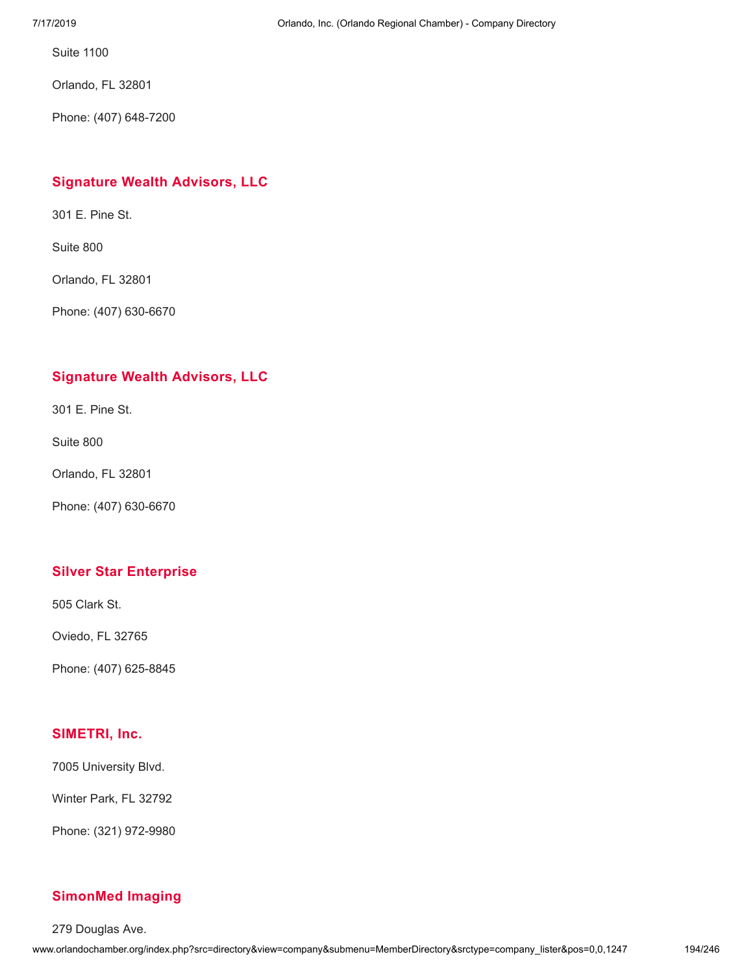Suite 1100

Orlando, FL 32801

Phone: (407) 648-7200

### **[Signature](http://www.orlandochamber.org/index.php?src=directory&view=company&submenu=MemberDirectory&refno=2777679&srctype=company_detail) Wealth Advisors, LLC**

301 E. Pine St.

Suite 800

Orlando, FL 32801

Phone: (407) 630-6670

### **[Signature](http://www.orlandochamber.org/index.php?src=directory&view=company&submenu=MemberDirectory&refno=2777680&srctype=company_detail) Wealth Advisors, LLC**

301 E. Pine St.

Suite 800

Orlando, FL 32801

Phone: (407) 630-6670

### **Silver Star [Enterprise](http://www.orlandochamber.org/index.php?src=directory&view=company&submenu=MemberDirectory&refno=2777681&srctype=company_detail)**

505 Clark St.

Oviedo, FL 32765

Phone: (407) 625-8845

### **[SIMETRI,](http://www.orlandochamber.org/index.php?src=directory&view=company&submenu=MemberDirectory&refno=2777682&srctype=company_detail) Inc.**

7005 University Blvd.

Winter Park, FL 32792

Phone: (321) 972-9980

### **[SimonMed](http://www.orlandochamber.org/index.php?src=directory&view=company&submenu=MemberDirectory&refno=2777683&srctype=company_detail) Imaging**

279 Douglas Ave.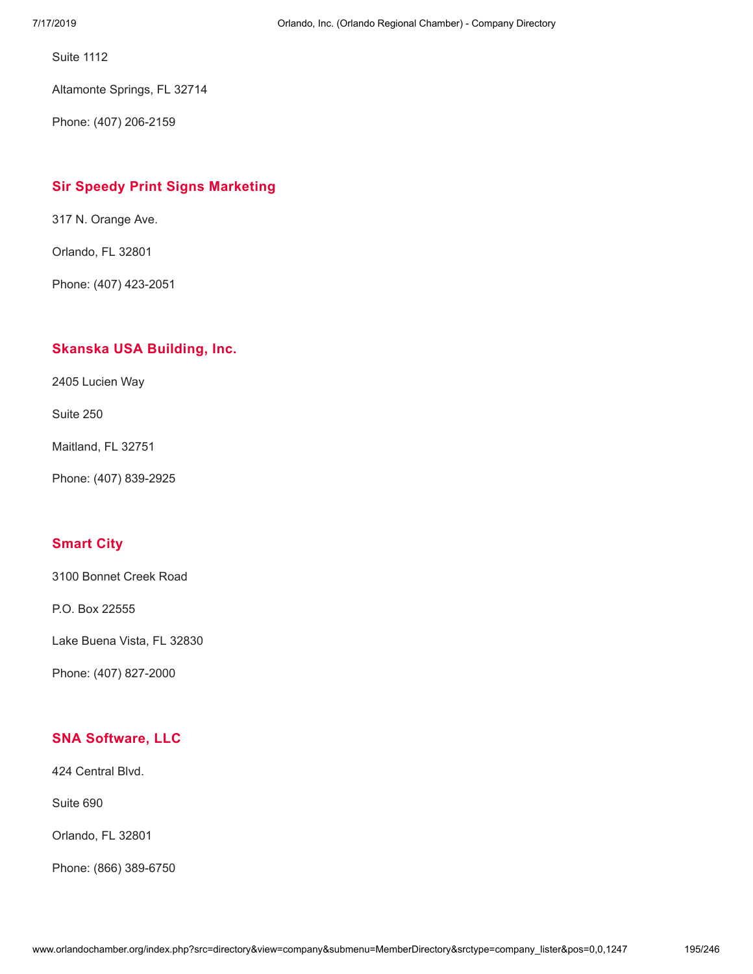Suite 1112

Altamonte Springs, FL 32714

Phone: (407) 206-2159

### **Sir Speedy Print Signs [Marketing](http://www.orlandochamber.org/index.php?src=directory&view=company&submenu=MemberDirectory&refno=2777684&srctype=company_detail)**

317 N. Orange Ave.

Orlando, FL 32801

Phone: (407) 423-2051

### **Skanska USA [Building,](http://www.orlandochamber.org/index.php?src=directory&view=company&submenu=MemberDirectory&refno=2777685&srctype=company_detail) Inc.**

2405 Lucien Way

Suite 250

Maitland, FL 32751

Phone: (407) 839-2925

### **[Smart](http://www.orlandochamber.org/index.php?src=directory&view=company&submenu=MemberDirectory&refno=2777686&srctype=company_detail) City**

3100 Bonnet Creek Road

P.O. Box 22555

Lake Buena Vista, FL 32830

Phone: (407) 827-2000

### **SNA [Software,](http://www.orlandochamber.org/index.php?src=directory&view=company&submenu=MemberDirectory&refno=2777687&srctype=company_detail) LLC**

424 Central Blvd.

Suite 690

Orlando, FL 32801

Phone: (866) 389-6750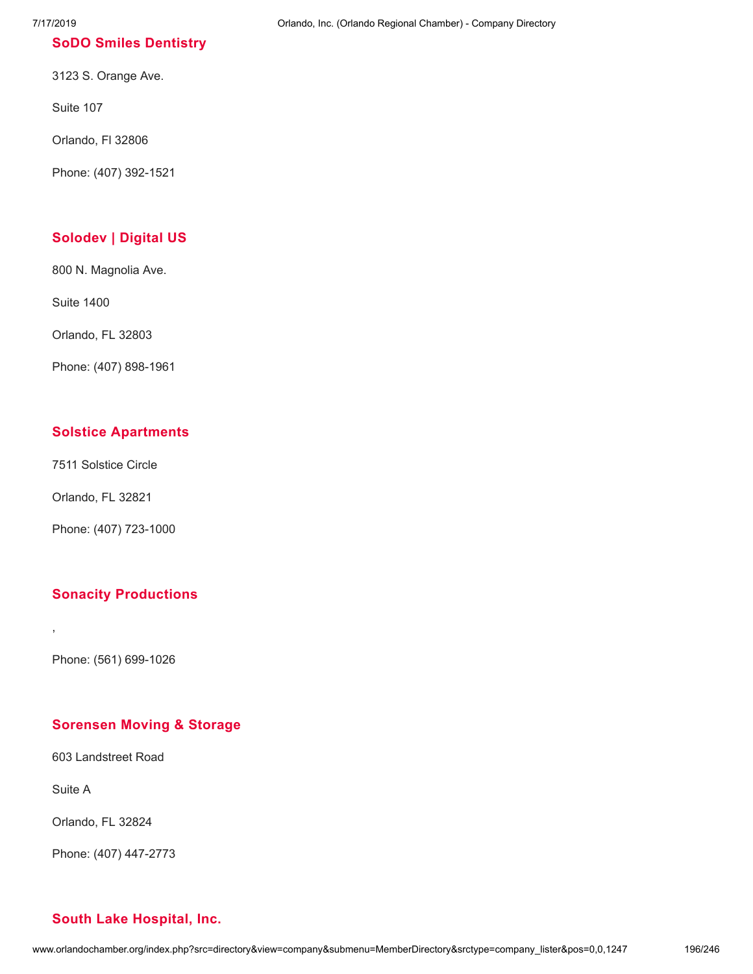### **SoDO Smiles [Dentistry](http://www.orlandochamber.org/index.php?src=directory&view=company&submenu=MemberDirectory&refno=2777688&srctype=company_detail)**

3123 S. Orange Ave.

Suite 107

Orlando, Fl 32806

Phone: (407) 392-1521

## **[Solodev](http://www.orlandochamber.org/index.php?src=directory&view=company&submenu=MemberDirectory&refno=2777689&srctype=company_detail) | Digital US**

800 N. Magnolia Ave.

Suite 1400

Orlando, FL 32803

Phone: (407) 898-1961

### **Solstice [Apartments](http://www.orlandochamber.org/index.php?src=directory&view=company&submenu=MemberDirectory&refno=2777690&srctype=company_detail)**

7511 Solstice Circle

Orlando, FL 32821

Phone: (407) 723-1000

### **Sonacity [Productions](http://www.orlandochamber.org/index.php?src=directory&view=company&submenu=MemberDirectory&refno=2777691&srctype=company_detail)**

Phone: (561) 699-1026

### **[Sorensen](http://www.orlandochamber.org/index.php?src=directory&view=company&submenu=MemberDirectory&refno=2777692&srctype=company_detail) Moving & Storage**

603 Landstreet Road

Suite A

,

Orlando, FL 32824

Phone: (407) 447-2773

### 7/17/2019 Orlando, Inc. (Orlando Regional Chamber) - Company Directory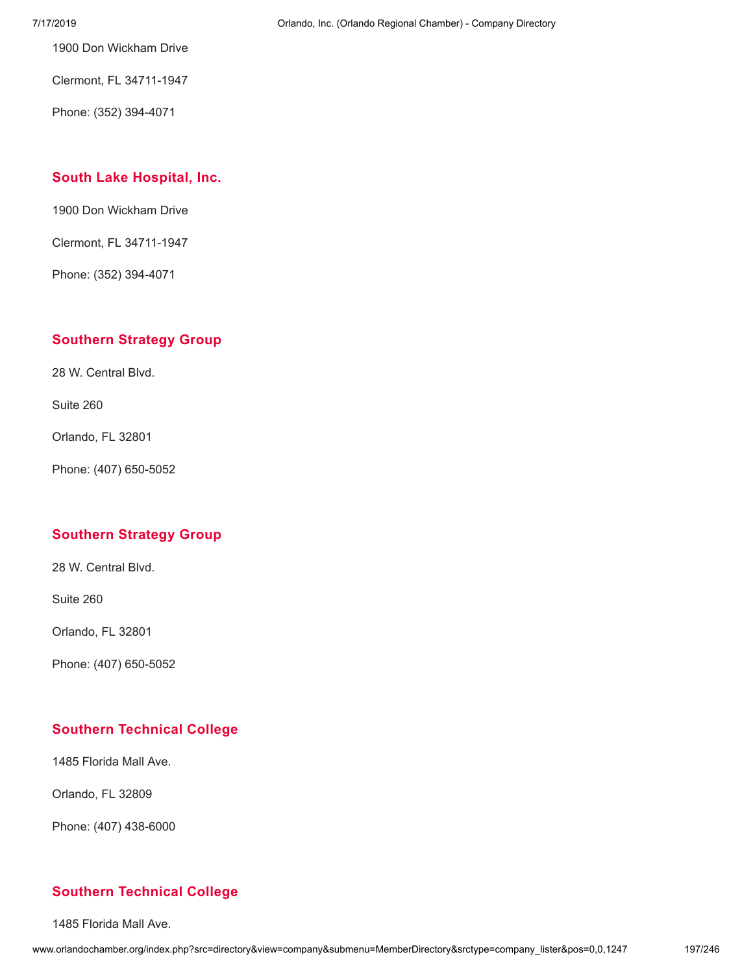1900 Don Wickham Drive

Clermont, FL 34711-1947

Phone: (352) 394-4071

### **South Lake [Hospital,](http://www.orlandochamber.org/index.php?src=directory&view=company&submenu=MemberDirectory&refno=2777694&srctype=company_detail) Inc.**

1900 Don Wickham Drive

Clermont, FL 34711-1947

Phone: (352) 394-4071

### **[Southern](http://www.orlandochamber.org/index.php?src=directory&view=company&submenu=MemberDirectory&refno=2777695&srctype=company_detail) Strategy Group**

28 W. Central Blvd.

Suite 260

Orlando, FL 32801

Phone: (407) 650-5052

### **[Southern](http://www.orlandochamber.org/index.php?src=directory&view=company&submenu=MemberDirectory&refno=2777696&srctype=company_detail) Strategy Group**

28 W. Central Blvd.

Suite 260

Orlando, FL 32801

Phone: (407) 650-5052

### **Southern [Technical](http://www.orlandochamber.org/index.php?src=directory&view=company&submenu=MemberDirectory&refno=2777697&srctype=company_detail) College**

1485 Florida Mall Ave.

Orlando, FL 32809

Phone: (407) 438-6000

### **Southern [Technical](http://www.orlandochamber.org/index.php?src=directory&view=company&submenu=MemberDirectory&refno=2777698&srctype=company_detail) College**

1485 Florida Mall Ave.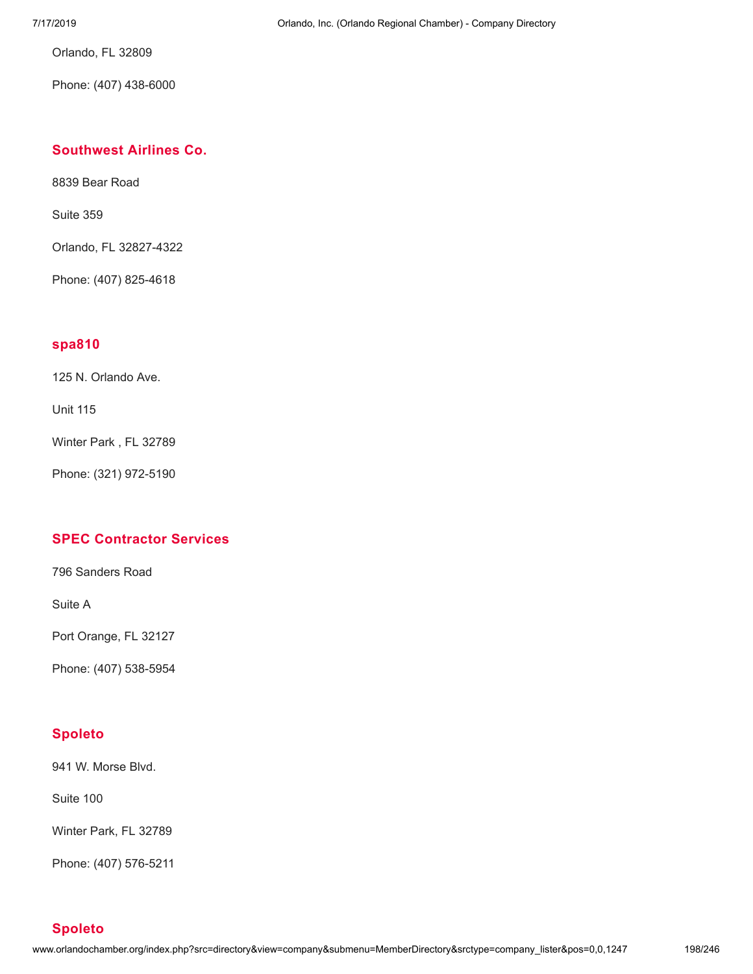Orlando, FL 32809

Phone: (407) 438-6000

### **[Southwest](http://www.orlandochamber.org/index.php?src=directory&view=company&submenu=MemberDirectory&refno=2777699&srctype=company_detail) Airlines Co.**

8839 Bear Road

Suite 359

Orlando, FL 32827-4322

Phone: (407) 825-4618

### **[spa810](http://www.orlandochamber.org/index.php?src=directory&view=company&submenu=MemberDirectory&refno=2777700&srctype=company_detail)**

125 N. Orlando Ave.

Unit 115

Winter Park , FL 32789

Phone: (321) 972-5190

### **SPEC [Contractor](http://www.orlandochamber.org/index.php?src=directory&view=company&submenu=MemberDirectory&refno=2777701&srctype=company_detail) Services**

796 Sanders Road

Suite A

Port Orange, FL 32127

Phone: (407) 538-5954

### **[Spoleto](http://www.orlandochamber.org/index.php?src=directory&view=company&submenu=MemberDirectory&refno=2777702&srctype=company_detail)**

941 W. Morse Blvd.

Suite 100

Winter Park, FL 32789

Phone: (407) 576-5211

**[Spoleto](http://www.orlandochamber.org/index.php?src=directory&view=company&submenu=MemberDirectory&refno=2777703&srctype=company_detail)**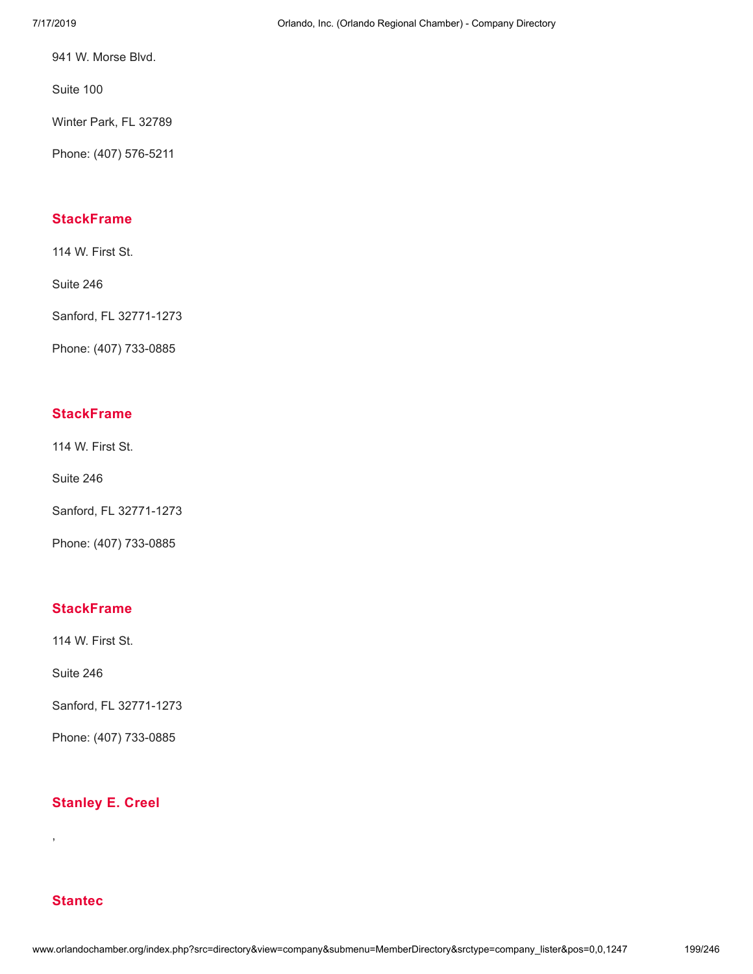941 W. Morse Blvd.

Suite 100

Winter Park, FL 32789

Phone: (407) 576-5211

### **[StackFrame](http://www.orlandochamber.org/index.php?src=directory&view=company&submenu=MemberDirectory&refno=2777704&srctype=company_detail)**

114 W. First St.

Suite 246

Sanford, FL 32771-1273

Phone: (407) 733-0885

### **[StackFrame](http://www.orlandochamber.org/index.php?src=directory&view=company&submenu=MemberDirectory&refno=2777705&srctype=company_detail)**

114 W. First St.

Suite 246

Sanford, FL 32771-1273

Phone: (407) 733-0885

### **[StackFrame](http://www.orlandochamber.org/index.php?src=directory&view=company&submenu=MemberDirectory&refno=2777706&srctype=company_detail)**

114 W. First St.

Suite 246

Sanford, FL 32771-1273

Phone: (407) 733-0885

### **[Stanley](http://www.orlandochamber.org/index.php?src=directory&view=company&submenu=MemberDirectory&refno=2777707&srctype=company_detail) E. Creel**

### **[Stantec](http://www.orlandochamber.org/index.php?src=directory&view=company&submenu=MemberDirectory&refno=2777708&srctype=company_detail)**

,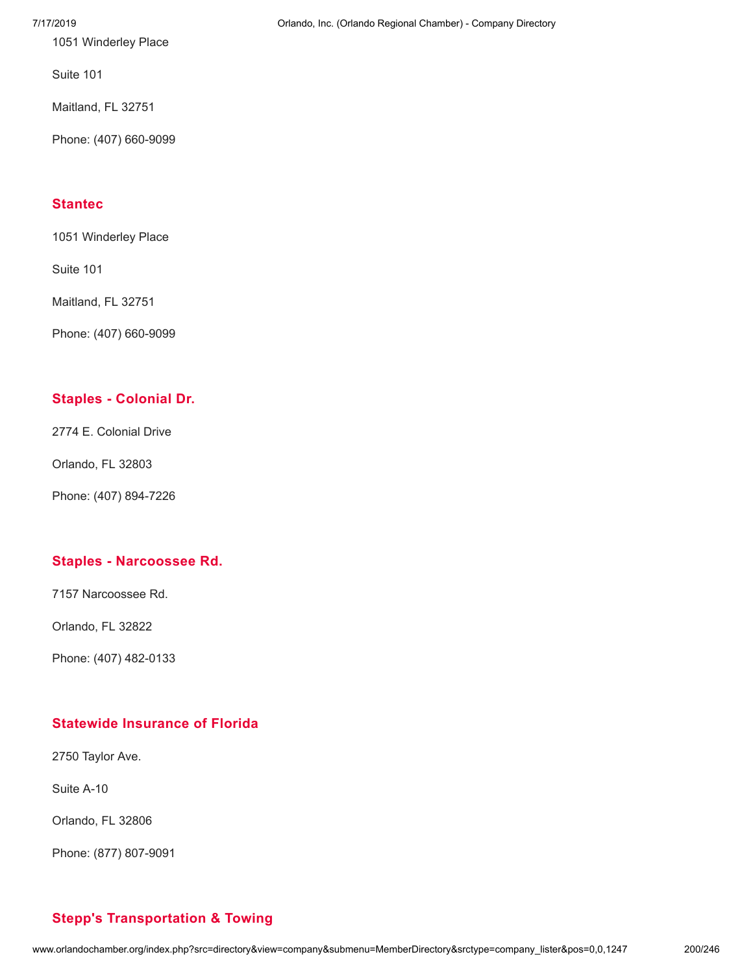1051 Winderley Place

Suite 101

Maitland, FL 32751

Phone: (407) 660-9099

### **[Stantec](http://www.orlandochamber.org/index.php?src=directory&view=company&submenu=MemberDirectory&refno=2777709&srctype=company_detail)**

1051 Winderley Place

Suite 101

Maitland, FL 32751

Phone: (407) 660-9099

### **Staples - [Colonial](http://www.orlandochamber.org/index.php?src=directory&view=company&submenu=MemberDirectory&refno=2777710&srctype=company_detail) Dr.**

2774 E. Colonial Drive

Orlando, FL 32803

Phone: (407) 894-7226

### **Staples - [Narcoossee](http://www.orlandochamber.org/index.php?src=directory&view=company&submenu=MemberDirectory&refno=2777711&srctype=company_detail) Rd.**

7157 Narcoossee Rd.

Orlando, FL 32822

Phone: (407) 482-0133

### **Statewide [Insurance](http://www.orlandochamber.org/index.php?src=directory&view=company&submenu=MemberDirectory&refno=2777712&srctype=company_detail) of Florida**

2750 Taylor Ave.

Suite A-10

Orlando, FL 32806

Phone: (877) 807-9091

### 7/17/2019 Orlando, Inc. (Orlando Regional Chamber) - Company Directory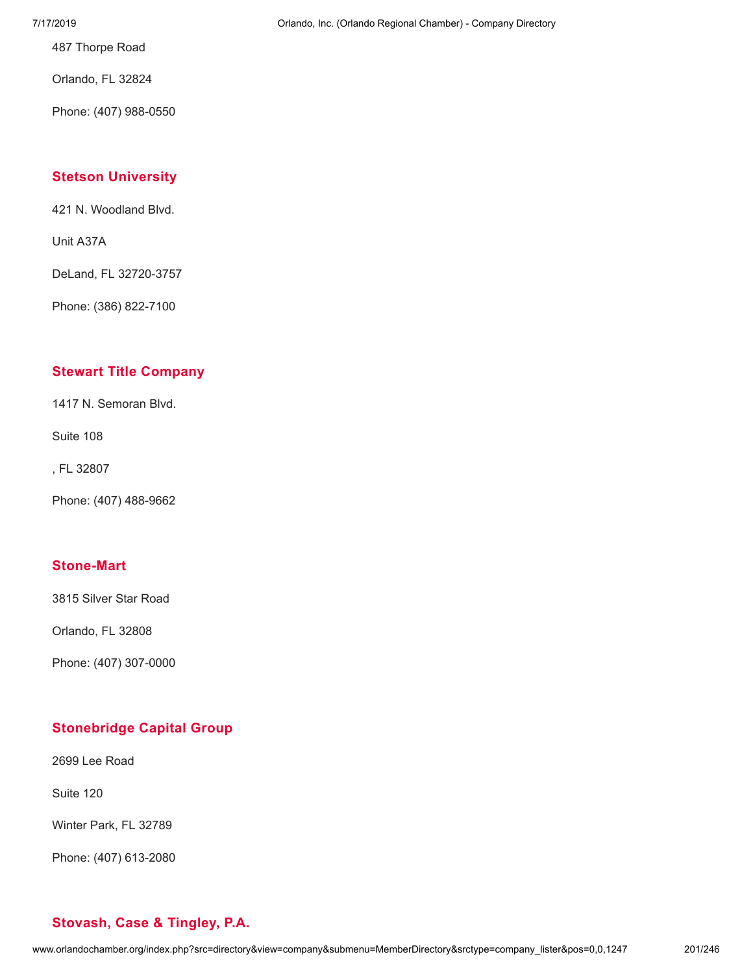487 Thorpe Road

Orlando, FL 32824

Phone: (407) 988-0550

### **Stetson [University](http://www.orlandochamber.org/index.php?src=directory&view=company&submenu=MemberDirectory&refno=2777714&srctype=company_detail)**

421 N. Woodland Blvd.

Unit A37A

DeLand, FL 32720-3757

Phone: (386) 822-7100

### **Stewart Title [Company](http://www.orlandochamber.org/index.php?src=directory&view=company&submenu=MemberDirectory&refno=2777715&srctype=company_detail)**

1417 N. Semoran Blvd.

Suite 108

, FL 32807

Phone: (407) 488-9662

### **[Stone-Mart](http://www.orlandochamber.org/index.php?src=directory&view=company&submenu=MemberDirectory&refno=2777717&srctype=company_detail)**

3815 Silver Star Road

Orlando, FL 32808

Phone: (407) 307-0000

### **[Stonebridge](http://www.orlandochamber.org/index.php?src=directory&view=company&submenu=MemberDirectory&refno=2777716&srctype=company_detail) Capital Group**

2699 Lee Road

Suite 120

Winter Park, FL 32789

Phone: (407) 613-2080

### 7/17/2019 Orlando, Inc. (Orlando Regional Chamber) - Company Directory

# **[Stovash,](http://www.orlandochamber.org/index.php?src=directory&view=company&submenu=MemberDirectory&refno=2777718&srctype=company_detail) Case & Tingley, P.A.**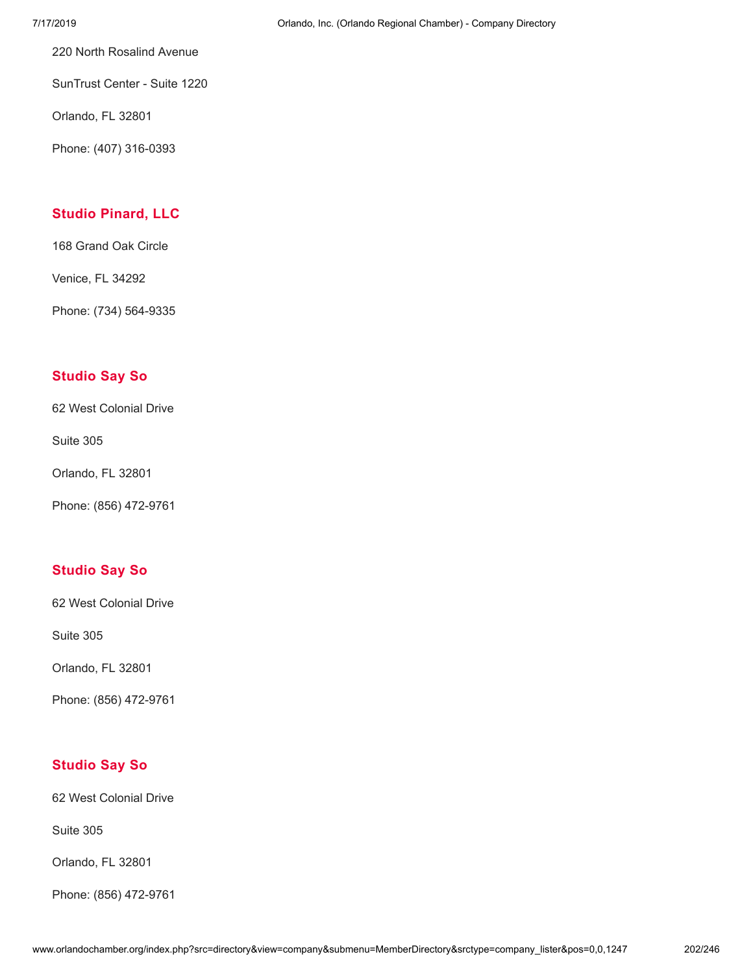220 North Rosalind Avenue

SunTrust Center - Suite 1220

Orlando, FL 32801

Phone: (407) 316-0393

# **Studio [Pinard,](http://www.orlandochamber.org/index.php?src=directory&view=company&submenu=MemberDirectory&refno=2777719&srctype=company_detail) LLC**

168 Grand Oak Circle

Venice, FL 34292

Phone: (734) 564-9335

### **[Studio](http://www.orlandochamber.org/index.php?src=directory&view=company&submenu=MemberDirectory&refno=2777720&srctype=company_detail) Say So**

62 West Colonial Drive

Suite 305

Orlando, FL 32801

Phone: (856) 472-9761

### **[Studio](http://www.orlandochamber.org/index.php?src=directory&view=company&submenu=MemberDirectory&refno=2777721&srctype=company_detail) Say So**

62 West Colonial Drive

Suite 305

Orlando, FL 32801

Phone: (856) 472-9761

### **[Studio](http://www.orlandochamber.org/index.php?src=directory&view=company&submenu=MemberDirectory&refno=2777722&srctype=company_detail) Say So**

62 West Colonial Drive

Suite 305

Orlando, FL 32801

Phone: (856) 472-9761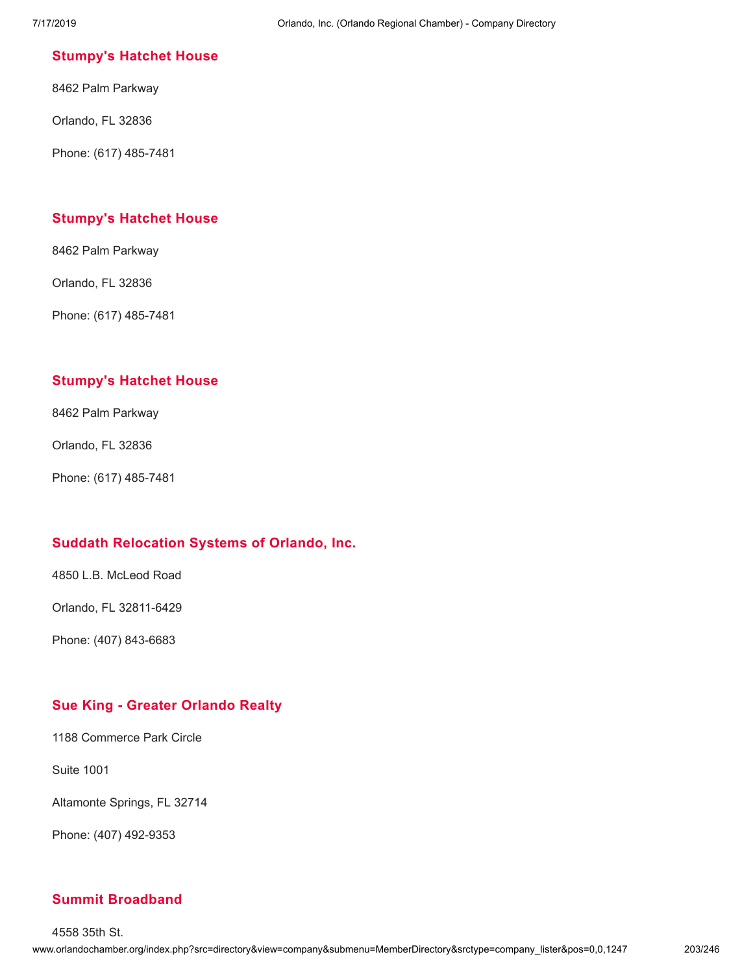### **[Stumpy's](http://www.orlandochamber.org/index.php?src=directory&view=company&submenu=MemberDirectory&refno=2777723&srctype=company_detail) Hatchet House**

8462 Palm Parkway

Orlando, FL 32836

Phone: (617) 485-7481

### **[Stumpy's](http://www.orlandochamber.org/index.php?src=directory&view=company&submenu=MemberDirectory&refno=2777724&srctype=company_detail) Hatchet House**

8462 Palm Parkway

Orlando, FL 32836

Phone: (617) 485-7481

### **[Stumpy's](http://www.orlandochamber.org/index.php?src=directory&view=company&submenu=MemberDirectory&refno=2777725&srctype=company_detail) Hatchet House**

8462 Palm Parkway

Orlando, FL 32836

Phone: (617) 485-7481

### **Suddath [Relocation](http://www.orlandochamber.org/index.php?src=directory&view=company&submenu=MemberDirectory&refno=2777726&srctype=company_detail) Systems of Orlando, Inc.**

4850 L.B. McLeod Road

Orlando, FL 32811-6429

Phone: (407) 843-6683

### **Sue King - Greater [Orlando](http://www.orlandochamber.org/index.php?src=directory&view=company&submenu=MemberDirectory&refno=2777727&srctype=company_detail) Realty**

1188 Commerce Park Circle

Suite 1001

Altamonte Springs, FL 32714

Phone: (407) 492-9353

### **Summit [Broadband](http://www.orlandochamber.org/index.php?src=directory&view=company&submenu=MemberDirectory&refno=2777728&srctype=company_detail)**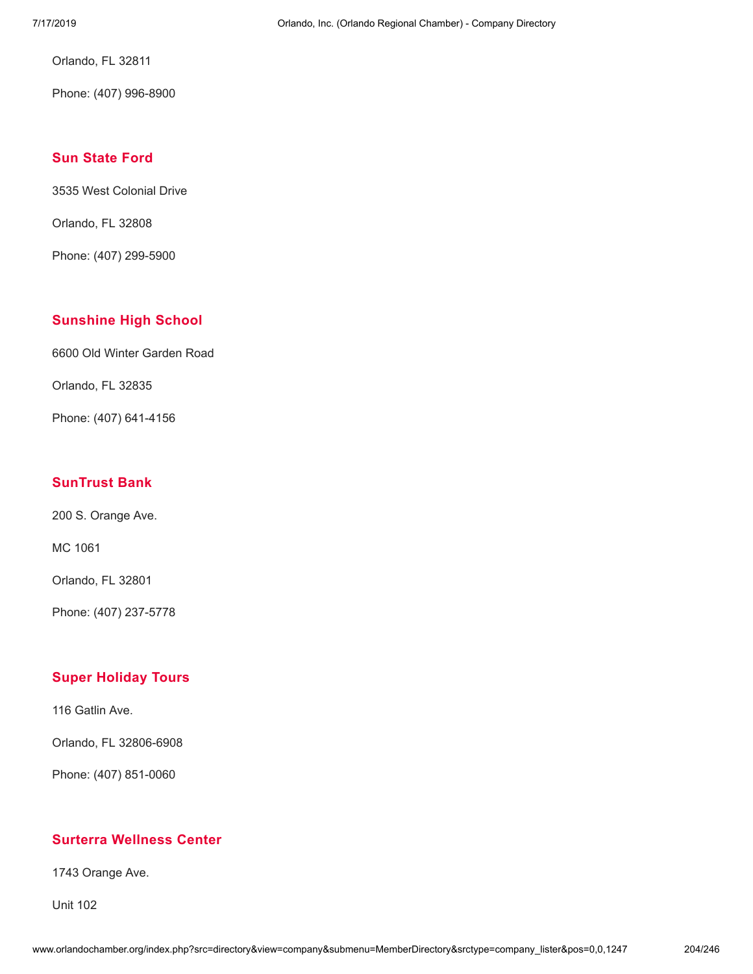Orlando, FL 32811

Phone: (407) 996-8900

### **Sun [State](http://www.orlandochamber.org/index.php?src=directory&view=company&submenu=MemberDirectory&refno=2777729&srctype=company_detail) Ford**

3535 West Colonial Drive

Orlando, FL 32808

Phone: (407) 299-5900

### **[Sunshine](http://www.orlandochamber.org/index.php?src=directory&view=company&submenu=MemberDirectory&refno=2777730&srctype=company_detail) High School**

6600 Old Winter Garden Road

Orlando, FL 32835

Phone: (407) 641-4156

### **[SunTrust](http://www.orlandochamber.org/index.php?src=directory&view=company&submenu=MemberDirectory&refno=2777731&srctype=company_detail) Bank**

200 S. Orange Ave.

MC 1061

Orlando, FL 32801

Phone: (407) 237-5778

### **Super [Holiday](http://www.orlandochamber.org/index.php?src=directory&view=company&submenu=MemberDirectory&refno=2777732&srctype=company_detail) Tours**

116 Gatlin Ave.

Orlando, FL 32806-6908

Phone: (407) 851-0060

### **Surterra [Wellness](http://www.orlandochamber.org/index.php?src=directory&view=company&submenu=MemberDirectory&refno=2777733&srctype=company_detail) Center**

1743 Orange Ave.

Unit 102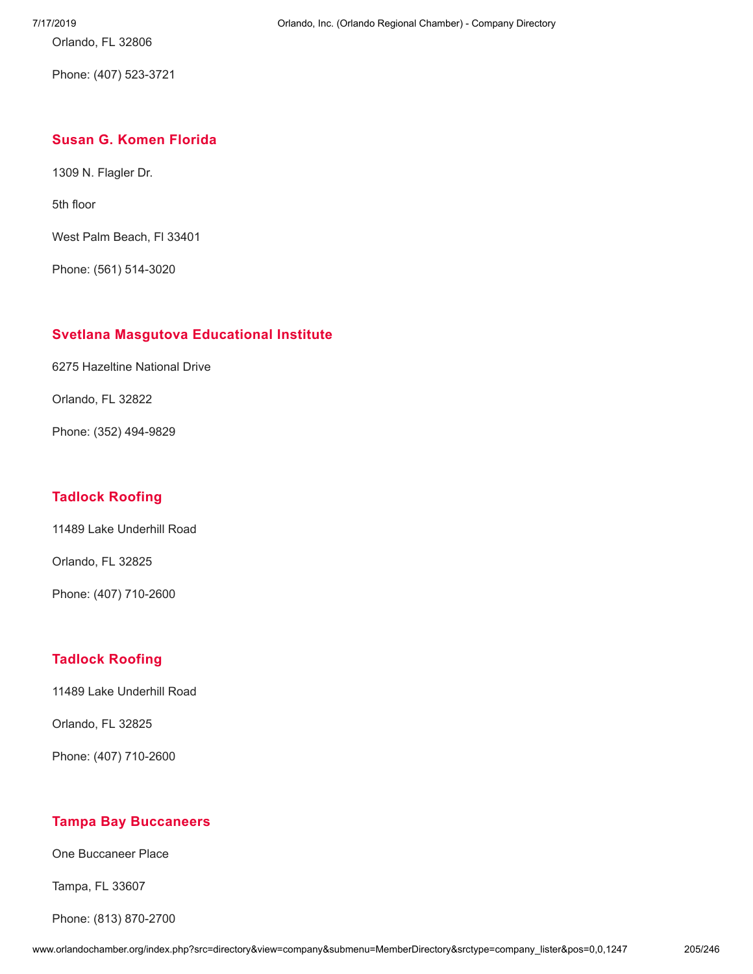Orlando, FL 32806

Phone: (407) 523-3721

### **Susan G. [Komen](http://www.orlandochamber.org/index.php?src=directory&view=company&submenu=MemberDirectory&refno=2777734&srctype=company_detail) Florida**

1309 N. Flagler Dr.

5th floor

West Palm Beach, Fl 33401

Phone: (561) 514-3020

### **Svetlana Masgutova [Educational](http://www.orlandochamber.org/index.php?src=directory&view=company&submenu=MemberDirectory&refno=2777735&srctype=company_detail) Institute**

6275 Hazeltine National Drive

Orlando, FL 32822

Phone: (352) 494-9829

### **Tadlock [Roofing](http://www.orlandochamber.org/index.php?src=directory&view=company&submenu=MemberDirectory&refno=2777736&srctype=company_detail)**

11489 Lake Underhill Road

Orlando, FL 32825

Phone: (407) 710-2600

### **Tadlock [Roofing](http://www.orlandochamber.org/index.php?src=directory&view=company&submenu=MemberDirectory&refno=2777737&srctype=company_detail)**

11489 Lake Underhill Road

Orlando, FL 32825

Phone: (407) 710-2600

### **Tampa Bay [Buccaneers](http://www.orlandochamber.org/index.php?src=directory&view=company&submenu=MemberDirectory&refno=2777738&srctype=company_detail)**

One Buccaneer Place

Tampa, FL 33607

Phone: (813) 870-2700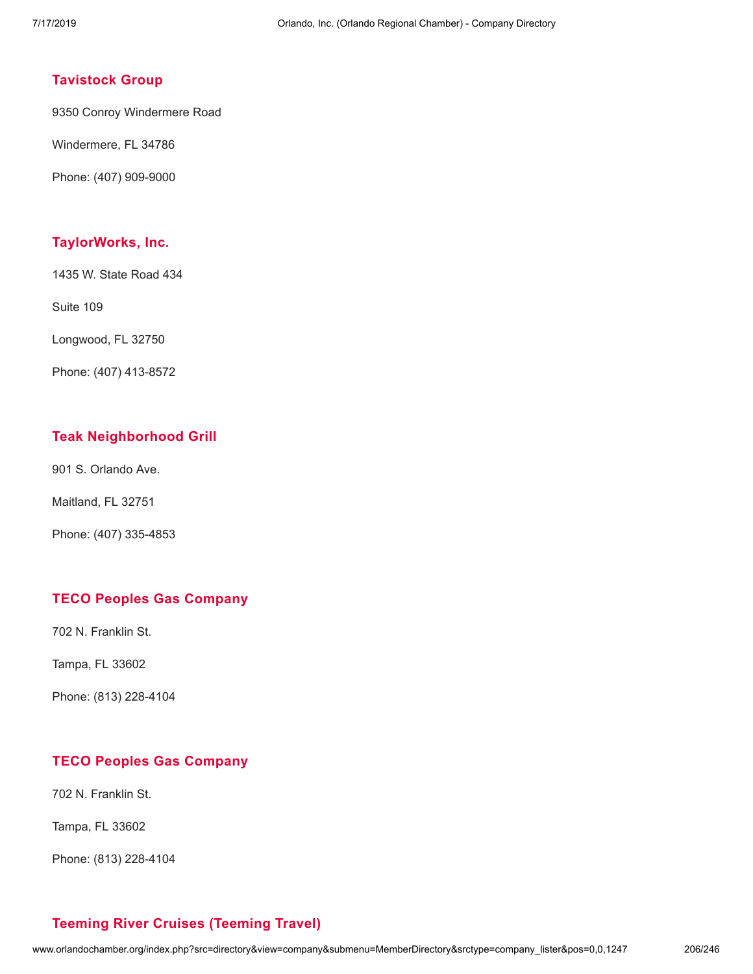### **[Tavistock](http://www.orlandochamber.org/index.php?src=directory&view=company&submenu=MemberDirectory&refno=2777739&srctype=company_detail) Group**

9350 Conroy Windermere Road

Windermere, FL 34786

Phone: (407) 909-9000

### **[TaylorWorks,](http://www.orlandochamber.org/index.php?src=directory&view=company&submenu=MemberDirectory&refno=2777740&srctype=company_detail) Inc.**

1435 W. State Road 434

Suite 109

Longwood, FL 32750

Phone: (407) 413-8572

### **Teak [Neighborhood](http://www.orlandochamber.org/index.php?src=directory&view=company&submenu=MemberDirectory&refno=2777741&srctype=company_detail) Grill**

901 S. Orlando Ave.

Maitland, FL 32751

Phone: (407) 335-4853

### **TECO Peoples Gas [Company](http://www.orlandochamber.org/index.php?src=directory&view=company&submenu=MemberDirectory&refno=2777742&srctype=company_detail)**

702 N. Franklin St.

Tampa, FL 33602

Phone: (813) 228-4104

### **TECO Peoples Gas [Company](http://www.orlandochamber.org/index.php?src=directory&view=company&submenu=MemberDirectory&refno=2777743&srctype=company_detail)**

702 N. Franklin St.

Tampa, FL 33602

Phone: (813) 228-4104

### **Teeming River Cruises [\(Teeming](http://www.orlandochamber.org/index.php?src=directory&view=company&submenu=MemberDirectory&refno=2777744&srctype=company_detail) Travel)**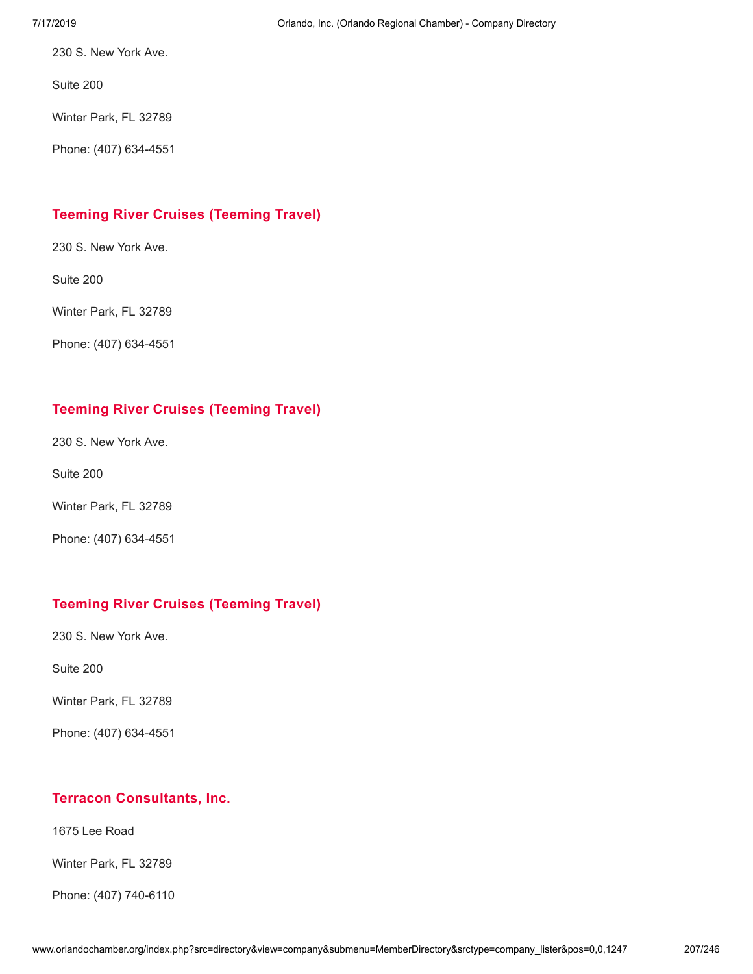230 S. New York Ave.

Suite 200

Winter Park, FL 32789

Phone: (407) 634-4551

### **Teeming River Cruises [\(Teeming](http://www.orlandochamber.org/index.php?src=directory&view=company&submenu=MemberDirectory&refno=2777745&srctype=company_detail) Travel)**

230 S. New York Ave.

Suite 200

Winter Park, FL 32789

Phone: (407) 634-4551

### **Teeming River Cruises [\(Teeming](http://www.orlandochamber.org/index.php?src=directory&view=company&submenu=MemberDirectory&refno=2777746&srctype=company_detail) Travel)**

230 S. New York Ave.

Suite 200

Winter Park, FL 32789

Phone: (407) 634-4551

### **Teeming River Cruises [\(Teeming](http://www.orlandochamber.org/index.php?src=directory&view=company&submenu=MemberDirectory&refno=2777747&srctype=company_detail) Travel)**

230 S. New York Ave.

Suite 200

Winter Park, FL 32789

Phone: (407) 634-4551

### **Terracon [Consultants,](http://www.orlandochamber.org/index.php?src=directory&view=company&submenu=MemberDirectory&refno=2777748&srctype=company_detail) Inc.**

1675 Lee Road

Winter Park, FL 32789

Phone: (407) 740-6110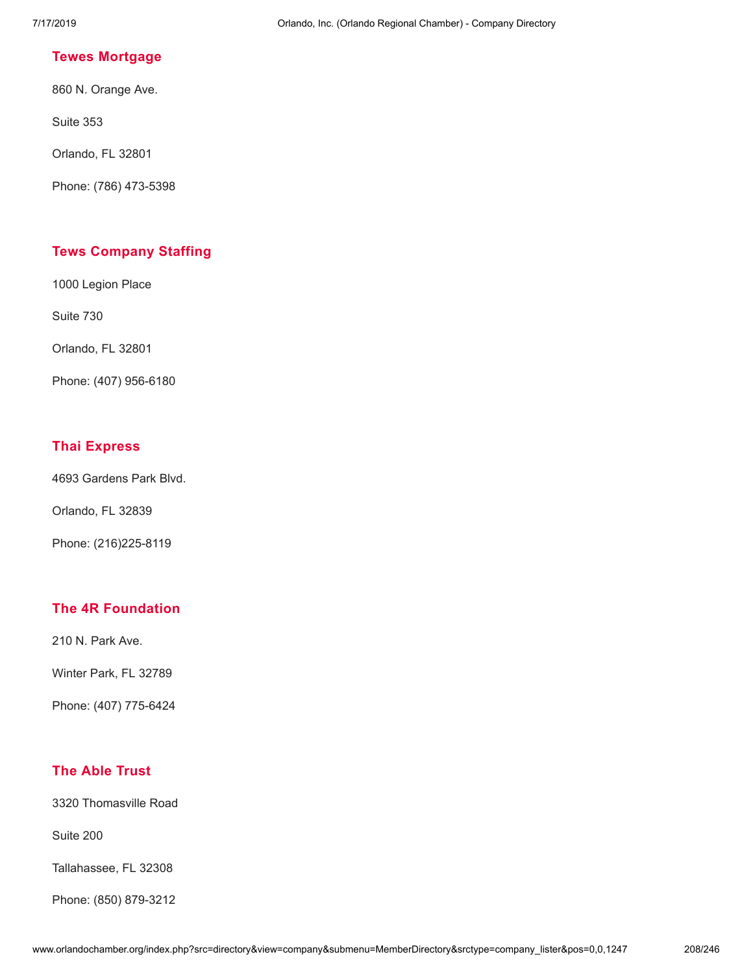### **Tewes [Mortgage](http://www.orlandochamber.org/index.php?src=directory&view=company&submenu=MemberDirectory&refno=2777749&srctype=company_detail)**

860 N. Orange Ave.

Suite 353

Orlando, FL 32801

Phone: (786) 473-5398

### **Tews [Company](http://www.orlandochamber.org/index.php?src=directory&view=company&submenu=MemberDirectory&refno=2777750&srctype=company_detail) Staffing**

1000 Legion Place

Suite 730

Orlando, FL 32801

Phone: (407) 956-6180

### **Thai [Express](http://www.orlandochamber.org/index.php?src=directory&view=company&submenu=MemberDirectory&refno=2777751&srctype=company_detail)**

4693 Gardens Park Blvd.

Orlando, FL 32839

Phone: (216)225-8119

### **The 4R [Foundation](http://www.orlandochamber.org/index.php?src=directory&view=company&submenu=MemberDirectory&refno=2777752&srctype=company_detail)**

210 N. Park Ave.

Winter Park, FL 32789

Phone: (407) 775-6424

### **The Able [Trust](http://www.orlandochamber.org/index.php?src=directory&view=company&submenu=MemberDirectory&refno=2777753&srctype=company_detail)**

3320 Thomasville Road

Suite 200

Tallahassee, FL 32308

Phone: (850) 879-3212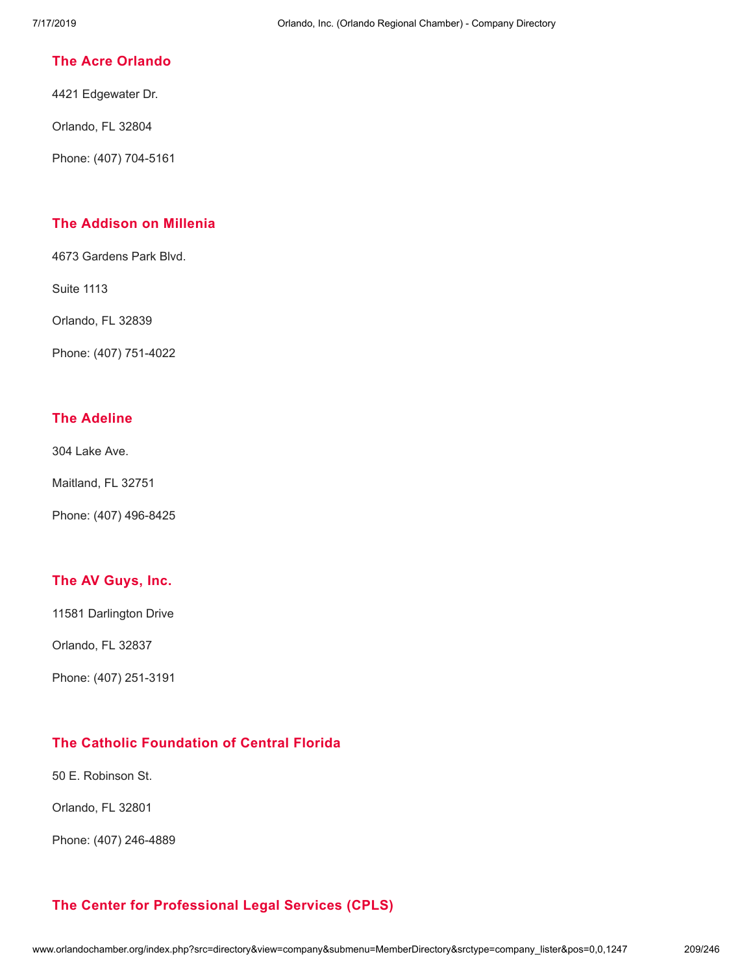### **The Acre [Orlando](http://www.orlandochamber.org/index.php?src=directory&view=company&submenu=MemberDirectory&refno=2777754&srctype=company_detail)**

4421 Edgewater Dr.

Orlando, FL 32804

Phone: (407) 704-5161

### **The [Addison](http://www.orlandochamber.org/index.php?src=directory&view=company&submenu=MemberDirectory&refno=2777755&srctype=company_detail) on Millenia**

4673 Gardens Park Blvd.

Suite 1113

Orlando, FL 32839

Phone: (407) 751-4022

### **The [Adeline](http://www.orlandochamber.org/index.php?src=directory&view=company&submenu=MemberDirectory&refno=2777756&srctype=company_detail)**

304 Lake Ave.

Maitland, FL 32751

Phone: (407) 496-8425

### **The AV [Guys,](http://www.orlandochamber.org/index.php?src=directory&view=company&submenu=MemberDirectory&refno=2777757&srctype=company_detail) Inc.**

11581 Darlington Drive

Orlando, FL 32837

Phone: (407) 251-3191

# **The Catholic [Foundation](http://www.orlandochamber.org/index.php?src=directory&view=company&submenu=MemberDirectory&refno=2777758&srctype=company_detail) of Central Florida**

50 E. Robinson St.

Orlando, FL 32801

Phone: (407) 246-4889

# **The Center for [Professional](http://www.orlandochamber.org/index.php?src=directory&view=company&submenu=MemberDirectory&refno=2777759&srctype=company_detail) Legal Services (CPLS)**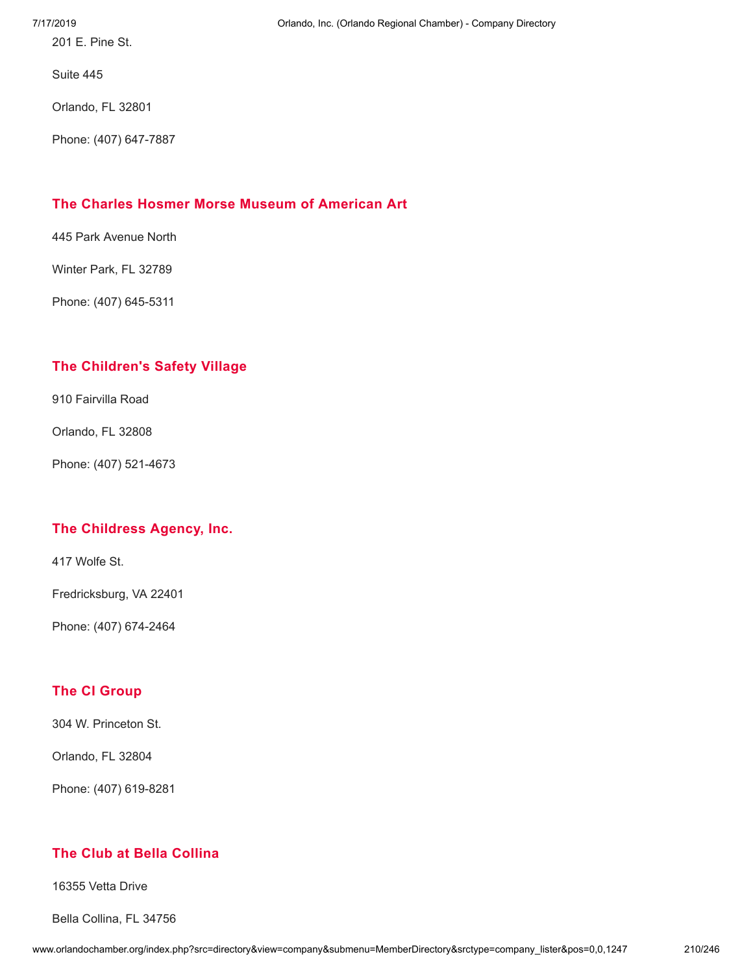201 E. Pine St.

Suite 445

Orlando, FL 32801

Phone: (407) 647-7887

### **The Charles Hosmer Morse Museum of [American](http://www.orlandochamber.org/index.php?src=directory&view=company&submenu=MemberDirectory&refno=2777760&srctype=company_detail) Art**

445 Park Avenue North

Winter Park, FL 32789

Phone: (407) 645-5311

### **The [Children's](http://www.orlandochamber.org/index.php?src=directory&view=company&submenu=MemberDirectory&refno=2777761&srctype=company_detail) Safety Village**

910 Fairvilla Road

Orlando, FL 32808

Phone: (407) 521-4673

### **The [Childress](http://www.orlandochamber.org/index.php?src=directory&view=company&submenu=MemberDirectory&refno=2777762&srctype=company_detail) Agency, Inc.**

417 Wolfe St.

Fredricksburg, VA 22401

Phone: (407) 674-2464

### **The CI [Group](http://www.orlandochamber.org/index.php?src=directory&view=company&submenu=MemberDirectory&refno=2777763&srctype=company_detail)**

304 W. Princeton St.

Orlando, FL 32804

Phone: (407) 619-8281

### **The Club at Bella [Collina](http://www.orlandochamber.org/index.php?src=directory&view=company&submenu=MemberDirectory&refno=2777764&srctype=company_detail)**

16355 Vetta Drive

Bella Collina, FL 34756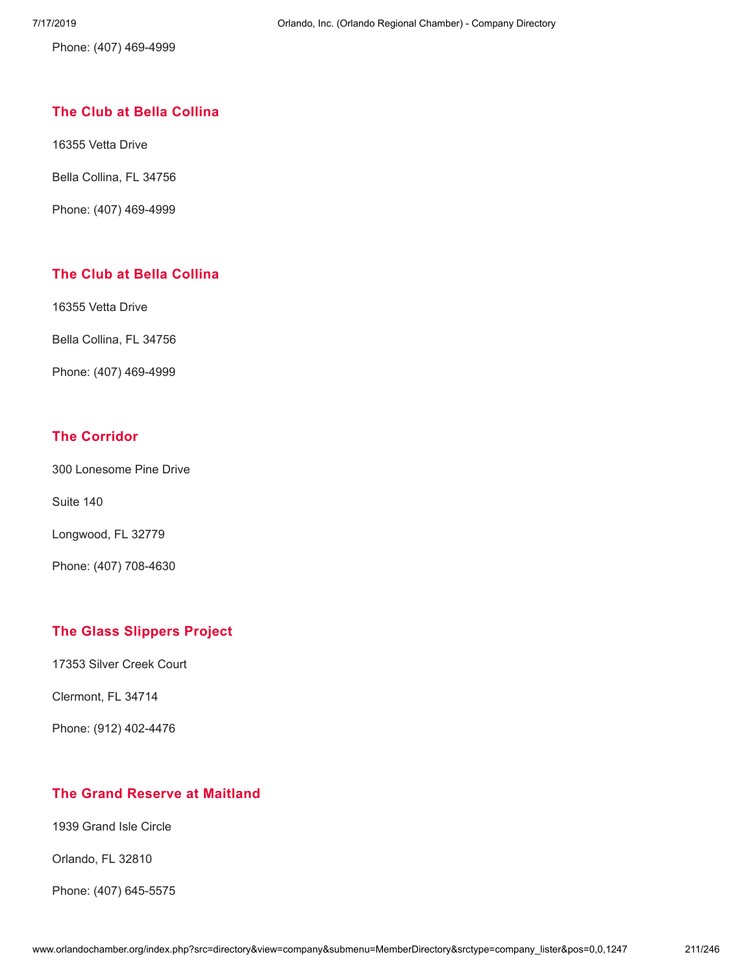Phone: (407) 469-4999

### **The Club at Bella [Collina](http://www.orlandochamber.org/index.php?src=directory&view=company&submenu=MemberDirectory&refno=2777765&srctype=company_detail)**

16355 Vetta Drive

Bella Collina, FL 34756

Phone: (407) 469-4999

### **The Club at Bella [Collina](http://www.orlandochamber.org/index.php?src=directory&view=company&submenu=MemberDirectory&refno=2777766&srctype=company_detail)**

16355 Vetta Drive

Bella Collina, FL 34756

Phone: (407) 469-4999

### **The [Corridor](http://www.orlandochamber.org/index.php?src=directory&view=company&submenu=MemberDirectory&refno=2777767&srctype=company_detail)**

300 Lonesome Pine Drive

Suite 140

Longwood, FL 32779

Phone: (407) 708-4630

### **The Glass [Slippers](http://www.orlandochamber.org/index.php?src=directory&view=company&submenu=MemberDirectory&refno=2777768&srctype=company_detail) Project**

17353 Silver Creek Court

Clermont, FL 34714

Phone: (912) 402-4476

### **The Grand Reserve at [Maitland](http://www.orlandochamber.org/index.php?src=directory&view=company&submenu=MemberDirectory&refno=2777769&srctype=company_detail)**

1939 Grand Isle Circle

Orlando, FL 32810

Phone: (407) 645-5575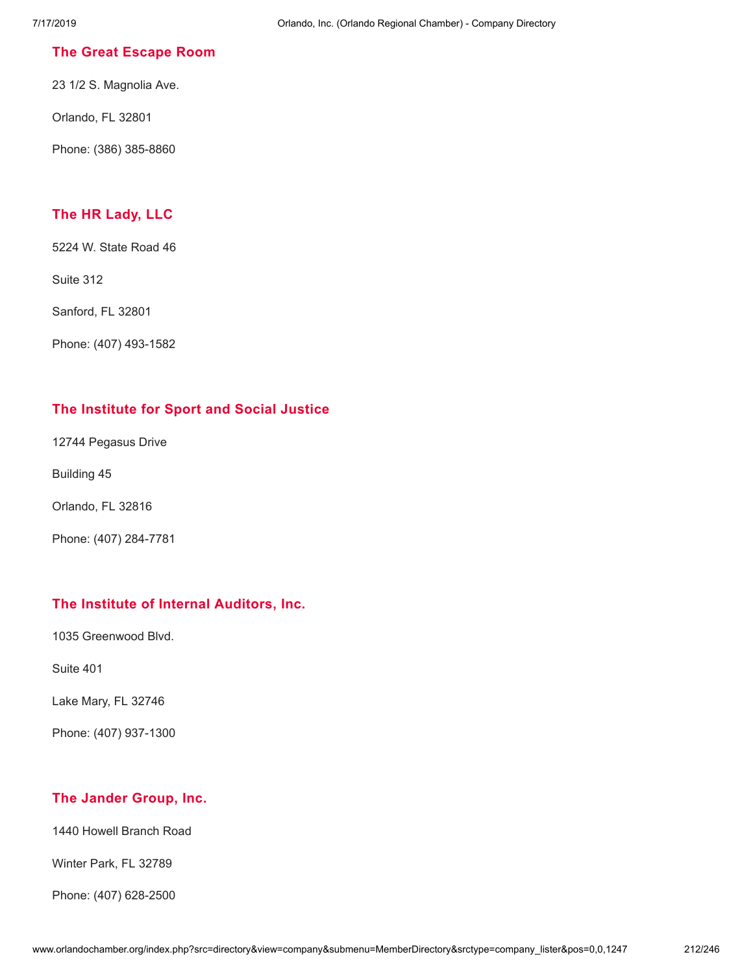### **The Great [Escape](http://www.orlandochamber.org/index.php?src=directory&view=company&submenu=MemberDirectory&refno=2777770&srctype=company_detail) Room**

23 1/2 S. Magnolia Ave.

Orlando, FL 32801

Phone: (386) 385-8860

### **The HR [Lady,](http://www.orlandochamber.org/index.php?src=directory&view=company&submenu=MemberDirectory&refno=2777771&srctype=company_detail) LLC**

5224 W. State Road 46

Suite 312

Sanford, FL 32801

Phone: (407) 493-1582

### **The [Institute](http://www.orlandochamber.org/index.php?src=directory&view=company&submenu=MemberDirectory&refno=2777772&srctype=company_detail) for Sport and Social Justice**

12744 Pegasus Drive

Building 45

Orlando, FL 32816

Phone: (407) 284-7781

### **The Institute of Internal [Auditors,](http://www.orlandochamber.org/index.php?src=directory&view=company&submenu=MemberDirectory&refno=2777773&srctype=company_detail) Inc.**

1035 Greenwood Blvd.

Suite 401

Lake Mary, FL 32746

Phone: (407) 937-1300

### **The [Jander](http://www.orlandochamber.org/index.php?src=directory&view=company&submenu=MemberDirectory&refno=2777774&srctype=company_detail) Group, Inc.**

1440 Howell Branch Road

Winter Park, FL 32789

Phone: (407) 628-2500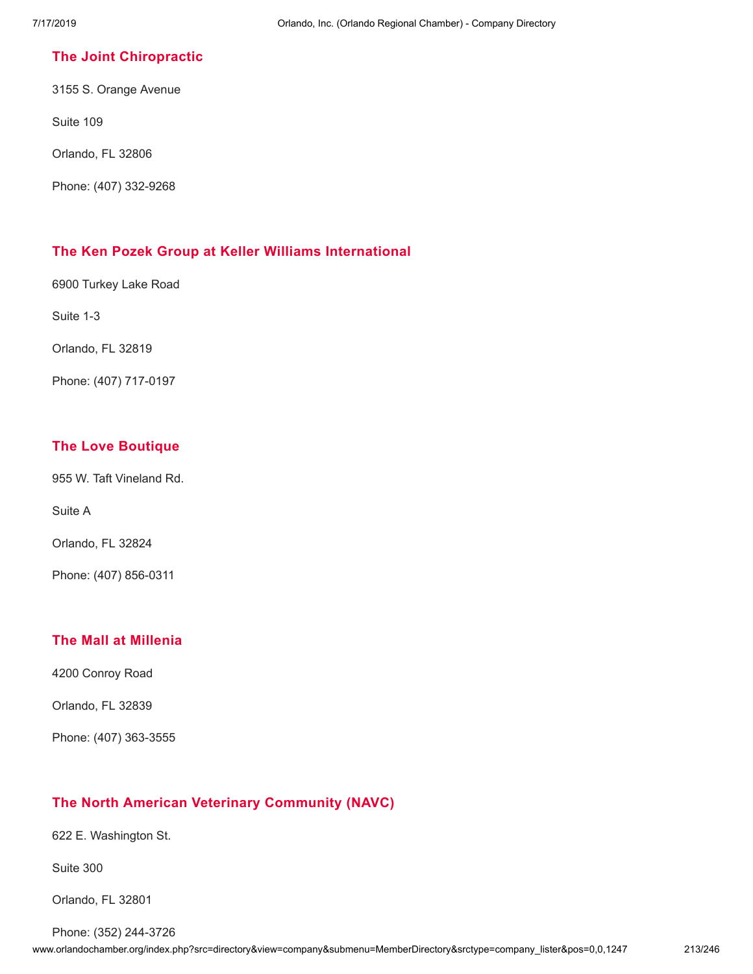### **The Joint [Chiropractic](http://www.orlandochamber.org/index.php?src=directory&view=company&submenu=MemberDirectory&refno=2777775&srctype=company_detail)**

3155 S. Orange Avenue

Suite 109

Orlando, FL 32806

Phone: (407) 332-9268

### **The Ken Pozek Group at Keller Williams [International](http://www.orlandochamber.org/index.php?src=directory&view=company&submenu=MemberDirectory&refno=2777776&srctype=company_detail)**

6900 Turkey Lake Road

Suite 1-3

Orlando, FL 32819

Phone: (407) 717-0197

### **The Love [Boutique](http://www.orlandochamber.org/index.php?src=directory&view=company&submenu=MemberDirectory&refno=2777777&srctype=company_detail)**

955 W. Taft Vineland Rd.

Suite A

Orlando, FL 32824

Phone: (407) 856-0311

### **The Mall at [Millenia](http://www.orlandochamber.org/index.php?src=directory&view=company&submenu=MemberDirectory&refno=2777778&srctype=company_detail)**

4200 Conroy Road

Orlando, FL 32839

Phone: (407) 363-3555

### **The North American Veterinary [Community](http://www.orlandochamber.org/index.php?src=directory&view=company&submenu=MemberDirectory&refno=2777779&srctype=company_detail) (NAVC)**

622 E. Washington St.

Suite 300

Orlando, FL 32801

www.orlandochamber.org/index.php?src=directory&view=company&submenu=MemberDirectory&srctype=company\_lister&pos=0,0,1247 213/246 Phone: (352) 244-3726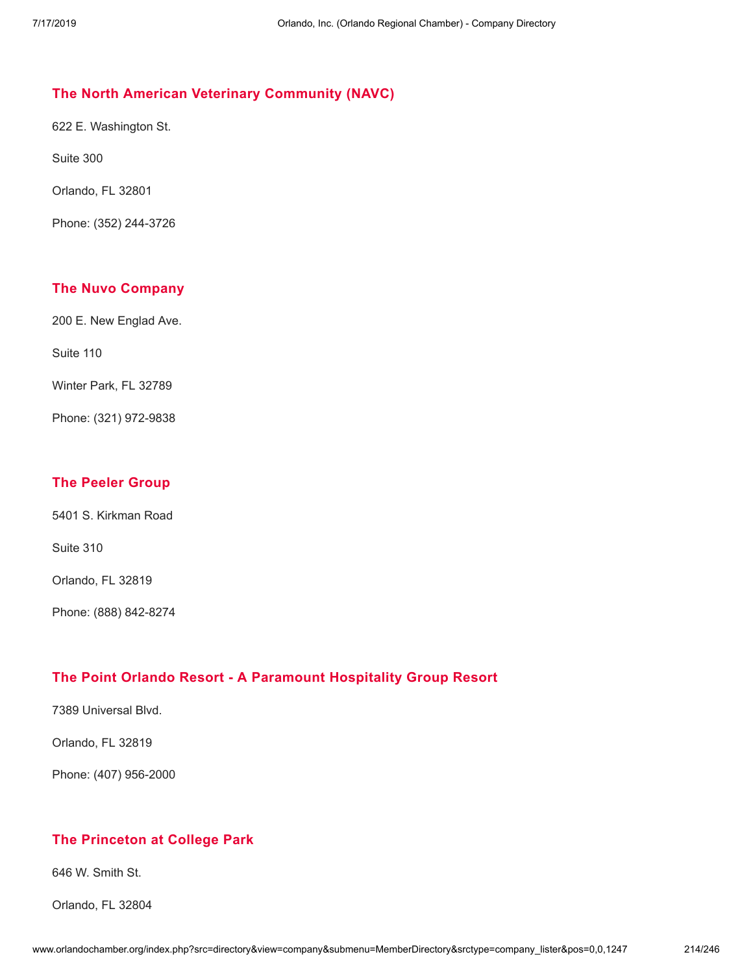### **The North American Veterinary [Community](http://www.orlandochamber.org/index.php?src=directory&view=company&submenu=MemberDirectory&refno=2777780&srctype=company_detail) (NAVC)**

622 E. Washington St.

Suite 300

Orlando, FL 32801

Phone: (352) 244-3726

### **The Nuvo [Company](http://www.orlandochamber.org/index.php?src=directory&view=company&submenu=MemberDirectory&refno=2777781&srctype=company_detail)**

200 E. New Englad Ave.

Suite 110

Winter Park, FL 32789

Phone: (321) 972-9838

### **The [Peeler](http://www.orlandochamber.org/index.php?src=directory&view=company&submenu=MemberDirectory&refno=2777782&srctype=company_detail) Group**

5401 S. Kirkman Road

Suite 310

Orlando, FL 32819

Phone: (888) 842-8274

### **The Point Orlando Resort - A [Paramount](http://www.orlandochamber.org/index.php?src=directory&view=company&submenu=MemberDirectory&refno=2777783&srctype=company_detail) Hospitality Group Resort**

7389 Universal Blvd.

Orlando, FL 32819

Phone: (407) 956-2000

### **The [Princeton](http://www.orlandochamber.org/index.php?src=directory&view=company&submenu=MemberDirectory&refno=2777784&srctype=company_detail) at College Park**

646 W. Smith St.

Orlando, FL 32804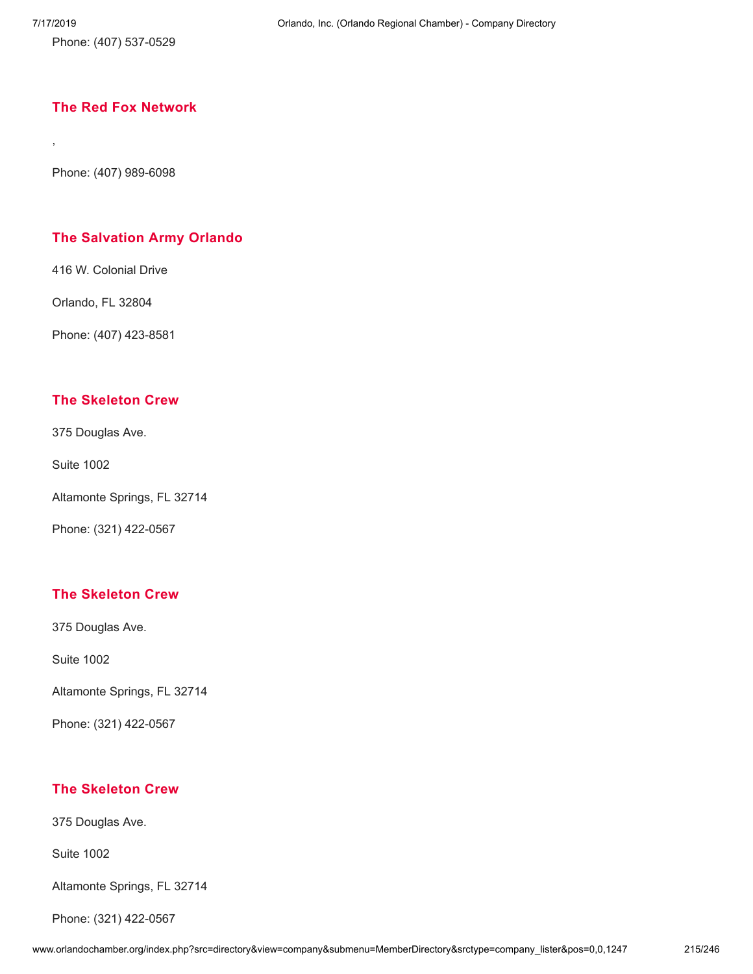,

Phone: (407) 537-0529

### **The Red Fox [Network](http://www.orlandochamber.org/index.php?src=directory&view=company&submenu=MemberDirectory&refno=2777785&srctype=company_detail)**

Phone: (407) 989-6098

### **The [Salvation](http://www.orlandochamber.org/index.php?src=directory&view=company&submenu=MemberDirectory&refno=2777786&srctype=company_detail) Army Orlando**

416 W. Colonial Drive

Orlando, FL 32804

Phone: (407) 423-8581

### **The [Skeleton](http://www.orlandochamber.org/index.php?src=directory&view=company&submenu=MemberDirectory&refno=2777787&srctype=company_detail) Crew**

375 Douglas Ave.

Suite 1002

Altamonte Springs, FL 32714

Phone: (321) 422-0567

### **The [Skeleton](http://www.orlandochamber.org/index.php?src=directory&view=company&submenu=MemberDirectory&refno=2777788&srctype=company_detail) Crew**

375 Douglas Ave.

Suite 1002

Altamonte Springs, FL 32714

Phone: (321) 422-0567

### **The [Skeleton](http://www.orlandochamber.org/index.php?src=directory&view=company&submenu=MemberDirectory&refno=2777789&srctype=company_detail) Crew**

375 Douglas Ave.

Suite 1002

Altamonte Springs, FL 32714

Phone: (321) 422-0567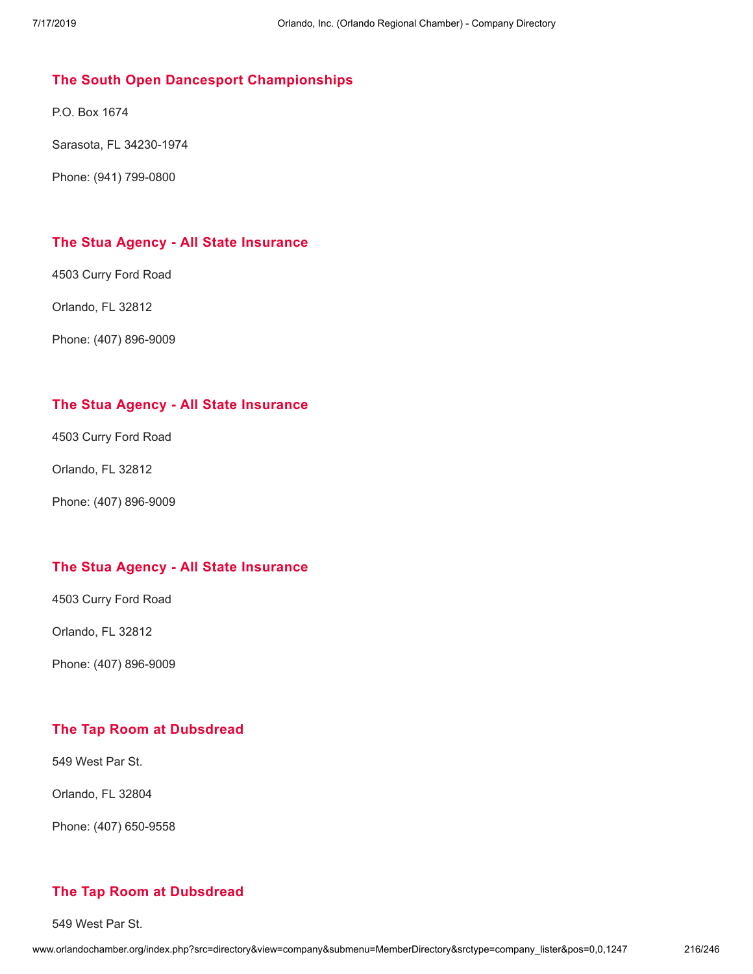### **The South Open Dancesport [Championships](http://www.orlandochamber.org/index.php?src=directory&view=company&submenu=MemberDirectory&refno=2777790&srctype=company_detail)**

P.O. Box 1674

Sarasota, FL 34230-1974

Phone: (941) 799-0800

### **The Stua Agency - All State [Insurance](http://www.orlandochamber.org/index.php?src=directory&view=company&submenu=MemberDirectory&refno=2777791&srctype=company_detail)**

4503 Curry Ford Road

Orlando, FL 32812

Phone: (407) 896-9009

### **The Stua Agency - All State [Insurance](http://www.orlandochamber.org/index.php?src=directory&view=company&submenu=MemberDirectory&refno=2777792&srctype=company_detail)**

4503 Curry Ford Road

Orlando, FL 32812

Phone: (407) 896-9009

### **The Stua Agency - All State [Insurance](http://www.orlandochamber.org/index.php?src=directory&view=company&submenu=MemberDirectory&refno=2777793&srctype=company_detail)**

4503 Curry Ford Road

Orlando, FL 32812

Phone: (407) 896-9009

### **The Tap Room at [Dubsdread](http://www.orlandochamber.org/index.php?src=directory&view=company&submenu=MemberDirectory&refno=2777794&srctype=company_detail)**

549 West Par St.

Orlando, FL 32804

Phone: (407) 650-9558

### **The Tap Room at [Dubsdread](http://www.orlandochamber.org/index.php?src=directory&view=company&submenu=MemberDirectory&refno=2777795&srctype=company_detail)**

549 West Par St.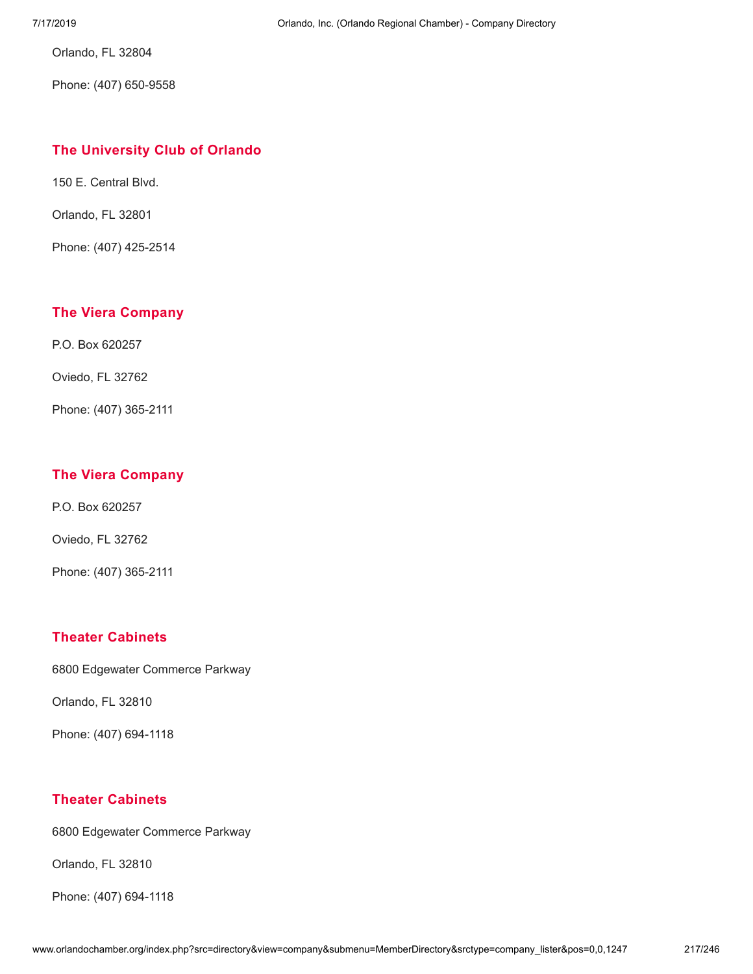Orlando, FL 32804

Phone: (407) 650-9558

### **The [University](http://www.orlandochamber.org/index.php?src=directory&view=company&submenu=MemberDirectory&refno=2777796&srctype=company_detail) Club of Orlando**

150 E. Central Blvd.

Orlando, FL 32801

Phone: (407) 425-2514

### **The Viera [Company](http://www.orlandochamber.org/index.php?src=directory&view=company&submenu=MemberDirectory&refno=2777797&srctype=company_detail)**

P.O. Box 620257

Oviedo, FL 32762

Phone: (407) 365-2111

## **The Viera [Company](http://www.orlandochamber.org/index.php?src=directory&view=company&submenu=MemberDirectory&refno=2777798&srctype=company_detail)**

P.O. Box 620257

Oviedo, FL 32762

Phone: (407) 365-2111

#### **Theater [Cabinets](http://www.orlandochamber.org/index.php?src=directory&view=company&submenu=MemberDirectory&refno=2777799&srctype=company_detail)**

6800 Edgewater Commerce Parkway

Orlando, FL 32810

Phone: (407) 694-1118

#### **Theater [Cabinets](http://www.orlandochamber.org/index.php?src=directory&view=company&submenu=MemberDirectory&refno=2777800&srctype=company_detail)**

6800 Edgewater Commerce Parkway

Orlando, FL 32810

Phone: (407) 694-1118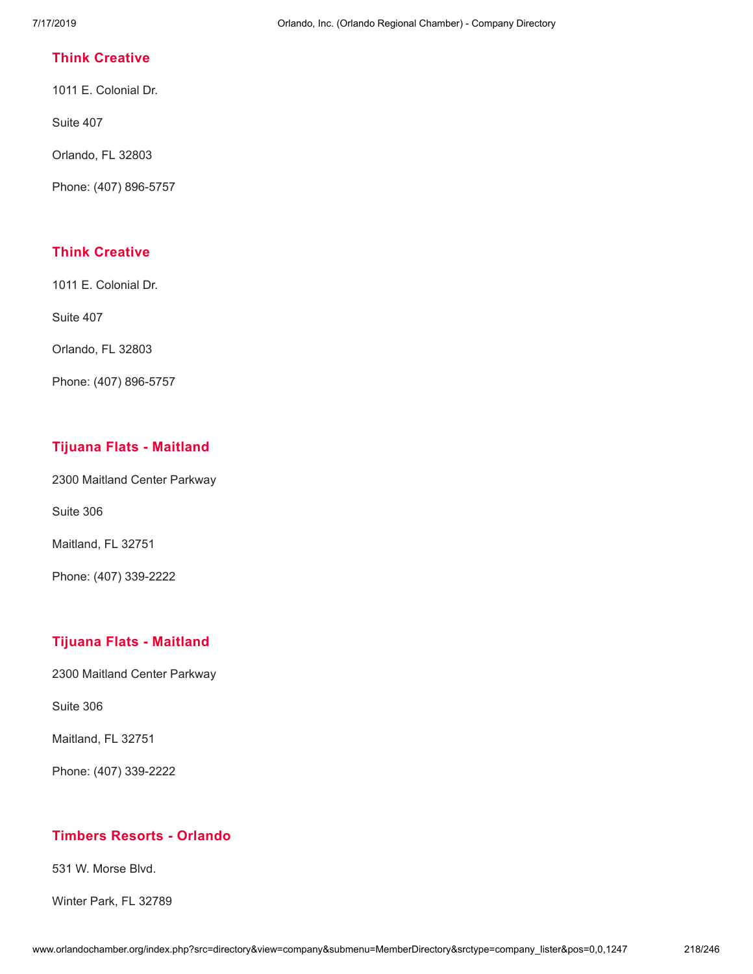### **Think [Creative](http://www.orlandochamber.org/index.php?src=directory&view=company&submenu=MemberDirectory&refno=2777801&srctype=company_detail)**

1011 E. Colonial Dr.

Suite 407

Orlando, FL 32803

Phone: (407) 896-5757

# **Think [Creative](http://www.orlandochamber.org/index.php?src=directory&view=company&submenu=MemberDirectory&refno=2777802&srctype=company_detail)**

1011 E. Colonial Dr.

Suite 407

Orlando, FL 32803

Phone: (407) 896-5757

# **Tijuana Flats - [Maitland](http://www.orlandochamber.org/index.php?src=directory&view=company&submenu=MemberDirectory&refno=2777803&srctype=company_detail)**

2300 Maitland Center Parkway

Suite 306

Maitland, FL 32751

Phone: (407) 339-2222

## **Tijuana Flats - [Maitland](http://www.orlandochamber.org/index.php?src=directory&view=company&submenu=MemberDirectory&refno=2777804&srctype=company_detail)**

2300 Maitland Center Parkway

Suite 306

Maitland, FL 32751

Phone: (407) 339-2222

## **[Timbers](http://www.orlandochamber.org/index.php?src=directory&view=company&submenu=MemberDirectory&refno=2777805&srctype=company_detail) Resorts - Orlando**

531 W. Morse Blvd.

Winter Park, FL 32789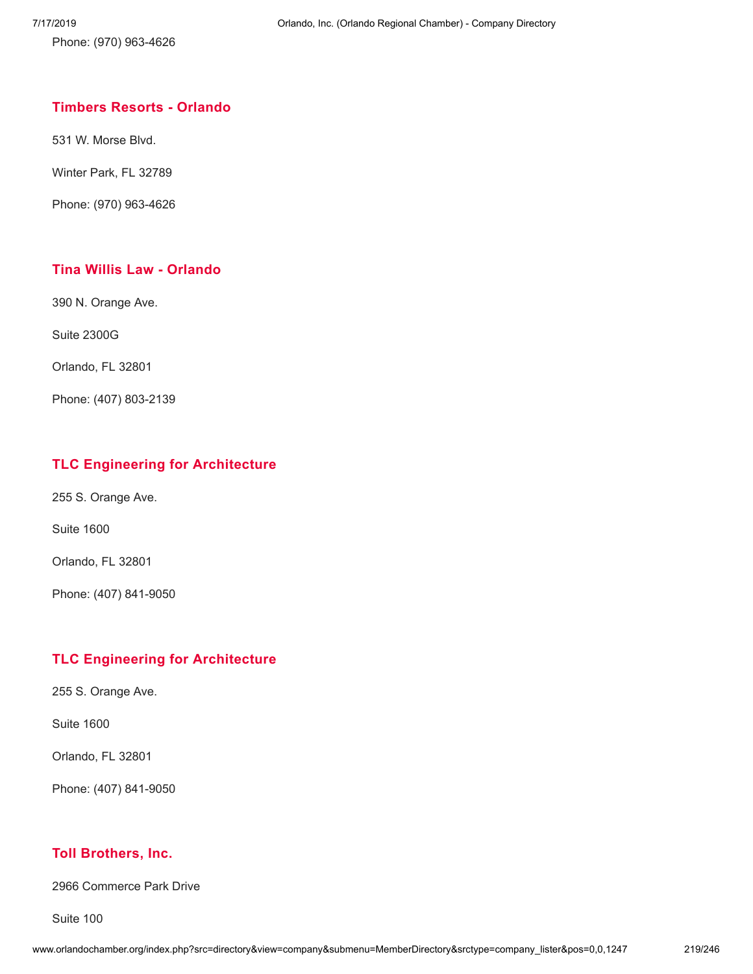Phone: (970) 963-4626

# **[Timbers](http://www.orlandochamber.org/index.php?src=directory&view=company&submenu=MemberDirectory&refno=2777806&srctype=company_detail) Resorts - Orlando**

531 W. Morse Blvd.

Winter Park, FL 32789

Phone: (970) 963-4626

# **Tina Willis Law - [Orlando](http://www.orlandochamber.org/index.php?src=directory&view=company&submenu=MemberDirectory&refno=2777807&srctype=company_detail)**

390 N. Orange Ave.

Suite 2300G

Orlando, FL 32801

Phone: (407) 803-2139

### **TLC Engineering for [Architecture](http://www.orlandochamber.org/index.php?src=directory&view=company&submenu=MemberDirectory&refno=2777808&srctype=company_detail)**

255 S. Orange Ave.

Suite 1600

Orlando, FL 32801

Phone: (407) 841-9050

## **TLC Engineering for [Architecture](http://www.orlandochamber.org/index.php?src=directory&view=company&submenu=MemberDirectory&refno=2777809&srctype=company_detail)**

255 S. Orange Ave.

Suite 1600

Orlando, FL 32801

Phone: (407) 841-9050

### **Toll [Brothers,](http://www.orlandochamber.org/index.php?src=directory&view=company&submenu=MemberDirectory&refno=2777810&srctype=company_detail) Inc.**

2966 Commerce Park Drive

Suite 100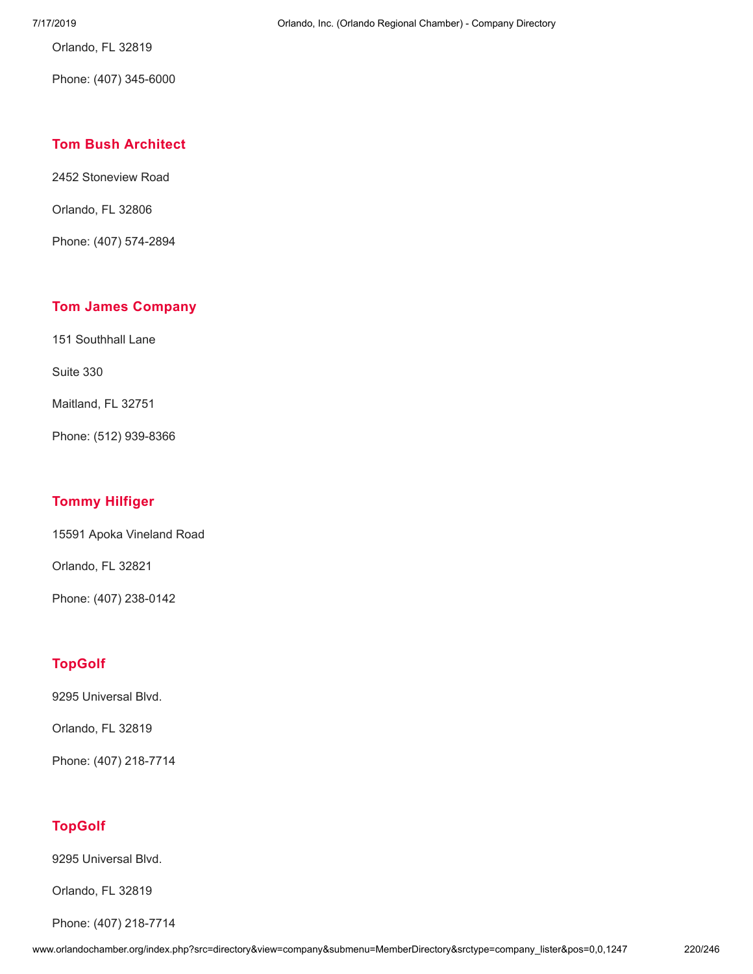Orlando, FL 32819

Phone: (407) 345-6000

## **Tom Bush [Architect](http://www.orlandochamber.org/index.php?src=directory&view=company&submenu=MemberDirectory&refno=2777811&srctype=company_detail)**

2452 Stoneview Road

Orlando, FL 32806

Phone: (407) 574-2894

### **Tom James [Company](http://www.orlandochamber.org/index.php?src=directory&view=company&submenu=MemberDirectory&refno=2777812&srctype=company_detail)**

151 Southhall Lane

Suite 330

Maitland, FL 32751

Phone: (512) 939-8366

## **Tommy [Hilfiger](http://www.orlandochamber.org/index.php?src=directory&view=company&submenu=MemberDirectory&refno=2777813&srctype=company_detail)**

15591 Apoka Vineland Road

Orlando, FL 32821

Phone: (407) 238-0142

## **[TopGolf](http://www.orlandochamber.org/index.php?src=directory&view=company&submenu=MemberDirectory&refno=2777814&srctype=company_detail)**

9295 Universal Blvd.

Orlando, FL 32819

Phone: (407) 218-7714

# **[TopGolf](http://www.orlandochamber.org/index.php?src=directory&view=company&submenu=MemberDirectory&refno=2777815&srctype=company_detail)**

9295 Universal Blvd.

Orlando, FL 32819

Phone: (407) 218-7714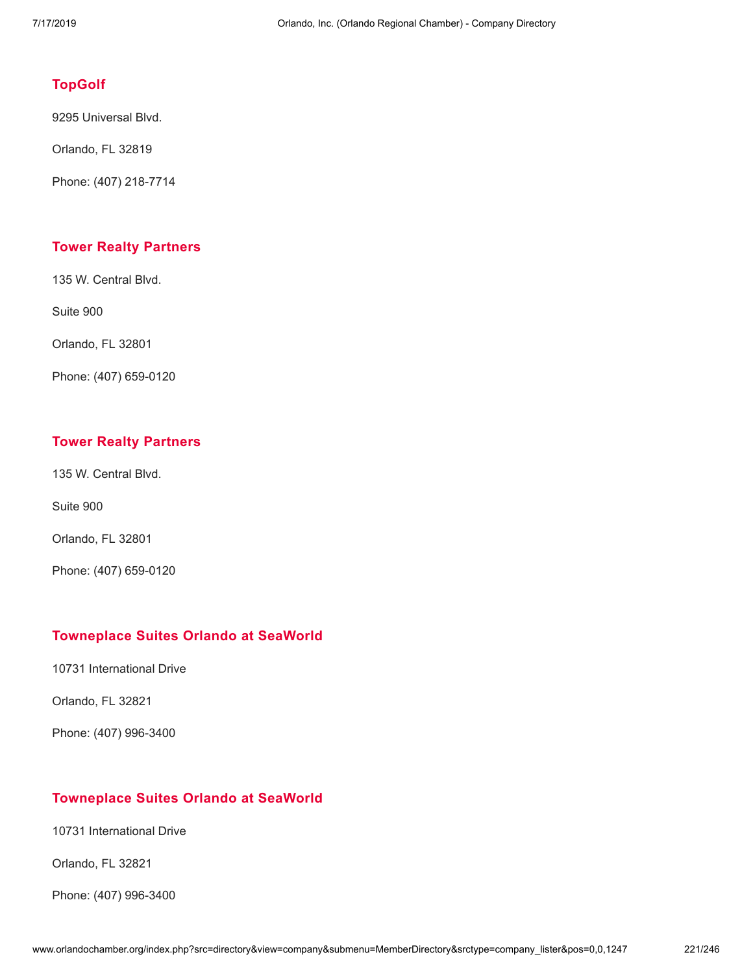### **[TopGolf](http://www.orlandochamber.org/index.php?src=directory&view=company&submenu=MemberDirectory&refno=2777816&srctype=company_detail)**

9295 Universal Blvd.

Orlando, FL 32819

Phone: (407) 218-7714

### **Tower Realty [Partners](http://www.orlandochamber.org/index.php?src=directory&view=company&submenu=MemberDirectory&refno=2777817&srctype=company_detail)**

135 W. Central Blvd.

Suite 900

Orlando, FL 32801

Phone: (407) 659-0120

#### **Tower Realty [Partners](http://www.orlandochamber.org/index.php?src=directory&view=company&submenu=MemberDirectory&refno=2777818&srctype=company_detail)**

135 W. Central Blvd.

Suite 900

Orlando, FL 32801

Phone: (407) 659-0120

#### **[Towneplace](http://www.orlandochamber.org/index.php?src=directory&view=company&submenu=MemberDirectory&refno=2777819&srctype=company_detail) Suites Orlando at SeaWorld**

10731 International Drive

Orlando, FL 32821

Phone: (407) 996-3400

#### **[Towneplace](http://www.orlandochamber.org/index.php?src=directory&view=company&submenu=MemberDirectory&refno=2777820&srctype=company_detail) Suites Orlando at SeaWorld**

10731 International Drive

Orlando, FL 32821

Phone: (407) 996-3400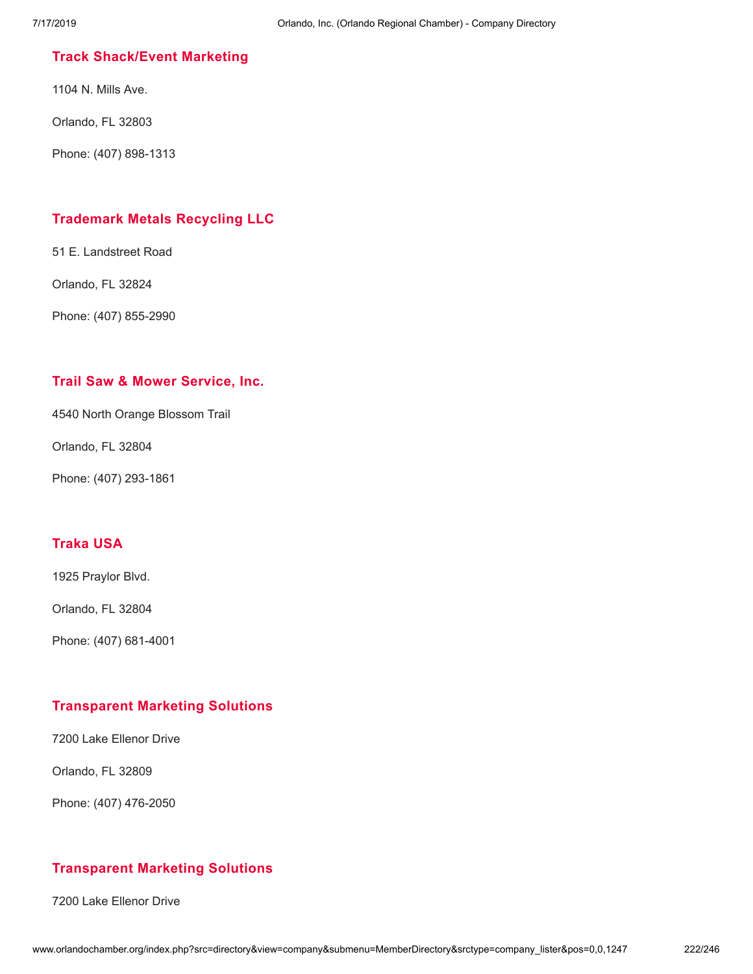## **Track [Shack/Event](http://www.orlandochamber.org/index.php?src=directory&view=company&submenu=MemberDirectory&refno=2777821&srctype=company_detail) Marketing**

1104 N. Mills Ave.

Orlando, FL 32803

Phone: (407) 898-1313

### **[Trademark](http://www.orlandochamber.org/index.php?src=directory&view=company&submenu=MemberDirectory&refno=2777822&srctype=company_detail) Metals Recycling LLC**

51 E. Landstreet Road

Orlando, FL 32824

Phone: (407) 855-2990

#### **Trail Saw & Mower [Service,](http://www.orlandochamber.org/index.php?src=directory&view=company&submenu=MemberDirectory&refno=2777823&srctype=company_detail) Inc.**

4540 North Orange Blossom Trail

Orlando, FL 32804

Phone: (407) 293-1861

# **[Traka](http://www.orlandochamber.org/index.php?src=directory&view=company&submenu=MemberDirectory&refno=2777824&srctype=company_detail) USA**

1925 Praylor Blvd.

Orlando, FL 32804

Phone: (407) 681-4001

#### **[Transparent](http://www.orlandochamber.org/index.php?src=directory&view=company&submenu=MemberDirectory&refno=2777825&srctype=company_detail) Marketing Solutions**

7200 Lake Ellenor Drive

Orlando, FL 32809

Phone: (407) 476-2050

## **[Transparent](http://www.orlandochamber.org/index.php?src=directory&view=company&submenu=MemberDirectory&refno=2777826&srctype=company_detail) Marketing Solutions**

7200 Lake Ellenor Drive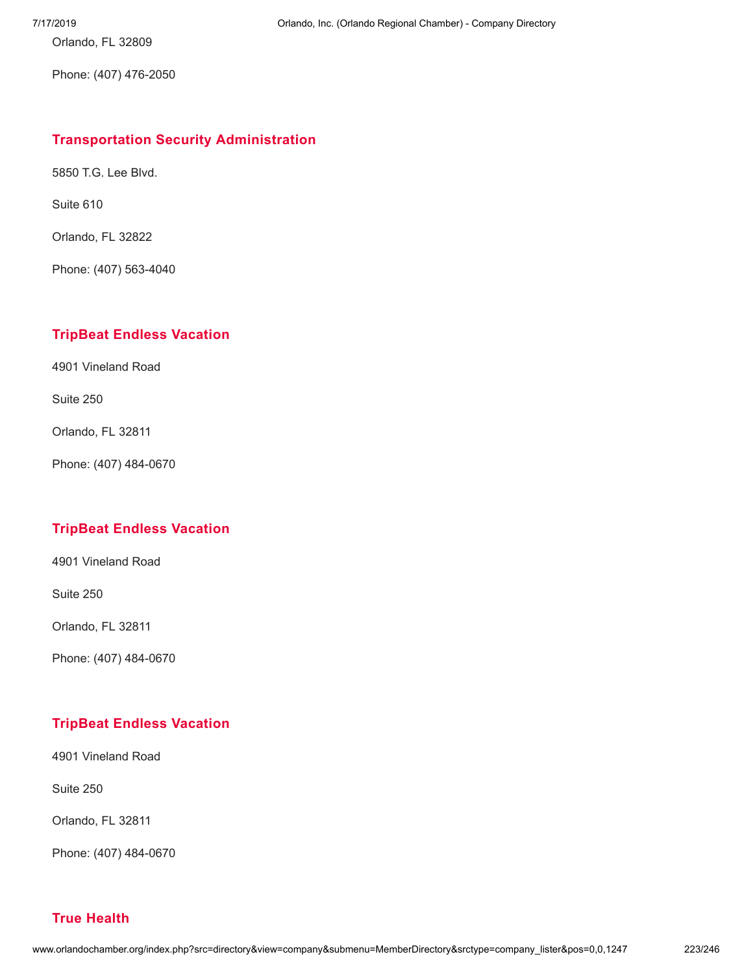Orlando, FL 32809

Phone: (407) 476-2050

### **Transportation Security [Administration](http://www.orlandochamber.org/index.php?src=directory&view=company&submenu=MemberDirectory&refno=2777827&srctype=company_detail)**

5850 T.G. Lee Blvd.

Suite 610

Orlando, FL 32822

Phone: (407) 563-4040

# **TripBeat Endless [Vacation](http://www.orlandochamber.org/index.php?src=directory&view=company&submenu=MemberDirectory&refno=2777828&srctype=company_detail)**

4901 Vineland Road

Suite 250

Orlando, FL 32811

Phone: (407) 484-0670

## **TripBeat Endless [Vacation](http://www.orlandochamber.org/index.php?src=directory&view=company&submenu=MemberDirectory&refno=2777829&srctype=company_detail)**

4901 Vineland Road

Suite 250

Orlando, FL 32811

Phone: (407) 484-0670

# **TripBeat Endless [Vacation](http://www.orlandochamber.org/index.php?src=directory&view=company&submenu=MemberDirectory&refno=2777830&srctype=company_detail)**

4901 Vineland Road

Suite 250

Orlando, FL 32811

Phone: (407) 484-0670

# **True [Health](http://www.orlandochamber.org/index.php?src=directory&view=company&submenu=MemberDirectory&refno=2777831&srctype=company_detail)**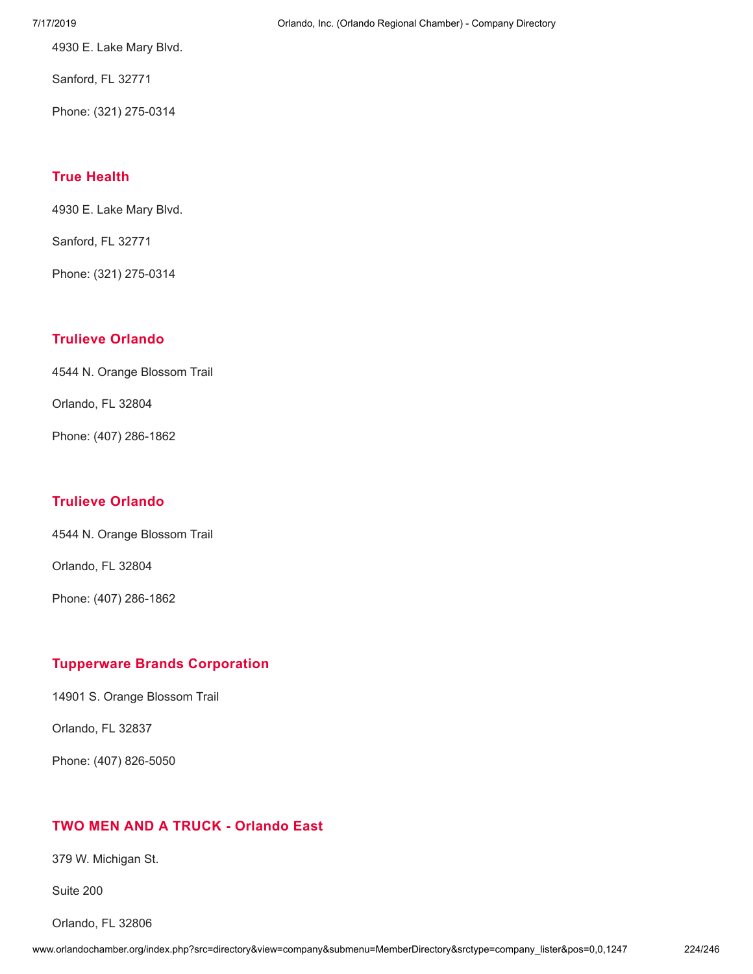7/17/2019 Orlando, Inc. (Orlando Regional Chamber) - Company Directory

4930 E. Lake Mary Blvd.

Sanford, FL 32771

Phone: (321) 275-0314

# **True [Health](http://www.orlandochamber.org/index.php?src=directory&view=company&submenu=MemberDirectory&refno=2777832&srctype=company_detail)**

4930 E. Lake Mary Blvd.

Sanford, FL 32771

Phone: (321) 275-0314

# **Trulieve [Orlando](http://www.orlandochamber.org/index.php?src=directory&view=company&submenu=MemberDirectory&refno=2777833&srctype=company_detail)**

4544 N. Orange Blossom Trail

Orlando, FL 32804

Phone: (407) 286-1862

# **Trulieve [Orlando](http://www.orlandochamber.org/index.php?src=directory&view=company&submenu=MemberDirectory&refno=2777834&srctype=company_detail)**

4544 N. Orange Blossom Trail

Orlando, FL 32804

Phone: (407) 286-1862

# **Tupperware Brands [Corporation](http://www.orlandochamber.org/index.php?src=directory&view=company&submenu=MemberDirectory&refno=2777835&srctype=company_detail)**

14901 S. Orange Blossom Trail

Orlando, FL 32837

Phone: (407) 826-5050

# **TWO MEN AND A TRUCK - [Orlando](http://www.orlandochamber.org/index.php?src=directory&view=company&submenu=MemberDirectory&refno=2777836&srctype=company_detail) East**

379 W. Michigan St.

Suite 200

Orlando, FL 32806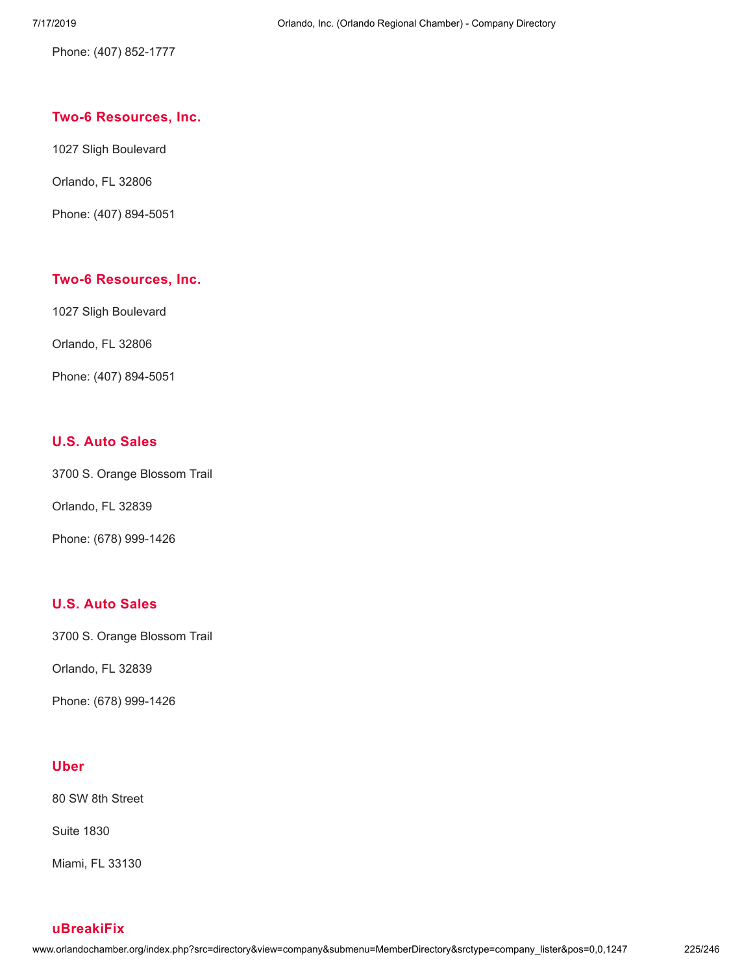Phone: (407) 852-1777

#### **Two-6 [Resources,](http://www.orlandochamber.org/index.php?src=directory&view=company&submenu=MemberDirectory&refno=2777837&srctype=company_detail) Inc.**

1027 Sligh Boulevard

Orlando, FL 32806

Phone: (407) 894-5051

### **Two-6 [Resources,](http://www.orlandochamber.org/index.php?src=directory&view=company&submenu=MemberDirectory&refno=2777838&srctype=company_detail) Inc.**

1027 Sligh Boulevard

Orlando, FL 32806

Phone: (407) 894-5051

#### **U.S. Auto [Sales](http://www.orlandochamber.org/index.php?src=directory&view=company&submenu=MemberDirectory&refno=2777839&srctype=company_detail)**

3700 S. Orange Blossom Trail

Orlando, FL 32839

Phone: (678) 999-1426

### **U.S. Auto [Sales](http://www.orlandochamber.org/index.php?src=directory&view=company&submenu=MemberDirectory&refno=2777840&srctype=company_detail)**

3700 S. Orange Blossom Trail

Orlando, FL 32839

Phone: (678) 999-1426

#### **[Uber](http://www.orlandochamber.org/index.php?src=directory&view=company&submenu=MemberDirectory&refno=2777841&srctype=company_detail)**

80 SW 8th Street

Suite 1830

Miami, FL 33130

**[uBreakiFix](http://www.orlandochamber.org/index.php?src=directory&view=company&submenu=MemberDirectory&refno=2777842&srctype=company_detail)**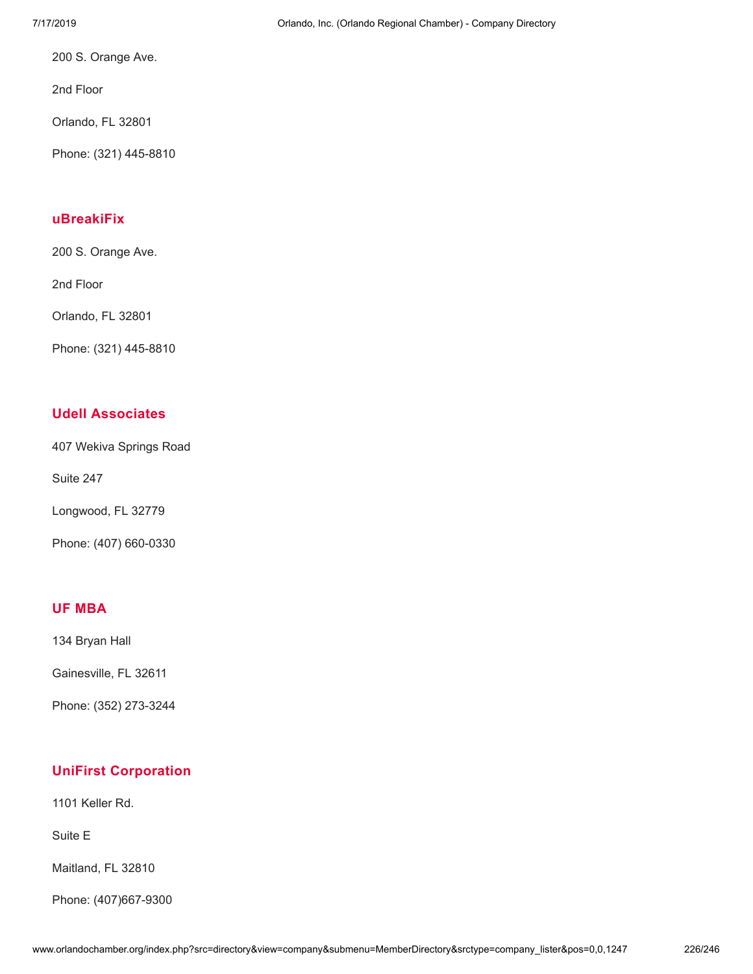200 S. Orange Ave.

2nd Floor

Orlando, FL 32801

Phone: (321) 445-8810

### **[uBreakiFix](http://www.orlandochamber.org/index.php?src=directory&view=company&submenu=MemberDirectory&refno=2777843&srctype=company_detail)**

200 S. Orange Ave.

2nd Floor

Orlando, FL 32801

Phone: (321) 445-8810

### **Udell [Associates](http://www.orlandochamber.org/index.php?src=directory&view=company&submenu=MemberDirectory&refno=2777844&srctype=company_detail)**

407 Wekiva Springs Road

Suite 247

Longwood, FL 32779

Phone: (407) 660-0330

### **UF [MBA](http://www.orlandochamber.org/index.php?src=directory&view=company&submenu=MemberDirectory&refno=2777845&srctype=company_detail)**

134 Bryan Hall

Gainesville, FL 32611

Phone: (352) 273-3244

# **UniFirst [Corporation](http://www.orlandochamber.org/index.php?src=directory&view=company&submenu=MemberDirectory&refno=2777846&srctype=company_detail)**

1101 Keller Rd.

Suite E

Maitland, FL 32810

Phone: (407)667-9300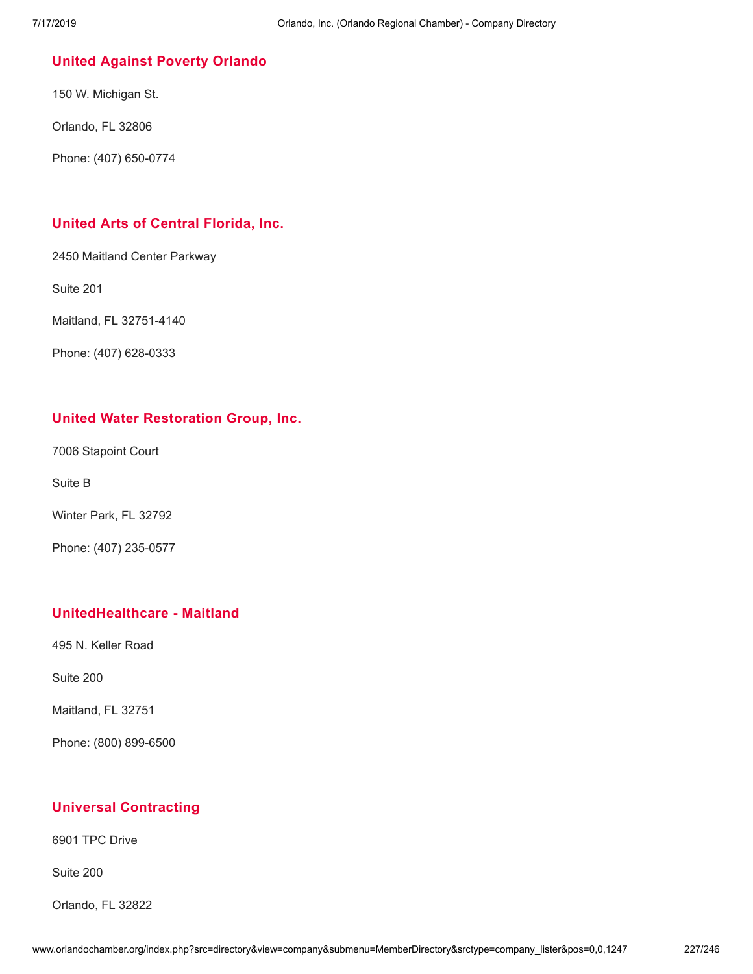### **United Against Poverty [Orlando](http://www.orlandochamber.org/index.php?src=directory&view=company&submenu=MemberDirectory&refno=2777847&srctype=company_detail)**

150 W. Michigan St.

Orlando, FL 32806

Phone: (407) 650-0774

### **United Arts of Central [Florida,](http://www.orlandochamber.org/index.php?src=directory&view=company&submenu=MemberDirectory&refno=2777848&srctype=company_detail) Inc.**

2450 Maitland Center Parkway

Suite 201

Maitland, FL 32751-4140

Phone: (407) 628-0333

### **United Water [Restoration](http://www.orlandochamber.org/index.php?src=directory&view=company&submenu=MemberDirectory&refno=2777849&srctype=company_detail) Group, Inc.**

7006 Stapoint Court

Suite B

Winter Park, FL 32792

Phone: (407) 235-0577

### **[UnitedHealthcare](http://www.orlandochamber.org/index.php?src=directory&view=company&submenu=MemberDirectory&refno=2777850&srctype=company_detail) - Maitland**

495 N. Keller Road

Suite 200

Maitland, FL 32751

Phone: (800) 899-6500

## **Universal [Contracting](http://www.orlandochamber.org/index.php?src=directory&view=company&submenu=MemberDirectory&refno=2777851&srctype=company_detail)**

6901 TPC Drive

Suite 200

Orlando, FL 32822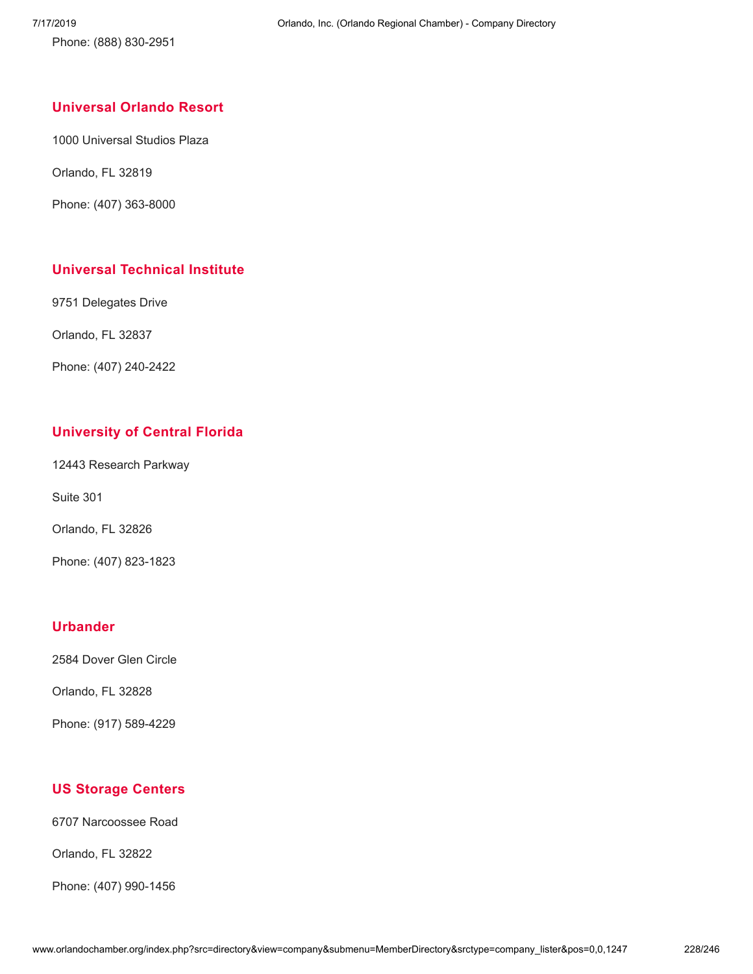Phone: (888) 830-2951

### **[Universal](http://www.orlandochamber.org/index.php?src=directory&view=company&submenu=MemberDirectory&refno=2777852&srctype=company_detail) Orlando Resort**

1000 Universal Studios Plaza

Orlando, FL 32819

Phone: (407) 363-8000

## **Universal [Technical](http://www.orlandochamber.org/index.php?src=directory&view=company&submenu=MemberDirectory&refno=2777853&srctype=company_detail) Institute**

9751 Delegates Drive

Orlando, FL 32837

Phone: (407) 240-2422

## **[University](http://www.orlandochamber.org/index.php?src=directory&view=company&submenu=MemberDirectory&refno=2777854&srctype=company_detail) of Central Florida**

12443 Research Parkway

Suite 301

Orlando, FL 32826

Phone: (407) 823-1823

#### **[Urbander](http://www.orlandochamber.org/index.php?src=directory&view=company&submenu=MemberDirectory&refno=2777855&srctype=company_detail)**

2584 Dover Glen Circle

Orlando, FL 32828

Phone: (917) 589-4229

## **US [Storage](http://www.orlandochamber.org/index.php?src=directory&view=company&submenu=MemberDirectory&refno=2777857&srctype=company_detail) Centers**

6707 Narcoossee Road

Orlando, FL 32822

Phone: (407) 990-1456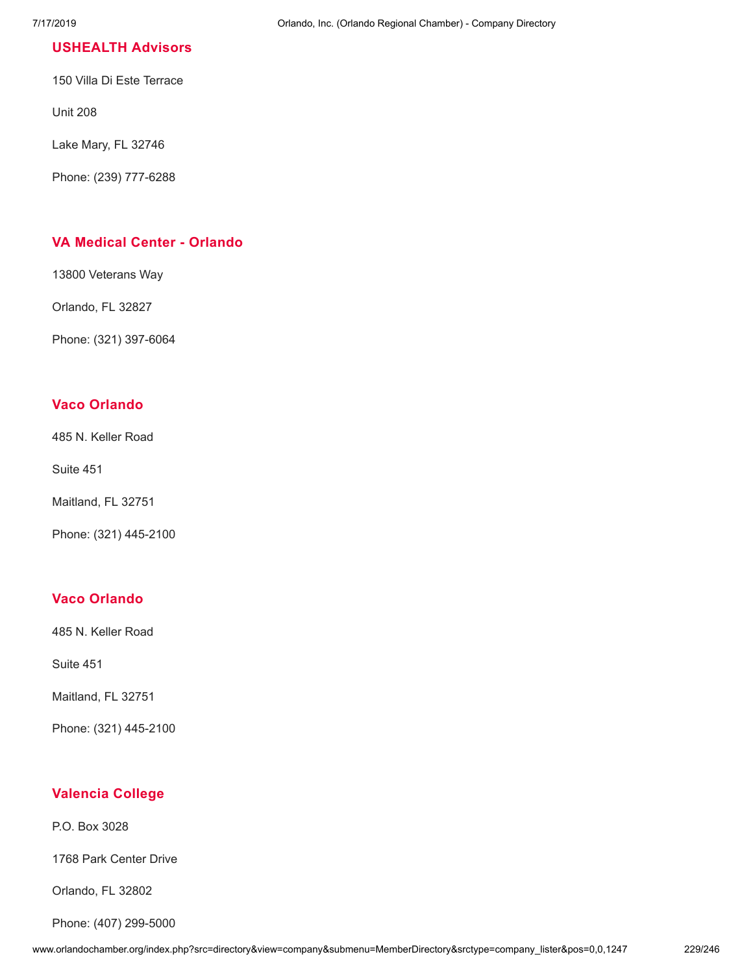### **[USHEALTH](http://www.orlandochamber.org/index.php?src=directory&view=company&submenu=MemberDirectory&refno=2777856&srctype=company_detail) Advisors**

150 Villa Di Este Terrace

Unit 208

Lake Mary, FL 32746

Phone: (239) 777-6288

### **VA Medical Center - [Orlando](http://www.orlandochamber.org/index.php?src=directory&view=company&submenu=MemberDirectory&refno=2777858&srctype=company_detail)**

13800 Veterans Way

Orlando, FL 32827

Phone: (321) 397-6064

### **Vaco [Orlando](http://www.orlandochamber.org/index.php?src=directory&view=company&submenu=MemberDirectory&refno=2777859&srctype=company_detail)**

485 N. Keller Road

Suite 451

Maitland, FL 32751

Phone: (321) 445-2100

#### **Vaco [Orlando](http://www.orlandochamber.org/index.php?src=directory&view=company&submenu=MemberDirectory&refno=2777860&srctype=company_detail)**

485 N. Keller Road

Suite 451

Maitland, FL 32751

Phone: (321) 445-2100

## **[Valencia](http://www.orlandochamber.org/index.php?src=directory&view=company&submenu=MemberDirectory&refno=2777861&srctype=company_detail) College**

P.O. Box 3028

1768 Park Center Drive

Orlando, FL 32802

Phone: (407) 299-5000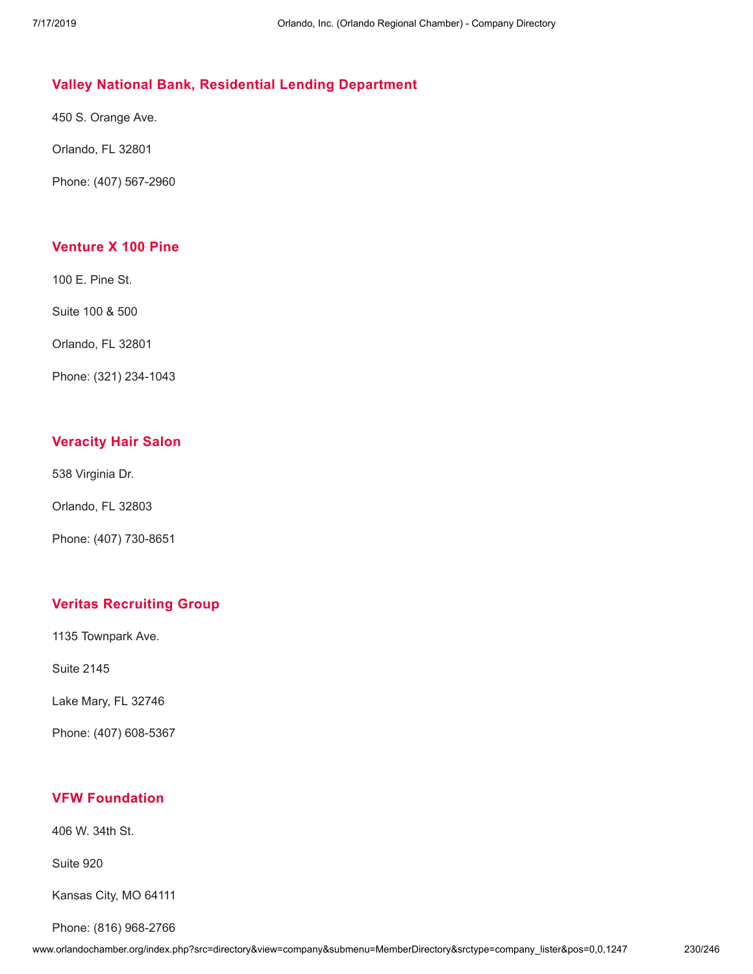# **Valley National Bank, Residential Lending [Department](http://www.orlandochamber.org/index.php?src=directory&view=company&submenu=MemberDirectory&refno=2777862&srctype=company_detail)**

450 S. Orange Ave.

Orlando, FL 32801

Phone: (407) 567-2960

## **[Venture](http://www.orlandochamber.org/index.php?src=directory&view=company&submenu=MemberDirectory&refno=2777863&srctype=company_detail) X 100 Pine**

100 E. Pine St.

Suite 100 & 500

Orlando, FL 32801

Phone: (321) 234-1043

# **[Veracity](http://www.orlandochamber.org/index.php?src=directory&view=company&submenu=MemberDirectory&refno=2777864&srctype=company_detail) Hair Salon**

538 Virginia Dr.

Orlando, FL 32803

Phone: (407) 730-8651

# **Veritas [Recruiting](http://www.orlandochamber.org/index.php?src=directory&view=company&submenu=MemberDirectory&refno=2777865&srctype=company_detail) Group**

1135 Townpark Ave.

Suite 2145

Lake Mary, FL 32746

Phone: (407) 608-5367

## **VFW [Foundation](http://www.orlandochamber.org/index.php?src=directory&view=company&submenu=MemberDirectory&refno=2777866&srctype=company_detail)**

406 W. 34th St.

Suite 920

Kansas City, MO 64111

Phone: (816) 968-2766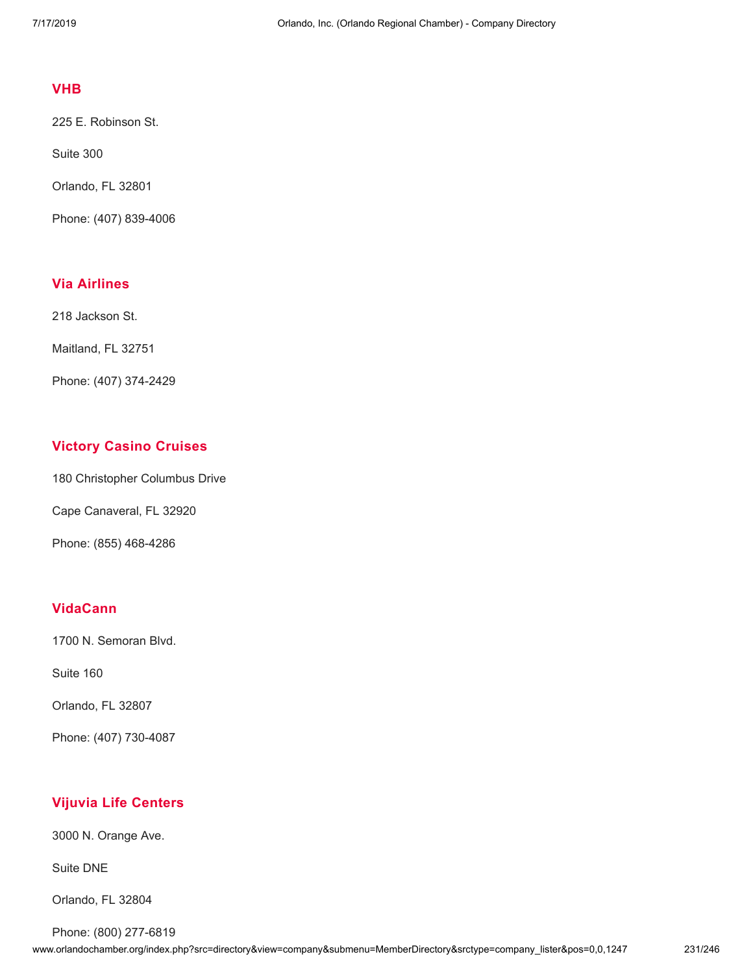#### **[VHB](http://www.orlandochamber.org/index.php?src=directory&view=company&submenu=MemberDirectory&refno=2777867&srctype=company_detail)**

225 E. Robinson St.

Suite 300

Orlando, FL 32801

Phone: (407) 839-4006

# **Via [Airlines](http://www.orlandochamber.org/index.php?src=directory&view=company&submenu=MemberDirectory&refno=2777868&srctype=company_detail)**

218 Jackson St.

Maitland, FL 32751

Phone: (407) 374-2429

# **Victory Casino [Cruises](http://www.orlandochamber.org/index.php?src=directory&view=company&submenu=MemberDirectory&refno=2777869&srctype=company_detail)**

180 Christopher Columbus Drive

Cape Canaveral, FL 32920

Phone: (855) 468-4286

### **[VidaCann](http://www.orlandochamber.org/index.php?src=directory&view=company&submenu=MemberDirectory&refno=2777870&srctype=company_detail)**

1700 N. Semoran Blvd.

Suite 160

Orlando, FL 32807

Phone: (407) 730-4087

## **Vijuvia Life [Centers](http://www.orlandochamber.org/index.php?src=directory&view=company&submenu=MemberDirectory&refno=2777871&srctype=company_detail)**

3000 N. Orange Ave.

Suite DNE

Orlando, FL 32804

Phone: (800) 277-6819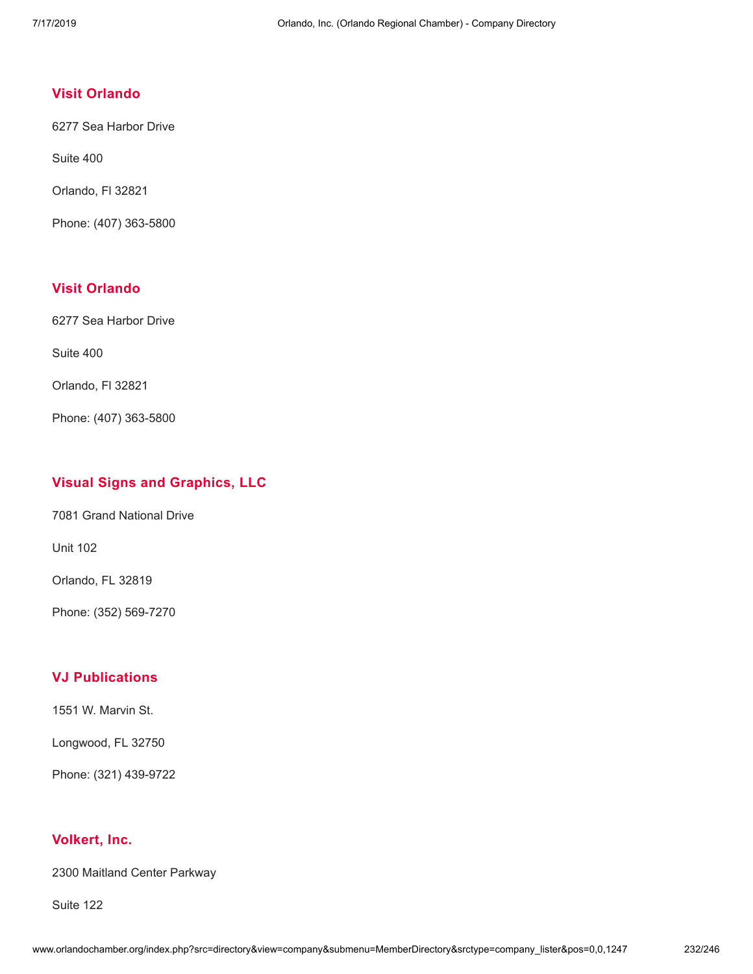## **Visit [Orlando](http://www.orlandochamber.org/index.php?src=directory&view=company&submenu=MemberDirectory&refno=2777872&srctype=company_detail)**

6277 Sea Harbor Drive

Suite 400

Orlando, Fl 32821

Phone: (407) 363-5800

## **Visit [Orlando](http://www.orlandochamber.org/index.php?src=directory&view=company&submenu=MemberDirectory&refno=2777873&srctype=company_detail)**

6277 Sea Harbor Drive

Suite 400

Orlando, Fl 32821

Phone: (407) 363-5800

# **Visual Signs and [Graphics,](http://www.orlandochamber.org/index.php?src=directory&view=company&submenu=MemberDirectory&refno=2777874&srctype=company_detail) LLC**

7081 Grand National Drive

Unit 102

Orlando, FL 32819

Phone: (352) 569-7270

### **VJ [Publications](http://www.orlandochamber.org/index.php?src=directory&view=company&submenu=MemberDirectory&refno=2777875&srctype=company_detail)**

1551 W. Marvin St.

Longwood, FL 32750

Phone: (321) 439-9722

#### **[Volkert,](http://www.orlandochamber.org/index.php?src=directory&view=company&submenu=MemberDirectory&refno=2777876&srctype=company_detail) Inc.**

2300 Maitland Center Parkway

Suite 122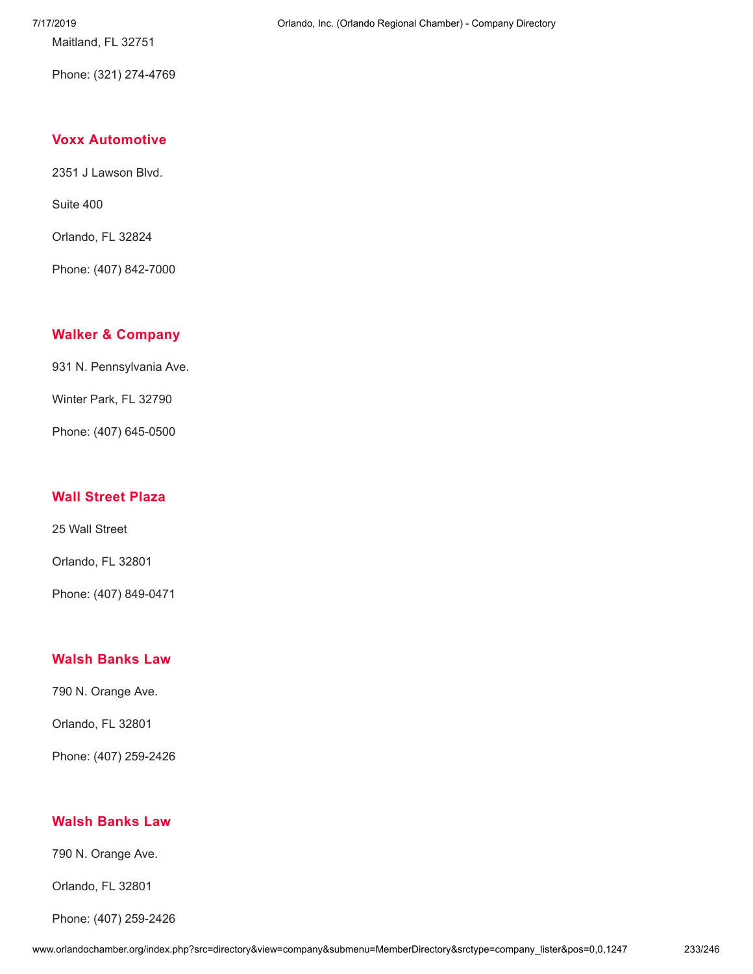7/17/2019 Orlando, Inc. (Orlando Regional Chamber) - Company Directory

Phone: (321) 274-4769

Maitland, FL 32751

#### **Voxx [Automotive](http://www.orlandochamber.org/index.php?src=directory&view=company&submenu=MemberDirectory&refno=2777877&srctype=company_detail)**

2351 J Lawson Blvd.

Suite 400

Orlando, FL 32824

Phone: (407) 842-7000

#### **Walker & [Company](http://www.orlandochamber.org/index.php?src=directory&view=company&submenu=MemberDirectory&refno=2777878&srctype=company_detail)**

931 N. Pennsylvania Ave.

Winter Park, FL 32790

Phone: (407) 645-0500

#### **Wall [Street](http://www.orlandochamber.org/index.php?src=directory&view=company&submenu=MemberDirectory&refno=2777879&srctype=company_detail) Plaza**

25 Wall Street

Orlando, FL 32801

Phone: (407) 849-0471

#### **Walsh [Banks](http://www.orlandochamber.org/index.php?src=directory&view=company&submenu=MemberDirectory&refno=2777880&srctype=company_detail) Law**

790 N. Orange Ave.

Orlando, FL 32801

Phone: (407) 259-2426

#### **Walsh [Banks](http://www.orlandochamber.org/index.php?src=directory&view=company&submenu=MemberDirectory&refno=2777881&srctype=company_detail) Law**

790 N. Orange Ave.

Orlando, FL 32801

Phone: (407) 259-2426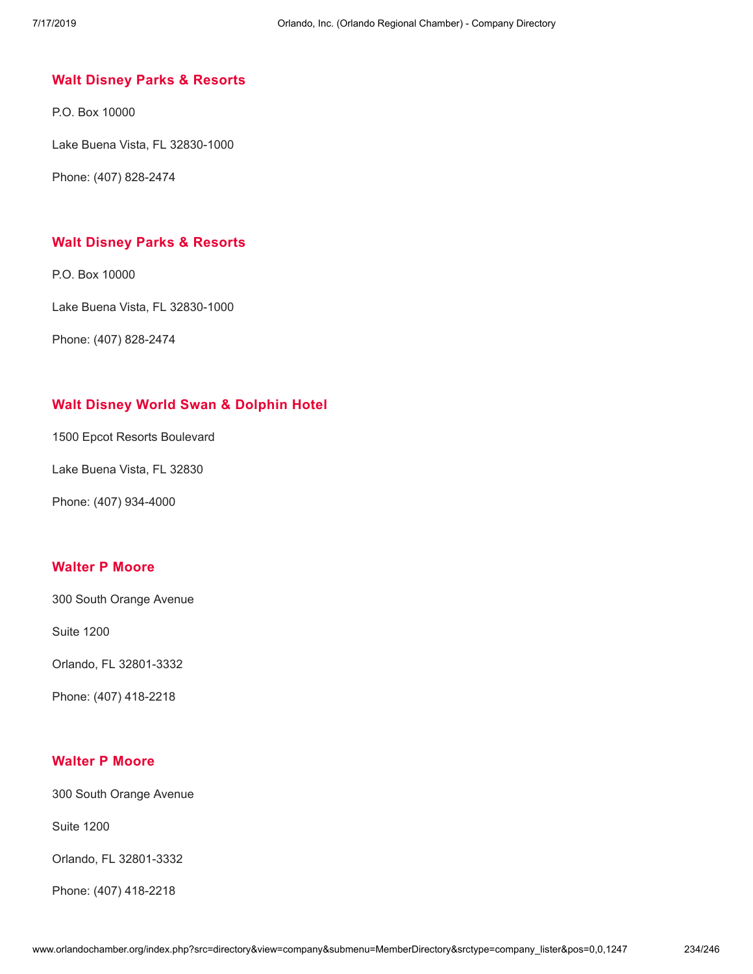## **Walt Disney Parks & [Resorts](http://www.orlandochamber.org/index.php?src=directory&view=company&submenu=MemberDirectory&refno=2777882&srctype=company_detail)**

P.O. Box 10000

Lake Buena Vista, FL 32830-1000

Phone: (407) 828-2474

### **Walt Disney Parks & [Resorts](http://www.orlandochamber.org/index.php?src=directory&view=company&submenu=MemberDirectory&refno=2777883&srctype=company_detail)**

P.O. Box 10000

Lake Buena Vista, FL 32830-1000

Phone: (407) 828-2474

## **Walt Disney World Swan & [Dolphin](http://www.orlandochamber.org/index.php?src=directory&view=company&submenu=MemberDirectory&refno=2777884&srctype=company_detail) Hotel**

1500 Epcot Resorts Boulevard

Lake Buena Vista, FL 32830

Phone: (407) 934-4000

#### **[Walter](http://www.orlandochamber.org/index.php?src=directory&view=company&submenu=MemberDirectory&refno=2777885&srctype=company_detail) P Moore**

300 South Orange Avenue

Suite 1200

Orlando, FL 32801-3332

Phone: (407) 418-2218

### **[Walter](http://www.orlandochamber.org/index.php?src=directory&view=company&submenu=MemberDirectory&refno=2777886&srctype=company_detail) P Moore**

300 South Orange Avenue

Suite 1200

Orlando, FL 32801-3332

Phone: (407) 418-2218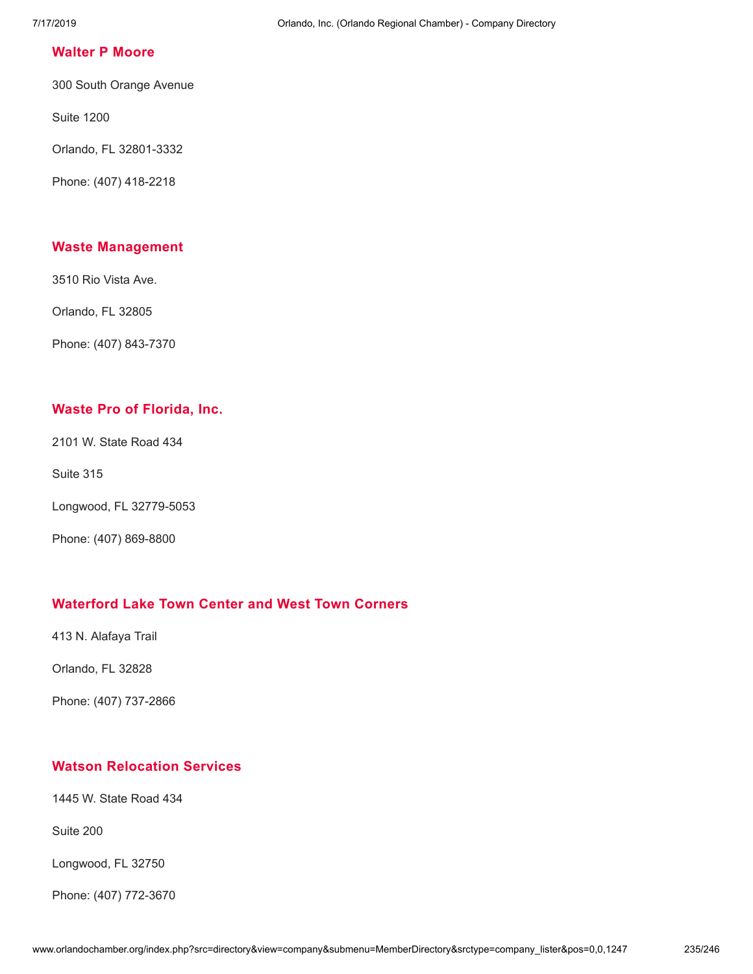#### **[Walter](http://www.orlandochamber.org/index.php?src=directory&view=company&submenu=MemberDirectory&refno=2777887&srctype=company_detail) P Moore**

300 South Orange Avenue

Suite 1200

Orlando, FL 32801-3332

Phone: (407) 418-2218

### **Waste [Management](http://www.orlandochamber.org/index.php?src=directory&view=company&submenu=MemberDirectory&refno=2777888&srctype=company_detail)**

3510 Rio Vista Ave.

Orlando, FL 32805

Phone: (407) 843-7370

## **Waste Pro of [Florida,](http://www.orlandochamber.org/index.php?src=directory&view=company&submenu=MemberDirectory&refno=2777889&srctype=company_detail) Inc.**

2101 W. State Road 434

Suite 315

Longwood, FL 32779-5053

Phone: (407) 869-8800

# **[Waterford](http://www.orlandochamber.org/index.php?src=directory&view=company&submenu=MemberDirectory&refno=2777890&srctype=company_detail) Lake Town Center and West Town Corners**

413 N. Alafaya Trail

Orlando, FL 32828

Phone: (407) 737-2866

# **Watson [Relocation](http://www.orlandochamber.org/index.php?src=directory&view=company&submenu=MemberDirectory&refno=2777891&srctype=company_detail) Services**

1445 W. State Road 434

Suite 200

Longwood, FL 32750

Phone: (407) 772-3670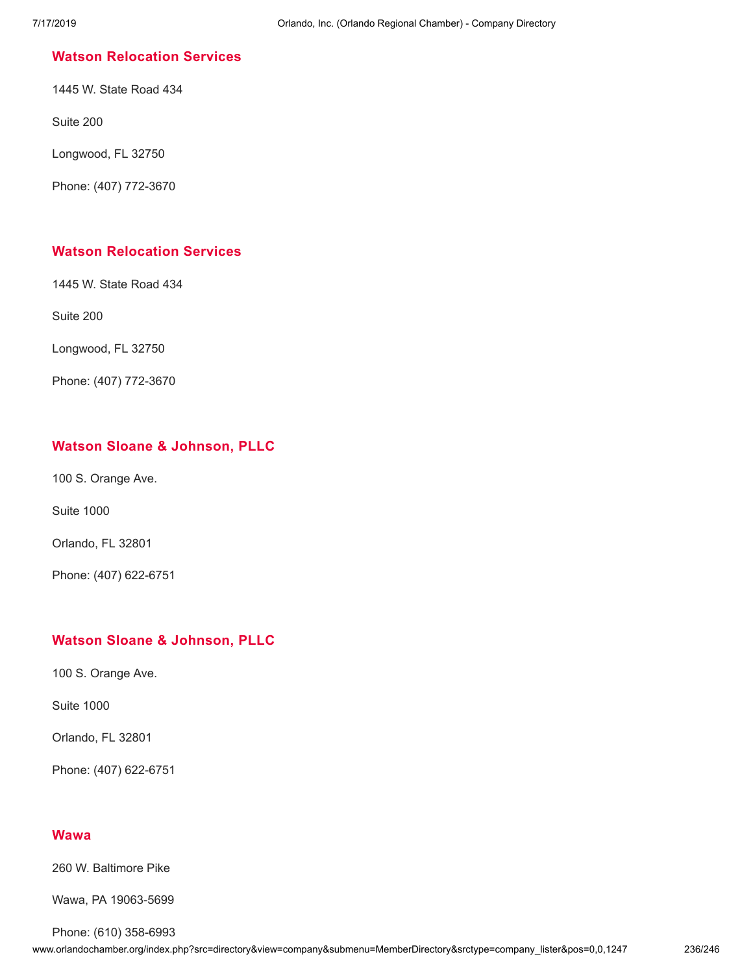### **Watson [Relocation](http://www.orlandochamber.org/index.php?src=directory&view=company&submenu=MemberDirectory&refno=2777892&srctype=company_detail) Services**

1445 W. State Road 434

Suite 200

Longwood, FL 32750

Phone: (407) 772-3670

### **Watson [Relocation](http://www.orlandochamber.org/index.php?src=directory&view=company&submenu=MemberDirectory&refno=2777893&srctype=company_detail) Services**

1445 W. State Road 434

Suite 200

Longwood, FL 32750

Phone: (407) 772-3670

### **Watson Sloane & [Johnson,](http://www.orlandochamber.org/index.php?src=directory&view=company&submenu=MemberDirectory&refno=2777894&srctype=company_detail) PLLC**

100 S. Orange Ave.

Suite 1000

Orlando, FL 32801

Phone: (407) 622-6751

### **Watson Sloane & [Johnson,](http://www.orlandochamber.org/index.php?src=directory&view=company&submenu=MemberDirectory&refno=2777895&srctype=company_detail) PLLC**

100 S. Orange Ave.

Suite 1000

Orlando, FL 32801

Phone: (407) 622-6751

### **[Wawa](http://www.orlandochamber.org/index.php?src=directory&view=company&submenu=MemberDirectory&refno=2777896&srctype=company_detail)**

260 W. Baltimore Pike

Wawa, PA 19063-5699

Phone: (610) 358-6993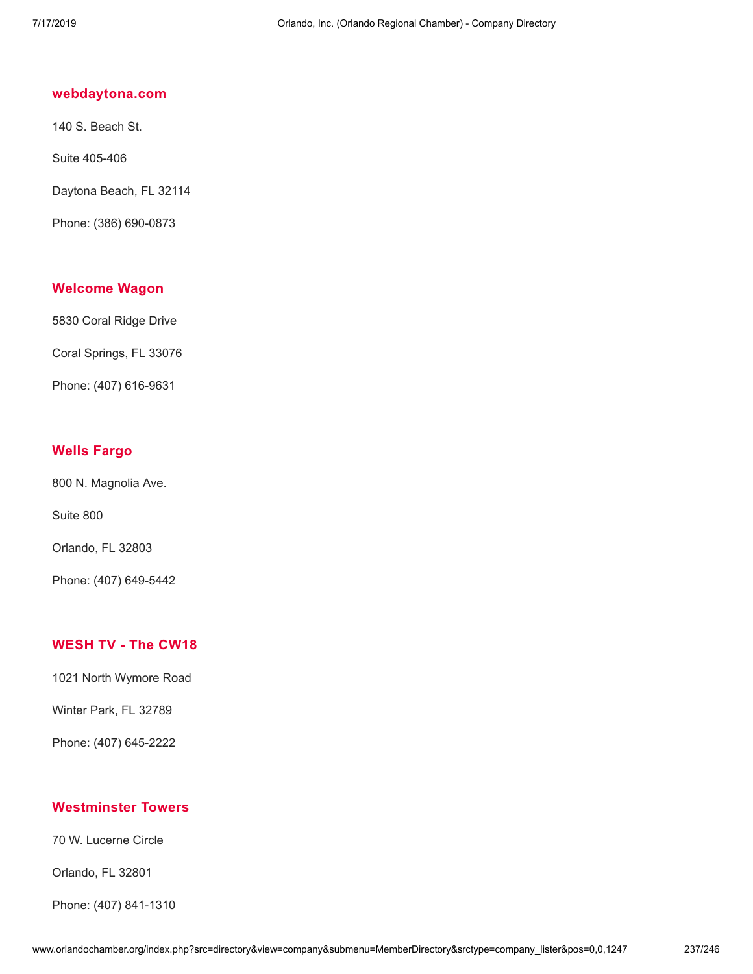### **[webdaytona.com](http://www.orlandochamber.org/index.php?src=directory&view=company&submenu=MemberDirectory&refno=2777897&srctype=company_detail)**

140 S. Beach St.

Suite 405-406

Daytona Beach, FL 32114

Phone: (386) 690-0873

#### **[Welcome](http://www.orlandochamber.org/index.php?src=directory&view=company&submenu=MemberDirectory&refno=2777898&srctype=company_detail) Wagon**

5830 Coral Ridge Drive

Coral Springs, FL 33076

Phone: (407) 616-9631

## **Wells [Fargo](http://www.orlandochamber.org/index.php?src=directory&view=company&submenu=MemberDirectory&refno=2777899&srctype=company_detail)**

800 N. Magnolia Ave.

Suite 800

Orlando, FL 32803

Phone: (407) 649-5442

## **[WESH](http://www.orlandochamber.org/index.php?src=directory&view=company&submenu=MemberDirectory&refno=2777900&srctype=company_detail) TV - The CW18**

1021 North Wymore Road

Winter Park, FL 32789

Phone: (407) 645-2222

## **[Westminster](http://www.orlandochamber.org/index.php?src=directory&view=company&submenu=MemberDirectory&refno=2777901&srctype=company_detail) Towers**

70 W. Lucerne Circle

Orlando, FL 32801

Phone: (407) 841-1310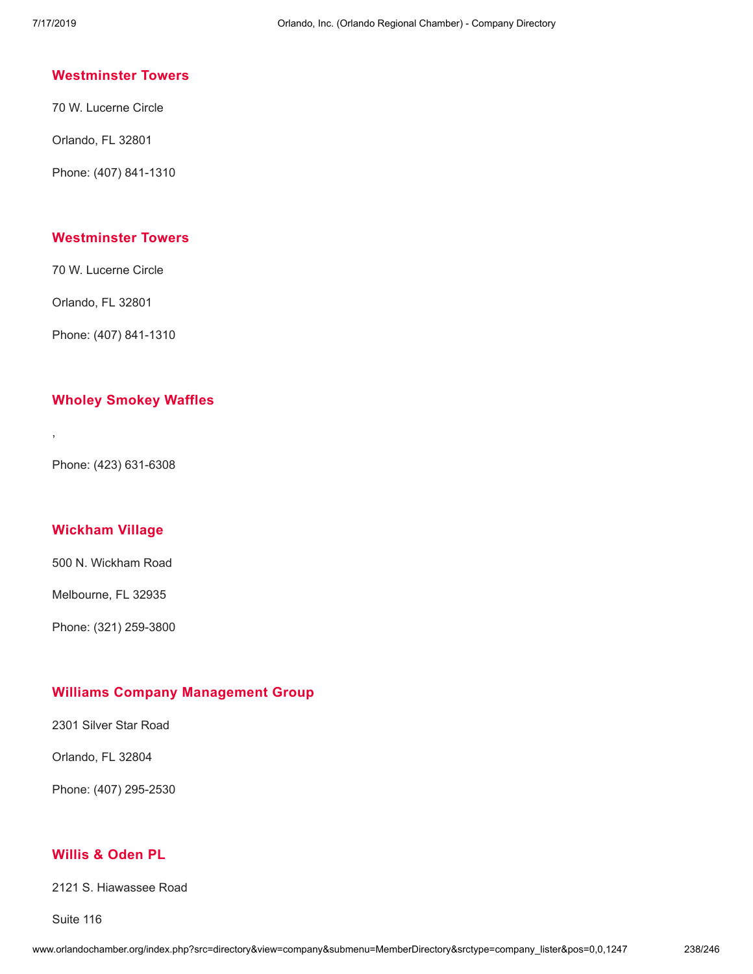#### **[Westminster](http://www.orlandochamber.org/index.php?src=directory&view=company&submenu=MemberDirectory&refno=2777902&srctype=company_detail) Towers**

70 W. Lucerne Circle

Orlando, FL 32801

Phone: (407) 841-1310

### **[Westminster](http://www.orlandochamber.org/index.php?src=directory&view=company&submenu=MemberDirectory&refno=2777903&srctype=company_detail) Towers**

70 W. Lucerne Circle

Orlando, FL 32801

Phone: (407) 841-1310

#### **Wholey [Smokey](http://www.orlandochamber.org/index.php?src=directory&view=company&submenu=MemberDirectory&refno=2777904&srctype=company_detail) Waffles**

Phone: (423) 631-6308

,

### **[Wickham](http://www.orlandochamber.org/index.php?src=directory&view=company&submenu=MemberDirectory&refno=2777905&srctype=company_detail) Village**

500 N. Wickham Road

Melbourne, FL 32935

Phone: (321) 259-3800

### **Williams Company [Management](http://www.orlandochamber.org/index.php?src=directory&view=company&submenu=MemberDirectory&refno=2777906&srctype=company_detail) Group**

2301 Silver Star Road

Orlando, FL 32804

Phone: (407) 295-2530

# **[Willis](http://www.orlandochamber.org/index.php?src=directory&view=company&submenu=MemberDirectory&refno=2777907&srctype=company_detail) & Oden PL**

2121 S. Hiawassee Road

Suite 116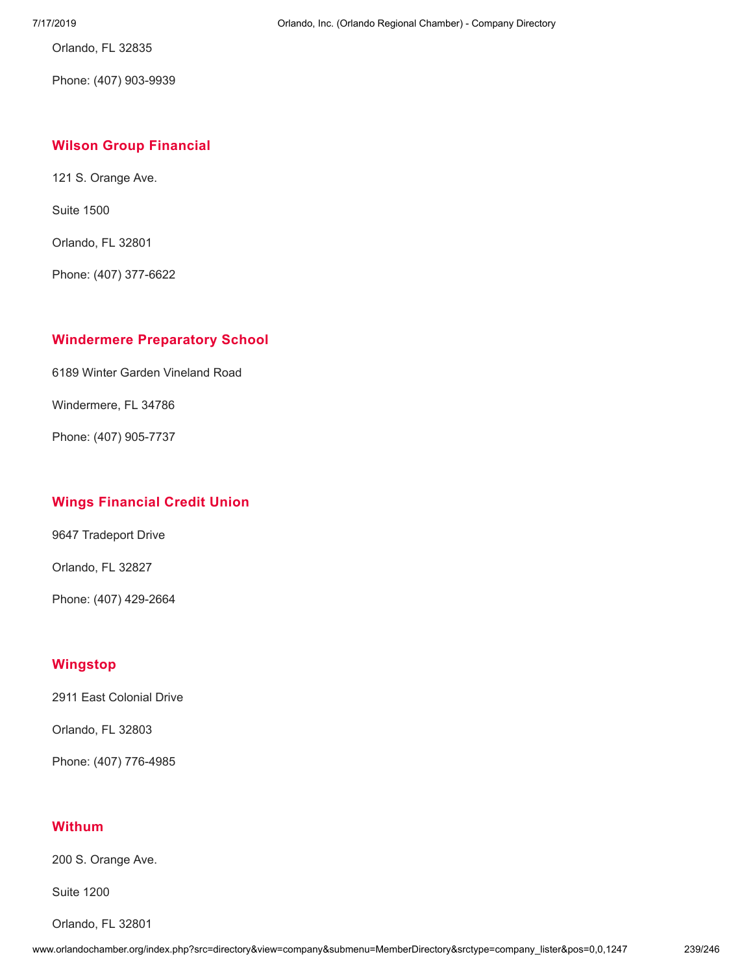Orlando, FL 32835

Phone: (407) 903-9939

## **Wilson Group [Financial](http://www.orlandochamber.org/index.php?src=directory&view=company&submenu=MemberDirectory&refno=2777908&srctype=company_detail)**

121 S. Orange Ave.

Suite 1500

Orlando, FL 32801

Phone: (407) 377-6622

### **[Windermere](http://www.orlandochamber.org/index.php?src=directory&view=company&submenu=MemberDirectory&refno=2777909&srctype=company_detail) Preparatory School**

6189 Winter Garden Vineland Road

Windermere, FL 34786

Phone: (407) 905-7737

## **Wings [Financial](http://www.orlandochamber.org/index.php?src=directory&view=company&submenu=MemberDirectory&refno=2777910&srctype=company_detail) Credit Union**

9647 Tradeport Drive

Orlando, FL 32827

Phone: (407) 429-2664

## **[Wingstop](http://www.orlandochamber.org/index.php?src=directory&view=company&submenu=MemberDirectory&refno=2777911&srctype=company_detail)**

2911 East Colonial Drive

Orlando, FL 32803

Phone: (407) 776-4985

## **[Withum](http://www.orlandochamber.org/index.php?src=directory&view=company&submenu=MemberDirectory&refno=2777912&srctype=company_detail)**

200 S. Orange Ave.

Suite 1200

Orlando, FL 32801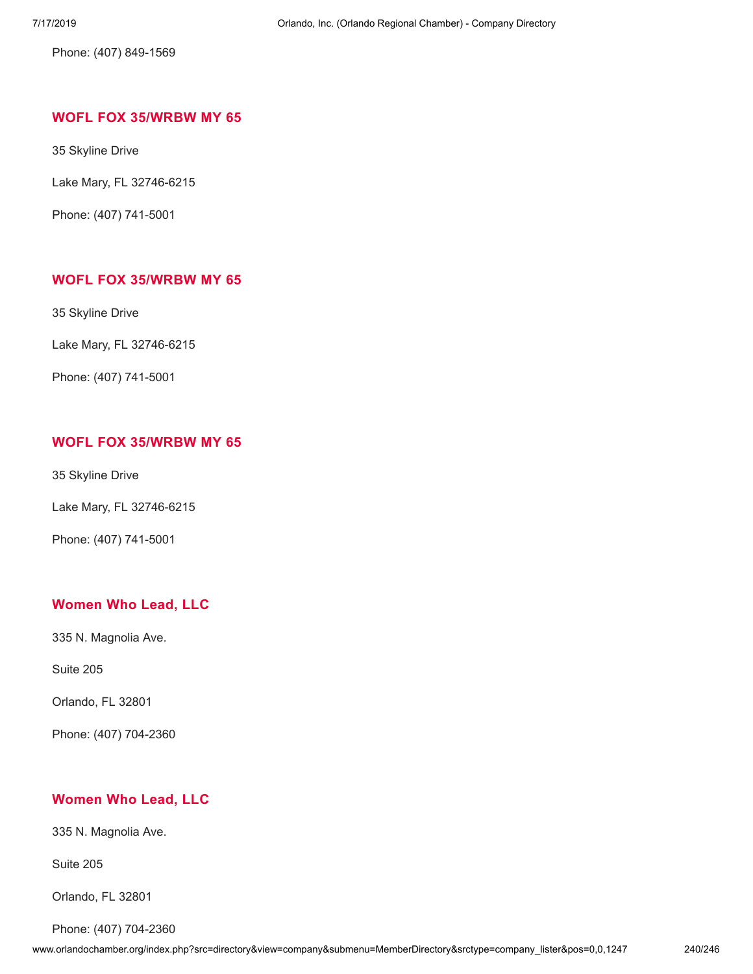Phone: (407) 849-1569

# **WOFL FOX [35/WRBW](http://www.orlandochamber.org/index.php?src=directory&view=company&submenu=MemberDirectory&refno=2777913&srctype=company_detail) MY 65**

35 Skyline Drive

Lake Mary, FL 32746-6215

Phone: (407) 741-5001

## **WOFL FOX [35/WRBW](http://www.orlandochamber.org/index.php?src=directory&view=company&submenu=MemberDirectory&refno=2777914&srctype=company_detail) MY 65**

35 Skyline Drive

Lake Mary, FL 32746-6215

Phone: (407) 741-5001

### **WOFL FOX [35/WRBW](http://www.orlandochamber.org/index.php?src=directory&view=company&submenu=MemberDirectory&refno=2777915&srctype=company_detail) MY 65**

35 Skyline Drive

Lake Mary, FL 32746-6215

Phone: (407) 741-5001

## **[Women](http://www.orlandochamber.org/index.php?src=directory&view=company&submenu=MemberDirectory&refno=2777160&srctype=company_detail) Who Lead, LLC**

335 N. Magnolia Ave.

Suite 205

Orlando, FL 32801

Phone: (407) 704-2360

## **[Women](http://www.orlandochamber.org/index.php?src=directory&view=company&submenu=MemberDirectory&refno=2777161&srctype=company_detail) Who Lead, LLC**

335 N. Magnolia Ave.

Suite 205

Orlando, FL 32801

Phone: (407) 704-2360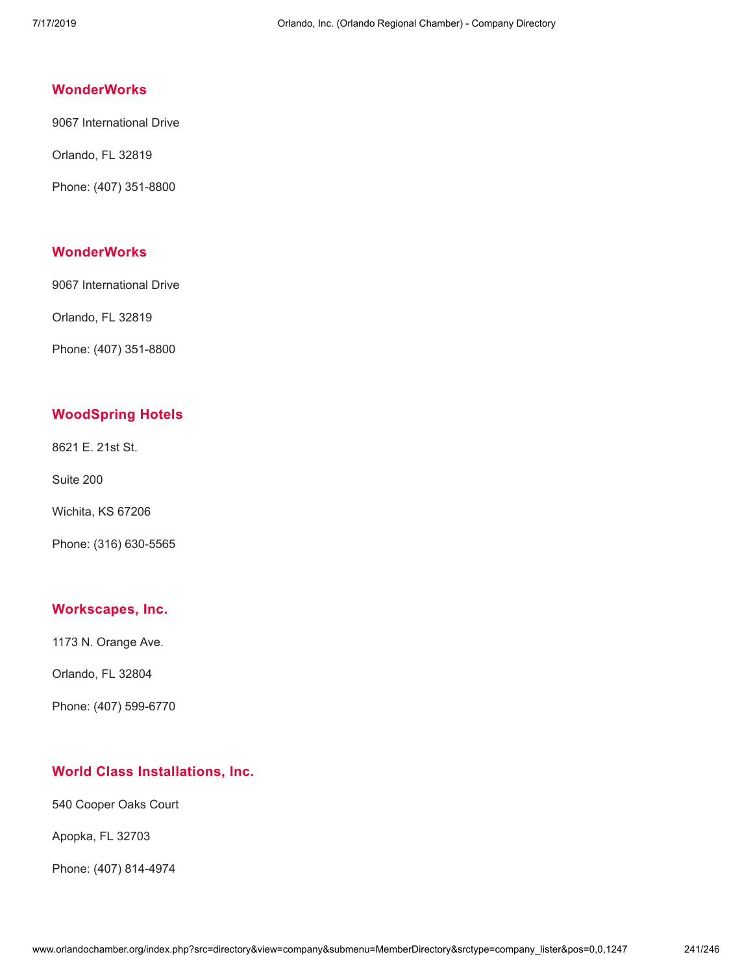# **[WonderWorks](http://www.orlandochamber.org/index.php?src=directory&view=company&submenu=MemberDirectory&refno=2777916&srctype=company_detail)**

9067 International Drive

Orlando, FL 32819

Phone: (407) 351-8800

# **[WonderWorks](http://www.orlandochamber.org/index.php?src=directory&view=company&submenu=MemberDirectory&refno=2777917&srctype=company_detail)**

9067 International Drive

Orlando, FL 32819

Phone: (407) 351-8800

# **[WoodSpring](http://www.orlandochamber.org/index.php?src=directory&view=company&submenu=MemberDirectory&refno=2777918&srctype=company_detail) Hotels**

8621 E. 21st St.

Suite 200

Wichita, KS 67206

Phone: (316) 630-5565

#### **[Workscapes,](http://www.orlandochamber.org/index.php?src=directory&view=company&submenu=MemberDirectory&refno=2777919&srctype=company_detail) Inc.**

1173 N. Orange Ave.

Orlando, FL 32804

Phone: (407) 599-6770

## **World Class [Installations,](http://www.orlandochamber.org/index.php?src=directory&view=company&submenu=MemberDirectory&refno=2777920&srctype=company_detail) Inc.**

540 Cooper Oaks Court

Apopka, FL 32703

Phone: (407) 814-4974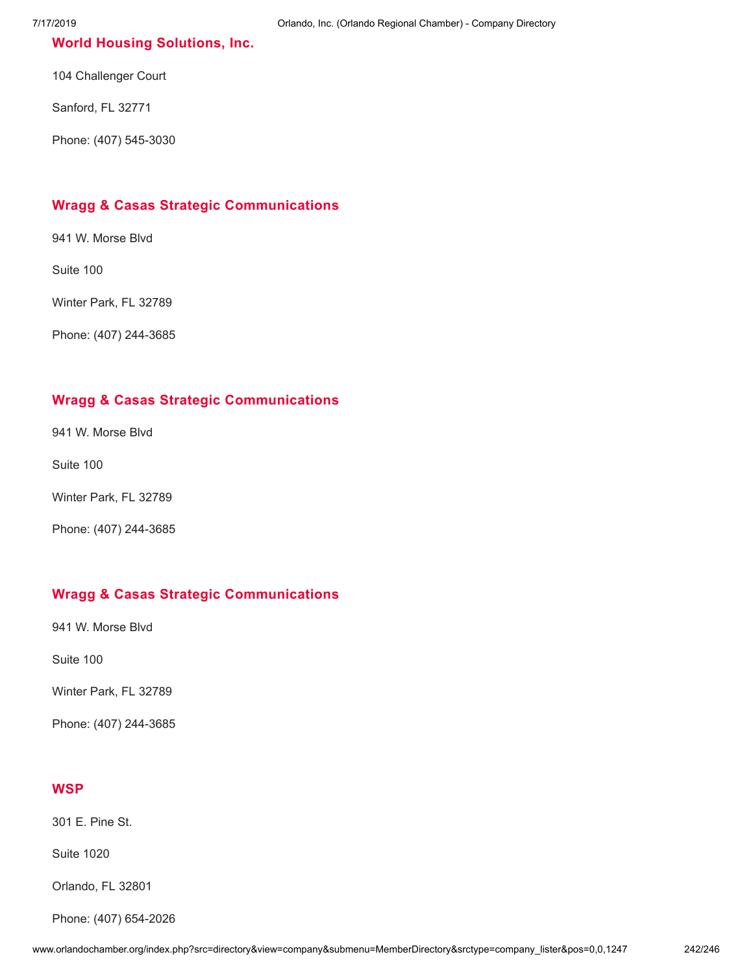### **World Housing [Solutions,](http://www.orlandochamber.org/index.php?src=directory&view=company&submenu=MemberDirectory&refno=2777921&srctype=company_detail) Inc.**

104 Challenger Court

Sanford, FL 32771

Phone: (407) 545-3030

## **Wragg & Casas Strategic [Communications](http://www.orlandochamber.org/index.php?src=directory&view=company&submenu=MemberDirectory&refno=2777922&srctype=company_detail)**

941 W. Morse Blvd

Suite 100

Winter Park, FL 32789

Phone: (407) 244-3685

## **Wragg & Casas Strategic [Communications](http://www.orlandochamber.org/index.php?src=directory&view=company&submenu=MemberDirectory&refno=2777923&srctype=company_detail)**

941 W. Morse Blvd

Suite 100

Winter Park, FL 32789

Phone: (407) 244-3685

### **Wragg & Casas Strategic [Communications](http://www.orlandochamber.org/index.php?src=directory&view=company&submenu=MemberDirectory&refno=2777924&srctype=company_detail)**

941 W. Morse Blvd

Suite 100

Winter Park, FL 32789

Phone: (407) 244-3685

#### **[WSP](http://www.orlandochamber.org/index.php?src=directory&view=company&submenu=MemberDirectory&refno=2777925&srctype=company_detail)**

301 E. Pine St.

Suite 1020

Orlando, FL 32801

Phone: (407) 654-2026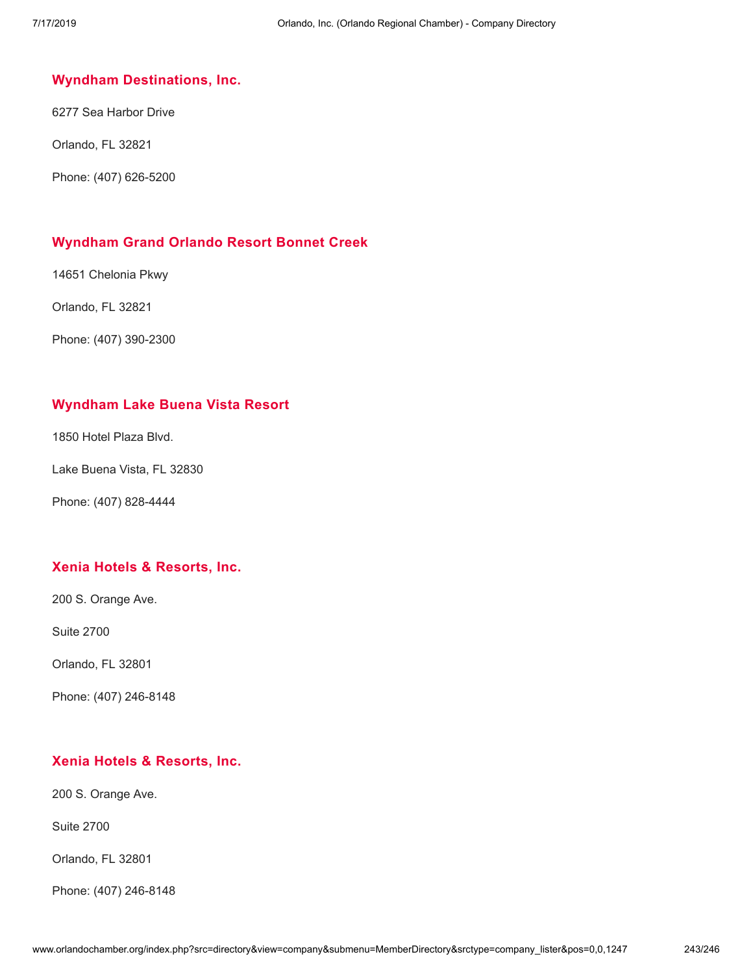#### **Wyndham [Destinations,](http://www.orlandochamber.org/index.php?src=directory&view=company&submenu=MemberDirectory&refno=2777926&srctype=company_detail) Inc.**

6277 Sea Harbor Drive

Orlando, FL 32821

Phone: (407) 626-5200

## **[Wyndham](http://www.orlandochamber.org/index.php?src=directory&view=company&submenu=MemberDirectory&refno=2777927&srctype=company_detail) Grand Orlando Resort Bonnet Creek**

14651 Chelonia Pkwy

Orlando, FL 32821

Phone: (407) 390-2300

## **[Wyndham](http://www.orlandochamber.org/index.php?src=directory&view=company&submenu=MemberDirectory&refno=2777928&srctype=company_detail) Lake Buena Vista Resort**

1850 Hotel Plaza Blvd.

Lake Buena Vista, FL 32830

Phone: (407) 828-4444

## **Xenia Hotels & [Resorts,](http://www.orlandochamber.org/index.php?src=directory&view=company&submenu=MemberDirectory&refno=2777929&srctype=company_detail) Inc.**

200 S. Orange Ave.

Suite 2700

Orlando, FL 32801

Phone: (407) 246-8148

## **Xenia Hotels & [Resorts,](http://www.orlandochamber.org/index.php?src=directory&view=company&submenu=MemberDirectory&refno=2777930&srctype=company_detail) Inc.**

200 S. Orange Ave.

Suite 2700

Orlando, FL 32801

Phone: (407) 246-8148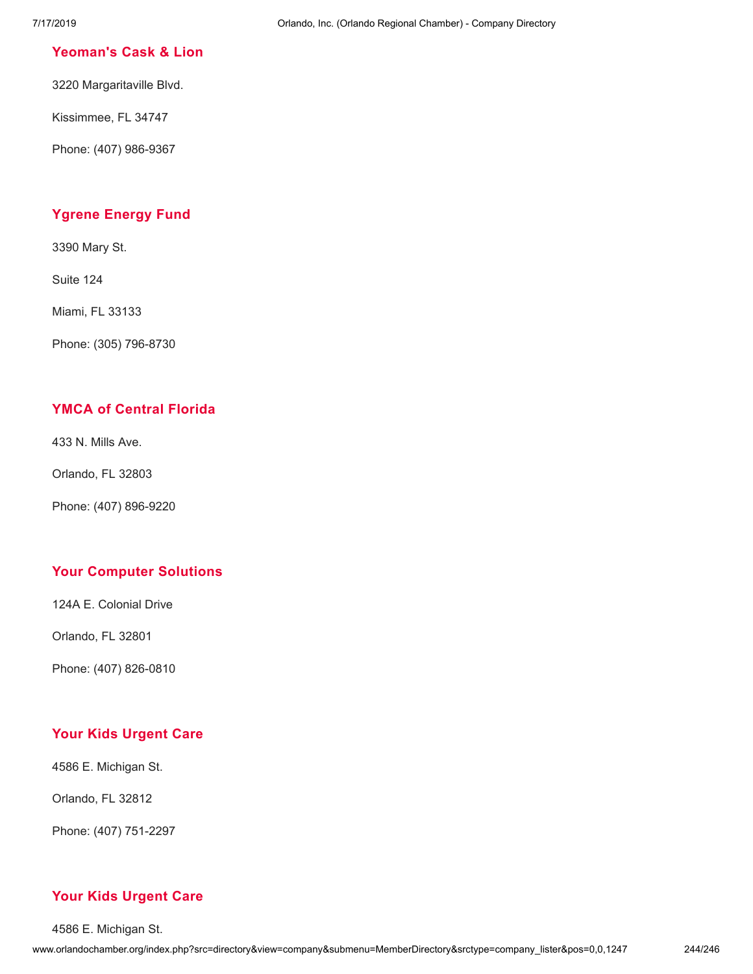### **[Yeoman's](http://www.orlandochamber.org/index.php?src=directory&view=company&submenu=MemberDirectory&refno=2777931&srctype=company_detail) Cask & Lion**

3220 Margaritaville Blvd.

Kissimmee, FL 34747

Phone: (407) 986-9367

# **[Ygrene](http://www.orlandochamber.org/index.php?src=directory&view=company&submenu=MemberDirectory&refno=2777932&srctype=company_detail) Energy Fund**

3390 Mary St.

Suite 124

Miami, FL 33133

Phone: (305) 796-8730

## **YMCA of [Central](http://www.orlandochamber.org/index.php?src=directory&view=company&submenu=MemberDirectory&refno=2777933&srctype=company_detail) Florida**

433 N. Mills Ave.

Orlando, FL 32803

Phone: (407) 896-9220

## **Your [Computer](http://www.orlandochamber.org/index.php?src=directory&view=company&submenu=MemberDirectory&refno=2777934&srctype=company_detail) Solutions**

124A E. Colonial Drive

Orlando, FL 32801

Phone: (407) 826-0810

## **Your Kids [Urgent](http://www.orlandochamber.org/index.php?src=directory&view=company&submenu=MemberDirectory&refno=2777935&srctype=company_detail) Care**

4586 E. Michigan St.

Orlando, FL 32812

Phone: (407) 751-2297

## **Your Kids [Urgent](http://www.orlandochamber.org/index.php?src=directory&view=company&submenu=MemberDirectory&refno=2777936&srctype=company_detail) Care**

4586 E. Michigan St.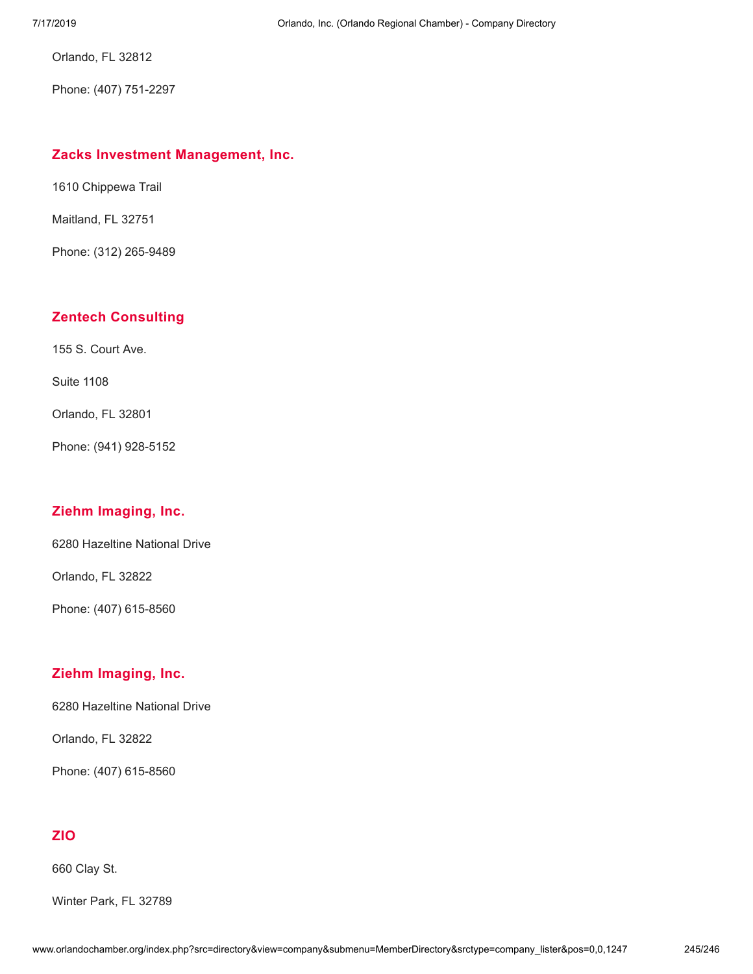Orlando, FL 32812

Phone: (407) 751-2297

#### **Zacks Investment [Management,](http://www.orlandochamber.org/index.php?src=directory&view=company&submenu=MemberDirectory&refno=2777937&srctype=company_detail) Inc.**

1610 Chippewa Trail

Maitland, FL 32751

Phone: (312) 265-9489

### **Zentech [Consulting](http://www.orlandochamber.org/index.php?src=directory&view=company&submenu=MemberDirectory&refno=2777938&srctype=company_detail)**

155 S. Court Ave.

Suite 1108

Orlando, FL 32801

Phone: (941) 928-5152

#### **Ziehm [Imaging,](http://www.orlandochamber.org/index.php?src=directory&view=company&submenu=MemberDirectory&refno=2777939&srctype=company_detail) Inc.**

6280 Hazeltine National Drive

Orlando, FL 32822

Phone: (407) 615-8560

#### **Ziehm [Imaging,](http://www.orlandochamber.org/index.php?src=directory&view=company&submenu=MemberDirectory&refno=2777940&srctype=company_detail) Inc.**

6280 Hazeltine National Drive

Orlando, FL 32822

Phone: (407) 615-8560

## **[ZIO](http://www.orlandochamber.org/index.php?src=directory&view=company&submenu=MemberDirectory&refno=2777941&srctype=company_detail)**

660 Clay St.

Winter Park, FL 32789